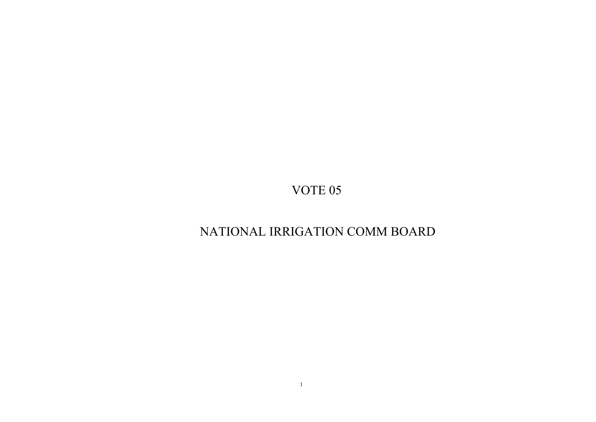## NATIONAL IRRIGATION COMM BOARD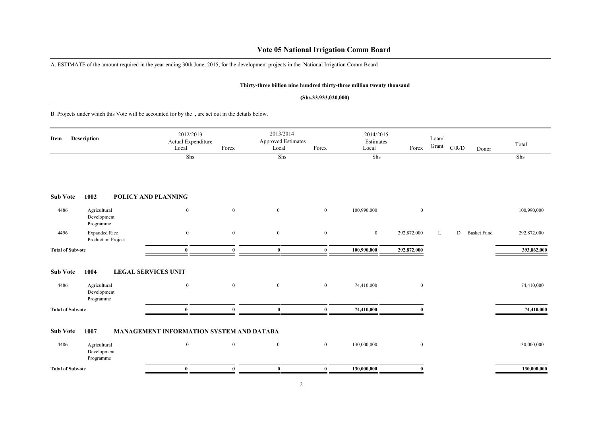### **Vote 05 National Irrigation Comm Board**

A. ESTIMATE of the amount required in the year ending 30th June, 2015, for the development projects in the National Irrigation Comm Board

### **Thirty-three billion nine hundred thirty-three million twenty thousand**

#### **(Shs.33,933,020,000)**

B. Projects under which this Vote will be accounted for by the , are set out in the details below.

| Item                    | <b>Description</b>                         | 2012/2013<br>Actual Expenditure<br>Local | Forex            | 2013/2014<br><b>Approved Estimates</b><br>Local | Forex            | 2014/2015<br>Estimates<br>Local | Forex            | Loan/<br>Grant | C/R/D<br>Donor          | Total       |
|-------------------------|--------------------------------------------|------------------------------------------|------------------|-------------------------------------------------|------------------|---------------------------------|------------------|----------------|-------------------------|-------------|
|                         |                                            | Shs                                      |                  | Shs                                             |                  | Shs                             |                  |                |                         | Shs         |
| <b>Sub Vote</b>         | 1002                                       | POLICY AND PLANNING                      |                  |                                                 |                  |                                 |                  |                |                         |             |
| 4486                    | Agricultural<br>Development<br>Programme   | $\mathbf{0}$                             | $\mathbf{0}$     | $\mathbf{0}$                                    | $\mathbf{0}$     | 100,990,000                     | $\boldsymbol{0}$ |                |                         | 100,990,000 |
| 4496                    | <b>Expanded Rice</b><br>Production Project | $\boldsymbol{0}$                         | $\boldsymbol{0}$ | $\boldsymbol{0}$                                | $\boldsymbol{0}$ | $\boldsymbol{0}$                | 292,872,000      | L              | <b>Basket Fund</b><br>D | 292,872,000 |
| <b>Total of Subvote</b> |                                            | $\theta$                                 | Λ                | $\bf{0}$                                        | $\mathbf{0}$     | 100,990,000                     | 292,872,000      |                |                         | 393,862,000 |
| <b>Sub Vote</b>         | 1004                                       | <b>LEGAL SERVICES UNIT</b>               |                  |                                                 |                  |                                 |                  |                |                         |             |
| 4486                    | Agricultural<br>Development<br>Programme   | $\mathbf{0}$                             | $\mathbf{0}$     | $\mathbf{0}$                                    | $\mathbf{0}$     | 74,410,000                      | $\boldsymbol{0}$ |                |                         | 74,410,000  |
| <b>Total of Subvote</b> |                                            | $\mathbf{0}$                             |                  | $\bf{0}$                                        | $\bf{0}$         | 74,410,000                      |                  |                |                         | 74,410,000  |
| <b>Sub Vote</b>         | 1007                                       | MANAGEMENT INFORMATION SYSTEM AND DATABA |                  |                                                 |                  |                                 |                  |                |                         |             |
| 4486                    | Agricultural<br>Development<br>Programme   | $\mathbf{0}$                             | $\boldsymbol{0}$ | $\mathbf{0}$                                    | $\mathbf{0}$     | 130,000,000                     | $\boldsymbol{0}$ |                |                         | 130,000,000 |
| <b>Total of Subvote</b> |                                            | $\bf{0}$                                 | $\theta$         | $\bf{0}$                                        | $\bf{0}$         | 130,000,000                     | $\theta$         |                |                         | 130,000,000 |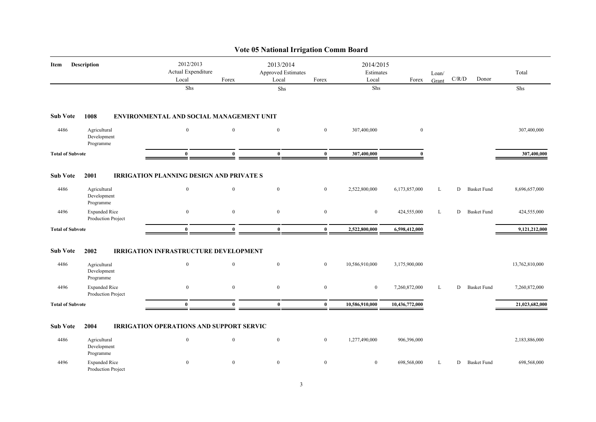|                         |                                                  |                                                                 |                  | <b>Vote 05 National Irrigation Comm Board</b> |                  |                                 |                |                |                         |                |
|-------------------------|--------------------------------------------------|-----------------------------------------------------------------|------------------|-----------------------------------------------|------------------|---------------------------------|----------------|----------------|-------------------------|----------------|
| Item                    | Description                                      | 2012/2013<br>Actual Expenditure<br>Local                        | Forex            | 2013/2014<br>Approved Estimates<br>Local      | Forex            | 2014/2015<br>Estimates<br>Local | Forex          | Loan/<br>Grant | C/R/D<br>Donor          | Total          |
|                         |                                                  | ${\rm Shs}$                                                     |                  | ${\rm Shs}$                                   |                  | Shs                             |                |                |                         | Shs            |
| <b>Sub Vote</b>         | 1008                                             | ENVIRONMENTAL AND SOCIAL MANAGEMENT UNIT                        |                  |                                               |                  |                                 |                |                |                         |                |
| 4486                    | Agricultural<br>Development<br>Programme         | $\mathbf{0}$                                                    | $\mathbf{0}$     | $\mathbf{0}$                                  | $\overline{0}$   | 307,400,000                     | $\bf{0}$       |                |                         | 307,400,000    |
| <b>Total of Subvote</b> |                                                  | $\bf{0}$                                                        | $\mathbf{0}$     | $\bf{0}$                                      | $\bf{0}$         | 307,400,000                     | $\mathbf{0}$   |                |                         | 307,400,000    |
| <b>Sub Vote</b><br>4486 | 2001<br>Agricultural<br>Development<br>Programme | <b>IRRIGATION PLANNING DESIGN AND PRIVATE S</b><br>$\mathbf{0}$ | $\mathbf{0}$     | $\mathbf{0}$                                  | $\mathbf{0}$     | 2,522,800,000                   | 6,173,857,000  | L              | D<br><b>Basket Fund</b> | 8,696,657,000  |
| 4496                    | <b>Expanded Rice</b><br>Production Project       | $\bf{0}$                                                        | $\mathbf{0}$     | $\mathbf{0}$                                  | $\boldsymbol{0}$ | $\mathbf{0}$                    | 424,555,000    | L              | <b>Basket Fund</b><br>D | 424,555,000    |
| <b>Total of Subvote</b> |                                                  | $\mathbf{0}$                                                    | $\mathbf{0}$     | $\bf{0}$                                      | $\bf{0}$         | 2,522,800,000                   | 6,598,412,000  |                |                         | 9,121,212,000  |
| <b>Sub Vote</b>         | 2002                                             | <b>IRRIGATION INFRASTRUCTURE DEVELOPMENT</b>                    |                  |                                               |                  |                                 |                |                |                         |                |
| 4486                    | Agricultural<br>Development<br>Programme         | $\boldsymbol{0}$                                                | $\mathbf{0}$     | $\mathbf{0}$                                  | $\mathbf{0}$     | 10,586,910,000                  | 3,175,900,000  |                |                         | 13,762,810,000 |
| 4496                    | <b>Expanded Rice</b><br>Production Project       | $\boldsymbol{0}$                                                | $\mathbf{0}$     | $\boldsymbol{0}$                              | $\boldsymbol{0}$ | $\boldsymbol{0}$                | 7,260,872,000  | L              | D<br><b>Basket Fund</b> | 7,260,872,000  |
| <b>Total of Subvote</b> |                                                  | $\bf{0}$                                                        | $\mathbf{0}$     | $\bf{0}$                                      | $\bf{0}$         | 10,586,910,000                  | 10,436,772,000 |                |                         | 21,023,682,000 |
| <b>Sub Vote</b>         | 2004                                             | <b>IRRIGATION OPERATIONS AND SUPPORT SERVIC</b>                 |                  |                                               |                  |                                 |                |                |                         |                |
| 4486                    | Agricultural<br>Development<br>Programme         | $\boldsymbol{0}$                                                | $\mathbf{0}$     | $\mathbf{0}$                                  | $\mathbf{0}$     | 1,277,490,000                   | 906,396,000    |                |                         | 2,183,886,000  |
| 4496                    | <b>Expanded Rice</b><br>Production Project       | $\boldsymbol{0}$                                                | $\boldsymbol{0}$ | $\mathbf{0}$                                  | $\boldsymbol{0}$ | $\bf{0}$                        | 698,568,000    | L              | D<br><b>Basket Fund</b> | 698,568,000    |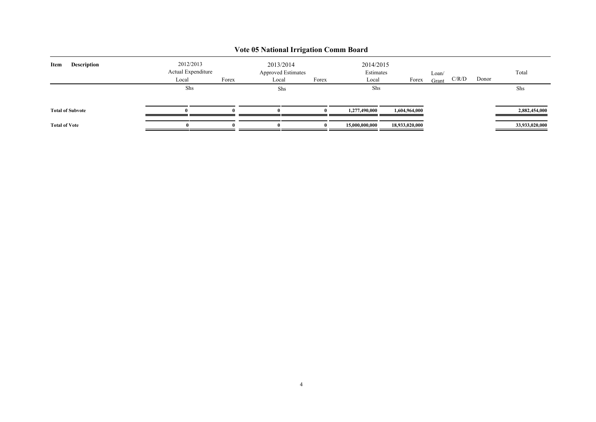| <b>Description</b><br>Item | 2012/2013<br>Actual Expenditure |       | 2013/2014 | Approved Estimates | 2014/2015<br>Estimates |                | Loan/ |       |       | Total          |
|----------------------------|---------------------------------|-------|-----------|--------------------|------------------------|----------------|-------|-------|-------|----------------|
|                            | Local                           | Forex | Local     | Forex              | Local                  | Forex          | Grant | C/R/D | Donor |                |
|                            | Shs                             |       |           | Shs                | Shs                    |                |       |       |       | Shs            |
| <b>Total of Subvote</b>    | $\mathbf{0}$                    |       |           |                    | 1,277,490,000          | 1,604,964,000  |       |       |       | 2,882,454,000  |
| <b>Total of Vote</b>       |                                 |       | Ð         |                    | 15,000,000,000         | 18,933,020,000 |       |       |       | 33,933,020,000 |

## **Vote 05 National Irrigation Comm Board**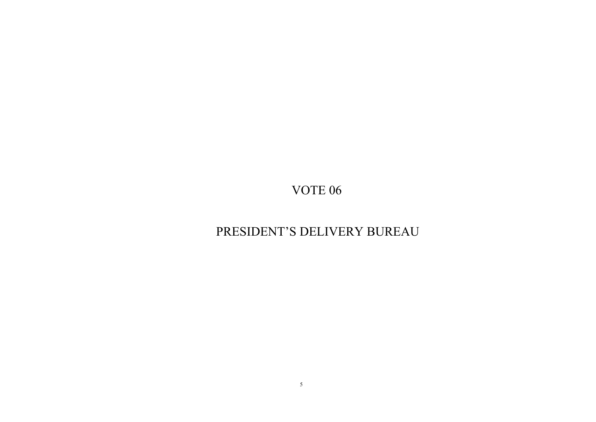## PRESIDENT'S DELIVERY BUREAU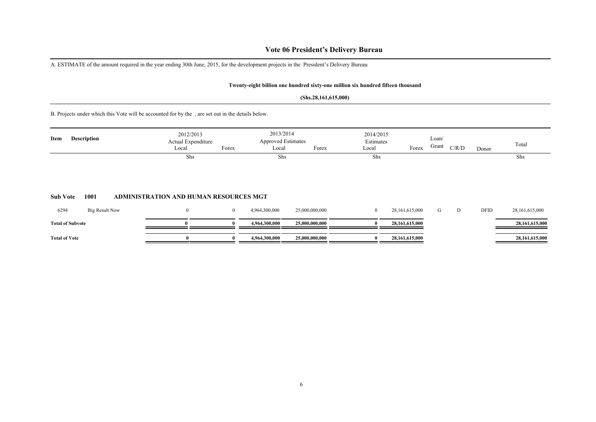### **Vote 06 President's Delivery Bureau**

A. ESTIMATE of the amount required in the year ending 30th June, 2015, for the development projects in the President's Delivery Bureau

#### **Twenty-eight billion one hundred sixty-one million six hundred fifteen thousand**

#### **(Shs.28,161,615,000)**

B. Projects under which this Vote will be accounted for by the , are set out in the details below.

| Item | <b>Description</b> | 2012/2013<br><b>Actual Expenditure</b><br>Local | Forex | 2013/2014<br>Approved Estimates<br>Local | Forex | 2014/2015<br>Estimates<br>Local | Forex | Loan/<br>Grant | C/R/D | Donor | Total |
|------|--------------------|-------------------------------------------------|-------|------------------------------------------|-------|---------------------------------|-------|----------------|-------|-------|-------|
|      |                    | Shs                                             |       | Shs                                      |       | Shs                             |       |                |       |       | Shs   |
|      |                    |                                                 |       |                                          |       |                                 |       |                |       |       |       |

### **Sub Vote 1001 ADMINISTRATION AND HUMAN RESOURCES MGT**

| 6294                    | Big Result Now |  | 4,964,300,000 | 25,000,000,000 | 28,161,615,000 |  | DFID | 28,161,615,000 |
|-------------------------|----------------|--|---------------|----------------|----------------|--|------|----------------|
| <b>Total of Subvote</b> |                |  | 4,964,300,000 | 25,000,000,000 | 28,161,615,000 |  |      | 28,161,615,000 |
| <b>Total of Vote</b>    |                |  | 4,964,300,000 | 25,000,000,000 | 28,161,615,000 |  |      | 28,161,615,000 |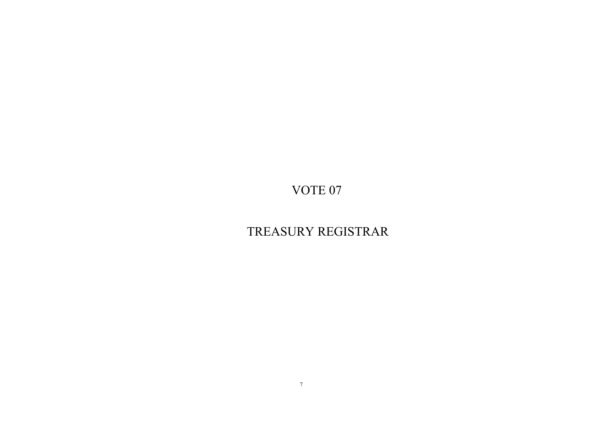## TREASURY REGISTRAR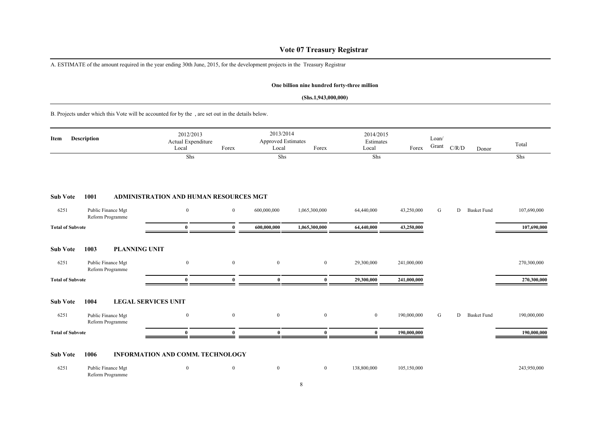### **Vote 07 Treasury Registrar**

A. ESTIMATE of the amount required in the year ending 30th June, 2015, for the development projects in the Treasury Registrar

### **One billion nine hundred forty-three million**

### **(Shs.1,943,000,000)**

B. Projects under which this Vote will be accounted for by the , are set out in the details below.

| Item                    | <b>Description</b>                     | 2012/2013<br>Actual Expenditure<br>Local      | Forex          | 2013/2014<br><b>Approved Estimates</b><br>Local | Forex            | 2014/2015<br>Estimates<br>Local | Forex       | Loan/<br>Grant | C/R/D                   | Total<br>Donor |
|-------------------------|----------------------------------------|-----------------------------------------------|----------------|-------------------------------------------------|------------------|---------------------------------|-------------|----------------|-------------------------|----------------|
|                         |                                        | Shs                                           |                | Shs                                             |                  | Shs                             |             |                |                         | Shs            |
| <b>Sub Vote</b>         | 1001                                   | <b>ADMINISTRATION AND HUMAN RESOURCES MGT</b> |                |                                                 |                  |                                 |             |                |                         |                |
| 6251                    | Public Finance Mgt<br>Reform Programme | $\bf{0}$                                      | $\overline{0}$ | 600,000,000                                     | 1,065,300,000    | 64,440,000                      | 43,250,000  | G              | D<br><b>Basket Fund</b> | 107,690,000    |
| <b>Total of Subvote</b> |                                        | $\bf{0}$                                      | $\mathbf{0}$   | 600,000,000                                     | 1,065,300,000    | 64,440,000                      | 43,250,000  |                |                         | 107,690,000    |
| <b>Sub Vote</b>         | <b>PLANNING UNIT</b><br>1003           |                                               |                |                                                 |                  |                                 |             |                |                         |                |
| 6251                    | Public Finance Mgt<br>Reform Programme | $\bf{0}$                                      | $\overline{0}$ | $\bf{0}$                                        | $\overline{0}$   | 29,300,000                      | 241,000,000 |                |                         | 270,300,000    |
| <b>Total of Subvote</b> |                                        | $\bf{0}$                                      | $\theta$       | $\bf{0}$                                        | $\bf{0}$         | 29,300,000                      | 241,000,000 |                |                         | 270,300,000    |
| <b>Sub Vote</b>         | 1004<br><b>LEGAL SERVICES UNIT</b>     |                                               |                |                                                 |                  |                                 |             |                |                         |                |
| 6251                    | Public Finance Mgt<br>Reform Programme | $\bf{0}$                                      | $\mathbf{0}$   | $\boldsymbol{0}$                                | $\boldsymbol{0}$ | $\overline{0}$                  | 190,000,000 | G              | D<br><b>Basket Fund</b> | 190,000,000    |
| <b>Total of Subvote</b> |                                        | $\mathbf{0}$                                  | $\Omega$       | $\mathbf{0}$                                    | $\mathbf{0}$     | $\bf{0}$                        | 190,000,000 |                |                         | 190,000,000    |
| <b>Sub Vote</b>         | 1006                                   | <b>INFORMATION AND COMM. TECHNOLOGY</b>       |                |                                                 |                  |                                 |             |                |                         |                |
| 6251                    | Public Finance Mgt<br>Reform Programme | $\boldsymbol{0}$                              | $\bf{0}$       | $\bf{0}$                                        | $\bf{0}$         | 138,800,000                     | 105,150,000 |                |                         | 243,950,000    |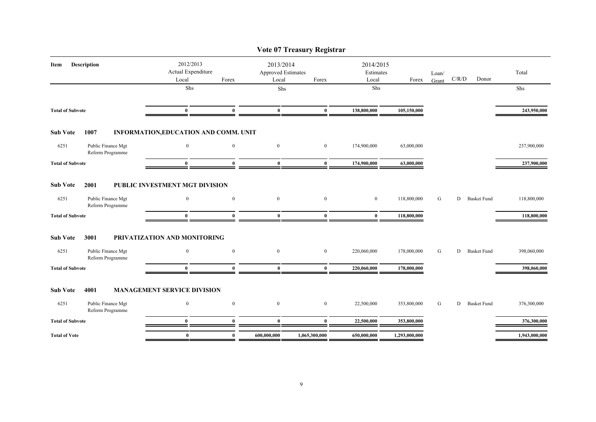|                                                       |                                                |              |                                                 | Vote 07 Treasury Registrar |                                 |               |                |       |                    |               |
|-------------------------------------------------------|------------------------------------------------|--------------|-------------------------------------------------|----------------------------|---------------------------------|---------------|----------------|-------|--------------------|---------------|
| <b>Description</b><br>Item                            | 2012/2013<br>Actual Expenditure<br>Local       | Forex        | 2013/2014<br><b>Approved Estimates</b><br>Local | Forex                      | 2014/2015<br>Estimates<br>Local | Forex         | Loan/<br>Grant | C/R/D | Donor              | Total         |
|                                                       | Shs                                            |              | Shs                                             |                            | Shs                             |               |                |       |                    | Shs           |
| <b>Total of Subvote</b>                               | $\bf{0}$                                       | $\bf{0}$     | $\bf{0}$                                        | $\bf{0}$                   | 138,800,000                     | 105,150,000   |                |       |                    | 243,950,000   |
|                                                       |                                                |              |                                                 |                            |                                 |               |                |       |                    |               |
| <b>Sub Vote</b><br>1007                               | INFORMATION, EDUCATION AND COMM. UNIT          |              |                                                 |                            |                                 |               |                |       |                    |               |
| 6251<br>Public Finance Mgt<br>Reform Programme        | $\mathbf{0}$                                   | $\mathbf{0}$ | $\mathbf{0}$                                    | $\mathbf{0}$               | 174,900,000                     | 63,000,000    |                |       |                    | 237,900,000   |
| <b>Total of Subvote</b>                               | $\mathbf{0}$                                   | $\bf{0}$     | $\bf{0}$                                        | $\bf{0}$                   | 174,900,000                     | 63,000,000    |                |       |                    | 237,900,000   |
| <b>Sub Vote</b><br>2001<br>6251<br>Public Finance Mgt | PUBLIC INVESTMENT MGT DIVISION<br>$\mathbf{0}$ | $\bf{0}$     | $\mathbf{0}$                                    | $\mathbf{0}$               | $\overline{0}$                  | 118,800,000   | G              | D     | <b>Basket Fund</b> | 118,800,000   |
| Reform Programme<br><b>Total of Subvote</b>           | $\mathbf{0}$                                   | $\mathbf{0}$ | $\bf{0}$                                        | $\mathbf{0}$               | $\bf{0}$                        | 118,800,000   |                |       |                    | 118,800,000   |
|                                                       |                                                |              |                                                 |                            |                                 |               |                |       |                    |               |
| <b>Sub Vote</b><br>3001                               | PRIVATIZATION AND MONITORING                   |              |                                                 |                            |                                 |               |                |       |                    |               |
| 6251<br>Public Finance Mgt<br>Reform Programme        | $\boldsymbol{0}$                               | $\mathbf{0}$ | $\bf{0}$                                        | $\boldsymbol{0}$           | 220,060,000                     | 178,000,000   | G              | D     | <b>Basket Fund</b> | 398,060,000   |
| <b>Total of Subvote</b>                               | $\mathbf{0}$                                   | $\mathbf{0}$ | $\bf{0}$                                        | $\bf{0}$                   | 220,060,000                     | 178,000,000   |                |       |                    | 398,060,000   |
| <b>Sub Vote</b><br>4001                               | <b>MANAGEMENT SERVICE DIVISION</b>             |              |                                                 |                            |                                 |               |                |       |                    |               |
| Public Finance Mgt<br>6251<br>Reform Programme        | $\mathbf{0}$                                   | $\mathbf{0}$ | $\mathbf{0}$                                    | $\mathbf{0}$               | 22,500,000                      | 353,800,000   | G              | D     | <b>Basket Fund</b> | 376,300,000   |
| <b>Total of Subvote</b>                               | $\bf{0}$                                       | $\mathbf{0}$ | $\bf{0}$                                        | $\bf{0}$                   | 22,500,000                      | 353,800,000   |                |       |                    | 376,300,000   |
| <b>Total of Vote</b>                                  | $\bf{0}$                                       | $\bf{0}$     | 600,000,000                                     | 1,065,300,000              | 650,000,000                     | 1,293,000,000 |                |       |                    | 1,943,000,000 |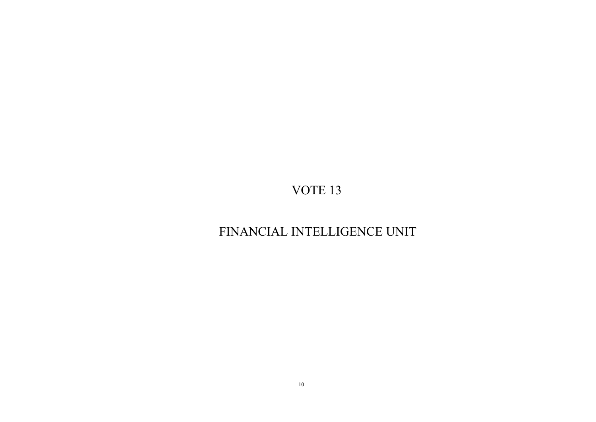## FINANCIAL INTELLIGENCE UNIT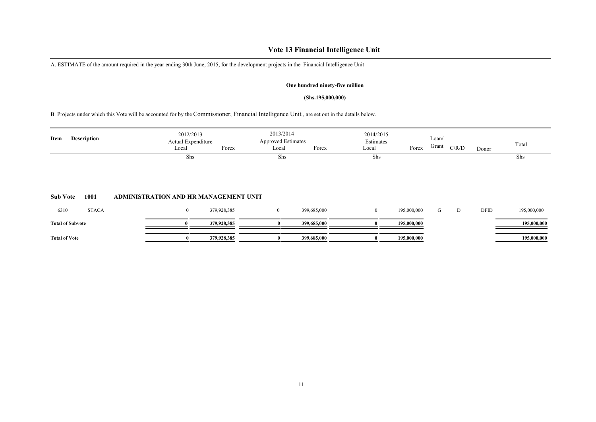### **Vote 13 Financial Intelligence Unit**

A. ESTIMATE of the amount required in the year ending 30th June, 2015, for the development projects in the Financial Intelligence Unit

### **One hundred ninety-five million**

#### **(Shs.195,000,000)**

B. Projects under which this Vote will be accounted for by the Commissioner, Financial Intelligence Unit , are set out in the details below.

| Item                 | <b>Description</b>      | 2012/2013<br>Actual Expenditure       |             | 2013/2014<br><b>Approved Estimates</b> |             | 2014/2015<br>Estimates |             | Loan/ |       |       | Total       |
|----------------------|-------------------------|---------------------------------------|-------------|----------------------------------------|-------------|------------------------|-------------|-------|-------|-------|-------------|
|                      |                         | Local                                 | Forex       | Local                                  | Forex       | Local                  | Forex       | Grant | C/R/D | Donor |             |
|                      |                         | Shs                                   |             | Shs                                    |             | Shs                    |             |       |       |       | Shs         |
| <b>Sub Vote</b>      | 1001                    | ADMINISTRATION AND HR MANAGEMENT UNIT |             |                                        |             |                        |             |       |       |       |             |
| 6310                 | <b>STACA</b>            | $\boldsymbol{0}$                      | 379,928,385 | $\bf{0}$                               | 399,685,000 | $\mathbf{0}$           | 195,000,000 | G     | D     | DFID  | 195,000,000 |
|                      | <b>Total of Subvote</b> |                                       | 379,928,385 |                                        | 399,685,000 |                        | 195,000,000 |       |       |       | 195,000,000 |
| <b>Total of Vote</b> |                         | $\mathbf{0}$                          | 379,928,385 | $\bf{0}$                               | 399,685,000 | $\bf{0}$               | 195,000,000 |       |       |       | 195,000,000 |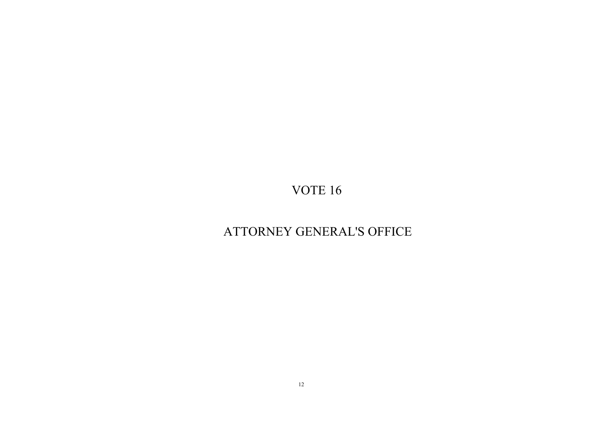## ATTORNEY GENERAL'S OFFICE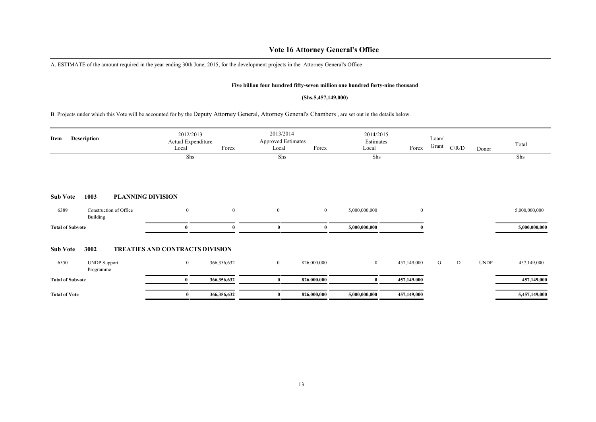### **Vote 16 Attorney General's Office**

A. ESTIMATE of the amount required in the year ending 30th June, 2015, for the development projects in the Attorney General's Office

#### **Five billion four hundred fifty-seven million one hundred forty-nine thousand**

#### **(Shs.5,457,149,000)**

B. Projects under which this Vote will be accounted for by the Deputy Attorney General, Attorney General's Chambers , are set out in the details below.

| Item                    | <b>Description</b>                 | 2012/2013<br>Actual Expenditure<br>Local | Forex          | 2013/2014<br><b>Approved Estimates</b><br>Local | Forex       | 2014/2015<br>Estimates<br>Local |             | Loan/<br>Grant | C/R/D |             | Total         |
|-------------------------|------------------------------------|------------------------------------------|----------------|-------------------------------------------------|-------------|---------------------------------|-------------|----------------|-------|-------------|---------------|
|                         |                                    | Shs                                      |                | Shs                                             |             | Shs                             | Forex       |                |       | Donor       | Shs           |
|                         |                                    |                                          |                |                                                 |             |                                 |             |                |       |             |               |
| <b>Sub Vote</b>         | 1003                               | <b>PLANNING DIVISION</b>                 |                |                                                 |             |                                 |             |                |       |             |               |
| 6389                    | Construction of Office<br>Building | $\mathbf{0}$                             | $\overline{0}$ | $\bf{0}$                                        | $\bf{0}$    | 5,000,000,000                   | $\bf{0}$    |                |       |             | 5,000,000,000 |
| <b>Total of Subvote</b> |                                    | $\mathbf{0}$                             |                |                                                 | $\theta$    | 5,000,000,000                   |             |                |       |             | 5,000,000,000 |
| <b>Sub Vote</b>         | 3002                               | <b>TREATIES AND CONTRACTS DIVISION</b>   |                |                                                 |             |                                 |             |                |       |             |               |
| 6550                    | <b>UNDP</b> Support<br>Programme   | $\bf{0}$                                 | 366,356,632    | $\overline{0}$                                  | 826,000,000 | $\overline{0}$                  | 457,149,000 | G              | D     | <b>UNDP</b> | 457,149,000   |
| <b>Total of Subvote</b> |                                    | $\mathbf{0}$                             | 366,356,632    | 0                                               | 826,000,000 |                                 | 457,149,000 |                |       |             | 457,149,000   |
| <b>Total of Vote</b>    |                                    | $\bf{0}$                                 | 366,356,632    |                                                 | 826,000,000 | 5,000,000,000                   | 457,149,000 |                |       |             | 5,457,149,000 |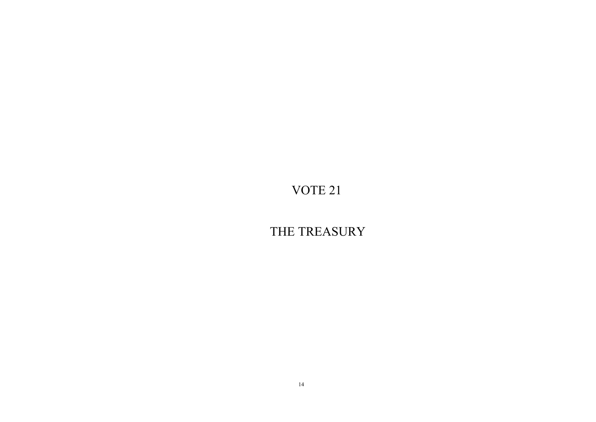THE TREASURY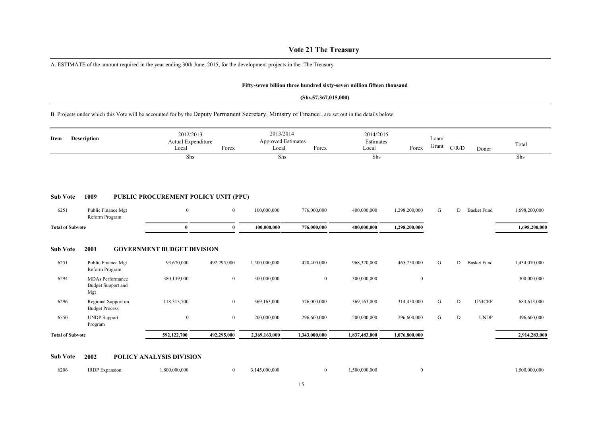### **Vote 21 The Treasury**

A. ESTIMATE of the amount required in the year ending 30th June, 2015, for the development projects in the The Treasury

#### **Fifty-seven billion three hundred sixty-seven million fifteen thousand**

#### **(Shs.57,367,015,000)**

B. Projects under which this Vote will be accounted for by the Deputy Permanent Secretary, Ministry of Finance , are set out in the details below.

| Item                    | <b>Description</b>                                          | 2012/2013<br>Actual Expenditure<br>Local        | Forex            | 2013/2014<br>Approved Estimates<br>Local | Forex          | 2014/2015<br>Estimates<br>Local | Forex            | Loan/<br>Grant | C/R/D | Donor              | Total         |
|-------------------------|-------------------------------------------------------------|-------------------------------------------------|------------------|------------------------------------------|----------------|---------------------------------|------------------|----------------|-------|--------------------|---------------|
|                         |                                                             | Shs                                             |                  | Shs                                      |                | Shs                             |                  |                |       |                    | Shs           |
| <b>Sub Vote</b>         | 1009                                                        | PUBLIC PROCUREMENT POLICY UNIT (PPU)            |                  |                                          |                |                                 |                  |                |       |                    |               |
| 6251                    | Public Finance Mgt<br>Reform Program                        | $\boldsymbol{0}$                                | $\overline{0}$   | 100,000,000                              | 776,000,000    | 400,000,000                     | 1,298,200,000    | G              | D     | <b>Basket Fund</b> | 1,698,200,000 |
| <b>Total of Subvote</b> |                                                             | $\bf{0}$                                        | $\mathbf{0}$     | 100,000,000                              | 776,000,000    | 400,000,000                     | 1,298,200,000    |                |       |                    | 1,698,200,000 |
| <b>Sub Vote</b><br>6251 | 2001<br>Public Finance Mgt<br>Reform Program                | <b>GOVERNMENT BUDGET DIVISION</b><br>93,670,000 | 492,295,000      | 1,500,000,000                            | 470,400,000    | 968,320,000                     | 465,750,000      | G              | D     | <b>Basket Fund</b> | 1,434,070,000 |
| 6294                    | <b>MDAs</b> Performance<br><b>Budget Support and</b><br>Mgt | 380,139,000                                     | $\bf{0}$         | 300,000,000                              | $\overline{0}$ | 300,000,000                     | $\boldsymbol{0}$ |                |       |                    | 300,000,000   |
| 6296                    | Regional Support on<br><b>Budget Process</b>                | 118,313,700                                     | $\bf{0}$         | 369,163,000                              | 576,000,000    | 369,163,000                     | 314,450,000      | G              | D     | <b>UNICEF</b>      | 683,613,000   |
| 6550                    | <b>UNDP</b> Support<br>Program                              | $\boldsymbol{0}$                                | $\boldsymbol{0}$ | 200,000,000                              | 296,600,000    | 200,000,000                     | 296,600,000      | G              | D     | <b>UNDP</b>        | 496,600,000   |
|                         | <b>Total of Subvote</b>                                     | 592,122,700                                     | 492,295,000      | 2,369,163,000                            | 1,343,000,000  | 1,837,483,000                   | 1,076,800,000    |                |       |                    | 2,914,283,000 |

#### **Sub Vote 2002 POLICY ANALYSIS DIVISION**

| 6206 | 1RDP F<br>xpansion | 0.800, 000, 000 | 00,000<br>- 1455 | .500.000.000 | .500.000.000 |
|------|--------------------|-----------------|------------------|--------------|--------------|
|      |                    |                 |                  |              |              |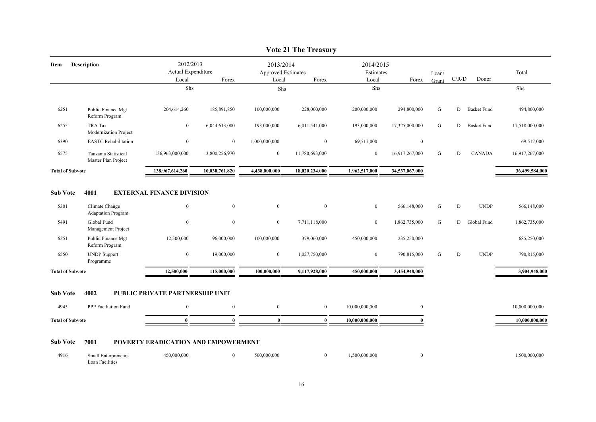|                         |                                                            |                                          |                      |                                                 | $\lambda$ on $\mu$ in increasing |                                 |                              |                |           |                            |                              |
|-------------------------|------------------------------------------------------------|------------------------------------------|----------------------|-------------------------------------------------|----------------------------------|---------------------------------|------------------------------|----------------|-----------|----------------------------|------------------------------|
| Item                    | Description                                                | 2012/2013<br>Actual Expenditure<br>Local | Forex                | 2013/2014<br><b>Approved Estimates</b><br>Local | Forex                            | 2014/2015<br>Estimates<br>Local | Forex                        | Loan/<br>Grant | C/R/D     | Donor                      | Total                        |
|                         |                                                            | Shs                                      |                      | Shs                                             |                                  | Shs                             |                              |                |           |                            | Shs                          |
| 6251                    | Public Finance Mgt<br>Reform Program                       | 204,614,260                              | 185,891,850          | 100,000,000                                     | 228,000,000                      | 200,000,000                     | 294,800,000                  | G              | D         | <b>Basket Fund</b>         | 494,800,000                  |
| 6255                    | TRA Tax<br>Modernization Project                           | $\boldsymbol{0}$                         | 6,044,613,000        | 193,000,000                                     | 6,011,541,000                    | 193,000,000                     | 17,325,000,000               | G              | ${\rm D}$ | <b>Basket Fund</b>         | 17,518,000,000               |
| 6390                    | <b>EASTC</b> Rehabilitation                                | $\bf{0}$                                 | $\bf{0}$             | 1,000,000,000                                   | $\overline{0}$                   | 69,517,000                      | $\overline{0}$               |                |           |                            | 69,517,000                   |
| 6575                    | Tanzania Statistical<br>Master Plan Project                | 136,963,000,000                          | 3,800,256,970        | $\bf{0}$                                        | 11,780,693,000                   | $\mathbf{0}$                    | 16,917,267,000               | G              | ${\rm D}$ | <b>CANADA</b>              | 16,917,267,000               |
| <b>Total of Subvote</b> |                                                            | 138,967,614,260                          | 10,030,761,820       | 4,438,000,000                                   | 18,020,234,000                   | 1,962,517,000                   | 34,537,067,000               |                |           |                            | 36,499,584,000               |
| 5301<br>5491            | Climate Change<br><b>Adaptation Program</b><br>Global Fund | $\mathbf{0}$<br>$\mathbf{0}$             | $\bf{0}$<br>$\bf{0}$ | $\mathbf{0}$<br>$\bf{0}$                        | $\overline{0}$<br>7,711,118,000  | $\overline{0}$<br>$\bf{0}$      | 566,148,000<br>1,862,735,000 | G<br>G         | D<br>D    | <b>UNDP</b><br>Global Fund | 566,148,000<br>1,862,735,000 |
|                         |                                                            |                                          |                      |                                                 |                                  |                                 |                              |                |           |                            |                              |
| 6251                    | Management Project<br>Public Finance Mgt                   | 12,500,000                               | 96,000,000           | 100,000,000                                     | 379,060,000                      | 450,000,000                     | 235,250,000                  |                |           |                            | 685,250,000                  |
|                         | Reform Program                                             |                                          |                      |                                                 |                                  |                                 |                              |                |           |                            |                              |
| 6550                    | <b>UNDP</b> Support<br>Programme                           | $\boldsymbol{0}$                         | 19,000,000           | $\bf{0}$                                        | 1,027,750,000                    | $\boldsymbol{0}$                | 790,815,000                  | ${\bf G}$      | ${\bf D}$ | <b>UNDP</b>                | 790,815,000                  |
| <b>Total of Subvote</b> |                                                            | 12,500,000                               | 115,000,000          | 100,000,000                                     | 9,117,928,000                    | 450,000,000                     | 3,454,948,000                |                |           |                            | 3,904,948,000                |
| <b>Sub Vote</b>         | 4002                                                       | PUBLIC PRIVATE PARTNERSHIP UNIT          |                      |                                                 |                                  |                                 |                              |                |           |                            |                              |
| 4945                    | PPP Faciltation Fund                                       | $\overline{0}$                           | $\mathbf{0}$         | $\mathbf{0}$                                    | $\overline{0}$                   | 10,000,000,000                  | $\overline{0}$               |                |           |                            | 10,000,000,000               |
| <b>Total of Subvote</b> |                                                            | $\mathbf{0}$                             | $\theta$             | $\bf{0}$                                        | $\bf{0}$                         | 10,000,000,000                  | $\mathbf{0}$                 |                |           |                            | 10,000,000,000               |
| <b>Sub Vote</b>         | 7001                                                       | POVERTY ERADICATION AND EMPOWERMENT      |                      |                                                 |                                  |                                 |                              |                |           |                            |                              |
| 4916                    | Small Enterpreneurs                                        | 450,000,000                              | $\overline{0}$       | 500,000,000                                     | $\boldsymbol{0}$                 | 1,500,000,000                   | $\overline{0}$               |                |           |                            | 1,500,000,000                |

### **Vote 21 The Treasury**

Loan Facilities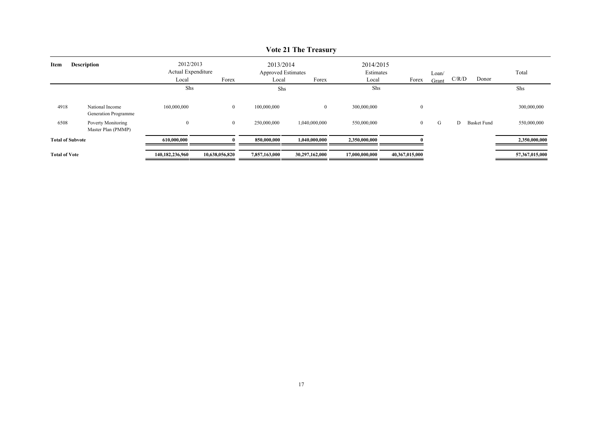| Item                    | <b>Description</b>                       |                  | 2012/2013<br>Actual Expenditure |               | 2013/2014<br><b>Approved Estimates</b> |                | 2014/2015<br>Estimates | Loan/ |       |                    | Total          |
|-------------------------|------------------------------------------|------------------|---------------------------------|---------------|----------------------------------------|----------------|------------------------|-------|-------|--------------------|----------------|
|                         |                                          | Local            | Forex                           | Local         | Forex                                  | Local          | Forex                  | Grant | C/R/D | Donor              |                |
|                         |                                          | Shs              |                                 | Shs           |                                        | Shs            |                        |       |       |                    | Shs            |
| 4918                    | National Income<br>Generation Programme  | 160,000,000      | $\overline{0}$                  | 100,000,000   | $\mathbf{0}$                           | 300,000,000    | $\overline{0}$         |       |       |                    | 300,000,000    |
| 6508                    | Poverty Monitoring<br>Master Plan (PMMP) | $\boldsymbol{0}$ | $\bf{0}$                        | 250,000,000   | 1,040,000,000                          | 550,000,000    | $\overline{0}$         | G     | D     | <b>Basket Fund</b> | 550,000,000    |
| <b>Total of Subvote</b> |                                          | 610,000,000      |                                 | 850,000,000   | 1,040,000,000                          | 2,350,000,000  |                        |       |       |                    | 2,350,000,000  |
| <b>Total of Vote</b>    |                                          | 140,182,236,960  | 10,638,056,820                  | 7,857,163,000 | 30,297,162,000                         | 17,000,000,000 | 40,367,015,000         |       |       |                    | 57,367,015,000 |

### **Vote 21 The Treasury**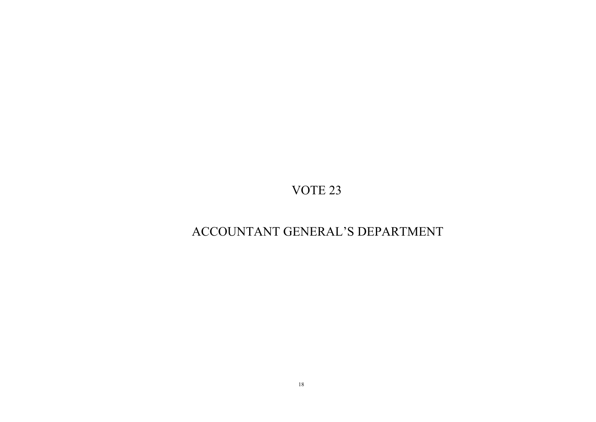## ACCOUNTANT GENERAL'S DEPARTMENT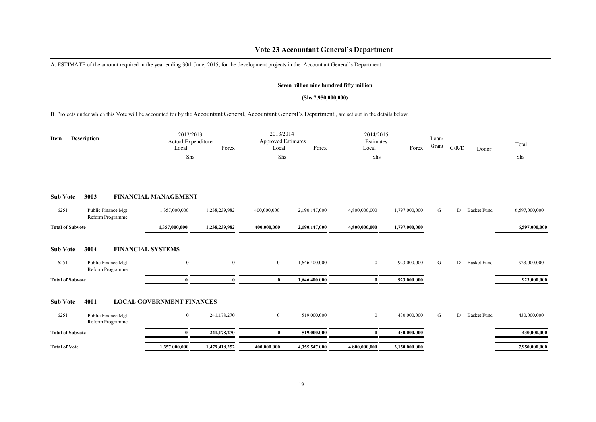### **Vote 23 Accountant General's Department**

A. ESTIMATE of the amount required in the year ending 30th June, 2015, for the development projects in the Accountant General's Department

### **Seven billion nine hundred fifty million**

### **(Shs.7,950,000,000)**

B. Projects under which this Vote will be accounted for by the Accountant General, Accountant General's Department , are set out in the details below.

| <b>Description</b><br>Item |                                                | Local                                        | 2012/2013<br>Actual Expenditure<br>Forex |                | 2013/2014<br><b>Approved Estimates</b><br>Forex<br>Local |                | 2014/2015<br>Estimates<br>Forex | Loan/<br>Grant | C/R/D | Donor              | Total         |
|----------------------------|------------------------------------------------|----------------------------------------------|------------------------------------------|----------------|----------------------------------------------------------|----------------|---------------------------------|----------------|-------|--------------------|---------------|
|                            |                                                | Shs                                          |                                          | Shs            |                                                          | Shs            |                                 |                |       |                    | Shs           |
| <b>Sub Vote</b>            | 3003                                           | <b>FINANCIAL MANAGEMENT</b>                  |                                          |                |                                                          |                |                                 |                |       |                    |               |
| 6251                       | Public Finance Mgt<br>Reform Programme         | 1,357,000,000                                | 1,238,239,982                            | 400,000,000    | 2,190,147,000                                            | 4,800,000,000  | 1,797,000,000                   | G              | D     | <b>Basket Fund</b> | 6,597,000,000 |
| <b>Total of Subvote</b>    |                                                | 1,357,000,000                                | 1,238,239,982                            | 400,000,000    | 2,190,147,000                                            | 4,800,000,000  | 1,797,000,000                   |                |       |                    | 6,597,000,000 |
| <b>Sub Vote</b><br>6251    | 3004<br>Public Finance Mgt<br>Reform Programme | <b>FINANCIAL SYSTEMS</b><br>$\mathbf{0}$     | $\overline{0}$                           | $\mathbf{0}$   | 1,646,400,000                                            | $\overline{0}$ | 923,000,000                     | G              | D     | <b>Basket Fund</b> | 923,000,000   |
| <b>Total of Subvote</b>    |                                                | $\mathbf{0}$                                 |                                          | $\bf{0}$       | 1,646,400,000                                            | $\theta$       | 923,000,000                     |                |       |                    | 923,000,000   |
| <b>Sub Vote</b><br>6251    | 4001<br>Public Finance Mgt                     | <b>LOCAL GOVERNMENT FINANCES</b><br>$\bf{0}$ | 241,178,270                              | $\overline{0}$ | 519,000,000                                              | $\bf{0}$       | 430,000,000                     | G              | D     | <b>Basket Fund</b> | 430,000,000   |
|                            | Reform Programme                               |                                              |                                          |                |                                                          |                |                                 |                |       |                    |               |
| <b>Total of Subvote</b>    |                                                | $\bf{0}$                                     | 241,178,270                              | $\bf{0}$       | 519,000,000                                              | $\mathbf{0}$   | 430,000,000                     |                |       |                    | 430,000,000   |
| <b>Total of Vote</b>       |                                                | 1,357,000,000                                | 1,479,418,252                            | 400,000,000    | 4,355,547,000                                            | 4,800,000,000  | 3,150,000,000                   |                |       |                    | 7,950,000,000 |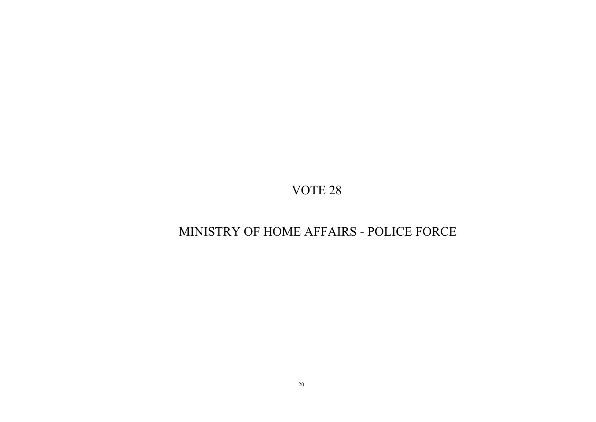## MINISTRY OF HOME AFFAIRS - POLICE FORCE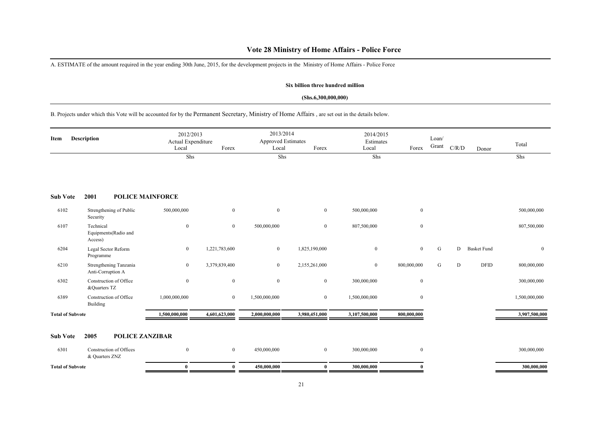### **Vote 28 Ministry of Home Affairs - Police Force**

A. ESTIMATE of the amount required in the year ending 30th June, 2015, for the development projects in the Ministry of Home Affairs - Police Force

#### **Six billion three hundred million**

#### **(Shs.6,300,000,000)**

B. Projects under which this Vote will be accounted for by the Permanent Secretary, Ministry of Home Affairs , are set out in the details below.

| Item                    | Description                                  |                  | 2012/2013<br>Actual Expenditure<br>Local<br>Forex |               | 2013/2014<br><b>Approved Estimates</b><br>Local<br>Forex |               | 2014/2015<br>Estimates<br>Forex | Loan/<br>Grant | C/R/D | Donor              | Total          |
|-------------------------|----------------------------------------------|------------------|---------------------------------------------------|---------------|----------------------------------------------------------|---------------|---------------------------------|----------------|-------|--------------------|----------------|
|                         |                                              | Shs              |                                                   | Shs           |                                                          | Shs           |                                 |                |       |                    | Shs            |
| <b>Sub Vote</b>         | 2001<br><b>POLICE MAINFORCE</b>              |                  |                                                   |               |                                                          |               |                                 |                |       |                    |                |
| 6102                    | Strengthening of Public<br>Security          | 500,000,000      | $\overline{0}$                                    | $\mathbf{0}$  | $\overline{0}$                                           | 500,000,000   | $\overline{0}$                  |                |       |                    | 500,000,000    |
| 6107                    | Technical<br>Equipments(Radio and<br>Access) | $\boldsymbol{0}$ | $\overline{0}$                                    | 500,000,000   | $\overline{0}$                                           | 807,500,000   | $\mathbf{0}$                    |                |       |                    | 807,500,000    |
| 6204                    | Legal Sector Reform<br>Programme             | $\overline{0}$   | 1,221,783,600                                     | $\mathbf{0}$  | 1,825,190,000                                            | $\mathbf{0}$  | $\overline{0}$                  | ${\bf G}$      | D     | <b>Basket Fund</b> | $\overline{0}$ |
| 6210                    | Strengthening Tanzania<br>Anti-Corruption A  | $\overline{0}$   | 3,379,839,400                                     | $\mathbf{0}$  | 2,155,261,000                                            | $\mathbf{0}$  | 800,000,000                     | G              | D     | <b>DFID</b>        | 800,000,000    |
| 6302                    | Construction of Office<br>&Quarters TZ       | $\boldsymbol{0}$ | $\mathbf{0}$                                      | $\mathbf{0}$  | $\mathbf{0}$                                             | 300,000,000   | $\bf{0}$                        |                |       |                    | 300,000,000    |
| 6389                    | Construction of Office<br>Building           | 1,000,000,000    | $\overline{0}$                                    | 1,500,000,000 | $\overline{0}$                                           | 1,500,000,000 | $\mathbf{0}$                    |                |       |                    | 1,500,000,000  |
| <b>Total of Subvote</b> |                                              | 1,500,000,000    | 4,601,623,000                                     | 2,000,000,000 | 3,980,451,000                                            | 3,107,500,000 | 800,000,000                     |                |       |                    | 3,907,500,000  |
| <b>Sub Vote</b>         | <b>POLICE ZANZIBAR</b><br>2005               |                  |                                                   |               |                                                          |               |                                 |                |       |                    |                |
| 6301                    | Construction of Offices<br>& Quarters ZNZ    | $\overline{0}$   | $\mathbf{0}$                                      | 450,000,000   | $\overline{0}$                                           | 300,000,000   | $\mathbf{0}$                    |                |       |                    | 300,000,000    |
| <b>Total of Subvote</b> |                                              | $\bf{0}$         | $\bf{0}$                                          | 450,000,000   | $\bf{0}$                                                 | 300,000,000   | $\bf{0}$                        |                |       |                    | 300,000,000    |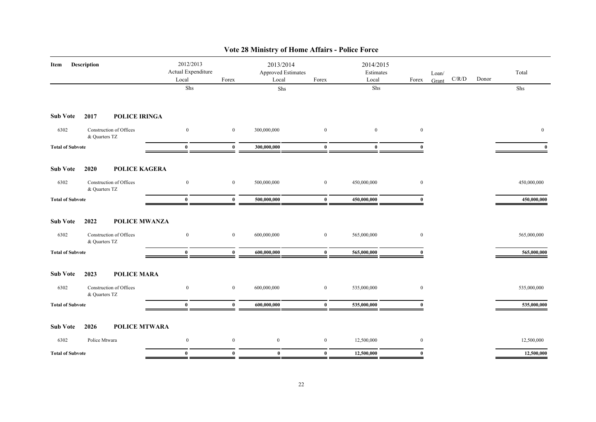| Description<br>Item     |                                          | 2012/2013<br>Actual Expenditure<br>Local | Forex            |             | <b>Approved Estimates</b><br>Forex | 2014/2015<br>Estimates<br>Local | Forex        | Loan/<br>Grant | C/R/D | Donor | Total        |
|-------------------------|------------------------------------------|------------------------------------------|------------------|-------------|------------------------------------|---------------------------------|--------------|----------------|-------|-------|--------------|
|                         |                                          | Shs                                      |                  | ${\rm Shs}$ |                                    | Shs                             |              |                |       |       | Shs          |
| <b>Sub Vote</b>         | POLICE IRINGA<br>2017                    |                                          |                  |             |                                    |                                 |              |                |       |       |              |
| 6302                    | Construction of Offices<br>& Quarters TZ | $\overline{0}$                           | $\mathbf{0}$     | 300,000,000 | $\mathbf{0}$                       | $\mathbf{0}$                    | $\mathbf{0}$ |                |       |       | $\mathbf{0}$ |
| <b>Total of Subvote</b> |                                          | $\bf{0}$                                 | $\bf{0}$         | 300,000,000 | $\bf{0}$                           | $\bf{0}$                        |              |                |       |       | $\mathbf{0}$ |
| <b>Sub Vote</b>         | POLICE KAGERA<br>2020                    |                                          |                  |             |                                    |                                 |              |                |       |       |              |
| 6302                    | Construction of Offices<br>& Quarters TZ | $\boldsymbol{0}$                         | $\boldsymbol{0}$ | 500,000,000 | $\mathbf{0}$                       | 450,000,000                     | $\mathbf{0}$ |                |       |       | 450,000,000  |
| <b>Total of Subvote</b> |                                          | $\bf{0}$                                 | $\bf{0}$         | 500,000,000 | $\bf{0}$                           | 450,000,000                     | $\mathbf{0}$ |                |       |       | 450,000,000  |
| <b>Sub Vote</b>         | 2022<br>POLICE MWANZA                    |                                          |                  |             |                                    |                                 |              |                |       |       |              |
| 6302                    | Construction of Offices<br>& Quarters TZ | $\bf{0}$                                 | $\overline{0}$   | 600,000,000 | $\boldsymbol{0}$                   | 565,000,000                     | $\mathbf{0}$ |                |       |       | 565,000,000  |
| <b>Total of Subvote</b> |                                          | $\bf{0}$                                 | $\bf{0}$         | 600,000,000 | $\bf{0}$                           | 565,000,000                     | $\Omega$     |                |       |       | 565,000,000  |
| <b>Sub Vote</b>         | <b>POLICE MARA</b><br>2023               |                                          |                  |             |                                    |                                 |              |                |       |       |              |
| 6302                    | Construction of Offices<br>& Quarters TZ | $\overline{0}$                           | $\bf{0}$         | 600,000,000 | $\mathbf{0}$                       | 535,000,000                     | $\bf{0}$     |                |       |       | 535,000,000  |
| <b>Total of Subvote</b> |                                          | $\bf{0}$                                 | $\bf{0}$         | 600,000,000 | $\bf{0}$                           | 535,000,000                     |              |                |       |       | 535,000,000  |
| <b>Sub Vote</b>         | <b>POLICE MTWARA</b><br>2026             |                                          |                  |             |                                    |                                 |              |                |       |       |              |
| 6302                    | Police Mtwara                            | $\bf{0}$                                 | $\boldsymbol{0}$ | $\bf{0}$    | $\mathbf{0}$                       | 12,500,000                      | $\mathbf{0}$ |                |       |       | 12,500,000   |
| <b>Total of Subvote</b> |                                          | $\bf{0}$                                 | $\bf{0}$         | $\bf{0}$    | $\bf{0}$                           | 12,500,000                      | $\mathbf{0}$ |                |       |       | 12,500,000   |

## **Vote 28 Ministry of Home Affairs - Police Force**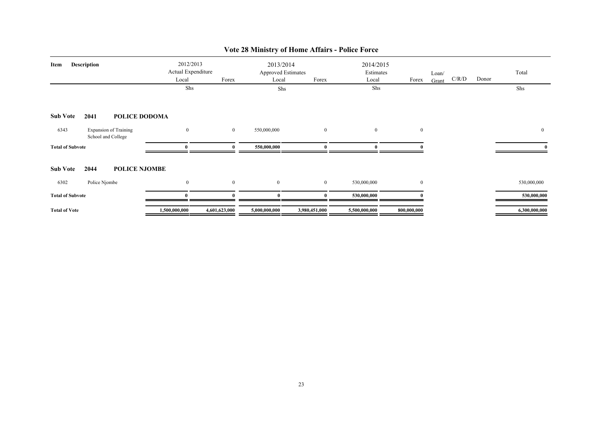| <b>Description</b><br>Item |                                                    | Local            | 2012/2013<br>Actual Expenditure<br>Forex<br>Shs |                | 2013/2014<br><b>Approved Estimates</b><br>Forex<br>Local<br>Shs |                | 2014/2015<br>Estimates<br>Forex<br>Local<br>Shs | Loan/<br>Grant | C/R/D | Donor | Total<br>Shs  |
|----------------------------|----------------------------------------------------|------------------|-------------------------------------------------|----------------|-----------------------------------------------------------------|----------------|-------------------------------------------------|----------------|-------|-------|---------------|
| <b>Sub Vote</b>            | POLICE DODOMA<br>2041                              |                  |                                                 |                |                                                                 |                |                                                 |                |       |       |               |
| 6343                       | <b>Expansion of Training</b><br>School and College | $\boldsymbol{0}$ | $\bf{0}$                                        | 550,000,000    | $\overline{0}$                                                  | $\overline{0}$ | $\bf{0}$                                        |                |       |       | $\mathbf{0}$  |
| <b>Total of Subvote</b>    |                                                    |                  | $\Omega$                                        | 550,000,000    | $\Omega$                                                        |                |                                                 |                |       |       |               |
| <b>Sub Vote</b>            | <b>POLICE NJOMBE</b><br>2044                       |                  |                                                 |                |                                                                 |                |                                                 |                |       |       |               |
| 6302                       | Police Njombe                                      | $\mathbf{0}$     | $\mathbf{0}$                                    | $\overline{0}$ | $\bf{0}$                                                        | 530,000,000    | $\boldsymbol{0}$                                |                |       |       | 530,000,000   |
| <b>Total of Subvote</b>    |                                                    | $\mathbf{0}$     | $\mathbf{v}$                                    | $\mathbf{0}$   | $\mathbf{0}$                                                    | 530,000,000    |                                                 |                |       |       | 530,000,000   |
| <b>Total of Vote</b>       |                                                    | 1,500,000,000    | 4,601,623,000                                   | 5,000,000,000  | 3,980,451,000                                                   | 5,500,000,000  | 800,000,000                                     |                |       |       | 6,300,000,000 |

## **Vote 28 Ministry of Home Affairs - Police Force**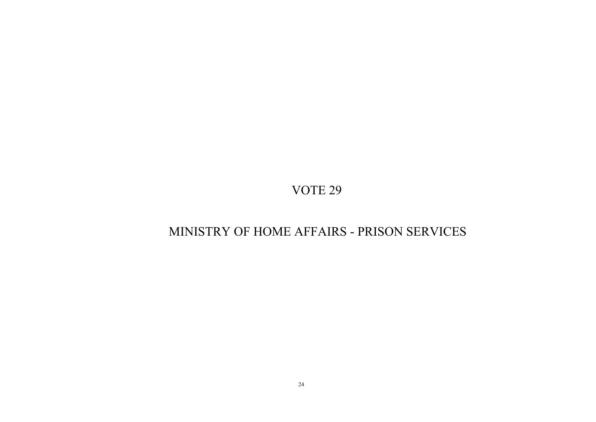## MINISTRY OF HOME AFFAIRS - PRISON SERVICES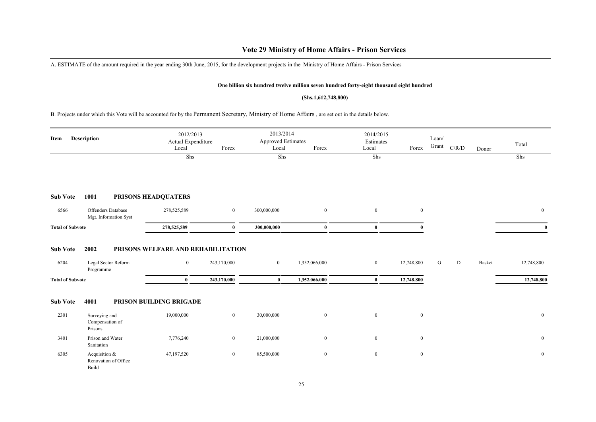### **Vote 29 Ministry of Home Affairs - Prison Services**

A. ESTIMATE of the amount required in the year ending 30th June, 2015, for the development projects in the Ministry of Home Affairs - Prison Services

#### **One billion six hundred twelve million seven hundred forty-eight thousand eight hundred**

#### **(Shs.1,612,748,800)**

B. Projects under which this Vote will be accounted for by the Permanent Secretary, Ministry of Home Affairs , are set out in the details below.

| Item                                               | Description                                    | Local                                                      | 2012/2013<br>Actual Expenditure<br>Forex<br>Shs |                            | 2013/2014<br>Approved Estimates<br>Forex<br>Local<br>Shs |                      | Forex                    | Loan/<br>Grant | C/R/D | Donor  | Total<br>Shs             |
|----------------------------------------------------|------------------------------------------------|------------------------------------------------------------|-------------------------------------------------|----------------------------|----------------------------------------------------------|----------------------|--------------------------|----------------|-------|--------|--------------------------|
|                                                    |                                                |                                                            |                                                 |                            |                                                          | Shs                  |                          |                |       |        |                          |
| <b>Sub Vote</b>                                    | 1001                                           | PRISONS HEADQUATERS                                        |                                                 |                            |                                                          |                      |                          |                |       |        |                          |
| 6566                                               | Offenders Database<br>Mgt. Information Syst    | 278,525,589                                                | $\mathbf{0}$                                    | 300,000,000                | $\mathbf{0}$                                             | $\mathbf{0}$         | $\overline{0}$           |                |       |        | $\mathbf{0}$             |
| <b>Total of Subvote</b>                            |                                                | 278,525,589                                                | $\mathbf{0}$                                    | 300,000,000                | $\mathbf{0}$                                             | $\mathbf{0}$         |                          |                |       |        |                          |
| <b>Sub Vote</b><br>6204<br><b>Total of Subvote</b> | 2002<br>Legal Sector Reform<br>Programme       | PRISONS WELFARE AND REHABILITATION<br>$\bf{0}$<br>$\bf{0}$ | 243,170,000<br>243,170,000                      | $\overline{0}$<br>$\bf{0}$ | 1,352,066,000<br>1,352,066,000                           | $\bf{0}$<br>$\bf{0}$ | 12,748,800<br>12,748,800 | G              | D     | Basket | 12,748,800<br>12,748,800 |
| <b>Sub Vote</b>                                    | 4001                                           | PRISON BUILDING BRIGADE                                    |                                                 |                            |                                                          |                      |                          |                |       |        |                          |
| 2301                                               | Surveying and<br>Compensation of<br>Prisons    | 19,000,000                                                 | $\boldsymbol{0}$                                | 30,000,000                 | $\boldsymbol{0}$                                         | $\bf{0}$             | $\mathbf{0}$             |                |       |        | $\mathbf{0}$             |
| 3401                                               | Prison and Water<br>Sanitation                 | 7,776,240                                                  | $\overline{0}$                                  | 21,000,000                 | $\mathbf{0}$                                             | $\overline{0}$       | $\mathbf{0}$             |                |       |        | $\mathbf{0}$             |
| 6305                                               | Acquisition &<br>Renovation of Office<br>Build | 47,197,520                                                 | $\mathbf{0}$                                    | 85,500,000                 | $\mathbf{0}$                                             | $\bf{0}$             | $\mathbf{0}$             |                |       |        | $\mathbf{0}$             |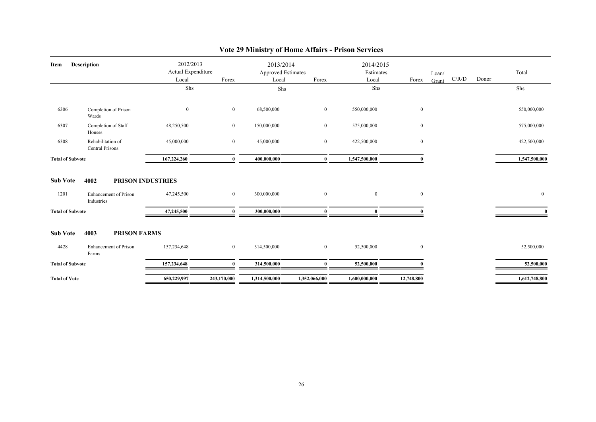| Item                    | <b>Description</b>                                                      | 2012/2013<br>Actual Expenditure |                  | 2013/2014<br>Approved Estimates |                | 2014/2015<br>Estimates |              | Loan/ |       |       | Total          |
|-------------------------|-------------------------------------------------------------------------|---------------------------------|------------------|---------------------------------|----------------|------------------------|--------------|-------|-------|-------|----------------|
|                         |                                                                         | Local                           | Forex            | Local                           | Forex          | Local                  | Forex        | Grant | C/R/D | Donor |                |
|                         |                                                                         | Shs                             |                  | Shs                             |                | Shs                    |              |       |       |       | Shs            |
| 6306                    | Completion of Prison<br>Wards                                           | $\mathbf{0}$                    | $\bf{0}$         | 68,500,000                      | $\mathbf{0}$   | 550,000,000            | $\mathbf{0}$ |       |       |       | 550,000,000    |
| 6307                    | Completion of Staff<br>Houses                                           | 48,250,500                      | $\bf{0}$         | 150,000,000                     | $\overline{0}$ | 575,000,000            | $\mathbf{0}$ |       |       |       | 575,000,000    |
| 6308                    | Rehabilitation of<br><b>Central Prisons</b>                             | 45,000,000                      | $\overline{0}$   | 45,000,000                      | $\overline{0}$ | 422,500,000            | $\mathbf{0}$ |       |       |       | 422,500,000    |
| <b>Total of Subvote</b> |                                                                         | 167,224,260                     | $\bf{0}$         | 400,000,000                     | $\bf{0}$       | 1,547,500,000          |              |       |       |       | 1,547,500,000  |
| <b>Sub Vote</b><br>1201 | 4002<br><b>PRISON INDUSTRIES</b><br>Enhancement of Prison<br>Industries | 47,245,500                      | $\overline{0}$   | 300,000,000                     | $\mathbf{0}$   | $\overline{0}$         | $\mathbf{0}$ |       |       |       | $\overline{0}$ |
| <b>Total of Subvote</b> |                                                                         | 47,245,500                      | $\bf{0}$         | 300,000,000                     | $\bf{0}$       | $\bf{0}$               |              |       |       |       | $\mathbf{0}$   |
| <b>Sub Vote</b>         | 4003<br><b>PRISON FARMS</b>                                             |                                 |                  |                                 |                |                        |              |       |       |       |                |
| 4428                    | Enhancement of Prison<br>Farms                                          | 157,234,648                     | $\boldsymbol{0}$ | 314,500,000                     | $\overline{0}$ | 52,500,000             | $\mathbf{0}$ |       |       |       | 52,500,000     |
| <b>Total of Subvote</b> |                                                                         | 157,234,648                     | $\Omega$         | 314,500,000                     | $\Omega$       | 52,500,000             |              |       |       |       | 52,500,000     |
| <b>Total of Vote</b>    |                                                                         | 650,229,997                     | 243,170,000      | 1,314,500,000                   | 1,352,066,000  | 1,600,000,000          | 12,748,800   |       |       |       | 1,612,748,800  |

## **Vote 29 Ministry of Home Affairs - Prison Services**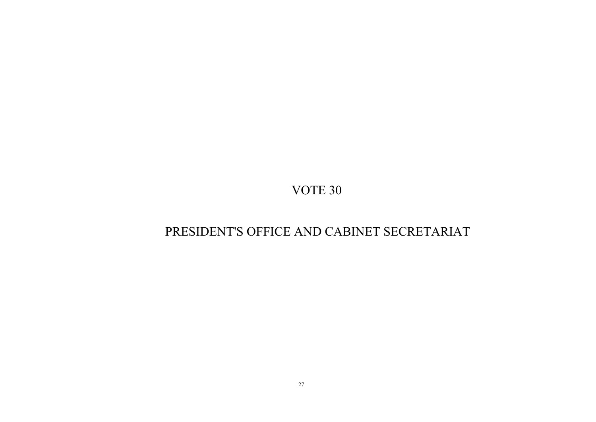## PRESIDENT'S OFFICE AND CABINET SECRETARIAT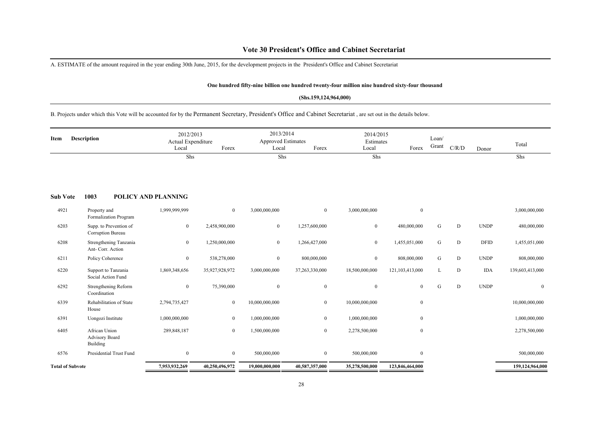### **Vote 30 President's Office and Cabinet Secretariat**

A. ESTIMATE of the amount required in the year ending 30th June, 2015, for the development projects in the President's Office and Cabinet Secretariat

#### **One hundred fifty-nine billion one hundred twenty-four million nine hundred sixty-four thousand**

#### **(Shs.159,124,964,000)**

B. Projects under which this Vote will be accounted for by the Permanent Secretary, President's Office and Cabinet Secretariat , are set out in the details below.

| Item                    | <b>Description</b>                          | 2012/2013<br>Actual Expenditure<br>Local | Forex          | 2013/2014<br><b>Approved Estimates</b><br>Local | Forex          | 2014/2015<br>Estimates<br>Local | Forex            | Loan/<br>Grant | C/R/D     | Donor       | Total           |
|-------------------------|---------------------------------------------|------------------------------------------|----------------|-------------------------------------------------|----------------|---------------------------------|------------------|----------------|-----------|-------------|-----------------|
|                         |                                             | Shs                                      |                | Shs                                             |                | Shs                             |                  |                |           |             | Shs             |
| <b>Sub Vote</b>         | 1003                                        | POLICY AND PLANNING                      |                |                                                 |                |                                 |                  |                |           |             |                 |
| 4921                    | Property and<br>Formalization Program       | 1,999,999,999                            | $\mathbf{0}$   | 3,000,000,000                                   | $\overline{0}$ | 3,000,000,000                   | $\boldsymbol{0}$ |                |           |             | 3,000,000,000   |
| 6203                    | Supp. to Prevention of<br>Corruption Bureau | $\mathbf{0}$                             | 2,458,900,000  | $\mathbf{0}$                                    | 1,257,600,000  | $\overline{0}$                  | 480,000,000      | G              | D         | <b>UNDP</b> | 480,000,000     |
| 6208                    | Strengthening Tanzania<br>Ant- Corr. Action | $\mathbf{0}$                             | 1,250,000,000  | $\overline{0}$                                  | 1,266,427,000  | $\overline{0}$                  | 1,455,051,000    | G              | ${\rm D}$ | <b>DFID</b> | 1,455,051,000   |
| 6211                    | Policy Coherence                            | $\bf{0}$                                 | 538,278,000    | $\bf{0}$                                        | 800,000,000    | $\bf{0}$                        | 808,000,000      | G              | ${\rm D}$ | <b>UNDP</b> | 808,000,000     |
| 6220                    | Support to Tanzania<br>Social Action Fund   | 1,869,348,656                            | 35,927,928,972 | 3,000,000,000                                   | 37,263,330,000 | 18,500,000,000                  | 121,103,413,000  | L              | D         | <b>IDA</b>  | 139,603,413,000 |
| 6292                    | Strengthening Reform<br>Coordination        | $\mathbf{0}$                             | 75,390,000     | $\bf{0}$                                        | $\bf{0}$       | $\mathbf{0}$                    | $\mathbf{0}$     | G              | D         | <b>UNDP</b> | $\mathbf{0}$    |
| 6339                    | Rehabilitation of State<br>House            | 2,794,735,427                            | $\mathbf{0}$   | 10,000,000,000                                  | $\mathbf{0}$   | 10,000,000,000                  | $\boldsymbol{0}$ |                |           |             | 10,000,000,000  |
| 6391                    | Uongozi Institute                           | 1,000,000,000                            | $\mathbf{0}$   | 1,000,000,000                                   | $\mathbf{0}$   | 1,000,000,000                   | $\boldsymbol{0}$ |                |           |             | 1,000,000,000   |
| 6405                    | African Union<br>Advisory Board<br>Building | 289,848,187                              | $\mathbf{0}$   | 1,500,000,000                                   | $\mathbf{0}$   | 2,278,500,000                   | $\boldsymbol{0}$ |                |           |             | 2,278,500,000   |
| 6576                    | <b>Presidential Trust Fund</b>              | $\overline{0}$                           | $\mathbf{0}$   | 500,000,000                                     | $\overline{0}$ | 500,000,000                     | $\mathbf{0}$     |                |           |             | 500,000,000     |
| <b>Total of Subvote</b> |                                             | 7,953,932,269                            | 40,250,496,972 | 19,000,000,000                                  | 40,587,357,000 | 35,278,500,000                  | 123,846,464,000  |                |           |             | 159,124,964,000 |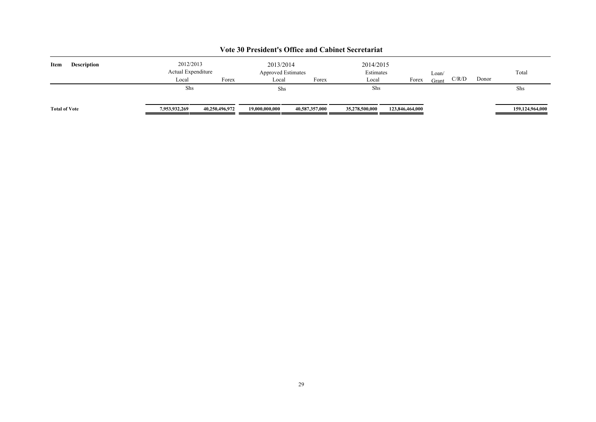| Item                 | <b>Description</b> | 2012/2013<br>Actual Expenditure |                |                | 2013/2014<br><b>Approved Estimates</b> |                | 2014/2015<br>Estimates | Loan/ |       |       | Total           |
|----------------------|--------------------|---------------------------------|----------------|----------------|----------------------------------------|----------------|------------------------|-------|-------|-------|-----------------|
|                      |                    | Local                           | Forex          | Local          | Forex                                  | Local          | Forex                  | Grant | C/R/D | Donor |                 |
|                      |                    | Shs                             |                | Shs            |                                        | Shs            |                        |       |       |       | Shs             |
| <b>Total of Vote</b> |                    | 7,953,932,269                   | 40,250,496,972 | 19,000,000,000 | 40,587,357,000                         | 35,278,500,000 | 123,846,464,000        |       |       |       | 159,124,964,000 |

### **Vote 30 President's Office and Cabinet Secretariat**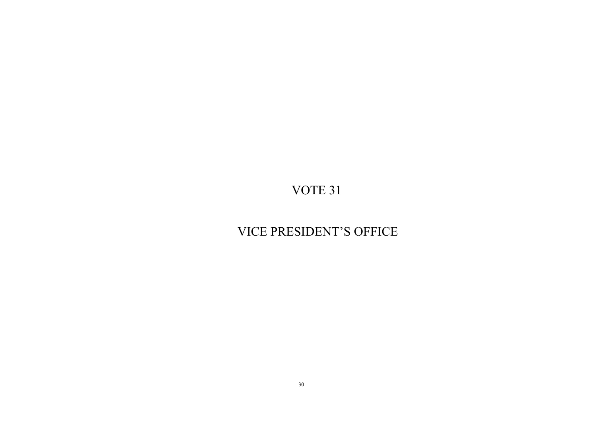## VICE PRESIDENT'S OFFICE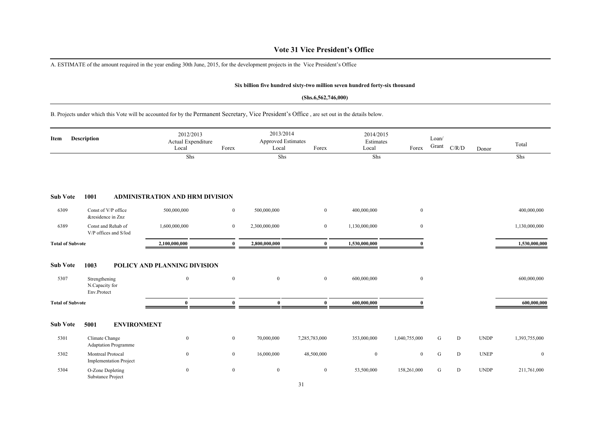### **Vote 31 Vice President's Office**

A. ESTIMATE of the amount required in the year ending 30th June, 2015, for the development projects in the Vice President's Office

#### **Six billion five hundred sixty-two million seven hundred forty-six thousand**

#### **(Shs.6,562,746,000)**

B. Projects under which this Vote will be accounted for by the Permanent Secretary, Vice President's Office , are set out in the details below.

| Item                    | <b>Description</b>                                     | 2012/2013<br>Actual Expenditure<br>Local | Forex            | 2013/2014<br>Approved Estimates<br>Local | Forex         | 2014/2015<br>Estimates<br>Local | Forex         | Loan/<br>Grant | C/R/D | Donor       | Total          |
|-------------------------|--------------------------------------------------------|------------------------------------------|------------------|------------------------------------------|---------------|---------------------------------|---------------|----------------|-------|-------------|----------------|
|                         |                                                        | Shs                                      |                  | Shs                                      |               | Shs                             |               |                |       |             | Shs            |
| <b>Sub Vote</b>         | 1001                                                   | <b>ADMINISTRATION AND HRM DIVISION</b>   |                  |                                          |               |                                 |               |                |       |             |                |
| 6309                    | Const of V/P office<br>&residence in Znz               | 500,000,000                              | $\boldsymbol{0}$ | 500,000,000                              | $\mathbf{0}$  | 400,000,000                     | $\bf{0}$      |                |       |             | 400,000,000    |
| 6389                    | Const and Rehab of<br>V/P offices and S/lod            | 1,600,000,000                            | $\overline{0}$   | 2,300,000,000                            | $\bf{0}$      | 1,130,000,000                   | $\bf{0}$      |                |       |             | 1,130,000,000  |
| <b>Total of Subvote</b> |                                                        | 2,100,000,000                            | $\mathbf{0}$     | 2,800,000,000                            | $\bf{0}$      | 1,530,000,000                   |               |                |       |             | 1,530,000,000  |
| <b>Sub Vote</b><br>5307 | 1003<br>Strengthening<br>N.Capacity for<br>Env.Protect | POLICY AND PLANNING DIVISION<br>$\bf{0}$ | $\mathbf{0}$     | $\mathbf{0}$                             | $\mathbf{0}$  | 600,000,000                     | $\mathbf{0}$  |                |       |             | 600,000,000    |
| <b>Total of Subvote</b> |                                                        | $\bf{0}$                                 | $\mathbf{0}$     | $\bf{0}$                                 | $\bf{0}$      | 600,000,000                     |               |                |       |             | 600,000,000    |
| <b>Sub Vote</b>         | 5001<br><b>ENVIRONMENT</b>                             |                                          |                  |                                          |               |                                 |               |                |       |             |                |
| 5301                    | Climate Change<br><b>Adaptation Programme</b>          | $\bf{0}$                                 | $\overline{0}$   | 70,000,000                               | 7,285,783,000 | 353,000,000                     | 1,040,755,000 | G              | D     | <b>UNDP</b> | 1,393,755,000  |
| 5302                    | Montreal Protocal<br><b>Implementation Project</b>     | $\boldsymbol{0}$                         | $\overline{0}$   | 16,000,000                               | 48,500,000    | $\mathbf{0}$                    | $\mathbf{0}$  | G              | D     | <b>UNEP</b> | $\overline{0}$ |
| 5304                    | O-Zone Depleting<br>Substance Project                  | $\boldsymbol{0}$                         | $\mathbf{0}$     | $\mathbf{0}$                             | $\bf{0}$      | 53,500,000                      | 158,261,000   | G              | D     | <b>UNDP</b> | 211,761,000    |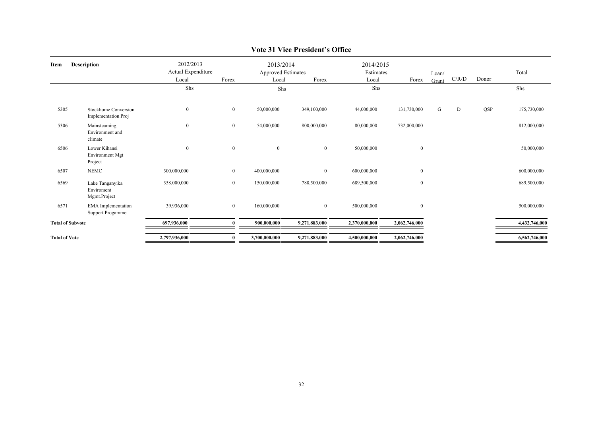| Item                    | <b>Description</b>                                   | 2012/2013<br>Actual Expenditure<br>Local | Forex            | 2013/2014<br><b>Approved Estimates</b><br>Local | Forex          | 2014/2015<br>Estimates<br>Local | Forex            | Loan/<br>Grant | C/R/D | Donor | Total         |
|-------------------------|------------------------------------------------------|------------------------------------------|------------------|-------------------------------------------------|----------------|---------------------------------|------------------|----------------|-------|-------|---------------|
|                         |                                                      | Shs                                      |                  | Shs                                             |                | Shs                             |                  |                |       |       | Shs           |
|                         |                                                      |                                          |                  |                                                 |                |                                 |                  |                |       |       |               |
| 5305                    | Stockhome Conversion<br>Implementation Proj          | $\bf{0}$                                 | $\bf{0}$         | 50,000,000                                      | 349,100,000    | 44,000,000                      | 131,730,000      | G              | D     | QSP   | 175,730,000   |
| 5306                    | Mainsteaming<br>Environment and<br>climate           | $\boldsymbol{0}$                         | $\bf{0}$         | 54,000,000                                      | 800,000,000    | 80,000,000                      | 732,000,000      |                |       |       | 812,000,000   |
| 6506                    | Lower Kihansi<br>Environment Mgt<br>Project          | $\bf{0}$                                 | $\mathbf{0}$     | $\mathbf{0}$                                    | $\bf{0}$       | 50,000,000                      | $\boldsymbol{0}$ |                |       |       | 50,000,000    |
| 6507                    | <b>NEMC</b>                                          | 300,000,000                              | $\bf{0}$         | 400,000,000                                     | $\mathbf{0}$   | 600,000,000                     | $\boldsymbol{0}$ |                |       |       | 600,000,000   |
| 6569                    | Lake Tanganyika<br>Enviroment<br>Mgmt.Project        | 358,000,000                              | $\boldsymbol{0}$ | 150,000,000                                     | 788,500,000    | 689,500,000                     | $\boldsymbol{0}$ |                |       |       | 689,500,000   |
| 6571                    | <b>EMA</b> Implementation<br><b>Support Progamme</b> | 39,936,000                               | $\mathbf{0}$     | 160,000,000                                     | $\overline{0}$ | 500,000,000                     | $\boldsymbol{0}$ |                |       |       | 500,000,000   |
| <b>Total of Subvote</b> |                                                      | 697,936,000                              |                  | 900,000,000                                     | 9,271,883,000  | 2,370,000,000                   | 2,062,746,000    |                |       |       | 4,432,746,000 |
| <b>Total of Vote</b>    |                                                      | 2,797,936,000                            |                  | 3,700,000,000                                   | 9,271,883,000  | 4,500,000,000                   | 2,062,746,000    |                |       |       | 6,562,746,000 |
|                         |                                                      |                                          |                  |                                                 |                |                                 |                  |                |       |       |               |

### **Vote 31 Vice President's Office**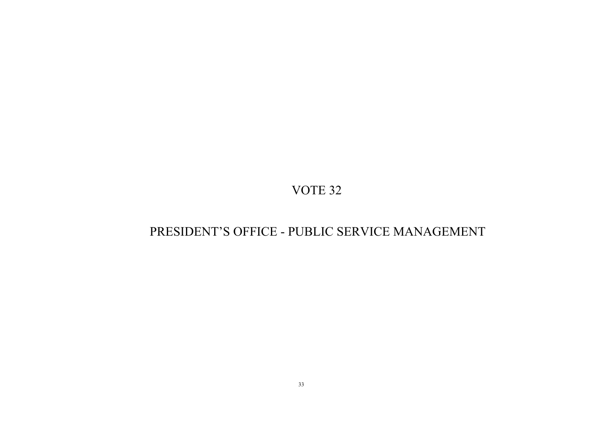## PRESIDENT'S OFFICE - PUBLIC SERVICE MANAGEMENT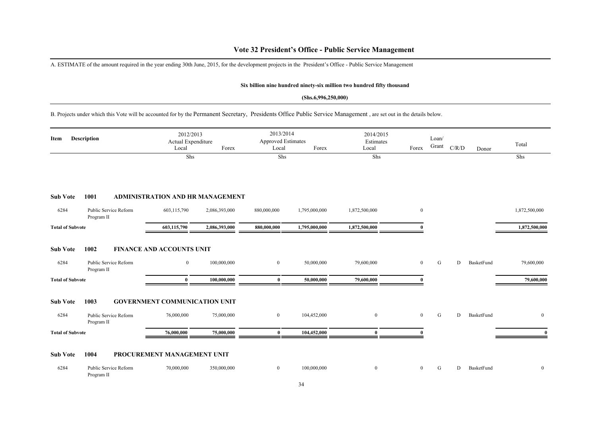### **Vote 32 President's Office - Public Service Management**

A. ESTIMATE of the amount required in the year ending 30th June, 2015, for the development projects in the President's Office - Public Service Management

#### **Six billion nine hundred ninety-six million two hundred fifty thousand**

#### **(Shs.6,996,250,000)**

B. Projects under which this Vote will be accounted for by the Permanent Secretary, Presidents Office Public Service Management , are set out in the details below.

| <b>Description</b><br>Item |                                     | Local                                | 2012/2013<br>Actual Expenditure<br>Forex |                | 2013/2014<br><b>Approved Estimates</b><br>Local<br>Forex |                | 2014/2015<br>Estimates<br>Forex | Loan/<br>Grant | C/R/D | Donor             | Total         |
|----------------------------|-------------------------------------|--------------------------------------|------------------------------------------|----------------|----------------------------------------------------------|----------------|---------------------------------|----------------|-------|-------------------|---------------|
|                            |                                     | Shs                                  |                                          | Shs            |                                                          | Shs            |                                 |                |       |                   | Shs           |
| <b>Sub Vote</b>            | 1001                                | ADMINISTRATION AND HR MANAGEMENT     |                                          |                |                                                          |                |                                 |                |       |                   |               |
| 6284                       | Public Service Reform<br>Program II | 603,115,790                          | 2,086,393,000                            | 880,000,000    | 1,795,000,000                                            | 1,872,500,000  | $\mathbf{0}$                    |                |       |                   | 1,872,500,000 |
| <b>Total of Subvote</b>    |                                     | 603,115,790                          | 2,086,393,000                            | 880,000,000    | 1,795,000,000                                            | 1,872,500,000  | 0                               |                |       |                   | 1,872,500,000 |
| <b>Sub Vote</b>            | 1002                                | <b>FINANCE AND ACCOUNTS UNIT</b>     |                                          |                |                                                          |                |                                 |                |       |                   |               |
| 6284                       | Public Service Reform<br>Program II | $\bf{0}$                             | 100,000,000                              | $\overline{0}$ | 50,000,000                                               | 79,600,000     | $\mathbf{0}$                    | ${\bf G}$      | D     | BasketFund        | 79,600,000    |
| <b>Total of Subvote</b>    |                                     | $\bf{0}$                             | 100,000,000                              | $\bf{0}$       | 50,000,000                                               | 79,600,000     | $\Omega$                        |                |       |                   | 79,600,000    |
| <b>Sub Vote</b>            | 1003                                | <b>GOVERNMENT COMMUNICATION UNIT</b> |                                          |                |                                                          |                |                                 |                |       |                   |               |
| 6284                       | Public Service Reform<br>Program II | 76,000,000                           | 75,000,000                               | $\overline{0}$ | 104,452,000                                              | $\bf{0}$       | $\overline{0}$                  | G              | D     | BasketFund        | $\bf{0}$      |
| <b>Total of Subvote</b>    |                                     | 76,000,000                           | 75,000,000                               | $\bf{0}$       | 104,452,000                                              | $\bf{0}$       | 0                               |                |       |                   | $\mathbf{0}$  |
| <b>Sub Vote</b>            | 1004                                | PROCUREMENT MANAGEMENT UNIT          |                                          |                |                                                          |                |                                 |                |       |                   |               |
| 6284                       | Public Service Reform<br>Program II | 70,000,000                           | 350,000,000                              | $\mathbf{0}$   | 100,000,000                                              | $\overline{0}$ | $\mathbf{0}$                    | G              | D     | <b>BasketFund</b> | $\mathbf{0}$  |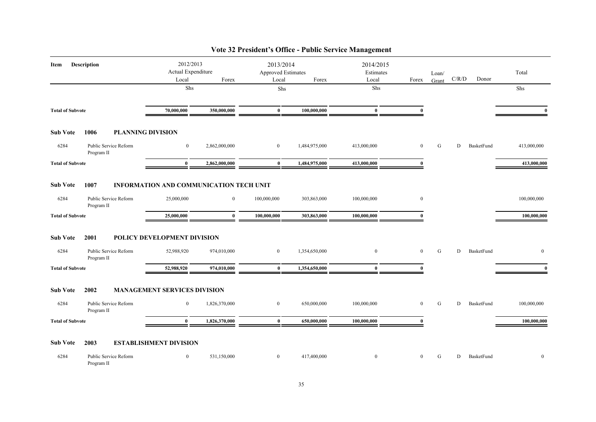| <b>Description</b><br>Item |                                     | 2012/2013<br>Actual Expenditure<br>Local<br>Forex |                  | 2013/2014<br><b>Approved Estimates</b><br>Local<br>Forex |               | 2014/2015<br>Estimates<br>Local<br>Forex |              | Loan/<br>Grant | C/R/D | Donor      | Total        |
|----------------------------|-------------------------------------|---------------------------------------------------|------------------|----------------------------------------------------------|---------------|------------------------------------------|--------------|----------------|-------|------------|--------------|
|                            |                                     | Shs                                               |                  | Shs                                                      |               | Shs                                      |              |                |       |            | Shs          |
| <b>Total of Subvote</b>    |                                     | 70,000,000                                        | 350,000,000      | $\bf{0}$                                                 | 100,000,000   | $\bf{0}$                                 | $\mathbf{0}$ |                |       |            | $\mathbf{0}$ |
| <b>Sub Vote</b>            | 1006                                | <b>PLANNING DIVISION</b>                          |                  |                                                          |               |                                          |              |                |       |            |              |
| 6284                       | Public Service Reform<br>Program II | $\bf{0}$                                          | 2,862,000,000    | $\overline{0}$                                           | 1,484,975,000 | 413,000,000                              | $\bf{0}$     | G              | D     | BasketFund | 413,000,000  |
| <b>Total of Subvote</b>    |                                     | $\bf{0}$                                          | 2,862,000,000    | $\bf{0}$                                                 | 1,484,975,000 | 413,000,000                              | $\mathbf{0}$ |                |       |            | 413,000,000  |
| <b>Sub Vote</b>            | 1007                                | <b>INFORMATION AND COMMUNICATION TECH UNIT</b>    |                  |                                                          |               |                                          |              |                |       |            |              |
| 6284                       | Public Service Reform<br>Program II | 25,000,000                                        | $\boldsymbol{0}$ | 100,000,000                                              | 303,863,000   | 100,000,000                              | $\bf{0}$     |                |       |            | 100,000,000  |
| <b>Total of Subvote</b>    |                                     | 25,000,000                                        | $\bf{0}$         | 100,000,000                                              | 303,863,000   | 100,000,000                              | $\mathbf{u}$ |                |       |            | 100,000,000  |
| <b>Sub Vote</b>            | 2001                                | POLICY DEVELOPMENT DIVISION                       |                  |                                                          |               |                                          |              |                |       |            |              |
| 6284                       | Public Service Reform<br>Program II | 52,988,920                                        | 974,010,000      | $\mathbf{0}$                                             | 1,354,650,000 | $\overline{0}$                           | $\mathbf{0}$ | G              | D     | BasketFund | $\mathbf{0}$ |
| <b>Total of Subvote</b>    |                                     | 52,988,920                                        | 974,010,000      | $\bf{0}$                                                 | 1,354,650,000 | $\mathbf{0}$                             | $\Omega$     |                |       |            | $\mathbf{0}$ |
| <b>Sub Vote</b>            | 2002                                | <b>MANAGEMENT SERVICES DIVISION</b>               |                  |                                                          |               |                                          |              |                |       |            |              |
| 6284                       | Public Service Reform<br>Program II | $\boldsymbol{0}$                                  | 1,826,370,000    | $\overline{0}$                                           | 650,000,000   | 100,000,000                              | $\mathbf{0}$ | G              | D     | BasketFund | 100,000,000  |
| <b>Total of Subvote</b>    |                                     | $\mathbf{0}$                                      | 1,826,370,000    | $\bf{0}$                                                 | 650,000,000   | 100,000,000                              | $\Omega$     |                |       |            | 100,000,000  |
| <b>Sub Vote</b>            | 2003                                | <b>ESTABLISHMENT DIVISION</b>                     |                  |                                                          |               |                                          |              |                |       |            |              |
| 6284                       | Public Service Reform<br>Program II | $\mathbf{0}$                                      | 531,150,000      | $\mathbf{0}$                                             | 417,400,000   | $\boldsymbol{0}$                         | $\mathbf{0}$ | G              | D     | BasketFund | $\mathbf{0}$ |

## **Vote 32 President's Office - Public Service Management**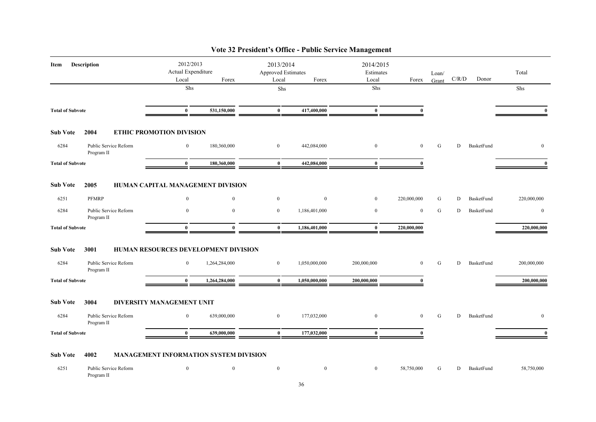| <b>Description</b><br>Item                                        |                                              | 2012/2013<br>Actual Expenditure<br>Local<br>Forex |                | 2013/2014<br>Approved Estimates<br>Forex<br>Local |                | Local            | 2014/2015<br>Estimates<br>Forex |   | C/R/D | Donor      | Total          |
|-------------------------------------------------------------------|----------------------------------------------|---------------------------------------------------|----------------|---------------------------------------------------|----------------|------------------|---------------------------------|---|-------|------------|----------------|
|                                                                   |                                              | Shs                                               |                | Shs                                               |                | Shs              |                                 |   |       |            | Shs            |
| <b>Total of Subvote</b>                                           |                                              | $\bf{0}$                                          | 531,150,000    | $\bf{0}$                                          | 417,400,000    | $\bf{0}$         | $\mathbf{0}$                    |   |       |            | $\mathbf{0}$   |
| <b>Sub Vote</b>                                                   | 2004                                         | ETHIC PROMOTION DIVISION                          |                |                                                   |                |                  |                                 |   |       |            |                |
| 6284                                                              | Public Service Reform<br>Program II          | $\overline{0}$                                    | 180,360,000    | $\overline{0}$                                    | 442,084,000    | $\boldsymbol{0}$ | $\overline{0}$                  | G | D     | BasketFund | $\bf{0}$       |
| <b>Total of Subvote</b>                                           |                                              | $\bf{0}$                                          | 180,360,000    | $\bf{0}$                                          | 442,084,000    | $\bf{0}$         | $\mathbf{0}$                    |   |       |            | $\mathbf{0}$   |
| <b>Sub Vote</b>                                                   | 2005                                         | HUMAN CAPITAL MANAGEMENT DIVISION                 |                |                                                   |                |                  |                                 |   |       |            |                |
| 6251                                                              | <b>PFMRP</b>                                 | $\mathbf{0}$                                      | $\overline{0}$ | $\overline{0}$                                    | $\overline{0}$ | $\mathbf{0}$     | 220,000,000                     | G | D     | BasketFund | 220,000,000    |
| 6284                                                              | Public Service Reform<br>Program II          | $\mathbf{0}$                                      | $\mathbf{0}$   | $\overline{0}$                                    | 1,186,401,000  | $\boldsymbol{0}$ | $\mathbf{0}$                    | G | D     | BasketFund | $\mathbf{0}$   |
| <b>Total of Subvote</b>                                           |                                              | $\bf{0}$                                          | $\bf{0}$       | $\bf{0}$                                          | 1,186,401,000  | $\bf{0}$         | 220,000,000                     |   |       |            | 220,000,000    |
| <b>Sub Vote</b>                                                   | 3001<br>HUMAN RESOURCES DEVELOPMENT DIVISION |                                                   |                |                                                   |                |                  |                                 |   |       |            |                |
| 6284                                                              | Public Service Reform<br>Program II          | $\overline{0}$                                    | 1,264,284,000  | $\overline{0}$                                    | 1,050,000,000  | 200,000,000      | $\mathbf{0}$                    | G | D     | BasketFund | 200,000,000    |
| <b>Total of Subvote</b>                                           |                                              | $\mathbf{0}$                                      | 1,264,284,000  | $\mathbf{0}$                                      | 1,050,000,000  | 200,000,000      | $\Omega$                        |   |       |            | 200,000,000    |
| <b>Sub Vote</b>                                                   | 3004                                         | <b>DIVERSITY MANAGEMENT UNIT</b>                  |                |                                                   |                |                  |                                 |   |       |            |                |
| 6284                                                              | Public Service Reform<br>Program II          | $\boldsymbol{0}$                                  | 639,000,000    | $\bf{0}$                                          | 177,032,000    | $\bf{0}$         | $\mathbf{0}$                    | G | D     | BasketFund | $\overline{0}$ |
| <b>Total of Subvote</b>                                           |                                              | $\bf{0}$                                          | 639,000,000    | $\bf{0}$                                          | 177,032,000    | $\bf{0}$         | $\mathbf{0}$                    |   |       |            | $\mathbf{0}$   |
| MANAGEMENT INFORMATION SYSTEM DIVISION<br><b>Sub Vote</b><br>4002 |                                              |                                                   |                |                                                   |                |                  |                                 |   |       |            |                |

## **Vote 32 President's Office - Public Service Management**

6251 Public Service Reform Program II 0 0 0 0 0 0 58,750,000 G D BasketFund 58,750,000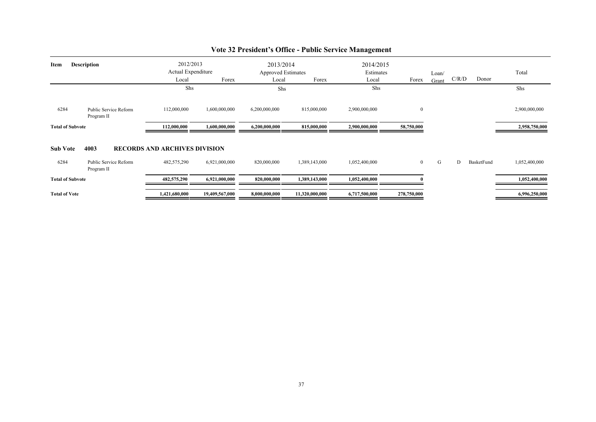| <b>Description</b><br>Item |                                     | 2012/2013<br>Actual Expenditure<br>Forex<br>Local<br>Shs |                | 2013/2014<br><b>Approved Estimates</b><br>Forex<br>Local<br>Shs |                | 2014/2015<br>Estimates<br>Local<br>Shs | Forex        | Loan/<br>Grant | C/R/D | Donor      | Total<br>Shs  |
|----------------------------|-------------------------------------|----------------------------------------------------------|----------------|-----------------------------------------------------------------|----------------|----------------------------------------|--------------|----------------|-------|------------|---------------|
| 6284                       | Public Service Reform<br>Program II | 112,000,000                                              | 1,600,000,000  | 6,200,000,000                                                   | 815,000,000    | 2,900,000,000                          | $\bf{0}$     |                |       |            | 2,900,000,000 |
| <b>Total of Subvote</b>    |                                     | 112,000,000                                              | 1,600,000,000  | 6,200,000,000                                                   | 815,000,000    | 2,900,000,000                          | 58,750,000   |                |       |            | 2,958,750,000 |
| <b>Sub Vote</b>            | 4003                                | <b>RECORDS AND ARCHIVES DIVISION</b>                     |                |                                                                 |                |                                        |              |                |       |            |               |
| 6284                       | Public Service Reform<br>Program II | 482,575,290                                              | 6,921,000,000  | 820,000,000                                                     | 1,389,143,000  | 1,052,400,000                          | $\mathbf{0}$ | G              | D     | BasketFund | 1,052,400,000 |
| <b>Total of Subvote</b>    |                                     | 482,575,290                                              | 6,921,000,000  | 820,000,000                                                     | 1,389,143,000  | 1,052,400,000                          |              |                |       |            | 1,052,400,000 |
| <b>Total of Vote</b>       |                                     | 1,421,680,000                                            | 19,409,567,000 | 8,000,000,000                                                   | 11,320,000,000 | 6,717,500,000                          | 278,750,000  |                |       |            | 6,996,250,000 |

## **Vote 32 President's Office - Public Service Management**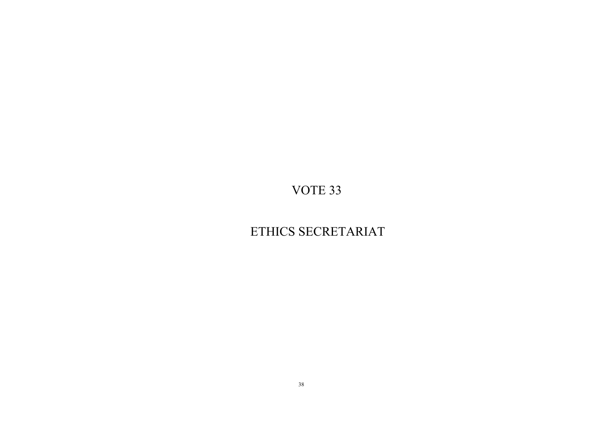## ETHICS SECRETARIAT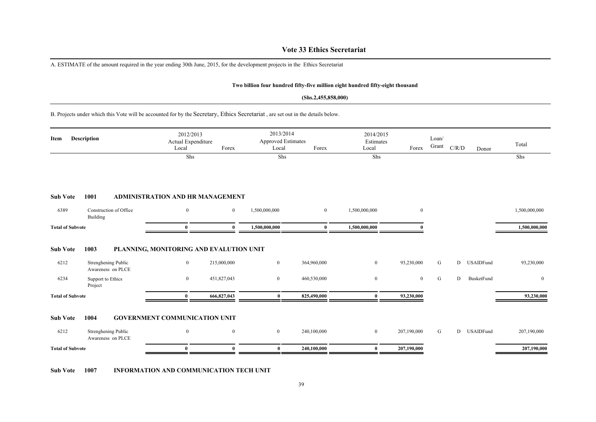### **Vote 33 Ethics Secretariat**

A. ESTIMATE of the amount required in the year ending 30th June, 2015, for the development projects in the Ethics Secretariat

#### **Two billion four hundred fifty-five million eight hundred fifty-eight thousand**

#### **(Shs.2,455,858,000)**

B. Projects under which this Vote will be accounted for by the Secretary, Ethics Secretariat , are set out in the details below.

| <b>Description</b><br>Item |                                          | 2012/2013<br>Actual Expenditure<br>Forex<br>Local<br>Shs |                | 2013/2014<br><b>Approved Estimates</b><br>Forex<br>Local<br>Shs |                | Local            | 2014/2015<br>Loan/<br>Estimates<br>Grant<br>Forex<br>Shs |   | C/R/D<br>Donor        | Total<br>Shs   |
|----------------------------|------------------------------------------|----------------------------------------------------------|----------------|-----------------------------------------------------------------|----------------|------------------|----------------------------------------------------------|---|-----------------------|----------------|
|                            |                                          |                                                          |                |                                                                 |                |                  |                                                          |   |                       |                |
| <b>Sub Vote</b>            | 1001                                     | <b>ADMINISTRATION AND HR MANAGEMENT</b>                  |                |                                                                 |                |                  |                                                          |   |                       |                |
| 6389                       | Construction of Office<br>Building       | $\mathbf{0}$                                             | $\overline{0}$ | 1,500,000,000                                                   | $\overline{0}$ | 1,500,000,000    | $\mathbf{0}$                                             |   |                       | 1,500,000,000  |
| <b>Total of Subvote</b>    |                                          | 0                                                        | $\mathbf{0}$   | 1,500,000,000                                                   | $\mathbf{0}$   | 1,500,000,000    |                                                          |   |                       | 1,500,000,000  |
| <b>Sub Vote</b>            | 1003                                     | PLANNING, MONITORING AND EVALUTION UNIT                  |                |                                                                 |                |                  |                                                          |   |                       |                |
| 6212                       | Strenghening Public<br>Awareness on PLCE | $\mathbf{0}$                                             | 215,000,000    | $\overline{0}$                                                  | 364,960,000    | $\overline{0}$   | 93,230,000                                               | G | D<br><b>USAIDFund</b> | 93,230,000     |
| 6234                       | Support to Ethics<br>Project             | $\bf{0}$                                                 | 451,827,043    | $\mathbf{0}$                                                    | 460,530,000    | $\boldsymbol{0}$ | $\mathbf{0}$                                             | G | D<br>BusketFund       | $\overline{0}$ |
| <b>Total of Subvote</b>    |                                          | 0                                                        | 666,827,043    | $\bf{0}$                                                        | 825,490,000    | 0                | 93,230,000                                               |   |                       | 93,230,000     |
| <b>Sub Vote</b>            | 1004                                     | <b>GOVERNMENT COMMUNICATION UNIT</b>                     |                |                                                                 |                |                  |                                                          |   |                       |                |
| 6212                       | Strenghening Public<br>Awareness on PLCE | $\mathbf{0}$                                             | $\overline{0}$ | $\overline{0}$                                                  | 240,100,000    | $\overline{0}$   | 207,190,000                                              | G | D<br><b>USAIDFund</b> | 207,190,000    |
| <b>Total of Subvote</b>    |                                          | 0                                                        | 0              | $\bf{0}$                                                        | 240,100,000    | $\mathbf{0}$     | 207,190,000                                              |   |                       | 207,190,000    |

**Sub Vote 1007 INFORMATION AND COMMUNICATION TECH UNIT**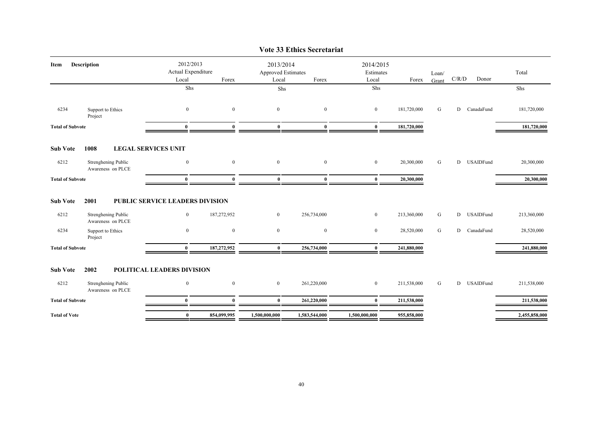|                         |                                                  |                                                   |                |                                                 | VOIE JJ EUIIUS SECIEIAI IAU |                                 |             |                |                                        |              |               |
|-------------------------|--------------------------------------------------|---------------------------------------------------|----------------|-------------------------------------------------|-----------------------------|---------------------------------|-------------|----------------|----------------------------------------|--------------|---------------|
| Description<br>Item     |                                                  | 2012/2013<br>Actual Expenditure<br>Local          | Forex          | 2013/2014<br><b>Approved Estimates</b><br>Local | Forex                       | 2014/2015<br>Estimates<br>Local | Forex       | Loan/<br>Grant | $\mathbf{C} / \mathbf{R} / \mathbf{D}$ | Donor        | Total         |
|                         |                                                  | Shs                                               |                | Shs                                             |                             | Shs                             |             |                |                                        |              | Shs           |
|                         |                                                  |                                                   |                |                                                 |                             |                                 |             |                |                                        |              |               |
| 6234                    | Support to Ethics<br>Project                     | $\bf{0}$                                          | $\mathbf{0}$   | $\overline{0}$                                  | $\overline{0}$              | $\overline{0}$                  | 181,720,000 | G              |                                        | D CanadaFund | 181,720,000   |
| <b>Total of Subvote</b> |                                                  | $\bf{0}$                                          | $\mathbf{0}$   | $\bf{0}$                                        | $\mathbf{0}$                | $\bf{0}$                        | 181,720,000 |                |                                        |              | 181,720,000   |
| <b>Sub Vote</b>         | 1008                                             | <b>LEGAL SERVICES UNIT</b>                        |                |                                                 |                             |                                 |             |                |                                        |              |               |
| 6212                    | Strenghening Public<br>Awareness on PLCE         | $\boldsymbol{0}$                                  | $\mathbf{0}$   | $\mathbf{0}$                                    | $\mathbf{0}$                | $\mathbf{0}$                    | 20,300,000  | G              | D                                      | USAIDFund    | 20,300,000    |
| <b>Total of Subvote</b> |                                                  | $\mathbf{0}$                                      | $\mathbf{0}$   | $\mathbf{0}$                                    | $\mathbf{0}$                | $\bf{0}$                        | 20,300,000  |                |                                        |              | 20,300,000    |
| <b>Sub Vote</b><br>6212 | 2001<br>Strenghening Public<br>Awareness on PLCE | PUBLIC SERVICE LEADERS DIVISION<br>$\overline{0}$ | 187,272,952    | $\mathbf{0}$                                    | 256,734,000                 | $\overline{0}$                  | 213,360,000 | G              |                                        | D USAIDFund  | 213,360,000   |
| 6234                    | Support to Ethics<br>Project                     | $\bf{0}$                                          | $\mathbf{0}$   | $\overline{0}$                                  | $\bf{0}$                    | $\bf{0}$                        | 28,520,000  | G              | D                                      | CanadaFund   | 28,520,000    |
| <b>Total of Subvote</b> |                                                  | $\mathbf{0}$                                      | 187,272,952    | $\mathbf{0}$                                    | 256,734,000                 | $\mathbf{0}$                    | 241,880,000 |                |                                        |              | 241,880,000   |
| <b>Sub Vote</b>         | 2002                                             | POLITICAL LEADERS DIVISION                        |                |                                                 |                             |                                 |             |                |                                        |              |               |
| 6212                    | Strenghening Public<br>Awareness on PLCE         | $\overline{0}$                                    | $\overline{0}$ | $\overline{0}$                                  | 261,220,000                 | $\mathbf{0}$                    | 211,538,000 | G              |                                        | D USAIDFund  | 211,538,000   |
| <b>Total of Subvote</b> |                                                  | $\mathbf{0}$                                      | $\theta$       | $\mathbf{0}$                                    | 261,220,000                 | $\bf{0}$                        | 211,538,000 |                |                                        |              | 211,538,000   |
| <b>Total of Vote</b>    |                                                  | $\bf{0}$                                          | 854,099,995    | 1,500,000,000                                   | 1,583,544,000               | 1,500,000,000                   | 955,858,000 |                |                                        |              | 2,455,858,000 |
|                         |                                                  |                                                   |                |                                                 |                             |                                 |             |                |                                        |              |               |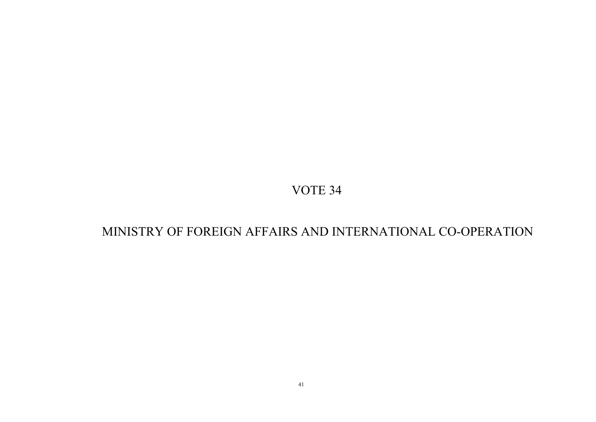## MINISTRY OF FOREIGN AFFAIRS AND INTERNATIONAL CO-OPERATION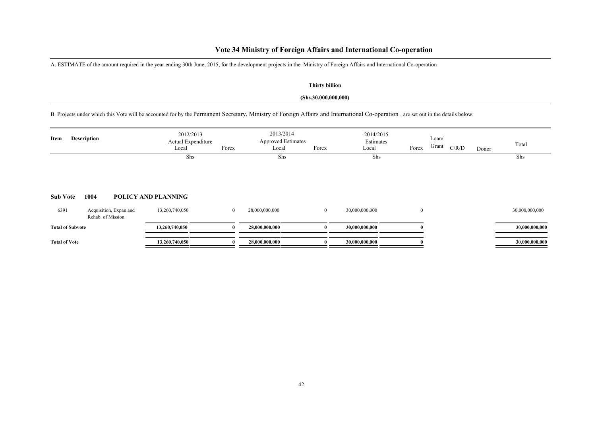### **Vote 34 Ministry of Foreign Affairs and International Co-operation**

A. ESTIMATE of the amount required in the year ending 30th June, 2015, for the development projects in the Ministry of Foreign Affairs and International Co-operation

#### **Thirty billion**

#### **(Shs.30,000,000,000)**

B. Projects under which this Vote will be accounted for by the Permanent Secretary, Ministry of Foreign Affairs and International Co-operation , are set out in the details below.

| Item                    | <b>Description</b>                          | 2012/2013<br>Actual Expenditure<br>Local | Forex        | 2013/2014<br><b>Approved Estimates</b><br>Local | Forex        | 2014/2015<br>Estimates<br>Local | Forex    | Loan/<br>Grant<br>C/R/D | Donor | Total          |
|-------------------------|---------------------------------------------|------------------------------------------|--------------|-------------------------------------------------|--------------|---------------------------------|----------|-------------------------|-------|----------------|
| <b>Sub Vote</b>         | 1004                                        | Shs<br>POLICY AND PLANNING               |              | Shs                                             |              | Shs                             |          |                         |       | Shs            |
| 6391                    | Acquisition, Expan and<br>Rehab. of Mission | 13,260,740,050                           | $\mathbf{0}$ | 28,000,000,000                                  | $\mathbf{0}$ | 30,000,000,000                  | $\bf{0}$ |                         |       | 30,000,000,000 |
| <b>Total of Subvote</b> |                                             | 13,260,740,050                           | 0            | 28,000,000,000                                  |              | 30,000,000,000                  |          |                         |       | 30,000,000,000 |
| <b>Total of Vote</b>    |                                             | 13,260,740,050                           |              | 28,000,000,000                                  |              | 30,000,000,000                  |          |                         |       | 30,000,000,000 |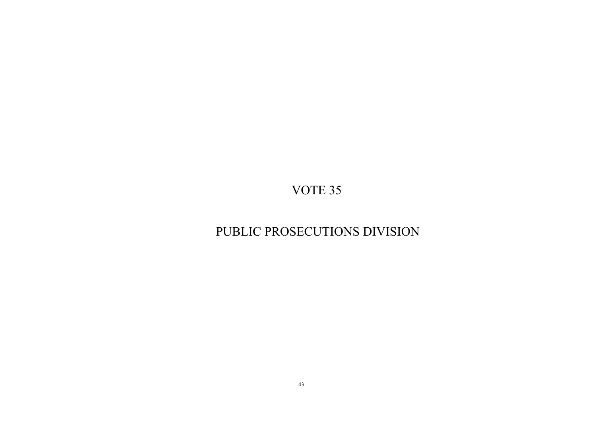## PUBLIC PROSECUTIONS DIVISION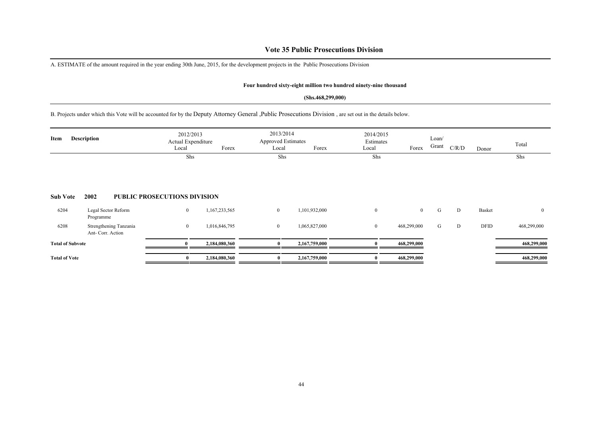### **Vote 35 Public Prosecutions Division**

A. ESTIMATE of the amount required in the year ending 30th June, 2015, for the development projects in the Public Prosecutions Division

#### **Four hundred sixty-eight million two hundred ninety-nine thousand**

#### **(Shs.468,299,000)**

B. Projects under which this Vote will be accounted for by the Deputy Attorney General ,Public Prosecutions Division , are set out in the details below.

| Item                    | <b>Description</b>                          | 2013/2014<br>2012/2013<br><b>Approved Estimates</b><br>Actual Expenditure<br>Forex<br>Forex<br>Local<br>Local<br>Shs<br>Shs |               |                  |               | 2014/2015<br>Estimates<br>Local | Forex          | Loan/<br>Grant | C/R/D | Donor  | Total        |
|-------------------------|---------------------------------------------|-----------------------------------------------------------------------------------------------------------------------------|---------------|------------------|---------------|---------------------------------|----------------|----------------|-------|--------|--------------|
|                         |                                             |                                                                                                                             |               |                  |               | Shs                             |                |                |       |        | Shs          |
| <b>Sub Vote</b>         | 2002                                        | <b>PUBLIC PROSECUTIONS DIVISION</b>                                                                                         |               |                  |               |                                 |                |                |       |        |              |
| 6204                    | Legal Sector Reform<br>Programme            | $\boldsymbol{0}$                                                                                                            | 1,167,233,565 | $\mathbf{0}$     | 1,101,932,000 | $\boldsymbol{0}$                | $\overline{0}$ | G              | D     | Basket | $\mathbf{0}$ |
| 6208                    | Strengthening Tanzania<br>Ant- Corr. Action | $\boldsymbol{0}$                                                                                                            | 1,016,846,795 | $\boldsymbol{0}$ | 1,065,827,000 | $\mathbf{0}$                    | 468,299,000    | G              | D     | DFID   | 468,299,000  |
| <b>Total of Subvote</b> |                                             | $\theta$                                                                                                                    | 2,184,080,360 | 0                | 2,167,759,000 |                                 | 468,299,000    |                |       |        | 468,299,000  |
| <b>Total of Vote</b>    |                                             | $\mathbf{0}$                                                                                                                | 2,184,080,360 |                  | 2,167,759,000 |                                 | 468,299,000    |                |       |        | 468,299,000  |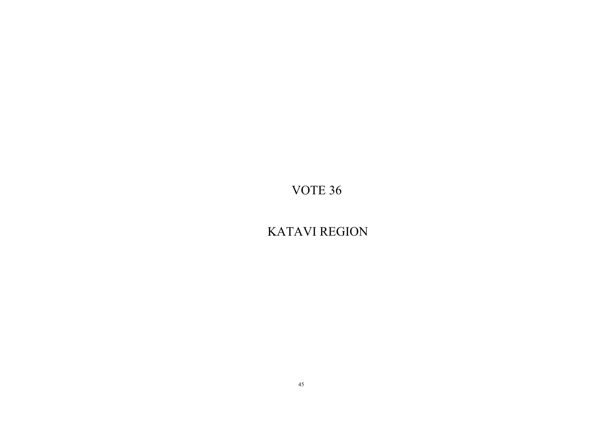KATAVI REGION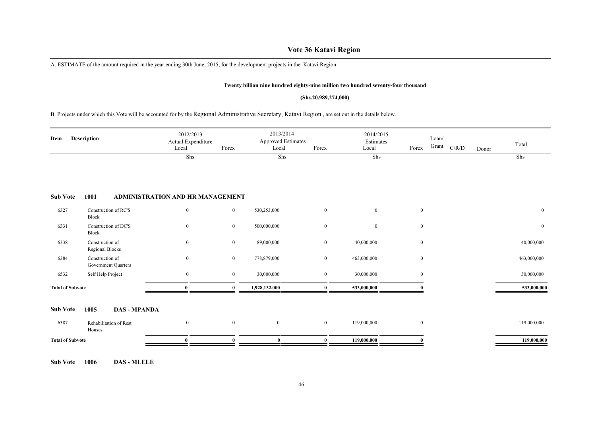### **Vote 36 Katavi Region**

A. ESTIMATE of the amount required in the year ending 30th June, 2015, for the development projects in the Katavi Region

#### **Twenty billion nine hundred eighty-nine million two hundred seventy-four thousand**

#### **(Shs.20,989,274,000)**

B. Projects under which this Vote will be accounted for by the Regional Administrative Secretary, Katavi Region , are set out in the details below.

| Item                    | Description                                   | 2012/2013<br>Actual Expenditure<br>Local | Forex          | 2013/2014<br><b>Approved Estimates</b><br>Local | Forex            | 2014/2015<br>Estimates<br>Local | Forex            | Loan/<br>Grant | $\rm C/R/D$ | Donor | Total        |
|-------------------------|-----------------------------------------------|------------------------------------------|----------------|-------------------------------------------------|------------------|---------------------------------|------------------|----------------|-------------|-------|--------------|
|                         |                                               | Shs                                      |                | Shs                                             |                  | Shs                             |                  |                |             |       | Shs          |
| <b>Sub Vote</b>         | 1001                                          | ADMINISTRATION AND HR MANAGEMENT         |                |                                                 |                  |                                 |                  |                |             |       |              |
| 6327                    | Construction of RC'S<br>Block                 | $\mathbf{0}$                             | $\overline{0}$ | 530,253,000                                     | $\boldsymbol{0}$ | $\overline{0}$                  | $\boldsymbol{0}$ |                |             |       | $\mathbf{0}$ |
| 6331                    | Construction of DC'S<br>Block                 | $\mathbf{0}$                             | $\overline{0}$ | 500,000,000                                     | $\mathbf{0}$     | $\overline{0}$                  | $\mathbf{0}$     |                |             |       | $\mathbf{0}$ |
| 6338                    | Construction of<br>Regional Blocks            | $\mathbf{0}$                             | $\overline{0}$ | 89,000,000                                      | $\bf{0}$         | 40,000,000                      | $\mathbf{0}$     |                |             |       | 40,000,000   |
| 6384                    | Construction of<br><b>Government Quarters</b> | $\mathbf{0}$                             | $\overline{0}$ | 778,879,000                                     | $\overline{0}$   | 463,000,000                     | $\boldsymbol{0}$ |                |             |       | 463,000,000  |
| 6532                    | Self Help Project                             | $\mathbf{0}$                             | $\overline{0}$ | 30,000,000                                      | $\bf{0}$         | 30,000,000                      | $\mathbf{0}$     |                |             |       | 30,000,000   |
| <b>Total of Subvote</b> |                                               | $\bf{0}$                                 | 0              | 1,928,132,000                                   | $\bf{0}$         | 533,000,000                     |                  |                |             |       | 533,000,000  |
| <b>Sub Vote</b>         | 1005                                          | <b>DAS - MPANDA</b>                      |                |                                                 |                  |                                 |                  |                |             |       |              |
| 6387                    | Rehabilitation of Rest<br>Houses              | $\mathbf{0}$                             | $\mathbf{0}$   | $\overline{0}$                                  | $\overline{0}$   | 119,000,000                     | $\boldsymbol{0}$ |                |             |       | 119,000,000  |
| <b>Total of Subvote</b> |                                               | $\boldsymbol{0}$                         |                | $\bf{0}$                                        | $\bf{0}$         | 119,000,000                     |                  |                |             |       | 119,000,000  |

**Sub Vote 1006 DAS - MLELE**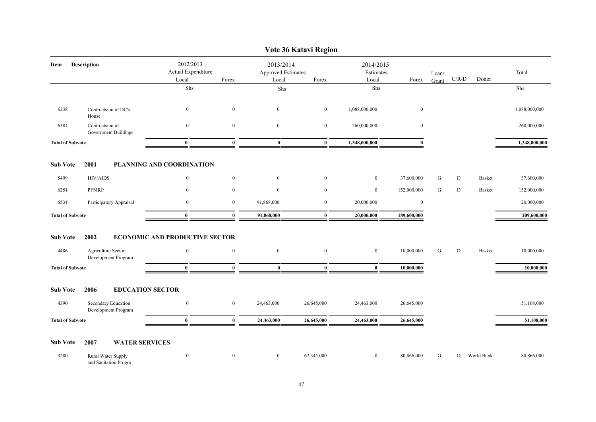|                         |                                             |                                                                                   |                  |                                          | VOIE JO KAIAVI KEGIOII |                                 |              |       |       |               |               |
|-------------------------|---------------------------------------------|-----------------------------------------------------------------------------------|------------------|------------------------------------------|------------------------|---------------------------------|--------------|-------|-------|---------------|---------------|
| Description<br>Item     |                                             | 2012/2013<br>Actual Expenditure<br>Local                                          | Forex            | 2013/2014<br>Approved Estimates<br>Local | Forex                  | 2014/2015<br>Estimates<br>Local | Forex        | Loan/ | C/R/D | Donor         | Total         |
|                         |                                             | Shs                                                                               |                  | Shs                                      |                        | Shs                             |              | Grant |       |               | Shs           |
|                         |                                             |                                                                                   |                  |                                          |                        |                                 |              |       |       |               |               |
| 6338                    | Contructsion of DC's<br>House               | $\bf{0}$                                                                          | $\overline{0}$   | $\mathbf{0}$                             | $\bf{0}$               | 1,088,000,000                   | $\bf{0}$     |       |       |               | 1,088,000,000 |
| 6384                    | Contructsion of<br>Government Buildings     | $\boldsymbol{0}$                                                                  | $\boldsymbol{0}$ | $\overline{0}$                           | $\bf{0}$               | 260,000,000                     | $\mathbf{0}$ |       |       |               | 260,000,000   |
| <b>Total of Subvote</b> |                                             | $\bf{0}$<br>1,348,000,000<br>$\mathbf{0}$<br>$\mathbf{0}$<br>$\bf{0}$<br>$\theta$ |                  |                                          | 1,348,000,000          |                                 |              |       |       |               |               |
| <b>Sub Vote</b>         | 2001                                        | PLANNING AND COORDINATION                                                         |                  |                                          |                        |                                 |              |       |       |               |               |
| 5499                    | <b>HIV/AIDS</b>                             | $\bf{0}$                                                                          | $\overline{0}$   | $\bf{0}$                                 | $\bf{0}$               | $\bf{0}$                        | 37,600,000   | G     | D     | Basket        | 37,600,000    |
| 6251                    | PFMRP                                       | $\boldsymbol{0}$                                                                  | $\mathbf{0}$     | $\overline{0}$                           | $\boldsymbol{0}$       | $\mathbf{0}$                    | 152,000,000  | G     | D     | <b>Basket</b> | 152,000,000   |
| 6531                    | Participatory Appraisal                     | $\boldsymbol{0}$                                                                  | $\mathbf{0}$     | 91,868,000                               | $\overline{0}$         | 20,000,000                      | $\bf{0}$     |       |       |               | 20,000,000    |
| <b>Total of Subvote</b> |                                             | $\bf{0}$                                                                          | $\bf{0}$         | 91,868,000                               | $\bf{0}$               | 20,000,000                      | 189,600,000  |       |       |               | 209,600,000   |
| <b>Sub Vote</b>         | 2002                                        | <b>ECONOMIC AND PRODUCTIVE SECTOR</b>                                             |                  |                                          |                        |                                 |              |       |       |               |               |
| 4486                    | Agriculture Sector<br>Development Program   | $\mathbf{0}$                                                                      | $\mathbf{0}$     | $\overline{0}$                           | $\mathbf{0}$           | $\mathbf{0}$                    | 10,000,000   | G     | D     | <b>Basket</b> | 10,000,000    |
| <b>Total of Subvote</b> |                                             | $\bf{0}$                                                                          | $\bf{0}$         | $\bf{0}$                                 | $\bf{0}$               | $\bf{0}$                        | 10,000,000   |       |       |               | 10,000,000    |
| <b>Sub Vote</b>         | 2006<br><b>EDUCATION SECTOR</b>             |                                                                                   |                  |                                          |                        |                                 |              |       |       |               |               |
| 4390                    | Secondary Education<br>Development Program  | $\bf{0}$                                                                          | $\overline{0}$   | 24,463,000                               | 26,645,000             | 24,463,000                      | 26,645,000   |       |       |               | 51,108,000    |
| <b>Total of Subvote</b> |                                             | $\mathbf{0}$                                                                      | $\bf{0}$         | 24,463,000                               | 26,645,000             | 24,463,000                      | 26,645,000   |       |       |               | 51,108,000    |
| <b>Sub Vote</b>         | 2007<br><b>WATER SERVICES</b>               |                                                                                   |                  |                                          |                        |                                 |              |       |       |               |               |
| 3280                    | Rural Water Supply<br>and Sanitation Progra | $\bf{0}$                                                                          | $\overline{0}$   | $\overline{0}$                           | 62,345,000             | $\boldsymbol{0}$                | 80,866,000   | G     |       | D World Bank  | 80,866,000    |

### **Vote 36 Katavi Region**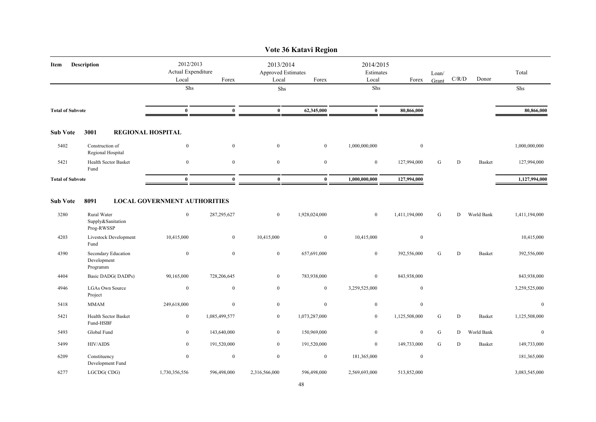|                         |                                                |                                          |                                                   |                  | Vote 36 Katavi Region |                                 |               |                |           |               |               |
|-------------------------|------------------------------------------------|------------------------------------------|---------------------------------------------------|------------------|-----------------------|---------------------------------|---------------|----------------|-----------|---------------|---------------|
| Description<br>Item     |                                                | 2012/2013<br>Actual Expenditure<br>Local | 2013/2014<br>Approved Estimates<br>Forex<br>Local |                  | Forex                 | 2014/2015<br>Estimates<br>Local | Forex         | Loan/<br>Grant | C/R/D     | Donor         | Total         |
|                         |                                                | Shs                                      |                                                   | ${\rm Shs}$      |                       | Shs                             |               |                |           |               | Shs           |
| <b>Total of Subvote</b> |                                                | $\bf{0}$                                 | $\bf{0}$                                          | $\bf{0}$         | 62,345,000            | $\mathbf{0}$                    | 80,866,000    |                |           |               | 80,866,000    |
| <b>Sub Vote</b>         | 3001                                           | <b>REGIONAL HOSPITAL</b>                 |                                                   |                  |                       |                                 |               |                |           |               |               |
| 5402                    | Construction of<br>Regional Hospital           | $\mathbf{0}$                             | $\bf{0}$                                          | $\mathbf{0}$     | $\overline{0}$        | 1,000,000,000                   | $\mathbf{0}$  |                |           |               | 1,000,000,000 |
| 5421                    | Health Sector Basket<br>Fund                   | $\mathbf{0}$                             | $\bf{0}$                                          | $\bf{0}$         | $\bf{0}$              | $\bf{0}$                        | 127,994,000   | G              | ${\rm D}$ | <b>Basket</b> | 127,994,000   |
| <b>Total of Subvote</b> |                                                | $\theta$                                 | $\bf{0}$                                          | $\bf{0}$         | $\bf{0}$              | 1,000,000,000                   | 127,994,000   |                |           |               | 1,127,994,000 |
| <b>Sub Vote</b>         | 8091                                           | <b>LOCAL GOVERNMENT AUTHORITIES</b>      |                                                   |                  |                       |                                 |               |                |           |               |               |
| 3280                    | Rural Water<br>Supply&Sanitation<br>Prog-RWSSP | $\bf{0}$                                 | 287, 295, 627                                     | $\bf{0}$         | 1,928,024,000         | $\bf{0}$                        | 1,411,194,000 | G              | D         | World Bank    | 1,411,194,000 |
| 4203                    | Livestock Development<br>Fund                  | 10,415,000                               | $\bf{0}$                                          | 10,415,000       | $\mathbf{0}$          | 10,415,000                      | $\mathbf{0}$  |                |           |               | 10,415,000    |
| 4390                    | Secondary Education<br>Development<br>Programm | $\mathbf{0}$                             | $\boldsymbol{0}$                                  | $\mathbf{0}$     | 657,691,000           | $\overline{0}$                  | 392,556,000   | G              | ${\rm D}$ | <b>Basket</b> | 392,556,000   |
| 4404                    | Basic DADG(DADPs)                              | 90,165,000                               | 728,206,645                                       | $\mathbf{0}$     | 783,938,000           | $\bf{0}$                        | 843,938,000   |                |           |               | 843,938,000   |
| 4946                    | LGAs Own Source<br>Project                     | $\mathbf{0}$                             | $\boldsymbol{0}$                                  | $\mathbf{0}$     | $\mathbf{0}$          | 3,259,525,000                   | $\mathbf{0}$  |                |           |               | 3,259,525,000 |
| 5418                    | <b>MMAM</b>                                    | 249,618,000                              | $\bf{0}$                                          | $\boldsymbol{0}$ | $\overline{0}$        | $\overline{0}$                  | $\mathbf{0}$  |                |           |               | $\mathbf{0}$  |
| 5421                    | Health Sector Basket<br>Fund-HSBF              | $\bf{0}$                                 | 1,085,499,577                                     | $\mathbf{0}$     | 1,073,287,000         | $\bf{0}$                        | 1,125,508,000 | G              | ${\rm D}$ | <b>Basket</b> | 1,125,508,000 |
| 5493                    | Global Fund                                    | $\boldsymbol{0}$                         | 143,640,000                                       | $\overline{0}$   | 150,969,000           | $\mathbf{0}$                    | $\mathbf{0}$  | G              | D         | World Bank    | $\mathbf{0}$  |
| 5499                    | <b>HIV/AIDS</b>                                | $\mathbf{0}$                             | 191,520,000                                       | $\overline{0}$   | 191,520,000           | $\bf{0}$                        | 149,733,000   | G              | D         | <b>Basket</b> | 149,733,000   |
| 6209                    | Constituency<br>Development Fund               | $\mathbf{0}$                             | $\bf{0}$                                          | $\bf{0}$         | $\boldsymbol{0}$      | 181,365,000                     | $\bf{0}$      |                |           |               | 181,365,000   |
| 6277                    | LGCDG(CDG)                                     | 1,730,356,556                            | 596,498,000                                       | 2,316,566,000    | 596,498,000           | 2,569,693,000                   | 513,852,000   |                |           |               | 3,083,545,000 |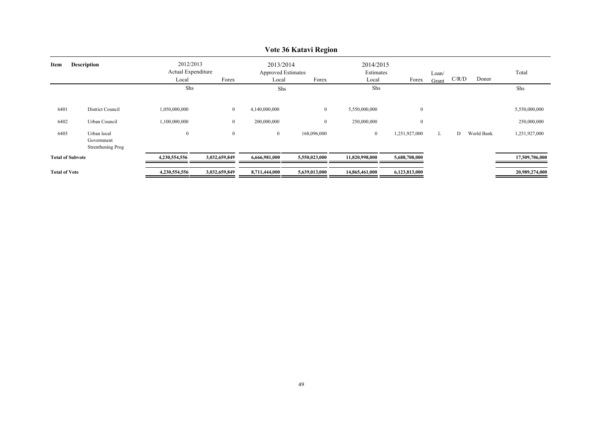|                            |                                                       |                                          |               |                                                 | $\frac{1}{2}$  |                                 |                  |                |       |            |                |
|----------------------------|-------------------------------------------------------|------------------------------------------|---------------|-------------------------------------------------|----------------|---------------------------------|------------------|----------------|-------|------------|----------------|
| <b>Description</b><br>Item |                                                       | 2012/2013<br>Actual Expenditure<br>Local | Forex         | 2013/2014<br><b>Approved Estimates</b><br>Local | Forex          | 2014/2015<br>Estimates<br>Local | Forex            | Loan/<br>Grant | C/R/D | Donor      | Total          |
|                            |                                                       | Shs                                      |               | Shs                                             |                | Shs                             |                  |                |       |            | Shs            |
| 6401                       | District Council                                      | 1,050,000,000                            | $\bf{0}$      | 4,140,000,000                                   | $\overline{0}$ | 5,550,000,000                   | $\boldsymbol{0}$ |                |       |            | 5,550,000,000  |
| 6402                       | Urban Council                                         | 1,100,000,000                            | $\mathbf{0}$  | 200,000,000                                     | $\bf{0}$       | 250,000,000                     | $\boldsymbol{0}$ |                |       |            | 250,000,000    |
| 6405                       | Urban local<br>Government<br><b>Strenthening Prog</b> | $\boldsymbol{0}$                         | $\mathbf{0}$  | $\overline{0}$                                  | 168,096,000    | $\bf{0}$                        | 1,251,927,000    | L              | D     | World Bank | 1,251,927,000  |
| <b>Total of Subvote</b>    |                                                       | 4,230,554,556                            | 3,032,659,849 | 6,666,981,000                                   | 5,550,023,000  | 11,820,998,000                  | 5,688,708,000    |                |       |            | 17,509,706,000 |
| <b>Total of Vote</b>       |                                                       | 4,230,554,556                            | 3,032,659,849 | 8,711,444,000                                   | 5,639,013,000  | 14,865,461,000                  | 6,123,813,000    |                |       |            | 20,989,274,000 |

### **Vote 36 Katavi Region**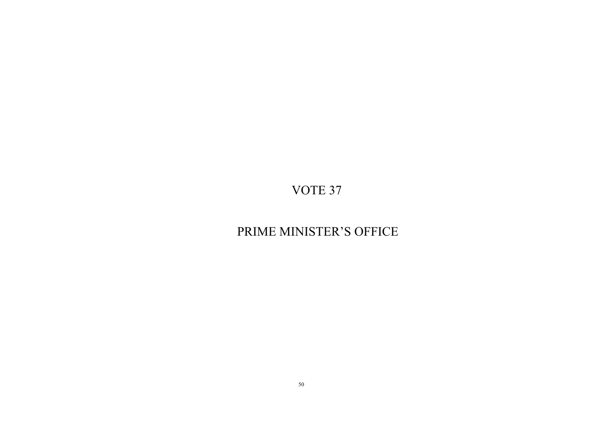## PRIME MINISTER'S OFFICE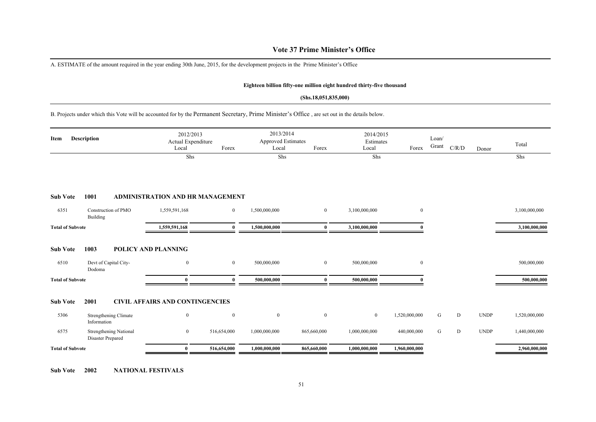### **Vote 37 Prime Minister's Office**

A. ESTIMATE of the amount required in the year ending 30th June, 2015, for the development projects in the Prime Minister's Office

#### **Eighteen billion fifty-one million eight hundred thirty-five thousand**

#### **(Shs.18,051,835,000)**

B. Projects under which this Vote will be accounted for by the Permanent Secretary, Prime Minister's Office , are set out in the details below.

| Item                    | <b>Description</b>                                 | 2012/2013<br>Local                      | Actual Expenditure | Forex          | 2013/2014<br><b>Approved Estimates</b><br>Local | Forex          | 2014/2015<br>Estimates<br>Local | Forex            | Loan/<br>Grant | C/R/D | Donor       | Total         |
|-------------------------|----------------------------------------------------|-----------------------------------------|--------------------|----------------|-------------------------------------------------|----------------|---------------------------------|------------------|----------------|-------|-------------|---------------|
|                         |                                                    |                                         | Shs                |                | Shs                                             |                | Shs                             |                  |                |       |             | Shs           |
| <b>Sub Vote</b>         | 1001                                               | <b>ADMINISTRATION AND HR MANAGEMENT</b> |                    |                |                                                 |                |                                 |                  |                |       |             |               |
| 6351                    | Construction of PMO<br>Building                    | 1,559,591,168                           |                    | $\overline{0}$ | 1,500,000,000                                   | $\overline{0}$ | 3,100,000,000                   | $\boldsymbol{0}$ |                |       |             | 3,100,000,000 |
| <b>Total of Subvote</b> |                                                    | 1,559,591,168                           |                    | $\mathbf{0}$   | 1,500,000,000                                   | $\theta$       | 3,100,000,000                   |                  |                |       |             | 3,100,000,000 |
| <b>Sub Vote</b>         | 1003                                               | POLICY AND PLANNING                     |                    |                |                                                 |                |                                 |                  |                |       |             |               |
| 6510                    | Devt of Capital City-<br>Dodoma                    | $\mathbf{0}$                            |                    | $\overline{0}$ | 500,000,000                                     | $\overline{0}$ | 500,000,000                     | $\bf{0}$         |                |       |             | 500,000,000   |
| <b>Total of Subvote</b> |                                                    |                                         |                    | 0              | 500,000,000                                     | $\mathbf{0}$   | 500,000,000                     |                  |                |       |             | 500,000,000   |
| <b>Sub Vote</b>         | 2001                                               | <b>CIVIL AFFAIRS AND CONTINGENCIES</b>  |                    |                |                                                 |                |                                 |                  |                |       |             |               |
| 5306                    | Strengthening Climate<br>Information               | $\boldsymbol{0}$                        |                    | $\bf{0}$       | $\bf{0}$                                        | $\mathbf{0}$   | $\mathbf{0}$                    | 1,520,000,000    | G              | D     | <b>UNDP</b> | 1,520,000,000 |
| 6575                    | <b>Strengthening National</b><br>Disaster Prepared | $\boldsymbol{0}$                        | 516,654,000        |                | 1,000,000,000                                   | 865,660,000    | 1,000,000,000                   | 440,000,000      | ${\bf G}$      | D     | <b>UNDP</b> | 1,440,000,000 |
| <b>Total of Subvote</b> |                                                    | $\mathbf{0}$                            | 516,654,000        |                | 1,000,000,000                                   | 865,660,000    | 1,000,000,000                   | 1,960,000,000    |                |       |             | 2,960,000,000 |

**Sub Vote 2002 NATIONAL FESTIVALS**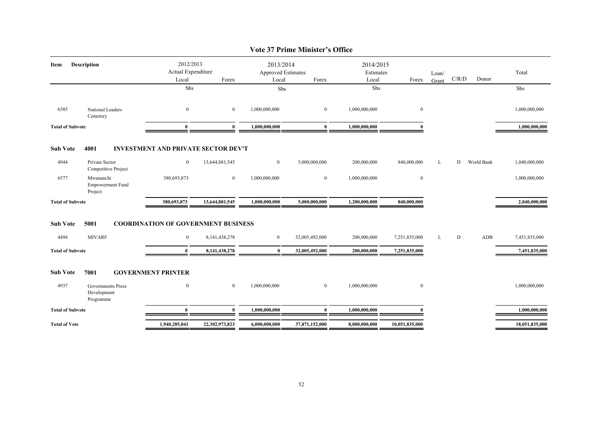| Description                                          |               |                                    |                                                 |                                                                                                   |                                                 |                  | Loan/                           |       |            | Total          |
|------------------------------------------------------|---------------|------------------------------------|-------------------------------------------------|---------------------------------------------------------------------------------------------------|-------------------------------------------------|------------------|---------------------------------|-------|------------|----------------|
|                                                      |               |                                    |                                                 |                                                                                                   |                                                 |                  |                                 |       |            |                |
|                                                      |               |                                    |                                                 |                                                                                                   |                                                 |                  |                                 |       |            | Shs            |
| National Leaders<br>Cemetery                         | $\bf{0}$      | $\overline{0}$                     | 1,000,000,000                                   | $\overline{0}$                                                                                    | 1,000,000,000                                   | $\mathbf{0}$     |                                 |       |            | 1,000,000,000  |
| <b>Total of Subvote</b>                              | $\mathbf{0}$  | $\mathbf{0}$                       | 1,000,000,000                                   | $\bf{0}$                                                                                          | 1,000,000,000                                   | $\theta$         |                                 |       |            | 1,000,000,000  |
| 4001                                                 |               |                                    |                                                 |                                                                                                   |                                                 |                  |                                 |       |            |                |
| Private Sector<br>Competitive Project                | $\bf{0}$      | 13,644,881,545                     | $\overline{0}$                                  | 5,000,000,000                                                                                     | 200,000,000                                     | 840,000,000      | L                               | D     | World Bank | 1,040,000,000  |
| Mwananchi<br><b>Empowerment Fund</b><br>Project      | 380,693,873   | $\overline{0}$                     | 1,000,000,000                                   | $\overline{0}$                                                                                    | 1,000,000,000                                   | $\boldsymbol{0}$ |                                 |       |            | 1,000,000,000  |
| <b>Total of Subvote</b>                              | 380,693,873   | 13,644,881,545                     | 1,000,000,000                                   | 5,000,000,000                                                                                     | 1,200,000,000                                   | 840,000,000      |                                 |       |            | 2,040,000,000  |
| 5001                                                 |               |                                    |                                                 |                                                                                                   |                                                 |                  |                                 |       |            |                |
| <b>MIVARF</b>                                        | $\bf{0}$      | 8, 141, 438, 278                   | $\overline{0}$                                  | 32,005,492,000                                                                                    | 200,000,000                                     | 7,251,835,000    | L                               | D     | ADB        | 7,451,835,000  |
| <b>Total of Subvote</b>                              | $\mathbf{0}$  | 8,141,438,278                      | $\bf{0}$                                        | 32,005,492,000                                                                                    | 200,000,000                                     | 7,251,835,000    |                                 |       |            | 7,451,835,000  |
| 7001                                                 |               |                                    |                                                 |                                                                                                   |                                                 |                  |                                 |       |            |                |
| <b>Governments Press</b><br>Development<br>Programme | $\bf{0}$      | $\overline{0}$                     | 1,000,000,000                                   | $\overline{0}$                                                                                    | 1,000,000,000                                   | $\boldsymbol{0}$ |                                 |       |            | 1,000,000,000  |
| <b>Total of Subvote</b>                              | $\mathbf{0}$  | $\mathbf{0}$                       | 1,000,000,000                                   | $\mathbf{0}$                                                                                      | 1,000,000,000                                   |                  |                                 |       |            | 1,000,000,000  |
|                                                      | 1,940,285,041 | 22,302,973,823                     | 6,000,000,000                                   | 37,871,152,000                                                                                    | 8,000,000,000                                   | 10,051,835,000   |                                 |       |            | 18,051,835,000 |
|                                                      |               | Local<br><b>GOVERNMENT PRINTER</b> | 2012/2013<br>Actual Expenditure<br>Forex<br>Shs | Local<br><b>INVESTMENT AND PRIVATE SECTOR DEV'T</b><br><b>COORDINATION OF GOVERNMENT BUSINESS</b> | 2013/2014<br>Approved Estimates<br>Forex<br>Shs | Local<br>Shs     | 2014/2015<br>Estimates<br>Forex | Grant |            | C/R/D<br>Donor |

#### **Vote 37 Prime Minister's Office**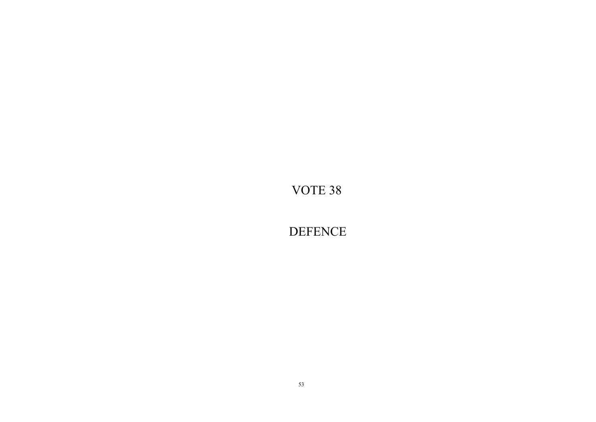**DEFENCE**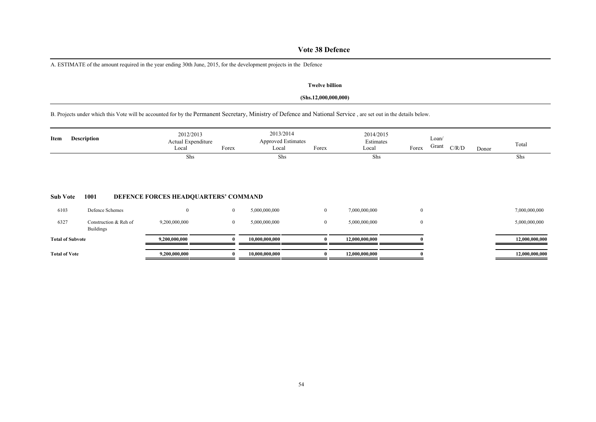### **Vote 38 Defence**

A. ESTIMATE of the amount required in the year ending 30th June, 2015, for the development projects in the Defence

#### **Twelve billion**

#### **(Shs.12,000,000,000)**

B. Projects under which this Vote will be accounted for by the Permanent Secretary, Ministry of Defence and National Service , are set out in the details below.

| Item                 | <b>Description</b>                        | 2012/2013<br>Actual Expenditure<br>Local | Forex          | 2013/2014<br><b>Approved Estimates</b><br>Local | Forex          | 2014/2015<br>Estimates<br>Local | Forex            | Loan/<br>Grant | C/R/D | Donor | Total          |
|----------------------|-------------------------------------------|------------------------------------------|----------------|-------------------------------------------------|----------------|---------------------------------|------------------|----------------|-------|-------|----------------|
|                      |                                           | Shs                                      |                | Shs                                             |                | Shs                             |                  |                |       |       | Shs            |
| <b>Sub Vote</b>      | 1001                                      | DEFENCE FORCES HEADQUARTERS' COMMAND     |                |                                                 |                |                                 |                  |                |       |       |                |
| 6103                 | Defence Schemes                           | $\Omega$                                 | $\overline{0}$ | 5,000,000,000                                   | $\overline{0}$ | 7,000,000,000                   | $\boldsymbol{0}$ |                |       |       | 7,000,000,000  |
| 6327                 | Construction & Reh of<br><b>Buildings</b> | 9,200,000,000                            | $\mathbf{0}$   | 5,000,000,000                                   | $\overline{0}$ | 5,000,000,000                   | $\overline{0}$   |                |       |       | 5,000,000,000  |
|                      | <b>Total of Subvote</b>                   | 9,200,000,000                            |                | 10,000,000,000                                  |                | 12,000,000,000                  |                  |                |       |       | 12,000,000,000 |
| <b>Total of Vote</b> |                                           | 9,200,000,000                            |                | 10,000,000,000                                  |                | 12,000,000,000                  |                  |                |       |       | 12,000,000,000 |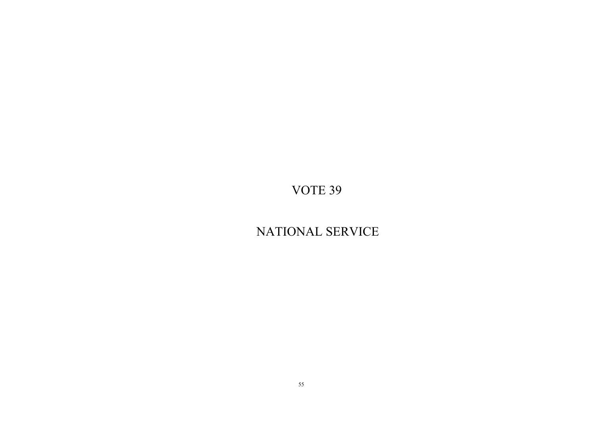## NATIONAL SERVICE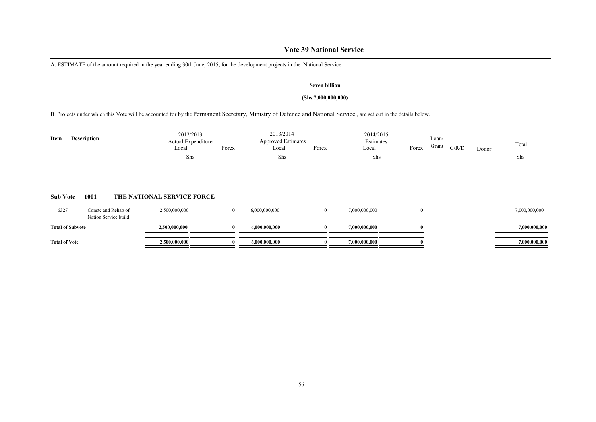### **Vote 39 National Service**

A. ESTIMATE of the amount required in the year ending 30th June, 2015, for the development projects in the National Service

#### **Seven billion**

#### **(Shs.7,000,000,000)**

B. Projects under which this Vote will be accounted for by the Permanent Secretary, Ministry of Defence and National Service , are set out in the details below.

| Item                 | <b>Description</b>                          | 2012/2013<br>Actual Expenditure<br>Local | Forex          | 2013/2014<br><b>Approved Estimates</b><br>Local | Forex        | 2014/2015<br>Estimates<br>Local | Forex        | Loan/<br>Grant | C/R/D | Donor | Total         |
|----------------------|---------------------------------------------|------------------------------------------|----------------|-------------------------------------------------|--------------|---------------------------------|--------------|----------------|-------|-------|---------------|
| <b>Sub Vote</b>      | 1001                                        | Shs<br>THE NATIONAL SERVICE FORCE        |                | Shs                                             |              | Shs                             |              |                |       |       | Shs           |
| 6327                 | Conste and Rehab of<br>Nation Service build | 2,500,000,000                            | $\overline{0}$ | 6,000,000,000                                   | $\mathbf{0}$ | 7,000,000,000                   | $\mathbf{0}$ |                |       |       | 7,000,000,000 |
|                      | <b>Total of Subvote</b>                     | 2,500,000,000                            | 0              | 6,000,000,000                                   |              | 7,000,000,000                   |              |                |       |       | 7,000,000,000 |
| <b>Total of Vote</b> |                                             | 2,500,000,000                            |                | 6,000,000,000                                   |              | 7,000,000,000                   |              |                |       |       | 7,000,000,000 |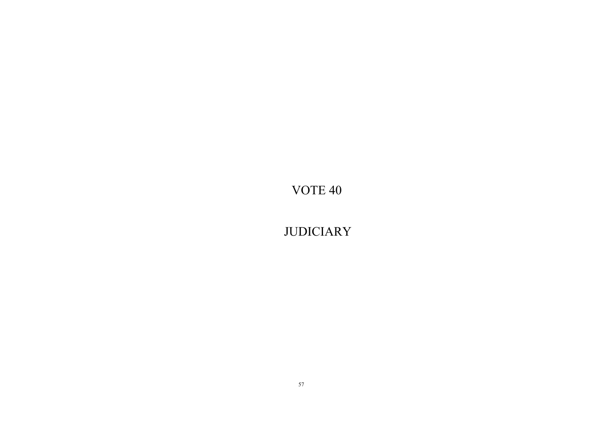**JUDICIARY**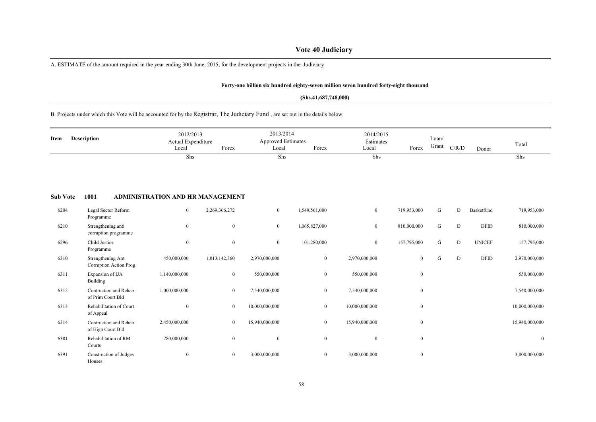### **Vote 40 Judiciary**

A. ESTIMATE of the amount required in the year ending 30th June, 2015, for the development projects in the Judiciary

#### **Forty-one billion six hundred eighty-seven million seven hundred forty-eight thousand**

#### **(Shs.41,687,748,000)**

B. Projects under which this Vote will be accounted for by the Registrar, The Judiciary Fund , are set out in the details below.

| Item            | <b>Description</b>                          | 2012/2013<br>Actual Expenditure<br>Local | Forex            | 2013/2014<br><b>Approved Estimates</b><br>Local | Forex            | 2014/2015<br>Estimates<br>Local | Forex          | Loan/<br>Grant | C/R/D | Donor         | Total          |
|-----------------|---------------------------------------------|------------------------------------------|------------------|-------------------------------------------------|------------------|---------------------------------|----------------|----------------|-------|---------------|----------------|
|                 |                                             | Shs                                      |                  | Shs                                             |                  | Shs                             |                |                |       |               | Shs            |
| <b>Sub Vote</b> | 1001                                        | <b>ADMINISTRATION AND HR MANAGEMENT</b>  |                  |                                                 |                  |                                 |                |                |       |               |                |
| 6204            | Legal Sector Reform<br>Programme            | $\boldsymbol{0}$                         | 2,269,366,272    | $\overline{0}$                                  | 1,549,561,000    | $\bf{0}$                        | 719,953,000    | G              | D     | Basketfund    | 719,953,000    |
| 6210            | Strengthening anti<br>corruption programme  | $\mathbf{0}$                             | $\mathbf{0}$     | $\bf{0}$                                        | 1,065,827,000    | $\overline{0}$                  | 810,000,000    | G              | D     | <b>DFID</b>   | 810,000,000    |
| 6296            | Child Justice<br>Programme                  | $\bf{0}$                                 | $\boldsymbol{0}$ | $\mathbf{0}$                                    | 101,280,000      | $\overline{0}$                  | 157,795,000    | G              | D     | <b>UNICEF</b> | 157,795,000    |
| 6310            | Strengthening Ant<br>Corruption Action Prog | 450,000,000                              | 1,013,142,360    | 2,970,000,000                                   | $\boldsymbol{0}$ | 2,970,000,000                   | $\overline{0}$ | G              | D     | <b>DFID</b>   | 2,970,000,000  |
| 6311            | Expansion of IJA<br>Building                | 1,140,000,000                            | $\overline{0}$   | 550,000,000                                     | $\overline{0}$   | 550,000,000                     | $\mathbf{0}$   |                |       |               | 550,000,000    |
| 6312            | Contruction and Rehab<br>of Prim Court Bld  | 1,000,000,000                            | $\overline{0}$   | 7,540,000,000                                   | $\overline{0}$   | 7,540,000,000                   | $\mathbf{0}$   |                |       |               | 7,540,000,000  |
| 6313            | Rehabilitation of Court<br>of Appeal        | $\theta$                                 | $\boldsymbol{0}$ | 10,000,000,000                                  | $\bf{0}$         | 10,000,000,000                  | $\mathbf{0}$   |                |       |               | 10,000,000,000 |
| 6314            | Contruction and Rehab<br>of High Court Bld  | 2,450,000,000                            | $\boldsymbol{0}$ | 15,940,000,000                                  | $\bf{0}$         | 15,940,000,000                  | $\mathbf{0}$   |                |       |               | 15,940,000,000 |
| 6381            | Rehabilitation of RM<br>Courts              | 780,000,000                              | $\mathbf{0}$     | $\boldsymbol{0}$                                | $\mathbf{0}$     | $\mathbf{0}$                    | $\mathbf{0}$   |                |       |               | $\mathbf{0}$   |
| 6391            | Construction of Judges<br>Houses            | $\boldsymbol{0}$                         | $\boldsymbol{0}$ | 3,000,000,000                                   | $\bf{0}$         | 3,000,000,000                   | $\mathbf{0}$   |                |       |               | 3,000,000,000  |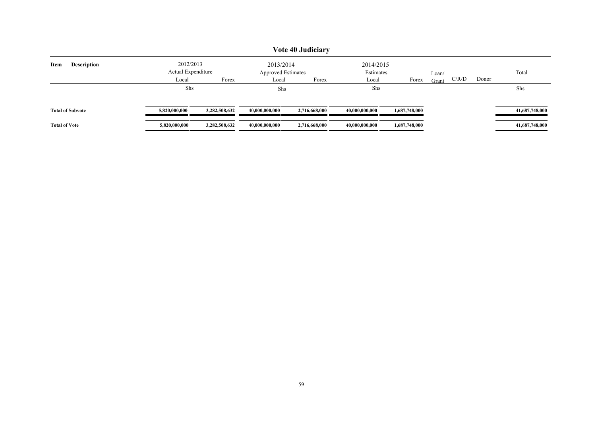|                            |                                 |               |                | Vote 40 Judiciary         |                        |               |       |       |       |                |
|----------------------------|---------------------------------|---------------|----------------|---------------------------|------------------------|---------------|-------|-------|-------|----------------|
| <b>Description</b><br>Item | 2012/2013<br>Actual Expenditure |               | 2013/2014      | <b>Approved Estimates</b> | 2014/2015<br>Estimates |               | Loan/ |       |       | Total          |
|                            | Local                           | Forex         | Local          | Forex                     | Local                  | Forex         | Grant | C/R/D | Donor |                |
|                            | Shs                             |               | Shs            |                           | Shs                    |               |       |       |       | Shs            |
| <b>Total of Subvote</b>    | 5,820,000,000                   | 3,282,508,632 | 40,000,000,000 | 2,716,668,000             | 40.000.000.000         | 1,687,748,000 |       |       |       | 41,687,748,000 |
| <b>Total of Vote</b>       | 5,820,000,000                   | 3,282,508,632 | 40,000,000,000 | 2,716,668,000             | 40,000,000,000         | 1,687,748,000 |       |       |       | 41,687,748,000 |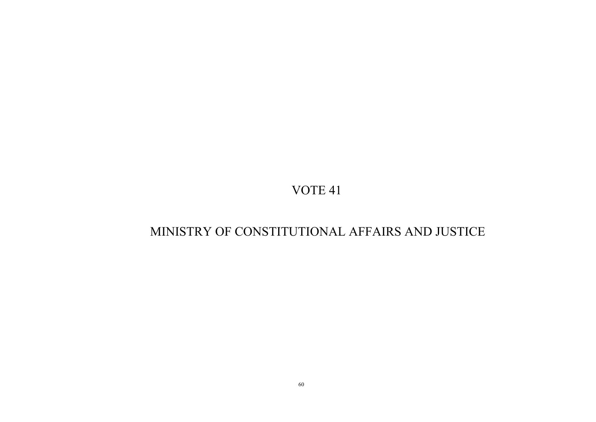## MINISTRY OF CONSTITUTIONAL AFFAIRS AND JUSTICE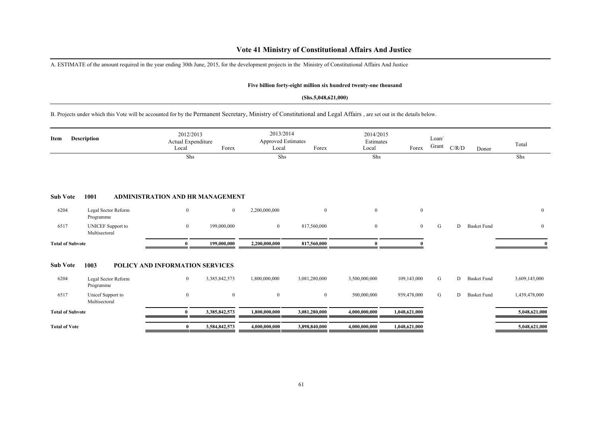### **Vote 41 Ministry of Constitutional Affairs And Justice**

A. ESTIMATE of the amount required in the year ending 30th June, 2015, for the development projects in the Ministry of Constitutional Affairs And Justice

#### **Five billion forty-eight million six hundred twenty-one thousand**

#### **(Shs.5,048,621,000)**

B. Projects under which this Vote will be accounted for by the Permanent Secretary, Ministry of Constitutional and Legal Affairs , are set out in the details below.

| Item                    | <b>Description</b>                        | 2012/2013<br>Actual Expenditure<br>Local | Forex          | 2013/2014<br>Approved Estimates<br>Local | Forex            | 2014/2015<br>Estimates<br>Local | Forex          | Loan/<br>Grant | C/R/D | Donor              | Total         |
|-------------------------|-------------------------------------------|------------------------------------------|----------------|------------------------------------------|------------------|---------------------------------|----------------|----------------|-------|--------------------|---------------|
|                         |                                           | Shs                                      |                | Shs                                      |                  | Shs                             |                |                |       |                    | Shs           |
| <b>Sub Vote</b>         | 1001                                      | ADMINISTRATION AND HR MANAGEMENT         |                |                                          |                  |                                 |                |                |       |                    |               |
| 6204                    | Legal Sector Reform<br>Programme          | $\mathbf{0}$                             | $\overline{0}$ | 2,200,000,000                            | $\mathbf{0}$     | $\overline{0}$                  | $\mathbf{0}$   |                |       |                    | $\bf{0}$      |
| 6517                    | <b>UNICEF</b> Support to<br>Multisectoral | $\boldsymbol{0}$                         | 199,000,000    | $\bf{0}$                                 | 817,560,000      | $\overline{0}$                  | $\overline{0}$ | G              | D     | <b>Basket Fund</b> | $\bf{0}$      |
| <b>Total of Subvote</b> |                                           | $\mathbf{0}$                             | 199,000,000    | 2,200,000,000                            | 817,560,000      |                                 |                |                |       |                    |               |
| <b>Sub Vote</b>         | 1003                                      | POLICY AND INFORMATION SERVICES          |                |                                          |                  |                                 |                |                |       |                    |               |
| 6204                    | Legal Sector Reform<br>Programme          | $\bf{0}$                                 | 3,385,842,573  | 1,800,000,000                            | 3,081,280,000    | 3,500,000,000                   | 109,143,000    | G              | D     | <b>Basket Fund</b> | 3,609,143,000 |
| 6517                    | Unicef Support to<br>Multisectoral        | $\boldsymbol{0}$                         | $\mathbf{0}$   | $\boldsymbol{0}$                         | $\boldsymbol{0}$ | 500,000,000                     | 939,478,000    | G              | D     | <b>Basket Fund</b> | 1,439,478,000 |
| <b>Total of Subvote</b> |                                           | $\bf{0}$                                 | 3,385,842,573  | 1,800,000,000                            | 3,081,280,000    | 4,000,000,000                   | 1,048,621,000  |                |       |                    | 5,048,621,000 |
| <b>Total of Vote</b>    |                                           | $\bf{0}$                                 | 3,584,842,573  | 4,000,000,000                            | 3,898,840,000    | 4,000,000,000                   | 1,048,621,000  |                |       |                    | 5,048,621,000 |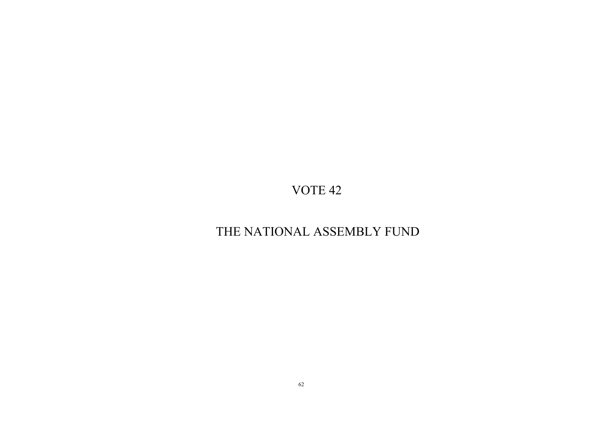## THE NATIONAL ASSEMBLY FUND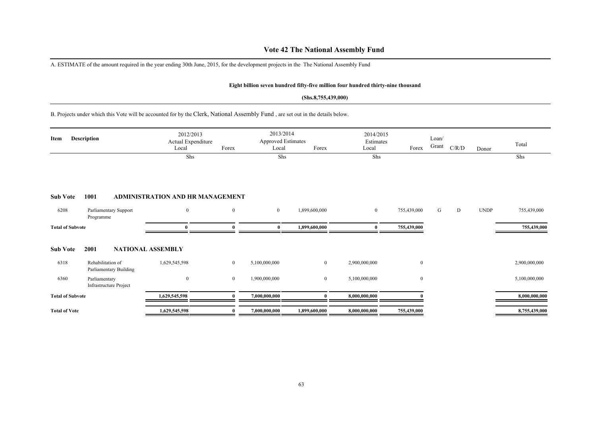### **Vote 42 The National Assembly Fund**

A. ESTIMATE of the amount required in the year ending 30th June, 2015, for the development projects in the The National Assembly Fund

#### **Eight billion seven hundred fifty-five million four hundred thirty-nine thousand**

#### **(Shs.8,755,439,000)**

B. Projects under which this Vote will be accounted for by the Clerk, National Assembly Fund , are set out in the details below.

| Item                    | <b>Description</b>                             | 2012/2013<br>Actual Expenditure<br>Local | Forex        | 2013/2014<br><b>Approved Estimates</b><br>Local | Forex          | 2014/2015<br>Estimates<br>Local | Forex            | Loan/<br>Grant | C/R/D | Donor       | Total         |
|-------------------------|------------------------------------------------|------------------------------------------|--------------|-------------------------------------------------|----------------|---------------------------------|------------------|----------------|-------|-------------|---------------|
|                         |                                                | Shs                                      |              | Shs                                             |                | Shs                             |                  |                |       |             | Shs           |
| <b>Sub Vote</b>         | 1001                                           | ADMINISTRATION AND HR MANAGEMENT         |              |                                                 |                |                                 |                  |                |       |             |               |
| 6208                    | Parliamentary Support<br>Programme             | $\mathbf{0}$                             | $\bf{0}$     | $\overline{0}$                                  | 1,899,600,000  | $\mathbf{0}$                    | 755,439,000      | G              | D     | <b>UNDP</b> | 755,439,000   |
| <b>Total of Subvote</b> |                                                | 0                                        |              | $\bf{0}$                                        | 1,899,600,000  | $\bf{0}$                        | 755,439,000      |                |       |             | 755,439,000   |
| <b>Sub Vote</b>         | 2001                                           | <b>NATIONAL ASSEMBLY</b>                 |              |                                                 |                |                                 |                  |                |       |             |               |
| 6318                    | Rehabilitation of<br>Parliamentary Building    | 1,629,545,598                            | $\mathbf{0}$ | 5,100,000,000                                   | $\overline{0}$ | 2,900,000,000                   | $\boldsymbol{0}$ |                |       |             | 2,900,000,000 |
| 6360                    | Parliamentary<br><b>Infrastructure Project</b> | $\mathbf{0}$                             | $\bf{0}$     | 1,900,000,000                                   | $\mathbf{0}$   | 5,100,000,000                   | $\boldsymbol{0}$ |                |       |             | 5,100,000,000 |
| <b>Total of Subvote</b> |                                                | 1,629,545,598                            |              | 7,000,000,000                                   |                | 8,000,000,000                   |                  |                |       |             | 8,000,000,000 |
| <b>Total of Vote</b>    |                                                | 1,629,545,598                            |              | 7,000,000,000                                   | 1,899,600,000  | 8,000,000,000                   | 755,439,000      |                |       |             | 8,755,439,000 |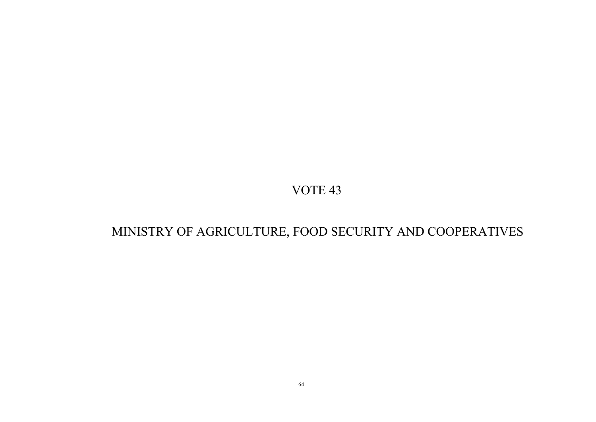## MINISTRY OF AGRICULTURE, FOOD SECURITY AND COOPERATIVES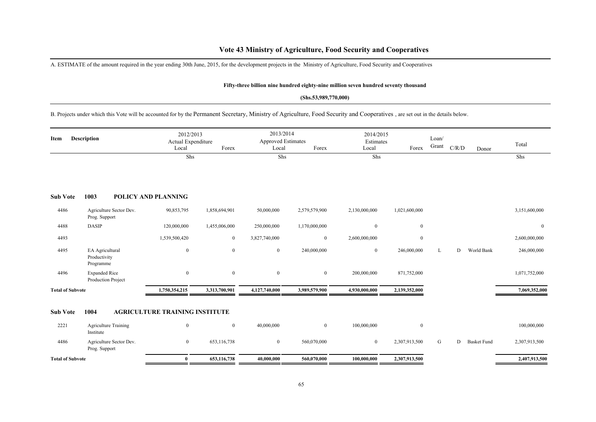### **Vote 43 Ministry of Agriculture, Food Security and Cooperatives**

A. ESTIMATE of the amount required in the year ending 30th June, 2015, for the development projects in the Ministry of Agriculture, Food Security and Cooperatives

#### **Fifty-three billion nine hundred eighty-nine million seven hundred seventy thousand**

#### **(Shs.53,989,770,000)**

B. Projects under which this Vote will be accounted for by the Permanent Secretary, Ministry of Agriculture, Food Security and Cooperatives , are set out in the details below.

| Item                    | <b>Description</b>                           | 2012/2013<br>Actual Expenditure<br>Local | Forex         | 2013/2014<br><b>Approved Estimates</b><br>Local | Forex          | 2014/2015<br>Estimates<br>Local | Forex          | Loan/<br>Grant | C/R/D | Donor              | Total          |
|-------------------------|----------------------------------------------|------------------------------------------|---------------|-------------------------------------------------|----------------|---------------------------------|----------------|----------------|-------|--------------------|----------------|
|                         |                                              | $\overline{\text{Shs}}$                  |               | Shs                                             |                | Shs                             |                |                |       |                    | Shs            |
| <b>Sub Vote</b>         | 1003                                         | <b>POLICY AND PLANNING</b>               |               |                                                 |                |                                 |                |                |       |                    |                |
| 4486                    | Agriculture Sector Dev.<br>Prog. Support     | 90,853,795                               | 1,858,694,901 | 50,000,000                                      | 2,579,579,900  | 2,130,000,000                   | 1,021,600,000  |                |       |                    | 3,151,600,000  |
| 4488                    | <b>DASIP</b>                                 | 120,000,000                              | 1,455,006,000 | 250,000,000                                     | 1,170,000,000  | $\overline{0}$                  | $\bf{0}$       |                |       |                    | $\overline{0}$ |
| 4493                    |                                              | 1,539,500,420                            | $\mathbf{0}$  | 3,827,740,000                                   | $\mathbf{0}$   | 2,600,000,000                   | $\bf{0}$       |                |       |                    | 2,600,000,000  |
| 4495                    | EA Agricultural<br>Productivity<br>Programme | $\mathbf{0}$                             | $\mathbf{0}$  | $\mathbf{0}$                                    | 240,000,000    | $\mathbf{0}$                    | 246,000,000    | L              | D     | World Bank         | 246,000,000    |
| 4496                    | <b>Expanded Rice</b><br>Production Project   | $\boldsymbol{0}$                         | $\mathbf{0}$  | $\bf{0}$                                        | $\mathbf{0}$   | 200,000,000                     | 871,752,000    |                |       |                    | 1,071,752,000  |
| <b>Total of Subvote</b> |                                              | 1,750,354,215                            | 3,313,700,901 | 4,127,740,000                                   | 3,989,579,900  | 4,930,000,000                   | 2,139,352,000  |                |       |                    | 7,069,352,000  |
| <b>Sub Vote</b>         | 1004                                         | <b>AGRICULTURE TRAINING INSTITUTE</b>    |               |                                                 |                |                                 |                |                |       |                    |                |
| 2221                    | <b>Agriculture Training</b><br>Institute     | $\mathbf{0}$                             | $\mathbf{0}$  | 40,000,000                                      | $\overline{0}$ | 100,000,000                     | $\overline{0}$ |                |       |                    | 100,000,000    |
| 4486                    | Agriculture Sector Dev.<br>Prog. Support     | $\mathbf{0}$                             | 653,116,738   | $\overline{0}$                                  | 560,070,000    | $\overline{0}$                  | 2,307,913,500  | G              | D     | <b>Basket Fund</b> | 2,307,913,500  |
| <b>Total of Subvote</b> |                                              | $\bf{0}$                                 | 653,116,738   | 40,000,000                                      | 560,070,000    | 100,000,000                     | 2,307,913,500  |                |       |                    | 2,407,913,500  |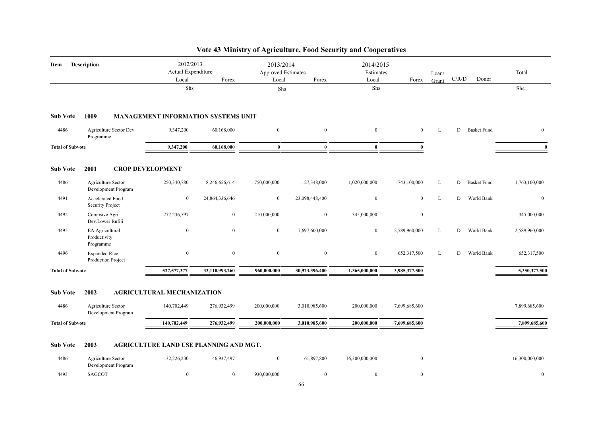| Item                    | Description                                  | 2012/2013<br>Actual Expenditure<br>Local | Forex                                      | 2013/2014<br><b>Approved Estimates</b><br>Local | Forex            | 2014/2015<br>Estimates<br>Local | Forex            | Loan/<br>Grant | C/R/D | Donor              | Total          |
|-------------------------|----------------------------------------------|------------------------------------------|--------------------------------------------|-------------------------------------------------|------------------|---------------------------------|------------------|----------------|-------|--------------------|----------------|
|                         |                                              | Shs                                      |                                            | Shs                                             |                  | Shs                             |                  |                |       |                    | Shs            |
| <b>Sub Vote</b>         | 1009                                         |                                          | <b>MANAGEMENT INFORMATION SYSTEMS UNIT</b> |                                                 |                  |                                 |                  |                |       |                    |                |
| 4486                    | Agriculture Sector Dev.<br>Programme         | 9,347,200                                | 60,168,000                                 | $\boldsymbol{0}$                                | $\mathbf{0}$     | $\mathbf{0}$                    | $\overline{0}$   | L              | D     | <b>Basket Fund</b> | $\mathbf{0}$   |
| <b>Total of Subvote</b> |                                              | 9,347,200                                | 60,168,000                                 | $\bf{0}$                                        | $\bf{0}$         | $\bf{0}$                        | $\Omega$         |                |       |                    | $\mathbf{0}$   |
| <b>Sub Vote</b>         | 2001<br><b>CROP DEVELOPMENT</b>              |                                          |                                            |                                                 |                  |                                 |                  |                |       |                    |                |
| 4486                    | Agriculture Sector<br>Development Program    | 250,340,780                              | 8,246,656,614                              | 750,000,000                                     | 127,348,000      | 1,020,000,000                   | 743,100,000      | L              | D     | <b>Basket Fund</b> | 1,763,100,000  |
| 4491                    | Accelerated Food<br>Security Project         | $\mathbf{0}$                             | 24,864,336,646                             | $\overline{0}$                                  | 23,098,448,400   | $\boldsymbol{0}$                | $\mathbf{0}$     | L              | D     | World Bank         | $\mathbf{0}$   |
| 4492                    | Compsive Agri.<br>Dev.Lower Rufiji           | 277,236,597                              | $\boldsymbol{0}$                           | 210,000,000                                     | $\mathbf{0}$     | 345,000,000                     | $\boldsymbol{0}$ |                |       |                    | 345,000,000    |
| 4495                    | EA Agricultural<br>Productivity<br>Programme | $\mathbf{0}$                             | $\mathbf{0}$                               | $\mathbf{0}$                                    | 7,697,600,000    | $\boldsymbol{0}$                | 2,589,960,000    | L              | D     | World Bank         | 2,589,960,000  |
| 4496                    | <b>Expanded Rice</b><br>Production Project   | $\boldsymbol{0}$                         | $\mathbf{0}$                               | $\boldsymbol{0}$                                | $\boldsymbol{0}$ | $\mathbf{0}$                    | 652,317,500      | L              | D     | World Bank         | 652,317,500    |
| <b>Total of Subvote</b> |                                              | 527, 577, 377                            | 33,110,993,260                             | 960,000,000                                     | 30,923,396,400   | 1,365,000,000                   | 3,985,377,500    |                |       |                    | 5,350,377,500  |
| <b>Sub Vote</b>         | 2002                                         | <b>AGRICULTURAL MECHANIZATION</b>        |                                            |                                                 |                  |                                 |                  |                |       |                    |                |
| 4486                    | Agriculture Sector<br>Development Program    | 140,702,449                              | 276,932,499                                | 200,000,000                                     | 3,010,985,600    | 200,000,000                     | 7,699,685,600    |                |       |                    | 7,899,685,600  |
| <b>Total of Subvote</b> |                                              | 140,702,449                              | 276,932,499                                | 200,000,000                                     | 3,010,985,600    | 200,000,000                     | 7,699,685,600    |                |       |                    | 7,899,685,600  |
| <b>Sub Vote</b>         | 2003                                         |                                          | AGRICULTURE LAND USE PLANNING AND MGT.     |                                                 |                  |                                 |                  |                |       |                    |                |
| 4486                    | Agriculture Sector<br>Development Program    | 32,226,230                               | 46,937,497                                 | $\boldsymbol{0}$                                | 61,897,800       | 16,300,000,000                  | $\mathbf{0}$     |                |       |                    | 16,300,000,000 |
| 4493                    | <b>SAGCOT</b>                                | $\bf{0}$                                 | $\mathbf{0}$                               | 930,000,000                                     | $\boldsymbol{0}$ | $\mathbf{0}$                    | $\mathbf{0}$     |                |       |                    | $\mathbf{0}$   |

## **Vote 43 Ministry of Agriculture, Food Security and Cooperatives**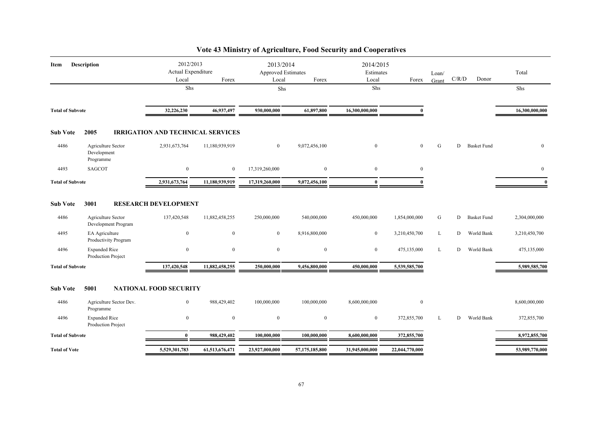| Item                    | <b>Description</b>                             | 2012/2013<br>Actual Expenditure<br>Local | Forex          | 2013/2014<br>Approved Estimates<br>Local | Forex          | 2014/2015<br>Estimates<br>Local | Forex            | Loan/<br>Grant | C/R/D | Donor              | Total          |
|-------------------------|------------------------------------------------|------------------------------------------|----------------|------------------------------------------|----------------|---------------------------------|------------------|----------------|-------|--------------------|----------------|
|                         |                                                | Shs                                      |                | Shs                                      |                | Shs                             |                  |                |       |                    | Shs            |
| <b>Total of Subvote</b> |                                                | 32,226,230                               | 46,937,497     | 930,000,000                              | 61,897,800     | 16,300,000,000                  | 0                |                |       |                    | 16,300,000,000 |
| <b>Sub Vote</b>         | 2005                                           | <b>IRRIGATION AND TECHNICAL SERVICES</b> |                |                                          |                |                                 |                  |                |       |                    |                |
| 4486                    | Agriculture Sector<br>Development<br>Programme | 2,931,673,764                            | 11,180,939,919 | $\overline{0}$                           | 9,072,456,100  | $\mathbf{0}$                    | $\mathbf{0}$     | G              |       | D Basket Fund      | $\mathbf{0}$   |
| 4493                    | <b>SAGCOT</b>                                  | $\mathbf{0}$                             | $\bf{0}$       | 17,319,260,000                           | $\bf{0}$       | $\bf{0}$                        | $\boldsymbol{0}$ |                |       |                    | $\bf{0}$       |
| <b>Total of Subvote</b> |                                                | 2,931,673,764                            | 11,180,939,919 | 17,319,260,000                           | 9,072,456,100  | $\bf{0}$                        |                  |                |       |                    | $\mathbf{0}$   |
| <b>Sub Vote</b>         | 3001                                           | <b>RESEARCH DEVELOPMENT</b>              |                |                                          |                |                                 |                  |                |       |                    |                |
| 4486                    | Agriculture Sector<br>Development Program      | 137,420,548                              | 11,882,458,255 | 250,000,000                              | 540,000,000    | 450,000,000                     | 1,854,000,000    | G              | D     | <b>Basket Fund</b> | 2,304,000,000  |
| 4495                    | EA Agriculture<br>Productivity Program         | $\bf{0}$                                 | $\bf{0}$       | $\mathbf{0}$                             | 8,916,800,000  | $\overline{0}$                  | 3,210,450,700    | L              | D     | World Bank         | 3,210,450,700  |
| 4496                    | <b>Expanded Rice</b><br>Production Project     | $\mathbf{0}$                             | $\mathbf{0}$   | $\mathbf{0}$                             | $\overline{0}$ | $\overline{0}$                  | 475,135,000      | L              | D     | World Bank         | 475,135,000    |
| <b>Total of Subvote</b> |                                                | 137,420,548                              | 11,882,458,255 | 250,000,000                              | 9,456,800,000  | 450,000,000                     | 5,539,585,700    |                |       |                    | 5,989,585,700  |
| <b>Sub Vote</b>         | 5001                                           | <b>NATIONAL FOOD SECURITY</b>            |                |                                          |                |                                 |                  |                |       |                    |                |
| 4486                    | Agriculture Sector Dev.<br>Programme           | $\bf{0}$                                 | 988,429,402    | 100,000,000                              | 100,000,000    | 8,600,000,000                   | $\boldsymbol{0}$ |                |       |                    | 8,600,000,000  |
| 4496                    | <b>Expanded Rice</b><br>Production Project     | $\mathbf{0}$                             | $\mathbf{0}$   | $\bf{0}$                                 | $\overline{0}$ | $\bf{0}$                        | 372,855,700      | L              | D     | World Bank         | 372,855,700    |
| <b>Total of Subvote</b> |                                                | $\mathbf{0}$                             | 988,429,402    | 100,000,000                              | 100,000,000    | 8,600,000,000                   | 372,855,700      |                |       |                    | 8,972,855,700  |
| <b>Total of Vote</b>    |                                                | 5,529,301,783                            | 61,513,676,471 | 23,927,000,000                           | 57,175,185,800 | 31,945,000,000                  | 22,044,770,000   |                |       |                    | 53,989,770,000 |

## **Vote 43 Ministry of Agriculture, Food Security and Cooperatives**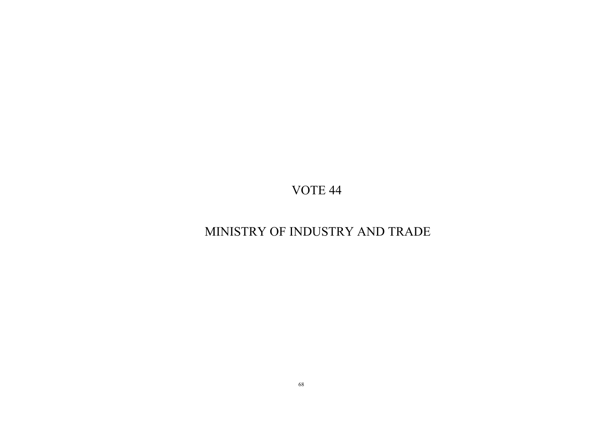## MINISTRY OF INDUSTRY AND TRADE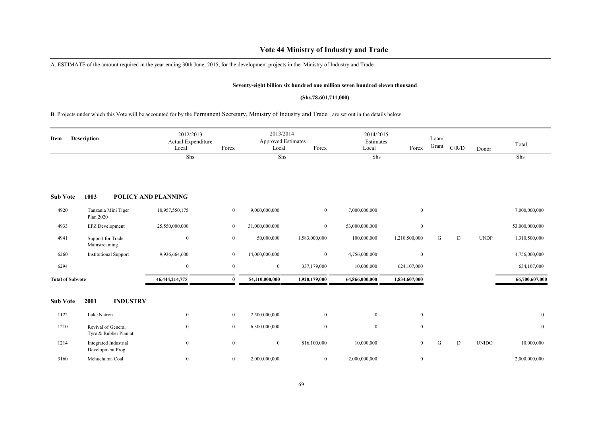### **Vote 44 Ministry of Industry and Trade**

A. ESTIMATE of the amount required in the year ending 30th June, 2015, for the development projects in the Ministry of Industry and Trade

#### **Seventy-eight billion six hundred one million seven hundred eleven thousand**

#### **(Shs.78,601,711,000)**

B. Projects under which this Vote will be accounted for by the Permanent Secretary, Ministry of Industry and Trade , are set out in the details below.

| Item                    | Description                        |                                            | 2012/2013<br>Actual Expenditure<br>Local | Forex          | 2013/2014<br><b>Approved Estimates</b><br>Local | Forex          | 2014/2015<br>Estimates<br>Local | Forex         | Loan/<br>Grant | C/R/D | Donor        | Total          |
|-------------------------|------------------------------------|--------------------------------------------|------------------------------------------|----------------|-------------------------------------------------|----------------|---------------------------------|---------------|----------------|-------|--------------|----------------|
|                         |                                    |                                            | Shs                                      |                | Shs                                             |                | Shs                             |               |                |       |              | Shs            |
| <b>Sub Vote</b>         | 1003                               |                                            | POLICY AND PLANNING                      |                |                                                 |                |                                 |               |                |       |              |                |
| 4920                    | Plan 2020                          | Tanzania Mini Tiger                        | 10,957,550,175                           | $\mathbf{0}$   | 9,000,000,000                                   | $\overline{0}$ | 7,000,000,000                   | $\mathbf{0}$  |                |       |              | 7,000,000,000  |
| 4933                    | <b>EPZ</b> Development             |                                            | 25,550,000,000                           | $\overline{0}$ | 31,000,000,000                                  | $\overline{0}$ | 53,000,000,000                  | $\mathbf{0}$  |                |       |              | 53,000,000,000 |
| 4941                    | Support for Trade<br>Mainstreaming |                                            | $\mathbf{0}$                             | $\mathbf{0}$   | 50,000,000                                      | 1,583,000,000  | 100,000,000                     | 1,210,500,000 | G              | D     | <b>UNDP</b>  | 1,310,500,000  |
| 6260                    |                                    | <b>Institutional Support</b>               | 9,936,664,600                            | $\mathbf{0}$   | 14,060,000,000                                  | $\mathbf{0}$   | 4,756,000,000                   | $\mathbf{0}$  |                |       |              | 4,756,000,000  |
| 6294                    |                                    |                                            | $\mathbf{0}$                             | $\bf{0}$       | $\boldsymbol{0}$                                | 337,179,000    | 10,000,000                      | 624,107,000   |                |       |              | 634,107,000    |
| <b>Total of Subvote</b> |                                    |                                            | 46, 444, 214, 775                        | $\mathbf{0}$   | 54,110,000,000                                  | 1,920,179,000  | 64,866,000,000                  | 1,834,607,000 |                |       |              | 66,700,607,000 |
| <b>Sub Vote</b>         | 2001                               | <b>INDUSTRY</b>                            |                                          |                |                                                 |                |                                 |               |                |       |              |                |
| 1122                    | Lake Natron                        |                                            | $\mathbf{0}$                             | $\mathbf{0}$   | 2,500,000,000                                   | $\overline{0}$ | $\overline{0}$                  | $\mathbf{0}$  |                |       |              | $\overline{0}$ |
| 1210                    | Revival of General                 | Tyre & Rubber Plantat                      | $\mathbf{0}$                             | $\overline{0}$ | 6,300,000,000                                   | $\mathbf{0}$   | $\overline{0}$                  | $\mathbf{0}$  |                |       |              | $\mathbf{0}$   |
| 1214                    |                                    | Integrated Industrial<br>Development Prog. | $\mathbf{0}$                             | $\bf{0}$       | $\bf{0}$                                        | 816,100,000    | 10,000,000                      | $\theta$      | G              | D     | <b>UNIDO</b> | 10,000,000     |
| 3160                    | Mchuchuma Coal                     |                                            | $\boldsymbol{0}$                         | $\bf{0}$       | 2,000,000,000                                   | $\overline{0}$ | 2,000,000,000                   | $\mathbf{0}$  |                |       |              | 2,000,000,000  |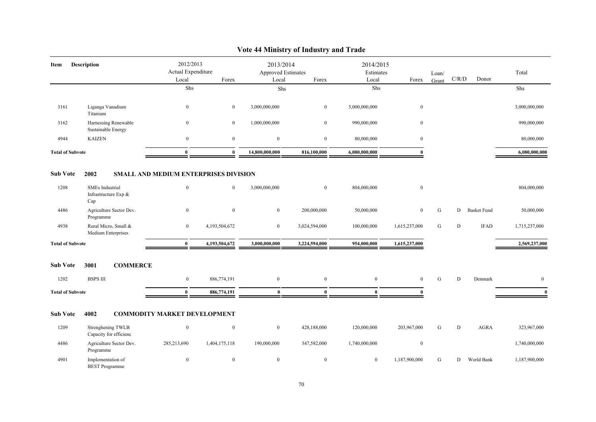| Item                    | <b>Description</b>                                    | 2012/2013                                    |                  | 2013/2014          |                | 2014/2015      |                  |           |       |                    |                |
|-------------------------|-------------------------------------------------------|----------------------------------------------|------------------|--------------------|----------------|----------------|------------------|-----------|-------|--------------------|----------------|
|                         |                                                       | Actual Expenditure                           |                  | Approved Estimates |                | Estimates      |                  | Loan/     |       |                    | Total          |
|                         |                                                       | Local                                        | Forex            | Local              | Forex          | Local          | Forex            | Grant     | C/R/D | Donor              |                |
|                         |                                                       | Shs                                          |                  | ${\rm Shs}$        |                | Shs            |                  |           |       |                    | Shs            |
| 3161                    | Liganga Vanadium<br>Titanium                          | $\bf{0}$                                     | $\mathbf{0}$     | 3,000,000,000      | $\mathbf{0}$   | 3,000,000,000  | $\bf{0}$         |           |       |                    | 3,000,000,000  |
| 3162                    | Harnessing Renewable<br>Sustainable Energy            | $\mathbf{0}$                                 | $\bf{0}$         | 1,000,000,000      | $\bf{0}$       | 990,000,000    | $\bf{0}$         |           |       |                    | 990,000,000    |
| 4944                    | <b>KAIZEN</b>                                         | $\mathbf{0}$                                 | $\mathbf{0}$     | $\mathbf{0}$       | $\bf{0}$       | 80,000,000     | $\bf{0}$         |           |       |                    | 80,000,000     |
| <b>Total of Subvote</b> |                                                       | $\bf{0}$                                     | $\bf{0}$         | 14,800,000,000     | 816,100,000    | 6,080,000,000  | $\theta$         |           |       |                    | 6,080,000,000  |
| <b>Sub Vote</b>         | 2002                                                  | <b>SMALL AND MEDIUM ENTERPRISES DIVISION</b> |                  |                    |                |                |                  |           |       |                    |                |
| 1208                    | <b>SMEs</b> Industrial<br>Infrastructure Exp &<br>Cap | $\mathbf{0}$                                 | $\mathbf{0}$     | 3,000,000,000      | $\bf{0}$       | 804,000,000    | $\mathbf{0}$     |           |       |                    | 804,000,000    |
| 4486                    | Agriculture Sector Dev.<br>Programme                  | $\bf{0}$                                     | $\mathbf{0}$     | $\overline{0}$     | 200,000,000    | 50,000,000     | $\mathbf{0}$     | G         | D     | <b>Basket Fund</b> | 50,000,000     |
| 4938                    | Rural Micro, Small &<br>Medium Enterprises            | $\mathbf{0}$                                 | 4,193,504,672    | $\bf{0}$           | 3,024,594,000  | 100,000,000    | 1,615,237,000    | ${\bf G}$ | D     | <b>IFAD</b>        | 1,715,237,000  |
| <b>Total of Subvote</b> |                                                       | $\bf{0}$                                     | 4,193,504,672    | 3,000,000,000      | 3,224,594,000  | 954,000,000    | 1,615,237,000    |           |       |                    | 2,569,237,000  |
| <b>Sub Vote</b>         | 3001<br><b>COMMERCE</b>                               |                                              |                  |                    |                |                |                  |           |       |                    |                |
| 1202                    | <b>BSPS III</b>                                       | $\bf{0}$                                     | 886,774,191      | $\mathbf{0}$       | $\overline{0}$ | $\overline{0}$ | $\mathbf{0}$     | ${\bf G}$ | D     | Denmark            | $\overline{0}$ |
| <b>Total of Subvote</b> |                                                       | $\bf{0}$                                     | 886,774,191      | $\mathbf{0}$       | $\mathbf{0}$   | $\mathbf{0}$   | $\mathbf{a}$     |           |       |                    | $\Omega$       |
| <b>Sub Vote</b>         | 4002                                                  | <b>COMMODITY MARKET DEVELOPMENT</b>          |                  |                    |                |                |                  |           |       |                    |                |
| 1209                    | Strenghening TWLB<br>Capacity for efficienc           | $\bf{0}$                                     | $\boldsymbol{0}$ | $\bf{0}$           | 428,188,000    | 120,000,000    | 203,967,000      | G         | D     | <b>AGRA</b>        | 323,967,000    |
| 4486                    | Agriculture Sector Dev.<br>Programme                  | 285,213,690                                  | 1,404,175,118    | 190,000,000        | 347,582,000    | 1,740,000,000  | $\boldsymbol{0}$ |           |       |                    | 1,740,000,000  |
| 4901                    | Implementation of<br><b>BEST</b> Programme            | $\boldsymbol{0}$                             | $\boldsymbol{0}$ | $\mathbf{0}$       | $\mathbf{0}$   | $\overline{0}$ | 1,187,900,000    | ${\bf G}$ | D     | World Bank         | 1,187,900,000  |

## **Vote 44 Ministry of Industry and Trade**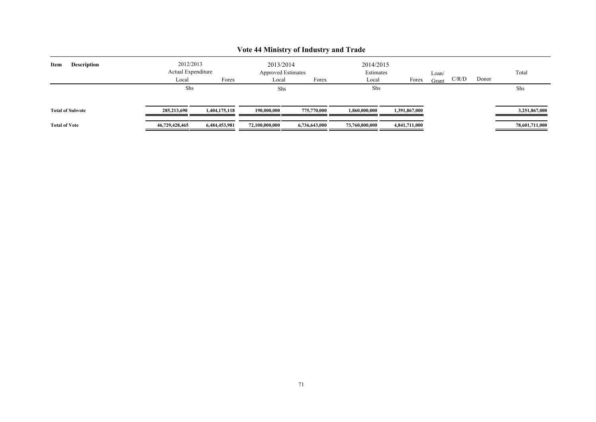|                            | 2012/2013          |               | 2013/2014                 |               | 2014/2015      |               |       |       |       |                |
|----------------------------|--------------------|---------------|---------------------------|---------------|----------------|---------------|-------|-------|-------|----------------|
| Item<br><b>Description</b> | Actual Expenditure |               | <b>Approved Estimates</b> |               | Estimates      |               | Loan/ |       |       | Total          |
|                            | Local              | Forex         | Local                     | Forex         | Local          | Forex         | Grant | C/R/D | Donor |                |
|                            | Shs                |               | Shs                       |               | Shs            |               |       |       |       | Shs            |
| <b>Total of Subvote</b>    | 285,213,690        | 1,404,175,118 | 190,000,000               | 775,770,000   | 1,860,000,000  | 1.391.867.000 |       |       |       | 3,251,867,000  |
| <b>Total of Vote</b>       | 46,729,428,465     | 6,484,453,981 | 72,100,000,000            | 6,736,643,000 | 73,760,000,000 | 4,841,711,000 |       |       |       | 78,601,711,000 |

## **Vote 44 Ministry of Industry and Trade**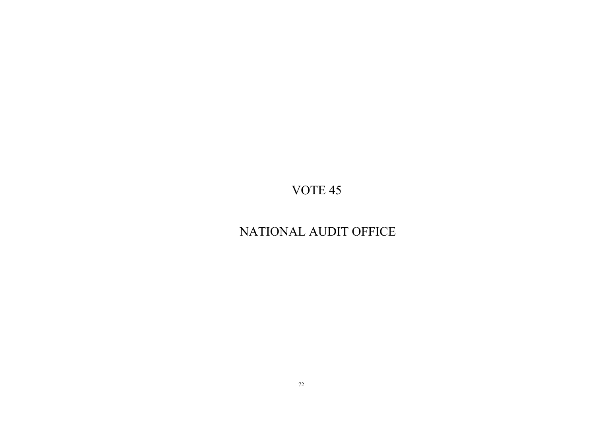## NATIONAL AUDIT OFFICE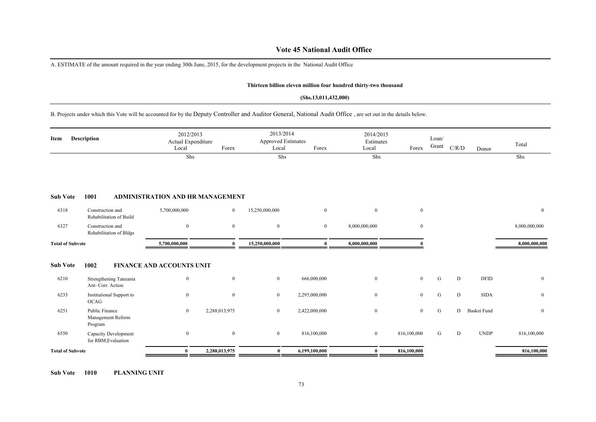### **Vote 45 National Audit Office**

A. ESTIMATE of the amount required in the year ending 30th June, 2015, for the development projects in the National Audit Office

#### **Thirteen billion eleven million four hundred thirty-two thousand**

#### **(Shs.13,011,432,000)**

B. Projects under which this Vote will be accounted for by the Deputy Controller and Auditor General, National Audit Office , are set out in the details below.

| Item                    | Description                                    | 2012/2013<br>Actual Expenditure<br>Local | Forex          | 2013/2014<br><b>Approved Estimates</b><br>Local | Forex          | 2014/2015<br>Estimates<br>Local | Forex          | Loan/<br>Grant | C/R/D | Donor              | Total          |
|-------------------------|------------------------------------------------|------------------------------------------|----------------|-------------------------------------------------|----------------|---------------------------------|----------------|----------------|-------|--------------------|----------------|
|                         |                                                | Shs                                      |                | Shs                                             |                | Shs                             |                |                |       |                    | Shs            |
| <b>Sub Vote</b>         | 1001                                           | <b>ADMINISTRATION AND HR MANAGEMENT</b>  |                |                                                 |                |                                 |                |                |       |                    |                |
| 6318                    | Construction and<br>Rehabilitation of Build    | 5,700,000,000                            | $\overline{0}$ | 15,250,000,000                                  | $\mathbf{0}$   | $\overline{0}$                  | $\mathbf{0}$   |                |       |                    | $\mathbf{0}$   |
| 6327                    | Construction and<br>Rehabilitation of Bldgs    | $\bf{0}$                                 | $\mathbf{0}$   | $\mathbf{0}$                                    | $\overline{0}$ | 8,000,000,000                   | $\overline{0}$ |                |       |                    | 8,000,000,000  |
| <b>Total of Subvote</b> |                                                | 5,700,000,000                            | 0              | 15,250,000,000                                  | $\bf{0}$       | 8,000,000,000                   |                |                |       |                    | 8,000,000,000  |
| <b>Sub Vote</b>         | 1002                                           | <b>FINANCE AND ACCOUNTS UNIT</b>         |                |                                                 |                |                                 |                |                |       |                    |                |
| 6210                    | Strengthening Tanzania<br>Ant- Corr. Action    | $\mathbf{0}$                             | $\overline{0}$ | $\mathbf{0}$                                    | 666,000,000    | $\boldsymbol{0}$                | $\mathbf{0}$   | ${\bf G}$      | D     | <b>DFID</b>        | $\overline{0}$ |
| 6233                    | Institutional Support to<br><b>OCAG</b>        | $\bf{0}$                                 | $\mathbf{0}$   | $\bf{0}$                                        | 2,295,000,000  | $\mathbf{0}$                    | $\overline{0}$ | G              | D     | <b>SIDA</b>        | $\mathbf{0}$   |
| 6251                    | Public Finance<br>Management Reform<br>Program | $\bf{0}$                                 | 2,288,013,975  | $\bf{0}$                                        | 2,422,000,000  | $\mathbf{0}$                    | $\overline{0}$ | G              | D     | <b>Basket Fund</b> | $\overline{0}$ |
| 6550                    | Capacity Development<br>for RBM, Evaluation    | $\bf{0}$                                 | $\overline{0}$ | $\mathbf{0}$                                    | 816,100,000    | $\boldsymbol{0}$                | 816,100,000    | G              | D     | <b>UNDP</b>        | 816,100,000    |
| <b>Total of Subvote</b> |                                                | $\bf{0}$                                 | 2,288,013,975  | $\bf{0}$                                        | 6,199,100,000  | $\bf{0}$                        | 816,100,000    |                |       |                    | 816,100,000    |

**Sub Vote 1010 PLANNING UNIT**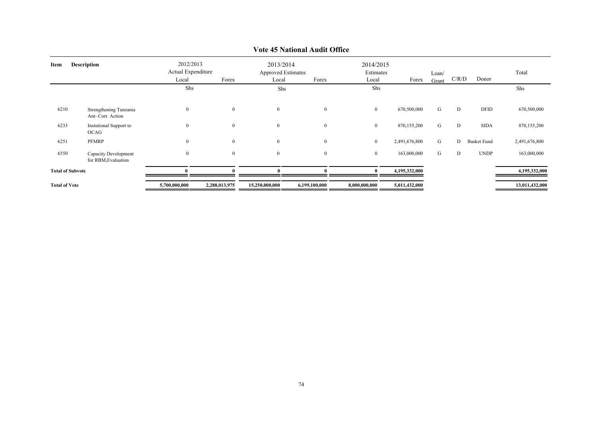| Item                 | <b>Description</b>                          | 2012/2013<br>Actual Expenditure<br>Local | Forex          | 2013/2014<br>Local | <b>Approved Estimates</b><br>Forex | 2014/2015<br>Estimates<br>Local | Forex         | Loan/<br>Grant | C/R/D | Donor              | Total          |
|----------------------|---------------------------------------------|------------------------------------------|----------------|--------------------|------------------------------------|---------------------------------|---------------|----------------|-------|--------------------|----------------|
|                      |                                             | Shs                                      |                | Shs                |                                    | Shs                             |               |                |       |                    | Shs            |
|                      |                                             |                                          |                |                    |                                    |                                 |               |                |       |                    |                |
| 6210                 | Strengthening Tanzania<br>Ant- Corr. Action | $\bf{0}$                                 | $\overline{0}$ | $\bf{0}$           | $\overline{0}$                     | $\overline{0}$                  | 670,500,000   | G              | D     | DFID               | 670,500,000    |
| 6233                 | <b>Instutional Support to</b><br>OCAG       | $\mathbf{0}$                             | $\mathbf{0}$   | $\overline{0}$     | $\mathbf{0}$                       | $\bf{0}$                        | 870,155,200   | G              | D     | <b>SIDA</b>        | 870,155,200    |
| 6251                 | PFMRP                                       | $\bf{0}$                                 | $\mathbf{0}$   | $\boldsymbol{0}$   | $\bf{0}$                           | $\bf{0}$                        | 2,491,676,800 | G              | D     | <b>Basket Fund</b> | 2,491,676,800  |
| 6550                 | Capacity Development<br>for RBM, Evaluation | $\overline{0}$                           | $\mathbf{0}$   | $\mathbf{0}$       | $\overline{0}$                     | $\mathbf{0}$                    | 163,000,000   | G              | D     | <b>UNDP</b>        | 163,000,000    |
|                      | <b>Total of Subvote</b>                     |                                          |                |                    |                                    |                                 | 4,195,332,000 |                |       |                    | 4,195,332,000  |
| <b>Total of Vote</b> |                                             | 5,700,000,000                            | 2,288,013,975  | 15,250,000,000     | 6,199,100,000                      | 8,000,000,000                   | 5,011,432,000 |                |       |                    | 13,011,432,000 |

## **Vote 45 National Audit Office**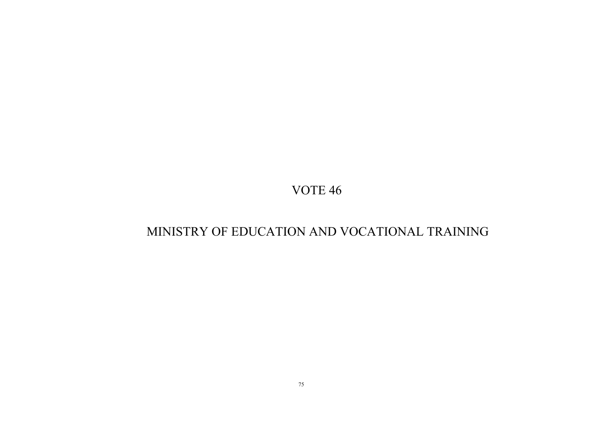# MINISTRY OF EDUCATION AND VOCATIONAL TRAINING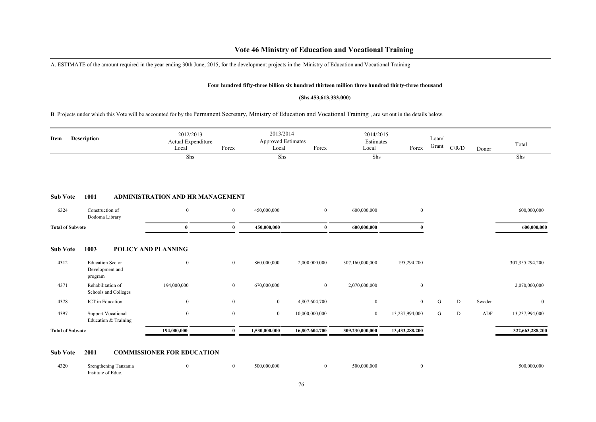A. ESTIMATE of the amount required in the year ending 30th June, 2015, for the development projects in the Ministry of Education and Vocational Training

#### **Four hundred fifty-three billion six hundred thirteen million three hundred thirty-three thousand**

### **(Shs.453,613,333,000)**

B. Projects under which this Vote will be accounted for by the Permanent Secretary, Ministry of Education and Vocational Training , are set out in the details below.

| Item                    | Description                                           | 2012/2013<br>Actual Expenditure<br>Local | Forex          | 2013/2014<br><b>Approved Estimates</b><br>Local | Forex            | 2014/2015<br>Estimates<br>Local | Forex            | Loan/<br>Grant | C/R/D | Donor  | Total              |
|-------------------------|-------------------------------------------------------|------------------------------------------|----------------|-------------------------------------------------|------------------|---------------------------------|------------------|----------------|-------|--------|--------------------|
|                         |                                                       | Shs                                      |                | Shs                                             |                  | Shs                             |                  |                |       |        | Shs                |
| <b>Sub Vote</b>         | 1001                                                  | <b>ADMINISTRATION AND HR MANAGEMENT</b>  |                |                                                 |                  |                                 |                  |                |       |        |                    |
| 6324                    | Construction of<br>Dodoma Library                     | $\bf{0}$                                 | $\overline{0}$ | 450,000,000                                     | $\bf{0}$         | 600,000,000                     | $\boldsymbol{0}$ |                |       |        | 600,000,000        |
| <b>Total of Subvote</b> |                                                       | $\mathbf{0}$                             | $\mathbf{0}$   | 450,000,000                                     | $\mathbf{0}$     | 600,000,000                     |                  |                |       |        | 600,000,000        |
| <b>Sub Vote</b>         | 1003                                                  | POLICY AND PLANNING                      |                |                                                 |                  |                                 |                  |                |       |        |                    |
| 4312                    | <b>Education Sector</b><br>Development and<br>program | $\bf{0}$                                 | $\overline{0}$ | 860,000,000                                     | 2,000,000,000    | 307,160,000,000                 | 195,294,200      |                |       |        | 307, 355, 294, 200 |
| 4371                    | Rehabilitation of<br>Schools and Colleges             | 194,000,000                              | $\overline{0}$ | 670,000,000                                     | $\boldsymbol{0}$ | 2,070,000,000                   | $\bf{0}$         |                |       |        | 2,070,000,000      |
| 4378                    | ICT in Education                                      | $\bf{0}$                                 | $\mathbf{0}$   | $\overline{0}$                                  | 4,807,604,700    | $\mathbf{0}$                    | $\overline{0}$   | G              | D     | Sweden | $\mathbf{0}$       |
| 4397                    | <b>Support Vocational</b><br>Education & Training     | $\overline{0}$                           | $\mathbf{0}$   | $\overline{0}$                                  | 10,000,000,000   | $\mathbf{0}$                    | 13,237,994,000   | G              | D     | ADF    | 13,237,994,000     |
| <b>Total of Subvote</b> |                                                       | 194,000,000                              | $\theta$       | 1,530,000,000                                   | 16,807,604,700   | 309,230,000,000                 | 13,433,288,200   |                |       |        | 322,663,288,200    |
| <b>Sub Vote</b>         | 2001                                                  | <b>COMMISSIONER FOR EDUCATION</b>        |                |                                                 |                  |                                 |                  |                |       |        |                    |

| 4320<br>$\sim$ $\sim$ | Srengthening Tanzania |  | 500,000,000 | 500,000,000 | 500.000.000 |
|-----------------------|-----------------------|--|-------------|-------------|-------------|
|                       | Institute of Educ.    |  |             |             |             |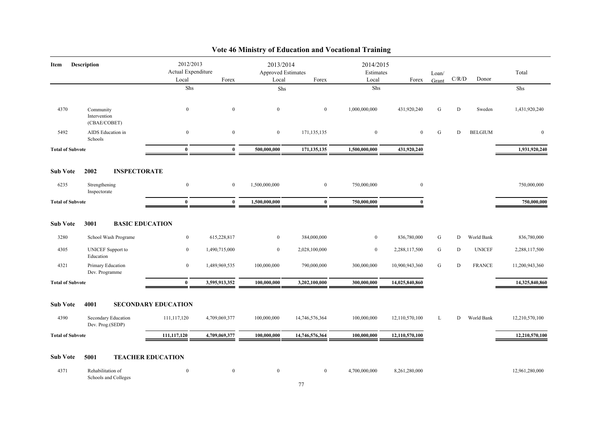| Item                    | Description                               | 2012/2013<br>Actual Expenditure |                | 2013/2014<br><b>Approved Estimates</b> |                | 2014/2015<br>Estimates |                | Loan/ |       |                | Total          |
|-------------------------|-------------------------------------------|---------------------------------|----------------|----------------------------------------|----------------|------------------------|----------------|-------|-------|----------------|----------------|
|                         |                                           | Local                           | Forex          | Local                                  | Forex          | Local                  | Forex          | Grant | C/R/D | Donor          |                |
|                         |                                           | Shs                             |                | Shs                                    |                | Shs                    |                |       |       |                | Shs            |
| 4370                    | Community<br>Intervention<br>(CBAE/COBET) | $\bf{0}$                        | $\mathbf{0}$   | $\overline{0}$                         | $\overline{0}$ | 1,000,000,000          | 431,920,240    | G     | D     | Sweden         | 1,431,920,240  |
| 5492                    | AIDS Education in<br>Schools              | $\mathbf{0}$                    | $\mathbf{0}$   | $\overline{0}$                         | 171,135,135    | $\bf{0}$               | $\overline{0}$ | G     | D     | <b>BELGIUM</b> | $\bf{0}$       |
| <b>Total of Subvote</b> |                                           | $\bf{0}$                        | $\mathbf{0}$   | 500,000,000                            | 171, 135, 135  | 1,500,000,000          | 431,920,240    |       |       |                | 1,931,920,240  |
| <b>Sub Vote</b>         | 2002<br><b>INSPECTORATE</b>               |                                 |                |                                        |                |                        |                |       |       |                |                |
| 6235                    | Strengthening<br>Inspectorate             | $\mathbf{0}$                    | $\overline{0}$ | 1,500,000,000                          | $\overline{0}$ | 750,000,000            | $\mathbf{0}$   |       |       |                | 750,000,000    |
| <b>Total of Subvote</b> |                                           | $\bf{0}$                        | $\mathbf{0}$   | 1,500,000,000                          | $\bf{0}$       | 750,000,000            | $\mathbf{0}$   |       |       |                | 750,000,000    |
|                         | 3001<br><b>BASIC EDUCATION</b>            |                                 |                |                                        |                |                        |                |       |       |                |                |
| <b>Sub Vote</b>         |                                           |                                 |                |                                        |                |                        |                |       |       |                |                |
| 3280                    | School Wash Programe                      | $\overline{0}$                  | 615,228,817    | $\mathbf{0}$                           | 384,000,000    | $\overline{0}$         | 836,780,000    | G     | D     | World Bank     | 836,780,000    |
| 4305                    | <b>UNICEF</b> Support to<br>Education     | $\bf{0}$                        | 1,490,715,000  | $\overline{0}$                         | 2,028,100,000  | $\mathbf{0}$           | 2,288,117,500  | G     | D     | <b>UNICEF</b>  | 2,288,117,500  |
| 4321                    | Primary Education<br>Dev. Programme       | $\boldsymbol{0}$                | 1,489,969,535  | 100,000,000                            | 790,000,000    | 300,000,000            | 10,900,943,360 | G     | D     | <b>FRANCE</b>  | 11,200,943,360 |
| <b>Total of Subvote</b> |                                           | $\mathbf{0}$                    | 3,595,913,352  | 100,000,000                            | 3,202,100,000  | 300,000,000            | 14,025,840,860 |       |       |                | 14,325,840,860 |
| <b>Sub Vote</b>         | 4001                                      | <b>SECONDARY EDUCATION</b>      |                |                                        |                |                        |                |       |       |                |                |
| 4390                    | Secondary Education<br>Dev. Prog.(SEDP)   | 111,117,120                     | 4,709,069,377  | 100,000,000                            | 14,746,576,364 | 100,000,000            | 12,110,570,100 | L     | D     | World Bank     | 12,210,570,100 |
| <b>Total of Subvote</b> |                                           | 111,117,120                     | 4,709,069,377  | 100.000.000                            | 14,746,576,364 | 100,000,000            | 12,110,570,100 |       |       |                | 12,210,570,100 |
| <b>Sub Vote</b>         | <b>TEACHER EDUCATION</b><br>5001          |                                 |                |                                        |                |                        |                |       |       |                |                |
| 4371                    | Rehabilitation of<br>Schools and Colleges | $\mathbf{0}$                    | $\mathbf{0}$   | $\overline{0}$                         | $\overline{0}$ | 4,700,000,000          | 8,261,280,000  |       |       |                | 12,961,280,000 |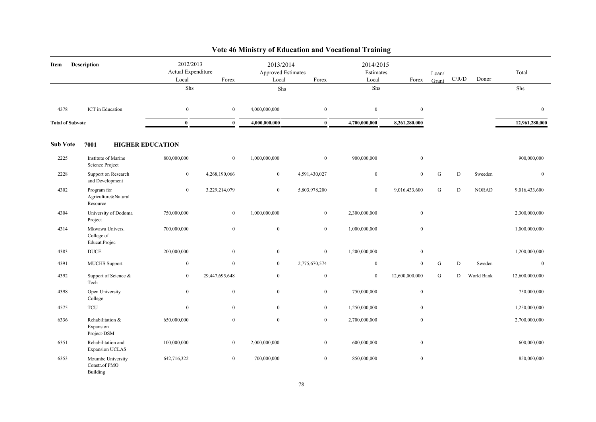| Item                    | <b>Description</b>                             | 2012/2013<br>Actual Expenditure<br>Local | Forex            | 2013/2014<br>Approved Estimates<br>Local | Forex          | 2014/2015<br>Estimates<br>Local | Forex            | Loan/<br>Grant | C/R/D | Donor        | Total            |
|-------------------------|------------------------------------------------|------------------------------------------|------------------|------------------------------------------|----------------|---------------------------------|------------------|----------------|-------|--------------|------------------|
|                         |                                                | Shs                                      |                  | Shs                                      |                | Shs                             |                  |                |       |              | Shs              |
| 4378                    | ICT in Education                               | $\mathbf{0}$                             | $\mathbf{0}$     | 4,000,000,000                            | $\mathbf{0}$   | $\mathbf{0}$                    | $\mathbf{0}$     |                |       |              | $\boldsymbol{0}$ |
| <b>Total of Subvote</b> |                                                | $\bf{0}$                                 | $\mathbf{0}$     | 4,000,000,000                            | $\bf{0}$       | 4,700,000,000                   | 8,261,280,000    |                |       |              | 12,961,280,000   |
| <b>Sub Vote</b>         | 7001                                           | <b>HIGHER EDUCATION</b>                  |                  |                                          |                |                                 |                  |                |       |              |                  |
| 2225                    | Institute of Marine<br>Science Project         | 800,000,000                              | $\overline{0}$   | 1,000,000,000                            | $\mathbf{0}$   | 900,000,000                     | $\bf{0}$         |                |       |              | 900,000,000      |
| 2228                    | Support on Research<br>and Development         | $\mathbf{0}$                             | 4,268,190,066    | $\mathbf{0}$                             | 4,591,430,027  | $\boldsymbol{0}$                | $\mathbf{0}$     | G              | D     | Sweeden      | $\boldsymbol{0}$ |
| 4302                    | Program for<br>Agriculture&Natural<br>Resource | $\mathbf{0}$                             | 3,229,214,079    | $\bf{0}$                                 | 5,803,978,200  | $\mathbf{0}$                    | 9,016,433,600    | G              | D     | <b>NORAD</b> | 9,016,433,600    |
| 4304                    | University of Dodoma<br>Project                | 750,000,000                              | $\boldsymbol{0}$ | 1,000,000,000                            | $\bf{0}$       | 2,300,000,000                   | $\boldsymbol{0}$ |                |       |              | 2,300,000,000    |
| 4314                    | Mkwawa Univers.<br>College of<br>Educat.Projec | 700,000,000                              | $\mathbf{0}$     | $\mathbf{0}$                             | $\mathbf{0}$   | 1,000,000,000                   | $\boldsymbol{0}$ |                |       |              | 1,000,000,000    |
| 4383                    | <b>DUCE</b>                                    | 200,000,000                              | $\bf{0}$         | $\mathbf{0}$                             | $\overline{0}$ | 1,200,000,000                   | $\boldsymbol{0}$ |                |       |              | 1,200,000,000    |
| 4391                    | <b>MUCHS</b> Support                           | $\mathbf{0}$                             | $\mathbf{0}$     | $\bf{0}$                                 | 2,775,670,574  | $\bf{0}$                        | $\mathbf{0}$     | G              | D     | Sweden       | $\boldsymbol{0}$ |
| 4392                    | Support of Science &<br>Tech                   | $\mathbf{0}$                             | 29,447,695,648   | $\mathbf{0}$                             | $\mathbf{0}$   | $\mathbf{0}$                    | 12,600,000,000   | G              | D     | World Bank   | 12,600,000,000   |
| 4398                    | Open University<br>College                     | $\mathbf{0}$                             | $\overline{0}$   | $\mathbf{0}$                             | $\mathbf{0}$   | 750,000,000                     | $\boldsymbol{0}$ |                |       |              | 750,000,000      |
| 4575                    | <b>TCU</b>                                     | $\mathbf{0}$                             | $\overline{0}$   | $\mathbf{0}$                             | $\overline{0}$ | 1,250,000,000                   | $\boldsymbol{0}$ |                |       |              | 1,250,000,000    |
| 6336                    | Rehabilitation &<br>Expansion<br>Project-DSM   | 650,000,000                              | $\mathbf{0}$     | $\mathbf{0}$                             | $\bf{0}$       | 2,700,000,000                   | $\boldsymbol{0}$ |                |       |              | 2,700,000,000    |
| 6351                    | Rehabilitation and<br>Expansion UCLAS          | 100,000,000                              | $\mathbf{0}$     | 2,000,000,000                            | $\mathbf{0}$   | 600,000,000                     | $\boldsymbol{0}$ |                |       |              | 600,000,000      |
| 6353                    | Mzumbe University<br>Constr.of PMO<br>Building | 642,716,322                              | $\mathbf{0}$     | 700,000,000                              | $\bf{0}$       | 850,000,000                     | $\boldsymbol{0}$ |                |       |              | 850,000,000      |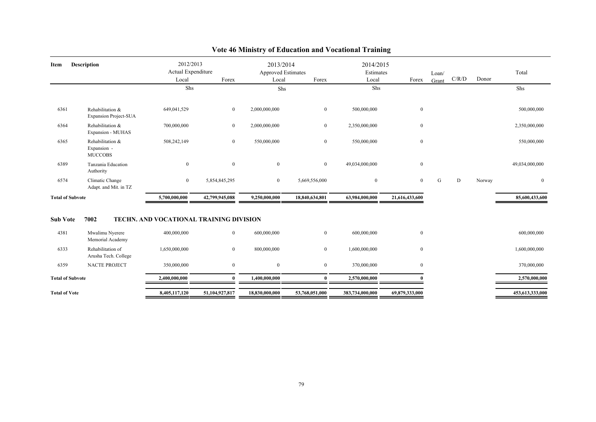| <b>Description</b><br>Item |                                                   | 2012/2013<br>Actual Expenditure<br>Local<br>Shs | Forex          | 2013/2014<br><b>Approved Estimates</b><br>Local<br>Shs | Forex          | 2014/2015<br>Estimates<br>Local<br>Forex<br>Shs |                | Loan/<br>Grant | C/R/D | Donor  | Total<br>Shs    |
|----------------------------|---------------------------------------------------|-------------------------------------------------|----------------|--------------------------------------------------------|----------------|-------------------------------------------------|----------------|----------------|-------|--------|-----------------|
| 6361                       | Rehabilitation &<br><b>Expansion Project-SUA</b>  | 649,041,529                                     | $\overline{0}$ | 2,000,000,000                                          | $\overline{0}$ | 500,000,000                                     | $\bf{0}$       |                |       |        | 500,000,000     |
| 6364                       | Rehabilitation &<br>Expansion - MUHAS             | 700,000,000                                     | $\overline{0}$ | 2,000,000,000                                          | $\mathbf{0}$   | 2,350,000,000                                   | $\mathbf{0}$   |                |       |        | 2,350,000,000   |
| 6365                       | Rehabilitation &<br>Expansion -<br><b>MUCCOBS</b> | 508,242,149                                     | $\overline{0}$ | 550,000,000                                            | $\overline{0}$ | 550,000,000                                     | $\mathbf{0}$   |                |       |        | 550,000,000     |
| 6389                       | Tanzania Education<br>Authority                   | $\overline{0}$                                  | $\mathbf{0}$   | $\overline{0}$                                         | $\overline{0}$ | 49,034,000,000                                  | $\mathbf{0}$   |                |       |        | 49,034,000,000  |
| 6574                       | Climatic Change<br>Adapt. and Mit. in TZ          | $\overline{0}$                                  | 5,854,845,295  | $\overline{0}$                                         | 5,669,556,000  | $\boldsymbol{0}$                                | $\mathbf{0}$   | G              | D     | Norway | $\mathbf{0}$    |
| <b>Total of Subvote</b>    |                                                   | 5,700,000,000                                   | 42,799,945,088 | 9,250,000,000                                          | 18,840,634,801 | 63,984,000,000                                  | 21,616,433,600 |                |       |        | 85,600,433,600  |
| <b>Sub Vote</b>            | 7002                                              | TECHN. AND VOCATIONAL TRAINING DIVISION         |                |                                                        |                |                                                 |                |                |       |        |                 |
| 4381                       | Mwalimu Nyerere<br>Memorial Academy               | 400,000,000                                     | $\overline{0}$ | 600,000,000                                            | $\overline{0}$ | 600,000,000                                     | $\mathbf{0}$   |                |       |        | 600,000,000     |
| 6333                       | Rehabilitation of<br>Arusha Tech. College         | 1,650,000,000                                   | $\overline{0}$ | 800,000,000                                            | $\overline{0}$ | 1,600,000,000                                   | $\bf{0}$       |                |       |        | 1,600,000,000   |
| 6359                       | <b>NACTE PROJECT</b>                              | 350,000,000                                     | $\mathbf{0}$   | $\mathbf{0}$                                           | $\overline{0}$ | 370,000,000                                     | $\mathbf{0}$   |                |       |        | 370,000,000     |
| <b>Total of Subvote</b>    |                                                   | 2,400,000,000                                   | $\mathbf{0}$   | 1,400,000,000                                          | $\mathbf{0}$   | 2,570,000,000                                   |                |                |       |        | 2,570,000,000   |
| <b>Total of Vote</b>       |                                                   | 8,405,117,120                                   | 51,104,927,817 | 18,830,000,000                                         | 53,768,051,000 | 383,734,000,000                                 | 69,879,333,000 |                |       |        | 453,613,333,000 |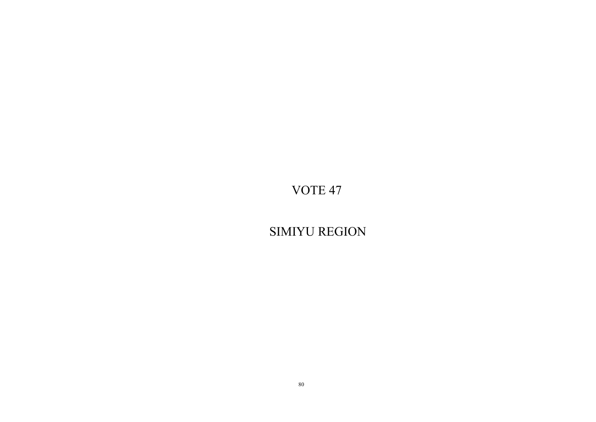SIMIYU REGION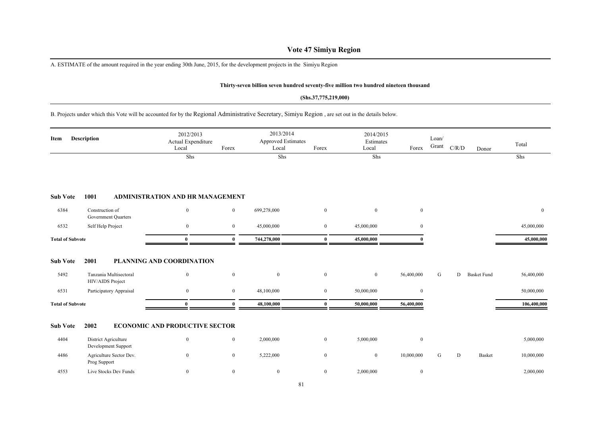## **Vote 47 Simiyu Region**

A. ESTIMATE of the amount required in the year ending 30th June, 2015, for the development projects in the Simiyu Region

#### **Thirty-seven billion seven hundred seventy-five million two hundred nineteen thousand**

#### **(Shs.37,775,219,000)**

### B. Projects under which this Vote will be accounted for by the Regional Administrative Secretary, Simiyu Region , are set out in the details below.

| Item                    | <b>Description</b>                            | 2012/2013<br>Actual Expenditure<br>Local | Forex            | 2013/2014<br>Approved Estimates<br>Local | Forex            | 2014/2015<br>Estimates<br>Local | Forex            | Loan/<br>Grant | C/R/D<br>Donor          | Total       |
|-------------------------|-----------------------------------------------|------------------------------------------|------------------|------------------------------------------|------------------|---------------------------------|------------------|----------------|-------------------------|-------------|
|                         |                                               | Shs                                      |                  | Shs                                      |                  | Shs                             |                  |                |                         | Shs         |
| <b>Sub Vote</b>         | 1001                                          | ADMINISTRATION AND HR MANAGEMENT         |                  |                                          |                  |                                 |                  |                |                         |             |
| 6384                    | Construction of<br><b>Government Quarters</b> | $\bf{0}$                                 | $\mathbf{0}$     | 699,278,000                              | $\mathbf{0}$     | $\overline{0}$                  | $\bf{0}$         |                |                         | $\bf{0}$    |
| 6532                    | Self Help Project                             | $\mathbf{0}$                             | $\overline{0}$   | 45,000,000                               | $\overline{0}$   | 45,000,000                      | $\overline{0}$   |                |                         | 45,000,000  |
| <b>Total of Subvote</b> |                                               | $\mathbf{0}$                             | $\mathbf{0}$     | 744,278,000                              | $\bf{0}$         | 45,000,000                      | $\Omega$         |                |                         | 45,000,000  |
| <b>Sub Vote</b>         | 2001                                          | PLANNING AND COORDINATION                |                  |                                          |                  |                                 |                  |                |                         |             |
| 5492                    | Tanzania Multisectoral<br>HIV/AIDS Project    | $\boldsymbol{0}$                         | $\boldsymbol{0}$ | $\boldsymbol{0}$                         | $\boldsymbol{0}$ | $\boldsymbol{0}$                | 56,400,000       | G              | D<br><b>Basket Fund</b> | 56,400,000  |
| 6531                    | Participatory Appraisal                       | $\bf{0}$                                 | $\mathbf{0}$     | 48,100,000                               | $\mathbf{0}$     | 50,000,000                      | $\bf{0}$         |                |                         | 50,000,000  |
| <b>Total of Subvote</b> |                                               | $\mathbf{0}$                             | $\Omega$         | 48,100,000                               | $\mathbf{0}$     | 50,000,000                      | 56,400,000       |                |                         | 106,400,000 |
| <b>Sub Vote</b>         | 2002                                          | <b>ECONOMIC AND PRODUCTIVE SECTOR</b>    |                  |                                          |                  |                                 |                  |                |                         |             |
| 4404                    | District Agriculture<br>Development Support   | $\bf{0}$                                 | $\overline{0}$   | 2,000,000                                | $\mathbf{0}$     | 5,000,000                       | $\boldsymbol{0}$ |                |                         | 5,000,000   |
| 4486                    | Agriculture Sector Dev.<br>Prog Support       | $\bf{0}$                                 | $\bf{0}$         | 5,222,000                                | $\mathbf{0}$     | $\mathbf{0}$                    | 10,000,000       | G              | D<br>Basket             | 10,000,000  |
| 4553                    | Live Stocks Dev Funds                         | $\boldsymbol{0}$                         | $\mathbf{0}$     | $\mathbf{0}$                             | $\mathbf{0}$     | 2,000,000                       | $\bf{0}$         |                |                         | 2,000,000   |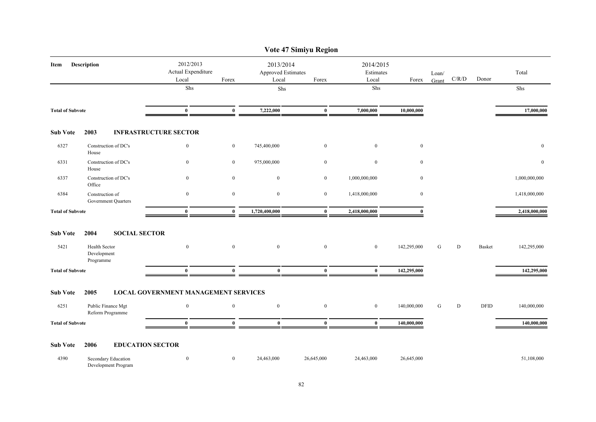|                         |                                            |                                             |                  |                                          | Vote 47 Simiyu Region |                                 |                  |                |             |             |               |
|-------------------------|--------------------------------------------|---------------------------------------------|------------------|------------------------------------------|-----------------------|---------------------------------|------------------|----------------|-------------|-------------|---------------|
| Item                    | Description                                | 2012/2013<br>Actual Expenditure<br>Local    | Forex            | 2013/2014<br>Approved Estimates<br>Local | Forex                 | 2014/2015<br>Estimates<br>Local | Forex            | Loan/<br>Grant | C/R/D       | Donor       | Total         |
|                         |                                            | Shs                                         |                  | Shs                                      |                       | Shs                             |                  |                |             |             | Shs           |
| <b>Total of Subvote</b> |                                            | $\bf{0}$                                    | $\mathbf{0}$     | 7,222,000                                | $\bf{0}$              | 7,000,000                       | 10,000,000       |                |             |             | 17,000,000    |
| <b>Sub Vote</b>         | 2003                                       | <b>INFRASTRUCTURE SECTOR</b>                |                  |                                          |                       |                                 |                  |                |             |             |               |
| 6327                    | Construction of DC's<br>House              | $\bf{0}$                                    | $\bf{0}$         | 745,400,000                              | $\bf{0}$              | $\mathbf{0}$                    | $\bf{0}$         |                |             |             | $\bf{0}$      |
| 6331                    | Construction of DC's<br>House              | $\mathbf{0}$                                | $\boldsymbol{0}$ | 975,000,000                              | $\boldsymbol{0}$      | $\boldsymbol{0}$                | $\boldsymbol{0}$ |                |             |             | $\mathbf{0}$  |
| 6337                    | Construction of DC's<br>Office             | $\mathbf{0}$                                | $\overline{0}$   | $\boldsymbol{0}$                         | $\mathbf{0}$          | 1,000,000,000                   | $\bf{0}$         |                |             |             | 1,000,000,000 |
| 6384                    | Construction of<br>Government Quarters     | $\mathbf{0}$                                | $\mathbf{0}$     | $\boldsymbol{0}$                         | $\bf{0}$              | 1,418,000,000                   | $\mathbf{0}$     |                |             |             | 1,418,000,000 |
| <b>Total of Subvote</b> |                                            | $\bf{0}$                                    | $\bf{0}$         | 1,720,400,000                            | $\bf{0}$              | 2,418,000,000                   | $\mathbf{0}$     |                |             |             | 2,418,000,000 |
| <b>Sub Vote</b>         | 2004<br><b>SOCIAL SECTOR</b>               |                                             |                  |                                          |                       |                                 |                  |                |             |             |               |
| 5421                    | Health Sector<br>Development<br>Programme  | $\mathbf{0}$                                | $\mathbf{0}$     | $\boldsymbol{0}$                         | $\mathbf{0}$          | $\mathbf{0}$                    | 142,295,000      | G              | $\mathbf D$ | Basket      | 142,295,000   |
| <b>Total of Subvote</b> |                                            | $\bf{0}$                                    | $\bf{0}$         | $\bf{0}$                                 | $\bf{0}$              | $\bf{0}$                        | 142,295,000      |                |             |             | 142,295,000   |
| <b>Sub Vote</b>         | 2005                                       | <b>LOCAL GOVERNMENT MANAGEMENT SERVICES</b> |                  |                                          |                       |                                 |                  |                |             |             |               |
| 6251                    | Public Finance Mgt<br>Reform Programme     | $\mathbf{0}$                                | $\bf{0}$         | $\bf{0}$                                 | $\boldsymbol{0}$      | $\bf{0}$                        | 140,000,000      | ${\bf G}$      | D           | <b>DFID</b> | 140,000,000   |
| <b>Total of Subvote</b> |                                            | $\bf{0}$                                    | $\bf{0}$         | $\bf{0}$                                 | $\bf{0}$              | $\bf{0}$                        | 140,000,000      |                |             |             | 140,000,000   |
| <b>Sub Vote</b>         | 2006                                       | <b>EDUCATION SECTOR</b>                     |                  |                                          |                       |                                 |                  |                |             |             |               |
| 4390                    | Secondary Education<br>Development Program | $\boldsymbol{0}$                            | $\overline{0}$   | 24,463,000                               | 26,645,000            | 24,463,000                      | 26,645,000       |                |             |             | 51,108,000    |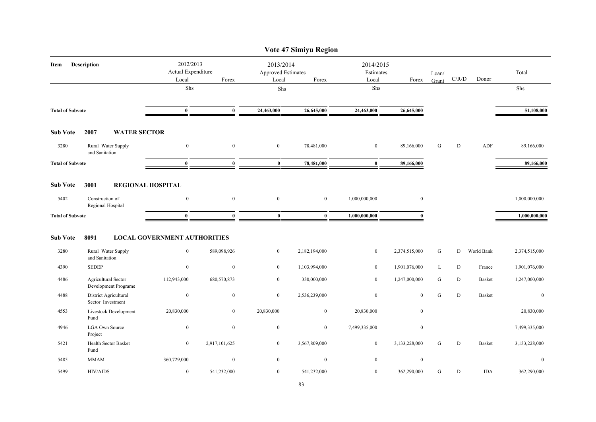|                         |                                             |                                          |                  |                                                 | Vote 47 Simiyu Region |                                 |                  |                |             |               |               |
|-------------------------|---------------------------------------------|------------------------------------------|------------------|-------------------------------------------------|-----------------------|---------------------------------|------------------|----------------|-------------|---------------|---------------|
| Item                    | <b>Description</b>                          | 2012/2013<br>Actual Expenditure<br>Local | Forex            | 2013/2014<br><b>Approved Estimates</b><br>Local | Forex                 | 2014/2015<br>Estimates<br>Local | Forex            | Loan/<br>Grant | $\rm C/R/D$ | Donor         | Total         |
|                         |                                             | Shs                                      |                  | Shs                                             |                       | Shs                             |                  |                |             |               | Shs           |
| <b>Total of Subvote</b> |                                             | $\bf{0}$                                 | $\bf{0}$         | 24,463,000                                      | 26,645,000            | 24,463,000                      | 26,645,000       |                |             |               | 51,108,000    |
| <b>Sub Vote</b>         | 2007<br><b>WATER SECTOR</b>                 |                                          |                  |                                                 |                       |                                 |                  |                |             |               |               |
| 3280                    | Rural Water Supply<br>and Sanitation        | $\boldsymbol{0}$                         | $\mathbf{0}$     | $\bf{0}$                                        | 78,481,000            | $\bf{0}$                        | 89,166,000       | ${\bf G}$      | ${\bf D}$   | ADF           | 89,166,000    |
| <b>Total of Subvote</b> |                                             | $\bf{0}$                                 | $\bf{0}$         | $\bf{0}$                                        | 78,481,000            | $\bf{0}$                        | 89,166,000       |                |             |               | 89,166,000    |
| <b>Sub Vote</b>         | 3001                                        | <b>REGIONAL HOSPITAL</b>                 |                  |                                                 |                       |                                 |                  |                |             |               |               |
| 5402                    | Construction of<br>Regional Hospital        | $\boldsymbol{0}$                         | $\mathbf{0}$     | $\overline{0}$                                  | $\overline{0}$        | 1,000,000,000                   | $\mathbf{0}$     |                |             |               | 1,000,000,000 |
| <b>Total of Subvote</b> |                                             | $\bf{0}$                                 | $\mathbf{0}$     | $\bf{0}$                                        | $\bf{0}$              | 1,000,000,000                   | $\Omega$         |                |             |               | 1,000,000,000 |
| <b>Sub Vote</b>         | 8091                                        | <b>LOCAL GOVERNMENT AUTHORITIES</b>      |                  |                                                 |                       |                                 |                  |                |             |               |               |
| 3280                    | Rural Water Supply<br>and Sanitation        | $\boldsymbol{0}$                         | 589,098,926      | $\overline{0}$                                  | 2,182,194,000         | $\bf{0}$                        | 2,374,515,000    | ${\bf G}$      | D           | World Bank    | 2,374,515,000 |
| 4390                    | <b>SEDEP</b>                                | $\mathbf{0}$                             | $\mathbf{0}$     | $\overline{0}$                                  | 1,103,994,000         | $\overline{0}$                  | 1,901,076,000    | L              | D           | France        | 1,901,076,000 |
| 4486                    | Agricultural Sector<br>Development Programe | 112,943,000                              | 680,570,873      | $\mathbf{0}$                                    | 330,000,000           | $\mathbf{0}$                    | 1,247,000,000    | G              | D           | <b>Basket</b> | 1,247,000,000 |
| 4488                    | District Agricultural<br>Sector Investment  | $\boldsymbol{0}$                         | $\boldsymbol{0}$ | $\bf{0}$                                        | 2,536,239,000         | $\boldsymbol{0}$                | $\mathbf{0}$     | ${\bf G}$      | ${\bf D}$   | <b>Basket</b> | $\mathbf{0}$  |
| 4553                    | Livestock Development<br>Fund               | 20,830,000                               | $\mathbf{0}$     | 20,830,000                                      | $\mathbf{0}$          | 20,830,000                      | $\boldsymbol{0}$ |                |             |               | 20,830,000    |
| 4946                    | <b>LGA Own Source</b><br>Project            | $\boldsymbol{0}$                         | $\mathbf{0}$     | $\bf{0}$                                        | $\overline{0}$        | 7,499,335,000                   | $\mathbf{0}$     |                |             |               | 7,499,335,000 |
| 5421                    | Health Sector Basket<br>Fund                | $\mathbf{0}$                             | 2,917,101,625    | $\mathbf{0}$                                    | 3,567,809,000         | $\bf{0}$                        | 3,133,228,000    | G              | D           | Basket        | 3,133,228,000 |
| 5485                    | <b>MMAM</b>                                 | 360,729,000                              | $\mathbf{0}$     | $\mathbf{0}$                                    | $\mathbf{0}$          | $\boldsymbol{0}$                | $\boldsymbol{0}$ |                |             |               | $\mathbf{0}$  |
| 5499                    | <b>HIV/AIDS</b>                             | $\boldsymbol{0}$                         | 541,232,000      | $\mathbf{0}$                                    | 541,232,000           | $\mathbf{0}$                    | 362,290,000      | ${\bf G}$      | ${\rm D}$   | <b>IDA</b>    | 362,290,000   |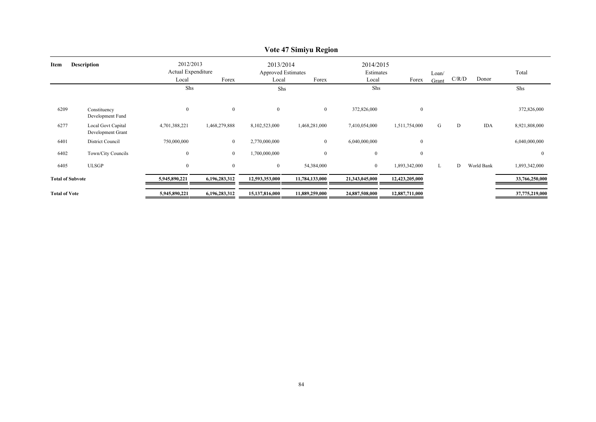|                         |                                                |                                          |               |                                                 | VOIC 47 SHIIIYU INEGIOII |                                 |                  |                |       |            |                |
|-------------------------|------------------------------------------------|------------------------------------------|---------------|-------------------------------------------------|--------------------------|---------------------------------|------------------|----------------|-------|------------|----------------|
| Item                    | <b>Description</b>                             | 2012/2013<br>Actual Expenditure<br>Local | Forex         | 2013/2014<br><b>Approved Estimates</b><br>Local | Forex                    | 2014/2015<br>Estimates<br>Local | Forex            | Loan/<br>Grant | C/R/D | Donor      | Total          |
|                         |                                                | Shs                                      |               | Shs                                             |                          | Shs                             |                  |                |       |            | Shs            |
| 6209                    | Constituency<br>Development Fund               | $\mathbf{0}$                             | $\mathbf{0}$  | $\overline{0}$                                  | $\bf{0}$                 | 372,826,000                     | $\boldsymbol{0}$ |                |       |            | 372,826,000    |
| 6277                    | <b>Local Govt Capital</b><br>Development Grant | 4,701,388,221                            | 1,468,279,888 | 8,102,523,000                                   | 1,468,281,000            | 7,410,054,000                   | 1,511,754,000    | G              | D     | <b>IDA</b> | 8,921,808,000  |
| 6401                    | <b>District Council</b>                        | 750,000,000                              | $\mathbf{0}$  | 2,770,000,000                                   | $\mathbf{0}$             | 6,040,000,000                   | $\bf{0}$         |                |       |            | 6,040,000,000  |
| 6402                    | Town/City Councils                             | $\overline{0}$                           | $\mathbf{0}$  | 1,700,000,000                                   | $\mathbf{0}$             | $\overline{0}$                  | $\bf{0}$         |                |       |            | $\overline{0}$ |
| 6405                    | <b>ULSGP</b>                                   | $\overline{0}$                           | $\mathbf{0}$  | $\mathbf{0}$                                    | 54,384,000               | $\overline{0}$                  | 1,893,342,000    | L              | D     | World Bank | 1,893,342,000  |
| <b>Total of Subvote</b> |                                                | 5,945,890,221                            | 6,196,283,312 | 12,593,353,000                                  | 11,784,133,000           | 21,343,045,000                  | 12,423,205,000   |                |       |            | 33,766,250,000 |
| <b>Total of Vote</b>    |                                                | 5,945,890,221                            | 6,196,283,312 | 15,137,816,000                                  | 11,889,259,000           | 24,887,508,000                  | 12,887,711,000   |                |       |            | 37,775,219,000 |
|                         |                                                |                                          |               |                                                 |                          |                                 |                  |                |       |            |                |

## **Vote 47 Simiyu Region**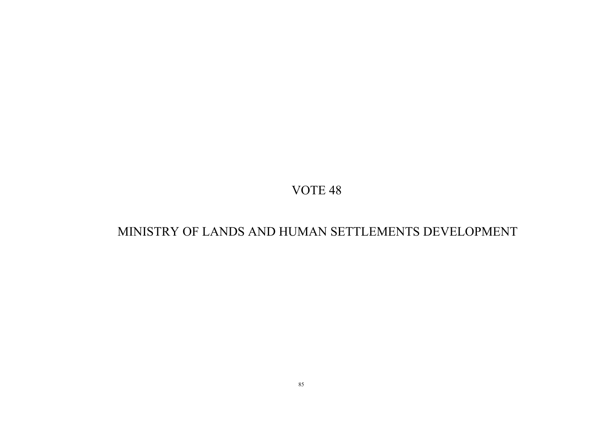## MINISTRY OF LANDS AND HUMAN SETTLEMENTS DEVELOPMENT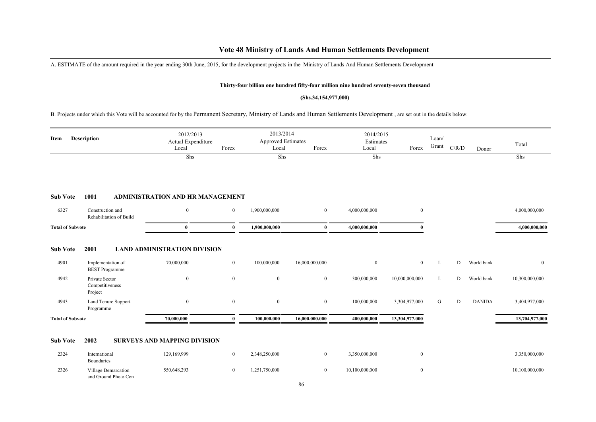## **Vote 48 Ministry of Lands And Human Settlements Development**

A. ESTIMATE of the amount required in the year ending 30th June, 2015, for the development projects in the Ministry of Lands And Human Settlements Development

#### **Thirty-four billion one hundred fifty-four million nine hundred seventy-seven thousand**

#### **(Shs.34,154,977,000)**

B. Projects under which this Vote will be accounted for by the Permanent Secretary, Ministry of Lands and Human Settlements Development , are set out in the details below.

| Item                    | <b>Description</b>                           | 2012/2013<br>Actual Expenditure<br>Local | Forex          | 2013/2014<br><b>Approved Estimates</b><br>Local | Forex            | 2014/2015<br>Estimates<br>Local | Forex            | Loan/<br>Grant | C/R/D | Donor         | Total          |
|-------------------------|----------------------------------------------|------------------------------------------|----------------|-------------------------------------------------|------------------|---------------------------------|------------------|----------------|-------|---------------|----------------|
|                         |                                              | Shs                                      |                | Shs                                             |                  | Shs                             |                  |                |       |               | Shs            |
| <b>Sub Vote</b>         | 1001                                         | <b>ADMINISTRATION AND HR MANAGEMENT</b>  |                |                                                 |                  |                                 |                  |                |       |               |                |
| 6327                    | Construction and<br>Rehabilitation of Build  | $\mathbf{0}$                             | $\overline{0}$ | 1,900,000,000                                   | $\overline{0}$   | 4,000,000,000                   | $\mathbf{0}$     |                |       |               | 4,000,000,000  |
| <b>Total of Subvote</b> |                                              | $\mathbf{0}$                             | $\mathbf{0}$   | 1,900,000,000                                   | $\bf{0}$         | 4,000,000,000                   |                  |                |       |               | 4,000,000,000  |
| <b>Sub Vote</b>         | 2001                                         | <b>LAND ADMINISTRATION DIVISION</b>      |                |                                                 |                  |                                 |                  |                |       |               |                |
| 4901                    | Implementation of<br><b>BEST</b> Programme   | 70,000,000                               | $\bf{0}$       | 100,000,000                                     | 16,000,000,000   | $\overline{0}$                  | $\overline{0}$   | L              | D     | World bank    | $\overline{0}$ |
| 4942                    | Private Sector<br>Competitiveness<br>Project | $\mathbf{0}$                             | $\overline{0}$ | $\boldsymbol{0}$                                | $\mathbf{0}$     | 300,000,000                     | 10,000,000,000   | L              | D     | World bank    | 10,300,000,000 |
| 4943                    | Land Tenure Support<br>Programme             | $\mathbf{0}$                             | $\bf{0}$       | $\boldsymbol{0}$                                | $\boldsymbol{0}$ | 100,000,000                     | 3,304,977,000    | G              | D     | <b>DANIDA</b> | 3,404,977,000  |
| <b>Total of Subvote</b> |                                              | 70,000,000                               | $\mathbf{0}$   | 100,000,000                                     | 16,000,000,000   | 400,000,000                     | 13,304,977,000   |                |       |               | 13,704,977,000 |
| <b>Sub Vote</b>         | 2002                                         | <b>SURVEYS AND MAPPING DIVISION</b>      |                |                                                 |                  |                                 |                  |                |       |               |                |
| 2324                    | International<br>Boundaries                  | 129,169,999                              | $\bf{0}$       | 2,348,250,000                                   | $\overline{0}$   | 3,350,000,000                   | $\overline{0}$   |                |       |               | 3,350,000,000  |
| 2326                    | Village Demarcation<br>and Ground Photo Con  | 550,648,293                              | $\overline{0}$ | 1,251,750,000                                   | $\overline{0}$   | 10,100,000,000                  | $\boldsymbol{0}$ |                |       |               | 10,100,000,000 |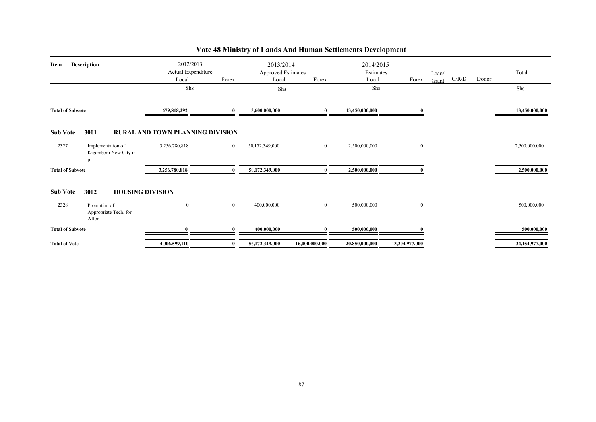| <b>Description</b><br><b>Item</b> |                                                | 2012/2013<br>Actual Expenditure         |                | 2013/2014<br><b>Approved Estimates</b> |                | 2014/2015<br>Estimates |                | Loan/ |       |       | Total          |
|-----------------------------------|------------------------------------------------|-----------------------------------------|----------------|----------------------------------------|----------------|------------------------|----------------|-------|-------|-------|----------------|
|                                   |                                                | Local                                   | Forex          | Local                                  | Forex          | Local                  | Forex          | Grant | C/R/D | Donor |                |
|                                   |                                                | Shs                                     |                | Shs                                    |                | Shs                    |                |       |       |       | Shs            |
| <b>Total of Subvote</b>           |                                                | 679,818,292                             | $\mathbf{0}$   | 3,600,000,000                          | $\mathbf{0}$   | 13,450,000,000         |                |       |       |       | 13,450,000,000 |
| <b>Sub Vote</b>                   | 3001                                           | <b>RURAL AND TOWN PLANNING DIVISION</b> |                |                                        |                |                        |                |       |       |       |                |
| 2327                              | Implementation of<br>Kigamboni New City m<br>n | 3,256,780,818                           | $\overline{0}$ | 50,172,349,000                         | $\overline{0}$ | 2,500,000,000          | $\bf{0}$       |       |       |       | 2,500,000,000  |
| <b>Total of Subvote</b>           |                                                | 3,256,780,818                           |                | 50,172,349,000                         |                | 2,500,000,000          |                |       |       |       | 2,500,000,000  |
| <b>Sub Vote</b>                   | 3002<br><b>HOUSING DIVISION</b>                |                                         |                |                                        |                |                        |                |       |       |       |                |
| 2328                              | Promotion of<br>Appropriate Tech. for<br>Affor | $\bf{0}$                                | $\overline{0}$ | 400,000,000                            | $\overline{0}$ | 500,000,000            | $\bf{0}$       |       |       |       | 500,000,000    |
| <b>Total of Subvote</b>           |                                                | $\Omega$                                |                | 400,000,000                            |                | 500,000,000            |                |       |       |       | 500,000,000    |
| <b>Total of Vote</b>              |                                                | 4,006,599,110                           |                | 56,172,349,000                         | 16.000.000.000 | 20,850,000,000         | 13,304,977,000 |       |       |       | 34,154,977,000 |

## **Vote 48 Ministry of Lands And Human Settlements Development**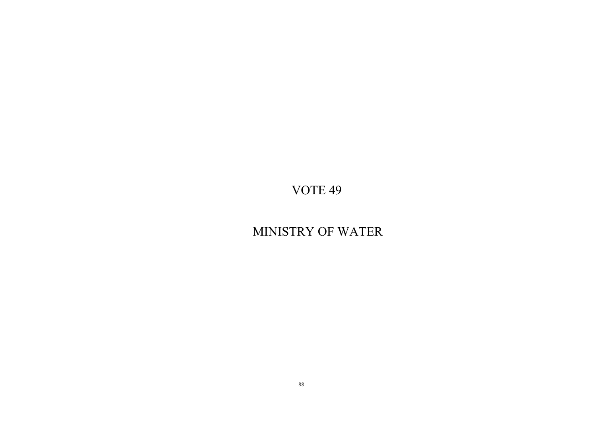# MINISTRY OF WATER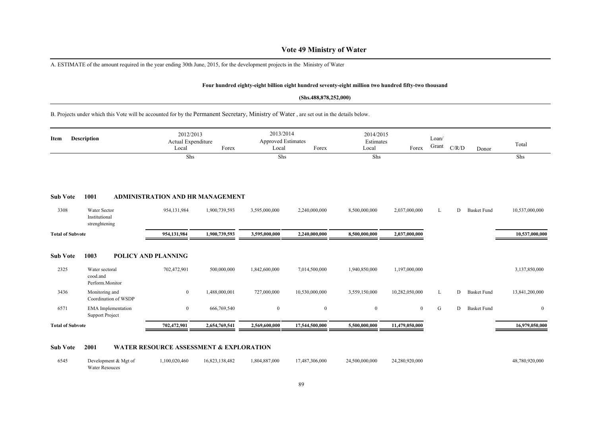## **Vote 49 Ministry of Water**

A. ESTIMATE of the amount required in the year ending 30th June, 2015, for the development projects in the Ministry of Water

#### **Four hundred eighty-eight billion eight hundred seventy-eight million two hundred fifty-two thousand**

#### **(Shs.488,878,252,000)**

B. Projects under which this Vote will be accounted for by the Permanent Secretary, Ministry of Water , are set out in the details below.

| Item                    | <b>Description</b>                                  | 2012/2013<br>Actual Expenditure<br>Local | Forex         | 2013/2014<br><b>Approved Estimates</b><br>Local | Forex          | 2014/2015<br>Estimates<br>Local | Forex          | Loan/<br>Grant | C/R/D | Donor              | Total          |
|-------------------------|-----------------------------------------------------|------------------------------------------|---------------|-------------------------------------------------|----------------|---------------------------------|----------------|----------------|-------|--------------------|----------------|
|                         |                                                     | Shs                                      |               | Shs                                             |                | Shs                             |                |                |       |                    | Shs            |
| <b>Sub Vote</b>         | 1001                                                | ADMINISTRATION AND HR MANAGEMENT         |               |                                                 |                |                                 |                |                |       |                    |                |
| 3308                    | Water Sector<br>Institutional<br>strenghtening      | 954,131,984                              | 1,900,739,593 | 3,595,000,000                                   | 2,240,000,000  | 8,500,000,000                   | 2,037,000,000  | L              | D     | <b>Basket Fund</b> | 10,537,000,000 |
| <b>Total of Subvote</b> |                                                     | 954,131,984                              | 1,900,739,593 | 3,595,000,000                                   | 2,240,000,000  | 8,500,000,000                   | 2,037,000,000  |                |       |                    | 10,537,000,000 |
| <b>Sub Vote</b>         | 1003                                                | POLICY AND PLANNING                      |               |                                                 |                |                                 |                |                |       |                    |                |
| 2325                    | Water sectoral<br>cood.and<br>Perform.Monitor       | 702,472,901                              | 500,000,000   | 1,842,600,000                                   | 7,014,500,000  | 1,940,850,000                   | 1,197,000,000  |                |       |                    | 3,137,850,000  |
| 3436                    | Monitoring and<br>Coordination of WSDP              | $\bf{0}$                                 | 1,488,000,001 | 727,000,000                                     | 10,530,000,000 | 3,559,150,000                   | 10,282,050,000 | L              | D     | <b>Basket Fund</b> | 13,841,200,000 |
| 6571                    | <b>EMA</b> Implementation<br><b>Support Project</b> | $\mathbf{0}$                             | 666,769,540   | $\bf{0}$                                        | $\bf{0}$       | $\bf{0}$                        | $\mathbf{0}$   | ${\bf G}$      | D     | <b>Basket Fund</b> | $\bf{0}$       |
| <b>Total of Subvote</b> |                                                     | 702,472,901                              | 2,654,769,541 | 2,569,600,000                                   | 17,544,500,000 | 5,500,000,000                   | 11,479,050,000 |                |       |                    | 16,979,050,000 |

#### **Sub Vote 2001 WATER RESOURCE ASSESSMENT & EXPLORATION**

| 6545 | Development & Mgt of  | 1,100,020,460 | 16,823,138,482 | 1,804,887,000 | 17,487,306,000 | 24,500,000,000 | 24,280,920,000 | 48,780,920,000 |
|------|-----------------------|---------------|----------------|---------------|----------------|----------------|----------------|----------------|
|      | <b>Water Resouces</b> |               |                |               |                |                |                |                |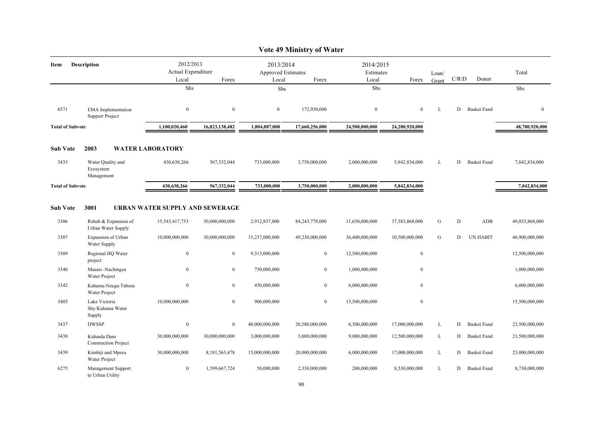|                         |                                                     |                                          |                  |                                                 | Vote 49 Ministry of Water |                                 |                  |                |       |                    |                |
|-------------------------|-----------------------------------------------------|------------------------------------------|------------------|-------------------------------------------------|---------------------------|---------------------------------|------------------|----------------|-------|--------------------|----------------|
| Description<br>Item     |                                                     | 2012/2013<br>Actual Expenditure<br>Local | Forex            | 2013/2014<br><b>Approved Estimates</b><br>Local | Forex                     | 2014/2015<br>Estimates<br>Local | Forex            | Loan/<br>Grant | C/R/D | Donor              | Total          |
|                         |                                                     | Shs                                      |                  | Shs                                             |                           | Shs                             |                  |                |       |                    | Shs            |
| 6571                    | <b>EMA</b> Implementation<br><b>Support Project</b> | $\bf{0}$                                 | $\boldsymbol{0}$ | $\bf{0}$                                        | 172,950,000               | $\bf{0}$                        | $\mathbf{0}$     | L              | D     | <b>Basket Fund</b> | $\mathbf{0}$   |
| <b>Total of Subvote</b> |                                                     | 1,100,020,460                            | 16,823,138,482   | 1,804,887,000                                   | 17,660,256,000            | 24,500,000,000                  | 24,280,920,000   |                |       |                    | 48,780,920,000 |
| <b>Sub Vote</b>         | 2003                                                | <b>WATER LABORATORY</b>                  |                  |                                                 |                           |                                 |                  |                |       |                    |                |
| 3435                    | Water Quality and<br>Ecosystem<br>Management        | 430,638,266                              | 567,332,044      | 733,000,000                                     | 3,750,000,000             | 2,000,000,000                   | 5,842,834,000    | L              | D     | <b>Basket Fund</b> | 7,842,834,000  |
| <b>Total of Subvote</b> |                                                     | 430,638,266                              | 567,332,044      | 733,000,000                                     | 3,750,000,000             | 2.000.000.000                   | 5,842,834,000    |                |       |                    | 7,842,834,000  |
| <b>Sub Vote</b>         | 3001                                                | URBAN WATER SUPPLY AND SEWERAGE          |                  |                                                 |                           |                                 |                  |                |       |                    |                |
| 3306                    | Rehab & Expansion of<br>Urban Water Supply          | 15,543,417,753                           | 30,000,000,000   | 2,912,837,000                                   | 84,243,778,000            | 11,650,000,000                  | 37,383,868,000   | G              | D     | <b>ADB</b>         | 49,033,868,000 |
| 3307                    | Expansion of Urban<br>Water Supply                  | 10,000,000,000                           | 30,000,000,000   | 15,237,000,000                                  | 49,230,000,000            | 36,400,000,000                  | 10,500,000,000   | G              | D     | <b>UN HABIT</b>    | 46,900,000,000 |
| 3309                    | Regional HQ Water<br>project                        | $\boldsymbol{0}$                         | $\bf{0}$         | 9,313,000,000                                   | $\mathbf{0}$              | 12,500,000,000                  | $\boldsymbol{0}$ |                |       |                    | 12,500,000,000 |
| 3340                    | Masasi -Nachingea<br>Water Project                  | $\boldsymbol{0}$                         | $\mathbf{0}$     | 750,000,000                                     | $\mathbf{0}$              | 1,000,000,000                   | $\boldsymbol{0}$ |                |       |                    | 1,000,000,000  |
| 3342                    | Kahama-Nzega-Tabora<br>Water Project                | $\boldsymbol{0}$                         | $\overline{0}$   | 450,000,000                                     | $\overline{0}$            | 6,000,000,000                   | $\boldsymbol{0}$ |                |       |                    | 6,000,000,000  |
| 3403                    | Lake Victoria<br>Shy/Kahama Water<br>Supply         | 10,000,000,000                           | $\mathbf{0}$     | 900,000,000                                     | $\mathbf{0}$              | 15,500,000,000                  | $\boldsymbol{0}$ |                |       |                    | 15,500,000,000 |
| 3437                    | <b>DWSSP</b>                                        | $\boldsymbol{0}$                         | $\bf{0}$         | 40,000,000,000                                  | 20,580,000,000            | 6,500,000,000                   | 17,000,000,000   | L              | D     | <b>Basket Fund</b> | 23,500,000,000 |
| 3438                    | Kidunda Dam<br><b>Construction Project</b>          | 30,000,000,000                           | 30,000,000,000   | 3,000,000,000                                   | 3,000,000,000             | 9,000,000,000                   | 12,500,000,000   | L              | D     | <b>Basket Fund</b> | 21,500,000,000 |
| 3439                    | Kimbiji and Mpera<br>Water Project                  | 30,000,000,000                           | 8,181,563,478    | 15,000,000,000                                  | 20,000,000,000            | 6,000,000,000                   | 17,000,000,000   | L              | D     | <b>Basket Fund</b> | 23,000,000,000 |
| 6275                    | Management Support<br>to Urban Utility              | $\bf{0}$                                 | 1,599,667,724    | 50,000,000                                      | 2,330,000,000             | 200,000,000                     | 8,530,000,000    | L              | D     | <b>Basket Fund</b> | 8,730,000,000  |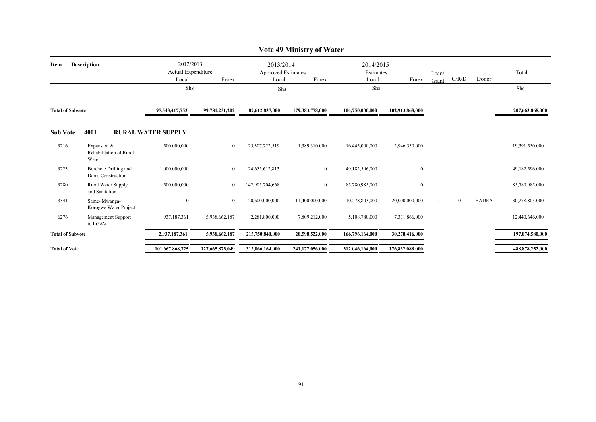|                         |                                                |                                 |                 |                                        | Vote 49 Ministry of Water |                        |                  |       |              |              |                 |
|-------------------------|------------------------------------------------|---------------------------------|-----------------|----------------------------------------|---------------------------|------------------------|------------------|-------|--------------|--------------|-----------------|
| Item                    | <b>Description</b>                             | 2012/2013<br>Actual Expenditure |                 | 2013/2014<br><b>Approved Estimates</b> |                           | 2014/2015<br>Estimates |                  | Loan/ |              |              | Total           |
|                         |                                                | Local                           | Forex           | Local                                  | Forex                     | Local                  | Forex            | Grant | C/R/D        | Donor        |                 |
|                         |                                                | Shs                             |                 | Shs                                    |                           | Shs                    |                  |       |              |              | Shs             |
| <b>Total of Subvote</b> |                                                | 95,543,417,753                  | 99,781,231,202  | 87,612,837,000                         | 179,383,778,000           | 104,750,000,000        | 102,913,868,000  |       |              |              | 207,663,868,000 |
| <b>Sub Vote</b>         | 4001                                           | <b>RURAL WATER SUPPLY</b>       |                 |                                        |                           |                        |                  |       |              |              |                 |
| 3216                    | Expansion &<br>Rehabilitation of Rural<br>Wate | 500,000,000                     | $\overline{0}$  | 25,307,722,519                         | 1,389,310,000             | 16,445,000,000         | 2,946,550,000    |       |              |              | 19,391,550,000  |
| 3223                    | Borehole Drilling and<br>Dams Construction     | 1,000,000,000                   | $\overline{0}$  | 24,655,612,813                         | $\overline{0}$            | 49,182,596,000         | $\mathbf{0}$     |       |              |              | 49,182,596,000  |
| 3280                    | Rural Water Supply<br>and Sanitation           | 500,000,000                     | $\overline{0}$  | 142,905,704,668                        | $\overline{0}$            | 85,780,985,000         | $\boldsymbol{0}$ |       |              |              | 85,780,985,000  |
| 3341                    | Same-Mwanga-<br>Korogwe Water Project          | $\mathbf{0}$                    | $\overline{0}$  | 20,600,000,000                         | 11,400,000,000            | 10,278,803,000         | 20,000,000,000   |       | $\mathbf{0}$ | <b>BADEA</b> | 30,278,803,000  |
| 6276                    | Management Support<br>to LGA's                 | 937,187,361                     | 5,938,662,187   | 2,281,800,000                          | 7,809,212,000             | 5,108,780,000          | 7,331,866,000    |       |              |              | 12,440,646,000  |
| <b>Total of Subvote</b> |                                                | 2,937,187,361                   | 5,938,662,187   | 215,750,840,000                        | 20,598,522,000            | 166,796,164,000        | 30,278,416,000   |       |              |              | 197,074,580,000 |
| <b>Total of Vote</b>    |                                                | 101,667,868,725                 | 127,665,873,049 | 312,066,164,000                        | 241,177,056,000           | 312,046,164,000        | 176,832,088,000  |       |              |              | 488,878,252,000 |

## **Vote 49 Ministry of Water**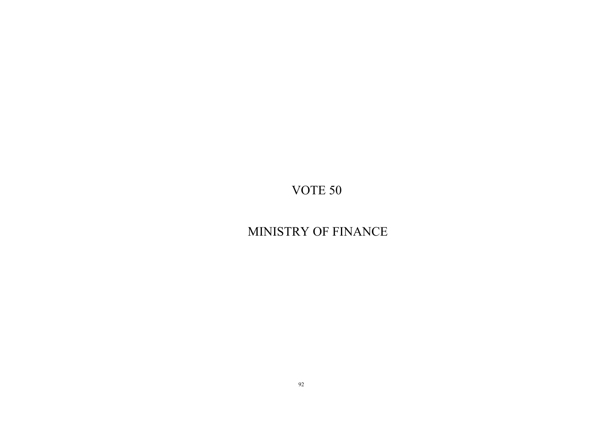# MINISTRY OF FINANCE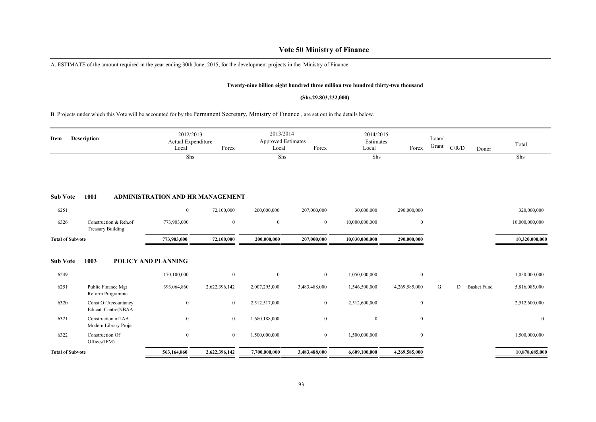## **Vote 50 Ministry of Finance**

A. ESTIMATE of the amount required in the year ending 30th June, 2015, for the development projects in the Ministry of Finance

### **Twenty-nine billion eight hundred three million two hundred thirty-two thousand**

#### **(Shs.29,803,232,000)**

B. Projects under which this Vote will be accounted for by the Permanent Secretary, Ministry of Finance , are set out in the details below.

| <b>Description</b><br>Item | 2012/2013<br>Actual Expenditure                   |                                  | 2013/2014<br>Approved Estimates |                  | 2014/2015<br>Estimates |                | Loan/            |       |       | Total              |                |
|----------------------------|---------------------------------------------------|----------------------------------|---------------------------------|------------------|------------------------|----------------|------------------|-------|-------|--------------------|----------------|
|                            |                                                   | Local                            | Forex                           | Local            | Forex                  | Local          | Forex            | Grant | C/R/D | Donor              |                |
|                            |                                                   | Shs                              |                                 | Shs              |                        | Shs            |                  |       |       |                    | Shs            |
|                            |                                                   |                                  |                                 |                  |                        |                |                  |       |       |                    |                |
|                            |                                                   |                                  |                                 |                  |                        |                |                  |       |       |                    |                |
| <b>Sub Vote</b>            | 1001                                              | ADMINISTRATION AND HR MANAGEMENT |                                 |                  |                        |                |                  |       |       |                    |                |
| 6251                       |                                                   | $\mathbf{0}$                     | 72,100,000                      | 200,000,000      | 207,000,000            | 30,000,000     | 290,000,000      |       |       |                    | 320,000,000    |
| 6326                       | Construction & Reh.of<br><b>Treasury Building</b> | 773,903,000                      | $\bf{0}$                        | $\boldsymbol{0}$ | $\mathbf{0}$           | 10,000,000,000 | $\boldsymbol{0}$ |       |       |                    | 10,000,000,000 |
| <b>Total of Subvote</b>    |                                                   | 773,903,000                      | 72,100,000                      | 200,000,000      | 207,000,000            | 10,030,000,000 | 290,000,000      |       |       |                    | 10,320,000,000 |
|                            |                                                   |                                  |                                 |                  |                        |                |                  |       |       |                    |                |
| <b>Sub Vote</b>            | 1003                                              | <b>POLICY AND PLANNING</b>       |                                 |                  |                        |                |                  |       |       |                    |                |
| 6249                       |                                                   | 170,100,000                      | $\bf{0}$                        | $\boldsymbol{0}$ | $\mathbf{0}$           | 1,050,000,000  | $\boldsymbol{0}$ |       |       |                    | 1,050,000,000  |
| 6251                       | Public Finance Mgt<br>Reform Programme            | 393,064,860                      | 2,622,396,142                   | 2,007,295,000    | 3,483,488,000          | 1,546,500,000  | 4,269,585,000    | G     | D     | <b>Basket Fund</b> | 5,816,085,000  |
| 6320                       | Const Of Accountancy<br>Educat. Centre(NBAA       | $\mathbf{0}$                     | $\boldsymbol{0}$                | 2,512,517,000    | $\mathbf{0}$           | 2,512,600,000  | $\boldsymbol{0}$ |       |       |                    | 2,512,600,000  |
| 6321                       | Construction of IAA<br>Modern Library Proje       | $\mathbf{0}$                     | $\boldsymbol{0}$                | 1,680,188,000    | $\mathbf{0}$           | $\mathbf{0}$   | $\boldsymbol{0}$ |       |       |                    | $\bf{0}$       |
| 6322                       | Construction Of<br>Offices(IFM)                   | $\mathbf{0}$                     | $\boldsymbol{0}$                | 1,500,000,000    | $\overline{0}$         | 1,500,000,000  | $\boldsymbol{0}$ |       |       |                    | 1,500,000,000  |
| <b>Total of Subvote</b>    |                                                   | 563,164,860                      | 2,622,396,142                   | 7,700,000,000    | 3,483,488,000          | 6,609,100,000  | 4,269,585,000    |       |       |                    | 10,878,685,000 |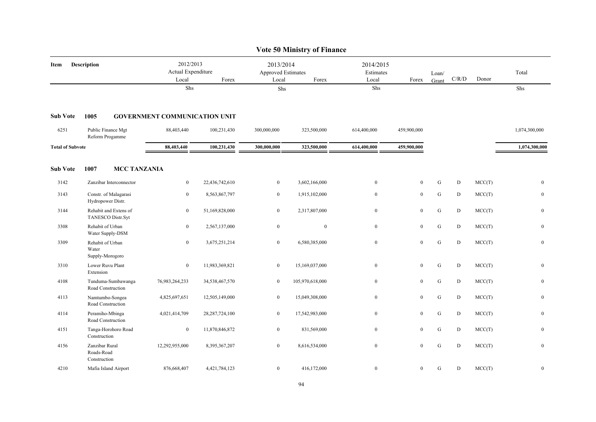|                         |                                              |                                          |                   |                                          | <b>Vote 50 Ministry of Finance</b> |                                 |                  |                |           |        |                  |
|-------------------------|----------------------------------------------|------------------------------------------|-------------------|------------------------------------------|------------------------------------|---------------------------------|------------------|----------------|-----------|--------|------------------|
| Item                    | Description                                  | 2012/2013<br>Actual Expenditure<br>Local | Forex             | 2013/2014<br>Approved Estimates<br>Local | Forex                              | 2014/2015<br>Estimates<br>Local | Forex            | Loan/<br>Grant | C/R/D     | Donor  | Total            |
|                         |                                              | Shs                                      |                   | Shs                                      |                                    | Shs                             |                  |                |           |        | Shs              |
| <b>Sub Vote</b>         | 1005                                         | <b>GOVERNMENT COMMUNICATION UNIT</b>     |                   |                                          |                                    |                                 |                  |                |           |        |                  |
| 6251                    | Public Finance Mgt<br>Reform Progamme        | 88,403,440                               | 100,231,430       | 300,000,000                              | 323,500,000                        | 614,400,000                     | 459,900,000      |                |           |        | 1,074,300,000    |
| <b>Total of Subvote</b> |                                              | 88,403,440                               | 100,231,430       | 300,000,000                              | 323,500,000                        | 614,400,000                     | 459,900,000      |                |           |        | 1,074,300,000    |
| <b>Sub Vote</b>         | 1007<br><b>MCC TANZANIA</b>                  |                                          |                   |                                          |                                    |                                 |                  |                |           |        |                  |
| 3142                    | Zanzibar Interconnector                      | $\boldsymbol{0}$                         | 22,436,742,610    | $\boldsymbol{0}$                         | 3,602,166,000                      | $\overline{0}$                  | $\bf{0}$         | G              | D         | MCC(T) | $\boldsymbol{0}$ |
| 3143                    | Constr. of Malagarasi<br>Hydropower Distr.   | $\bf{0}$                                 | 8,563,867,797     | $\boldsymbol{0}$                         | 1,915,102,000                      | $\mathbf{0}$                    | $\boldsymbol{0}$ | ${\bf G}$      | ${\rm D}$ | MCC(T) | $\boldsymbol{0}$ |
| 3144                    | Rehabit and Extens of<br>TANESCO Distr.Syt   | $\bf{0}$                                 | 51,169,828,000    | $\overline{0}$                           | 2,317,807,000                      | $\overline{0}$                  | $\bf{0}$         | ${\bf G}$      | D         | MCC(T) | $\boldsymbol{0}$ |
| 3308                    | Rehabit of Urban<br>Water Supply-DSM         | $\mathbf{0}$                             | 2,567,137,000     | $\mathbf{0}$                             | $\bf{0}$                           | $\mathbf{0}$                    | $\bf{0}$         | ${\bf G}$      | D         | MCC(T) | $\bf{0}$         |
| 3309                    | Rehabit of Urban<br>Water<br>Supply-Morogoro | $\mathbf{0}$                             | 3,675,251,214     | $\boldsymbol{0}$                         | 6,580,385,000                      | $\bf{0}$                        | $\boldsymbol{0}$ | ${\bf G}$      | ${\rm D}$ | MCC(T) | $\boldsymbol{0}$ |
| 3310                    | Lower Ruvu Plant<br>Extension                | $\bf{0}$                                 | 11,983,369,821    | $\boldsymbol{0}$                         | 15,169,037,000                     | $\mathbf{0}$                    | $\boldsymbol{0}$ | ${\bf G}$      | D         | MCC(T) | $\boldsymbol{0}$ |
| 4108                    | Tunduma-Sumbawanga<br>Road Construction      | 76,983,264,233                           | 34,538,467,570    | $\boldsymbol{0}$                         | 105,970,618,000                    | $\boldsymbol{0}$                | $\boldsymbol{0}$ | ${\bf G}$      | ${\rm D}$ | MCC(T) | $\boldsymbol{0}$ |
| 4113                    | Namtumbo-Songea<br>Road Construction         | 4,825,697,651                            | 12,505,149,000    | $\boldsymbol{0}$                         | 15,049,308,000                     | $\mathbf{0}$                    | $\bf{0}$         | ${\bf G}$      | D         | MCC(T) | $\bf{0}$         |
| 4114                    | Peramiho-Mbinga<br>Road Construction         | 4,021,414,709                            | 28, 287, 724, 100 | $\boldsymbol{0}$                         | 17,542,983,000                     | $\overline{0}$                  | $\bf{0}$         | ${\bf G}$      | D         | MCC(T) | $\bf{0}$         |
| 4151                    | Tanga-Horohoro Road<br>Construction          | $\boldsymbol{0}$                         | 11,870,846,872    | $\overline{0}$                           | 831,569,000                        | $\overline{0}$                  | $\bf{0}$         | ${\bf G}$      | D         | MCC(T) | $\boldsymbol{0}$ |
| 4156                    | Zanzibar Rural<br>Roads-Road<br>Construction | 12,292,955,000                           | 8,395,367,207     | $\boldsymbol{0}$                         | 8,616,534,000                      | $\overline{0}$                  | $\bf{0}$         | ${\bf G}$      | ${\rm D}$ | MCC(T) | $\mathbf{0}$     |
| 4210                    | Mafia Island Airport                         | 876,668,407                              | 4,421,784,123     | $\boldsymbol{0}$                         | 416,172,000                        | $\theta$                        | $\bf{0}$         | ${\bf G}$      | ${\rm D}$ | MCC(T) | $\bf{0}$         |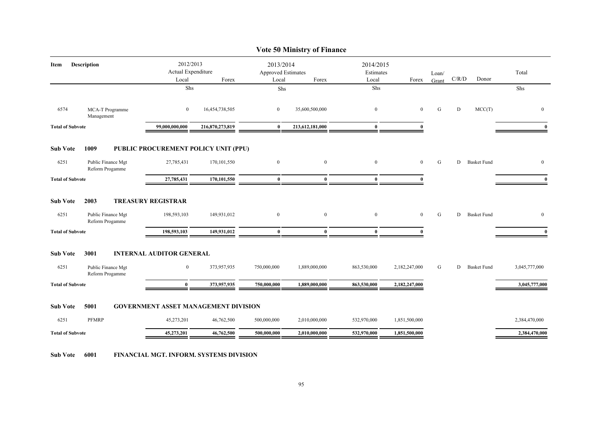|                         |                                       |                                             |                 |                                                 | <b>Vote 50 Ministry of Finance</b> |                                 |               |                |           |                    |               |
|-------------------------|---------------------------------------|---------------------------------------------|-----------------|-------------------------------------------------|------------------------------------|---------------------------------|---------------|----------------|-----------|--------------------|---------------|
| Item                    | <b>Description</b>                    | 2012/2013<br>Actual Expenditure<br>Local    | Forex           | 2013/2014<br><b>Approved Estimates</b><br>Local | Forex                              | 2014/2015<br>Estimates<br>Local | Forex         | Loan/<br>Grant | C/R/D     | Donor              | Total         |
|                         |                                       | Shs                                         |                 | Shs                                             |                                    | Shs                             |               |                |           |                    | Shs           |
| 6574                    | MCA-T Programme<br>Management         | $\overline{0}$                              | 16,454,738,505  | $\overline{0}$                                  | 35,600,500,000                     | $\boldsymbol{0}$                | $\mathbf{0}$  | G              | ${\rm D}$ | MCC(T)             | $\mathbf{0}$  |
| <b>Total of Subvote</b> |                                       | 99,000,000,000                              | 216,870,273,819 | $\bf{0}$                                        | 213,612,181,000                    | $\bf{0}$                        | 0             |                |           |                    | $\mathbf{0}$  |
| <b>Sub Vote</b>         | 1009                                  | PUBLIC PROCUREMENT POLICY UNIT (PPU)        |                 |                                                 |                                    |                                 |               |                |           |                    |               |
| 6251                    | Public Finance Mgt<br>Reform Progamme | 27,785,431                                  | 170, 101, 550   | $\overline{0}$                                  | $\overline{0}$                     | $\overline{0}$                  | $\mathbf{0}$  | G              | D         | <b>Basket Fund</b> | $\mathbf{0}$  |
| <b>Total of Subvote</b> |                                       | 27,785,431                                  | 170,101,550     | $\bf{0}$                                        | $\mathbf{0}$                       | $\bf{0}$                        | $\mathbf{0}$  |                |           |                    | $\mathbf{0}$  |
| <b>Sub Vote</b>         | 2003                                  | <b>TREASURY REGISTRAR</b>                   |                 |                                                 |                                    |                                 |               |                |           |                    |               |
| 6251                    | Public Finance Mgt<br>Reform Progamme | 198,593,103                                 | 149,931,012     | $\overline{0}$                                  | $\overline{0}$                     | $\overline{0}$                  | $\mathbf{0}$  | G              | D         | <b>Basket Fund</b> | $\bf{0}$      |
| <b>Total of Subvote</b> |                                       | 198,593,103                                 | 149,931,012     | $\bf{0}$                                        | $\bf{0}$                           | $\mathbf{0}$                    | $\mathbf{0}$  |                |           |                    | $\mathbf{0}$  |
| <b>Sub Vote</b>         | 3001                                  | <b>INTERNAL AUDITOR GENERAL</b>             |                 |                                                 |                                    |                                 |               |                |           |                    |               |
| 6251                    | Public Finance Mgt<br>Reform Progamme | $\overline{0}$                              | 373,957,935     | 750,000,000                                     | 1,889,000,000                      | 863,530,000                     | 2,182,247,000 | G              | D         | <b>Basket Fund</b> | 3,045,777,000 |
| <b>Total of Subvote</b> |                                       | $\bf{0}$                                    | 373,957,935     | 750,000,000                                     | 1,889,000,000                      | 863,530,000                     | 2,182,247,000 |                |           |                    | 3,045,777,000 |
| <b>Sub Vote</b>         | 5001                                  | <b>GOVERNMENT ASSET MANAGEMENT DIVISION</b> |                 |                                                 |                                    |                                 |               |                |           |                    |               |
| 6251                    | <b>PFMRP</b>                          | 45,273,201                                  | 46,762,500      | 500,000,000                                     | 2,010,000,000                      | 532,970,000                     | 1,851,500,000 |                |           |                    | 2,384,470,000 |
| <b>Total of Subvote</b> |                                       | 45,273,201                                  | 46,762,500      | 500,000,000                                     | 2,010,000,000                      | 532,970,000                     | 1,851,500,000 |                |           |                    | 2,384,470,000 |

**Sub Vote 6001 FINANCIAL MGT. INFORM. SYSTEMS DIVISION**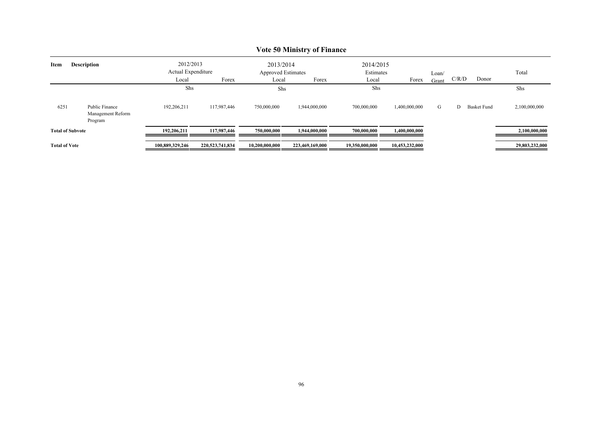|                            | $\sqrt{2}$                                     |                                 |                 |                                        |                 |                        |                |       |                         |                |  |  |
|----------------------------|------------------------------------------------|---------------------------------|-----------------|----------------------------------------|-----------------|------------------------|----------------|-------|-------------------------|----------------|--|--|
| <b>Description</b><br>Item |                                                | 2012/2013<br>Actual Expenditure |                 | 2013/2014<br><b>Approved Estimates</b> |                 | 2014/2015<br>Estimates |                | Loan/ |                         | Total          |  |  |
|                            |                                                | Local                           | Forex           | Local                                  | Forex           | Local                  | Forex          | Grant | C/R/D                   | Donor          |  |  |
|                            |                                                | Shs                             |                 | Shs                                    |                 | Shs                    |                |       |                         | Shs            |  |  |
| 6251                       | Public Finance<br>Management Reform<br>Program | 192,206,211                     | 117,987,446     | 750,000,000                            | 1,944,000,000   | 700,000,000            | 1,400,000,000  | G     | <b>Basket Fund</b><br>D | 2,100,000,000  |  |  |
| <b>Total of Subvote</b>    |                                                | 192.206.211                     | 117,987,446     | 750,000,000                            | 1,944,000,000   | 700,000,000            | 1,400,000,000  |       |                         | 2,100,000,000  |  |  |
| <b>Total of Vote</b>       |                                                | 100,889,329,246                 | 220,523,741,834 | 10,200,000,000                         | 223,469,169,000 | 19,350,000,000         | 10,453,232,000 |       |                         | 29,803,232,000 |  |  |

## **Vote 50 Ministry of Finance**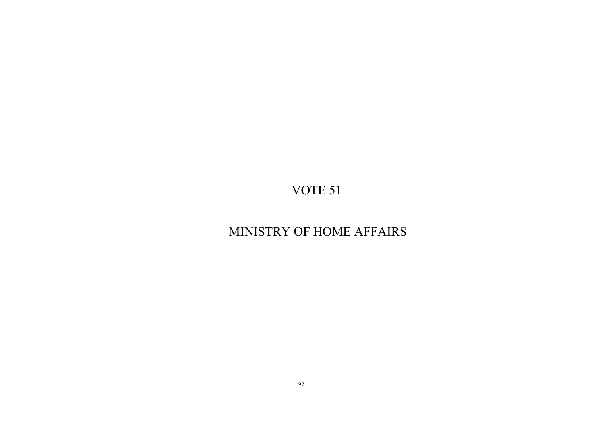## MINISTRY OF HOME AFFAIRS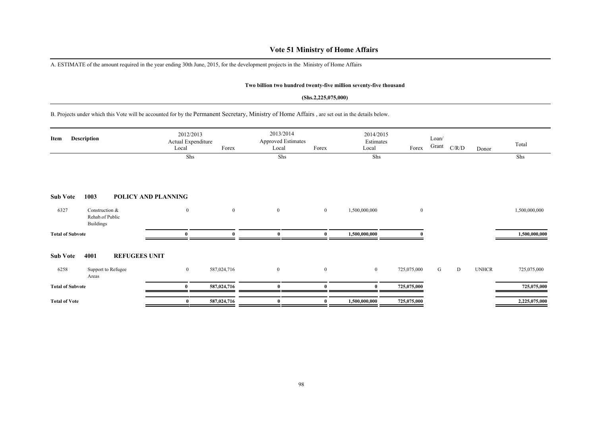## **Vote 51 Ministry of Home Affairs**

A. ESTIMATE of the amount required in the year ending 30th June, 2015, for the development projects in the Ministry of Home Affairs

### **Two billion two hundred twenty-five million seventy-five thousand**

#### **(Shs.2,225,075,000)**

B. Projects under which this Vote will be accounted for by the Permanent Secretary, Ministry of Home Affairs , are set out in the details below.

| Description<br>Item     |                                                       | Local               | 2012/2013<br>Actual Expenditure<br>Forex |                  | 2013/2014<br><b>Approved Estimates</b><br>Forex<br>Local |               | 2014/2015<br>Estimates<br>Forex<br>Local |   |   | Donor        | Total         |
|-------------------------|-------------------------------------------------------|---------------------|------------------------------------------|------------------|----------------------------------------------------------|---------------|------------------------------------------|---|---|--------------|---------------|
|                         |                                                       | Shs                 |                                          | Shs              |                                                          | Shs           |                                          |   |   |              | Shs           |
| <b>Sub Vote</b>         | 1003                                                  | POLICY AND PLANNING |                                          |                  |                                                          |               |                                          |   |   |              |               |
| 6327                    | Construction &<br>Rehab.of Public<br><b>Buildings</b> | $\bf{0}$            | $\overline{0}$                           | $\overline{0}$   | $\overline{0}$                                           | 1,500,000,000 | $\bf{0}$                                 |   |   |              | 1,500,000,000 |
| <b>Total of Subvote</b> |                                                       | 0                   |                                          | $\theta$         |                                                          | 1,500,000,000 |                                          |   |   |              | 1,500,000,000 |
| <b>Sub Vote</b>         | 4001<br><b>REFUGEES UNIT</b>                          |                     |                                          |                  |                                                          |               |                                          |   |   |              |               |
| 6258                    | Support to Refugee<br>Areas                           | $\bf{0}$            | 587,024,716                              | $\boldsymbol{0}$ | $\mathbf{0}$                                             | $\bf{0}$      | 725,075,000                              | G | D | <b>UNHCR</b> | 725,075,000   |
| <b>Total of Subvote</b> |                                                       | $\mathbf{0}$        | 587,024,716                              | $\theta$         |                                                          | $\mathbf{0}$  | 725,075,000                              |   |   |              | 725,075,000   |
| <b>Total of Vote</b>    |                                                       | $\bf{0}$            | 587,024,716                              | $\mathbf{0}$     | $\mathbf{0}$                                             | 1,500,000,000 | 725,075,000                              |   |   |              | 2,225,075,000 |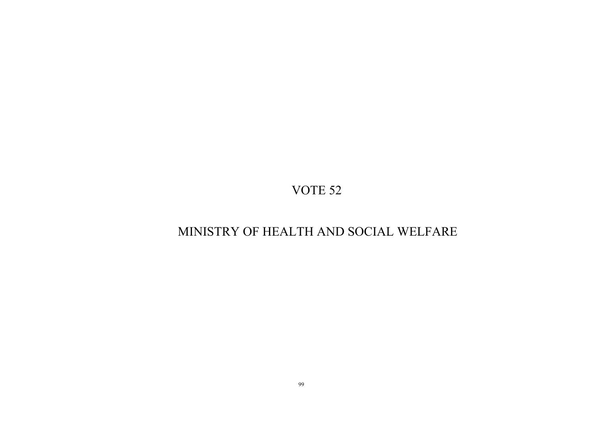## MINISTRY OF HEALTH AND SOCIAL WELFARE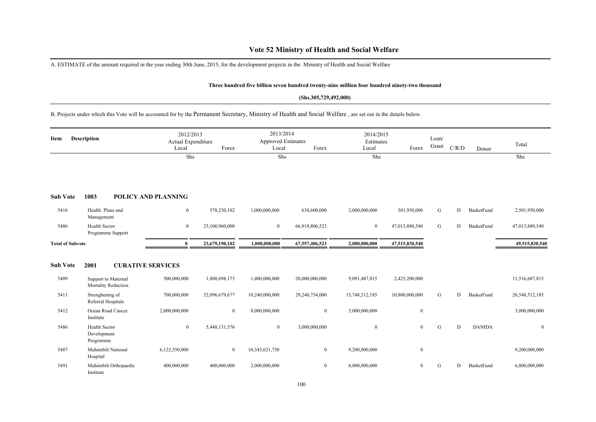## **Vote 52 Ministry of Health and Social Welfare**

A. ESTIMATE of the amount required in the year ending 30th June, 2015, for the development projects in the Ministry of Health and Social Welfare

#### **Three hundred five billion seven hundred twenty-nine million four hundred ninety-two thousand**

#### **(Shs.305,729,492,000)**

B. Projects under which this Vote will be accounted for by the Permanent Secretary, Ministry of Health and Social Welfare , are set out in the details below.

| <b>Description</b><br>Item |                                                  | 2012/2013<br>Actual Expenditure<br>Local | Forex          | 2013/2014<br><b>Approved Estimates</b><br>Local | Forex          | 2014/2015<br>Estimates<br>Local | Forex          | Loan/<br>Grant | C/R/D | Donor         | Total          |
|----------------------------|--------------------------------------------------|------------------------------------------|----------------|-------------------------------------------------|----------------|---------------------------------|----------------|----------------|-------|---------------|----------------|
|                            |                                                  | Shs                                      |                | Shs                                             |                | Shs                             |                |                |       |               | Shs            |
| <b>Sub Vote</b>            | 1003                                             | <b>POLICY AND PLANNING</b>               |                |                                                 |                |                                 |                |                |       |               |                |
| 5416                       | Health Plans and<br>Management                   | $\boldsymbol{0}$                         | 578,230,102    | 1,000,000,000                                   | 638,600,000    | 2,000,000,000                   | 501,950,000    | G              | D     | BasketFund    | 2,501,950,000  |
| 5486                       | <b>Health Sector</b><br>Programme Support        | $\boldsymbol{0}$                         | 23,100,960,000 | $\bf{0}$                                        | 66,918,806,523 | $\boldsymbol{0}$                | 47,013,880,540 | G              | D     | BasketFund    | 47,013,880,540 |
| <b>Total of Subvote</b>    |                                                  | $\mathbf{0}$                             | 23,679,190,102 | 1,000,000,000                                   | 67,557,406,523 | 2,000,000,000                   | 47,515,830,540 |                |       |               | 49,515,830,540 |
| <b>Sub Vote</b>            | 2001<br><b>CURATIVE SERVICES</b>                 |                                          |                |                                                 |                |                                 |                |                |       |               |                |
| 5409                       | Support to Maternal<br>Mortality Reduction       | 500,000,000                              | 1,800,698,173  | 1,400,000,000                                   | 20,000,000,000 | 9,091,487,815                   | 2,425,200,000  |                |       |               | 11,516,687,815 |
| 5411                       | Strenghening of<br>Referral Hospitals            | 700,000,000                              | 52,096,679,677 | 10,240,000,000                                  | 29,240,734,000 | 15,748,512,185                  | 10,800,000,000 | G              | D     | BasketFund    | 26,548,512,185 |
| 5412                       | Ocean Road Cancer<br>Institute                   | 2,000,000,000                            | $\mathbf{0}$   | 8,000,000,000                                   | $\mathbf{0}$   | 3,000,000,000                   | $\mathbf{0}$   |                |       |               | 3,000,000,000  |
| 5486                       | <b>Health Sector</b><br>Development<br>Programme | $\overline{0}$                           | 5,448,131,576  | $\mathbf{0}$                                    | 3,000,000,000  | $\mathbf{0}$                    | $\mathbf{0}$   | G              | D     | <b>DANIDA</b> | $\overline{0}$ |
| 5487                       | Muhimbili National<br>Hospital                   | 6,122,550,000                            | $\overline{0}$ | 10,345,621,730                                  | $\mathbf{0}$   | 9,200,000,000                   | $\bf{0}$       |                |       |               | 9,200,000,000  |
| 5491                       | Muhimbili Orthopaedic<br>Institute               | 400,000,000                              | 400,000,000    | 2,000,000,000                                   | $\bf{0}$       | 6,800,000,000                   | $\bf{0}$       | G              | D     | BasketFund    | 6,800,000,000  |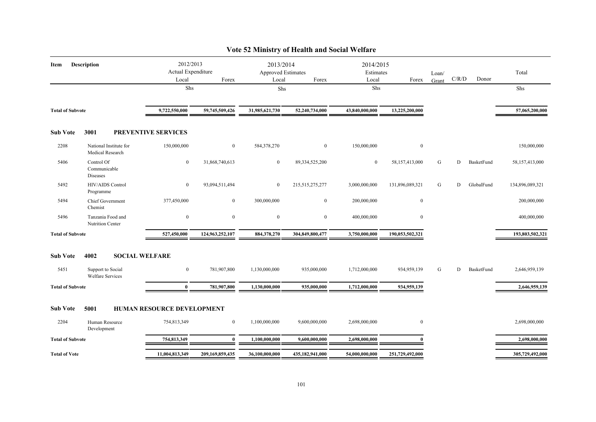| Item                    | <b>Description</b>                           | 2012/2013<br>Actual Expenditure<br>Local<br>Shs | Forex           | 2013/2014<br>Approved Estimates<br>Local<br>Shs | Forex              | 2014/2015<br>Estimates<br>Local<br>Shs | Forex            | Loan/<br>Grant | C/R/D | Donor      | Total<br>Shs    |
|-------------------------|----------------------------------------------|-------------------------------------------------|-----------------|-------------------------------------------------|--------------------|----------------------------------------|------------------|----------------|-------|------------|-----------------|
|                         |                                              |                                                 |                 |                                                 |                    |                                        |                  |                |       |            |                 |
| <b>Total of Subvote</b> |                                              | 9,722,550,000                                   | 59,745,509,426  | 31,985,621,730                                  | 52,240,734,000     | 43,840,000,000                         | 13,225,200,000   |                |       |            | 57,065,200,000  |
| <b>Sub Vote</b>         | 3001                                         | PREVENTIVE SERVICES                             |                 |                                                 |                    |                                        |                  |                |       |            |                 |
| 2208                    | National Institute for<br>Medical Research   | 150,000,000                                     | $\mathbf{0}$    | 584,378,270                                     | $\boldsymbol{0}$   | 150,000,000                            | $\boldsymbol{0}$ |                |       |            | 150,000,000     |
| 5406                    | Control Of<br>Communicable<br>Diseases       | $\overline{0}$                                  | 31,868,740,613  | $\overline{0}$                                  | 89, 334, 525, 200  | $\bf{0}$                               | 58,157,413,000   | G              | D     | BasketFund | 58,157,413,000  |
| 5492                    | HIV/AIDS Control<br>Programme                | $\overline{0}$                                  | 93,094,511,494  | $\overline{0}$                                  | 215, 515, 275, 277 | 3,000,000,000                          | 131,896,089,321  | G              | D     | GlobalFund | 134,896,089,321 |
| 5494                    | Chief Government<br>Chemist                  | 377,450,000                                     | $\mathbf{0}$    | 300,000,000                                     | $\boldsymbol{0}$   | 200,000,000                            | $\bf{0}$         |                |       |            | 200,000,000     |
| 5496                    | Tanzania Food and<br><b>Nutrition Center</b> | $\mathbf{0}$                                    | $\mathbf{0}$    | $\bf{0}$                                        | $\overline{0}$     | 400,000,000                            | $\bf{0}$         |                |       |            | 400,000,000     |
| <b>Total of Subvote</b> |                                              | 527,450,000                                     | 124,963,252,107 | 884,378,270                                     | 304,849,800,477    | 3,750,000,000                          | 190,053,502,321  |                |       |            | 193,803,502,321 |
| <b>Sub Vote</b>         | 4002<br><b>SOCIAL WELFARE</b>                |                                                 |                 |                                                 |                    |                                        |                  |                |       |            |                 |
| 5451                    | Support to Social<br><b>Welfare Services</b> | $\mathbf{0}$                                    | 781,907,800     | 1,130,000,000                                   | 935,000,000        | 1,712,000,000                          | 934,959,139      | G              | D     | BasketFund | 2,646,959,139   |
| <b>Total of Subvote</b> |                                              | $\bf{0}$                                        | 781,907,800     | 1,130,000,000                                   | 935,000,000        | 1,712,000,000                          | 934,959,139      |                |       |            | 2,646,959,139   |
| <b>Sub Vote</b>         | 5001                                         | <b>HUMAN RESOURCE DEVELOPMENT</b>               |                 |                                                 |                    |                                        |                  |                |       |            |                 |
| 2204                    | Human Resource<br>Development                | 754,813,349                                     | $\mathbf{0}$    | 1,100,000,000                                   | 9,600,000,000      | 2,698,000,000                          | $\mathbf{0}$     |                |       |            | 2,698,000,000   |
| <b>Total of Subvote</b> |                                              | 754,813,349                                     | $\mathbf{0}$    | 1,100,000,000                                   | 9,600,000,000      | 2,698,000,000                          |                  |                |       |            | 2,698,000,000   |
| <b>Total of Vote</b>    |                                              | 11,004,813,349                                  | 209,169,859,435 | 36,100,000,000                                  | 435,182,941,000    | 54,000,000,000                         | 251,729,492,000  |                |       |            | 305,729,492,000 |

## **Vote 52 Ministry of Health and Social Welfare**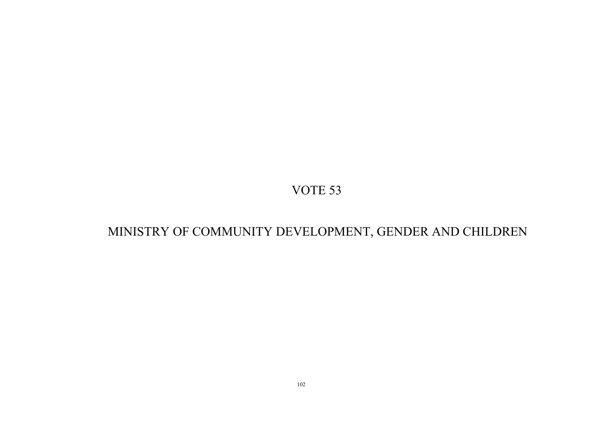# MINISTRY OF COMMUNITY DEVELOPMENT, GENDER AND CHILDREN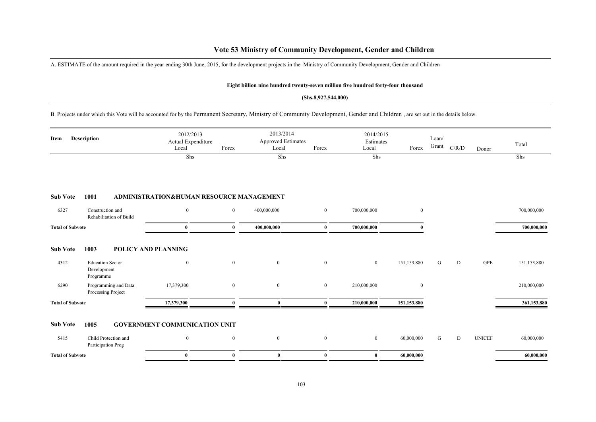## **Vote 53 Ministry of Community Development, Gender and Children**

A. ESTIMATE of the amount required in the year ending 30th June, 2015, for the development projects in the Ministry of Community Development, Gender and Children

#### **Eight billion nine hundred twenty-seven million five hundred forty-four thousand**

### **(Shs.8,927,544,000)**

B. Projects under which this Vote will be accounted for by the Permanent Secretary, Ministry of Community Development, Gender and Children , are set out in the details below.

| Item                    | <b>Description</b>                                  | 2012/2013<br>Actual Expenditure<br>Local | Forex        | 2013/2014<br><b>Approved Estimates</b><br>Local | Forex          | 2014/2015<br>Estimates<br>Local | Forex        | Loan/<br>Grant | C/R/D | Donor         | Total       |
|-------------------------|-----------------------------------------------------|------------------------------------------|--------------|-------------------------------------------------|----------------|---------------------------------|--------------|----------------|-------|---------------|-------------|
|                         |                                                     | Shs                                      |              | Shs                                             |                | Shs                             |              |                |       |               | Shs         |
| <b>Sub Vote</b>         | 1001                                                | ADMINISTRATION&HUMAN RESOURCE MANAGEMENT |              |                                                 |                |                                 |              |                |       |               |             |
| 6327                    | Construction and<br>Rehabilitation of Build         | $\mathbf{0}$                             | $\bf{0}$     | 400,000,000                                     | $\overline{0}$ | 700,000,000                     | $\mathbf{0}$ |                |       |               | 700,000,000 |
| <b>Total of Subvote</b> |                                                     | $\bf{0}$                                 | $\bf{0}$     | 400,000,000                                     | $\bf{0}$       | 700,000,000                     | $\mathbf{0}$ |                |       |               | 700,000,000 |
| <b>Sub Vote</b>         | 1003                                                | POLICY AND PLANNING                      |              |                                                 |                |                                 |              |                |       |               |             |
| 4312                    | <b>Education Sector</b><br>Development<br>Programme | $\overline{0}$                           | $\mathbf{0}$ | $\overline{0}$                                  | $\overline{0}$ | $\overline{0}$                  | 151,153,880  | G              | D     | <b>GPE</b>    | 151,153,880 |
| 6290                    | Programming and Data<br>Processing Project          | 17,379,300                               | $\mathbf{0}$ | $\bf{0}$                                        | $\bf{0}$       | 210,000,000                     | $\bf{0}$     |                |       |               | 210,000,000 |
| <b>Total of Subvote</b> |                                                     | 17,379,300                               | $\mathbf{0}$ | $\mathbf{0}$                                    | $\mathbf{0}$   | 210,000,000                     | 151,153,880  |                |       |               | 361,153,880 |
| <b>Sub Vote</b>         | 1005                                                | <b>GOVERNMENT COMMUNICATION UNIT</b>     |              |                                                 |                |                                 |              |                |       |               |             |
| 5415                    | Child Protection and<br>Participation Prog          | $\overline{0}$                           | $\mathbf{0}$ | $\bf{0}$                                        | $\bf{0}$       | $\mathbf{0}$                    | 60,000,000   | G              | D     | <b>UNICEF</b> | 60,000,000  |
| <b>Total of Subvote</b> |                                                     | $\bf{0}$                                 | $\bf{0}$     | $\bf{0}$                                        | $\bf{0}$       | $\bf{0}$                        | 60,000,000   |                |       |               | 60,000,000  |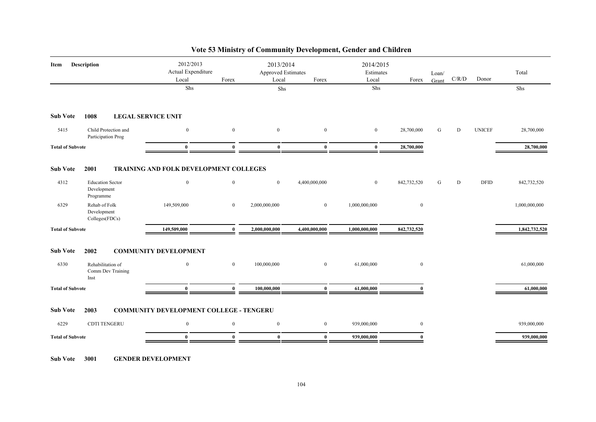| <b>Description</b><br>Item |                                                     | 2012/2013<br>Actual Expenditure<br>Local       | Forex            | 2013/2014<br>Approved Estimates<br>Local | Forex            | 2014/2015<br>Estimates<br>Local | Forex            | Loan/<br>Grant | C/R/D | Donor         | Total         |
|----------------------------|-----------------------------------------------------|------------------------------------------------|------------------|------------------------------------------|------------------|---------------------------------|------------------|----------------|-------|---------------|---------------|
|                            |                                                     | Shs                                            |                  | Shs                                      |                  | Shs                             |                  |                |       |               | Shs           |
| <b>Sub Vote</b>            | 1008                                                | <b>LEGAL SERVICE UNIT</b>                      |                  |                                          |                  |                                 |                  |                |       |               |               |
| 5415                       | Child Protection and<br>Participation Prog          | $\mathbf{0}$                                   | $\mathbf{0}$     | $\mathbf{0}$                             | $\mathbf{0}$     | $\mathbf{0}$                    | 28,700,000       | G              | D     | <b>UNICEF</b> | 28,700,000    |
| <b>Total of Subvote</b>    |                                                     | $\bf{0}$                                       | $\mathbf{0}$     | $\bf{0}$                                 | $\bf{0}$         | $\bf{0}$                        | 28,700,000       |                |       |               | 28,700,000    |
| <b>Sub Vote</b>            | 2001                                                | TRAINING AND FOLK DEVELOPMENT COLLEGES         |                  |                                          |                  |                                 |                  |                |       |               |               |
| 4312                       | <b>Education Sector</b><br>Development<br>Programme | $\mathbf{0}$                                   | $\boldsymbol{0}$ | $\mathbf{0}$                             | 4,400,000,000    | $\mathbf{0}$                    | 842,732,520      | G              | D     | <b>DFID</b>   | 842,732,520   |
| 6329                       | Rehab of Folk<br>Development<br>Colleges(FDCs)      | 149,509,000                                    | $\bf{0}$         | 2,000,000,000                            | $\mathbf{0}$     | 1,000,000,000                   | $\bf{0}$         |                |       |               | 1,000,000,000 |
| <b>Total of Subvote</b>    |                                                     | 149,509,000                                    | $\bf{0}$         | 2,000,000,000                            | 4,400,000,000    | 1,000,000,000                   | 842,732,520      |                |       |               | 1,842,732,520 |
| <b>Sub Vote</b>            | 2002                                                | <b>COMMUNITY DEVELOPMENT</b>                   |                  |                                          |                  |                                 |                  |                |       |               |               |
| 6330                       | Rehabilitation of<br>Comm Dev Training<br>Inst      | $\mathbf{0}$                                   | $\mathbf{0}$     | 100,000,000                              | $\boldsymbol{0}$ | 61,000,000                      | $\boldsymbol{0}$ |                |       |               | 61,000,000    |
| <b>Total of Subvote</b>    |                                                     | $\bf{0}$                                       | $\mathbf{0}$     | 100,000,000                              | $\mathbf{0}$     | 61,000,000                      | $\mathbf{0}$     |                |       |               | 61,000,000    |
| <b>Sub Vote</b>            | 2003                                                | <b>COMMUNITY DEVELOPMENT COLLEGE - TENGERU</b> |                  |                                          |                  |                                 |                  |                |       |               |               |
| 6229                       | <b>CDTI TENGERU</b>                                 | $\mathbf{0}$                                   | $\boldsymbol{0}$ | $\boldsymbol{0}$                         | $\mathbf{0}$     | 939,000,000                     | $\mathbf{0}$     |                |       |               | 939,000,000   |
| <b>Total of Subvote</b>    |                                                     | $\bf{0}$                                       | $\mathbf{0}$     | $\bf{0}$                                 | $\bf{0}$         | 939,000,000                     | $\mathbf{0}$     |                |       |               | 939,000,000   |
|                            |                                                     |                                                |                  |                                          |                  |                                 |                  |                |       |               |               |

## **Vote 53 Ministry of Community Development, Gender and Children**

**Sub Vote 3001 GENDER DEVELOPMENT**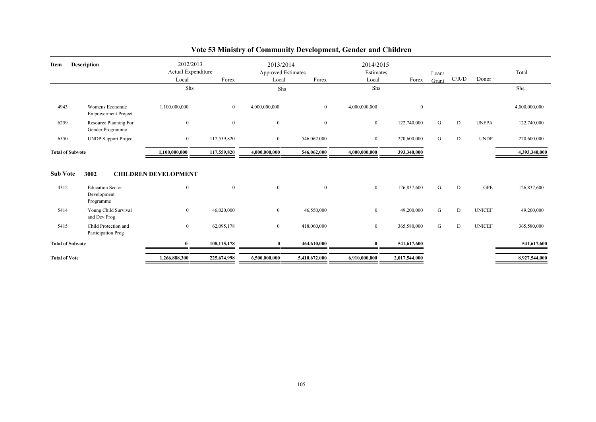| Item                    | <b>Description</b>                                  | 2012/2013<br>Actual Expenditure<br>Local<br>Shs | Forex        | 2013/2014<br><b>Approved Estimates</b><br>Local<br>Shs | Forex          | 2014/2015<br>Estimates<br>Local<br>Shs | Forex         | Loan/<br>Grant | C/R/D | Donor         | Total<br>Shs  |
|-------------------------|-----------------------------------------------------|-------------------------------------------------|--------------|--------------------------------------------------------|----------------|----------------------------------------|---------------|----------------|-------|---------------|---------------|
| 4943                    | Womens Economic<br><b>Empowerment Project</b>       | 1,100,000,000                                   | $\bf{0}$     | 4,000,000,000                                          | $\overline{0}$ | 4,000,000,000                          | $\bf{0}$      |                |       |               | 4,000,000,000 |
| 6259                    | Resource Planning For<br>Gender Programme           | $\mathbf{0}$                                    | $\mathbf{0}$ | $\mathbf{0}$                                           | $\bf{0}$       | $\boldsymbol{0}$                       | 122,740,000   | G              | D     | <b>UNFPA</b>  | 122,740,000   |
| 6550                    | <b>UNDP</b> Support Project                         | $\bf{0}$                                        | 117,559,820  | $\overline{0}$                                         | 546,062,000    | $\boldsymbol{0}$                       | 270,600,000   | G              | D     | <b>UNDP</b>   | 270,600,000   |
| <b>Total of Subvote</b> |                                                     | 1,100,000,000                                   | 117,559,820  | 4,000,000,000                                          | 546,062,000    | 4,000,000,000                          | 393,340,000   |                |       |               | 4,393,340,000 |
| <b>Sub Vote</b>         | 3002                                                | <b>CHILDREN DEVELOPMENT</b>                     |              |                                                        |                |                                        |               |                |       |               |               |
| 4312                    | <b>Education Sector</b><br>Development<br>Programme | $\mathbf{0}$                                    | $\mathbf{0}$ | $\mathbf{0}$                                           | $\overline{0}$ | $\mathbf{0}$                           | 126,837,600   | G              | D     | <b>GPE</b>    | 126,837,600   |
| 5414                    | Young Child Survival<br>and Dev.Prog                | $\mathbf{0}$                                    | 46,020,000   | $\overline{0}$                                         | 46,550,000     | $\boldsymbol{0}$                       | 49,200,000    | G              | D     | <b>UNICEF</b> | 49,200,000    |
| 5415                    | Child Protection and<br>Participation Prog          | $\mathbf{0}$                                    | 62,095,178   | $\overline{0}$                                         | 418,060,000    | $\boldsymbol{0}$                       | 365,580,000   | G              | D     | <b>UNICEF</b> | 365,580,000   |
| <b>Total of Subvote</b> |                                                     | $\bf{0}$                                        | 108,115,178  | 0                                                      | 464,610,000    | 0                                      | 541,617,600   |                |       |               | 541,617,600   |
| <b>Total of Vote</b>    |                                                     | 1,266,888,300                                   | 225,674,998  | 6,500,000,000                                          | 5,410,672,000  | 6,910,000,000                          | 2,017,544,000 |                |       |               | 8,927,544,000 |

## **Vote 53 Ministry of Community Development, Gender and Children**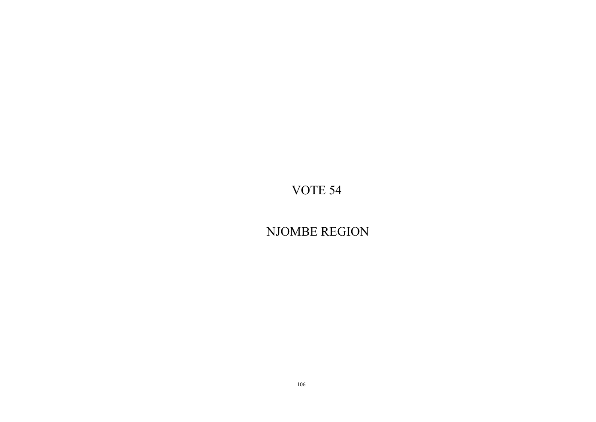NJOMBE REGION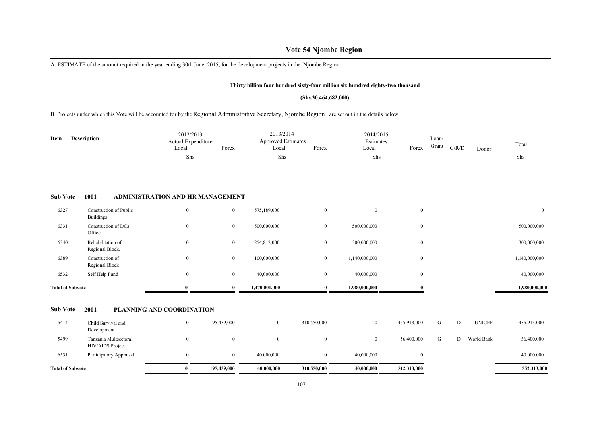## **Vote 54 Njombe Region**

A. ESTIMATE of the amount required in the year ending 30th June, 2015, for the development projects in the Njombe Region

### **Thirty billion four hundred sixty-four million six hundred eighty-two thousand**

#### **(Shs.30,464,682,000)**

B. Projects under which this Vote will be accounted for by the Regional Administrative Secretary, Njombe Region , are set out in the details below.

| Item                    | <b>Description</b>                         | 2012/2013<br>Actual Expenditure<br>Local | Forex            | 2013/2014<br><b>Approved Estimates</b><br>Local | Forex            | 2014/2015<br>Estimates<br>Local | Forex            | Loan/<br>Grant | C/R/D | Donor         | Total            |
|-------------------------|--------------------------------------------|------------------------------------------|------------------|-------------------------------------------------|------------------|---------------------------------|------------------|----------------|-------|---------------|------------------|
|                         |                                            | Shs                                      |                  | Shs                                             |                  | Shs                             |                  |                |       |               | Shs              |
| <b>Sub Vote</b>         | 1001                                       | ADMINISTRATION AND HR MANAGEMENT         |                  |                                                 |                  |                                 |                  |                |       |               |                  |
| 6327                    | Construction of Public<br><b>Buildings</b> | $\boldsymbol{0}$                         | $\boldsymbol{0}$ | 575,189,000                                     | $\mathbf{0}$     | $\bf{0}$                        | $\boldsymbol{0}$ |                |       |               | $\boldsymbol{0}$ |
| 6331                    | Construction of DCs<br>Office              | $\boldsymbol{0}$                         | $\overline{0}$   | 500,000,000                                     | $\bf{0}$         | 500,000,000                     | $\mathbf{0}$     |                |       |               | 500,000,000      |
| 6340                    | Rehabilitation of<br>Regional Block.       | $\boldsymbol{0}$                         | $\overline{0}$   | 254,812,000                                     | $\bf{0}$         | 300,000,000                     | $\overline{0}$   |                |       |               | 300,000,000      |
| 6389                    | Construction of<br>Regional Block          | $\mathbf{0}$                             | $\overline{0}$   | 100,000,000                                     | $\bf{0}$         | 1,140,000,000                   | $\overline{0}$   |                |       |               | 1,140,000,000    |
| 6532                    | Self Help Fund                             | $\boldsymbol{0}$                         | $\overline{0}$   | 40,000,000                                      | $\mathbf{0}$     | 40,000,000                      | $\overline{0}$   |                |       |               | 40,000,000       |
| <b>Total of Subvote</b> |                                            | $\mathbf{0}$                             | $\theta$         | 1,470,001,000                                   | $\mathbf{0}$     | 1,980,000,000                   |                  |                |       |               | 1,980,000,000    |
| <b>Sub Vote</b>         | 2001                                       | PLANNING AND COORDINATION                |                  |                                                 |                  |                                 |                  |                |       |               |                  |
| 5414                    | Child Survival and<br>Development          | $\bf{0}$                                 | 195,439,000      | $\overline{0}$                                  | 310,550,000      | $\mathbf{0}$                    | 455,913,000      | G              | D     | <b>UNICEF</b> | 455,913,000      |
| 5499                    | Tanzania Multsectoral<br>HIV/AIDS Project  | $\boldsymbol{0}$                         | $\mathbf{0}$     | $\mathbf{0}$                                    | $\boldsymbol{0}$ | $\mathbf{0}$                    | 56,400,000       | G              | D     | World Bank    | 56,400,000       |
| 6531                    | Participatory Appraisal                    | $\bf{0}$                                 | $\mathbf{0}$     | 40,000,000                                      | $\bf{0}$         | 40,000,000                      | $\overline{0}$   |                |       |               | 40,000,000       |
| <b>Total of Subvote</b> |                                            | $\bf{0}$                                 | 195,439,000      | 40,000,000                                      | 310,550,000      | 40,000,000                      | 512,313,000      |                |       |               | 552,313,000      |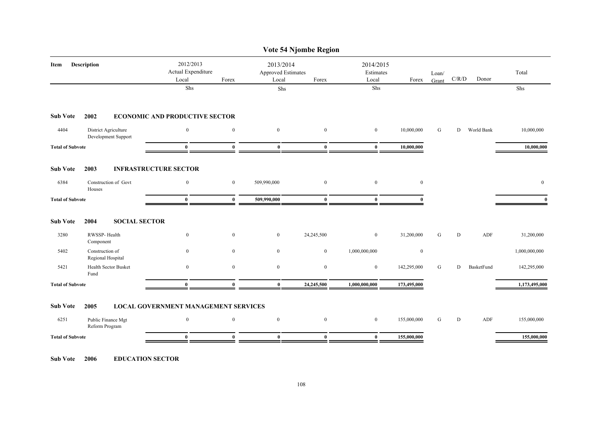|                                             |                                                                                                          |                                                      |                                       |                                             | Vote 54 Njombe Region           |                  |                |   |            |                                             |
|---------------------------------------------|----------------------------------------------------------------------------------------------------------|------------------------------------------------------|---------------------------------------|---------------------------------------------|---------------------------------|------------------|----------------|---|------------|---------------------------------------------|
| <b>Description</b>                          | 2012/2013<br>Actual Expenditure<br>Local                                                                 | Forex                                                | 2013/2014<br>Local                    | Forex                                       | 2014/2015<br>Estimates<br>Local | Forex            | Loan/<br>Grant |   | Donor      | Total                                       |
|                                             | Shs                                                                                                      |                                                      | Shs                                   |                                             | Shs                             |                  |                |   |            | Shs                                         |
| 2002                                        |                                                                                                          |                                                      |                                       |                                             |                                 |                  |                |   |            |                                             |
| District Agriculture<br>Development Support | $\mathbf{0}$                                                                                             | $\boldsymbol{0}$                                     | $\mathbf{0}$                          | $\mathbf{0}$                                | $\boldsymbol{0}$                | 10,000,000       | G              |   | World Bank | 10,000,000                                  |
|                                             | $\bf{0}$                                                                                                 | $\mathbf{0}$                                         | $\bf{0}$                              | $\mathbf{0}$                                | $\bf{0}$                        | 10,000,000       |                |   |            | 10,000,000                                  |
| 2003                                        |                                                                                                          |                                                      |                                       |                                             |                                 |                  |                |   |            |                                             |
| Construction of Govt<br>Houses              | $\boldsymbol{0}$                                                                                         | $\boldsymbol{0}$                                     | 509,990,000                           | $\mathbf{0}$                                | $\boldsymbol{0}$                | $\boldsymbol{0}$ |                |   |            | $\boldsymbol{0}$                            |
|                                             | $\mathbf{0}$                                                                                             | $\bf{0}$                                             | 509,990,000                           | $\mathbf{0}$                                | $\mathbf{0}$                    | $\Omega$         |                |   |            | $\mathbf{0}$                                |
| 2004                                        |                                                                                                          |                                                      |                                       |                                             |                                 |                  |                |   |            |                                             |
| RWSSP-Health<br>Component                   | $\overline{0}$                                                                                           | $\boldsymbol{0}$                                     | $\overline{0}$                        | 24,245,500                                  | $\bf{0}$                        | 31,200,000       | G              | D | ADF        | 31,200,000                                  |
| Construction of<br>Regional Hospital        | $\boldsymbol{0}$                                                                                         | $\mathbf{0}$                                         | $\mathbf{0}$                          | $\mathbf{0}$                                | 1,000,000,000                   | $\mathbf{0}$     |                |   |            | 1,000,000,000                               |
| Health Sector Busket<br>Fund                | $\boldsymbol{0}$                                                                                         | $\boldsymbol{0}$                                     | $\overline{0}$                        | $\bf{0}$                                    | $\bf{0}$                        | 142,295,000      | G              | D | BasketFund | 142,295,000                                 |
|                                             | $\bf{0}$                                                                                                 | $\bf{0}$                                             | $\bf{0}$                              | 24,245,500                                  | 1,000,000,000                   | 173,495,000      |                |   |            | 1,173,495,000                               |
| 2005                                        |                                                                                                          |                                                      |                                       |                                             |                                 |                  |                |   |            |                                             |
| Public Finance Mgt<br>Reform Program        | $\mathbf{0}$                                                                                             | $\boldsymbol{0}$                                     | $\mathbf{0}$                          | $\mathbf{0}$                                | $\mathbf{0}$                    | 155,000,000      | G              | D | ADF        | 155,000,000                                 |
|                                             | $\bf{0}$                                                                                                 | $\mathbf{0}$                                         | $\bf{0}$                              | $\mathbf{0}$                                | $\mathbf{0}$                    | 155,000,000      |                |   |            | 155,000,000                                 |
|                                             | <b>Total of Subvote</b><br><b>Total of Subvote</b><br><b>Total of Subvote</b><br><b>Total of Subvote</b> | <b>INFRASTRUCTURE SECTOR</b><br><b>SOCIAL SECTOR</b> | <b>ECONOMIC AND PRODUCTIVE SECTOR</b> | <b>LOCAL GOVERNMENT MANAGEMENT SERVICES</b> | <b>Approved Estimates</b>       |                  |                |   |            | $\mathbf{C} / \mathbf{R} / \mathbf{D}$<br>D |

**Sub Vote 2006 EDUCATION SECTOR**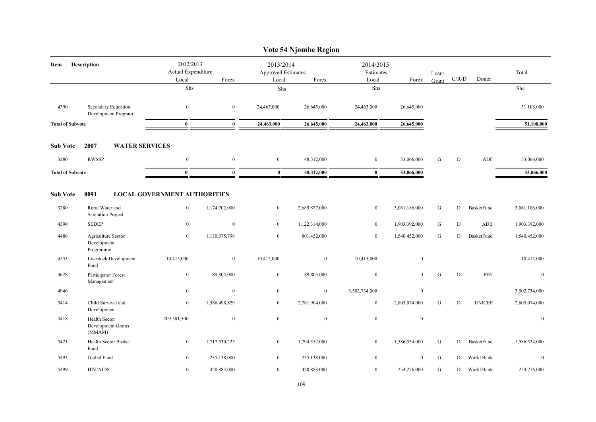|                                         |                                                                                     |                                                                                             |                                                |                                                    | Vote 54 Njombe Region                         |                                                  |                                                 |                             |                     |                                 |                                                 |
|-----------------------------------------|-------------------------------------------------------------------------------------|---------------------------------------------------------------------------------------------|------------------------------------------------|----------------------------------------------------|-----------------------------------------------|--------------------------------------------------|-------------------------------------------------|-----------------------------|---------------------|---------------------------------|-------------------------------------------------|
| Item                                    | <b>Description</b>                                                                  | 2012/2013<br>Actual Expenditure<br>Local                                                    | Forex                                          | 2013/2014<br>Approved Estimates<br>Local           | Forex                                         | 2014/2015<br>Estimates<br>Local                  | Forex                                           | Loan/<br>Grant              | C/R/D               | Donor                           | Total                                           |
|                                         |                                                                                     | ${\rm Shs}$                                                                                 |                                                | Shs                                                |                                               | Shs                                              |                                                 |                             |                     |                                 | Shs                                             |
| 4390                                    | Secondary Education<br>Development Program                                          | $\boldsymbol{0}$                                                                            | $\mathbf{0}$                                   | 24,463,000                                         | 26,645,000                                    | 24,463,000                                       | 26,645,000                                      |                             |                     |                                 | 51,108,000                                      |
| <b>Total of Subvote</b>                 |                                                                                     | $\bf{0}$                                                                                    | $\bf{0}$                                       | 24,463,000                                         | 26,645,000                                    | 24,463,000                                       | 26,645,000                                      |                             |                     |                                 | 51,108,000                                      |
| <b>Sub Vote</b>                         | 2007<br><b>WATER SERVICES</b>                                                       |                                                                                             |                                                |                                                    |                                               |                                                  |                                                 |                             |                     |                                 |                                                 |
| 3280                                    | <b>RWSSP</b>                                                                        | $\boldsymbol{0}$                                                                            | $\mathbf{0}$                                   | $\mathbf{0}$                                       | 48,312,000                                    | $\mathbf{0}$                                     | 53,066,000                                      | G                           | D                   | ADF                             | 53,066,000                                      |
| <b>Total of Subvote</b>                 |                                                                                     | $\bf{0}$                                                                                    | $\bf{0}$                                       | $\bf{0}$                                           | 48,312,000                                    | $\bf{0}$                                         | 53,066,000                                      |                             |                     |                                 | 53,066,000                                      |
| <b>Sub Vote</b><br>3280<br>4390<br>4486 | 8091<br>Rural Water and<br>Sanitation Project<br><b>SEDEP</b><br>Agriculture Sector | <b>LOCAL GOVERNMENT AUTHORITIES</b><br>$\boldsymbol{0}$<br>$\mathbf{0}$<br>$\boldsymbol{0}$ | 1,174,702,000<br>$\mathbf{0}$<br>1,130,375,798 | $\boldsymbol{0}$<br>$\mathbf{0}$<br>$\overline{0}$ | 2,689,877,000<br>1,122,314,000<br>801,452,000 | $\boldsymbol{0}$<br>$\boldsymbol{0}$<br>$\bf{0}$ | 3,061,186,000<br>1,903,392,000<br>1,540,452,000 | ${\bf G}$<br>${\bf G}$<br>G | D<br>${\bf D}$<br>D | BasketFund<br>ADB<br>BasketFund | 3,061,186,000<br>1,903,392,000<br>1,540,452,000 |
|                                         | Development<br>Programme                                                            |                                                                                             |                                                |                                                    |                                               |                                                  |                                                 |                             |                     |                                 |                                                 |
| 4553                                    | Livestock Development<br>Fund                                                       | 10,415,000                                                                                  | $\boldsymbol{0}$                               | 10,415,000                                         | $\boldsymbol{0}$                              | 10,415,000                                       | $\boldsymbol{0}$                                |                             |                     |                                 | 10,415,000                                      |
| 4628                                    | Participator Forest<br>Management                                                   | $\boldsymbol{0}$                                                                            | 89,805,000                                     | $\boldsymbol{0}$                                   | 89,805,000                                    | $\boldsymbol{0}$                                 | $\overline{0}$                                  | ${\bf G}$                   | D                   | PFN                             | $\mathbf{0}$                                    |
| 4946                                    |                                                                                     | $\boldsymbol{0}$                                                                            | $\boldsymbol{0}$                               | $\boldsymbol{0}$                                   | $\boldsymbol{0}$                              | 3,502,734,000                                    | $\boldsymbol{0}$                                |                             |                     |                                 | 3,502,734,000                                   |
| 5414                                    | Child Survival and<br>Development                                                   | $\bf{0}$                                                                                    | 1,386,498,829                                  | $\overline{0}$                                     | 2,781,904,000                                 | $\bf{0}$                                         | 2,805,074,000                                   | G                           | $\mathbf D$         | <b>UNICEF</b>                   | 2,805,074,000                                   |
| 5418                                    | Health Sector<br>Development Grants<br>(MMAM)                                       | 209,501,500                                                                                 | $\mathbf{0}$                                   | $\bf{0}$                                           | $\bf{0}$                                      | $\boldsymbol{0}$                                 | $\bf{0}$                                        |                             |                     |                                 | $\bf{0}$                                        |
| 5421                                    | Health Sector Basket<br>Fund                                                        | $\bf{0}$                                                                                    | 1,717,530,225                                  | $\bf{0}$                                           | 1,794,552,000                                 | $\bf{0}$                                         | 1,586,534,000                                   | ${\bf G}$                   | D                   | BasketFund                      | 1,586,534,000                                   |
| 5493                                    | Global Fund                                                                         | $\bf{0}$                                                                                    | 235,138,000                                    | $\boldsymbol{0}$                                   | 235,138,000                                   | $\overline{0}$                                   | $\boldsymbol{0}$                                | ${\bf G}$                   | D                   | World Bank                      | $\mathbf{0}$                                    |
| 5499                                    | <b>HIV/AIDS</b>                                                                     | $\bf{0}$                                                                                    | 420,883,000                                    | $\overline{0}$                                     | 420,883,000                                   | $\bf{0}$                                         | 254,276,000                                     | G                           | D                   | World Bank                      | 254,276,000                                     |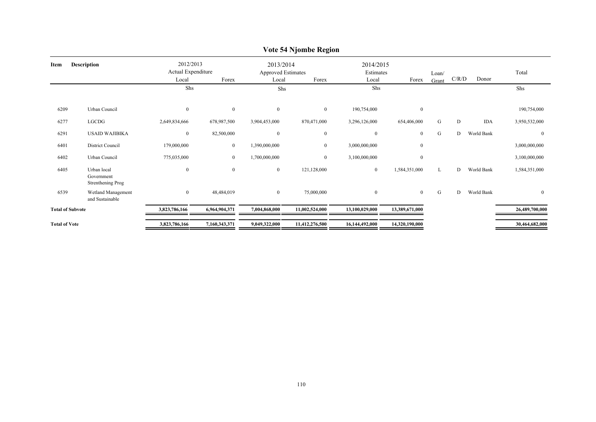|                         |                                                |                                          |                |                                                 | $\frac{1}{2}$    |                                 |                  |                |       |            |                |
|-------------------------|------------------------------------------------|------------------------------------------|----------------|-------------------------------------------------|------------------|---------------------------------|------------------|----------------|-------|------------|----------------|
| Item                    | <b>Description</b>                             | 2012/2013<br>Actual Expenditure<br>Local | Forex          | 2013/2014<br><b>Approved Estimates</b><br>Local | Forex            | 2014/2015<br>Estimates<br>Local | Forex            | Loan/<br>Grant | C/R/D | Donor      | Total          |
|                         |                                                | Shs                                      |                | Shs                                             |                  | Shs                             |                  |                |       |            | Shs            |
| 6209                    | Urban Council                                  | $\mathbf{0}$                             | $\mathbf{0}$   | $\overline{0}$                                  | $\overline{0}$   | 190,754,000                     | $\boldsymbol{0}$ |                |       |            | 190,754,000    |
| 6277                    | LGCDG                                          | 2,649,834,666                            | 678,987,500    | 3,904,453,000                                   | 870,471,000      | 3,296,126,000                   | 654,406,000      | G              | D     | <b>IDA</b> | 3,950,532,000  |
| 6291                    | <b>USAID WAJIBIKA</b>                          | $\mathbf{0}$                             | 82,500,000     | $\mathbf{0}$                                    | $\boldsymbol{0}$ | $\overline{0}$                  | $\bf{0}$         | G              | D     | World Bank | $\mathbf{0}$   |
| 6401                    | District Council                               | 179,000,000                              | $\overline{0}$ | 1,390,000,000                                   | $\overline{0}$   | 3,000,000,000                   | $\boldsymbol{0}$ |                |       |            | 3,000,000,000  |
| 6402                    | Urban Council                                  | 775,035,000                              | $\overline{0}$ | 1,700,000,000                                   | $\mathbf{0}$     | 3,100,000,000                   | $\overline{0}$   |                |       |            | 3,100,000,000  |
| 6405                    | Urban local<br>Government<br>Strenthening Prog | $\bf{0}$                                 | $\mathbf{0}$   | $\overline{0}$                                  | 121,128,000      | $\overline{0}$                  | 1,584,351,000    | L              | D     | World Bank | 1,584,351,000  |
| 6539                    | Wetland Management<br>and Sustainable          | $\boldsymbol{0}$                         | 48,484,019     | $\overline{0}$                                  | 75,000,000       | $\overline{0}$                  | $\overline{0}$   | G              | D     | World Bank | $\mathbf{0}$   |
| <b>Total of Subvote</b> |                                                | 3,823,786,166                            | 6,964,904,371  | 7,004,868,000                                   | 11,002,524,000   | 13,100,029,000                  | 13,389,671,000   |                |       |            | 26,489,700,000 |
| <b>Total of Vote</b>    |                                                | 3,823,786,166                            | 7,160,343,371  | 9,049,322,000                                   | 11,412,276,500   | 16,144,492,000                  | 14,320,190,000   |                |       |            | 30,464,682,000 |

### **Vote 54 Njombe Region**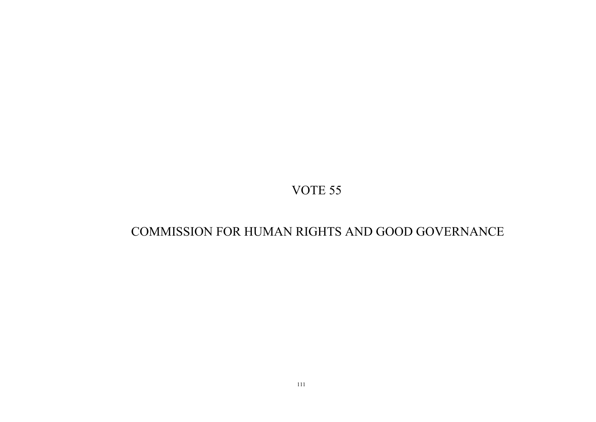# COMMISSION FOR HUMAN RIGHTS AND GOOD GOVERNANCE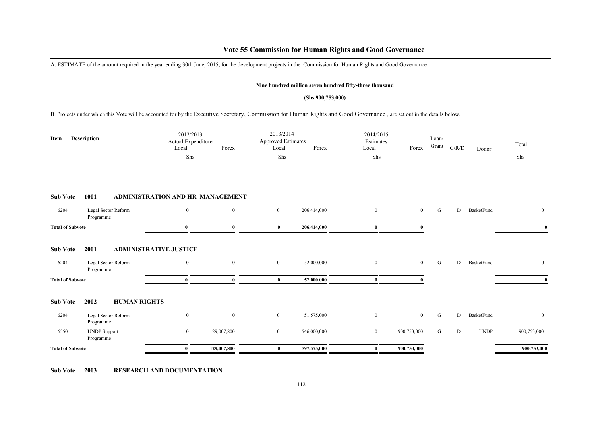### **Vote 55 Commission for Human Rights and Good Governance**

A. ESTIMATE of the amount required in the year ending 30th June, 2015, for the development projects in the Commission for Human Rights and Good Governance

#### **Nine hundred million seven hundred fifty-three thousand**

#### **(Shs.900,753,000)**

B. Projects under which this Vote will be accounted for by the Executive Secretary, Commission for Human Rights and Good Governance , are set out in the details below.

| Item                    | Description                      | 2012/2013<br>Local                      | Actual Expenditure<br>Forex | 2013/2014<br>Approved Estimates<br>Local | Forex       | 2014/2015<br>Estimates<br>Local | Forex          | Loan/<br>Grant | $\mathbf{C} / \mathbf{R} / \mathbf{D}$ | Donor       | Total          |
|-------------------------|----------------------------------|-----------------------------------------|-----------------------------|------------------------------------------|-------------|---------------------------------|----------------|----------------|----------------------------------------|-------------|----------------|
|                         |                                  | Shs                                     |                             | Shs                                      |             | Shs                             |                |                |                                        |             | Shs            |
| <b>Sub Vote</b>         | 1001                             | <b>ADMINISTRATION AND HR MANAGEMENT</b> |                             |                                          |             |                                 |                |                |                                        |             |                |
| 6204                    | Legal Sector Reform<br>Programme | $\mathbf{0}$                            | $\bf{0}$                    | $\overline{0}$                           | 206,414,000 | $\overline{0}$                  | $\overline{0}$ | G              | D                                      | BasketFund  | $\overline{0}$ |
| <b>Total of Subvote</b> |                                  | $\mathbf{0}$                            | $\mathbf{0}$                | $\bf{0}$                                 | 206,414,000 | $\mathbf{0}$                    |                |                |                                        |             | $\mathbf{0}$   |
| <b>Sub Vote</b>         | 2001                             | <b>ADMINISTRATIVE JUSTICE</b>           |                             |                                          |             |                                 |                |                |                                        |             |                |
| 6204                    | Legal Sector Reform<br>Programme | $\mathbf{0}$                            | $\bf{0}$                    | $\bf{0}$                                 | 52,000,000  | $\overline{0}$                  | $\overline{0}$ | G              | D                                      | BasketFund  | $\overline{0}$ |
| <b>Total of Subvote</b> |                                  | $\theta$                                | $\theta$                    | $\mathbf{0}$                             | 52,000,000  | $\mathbf{0}$                    |                |                |                                        |             | $\mathbf{0}$   |
| <b>Sub Vote</b>         | 2002                             | <b>HUMAN RIGHTS</b>                     |                             |                                          |             |                                 |                |                |                                        |             |                |
| 6204                    | Legal Sector Reform<br>Programme | $\mathbf{0}$                            | $\mathbf{0}$                | $\overline{0}$                           | 51,575,000  | $\overline{0}$                  | $\bf{0}$       | G              | D                                      | BasketFund  | $\overline{0}$ |
| 6550                    | <b>UNDP</b> Support<br>Programme | $\overline{0}$                          | 129,007,800                 | $\bf{0}$                                 | 546,000,000 | $\overline{0}$                  | 900,753,000    | G              | D                                      | <b>UNDP</b> | 900,753,000    |
| <b>Total of Subvote</b> |                                  | $\bf{0}$                                | 129,007,800                 | $\bf{0}$                                 | 597,575,000 | $\bf{0}$                        | 900,753,000    |                |                                        |             | 900,753,000    |

**Sub Vote 2003 RESEARCH AND DOCUMENTATION**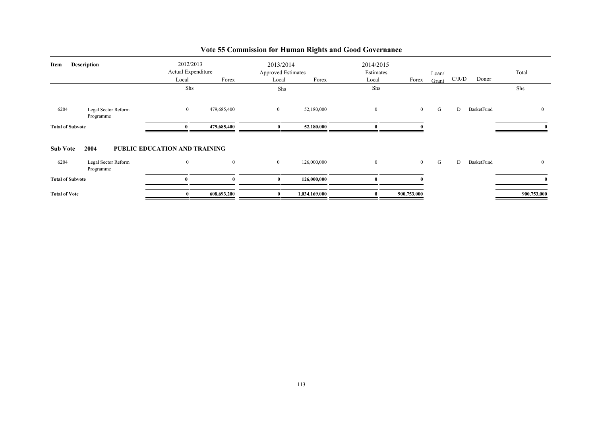| Item                    | <b>Description</b>               | Local<br>Shs                  | 2012/2013<br>Actual Expenditure<br>Forex | 2013/2014<br><b>Approved Estimates</b><br>Local<br>Shs | Forex         | 2014/2015<br>Estimates<br>Local<br>Shs | Forex          | Loan/<br>Grant | C/R/D | Donor      | Total<br>Shs   |
|-------------------------|----------------------------------|-------------------------------|------------------------------------------|--------------------------------------------------------|---------------|----------------------------------------|----------------|----------------|-------|------------|----------------|
| 6204                    | Legal Sector Reform<br>Programme | $\boldsymbol{0}$              | 479,685,400                              | $\overline{0}$                                         | 52,180,000    | $\bf{0}$                               | $\overline{0}$ | G              | D     | BasketFund | $\overline{0}$ |
| <b>Total of Subvote</b> |                                  | $\mathbf{v}$                  | 479,685,400                              | $\mathbf{0}$                                           | 52,180,000    | 0                                      |                |                |       |            |                |
| <b>Sub Vote</b>         | 2004                             | PUBLIC EDUCATION AND TRAINING |                                          |                                                        |               |                                        |                |                |       |            |                |
| 6204                    | Legal Sector Reform<br>Programme | $\overline{0}$                | $\mathbf{0}$                             | $\overline{0}$                                         | 126,000,000   | $\mathbf{0}$                           | $\overline{0}$ | G              | D     | BasketFund | $\overline{0}$ |
| <b>Total of Subvote</b> |                                  |                               |                                          |                                                        | 126,000,000   | n                                      |                |                |       |            |                |
| <b>Total of Vote</b>    |                                  |                               | 608,693,200                              |                                                        | 1,034,169,000 | $\bf{0}$                               | 900,753,000    |                |       |            | 900,753,000    |

# **Vote 55 Commission for Human Rights and Good Governance**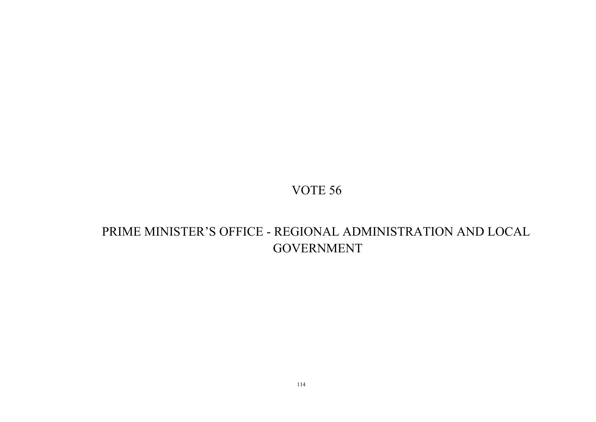# PRIME MINISTER'S OFFICE - REGIONAL ADMINISTRATION AND LOCAL GOVERNMENT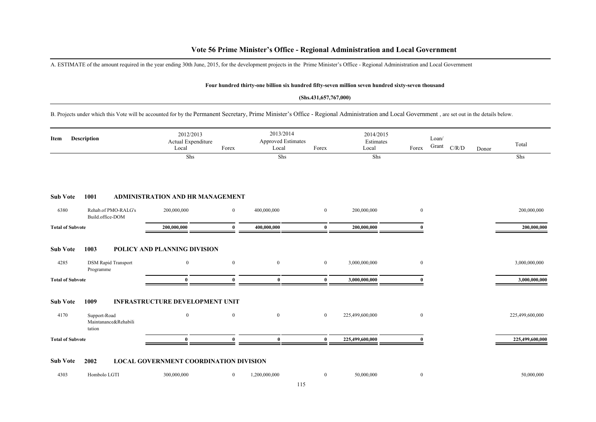### **Vote 56 Prime Minister's Office - Regional Administration and Local Government**

A. ESTIMATE of the amount required in the year ending 30th June, 2015, for the development projects in the Prime Minister's Office - Regional Administration and Local Government

#### **Four hundred thirty-one billion six hundred fifty-seven million seven hundred sixty-seven thousand**

#### **(Shs.431,657,767,000)**

B. Projects under which this Vote will be accounted for by the Permanent Secretary, Prime Minister's Office - Regional Administration and Local Government , are set out in the details below.

| Item                    | Description                                    | 2012/2013<br>Actual Expenditure<br>Local | Forex        | 2013/2014<br><b>Approved Estimates</b><br>Local | Forex          | 2014/2015<br>Estimates<br>Local | Forex          | Loan/<br>Grant | C/R/D<br>Donor | Total           |
|-------------------------|------------------------------------------------|------------------------------------------|--------------|-------------------------------------------------|----------------|---------------------------------|----------------|----------------|----------------|-----------------|
|                         |                                                | Shs                                      |              | Shs                                             |                | Shs                             |                |                |                | Shs             |
|                         |                                                |                                          |              |                                                 |                |                                 |                |                |                |                 |
| <b>Sub Vote</b>         | 1001                                           | ADMINISTRATION AND HR MANAGEMENT         |              |                                                 |                |                                 |                |                |                |                 |
| 6380                    | Rehab.of PMO-RALG's<br>Build.office-DOM        | 200,000,000                              | $\bf{0}$     | 400,000,000                                     | $\overline{0}$ | 200,000,000                     | $\mathbf{0}$   |                |                | 200,000,000     |
| <b>Total of Subvote</b> |                                                | 200,000,000                              | $\bf{0}$     | 400,000,000                                     | $\bf{0}$       | 200,000,000                     | 0              |                |                | 200,000,000     |
| <b>Sub Vote</b>         | 1003                                           | POLICY AND PLANNING DIVISION             |              |                                                 |                |                                 |                |                |                |                 |
| 4285                    | <b>DSM Rapid Transport</b><br>Programme        | $\mathbf{0}$                             | $\bf{0}$     | $\overline{0}$                                  | $\mathbf{0}$   | 3,000,000,000                   | $\overline{0}$ |                |                | 3,000,000,000   |
| <b>Total of Subvote</b> |                                                | $\bf{0}$                                 | $\mathbf{0}$ | $\bf{0}$                                        | $\bf{0}$       | 3,000,000,000                   | $\Omega$       |                |                | 3,000,000,000   |
| <b>Sub Vote</b>         | 1009                                           | <b>INFRASTRUCTURE DEVELOPMENT UNIT</b>   |              |                                                 |                |                                 |                |                |                |                 |
| 4170                    | Support-Road<br>Maintanance&Rehabili<br>tation | $\mathbf{0}$                             | $\mathbf{0}$ | $\boldsymbol{0}$                                | $\mathbf{0}$   | 225,499,600,000                 | $\overline{0}$ |                |                | 225,499,600,000 |
| <b>Total of Subvote</b> |                                                | $\mathbf{0}$                             | $\mathbf{0}$ | $\mathbf{0}$                                    | $\mathbf{0}$   | 225,499,600,000                 | $\Omega$       |                |                | 225,499,600,000 |
| <b>Sub Vote</b>         | 2002                                           | LOCAL GOVERNMENT COORDINATION DIVISION   |              |                                                 |                |                                 |                |                |                |                 |
| 4303                    | Hombolo LGTI                                   | 300,000,000                              | $\mathbf{0}$ | 1,200,000,000                                   | $\mathbf{0}$   | 50,000,000                      | $\overline{0}$ |                |                | 50,000,000      |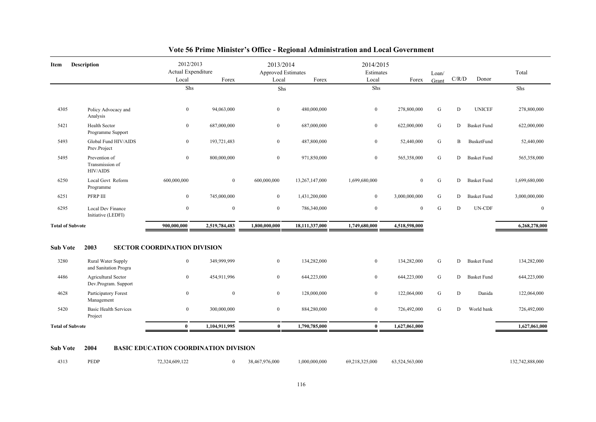| Item                    | <b>Description</b>                                  | 2012/2013<br>Actual Expenditure     |                | 2013/2014<br><b>Approved Estimates</b> |                | 2014/2015<br>Estimates |                  | Loan/     |              |                    | Total         |
|-------------------------|-----------------------------------------------------|-------------------------------------|----------------|----------------------------------------|----------------|------------------------|------------------|-----------|--------------|--------------------|---------------|
|                         |                                                     | Local                               | Forex          | Local                                  | Forex          | Local                  | Forex            | Grant     | C/R/D        | Donor              |               |
|                         |                                                     | Shs                                 |                | Shs                                    |                | Shs                    |                  |           |              |                    | Shs           |
| 4305                    | Policy Advocacy and<br>Analysis                     | $\overline{0}$                      | 94,063,000     | $\overline{0}$                         | 480,000,000    | $\bf{0}$               | 278,800,000      | G         | D            | <b>UNICEF</b>      | 278,800,000   |
| 5421                    | Health Sector<br>Programme Support                  | $\bf{0}$                            | 687,000,000    | $\overline{0}$                         | 687,000,000    | $\bf{0}$               | 622,000,000      | G         | D            | <b>Basket Fund</b> | 622,000,000   |
| 5493                    | Global Fund HIV/AIDS<br>Prev.Project                | $\overline{0}$                      | 193,721,483    | $\overline{0}$                         | 487,800,000    | $\mathbf{0}$           | 52,440,000       | G         | $\mathbf{B}$ | <b>BusketFund</b>  | 52,440,000    |
| 5495                    | Prevention of<br>Transmission of<br><b>HIV/AIDS</b> | $\overline{0}$                      | 800,000,000    | $\overline{0}$                         | 971,850,000    | $\bf{0}$               | 565,358,000      | ${\bf G}$ | D            | <b>Basket Fund</b> | 565,358,000   |
| 6250                    | Local Govt Reform<br>Programme                      | 600,000,000                         | $\overline{0}$ | 600,000,000                            | 13,267,147,000 | 1,699,680,000          | $\overline{0}$   | G         | D            | <b>Basket Fund</b> | 1,699,680,000 |
| 6251                    | PFRP III                                            | $\mathbf{0}$                        | 745,000,000    | $\overline{0}$                         | 1,431,200,000  | $\mathbf{0}$           | 3,000,000,000    | G         | D            | <b>Basket Fund</b> | 3,000,000,000 |
| 6295                    | Local Dev Finance<br>Initiative (LEDFI)             | $\boldsymbol{0}$                    | $\mathbf{0}$   | $\overline{0}$                         | 786,340,000    | $\boldsymbol{0}$       | $\boldsymbol{0}$ | ${\bf G}$ | ${\rm D}$    | <b>UN-CDF</b>      | $\bf{0}$      |
| <b>Total of Subvote</b> |                                                     | 900,000,000                         | 2,519,784,483  | 1,800,000,000                          | 18,111,337,000 | 1,749,680,000          | 4,518,598,000    |           |              |                    | 6,268,278,000 |
| <b>Sub Vote</b>         | 2003                                                | <b>SECTOR COORDINATION DIVISION</b> |                |                                        |                |                        |                  |           |              |                    |               |
| 3280                    | Rural Water Supply<br>and Sanitation Progra         | $\mathbf{0}$                        | 349,999,999    | $\overline{0}$                         | 134,282,000    | $\boldsymbol{0}$       | 134,282,000      | G         | D            | <b>Basket Fund</b> | 134,282,000   |
| 4486                    | Agricultural Sector<br>Dev.Program. Support         | $\overline{0}$                      | 454,911,996    | $\overline{0}$                         | 644,223,000    | $\bf{0}$               | 644,223,000      | ${\bf G}$ | D            | <b>Basket Fund</b> | 644,223,000   |
| 4628                    | Participatory Forest<br>Management                  | $\overline{0}$                      | $\mathbf{0}$   | $\overline{0}$                         | 128,000,000    | $\bf{0}$               | 122,064,000      | G         | D            | Danida             | 122,064,000   |
| 5420                    | <b>Basic Health Services</b><br>Project             | $\overline{0}$                      | 300,000,000    | $\overline{0}$                         | 884,280,000    | $\bf{0}$               | 726,492,000      | G         | D            | World bank         | 726,492,000   |
| <b>Total of Subvote</b> |                                                     | $\mathbf{0}$                        | 1,104,911,995  | $\bf{0}$                               | 1,790,785,000  | $\bf{0}$               | 1,627,061,000    |           |              |                    | 1,627,061,000 |
|                         |                                                     |                                     |                |                                        |                |                        |                  |           |              |                    |               |

## **Vote 56 Prime Minister's Office - Regional Administration and Local Government**

#### **Sub Vote 2004 BASIC EDUCATION COORDINATION DIVISION**

| 4313 | PEDP | 72,324,609,122 |  | 0 38,467,976,000 | 1,000,000,000 69,218,325,000 63,524,563,000 |  |  | 132,742,888,000 |
|------|------|----------------|--|------------------|---------------------------------------------|--|--|-----------------|
|------|------|----------------|--|------------------|---------------------------------------------|--|--|-----------------|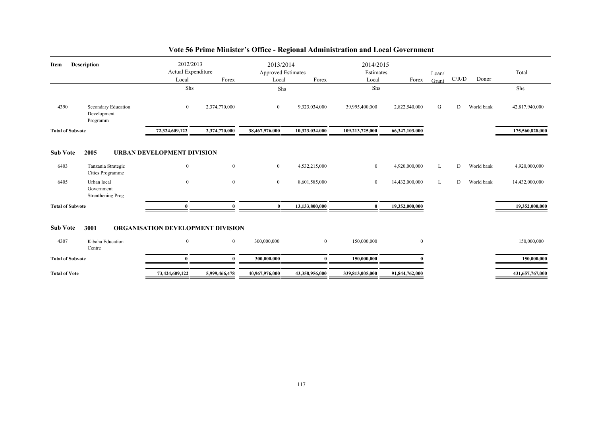| <b>Description</b><br>Item |                                                | 2012/2013<br>Actual Expenditure<br>Forex<br>Local<br>Shs |                | Local          | 2013/2014<br><b>Approved Estimates</b><br>Forex<br>Shs |                 | 2014/2015<br>Estimates<br>Forex<br>Local<br>Shs |   | C/R/D | Total<br>Shs |                 |
|----------------------------|------------------------------------------------|----------------------------------------------------------|----------------|----------------|--------------------------------------------------------|-----------------|-------------------------------------------------|---|-------|--------------|-----------------|
| 4390                       | Secondary Education<br>Development<br>Programm | $\overline{0}$                                           | 2,374,770,000  | $\overline{0}$ | 9,323,034,000                                          | 39,995,400,000  | 2,822,540,000                                   | G | D     | World bank   | 42,817,940,000  |
| <b>Total of Subvote</b>    |                                                | 72,324,609,122                                           | 2,374,770,000  | 38,467,976,000 | 10,323,034,000                                         | 109,213,725,000 | 66,347,103,000                                  |   |       |              | 175,560,828,000 |
| <b>Sub Vote</b>            | 2005                                           | <b>URBAN DEVELOPMENT DIVISION</b>                        |                |                |                                                        |                 |                                                 |   |       |              |                 |
| 6403                       | Tanzania Strategic<br>Cities Programme         | $\bf{0}$                                                 | $\mathbf{0}$   | $\overline{0}$ | 4,532,215,000                                          | $\overline{0}$  | 4,920,000,000                                   | L | D     | World bank   | 4,920,000,000   |
| 6405                       | Urban local<br>Government<br>Strenthening Prog | $\mathbf{0}$                                             | $\mathbf{0}$   | $\mathbf{0}$   | 8,601,585,000                                          | $\overline{0}$  | 14,432,000,000                                  | L | D     | World bank   | 14,432,000,000  |
| <b>Total of Subvote</b>    |                                                | $\theta$                                                 | $\Omega$       | $\mathbf{0}$   | 13,133,800,000                                         | $\bf{0}$        | 19,352,000,000                                  |   |       |              | 19,352,000,000  |
| <b>Sub Vote</b>            | 3001                                           | <b>ORGANISATION DEVELOPMENT DIVISION</b>                 |                |                |                                                        |                 |                                                 |   |       |              |                 |
| 4307                       | Kibaha Education<br>Centre                     | $\overline{0}$                                           | $\overline{0}$ | 300,000,000    | $\overline{0}$                                         | 150,000,000     | $\overline{0}$                                  |   |       |              | 150,000,000     |
| <b>Total of Subvote</b>    |                                                | $\theta$                                                 | $\mathbf{0}$   | 300,000,000    | 0                                                      | 150,000,000     |                                                 |   |       |              | 150,000,000     |
| <b>Total of Vote</b>       |                                                | 73,424,609,122                                           | 5,999,466,478  | 40,967,976,000 | 43,358,956,000                                         | 339,813,005,000 | 91,844,762,000                                  |   |       |              | 431,657,767,000 |

## **Vote 56 Prime Minister's Office - Regional Administration and Local Government**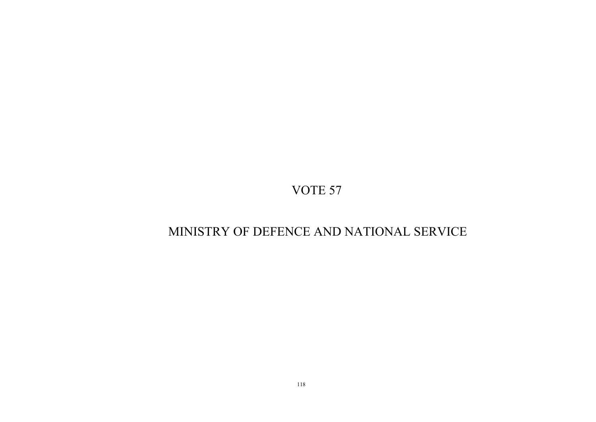# MINISTRY OF DEFENCE AND NATIONAL SERVICE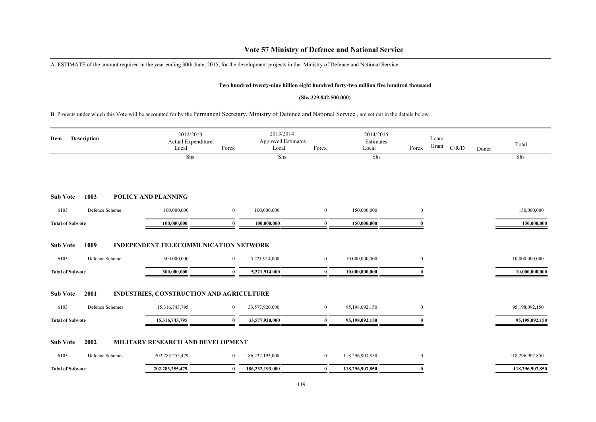### **Vote 57 Ministry of Defence and National Service**

A. ESTIMATE of the amount required in the year ending 30th June, 2015, for the development projects in the Ministry of Defence and National Service

#### **Two hundred twenty-nine billion eight hundred forty-two million five hundred thousand**

#### **(Shs.229,842,500,000)**

B. Projects under which this Vote will be accounted for by the Permanent Secretary, Ministry of Defence and National Service , are set out in the details below.

| Item                    | <b>Description</b> | 2012/2013<br>Actual Expenditure<br>Local     | Forex          | 2013/2014<br><b>Approved Estimates</b><br>Local | Forex          | 2014/2015<br>Estimates<br>Local | Forex            | Loan/<br>Grant | C/R/D | Donor | Total           |
|-------------------------|--------------------|----------------------------------------------|----------------|-------------------------------------------------|----------------|---------------------------------|------------------|----------------|-------|-------|-----------------|
|                         |                    | Shs                                          |                | Shs                                             |                | Shs                             |                  |                |       |       | Shs             |
| <b>Sub Vote</b>         | 1003               | POLICY AND PLANNING                          |                |                                                 |                |                                 |                  |                |       |       |                 |
| 6103                    | Defence Scheme     | 100,000,000                                  | $\overline{0}$ | 100,000,000                                     | $\mathbf{0}$   | 150,000,000                     | $\boldsymbol{0}$ |                |       |       | 150,000,000     |
| <b>Total of Subvote</b> |                    | 100,000,000                                  | $\theta$       | 100,000,000                                     | $\mathbf{0}$   | 150,000,000                     | $\Omega$         |                |       |       | 150,000,000     |
| <b>Sub Vote</b>         | 1009               | <b>INDEPENDENT TELECOMMUNICATION NETWORK</b> |                |                                                 |                |                                 |                  |                |       |       |                 |
| 6103                    | Defence Scheme     | 300,000,000                                  | $\overline{0}$ | 5,221,914,000                                   | $\overline{0}$ | 10,000,000,000                  | $\mathbf{0}$     |                |       |       | 10,000,000,000  |
| <b>Total of Subvote</b> |                    | 300,000,000                                  | 0              | 5,221,914,000                                   | $\bf{0}$       | 10,000,000,000                  |                  |                |       |       | 10,000,000,000  |
| <b>Sub Vote</b>         | 2001               | INDUSTRIES, CONSTRUCTION AND AGRICULTURE     |                |                                                 |                |                                 |                  |                |       |       |                 |
| 6103                    | Defence Schemes    | 15,316,743,795                               | $\overline{0}$ | 33,577,920,000                                  | $\overline{0}$ | 95,198,092,150                  | $\mathbf{0}$     |                |       |       | 95,198,092,150  |
| <b>Total of Subvote</b> |                    | 15,316,743,795                               | $\mathbf{0}$   | 33,577,920,000                                  | $\mathbf{0}$   | 95,198,092,150                  |                  |                |       |       | 95,198,092,150  |
| <b>Sub Vote</b>         | 2002               | MILITARY RESEARCH AND DEVELOPMENT            |                |                                                 |                |                                 |                  |                |       |       |                 |
| 6103                    | Defence Schemes    | 202, 283, 255, 479                           | $\overline{0}$ | 186,232,193,000                                 | $\overline{0}$ | 118,296,907,850                 | $\mathbf{0}$     |                |       |       | 118,296,907,850 |
| <b>Total of Subvote</b> |                    | 202, 283, 255, 479                           | $\mathbf{0}$   | 186,232,193,000                                 | $\bf{0}$       | 118,296,907,850                 | $\Omega$         |                |       |       | 118,296,907,850 |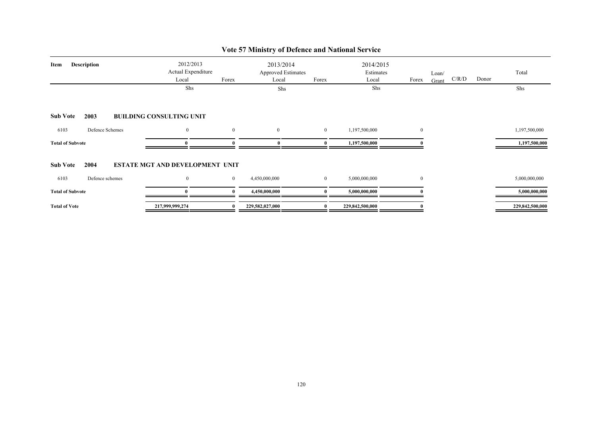| Item                    | <b>Description</b>      | 2012/2013<br>Actual Expenditure<br>Local<br>Shs            | Forex          | 2013/2014<br><b>Approved Estimates</b><br>Local<br>Shs | Forex            | 2014/2015<br>Estimates<br>Local<br>Shs | Forex        | Loan/<br>C/R/D<br>Grant | Donor | Total<br>Shs    |
|-------------------------|-------------------------|------------------------------------------------------------|----------------|--------------------------------------------------------|------------------|----------------------------------------|--------------|-------------------------|-------|-----------------|
| <b>Sub Vote</b>         | 2003                    | <b>BUILDING CONSULTING UNIT</b>                            |                |                                                        |                  |                                        |              |                         |       |                 |
| 6103                    | Defence Schemes         | $\overline{0}$                                             | $\overline{0}$ | $\overline{0}$                                         | $\overline{0}$   | 1,197,500,000                          | $\mathbf{0}$ |                         |       | 1,197,500,000   |
| <b>Total of Subvote</b> |                         |                                                            |                |                                                        | $\mathbf{u}$     | 1,197,500,000                          |              |                         |       | 1,197,500,000   |
| <b>Sub Vote</b><br>6103 | 2004<br>Defence schemes | <b>ESTATE MGT AND DEVELOPMENT UNIT</b><br>$\boldsymbol{0}$ | $\overline{0}$ | 4,450,000,000                                          | $\boldsymbol{0}$ | 5,000,000,000                          | $\mathbf{0}$ |                         |       | 5,000,000,000   |
| <b>Total of Subvote</b> |                         |                                                            |                | 4,450,000,000                                          |                  | 5,000,000,000                          |              |                         |       | 5,000,000,000   |
| <b>Total of Vote</b>    |                         | 217,999,999,274                                            | 0              | 229,582,027,000                                        | 0                | 229,842,500,000                        |              |                         |       | 229,842,500,000 |

## **Vote 57 Ministry of Defence and National Service**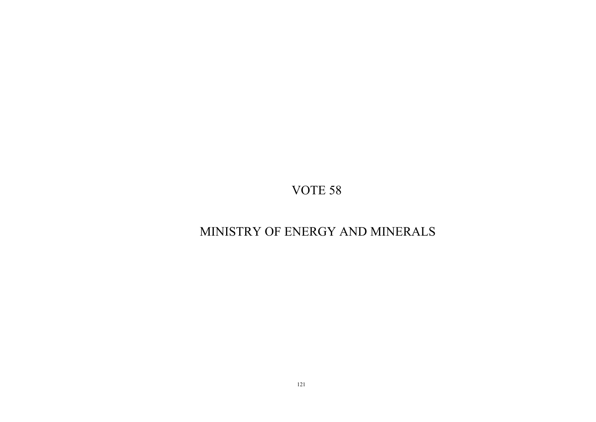# MINISTRY OF ENERGY AND MINERALS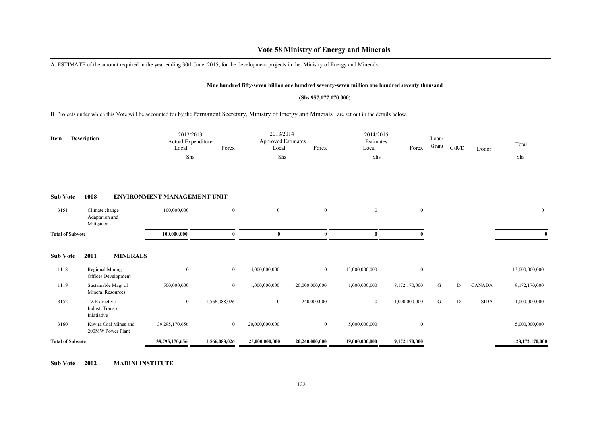### **Vote 58 Ministry of Energy and Minerals**

A. ESTIMATE of the amount required in the year ending 30th June, 2015, for the development projects in the Ministry of Energy and Minerals

#### **Nine hundred fifty-seven billion one hundred seventy-seven million one hundred seventy thousand**

#### **(Shs.957,177,170,000)**

B. Projects under which this Vote will be accounted for by the Permanent Secretary, Ministry of Energy and Minerals , are set out in the details below.

| Item                    | <b>Description</b>                              | Local                              | 2012/2013<br>Actual Expenditure<br>Forex | 2013/2014<br>Approved Estimates<br>Local | Forex          | 2014/2015<br>Estimates<br>Local | Forex            | Loan/<br>Grant | C/R/D | Donor         | Total          |
|-------------------------|-------------------------------------------------|------------------------------------|------------------------------------------|------------------------------------------|----------------|---------------------------------|------------------|----------------|-------|---------------|----------------|
|                         |                                                 |                                    | Shs                                      | Shs                                      |                | Shs                             |                  |                |       |               | Shs            |
| <b>Sub Vote</b>         | 1008                                            | <b>ENVIRONMENT MANAGEMENT UNIT</b> |                                          |                                          |                |                                 |                  |                |       |               |                |
| 3151                    | Climate change<br>Adaptation and<br>Mitigation  | 100,000,000                        | $\bf{0}$                                 | $\overline{0}$                           | $\bf{0}$       | $\overline{0}$                  | $\overline{0}$   |                |       |               | $\mathbf{0}$   |
| <b>Total of Subvote</b> |                                                 | 100,000,000                        | $\theta$                                 | $\mathbf{0}$                             | $\theta$       | $\mathbf{0}$                    |                  |                |       |               | $\mathbf{0}$   |
| <b>Sub Vote</b>         | 2001                                            | <b>MINERALS</b>                    |                                          |                                          |                |                                 |                  |                |       |               |                |
| 1118                    | <b>Regional Mining</b><br>Offices Development   | $\boldsymbol{0}$                   | $\bf{0}$                                 | 4,000,000,000                            | $\mathbf{0}$   | 13,000,000,000                  | $\boldsymbol{0}$ |                |       |               | 13,000,000,000 |
| 1119                    | Sustainable Magt of<br><b>Mineral Resources</b> | 500,000,000                        | $\bf{0}$                                 | 1,000,000,000                            | 20,000,000,000 | 1,000,000,000                   | 8,172,170,000    | G              | D     | <b>CANADA</b> | 9,172,170,000  |
| 3152                    | TZ Extractive<br>Industr.Transp<br>Iniatiative  | $\mathbf{0}$                       | 1,566,088,026                            | $\overline{0}$                           | 240,000,000    | $\overline{0}$                  | 1,000,000,000    | G              | D     | <b>SIDA</b>   | 1,000,000,000  |
| 3160                    | Kiwira Coal Mines and<br>200MW Power Plant      | 39,295,170,656                     | $\overline{0}$                           | 20,000,000,000                           | $\bf{0}$       | 5,000,000,000                   | $\overline{0}$   |                |       |               | 5,000,000,000  |
| <b>Total of Subvote</b> |                                                 | 39,795,170,656                     | 1,566,088,026                            | 25,000,000,000                           | 20,240,000,000 | 19,000,000,000                  | 9,172,170,000    |                |       |               | 28,172,170,000 |

**Sub Vote 2002 MADINI INSTITUTE**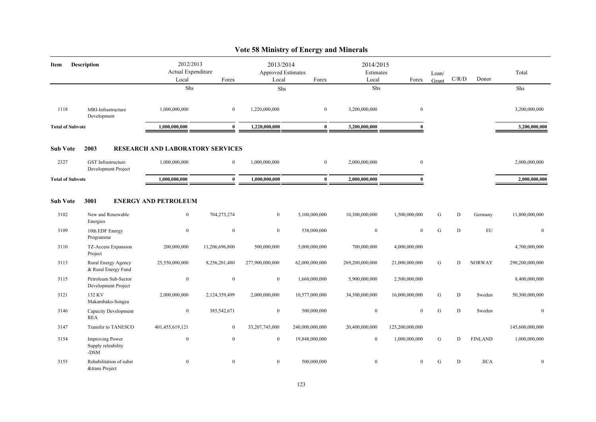|                         |                                                      |                                          |                | $\cdots$                                 |                 |                                 |                  |                |       |                |                 |
|-------------------------|------------------------------------------------------|------------------------------------------|----------------|------------------------------------------|-----------------|---------------------------------|------------------|----------------|-------|----------------|-----------------|
| Item                    | <b>Description</b>                                   | 2012/2013<br>Actual Expenditure<br>Local | Forex          | 2013/2014<br>Approved Estimates<br>Local | Forex           | 2014/2015<br>Estimates<br>Local | Forex            | Loan/<br>Grant | C/R/D | Donor          | Total           |
|                         |                                                      | Shs                                      |                | Shs                                      |                 | Shs                             |                  |                |       |                | Shs             |
| 1118                    | MRI-Infrastructure<br>Development                    | 1,000,000,000                            | $\overline{0}$ | 1,220,000,000                            | $\overline{0}$  | 3,200,000,000                   | $\boldsymbol{0}$ |                |       |                | 3,200,000,000   |
| <b>Total of Subvote</b> |                                                      | 1,000,000,000                            | $\mathbf{0}$   | 1,220,000,000                            | $\bf{0}$        | 3,200,000,000                   | $\mathbf{0}$     |                |       |                | 3,200,000,000   |
| <b>Sub Vote</b>         | 2003                                                 | <b>RESEARCH AND LABORATORY SERVICES</b>  |                |                                          |                 |                                 |                  |                |       |                |                 |
| 2327                    | GST Infrastructure<br>Development Project            | 1,000,000,000                            | $\overline{0}$ | 1,000,000,000                            | $\overline{0}$  | 2,000,000,000                   | $\boldsymbol{0}$ |                |       |                | 2,000,000,000   |
| <b>Total of Subvote</b> |                                                      | 1,000,000,000                            | $\mathbf{0}$   | 1,000,000,000                            | $\mathbf{0}$    | 2,000,000,000                   | $\mathbf{0}$     |                |       |                | 2,000,000,000   |
| <b>Sub Vote</b>         | 3001                                                 | <b>ENERGY AND PETROLEUM</b>              |                |                                          |                 |                                 |                  |                |       |                |                 |
| 3102                    | New and Renewable<br>Energies                        | $\overline{0}$                           | 704,273,274    | $\overline{0}$                           | 3,100,000,000   | 10,300,000,000                  | 1,500,000,000    | G              | D     | Germany        | 11,800,000,000  |
| 3109                    | 10th EDF Energy<br>Programme                         | $\boldsymbol{0}$                         | $\mathbf{0}$   | $\boldsymbol{0}$                         | 538,000,000     | $\mathbf{0}$                    | $\mathbf{0}$     | G              | D     | EU             | $\mathbf{0}$    |
| 3110                    | TZ-Access Expansion<br>Project                       | 200,000,000                              | 11,206,696,800 | 500,000,000                              | 5,000,000,000   | 700,000,000                     | 4,000,000,000    |                |       |                | 4,700,000,000   |
| 3113                    | Rural Energy Agency<br>& Rural Energy Fund           | 25,550,000,000                           | 8,256,201,480  | 277,900,000,000                          | 62,000,000,000  | 269,200,000,000                 | 21,000,000,000   | G              | D     | <b>NORWAY</b>  | 290,200,000,000 |
| 3115                    | Petroleum Sub-Sector<br>Development Project          | $\boldsymbol{0}$                         | $\mathbf{0}$   | $\boldsymbol{0}$                         | 1,660,000,000   | 5,900,000,000                   | 2,500,000,000    |                |       |                | 8,400,000,000   |
| 3121                    | 132 KV<br>Makambako-Songea                           | 2,000,000,000                            | 2,124,359,499  | 2,000,000,000                            | 10,577,000,000  | 34,300,000,000                  | 16,000,000,000   | G              | D     | Sweden         | 50,300,000,000  |
| 3146                    | Capacity Development<br><b>REA</b>                   | $\boldsymbol{0}$                         | 385,542,671    | $\mathbf{0}$                             | 500,000,000     | $\bf{0}$                        | $\mathbf{0}$     | G              | D     | Sweden         | $\mathbf{0}$    |
| 3147                    | Transfer to TANESCO                                  | 401,455,619,121                          | $\mathbf{0}$   | 33,207,745,000                           | 240,000,000,000 | 20,400,000,000                  | 125,200,000,000  |                |       |                | 145,600,000,000 |
| 3154                    | <b>Improving Power</b><br>Supply releability<br>-DSM | $\bf{0}$                                 | $\mathbf{0}$   | $\bf{0}$                                 | 19,848,000,000  | $\bf{0}$                        | 1,000,000,000    | G              | D     | <b>FINLAND</b> | 1,000,000,000   |
| 3155                    | Rehabilitation of subst<br>&trans Project            | $\mathbf{0}$                             | $\mathbf{0}$   | $\overline{0}$                           | 500,000,000     | $\overline{0}$                  | $\theta$         | G              | D     | <b>JICA</b>    | $\mathbf{0}$    |

### **Vote 58 Ministry of Energy and Minerals**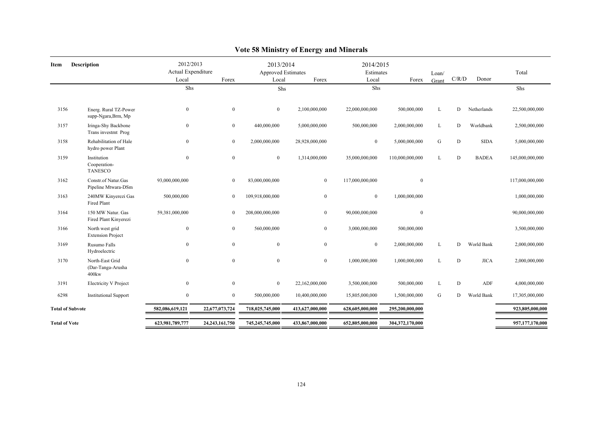| Item                    | <b>Description</b>                               | 2012/2013<br>Actual Expenditure<br>Local | Forex             | 2013/2014<br><b>Approved Estimates</b><br>Local | Forex           | 2014/2015<br>Estimates<br>Local | Forex            | Loan/<br>Grant | C/R/D | Donor        | Total           |
|-------------------------|--------------------------------------------------|------------------------------------------|-------------------|-------------------------------------------------|-----------------|---------------------------------|------------------|----------------|-------|--------------|-----------------|
|                         |                                                  | Shs                                      |                   | Shs                                             |                 | Shs                             |                  |                |       |              | Shs             |
| 3156                    | Energ. Rural TZ-Power<br>supp-Ngara, Brm, Mp     | $\boldsymbol{0}$                         | $\overline{0}$    | $\boldsymbol{0}$                                | 2,100,000,000   | 22,000,000,000                  | 500,000,000      | L              | D     | Netherlands  | 22,500,000,000  |
| 3157                    | Iringa-Shy Backbone<br>Trans investmt Prog       | $\boldsymbol{0}$                         | $\overline{0}$    | 440,000,000                                     | 5,000,000,000   | 500,000,000                     | 2,000,000,000    | L              | D     | Worldbank    | 2,500,000,000   |
| 3158                    | Rehabilitation of Hale<br>hydro power Plant      | $\theta$                                 | $\overline{0}$    | 2,000,000,000                                   | 28,928,000,000  | $\bf{0}$                        | 5,000,000,000    | ${\bf G}$      | D     | <b>SIDA</b>  | 5,000,000,000   |
| 3159                    | Institution<br>Cooperation-<br><b>TANESCO</b>    | $\mathbf{0}$                             | $\overline{0}$    | $\bf{0}$                                        | 1,314,000,000   | 35,000,000,000                  | 110,000,000,000  | L              | D     | <b>BADEA</b> | 145,000,000,000 |
| 3162                    | Constr.of Natur.Gas<br>Pipeline Mtwara-DSm       | 93,000,000,000                           | $\overline{0}$    | 83,000,000,000                                  | $\overline{0}$  | 117,000,000,000                 | $\boldsymbol{0}$ |                |       |              | 117,000,000,000 |
| 3163                    | 240MW Kinyerezi Gas<br>Fired Plant               | 500,000,000                              | $\overline{0}$    | 109,918,000,000                                 | $\mathbf{0}$    | $\overline{0}$                  | 1,000,000,000    |                |       |              | 1,000,000,000   |
| 3164                    | 150 MW Natur. Gas<br>Fired Plant Kinyerezi       | 59,381,000,000                           | $\overline{0}$    | 208,000,000,000                                 | $\overline{0}$  | 90,000,000,000                  | $\mathbf{0}$     |                |       |              | 90,000,000,000  |
| 3166                    | North west grid<br><b>Extension Project</b>      | $\mathbf{0}$                             | $\overline{0}$    | 560,000,000                                     | $\overline{0}$  | 3,000,000,000                   | 500,000,000      |                |       |              | 3,500,000,000   |
| 3169                    | Rusumo Falls<br>Hydroelectric                    | $\theta$                                 | $\overline{0}$    | $\boldsymbol{0}$                                | $\mathbf{0}$    | $\bf{0}$                        | 2,000,000,000    | L              | D     | World Bank   | 2,000,000,000   |
| 3170                    | North-East Grid<br>(Dar-Tanga-Arusha<br>$400$ kw | $\mathbf{0}$                             | $\overline{0}$    | $\mathbf{0}$                                    | $\overline{0}$  | 1,000,000,000                   | 1,000,000,000    | L              | D     | <b>JICA</b>  | 2,000,000,000   |
| 3191                    | <b>Electricity V Project</b>                     | $\mathbf{0}$                             | $\overline{0}$    | $\bf{0}$                                        | 22,162,000,000  | 3,500,000,000                   | 500,000,000      | L              | D     | ADF          | 4,000,000,000   |
| 6298                    | <b>Institutional Support</b>                     | $\boldsymbol{0}$                         | $\overline{0}$    | 500,000,000                                     | 10,400,000,000  | 15,805,000,000                  | 1,500,000,000    | G              | D     | World Bank   | 17,305,000,000  |
| <b>Total of Subvote</b> |                                                  | 582,086,619,121                          | 22,677,073,724    | 718,025,745,000                                 | 413,627,000,000 | 628,605,000,000                 | 295,200,000,000  |                |       |              | 923,805,000,000 |
| <b>Total of Vote</b>    |                                                  | 623,981,789,777                          | 24, 243, 161, 750 | 745,245,745,000                                 | 433,867,000,000 | 652,805,000,000                 | 304,372,170,000  |                |       |              | 957,177,170,000 |

## **Vote 58 Ministry of Energy and Minerals**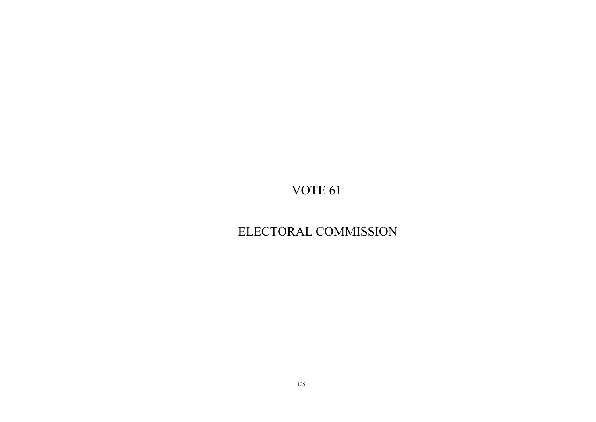# ELECTORAL COMMISSION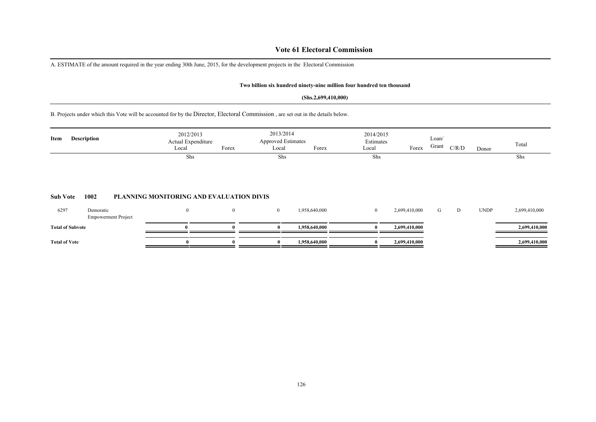### **Vote 61 Electoral Commission**

A. ESTIMATE of the amount required in the year ending 30th June, 2015, for the development projects in the Electoral Commission

#### **Two billion six hundred ninety-nine million four hundred ten thousand**

#### **(Shs.2,699,410,000)**

B. Projects under which this Vote will be accounted for by the Director, Electoral Commission , are set out in the details below.

| Item            | <b>Description</b> | 2012/2013<br>Actual Expenditure<br>Forex<br>Local | 2013/2014<br><b>Approved Estimates</b><br>Local | Forex | 2014/2015<br>Estimates<br>Local | Forex | Loan/<br>Grant | C/R/D | Donor | Total |
|-----------------|--------------------|---------------------------------------------------|-------------------------------------------------|-------|---------------------------------|-------|----------------|-------|-------|-------|
|                 |                    | Shs                                               | Shs                                             |       | Shs                             |       |                |       |       | Shs   |
| <b>Sub Vote</b> | 1002               | PLANNING MONITORING AND EVALUATION DIVIS          |                                                 |       |                                 |       |                |       |       |       |

| 6297                    | Demoratic<br><b>Empowerment Project</b> |  | .958,640,000  | 2,699,410,000 |  | <b>UNDP</b> | 2,699,410,000 |
|-------------------------|-----------------------------------------|--|---------------|---------------|--|-------------|---------------|
| <b>Total of Subvote</b> |                                         |  | 1.958.640.000 | 2,699,410,000 |  |             | 2,699,410,000 |
| <b>Total of Vote</b>    |                                         |  | 1.958.640.000 | 2,699,410,000 |  |             | 2,699,410,000 |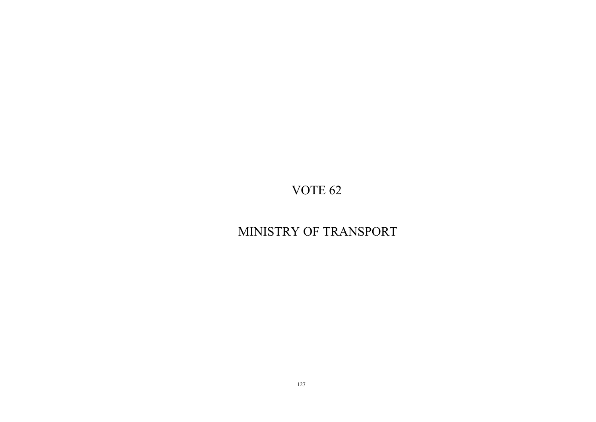# MINISTRY OF TRANSPORT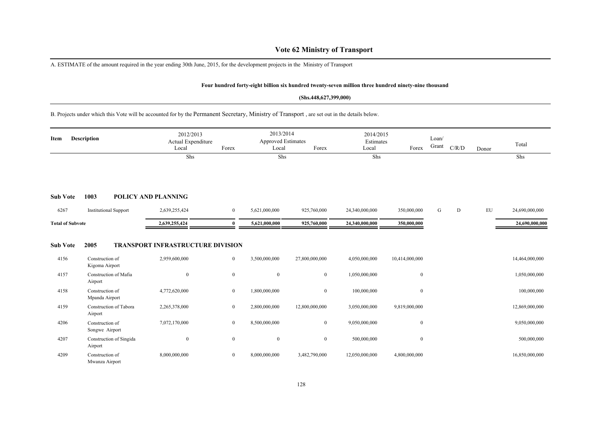### **Vote 62 Ministry of Transport**

A. ESTIMATE of the amount required in the year ending 30th June, 2015, for the development projects in the Ministry of Transport

#### **Four hundred forty-eight billion six hundred twenty-seven million three hundred ninety-nine thousand**

#### **(Shs.448,627,399,000)**

### B. Projects under which this Vote will be accounted for by the Permanent Secretary, Ministry of Transport , are set out in the details below.

| Item                    | <b>Description</b>                        | 2012/2013<br>Actual Expenditure<br>Local                  | Forex          | 2013/2014<br><b>Approved Estimates</b><br>Local | Forex            | 2014/2015<br>Estimates<br>Local | Forex            | Loan/<br>Grant | C/R/D     | Donor | Total          |
|-------------------------|-------------------------------------------|-----------------------------------------------------------|----------------|-------------------------------------------------|------------------|---------------------------------|------------------|----------------|-----------|-------|----------------|
|                         |                                           | Shs                                                       |                | Shs                                             |                  | Shs                             |                  |                |           |       | Shs            |
| <b>Sub Vote</b>         | 1003                                      | POLICY AND PLANNING                                       |                |                                                 |                  |                                 |                  |                |           |       |                |
| 6267                    | <b>Institutional Support</b>              | 2,639,255,424                                             | $\overline{0}$ | 5,621,000,000                                   | 925,760,000      | 24,340,000,000                  | 350,000,000      | G              | ${\rm D}$ | EU    | 24,690,000,000 |
| <b>Total of Subvote</b> |                                           | 2,639,255,424                                             | $\theta$       | 5,621,000,000                                   | 925,760,000      | 24,340,000,000                  | 350,000,000      |                |           |       | 24,690,000,000 |
| <b>Sub Vote</b><br>4156 | 2005<br>Construction of<br>Kigoma Airport | <b>TRANSPORT INFRASTRUCTURE DIVISION</b><br>2,959,600,000 | $\bf{0}$       | 3,500,000,000                                   | 27,800,000,000   | 4,050,000,000                   | 10,414,000,000   |                |           |       | 14,464,000,000 |
| 4157                    | Construction of Mafia<br>Airport          | $\mathbf{0}$                                              | $\bf{0}$       | $\boldsymbol{0}$                                | $\mathbf{0}$     | 1,050,000,000                   | $\boldsymbol{0}$ |                |           |       | 1,050,000,000  |
| 4158                    | Construction of<br>Mpanda Airport         | 4,772,620,000                                             | $\bf{0}$       | 1,800,000,000                                   | $\mathbf{0}$     | 100,000,000                     | $\boldsymbol{0}$ |                |           |       | 100,000,000    |
| 4159                    | Construction of Tabora<br>Airport         | 2,265,378,000                                             | $\mathbf{0}$   | 2,800,000,000                                   | 12,800,000,000   | 3,050,000,000                   | 9,819,000,000    |                |           |       | 12,869,000,000 |
| 4206                    | Construction of<br>Songwe Airport         | 7,072,170,000                                             | $\mathbf{0}$   | 8,500,000,000                                   | $\boldsymbol{0}$ | 9,050,000,000                   | $\boldsymbol{0}$ |                |           |       | 9,050,000,000  |
| 4207                    | Construction of Singida<br>Airport        | $\mathbf{0}$                                              | $\mathbf{0}$   | $\boldsymbol{0}$                                | $\mathbf{0}$     | 500,000,000                     | $\boldsymbol{0}$ |                |           |       | 500,000,000    |
| 4209                    | Construction of<br>Mwanza Airport         | 8,000,000,000                                             | $\bf{0}$       | 8,000,000,000                                   | 3,482,790,000    | 12,050,000,000                  | 4,800,000,000    |                |           |       | 16,850,000,000 |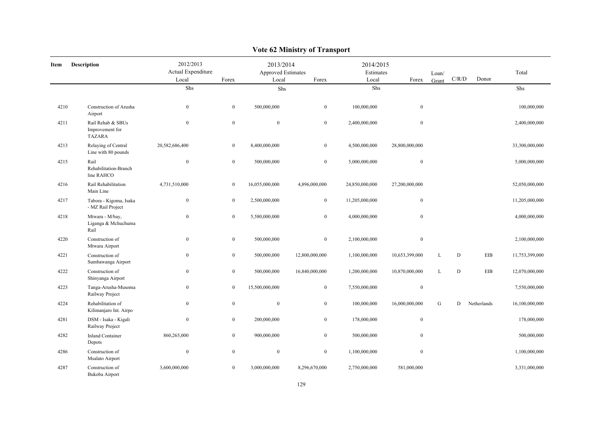| Item | <b>Description</b>                                    | 2012/2013<br>Actual Expenditure<br>Local | Forex            | 2013/2014<br>Approved Estimates<br>Local | Forex            | 2014/2015<br>Estimates<br>Local | Forex            | Loan/<br>Grant | $\rm C/R/D$ | Donor       | Total          |
|------|-------------------------------------------------------|------------------------------------------|------------------|------------------------------------------|------------------|---------------------------------|------------------|----------------|-------------|-------------|----------------|
|      |                                                       | ${\rm Shs}$                              |                  | Shs                                      |                  | Shs                             |                  |                |             |             | Shs            |
| 4210 | Construction of Arusha<br>Airport                     | $\boldsymbol{0}$                         | $\overline{0}$   | 500,000,000                              | $\bf{0}$         | 100,000,000                     | $\mathbf{0}$     |                |             |             | 100,000,000    |
| 4211 | Rail Rehab & SBUs<br>Improvement for<br><b>TAZARA</b> | $\boldsymbol{0}$                         | $\boldsymbol{0}$ | $\boldsymbol{0}$                         | $\boldsymbol{0}$ | 2,400,000,000                   | $\boldsymbol{0}$ |                |             |             | 2,400,000,000  |
| 4213 | Relaying of Central<br>Line with 80 pounds            | 20,582,686,400                           | $\overline{0}$   | 8,400,000,000                            | $\mathbf{0}$     | 4,500,000,000                   | 28,800,000,000   |                |             |             | 33,300,000,000 |
| 4215 | Rail<br>Rehabilitation-Branch<br>line RAHCO           | $\boldsymbol{0}$                         | $\mathbf{0}$     | 500,000,000                              | $\boldsymbol{0}$ | 5,000,000,000                   | $\boldsymbol{0}$ |                |             |             | 5,000,000,000  |
| 4216 | Rail Rehabilitation<br>Main Line                      | 4,731,510,000                            | $\bf{0}$         | 16,055,000,000                           | 4,896,000,000    | 24,850,000,000                  | 27,200,000,000   |                |             |             | 52,050,000,000 |
| 4217 | Tabora - Kigoma, Isaka<br>- MZ Rail Project           | $\boldsymbol{0}$                         | $\bf{0}$         | 2,500,000,000                            | $\bf{0}$         | 11,205,000,000                  | $\boldsymbol{0}$ |                |             |             | 11,205,000,000 |
| 4218 | Mtwara - M/bay,<br>Liganga & Mchuchuma<br>Rail        | $\mathbf{0}$                             | $\mathbf{0}$     | 5,580,000,000                            | $\mathbf{0}$     | 4,000,000,000                   | $\mathbf{0}$     |                |             |             | 4,000,000,000  |
| 4220 | Construction of<br>Mtwara Airport                     | $\boldsymbol{0}$                         | $\mathbf{0}$     | 500,000,000                              | $\mathbf{0}$     | 2,100,000,000                   | $\mathbf{0}$     |                |             |             | 2,100,000,000  |
| 4221 | Construction of<br>Sumbawanga Airport                 | $\mathbf{0}$                             | $\mathbf{0}$     | 500,000,000                              | 12,800,000,000   | 1,100,000,000                   | 10,653,399,000   | L              | $\mathbf D$ | EIB         | 11,753,399,000 |
| 4222 | Construction of<br>Shinyanga Airport                  | $\boldsymbol{0}$                         | $\boldsymbol{0}$ | 500,000,000                              | 16,840,000,000   | 1,200,000,000                   | 10,870,000,000   | L              | ${\bf D}$   | EIB         | 12,070,000,000 |
| 4223 | Tanga-Arusha-Musoma<br>Railway Project                | $\boldsymbol{0}$                         | $\mathbf{0}$     | 15,500,000,000                           | $\boldsymbol{0}$ | 7,550,000,000                   | $\boldsymbol{0}$ |                |             |             | 7,550,000,000  |
| 4224 | Rehabilitation of<br>Kilimanjaro Int. Airpo           | $\boldsymbol{0}$                         | $\mathbf{0}$     | $\boldsymbol{0}$                         | $\mathbf{0}$     | 100,000,000                     | 16,000,000,000   | G              | D           | Netherlands | 16,100,000,000 |
| 4281 | DSM - Isaka - Kigali<br>Railway Project               | $\boldsymbol{0}$                         | $\mathbf{0}$     | 200,000,000                              | $\mathbf{0}$     | 178,000,000                     | $\mathbf{0}$     |                |             |             | 178,000,000    |
| 4282 | <b>Inland Container</b><br>Depots                     | 860,265,000                              | $\mathbf{0}$     | 900,000,000                              | $\mathbf{0}$     | 500,000,000                     | $\mathbf{0}$     |                |             |             | 500,000,000    |
| 4286 | Construction of<br>Msalato Airport                    | $\boldsymbol{0}$                         | $\mathbf{0}$     | $\boldsymbol{0}$                         | $\mathbf{0}$     | 1,100,000,000                   | $\mathbf{0}$     |                |             |             | 1,100,000,000  |
| 4287 | Construction of<br>Bukoba Airport                     | 3,600,000,000                            | $\mathbf{0}$     | 3,000,000,000                            | 8,296,670,000    | 2,750,000,000                   | 581,000,000      |                |             |             | 3,331,000,000  |

## **Vote 62 Ministry of Transport**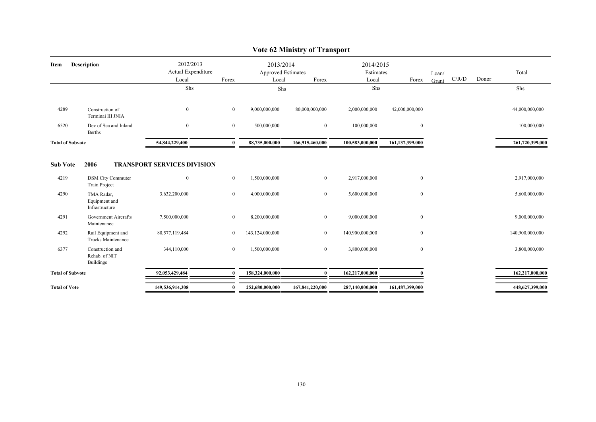|                         |                                                       |                                    |                |                                        | $\frac{1}{2}$   |                        |                 |       |       |       |                 |
|-------------------------|-------------------------------------------------------|------------------------------------|----------------|----------------------------------------|-----------------|------------------------|-----------------|-------|-------|-------|-----------------|
| Item                    | <b>Description</b>                                    | 2012/2013<br>Actual Expenditure    |                | 2013/2014<br><b>Approved Estimates</b> |                 | 2014/2015<br>Estimates |                 | Loan/ |       |       | Total           |
|                         |                                                       | Local                              | Forex          | Local                                  | Forex           | Local                  | Forex           | Grant | C/R/D | Donor |                 |
|                         |                                                       | Shs                                |                | Shs                                    |                 | Shs                    |                 |       |       |       | Shs             |
| 4289                    | Construction of<br>Terminai III JNIA                  | $\overline{0}$                     | $\overline{0}$ | 9,000,000,000                          | 80,000,000,000  | 2,000,000,000          | 42,000,000,000  |       |       |       | 44,000,000,000  |
| 6520                    | Dev of Sea and Inland<br><b>Berths</b>                | $\overline{0}$                     | $\mathbf{0}$   | 500,000,000                            | $\overline{0}$  | 100,000,000            | $\mathbf{0}$    |       |       |       | 100,000,000     |
| <b>Total of Subvote</b> | 54,844,229,400                                        |                                    | $\mathbf{0}$   | 88,735,000,000                         | 166,915,460,000 | 100,583,000,000        | 161,137,399,000 |       |       |       | 261,720,399,000 |
| <b>Sub Vote</b>         | 2006                                                  | <b>TRANSPORT SERVICES DIVISION</b> |                |                                        |                 |                        |                 |       |       |       |                 |
| 4219                    | <b>DSM City Commuter</b><br><b>Train Project</b>      | $\overline{0}$                     | $\overline{0}$ | 1,500,000,000                          | $\overline{0}$  | 2,917,000,000          | $\bf{0}$        |       |       |       | 2,917,000,000   |
| 4290                    | TMA Radar,<br>Equipment and<br>Infrastructure         | 3,632,200,000                      | $\overline{0}$ | 4,000,000,000                          | $\overline{0}$  | 5,600,000,000          | $\mathbf{0}$    |       |       |       | 5,600,000,000   |
| 4291                    | Government Aircrafts<br>Maintenance                   | 7,500,000,000                      | $\overline{0}$ | 8,200,000,000                          | $\overline{0}$  | 9,000,000,000          | $\bf{0}$        |       |       |       | 9,000,000,000   |
| 4292                    | Rail Equipment and<br>Trucks Maintenance              | 80,577,119,484                     | $\overline{0}$ | 143,124,000,000                        | $\overline{0}$  | 140,900,000,000        | $\bf{0}$        |       |       |       | 140,900,000,000 |
| 6377                    | Construction and<br>Rehab. of NIT<br><b>Buildings</b> | 344,110,000                        | $\overline{0}$ | 1,500,000,000                          | $\overline{0}$  | 3,800,000,000          | $\bf{0}$        |       |       |       | 3,800,000,000   |
| <b>Total of Subvote</b> |                                                       | 92,053,429,484                     | $\mathbf{0}$   | 158,324,000,000                        | $\bf{0}$        | 162,217,000,000        |                 |       |       |       | 162,217,000,000 |
| <b>Total of Vote</b>    |                                                       | 149,536,914,308                    | $\bf{0}$       | 252,680,000,000                        | 167,841,220,000 | 287,140,000,000        | 161,487,399,000 |       |       |       | 448,627,399,000 |

### **Vote 62 Ministry of Transport**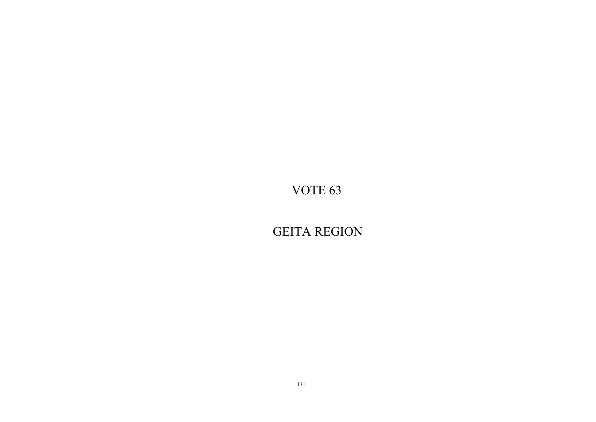GEITA REGION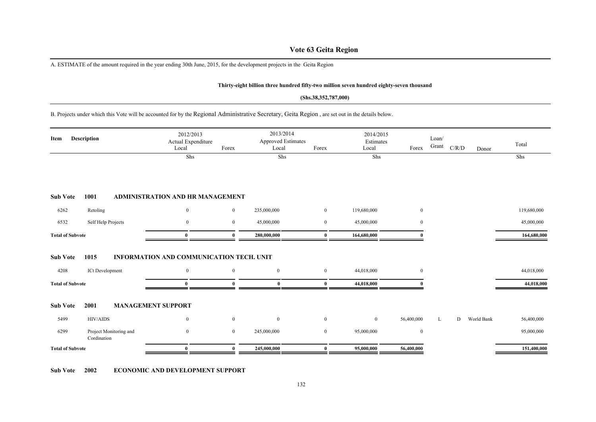### **Vote 63 Geita Region**

A. ESTIMATE of the amount required in the year ending 30th June, 2015, for the development projects in the Geita Region

#### **Thirty-eight billion three hundred fifty-two million seven hundred eighty-seven thousand**

#### **(Shs.38,352,787,000)**

B. Projects under which this Vote will be accounted for by the Regional Administrative Secretary, Geita Region , are set out in the details below.

| Item                    | Description                           | 2012/2013<br>Actual Expenditure<br>Local | Forex          | 2013/2014<br>Approved Estimates<br>Local | Forex    | 2014/2015<br>Estimates<br>Local | Forex          | Loan/<br>Grant | $\rm C/R/D$ | Donor      | Total       |
|-------------------------|---------------------------------------|------------------------------------------|----------------|------------------------------------------|----------|---------------------------------|----------------|----------------|-------------|------------|-------------|
|                         |                                       | Shs                                      |                | Shs                                      |          | Shs                             |                |                |             |            | Shs         |
| <b>Sub Vote</b>         | 1001                                  | ADMINISTRATION AND HR MANAGEMENT         |                |                                          |          |                                 |                |                |             |            |             |
| 6262                    | Retoling                              | $\bf{0}$                                 | $\overline{0}$ | 235,000,000                              | $\bf{0}$ | 119,680,000                     | $\mathbf{0}$   |                |             |            | 119,680,000 |
| 6532                    | Self Help Projects                    | $\bf{0}$                                 | $\overline{0}$ | 45,000,000                               | $\bf{0}$ | 45,000,000                      | $\overline{0}$ |                |             |            | 45,000,000  |
| <b>Total of Subvote</b> |                                       | $\bf{0}$                                 | $\theta$       | 280,000,000                              | $\bf{0}$ | 164,680,000                     |                |                |             |            | 164,680,000 |
| <b>Sub Vote</b>         | 1015                                  | INFORMATION AND COMMUNICATION TECH. UNIT |                |                                          |          |                                 |                |                |             |            |             |
| 4208                    | ICt Development                       | $\mathbf{0}$                             | $\overline{0}$ | $\boldsymbol{0}$                         | $\bf{0}$ | 44,018,000                      | $\overline{0}$ |                |             |            | 44,018,000  |
| <b>Total of Subvote</b> |                                       | $\bf{0}$                                 | $\Omega$       | $\bf{0}$                                 | $\bf{0}$ | 44,018,000                      |                |                |             |            | 44,018,000  |
| <b>Sub Vote</b>         | 2001                                  | <b>MANAGEMENT SUPPORT</b>                |                |                                          |          |                                 |                |                |             |            |             |
| 5499                    | HIV/AIDS                              | $\bf{0}$                                 | $\overline{0}$ | $\bf{0}$                                 | $\bf{0}$ | $\overline{0}$                  | 56,400,000     | L              | D           | World Bank | 56,400,000  |
| 6299                    | Project Monitoring and<br>Cordination | $\bf{0}$                                 | $\overline{0}$ | 245,000,000                              | $\bf{0}$ | 95,000,000                      | $\bf{0}$       |                |             |            | 95,000,000  |
| <b>Total of Subvote</b> |                                       | $\mathbf{0}$                             |                | 245,000,000                              | $\theta$ | 95,000,000                      | 56,400,000     |                |             |            | 151,400,000 |

**Sub Vote 2002 ECONOMIC AND DEVELOPMENT SUPPORT**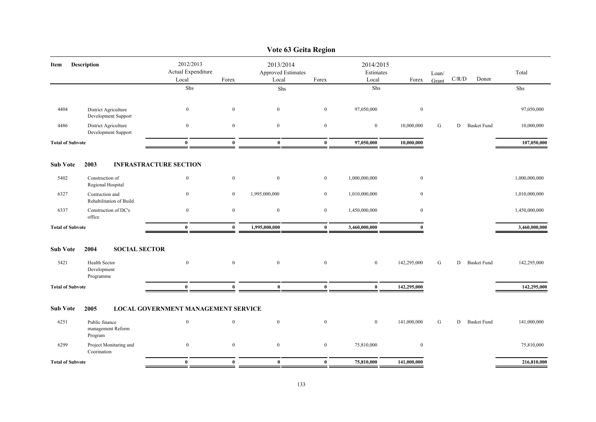|                         |                                                |                                            |                  | Vote 63 Geita Region                            |                  |                                 |                  |                |       |                    |               |
|-------------------------|------------------------------------------------|--------------------------------------------|------------------|-------------------------------------------------|------------------|---------------------------------|------------------|----------------|-------|--------------------|---------------|
| Item                    | <b>Description</b>                             | 2012/2013<br>Actual Expenditure<br>Local   | Forex            | 2013/2014<br><b>Approved Estimates</b><br>Local | Forex            | 2014/2015<br>Estimates<br>Local | Forex            | Loan/<br>Grant | C/R/D | Donor              | Total         |
|                         |                                                | Shs                                        |                  | Shs                                             |                  | Shs                             |                  |                |       |                    | Shs           |
| 4404                    | District Agriculture<br>Development Support    | $\boldsymbol{0}$                           | $\mathbf{0}$     | $\mathbf{0}$                                    | $\overline{0}$   | 97,050,000                      | $\mathbf{0}$     |                |       |                    | 97,050,000    |
| 4486                    | District Agriculture<br>Development Support    | $\boldsymbol{0}$                           | $\mathbf{0}$     | $\boldsymbol{0}$                                | $\mathbf{0}$     | $\boldsymbol{0}$                | 10,000,000       | ${\bf G}$      | D     | <b>Basket Fund</b> | 10,000,000    |
| <b>Total of Subvote</b> |                                                | $\bf{0}$                                   | $\mathbf{0}$     | $\bf{0}$                                        | $\mathbf{0}$     | 97,050,000                      | 10,000,000       |                |       |                    | 107,050,000   |
| <b>Sub Vote</b>         | 2003                                           | <b>INFRASTRACTURE SECTION</b>              |                  |                                                 |                  |                                 |                  |                |       |                    |               |
| 5402                    | Construction of<br>Regional Hospital           | $\boldsymbol{0}$                           | $\boldsymbol{0}$ | $\boldsymbol{0}$                                | $\overline{0}$   | 1,000,000,000                   | $\boldsymbol{0}$ |                |       |                    | 1,000,000,000 |
| 6327                    | Costruction and<br>Rehabilitation of Build.    | $\bf{0}$                                   | $\bf{0}$         | 1,995,000,000                                   | $\overline{0}$   | 1,010,000,000                   | $\mathbf{0}$     |                |       |                    | 1,010,000,000 |
| 6337                    | Construction of DC's<br>office                 | $\boldsymbol{0}$                           | $\bf{0}$         | $\bf{0}$                                        | $\boldsymbol{0}$ | 1,450,000,000                   | $\mathbf{0}$     |                |       |                    | 1,450,000,000 |
| <b>Total of Subvote</b> |                                                | $\bf{0}$                                   | $\bf{0}$         | 1,995,000,000                                   | $\bf{0}$         | 3,460,000,000                   | $\bf{0}$         |                |       |                    | 3,460,000,000 |
| <b>Sub Vote</b>         | 2004<br><b>SOCIAL SECTOR</b>                   |                                            |                  |                                                 |                  |                                 |                  |                |       |                    |               |
| 5421                    | Health Sector<br>Development<br>Programme      | $\boldsymbol{0}$                           | $\boldsymbol{0}$ | $\mathbf{0}$                                    | $\mathbf{0}$     | $\boldsymbol{0}$                | 142,295,000      | G              |       | D Basket Fund      | 142,295,000   |
| <b>Total of Subvote</b> |                                                | $\bf{0}$                                   | $\mathbf{0}$     | $\bf{0}$                                        | $\bf{0}$         | $\bf{0}$                        | 142,295,000      |                |       |                    | 142,295,000   |
| <b>Sub Vote</b>         | 2005                                           | <b>LOCAL GOVERNMENT MANAGEMENT SERVICE</b> |                  |                                                 |                  |                                 |                  |                |       |                    |               |
| 6251                    | Public finance<br>management Reform<br>Program | $\mathbf{0}$                               | $\bf{0}$         | $\mathbf{0}$                                    | $\overline{0}$   | $\overline{0}$                  | 141,000,000      | G              | D     | <b>Basket Fund</b> | 141,000,000   |
| 6299                    | Project Monitaring and<br>Coorination          | $\bf{0}$                                   | $\bf{0}$         | $\bf{0}$                                        | $\boldsymbol{0}$ | 75,810,000                      | $\bf{0}$         |                |       |                    | 75,810,000    |
| <b>Total of Subvote</b> |                                                | $\bf{0}$                                   | $\bf{0}$         | $\bf{0}$                                        | $\bf{0}$         | 75,810,000                      | 141,000,000      |                |       |                    | 216,810,000   |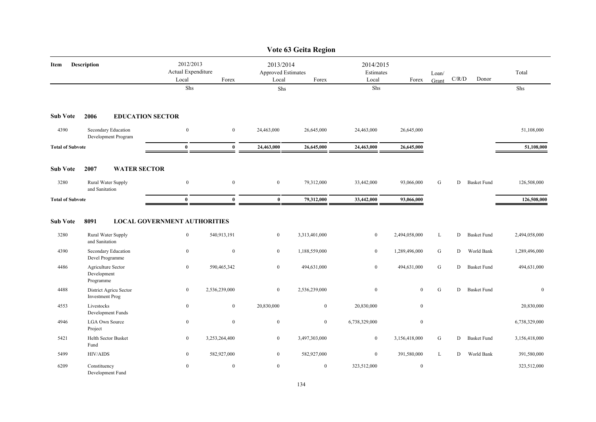|                         |                                                                   |                                                         |                  |                                                 | Vote 63 Geita Region |                                 |                  |                |             |                    |               |
|-------------------------|-------------------------------------------------------------------|---------------------------------------------------------|------------------|-------------------------------------------------|----------------------|---------------------------------|------------------|----------------|-------------|--------------------|---------------|
| Item                    | <b>Description</b>                                                | 2012/2013<br>Actual Expenditure<br>Local                | Forex            | 2013/2014<br><b>Approved Estimates</b><br>Local | Forex                | 2014/2015<br>Estimates<br>Local | Forex            | Loan/<br>Grant | $\rm C/R/D$ | Donor              | Total         |
|                         |                                                                   | Shs                                                     |                  | Shs                                             |                      | Shs                             |                  |                |             |                    | ${\rm Shs}$   |
| <b>Sub Vote</b>         | 2006<br><b>EDUCATION SECTOR</b>                                   |                                                         |                  |                                                 |                      |                                 |                  |                |             |                    |               |
| 4390                    | Secondary Education<br>Development Program                        | $\boldsymbol{0}$                                        | $\mathbf{0}$     | 24,463,000                                      | 26,645,000           | 24,463,000                      | 26,645,000       |                |             |                    | 51,108,000    |
| <b>Total of Subvote</b> |                                                                   | $\mathbf{0}$                                            | $\mathbf{0}$     | 24,463,000                                      | 26,645,000           | 24,463,000                      | 26,645,000       |                |             |                    | 51,108,000    |
| <b>Sub Vote</b>         | <b>WATER SECTOR</b><br>2007                                       |                                                         |                  |                                                 |                      |                                 |                  |                |             |                    |               |
| 3280                    | Rural Water Supply<br>and Sanitation                              | $\boldsymbol{0}$                                        | $\boldsymbol{0}$ | $\boldsymbol{0}$                                | 79,312,000           | 33,442,000                      | 93,066,000       | G              | D           | <b>Basket Fund</b> | 126,508,000   |
| <b>Total of Subvote</b> |                                                                   | $\bf{0}$                                                | $\mathbf{0}$     | $\mathbf{0}$                                    | 79,312,000           | 33,442,000                      | 93,066,000       |                |             |                    | 126,508,000   |
| <b>Sub Vote</b><br>3280 | 8091<br>Rural Water Supply                                        | <b>LOCAL GOVERNMENT AUTHORITIES</b><br>$\boldsymbol{0}$ | 540,913,191      | $\mathbf{0}$                                    | 3,313,401,000        | $\mathbf{0}$                    | 2,494,058,000    | L              | D           | <b>Basket Fund</b> | 2,494,058,000 |
| 4390                    | and Sanitation<br>Secondary Education                             | $\boldsymbol{0}$                                        | $\mathbf{0}$     | $\mathbf{0}$                                    | 1,188,559,000        | $\overline{0}$                  | 1,289,496,000    | G              | D           | World Bank         | 1,289,496,000 |
| 4486                    | Devel Programme<br>Agriculture Sector<br>Development<br>Programme | $\bf{0}$                                                | 590,465,342      | $\overline{0}$                                  | 494,631,000          | $\bf{0}$                        | 494,631,000      | ${\bf G}$      | D           | <b>Basket Fund</b> | 494,631,000   |
| 4488                    | District Agricu Sector<br><b>Investment Prog</b>                  | $\bf{0}$                                                | 2,536,239,000    | $\overline{0}$                                  | 2,536,239,000        | $\boldsymbol{0}$                | $\mathbf{0}$     | G              | D           | <b>Basket Fund</b> | $\mathbf{0}$  |
| 4553                    | Livestocks<br>Development Funds                                   | $\boldsymbol{0}$                                        | $\mathbf{0}$     | 20,830,000                                      | $\overline{0}$       | 20,830,000                      | $\boldsymbol{0}$ |                |             |                    | 20,830,000    |
| 4946                    | <b>LGA Own Source</b><br>Project                                  | $\bf{0}$                                                | $\mathbf{0}$     | $\overline{0}$                                  | $\overline{0}$       | 6,738,329,000                   | $\mathbf{0}$     |                |             |                    | 6,738,329,000 |
| 5421                    | Helth Sector Busket<br>Fund                                       | $\bf{0}$                                                | 3,253,264,400    | $\mathbf{0}$                                    | 3,497,303,000        | $\bf{0}$                        | 3,156,418,000    | G              | D           | <b>Basket Fund</b> | 3,156,418,000 |
| 5499                    | <b>HIV/AIDS</b>                                                   | $\overline{0}$                                          | 582,927,000      | $\overline{0}$                                  | 582,927,000          | $\overline{0}$                  | 391,580,000      | L              | D           | World Bank         | 391,580,000   |
| 6209                    | Constituency<br>Development Fund                                  | $\mathbf{0}$                                            | $\mathbf{0}$     | $\mathbf{0}$                                    | $\bf{0}$             | 323,512,000                     | $\mathbf{0}$     |                |             |                    | 323,512,000   |

### 134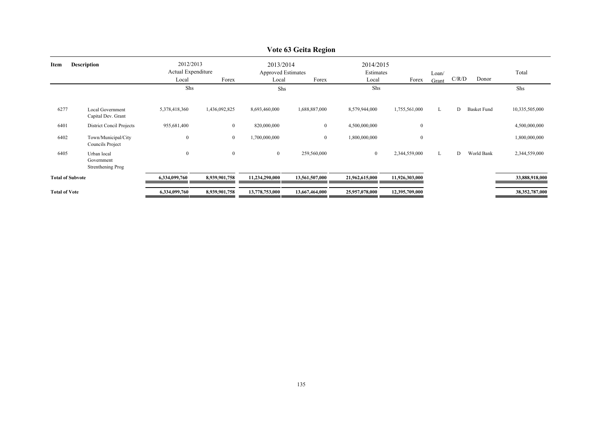|                         |                                                |                                          |                |                                                 | VULE UJ GEILA INEQIUII |                                 |                  |                |       |                    |                |
|-------------------------|------------------------------------------------|------------------------------------------|----------------|-------------------------------------------------|------------------------|---------------------------------|------------------|----------------|-------|--------------------|----------------|
| Item                    | <b>Description</b>                             | 2012/2013<br>Actual Expenditure<br>Local | Forex          | 2013/2014<br><b>Approved Estimates</b><br>Local | Forex                  | 2014/2015<br>Estimates<br>Local | Forex            | Loan/<br>Grant | C/R/D | Donor              | Total          |
|                         |                                                | Shs                                      |                | Shs                                             |                        | Shs                             |                  |                |       |                    | Shs            |
| 6277                    | <b>Local Government</b><br>Capital Dev. Grant  | 5,378,418,360                            | 1,436,092,825  | 8,693,460,000                                   | 1,688,887,000          | 8,579,944,000                   | 1,755,561,000    | L              | D     | <b>Basket Fund</b> | 10,335,505,000 |
| 6401                    | District Concil Projects                       | 955,681,400                              | $\bf{0}$       | 820,000,000                                     | $\mathbf{0}$           | 4,500,000,000                   | $\boldsymbol{0}$ |                |       |                    | 4,500,000,000  |
| 6402                    | Town/Municipal/City<br>Councils Project        | $\boldsymbol{0}$                         | $\bf{0}$       | 1,700,000,000                                   | $\overline{0}$         | 1,800,000,000                   | $\bf{0}$         |                |       |                    | 1,800,000,000  |
| 6405                    | Urban local<br>Government<br>Strenthening Prog | $\boldsymbol{0}$                         | $\overline{0}$ | $\mathbf{0}$                                    | 259,560,000            | $\mathbf{0}$                    | 2,344,559,000    | L              | D     | World Bank         | 2,344,559,000  |
| <b>Total of Subvote</b> |                                                | 6,334,099,760                            | 8,939,901,758  | 11,234,290,000                                  | 13,561,507,000         | 21,962,615,000                  | 11,926,303,000   |                |       |                    | 33,888,918,000 |
| <b>Total of Vote</b>    |                                                | 6,334,099,760                            | 8,939,901,758  | 13,778,753,000                                  | 13,667,464,000         | 25,957,078,000                  | 12,395,709,000   |                |       |                    | 38,352,787,000 |

### **Vote 63 Geita Region**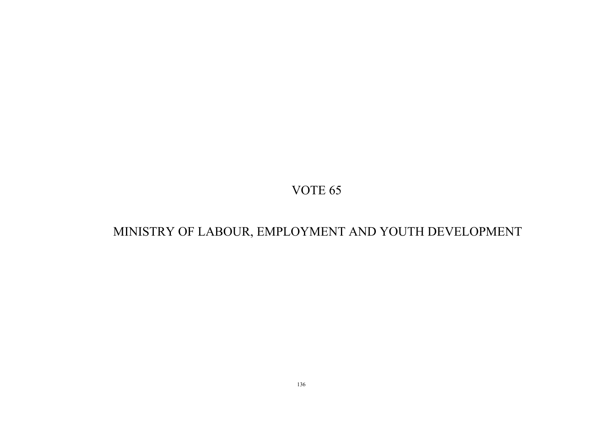# MINISTRY OF LABOUR, EMPLOYMENT AND YOUTH DEVELOPMENT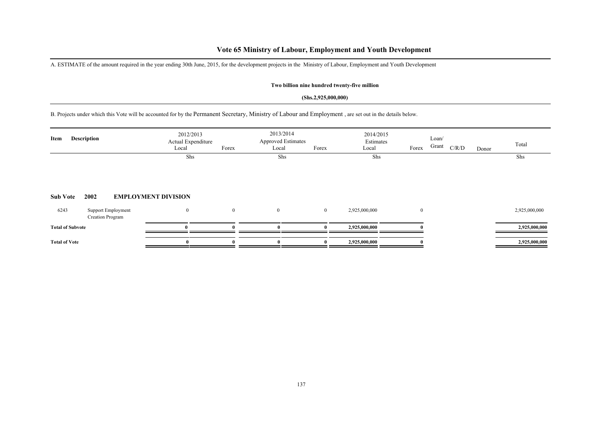## **Vote 65 Ministry of Labour, Employment and Youth Development**

A. ESTIMATE of the amount required in the year ending 30th June, 2015, for the development projects in the Ministry of Labour, Employment and Youth Development

### **Two billion nine hundred twenty-five million**

#### **(Shs.2,925,000,000)**

B. Projects under which this Vote will be accounted for by the Permanent Secretary, Ministry of Labour and Employment , are set out in the details below.

| Item                    | Description             |                    | 2012/2013<br>Actual Expenditure<br>Local | Forex          | 2013/2014<br><b>Approved Estimates</b><br>Local | Forex    | 2014/2015<br>Estimates<br>Local | Forex        | Loan/<br>Grant | C/R/D | Donor | Total         |
|-------------------------|-------------------------|--------------------|------------------------------------------|----------------|-------------------------------------------------|----------|---------------------------------|--------------|----------------|-------|-------|---------------|
| <b>Sub Vote</b>         | 2002                    |                    | Shs<br><b>EMPLOYMENT DIVISION</b>        |                | Shs                                             |          | Shs                             |              |                |       |       | Shs           |
| 6243                    | <b>Creation Program</b> | Support Employment | $\boldsymbol{0}$                         | $\overline{0}$ | $\mathbf{0}$                                    | $\bf{0}$ | 2,925,000,000                   | $\mathbf{0}$ |                |       |       | 2,925,000,000 |
| <b>Total of Subvote</b> |                         |                    |                                          |                |                                                 |          | 2,925,000,000                   |              |                |       |       | 2,925,000,000 |
| <b>Total of Vote</b>    |                         |                    | $\mathbf{0}$                             |                |                                                 |          | 2,925,000,000                   |              |                |       |       | 2,925,000,000 |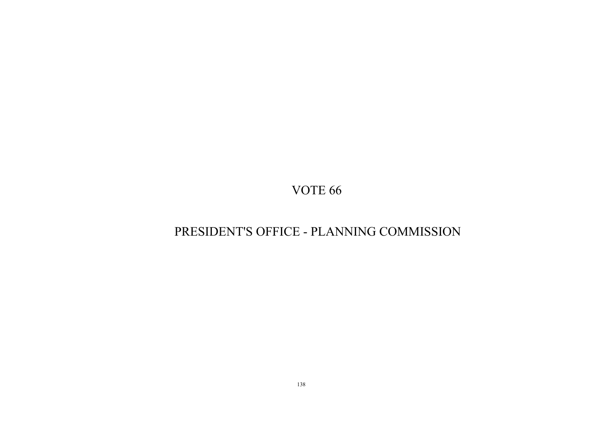# PRESIDENT'S OFFICE - PLANNING COMMISSION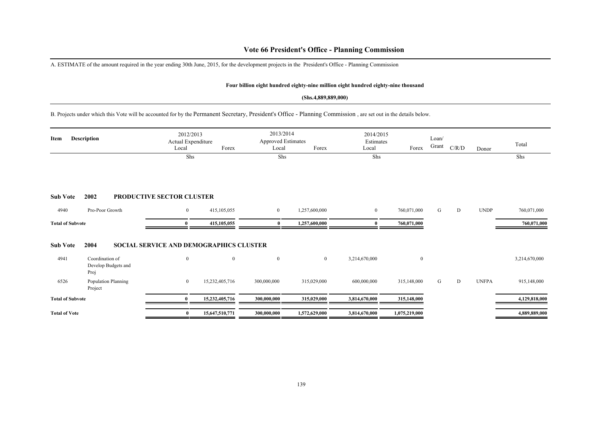### **Vote 66 President's Office - Planning Commission**

A. ESTIMATE of the amount required in the year ending 30th June, 2015, for the development projects in the President's Office - Planning Commission

#### **Four billion eight hundred eighty-nine million eight hundred eighty-nine thousand**

#### **(Shs.4,889,889,000)**

B. Projects under which this Vote will be accounted for by the Permanent Secretary, President's Office - Planning Commission , are set out in the details below.

| <b>Description</b><br>Item |                                                | 2012/2013<br>Actual Expenditure<br>Forex<br>Local |                | 2013/2014<br>Approved Estimates<br>Forex<br>Local |               | 2014/2015<br>Estimates<br>Local | Forex          | Loan/<br>Grant | C/R/D | Donor        | Total         |
|----------------------------|------------------------------------------------|---------------------------------------------------|----------------|---------------------------------------------------|---------------|---------------------------------|----------------|----------------|-------|--------------|---------------|
|                            |                                                | Shs                                               |                | Shs                                               |               | Shs                             |                |                |       |              | Shs           |
| <b>Sub Vote</b><br>4940    | 2002                                           | <b>PRODUCTIVE SECTOR CLUSTER</b>                  |                |                                                   |               |                                 |                |                |       |              |               |
|                            | Pro-Poor Growth                                | $\bf{0}$                                          | 415, 105, 055  | $\overline{0}$                                    | 1,257,600,000 | $\bf{0}$                        | 760,071,000    | G              | D     | <b>UNDP</b>  | 760,071,000   |
| <b>Total of Subvote</b>    |                                                | $\mathbf{0}$                                      |                | $\bf{0}$                                          | 1,257,600,000 | $\mathbf{0}$                    | 760,071,000    |                |       |              | 760,071,000   |
| <b>Sub Vote</b>            | 2004                                           | <b>SOCIAL SERVICE AND DEMOGRAPHICS CLUSTER</b>    |                |                                                   |               |                                 |                |                |       |              |               |
| 4941                       | Coordination of<br>Develop Budgets and<br>Proj | $\mathbf{0}$                                      | $\mathbf{0}$   | $\mathbf{0}$                                      | $\bf{0}$      | 3,214,670,000                   | $\overline{0}$ |                |       |              | 3,214,670,000 |
| 6526                       | Population Planning<br>Project                 | $\mathbf{0}$                                      | 15,232,405,716 | 300,000,000                                       | 315,029,000   | 600,000,000                     | 315,148,000    | G              | D     | <b>UNFPA</b> | 915,148,000   |
| <b>Total of Subvote</b>    |                                                |                                                   | 15,232,405,716 | 300,000,000                                       | 315,029,000   | 3,814,670,000                   | 315,148,000    |                |       |              | 4,129,818,000 |
| <b>Total of Vote</b>       |                                                | $\mathbf{0}$                                      | 15,647,510,771 | 300,000,000                                       | 1,572,629,000 | 3,814,670,000                   | 1,075,219,000  |                |       |              | 4,889,889,000 |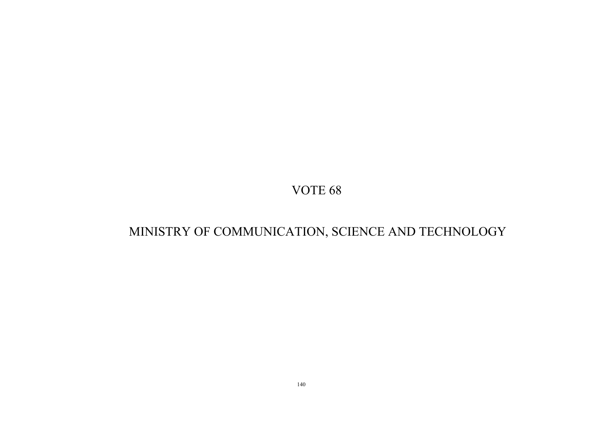# MINISTRY OF COMMUNICATION, SCIENCE AND TECHNOLOGY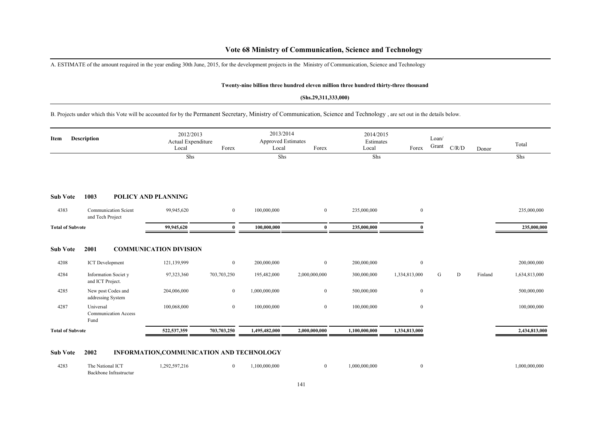### **Vote 68 Ministry of Communication, Science and Technology**

A. ESTIMATE of the amount required in the year ending 30th June, 2015, for the development projects in the Ministry of Communication, Science and Technology

#### **Twenty-nine billion three hundred eleven million three hundred thirty-three thousand**

#### **(Shs.29,311,333,000)**

B. Projects under which this Vote will be accounted for by the Permanent Secretary, Ministry of Communication, Science and Technology , are set out in the details below.

| Description<br>Item     |                                                  | 2012/2013<br>Actual Expenditure<br>Forex<br>Local |                | 2013/2014<br><b>Approved Estimates</b><br>Forex<br>Local |                | 2014/2015<br>Estimates<br>Forex<br>Local |               | Loan/<br>Grant | C/R/D | Donor   | Total         |
|-------------------------|--------------------------------------------------|---------------------------------------------------|----------------|----------------------------------------------------------|----------------|------------------------------------------|---------------|----------------|-------|---------|---------------|
|                         |                                                  | Shs                                               |                | Shs                                                      |                | Shs                                      |               |                |       |         | Shs           |
| <b>Sub Vote</b>         | 1003                                             | POLICY AND PLANNING                               |                |                                                          |                |                                          |               |                |       |         |               |
| 4383                    | <b>Communication Scient</b><br>and Tech Project  | 99,945,620                                        | $\overline{0}$ | 100,000,000                                              | $\overline{0}$ | 235,000,000                              | $\mathbf{0}$  |                |       |         | 235,000,000   |
| <b>Total of Subvote</b> |                                                  | 99,945,620                                        | $\theta$       | 100,000,000                                              | $\mathbf{0}$   | 235,000,000                              |               |                |       |         | 235,000,000   |
| <b>Sub Vote</b>         | 2001                                             | <b>COMMUNICATION DIVISION</b>                     |                |                                                          |                |                                          |               |                |       |         |               |
| 4208                    | <b>ICT</b> Development                           | 121,139,999                                       | $\mathbf{0}$   | 200,000,000                                              | $\overline{0}$ | 200,000,000                              | $\mathbf{0}$  |                |       |         | 200,000,000   |
| 4284                    | <b>Information Society</b><br>and ICT Project.   | 97,323,360                                        | 703,703,250    | 195,482,000                                              | 2,000,000,000  | 300,000,000                              | 1,334,813,000 | G              | D     | Finland | 1,634,813,000 |
| 4285                    | New post Codes and<br>addressing System          | 204,006,000                                       | $\overline{0}$ | 1,000,000,000                                            | $\mathbf{0}$   | 500,000,000                              | $\mathbf{0}$  |                |       |         | 500,000,000   |
| 4287                    | Universal<br><b>Communication Access</b><br>Fund | 100,068,000                                       | $\mathbf{0}$   | 100,000,000                                              | $\mathbf{0}$   | 100,000,000                              | $\mathbf{0}$  |                |       |         | 100,000,000   |
| <b>Total of Subvote</b> |                                                  | 522,537,359                                       | 703,703,250    | 1,495,482,000                                            | 2,000,000,000  | 1,100,000,000                            | 1,334,813,000 |                |       |         | 2,434,813,000 |

#### **Sub Vote 2002 INFORMATION,COMMUNICATION AND TECHNOLOGY**

| 4283 | The National ICT       | 1,292,597,216 | 100,000,000 | 1,000,000,000 | 1,000,000,000 |
|------|------------------------|---------------|-------------|---------------|---------------|
|      | Backbone Infrastructur |               |             |               |               |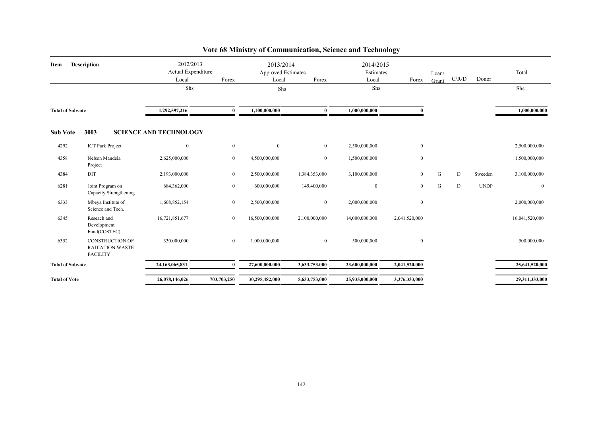| <b>Description</b><br>Item |                                                                     | 2012/2013<br>Actual Expenditure<br>Local | Forex          | 2013/2014<br><b>Approved Estimates</b><br>Forex<br>Local |                | 2014/2015<br>Estimates<br>Local | Forex            | Loan/<br>Grant | C/R/D     | Donor       | Total          |
|----------------------------|---------------------------------------------------------------------|------------------------------------------|----------------|----------------------------------------------------------|----------------|---------------------------------|------------------|----------------|-----------|-------------|----------------|
|                            |                                                                     | Shs                                      |                | Shs                                                      |                | Shs                             |                  |                |           |             | Shs            |
| <b>Total of Subvote</b>    |                                                                     | 1,292,597,216                            | 0              | 1,100,000,000                                            | $\bf{0}$       | 1,000,000,000                   |                  |                |           |             | 1,000,000,000  |
| <b>Sub Vote</b>            | 3003                                                                | <b>SCIENCE AND TECHNOLOGY</b>            |                |                                                          |                |                                 |                  |                |           |             |                |
| 4292                       | <b>ICT Park Project</b>                                             | $\mathbf{0}$                             | $\overline{0}$ | $\overline{0}$                                           | $\overline{0}$ | 2,500,000,000                   | $\boldsymbol{0}$ |                |           |             | 2,500,000,000  |
| 4358                       | Nelson Mandela<br>Project                                           | 2,625,000,000                            | $\overline{0}$ | 4,500,000,000                                            | $\overline{0}$ | 1,500,000,000                   | $\mathbf{0}$     |                |           |             | 1,500,000,000  |
| 4384                       | DIT                                                                 | 2,193,000,000                            | $\overline{0}$ | 2,500,000,000                                            | 1,384,353,000  | 3,100,000,000                   | $\mathbf{0}$     | G              | ${\rm D}$ | Sweeden     | 3,100,000,000  |
| 6281                       | Joint Program on<br>Capacity Strengthening                          | 684,362,000                              | $\overline{0}$ | 600,000,000                                              | 149,400,000    | $\bf{0}$                        | $\mathbf{0}$     | G              | D         | <b>UNDP</b> | $\bf{0}$       |
| 6333                       | Mbeya Institute of<br>Science and Tech.                             | 1,608,852,154                            | $\overline{0}$ | 2,500,000,000                                            | $\overline{0}$ | 2,000,000,000                   | $\bf{0}$         |                |           |             | 2,000,000,000  |
| 6345                       | Reseach and<br>Development<br>Fund(COSTEC)                          | 16,721,851,677                           | $\overline{0}$ | 16,500,000,000                                           | 2,100,000,000  | 14,000,000,000                  | 2,041,520,000    |                |           |             | 16,041,520,000 |
| 6352                       | <b>CONSTRUCTION OF</b><br><b>RADIATION WASTE</b><br><b>FACILITY</b> | 330,000,000                              | $\overline{0}$ | 1,000,000,000                                            | $\overline{0}$ | 500,000,000                     | $\mathbf{0}$     |                |           |             | 500,000,000    |
| <b>Total of Subvote</b>    |                                                                     | 24,163,065,831                           | $\mathbf{0}$   | 27,600,000,000                                           | 3,633,753,000  | 23,600,000,000                  | 2,041,520,000    |                |           |             | 25,641,520,000 |
| <b>Total of Vote</b>       |                                                                     | 26,078,146,026                           | 703,703,250    | 30,295,482,000                                           | 5,633,753,000  | 25,935,000,000                  | 3,376,333,000    |                |           |             | 29,311,333,000 |

## **Vote 68 Ministry of Communication, Science and Technology**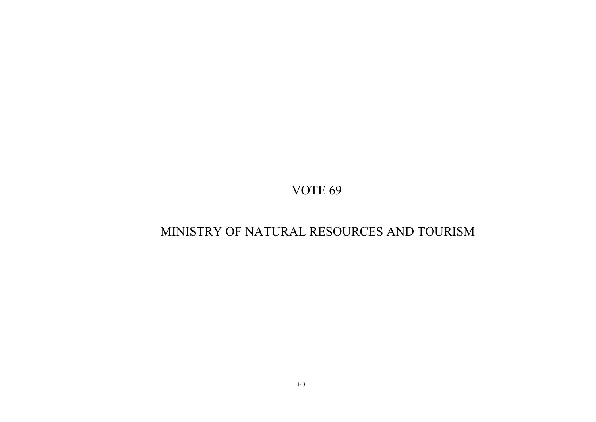# MINISTRY OF NATURAL RESOURCES AND TOURISM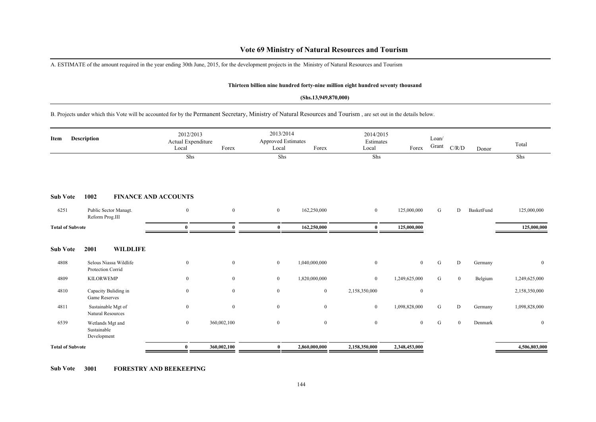### **Vote 69 Ministry of Natural Resources and Tourism**

A. ESTIMATE of the amount required in the year ending 30th June, 2015, for the development projects in the Ministry of Natural Resources and Tourism

#### **Thirteen billion nine hundred forty-nine million eight hundred seventy thousand**

#### **(Shs.13,949,870,000)**

B. Projects under which this Vote will be accounted for by the Permanent Secretary, Ministry of Natural Resources and Tourism , are set out in the details below.

| Description<br>Item     |                                                | 2012/2013<br>Actual Expenditure<br>Local | Forex            | 2013/2014<br><b>Approved Estimates</b><br>Local | Forex          | 2014/2015<br>Estimates<br>Local | Forex            | Loan/<br>Grant | C/R/D        | Donor      | Total          |
|-------------------------|------------------------------------------------|------------------------------------------|------------------|-------------------------------------------------|----------------|---------------------------------|------------------|----------------|--------------|------------|----------------|
|                         |                                                | Shs                                      |                  | Shs                                             |                | Shs                             |                  |                |              |            | Shs            |
| <b>Sub Vote</b>         | 1002                                           | <b>FINANCE AND ACCOUNTS</b>              |                  |                                                 |                |                                 |                  |                |              |            |                |
| 6251                    | Public Sector Managt.<br>Reform Prog.III       | $\overline{0}$                           | $\mathbf{0}$     | $\overline{0}$                                  | 162,250,000    | $\mathbf{0}$                    | 125,000,000      | G              | D            | BasketFund | 125,000,000    |
| <b>Total of Subvote</b> |                                                | $\bf{0}$                                 | $\mathbf{0}$     | $\bf{0}$                                        | 162,250,000    | $\bf{0}$                        | 125,000,000      |                |              |            | 125,000,000    |
| <b>Sub Vote</b>         | 2001<br><b>WILDLIFE</b>                        |                                          |                  |                                                 |                |                                 |                  |                |              |            |                |
| 4808                    | Selous Niassa Wildlife<br>Protection Corrid    | $\mathbf{0}$                             | $\overline{0}$   | $\mathbf{0}$                                    | 1,040,000,000  | $\mathbf{0}$                    | $\overline{0}$   | G              | D            | Germany    | $\overline{0}$ |
| 4809                    | <b>KILORWEMP</b>                               | $\boldsymbol{0}$                         | $\boldsymbol{0}$ | $\bf{0}$                                        | 1,820,000,000  | $\bf{0}$                        | 1,249,625,000    | G              | $\mathbf{0}$ | Belgium    | 1,249,625,000  |
| 4810                    | Capacity Buliding in<br>Game Reserves          | $\boldsymbol{0}$                         | $\mathbf{0}$     | $\mathbf{0}$                                    | $\overline{0}$ | 2,158,350,000                   | $\boldsymbol{0}$ |                |              |            | 2,158,350,000  |
| 4811                    | Sustainable Mgt of<br>Natural Resources        | $\boldsymbol{0}$                         | $\mathbf{0}$     | $\mathbf{0}$                                    | $\mathbf{0}$   | $\mathbf{0}$                    | 1,098,828,000    | G              | D            | Germany    | 1,098,828,000  |
| 6539                    | Wetlands Mgt and<br>Sustainable<br>Development | $\overline{0}$                           | 360,002,100      | $\mathbf{0}$                                    | $\mathbf{0}$   | $\mathbf{0}$                    | $\overline{0}$   | G              | $\mathbf{0}$ | Denmark    | $\mathbf{0}$   |
| <b>Total of Subvote</b> |                                                | $\bf{0}$                                 | 360,002,100      | $\bf{0}$                                        | 2,860,000,000  | 2,158,350,000                   | 2,348,453,000    |                |              |            | 4,506,803,000  |

**Sub Vote 3001 FORESTRY AND BEEKEEPING**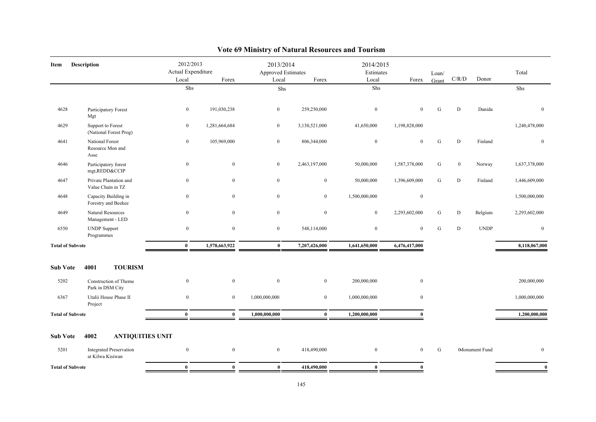| Description<br>Item     |                                                    | 2012/2013<br>Actual Expenditure |                  | 2013/2014<br>Approved Estimates |               | 2014/2015<br>Estimates |                | Loan/     |                |                | Total         |
|-------------------------|----------------------------------------------------|---------------------------------|------------------|---------------------------------|---------------|------------------------|----------------|-----------|----------------|----------------|---------------|
|                         |                                                    | Local                           | Forex            | Local                           | Forex         | Local                  | Forex          | Grant     | C/R/D          | Donor          |               |
|                         |                                                    | Shs                             |                  | Shs                             |               | Shs                    |                |           |                |                | Shs           |
| 4628                    | Participatory Forest<br>Mgt                        | $\boldsymbol{0}$                | 191,030,238      | $\boldsymbol{0}$                | 259,250,000   | $\mathbf{0}$           | $\mathbf{0}$   | G         | D              | Danida         | $\mathbf{0}$  |
| 4629                    | Support to Forest<br>(National Forest Prog)        | $\bf{0}$                        | 1,281,664,684    | $\mathbf{0}$                    | 3,130,521,000 | 41,650,000             | 1,198,828,000  |           |                |                | 1,240,478,000 |
| 4641                    | National Forest<br>Resource Mon and<br>Asse        | $\bf{0}$                        | 105,969,000      | $\mathbf{0}$                    | 806,344,000   | $\mathbf{0}$           | $\mathbf{0}$   | ${\bf G}$ | D              | Finland        | $\mathbf{0}$  |
| 4646                    | Participatory forest<br>mgt, REDD&CCIP             | $\boldsymbol{0}$                | $\mathbf{0}$     | $\mathbf{0}$                    | 2,463,197,000 | 50,000,000             | 1,587,378,000  | G         | $\overline{0}$ | Norway         | 1,637,378,000 |
| 4647                    | Private Plantation and<br>Value Chain in TZ        | $\mathbf{0}$                    | $\mathbf{0}$     | $\mathbf{0}$                    | $\mathbf{0}$  | 50,000,000             | 1,396,609,000  | G         | D              | Finland        | 1,446,609,000 |
| 4648                    | Capacity Building in<br>Forestry and Beekee        | $\mathbf{0}$                    | $\mathbf{0}$     | $\mathbf{0}$                    | $\mathbf{0}$  | 1,500,000,000          | $\mathbf{0}$   |           |                |                | 1,500,000,000 |
| 4649                    | Natural Resources<br>Management - LED              | $\boldsymbol{0}$                | $\mathbf{0}$     | $\mathbf{0}$                    | $\mathbf{0}$  | $\mathbf{0}$           | 2,293,602,000  | G         | D              | Belgium        | 2,293,602,000 |
| 6550                    | <b>UNDP</b> Support<br>Programmes                  | $\boldsymbol{0}$                | $\mathbf{0}$     | $\mathbf{0}$                    | 548,114,000   | $\mathbf{0}$           | $\overline{0}$ | G         | D              | <b>UNDP</b>    | $\mathbf{0}$  |
| <b>Total of Subvote</b> |                                                    | $\bf{0}$                        | 1,578,663,922    | $\bf{0}$                        | 7,207,426,000 | 1,641,650,000          | 6,476,417,000  |           |                |                | 8,118,067,000 |
| <b>Sub Vote</b>         | <b>TOURISM</b><br>4001                             |                                 |                  |                                 |               |                        |                |           |                |                |               |
| 5202                    | Construction of Theme<br>Park in DSM City          | $\boldsymbol{0}$                | $\mathbf{0}$     | $\mathbf{0}$                    | $\mathbf{0}$  | 200,000,000            | $\mathbf{0}$   |           |                |                | 200,000,000   |
| 6367                    | Utalii House Phase II<br>Project                   | $\boldsymbol{0}$                | $\mathbf{0}$     | 1,000,000,000                   | $\mathbf{0}$  | 1,000,000,000          | $\mathbf{0}$   |           |                |                | 1,000,000,000 |
| <b>Total of Subvote</b> |                                                    | $\bf{0}$                        | $\bf{0}$         | 1,000,000,000                   | $\bf{0}$      | 1,200,000,000          | $\mathbf{0}$   |           |                |                | 1,200,000,000 |
| <b>Sub Vote</b>         | 4002<br><b>ANTIQUITIES UNIT</b>                    |                                 |                  |                                 |               |                        |                |           |                |                |               |
| 5201                    | <b>Integrated Preservation</b><br>at Kilwa Kisiwan | $\boldsymbol{0}$                | $\boldsymbol{0}$ | $\bf{0}$                        | 418,490,000   | $\boldsymbol{0}$       | $\overline{0}$ | ${\bf G}$ |                | 0Monument Fund | $\mathbf{0}$  |
| <b>Total of Subvote</b> |                                                    | $\bf{0}$                        | $\bf{0}$         | $\bf{0}$                        | 418,490,000   | $\bf{0}$               | $\bf{0}$       |           |                |                | $\bf{0}$      |

# **Vote 69 Ministry of Natural Resources and Tourism**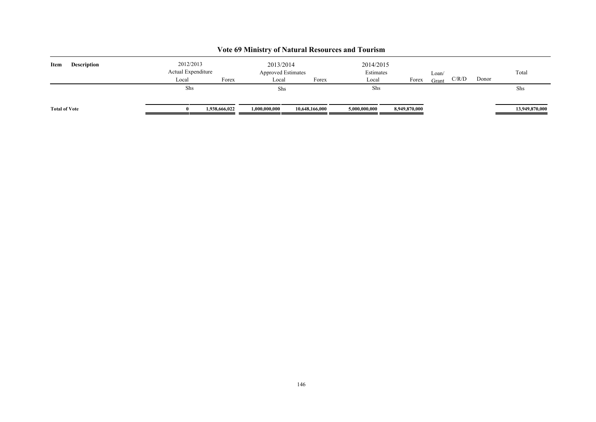| Item                 | <b>Description</b> | 2012/2013<br>Actual Expenditure<br>Forex<br>Local |               | 2013/2014<br><b>Approved Estimates</b><br>Local<br>Forex |                | 2014/2015<br>Estimates<br>Local | Forex         | Loan/<br>Grant | C/R/D | Donor | Total          |
|----------------------|--------------------|---------------------------------------------------|---------------|----------------------------------------------------------|----------------|---------------------------------|---------------|----------------|-------|-------|----------------|
|                      |                    | Shs                                               |               | Shs                                                      |                | Shs                             |               |                |       |       | Shs            |
| <b>Total of Vote</b> |                    | $\mathbf{0}$                                      | 1,938,666,022 | 1,000,000,000                                            | 10,648,166,000 | 5,000,000,000                   | 8,949,870,000 |                |       |       | 13,949,870,000 |

# **Vote 69 Ministry of Natural Resources and Tourism**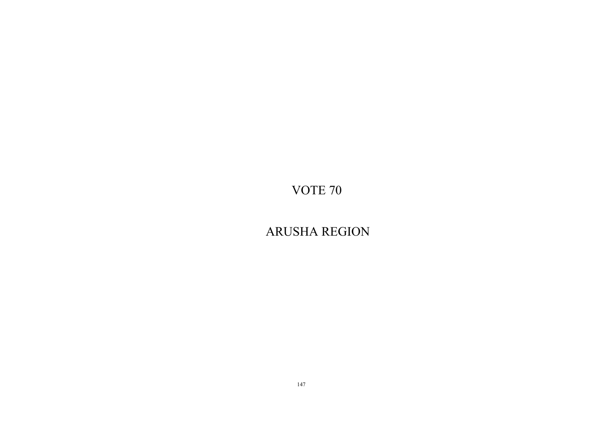ARUSHA REGION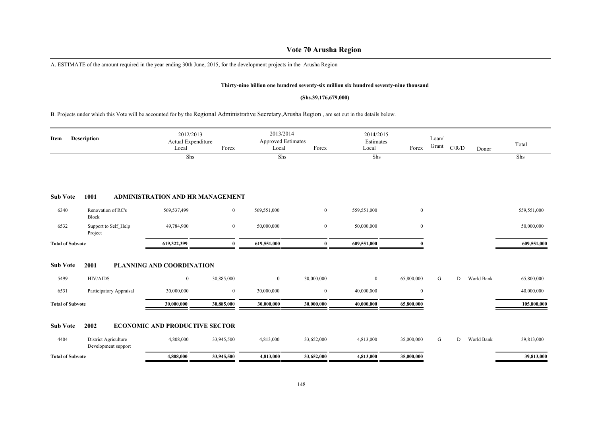# **Vote 70 Arusha Region**

A. ESTIMATE of the amount required in the year ending 30th June, 2015, for the development projects in the Arusha Region

#### **Thirty-nine billion one hundred seventy-six million six hundred seventy-nine thousand**

#### **(Shs.39,176,679,000)**

B. Projects under which this Vote will be accounted for by the Regional Administrative Secretary,Arusha Region , are set out in the details below.

| Description<br>Item     |                                             | 2012/2013<br>Actual Expenditure<br>Local | Forex          | 2013/2014<br><b>Approved Estimates</b><br>Local | Forex          | 2014/2015<br>Estimates<br>Local | Forex      | Loan/<br>Grant | C/R/D | Donor      | Total       |
|-------------------------|---------------------------------------------|------------------------------------------|----------------|-------------------------------------------------|----------------|---------------------------------|------------|----------------|-------|------------|-------------|
|                         |                                             | Shs                                      |                | Shs                                             |                | Shs                             |            |                |       |            | Shs         |
| <b>Sub Vote</b>         | 1001                                        | <b>ADMINISTRATION AND HR MANAGEMENT</b>  |                |                                                 |                |                                 |            |                |       |            |             |
| 6340                    | Renovation of RC's<br>Block                 | 569,537,499                              | $\overline{0}$ | 569,551,000                                     | $\overline{0}$ | 559,551,000                     | $\bf{0}$   |                |       |            | 559,551,000 |
| 6532                    | Support to Self Help<br>Project             | 49,784,900                               | $\overline{0}$ | 50,000,000                                      | $\mathbf{0}$   | 50,000,000                      | $\bf{0}$   |                |       |            | 50,000,000  |
| <b>Total of Subvote</b> |                                             | 619,322,399                              | $\mathbf{u}$   | 619,551,000                                     | $\bf{0}$       | 609,551,000                     |            |                |       |            | 609,551,000 |
| <b>Sub Vote</b>         | 2001                                        | <b>PLANNING AND COORDINATION</b>         |                |                                                 |                |                                 |            |                |       |            |             |
| 5499                    | HIV/AIDS                                    | $\bf{0}$                                 | 30,885,000     | $\overline{0}$                                  | 30,000,000     | $\overline{0}$                  | 65,800,000 | G              | D     | World Bank | 65,800,000  |
| 6531                    | Participatory Appraisal                     | 30,000,000                               | $\overline{0}$ | 30,000,000                                      | $\mathbf{0}$   | 40,000,000                      | $\bf{0}$   |                |       |            | 40,000,000  |
| <b>Total of Subvote</b> |                                             | 30,000,000                               | 30,885,000     | 30,000,000                                      | 30,000,000     | 40,000,000                      | 65,800,000 |                |       |            | 105,800,000 |
| <b>Sub Vote</b>         | 2002                                        | <b>ECONOMIC AND PRODUCTIVE SECTOR</b>    |                |                                                 |                |                                 |            |                |       |            |             |
| 4404                    | District Agriculture<br>Development support | 4,808,000                                | 33,945,500     | 4,813,000                                       | 33,652,000     | 4,813,000                       | 35,000,000 | G              | D     | World Bank | 39,813,000  |
|                         |                                             |                                          |                |                                                 |                |                                 |            |                |       |            |             |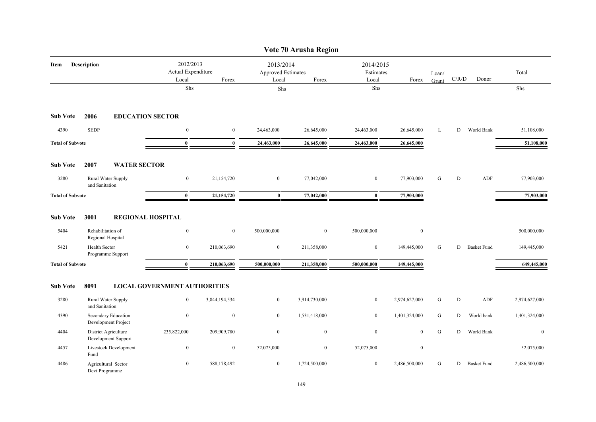|                         |                                             |                                          |                  |                                          | Vote 70 Arusha Region |                                 |                  |                |           |                    |                  |
|-------------------------|---------------------------------------------|------------------------------------------|------------------|------------------------------------------|-----------------------|---------------------------------|------------------|----------------|-----------|--------------------|------------------|
| Item                    | Description                                 | 2012/2013<br>Actual Expenditure<br>Local | Forex            | 2013/2014<br>Approved Estimates<br>Local | Forex                 | 2014/2015<br>Estimates<br>Local | Forex            | Loan/<br>Grant | C/R/D     | Donor              | Total            |
|                         |                                             | Shs                                      |                  | Shs                                      |                       | ${\rm Shs}$                     |                  |                |           |                    | Shs              |
| <b>Sub Vote</b>         | 2006                                        | <b>EDUCATION SECTOR</b>                  |                  |                                          |                       |                                 |                  |                |           |                    |                  |
| 4390                    | <b>SEDP</b>                                 | $\boldsymbol{0}$                         | $\boldsymbol{0}$ | 24,463,000                               | 26,645,000            | 24,463,000                      | 26,645,000       | L              | D         | World Bank         | 51,108,000       |
| <b>Total of Subvote</b> |                                             | $\bf{0}$                                 | $\bf{0}$         | 24,463,000                               | 26,645,000            | 24,463,000                      | 26,645,000       |                |           |                    | 51,108,000       |
| <b>Sub Vote</b>         | 2007<br><b>WATER SECTOR</b>                 |                                          |                  |                                          |                       |                                 |                  |                |           |                    |                  |
| 3280                    | Rural Water Supply<br>and Sanitation        | $\boldsymbol{0}$                         | 21,154,720       | $\bf{0}$                                 | 77,042,000            | $\bf{0}$                        | 77,903,000       | G              | D         | ADF                | 77,903,000       |
| <b>Total of Subvote</b> |                                             | $\bf{0}$                                 | 21,154,720       | $\bf{0}$                                 | 77,042,000            | $\bf{0}$                        | 77,903,000       |                |           |                    | 77,903,000       |
| <b>Sub Vote</b>         | 3001                                        | <b>REGIONAL HOSPITAL</b>                 |                  |                                          |                       |                                 |                  |                |           |                    |                  |
| 5404                    | Rehabilitation of<br>Regional Hospital      | $\boldsymbol{0}$                         | $\boldsymbol{0}$ | 500,000,000                              | $\overline{0}$        | 500,000,000                     | $\boldsymbol{0}$ |                |           |                    | 500,000,000      |
| 5421                    | <b>Health Sector</b><br>Programme Support   | $\mathbf{0}$                             | 210,063,690      | $\overline{0}$                           | 211,358,000           | $\bf{0}$                        | 149,445,000      | G              | D         | <b>Basket Fund</b> | 149,445,000      |
| <b>Total of Subvote</b> |                                             | $\bf{0}$                                 | 210,063,690      | 500,000,000                              | 211,358,000           | 500,000,000                     | 149,445,000      |                |           |                    | 649,445,000      |
| <b>Sub Vote</b>         | 8091                                        | <b>LOCAL GOVERNMENT AUTHORITIES</b>      |                  |                                          |                       |                                 |                  |                |           |                    |                  |
| 3280                    | Rural Water Supply<br>and Sanitation        | $\bf{0}$                                 | 3,844,194,534    | $\overline{0}$                           | 3,914,730,000         | $\bf{0}$                        | 2,974,627,000    | G              | ${\rm D}$ | ADF                | 2,974,627,000    |
| 4390                    | Secondary Education<br>Development Project  | $\boldsymbol{0}$                         | $\mathbf{0}$     | $\overline{0}$                           | 1,531,418,000         | $\bf{0}$                        | 1,401,324,000    | G              | D         | World bank         | 1,401,324,000    |
| 4404                    | District Agriculture<br>Development Support | 235,822,000                              | 209,909,780      | $\overline{0}$                           | $\boldsymbol{0}$      | $\boldsymbol{0}$                | $\mathbf{0}$     | ${\bf G}$      | D         | World Bank         | $\boldsymbol{0}$ |
| 4457                    | Livestock Development<br>Fund               | $\boldsymbol{0}$                         | $\mathbf{0}$     | 52,075,000                               | $\overline{0}$        | 52,075,000                      | $\boldsymbol{0}$ |                |           |                    | 52,075,000       |
| 4486                    | Agricultural Sector<br>Devt Programme       | $\bf{0}$                                 | 588,178,492      | $\overline{0}$                           | 1,724,500,000         | $\bf{0}$                        | 2,486,500,000    | G              | D         | <b>Basket Fund</b> | 2,486,500,000    |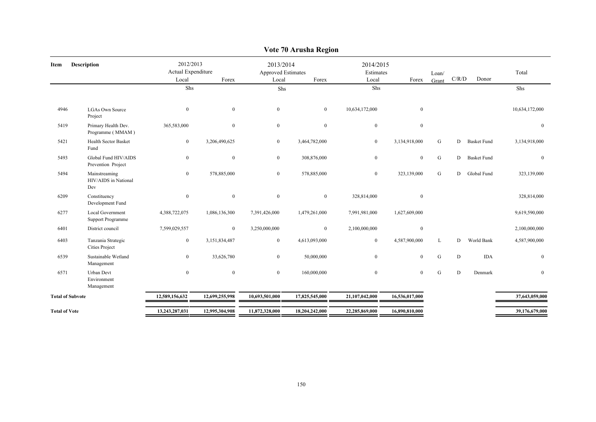| Item                    | <b>Description</b>                             | 2012/2013<br>Actual Expenditure<br>Local | Forex            | 2013/2014<br>Approved Estimates<br>Local | Forex            | 2014/2015<br>Estimates<br>Local | Forex          | Loan/     | C/R/D     | Donor              | Total          |
|-------------------------|------------------------------------------------|------------------------------------------|------------------|------------------------------------------|------------------|---------------------------------|----------------|-----------|-----------|--------------------|----------------|
|                         |                                                | Shs                                      |                  | Shs                                      |                  | Shs                             |                | Grant     |           |                    | Shs            |
|                         |                                                |                                          |                  |                                          |                  |                                 |                |           |           |                    |                |
| 4946                    | <b>LGAs Own Source</b><br>Project              | $\mathbf{0}$                             | $\mathbf{0}$     | $\mathbf{0}$                             | $\overline{0}$   | 10,634,172,000                  | $\mathbf{0}$   |           |           |                    | 10,634,172,000 |
| 5419                    | Primary Health Dev.<br>Programme (MMAM)        | 365,583,000                              | $\bf{0}$         | $\mathbf{0}$                             | $\mathbf{0}$     | $\mathbf{0}$                    | $\mathbf{0}$   |           |           |                    | $\Omega$       |
| 5421                    | <b>Health Sector Basket</b><br>Fund            | $\mathbf{0}$                             | 3,206,490,625    | $\mathbf{0}$                             | 3,464,782,000    | $\mathbf{0}$                    | 3,134,918,000  | G         | D         | <b>Basket Fund</b> | 3,134,918,000  |
| 5493                    | Global Fund HIV/AIDS<br>Prevention Project     | $\mathbf{0}$                             | $\boldsymbol{0}$ | $\mathbf{0}$                             | 308,876,000      | $\mathbf{0}$                    | $\mathbf{0}$   | ${\bf G}$ | D         | <b>Basket Fund</b> | $\overline{0}$ |
| 5494                    | Mainstreaming<br>HIV/AIDS in National<br>Dev   | $\mathbf{0}$                             | 578,885,000      | $\mathbf{0}$                             | 578,885,000      | $\mathbf{0}$                    | 323,139,000    | G         | D         | Global Fund        | 323,139,000    |
| 6209                    | Constituency<br>Development Fund               | $\bf{0}$                                 | $\mathbf{0}$     | $\mathbf{0}$                             | $\mathbf{0}$     | 328,814,000                     | $\mathbf{0}$   |           |           |                    | 328,814,000    |
| 6277                    | Local Government<br><b>Support Programme</b>   | 4,388,722,075                            | 1,086,136,300    | 7,391,426,000                            | 1,479,261,000    | 7,991,981,000                   | 1,627,609,000  |           |           |                    | 9,619,590,000  |
| 6401                    | District council                               | 7,599,029,557                            | $\boldsymbol{0}$ | 3,250,000,000                            | $\boldsymbol{0}$ | 2,100,000,000                   | $\bf{0}$       |           |           |                    | 2,100,000,000  |
| 6403                    | Tanzania Strategic<br><b>Cities Project</b>    | $\mathbf{0}$                             | 3,151,834,487    | $\overline{0}$                           | 4,613,093,000    | $\mathbf{0}$                    | 4,587,900,000  | L         | D         | World Bank         | 4,587,900,000  |
| 6539                    | Sustainable Wetland<br>Management              | $\mathbf{0}$                             | 33,626,780       | $\mathbf{0}$                             | 50,000,000       | $\mathbf{0}$                    | $\mathbf{0}$   | ${\bf G}$ | ${\bf D}$ | <b>IDA</b>         | $\Omega$       |
| 6571                    | <b>Urban Devt</b><br>Environment<br>Management | $\mathbf{0}$                             | $\mathbf{0}$     | $\mathbf{0}$                             | 160,000,000      | $\mathbf{0}$                    | $\mathbf{0}$   | G         | D         | Denmark            | $\theta$       |
| <b>Total of Subvote</b> |                                                | 12,589,156,632                           | 12,699,255,998   | 10,693,501,000                           | 17,825,545,000   | 21,107,042,000                  | 16,536,017,000 |           |           |                    | 37,643,059,000 |
| <b>Total of Vote</b>    |                                                | 13,243,287,031                           | 12,995,304,908   | 11,872,328,000                           | 18,204,242,000   | 22,285,869,000                  | 16,890,810,000 |           |           |                    | 39,176,679,000 |
|                         |                                                |                                          |                  |                                          |                  |                                 |                |           |           |                    |                |

**Vote 70 Arusha Region**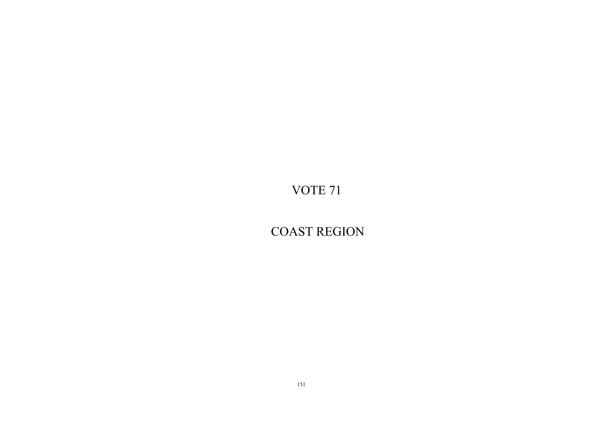COAST REGION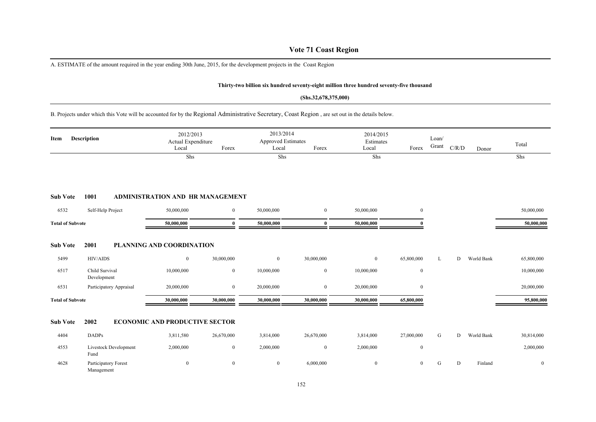# **Vote 71 Coast Region**

A. ESTIMATE of the amount required in the year ending 30th June, 2015, for the development projects in the Coast Region

#### **Thirty-two billion six hundred seventy-eight million three hundred seventy-five thousand**

#### **(Shs.32,678,375,000)**

B. Projects under which this Vote will be accounted for by the Regional Administrative Secretary, Coast Region , are set out in the details below.

| Item                    | <b>Description</b>                   | 2012/2013<br>Actual Expenditure<br>Local | Forex          | 2013/2014<br>Approved Estimates<br>Local | Forex        | 2014/2015<br>Estimates<br>Local | Forex            | Loan/<br>Grant | C/R/D | Donor      | Total            |
|-------------------------|--------------------------------------|------------------------------------------|----------------|------------------------------------------|--------------|---------------------------------|------------------|----------------|-------|------------|------------------|
|                         |                                      | Shs                                      |                | Shs                                      |              | Shs                             |                  |                |       |            | Shs              |
| <b>Sub Vote</b>         | 1001                                 | <b>ADMINISTRATION AND HR MANAGEMENT</b>  |                |                                          |              |                                 |                  |                |       |            |                  |
| 6532                    | Self-Help Project                    | 50,000,000                               | $\mathbf{0}$   | 50,000,000                               | $\mathbf{0}$ | 50,000,000                      | $\mathbf{0}$     |                |       |            | 50,000,000       |
| <b>Total of Subvote</b> |                                      | 50,000,000                               | 0              | 50,000,000                               | $\mathbf{0}$ | 50,000,000                      | $\theta$         |                |       |            | 50,000,000       |
| <b>Sub Vote</b>         | 2001                                 | PLANNING AND COORDINATION                |                |                                          |              |                                 |                  |                |       |            |                  |
| 5499                    | <b>HIV/AIDS</b>                      | $\mathbf{0}$                             | 30,000,000     | $\boldsymbol{0}$                         | 30,000,000   | $\overline{0}$                  | 65,800,000       | L              | D     | World Bank | 65,800,000       |
| 6517                    | Child Survival<br>Development        | 10,000,000                               | $\overline{0}$ | 10,000,000                               | $\mathbf{0}$ | 10,000,000                      | $\boldsymbol{0}$ |                |       |            | 10,000,000       |
| 6531                    | Participatory Appraisal              | 20,000,000                               | $\mathbf{0}$   | 20,000,000                               | $\bf{0}$     | 20,000,000                      | $\boldsymbol{0}$ |                |       |            | 20,000,000       |
| <b>Total of Subvote</b> |                                      | 30,000,000                               | 30,000,000     | 30,000,000                               | 30,000,000   | 30,000,000                      | 65,800,000       |                |       |            | 95,800,000       |
| <b>Sub Vote</b>         | 2002                                 | <b>ECONOMIC AND PRODUCTIVE SECTOR</b>    |                |                                          |              |                                 |                  |                |       |            |                  |
| 4404                    | <b>DADPs</b>                         | 3,811,580                                | 26,670,000     | 3,814,000                                | 26,670,000   | 3,814,000                       | 27,000,000       | G              | D     | World Bank | 30,814,000       |
| 4553                    | <b>Livestock Development</b><br>Fund | 2,000,000                                | $\bf{0}$       | 2,000,000                                | $\mathbf{0}$ | 2,000,000                       | $\boldsymbol{0}$ |                |       |            | 2,000,000        |
| 4628                    | Participatory Forest<br>Management   | $\mathbf{0}$                             | $\mathbf{0}$   | $\boldsymbol{0}$                         | 6,000,000    | $\mathbf{0}$                    | $\mathbf{0}$     | G              | D     | Finland    | $\boldsymbol{0}$ |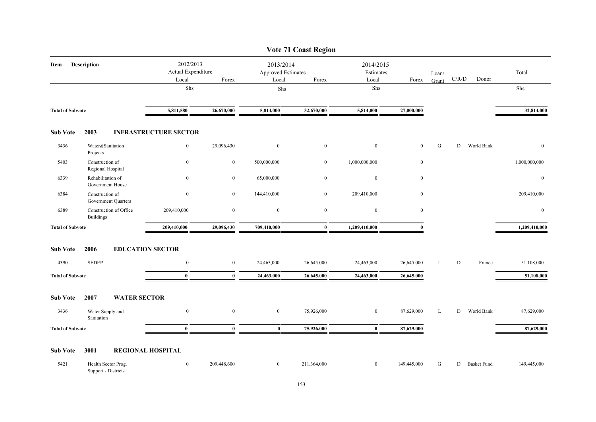|                         |                                            |                                          |                  |                                                 | <b>Vote 71 Coast Region</b> |                                 |                  |                |       |                    |               |
|-------------------------|--------------------------------------------|------------------------------------------|------------------|-------------------------------------------------|-----------------------------|---------------------------------|------------------|----------------|-------|--------------------|---------------|
| Item                    | Description                                | 2012/2013<br>Actual Expenditure<br>Local | Forex            | 2013/2014<br><b>Approved Estimates</b><br>Local | Forex                       | 2014/2015<br>Estimates<br>Local | Forex            | Loan/<br>Grant | C/R/D | Donor              | Total         |
|                         |                                            | Shs                                      |                  | Shs                                             |                             | Shs                             |                  |                |       |                    | Shs           |
| <b>Total of Subvote</b> |                                            | 5,811,580                                | 26,670,000       | 5,814,000                                       | 32,670,000                  | 5,814,000                       | 27,000,000       |                |       |                    | 32,814,000    |
| <b>Sub Vote</b>         | 2003                                       | <b>INFRASTRUCTURE SECTOR</b>             |                  |                                                 |                             |                                 |                  |                |       |                    |               |
| 3436                    | Water&Sanitation<br>Projects               | $\overline{0}$                           | 29,096,430       | $\bf{0}$                                        | $\overline{0}$              | $\mathbf{0}$                    | $\mathbf{0}$     | G              | D     | World Bank         | $\mathbf{0}$  |
| 5403                    | Construction of<br>Regional Hospital       | $\boldsymbol{0}$                         | $\boldsymbol{0}$ | 500,000,000                                     | $\overline{0}$              | 1,000,000,000                   | $\boldsymbol{0}$ |                |       |                    | 1,000,000,000 |
| 6339                    | Rehabilitation of<br>Government House      | $\overline{0}$                           | $\bf{0}$         | 65,000,000                                      | $\bf{0}$                    | $\boldsymbol{0}$                | $\mathbf{0}$     |                |       |                    | $\mathbf{0}$  |
| 6384                    | Construction of<br>Government Quarters     | $\overline{0}$                           | $\overline{0}$   | 144,410,000                                     | $\overline{0}$              | 209,410,000                     | $\bf{0}$         |                |       |                    | 209,410,000   |
| 6389                    | Construction of Office<br><b>Buildings</b> | 209,410,000                              | $\mathbf{0}$     | $\overline{0}$                                  | $\mathbf{0}$                | $\mathbf{0}$                    | $\mathbf{0}$     |                |       |                    | $\mathbf{0}$  |
| <b>Total of Subvote</b> |                                            | 209,410,000                              | 29,096,430       | 709,410,000                                     | $\bf{0}$                    | 1,209,410,000                   |                  |                |       |                    | 1,209,410,000 |
| <b>Sub Vote</b>         | 2006                                       | <b>EDUCATION SECTOR</b>                  |                  |                                                 |                             |                                 |                  |                |       |                    |               |
| 4390                    | <b>SEDEP</b>                               | $\overline{0}$                           | $\overline{0}$   | 24,463,000                                      | 26,645,000                  | 24,463,000                      | 26,645,000       | L              | D     | France             | 51,108,000    |
| <b>Total of Subvote</b> |                                            | $\bf{0}$                                 | $\bf{0}$         | 24,463,000                                      | 26,645,000                  | 24,463,000                      | 26,645,000       |                |       |                    | 51,108,000    |
| <b>Sub Vote</b>         | 2007                                       | <b>WATER SECTOR</b>                      |                  |                                                 |                             |                                 |                  |                |       |                    |               |
| 3436                    | Water Supply and<br>Sanitation             | $\overline{0}$                           | $\mathbf{0}$     | $\overline{0}$                                  | 75,926,000                  | $\overline{0}$                  | 87,629,000       | L              | D     | World Bank         | 87,629,000    |
| <b>Total of Subvote</b> |                                            | $\bf{0}$                                 | $\bf{0}$         | $\bf{0}$                                        | 75,926,000                  | $\bf{0}$                        | 87,629,000       |                |       |                    | 87,629,000    |
| <b>Sub Vote</b>         | 3001                                       | <b>REGIONAL HOSPITAL</b>                 |                  |                                                 |                             |                                 |                  |                |       |                    |               |
| 5421                    | Health Sector Prog.<br>Support - Districts | $\overline{0}$                           | 209,448,600      | $\mathbf{0}$                                    | 211,364,000                 | $\boldsymbol{0}$                | 149,445,000      | G              | D     | <b>Basket Fund</b> | 149,445,000   |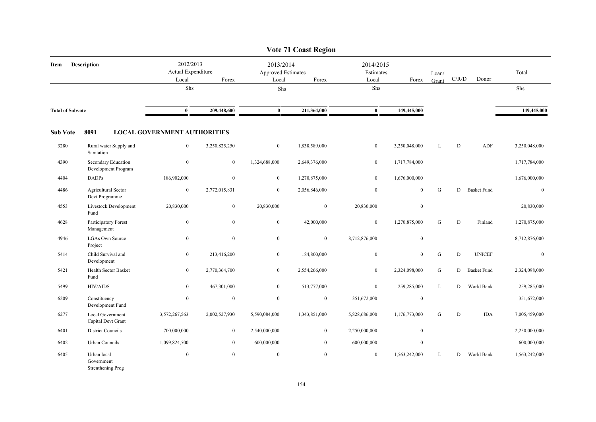|                         |                                                |                                          |                  |                                          | <b>Vote 71 Coast Region</b> |                                 |                  |                |           |                    |                  |
|-------------------------|------------------------------------------------|------------------------------------------|------------------|------------------------------------------|-----------------------------|---------------------------------|------------------|----------------|-----------|--------------------|------------------|
| Item                    | <b>Description</b>                             | 2012/2013<br>Actual Expenditure<br>Local | Forex            | 2013/2014<br>Approved Estimates<br>Local | Forex                       | 2014/2015<br>Estimates<br>Local | Forex            | Loan/<br>Grant | C/R/D     | Donor              | Total            |
|                         |                                                | Shs                                      |                  | Shs                                      |                             | ${\rm Shs}$                     |                  |                |           |                    | Shs              |
| <b>Total of Subvote</b> |                                                | $\bf{0}$                                 | 209,448,600      | $\bf{0}$                                 | 211,364,000                 | $\bf{0}$                        | 149,445,000      |                |           |                    | 149,445,000      |
| <b>Sub Vote</b>         | 8091                                           | <b>LOCAL GOVERNMENT AUTHORITIES</b>      |                  |                                          |                             |                                 |                  |                |           |                    |                  |
| 3280                    | Rural water Supply and<br>Sanitation           | $\overline{0}$                           | 3,250,825,250    | $\mathbf{0}$                             | 1,838,589,000               | $\overline{0}$                  | 3,250,048,000    | L              | D         | ADF                | 3,250,048,000    |
| 4390                    | Secondary Education<br>Development Program     | $\boldsymbol{0}$                         | $\overline{0}$   | 1,324,688,000                            | 2,649,376,000               | $\boldsymbol{0}$                | 1,717,784,000    |                |           |                    | 1,717,784,000    |
| 4404                    | <b>DADPs</b>                                   | 186,902,000                              | $\mathbf{0}$     | $\mathbf{0}$                             | 1,270,875,000               | $\boldsymbol{0}$                | 1,676,000,000    |                |           |                    | 1,676,000,000    |
| 4486                    | <b>Agricultural Sector</b><br>Devt Programme   | $\boldsymbol{0}$                         | 2,772,015,831    | $\mathbf{0}$                             | 2,056,846,000               | $\mathbf{0}$                    | $\mathbf{0}$     | G              | D         | <b>Basket Fund</b> | $\mathbf{0}$     |
| 4553                    | Livestock Development<br>Fund                  | 20,830,000                               | $\boldsymbol{0}$ | 20,830,000                               | $\mathbf{0}$                | 20,830,000                      | $\boldsymbol{0}$ |                |           |                    | 20,830,000       |
| 4628                    | Participatory Forest<br>Management             | $\boldsymbol{0}$                         | $\overline{0}$   | $\mathbf{0}$                             | 42,000,000                  | $\boldsymbol{0}$                | 1,270,875,000    | G              | ${\bf D}$ | Finland            | 1,270,875,000    |
| 4946                    | <b>LGAs Own Source</b><br>Project              | $\boldsymbol{0}$                         | $\mathbf{0}$     | $\boldsymbol{0}$                         | $\boldsymbol{0}$            | 8,712,876,000                   | $\boldsymbol{0}$ |                |           |                    | 8,712,876,000    |
| 5414                    | Child Survival and<br>Development              | $\bf{0}$                                 | 213,416,200      | $\overline{0}$                           | 184,800,000                 | $\boldsymbol{0}$                | $\overline{0}$   | ${\bf G}$      | D         | <b>UNICEF</b>      | $\boldsymbol{0}$ |
| 5421                    | Health Sector Basket<br>Fund                   | $\bf{0}$                                 | 2,770,364,700    | $\overline{0}$                           | 2,554,266,000               | $\bf{0}$                        | 2,324,098,000    | G              | D         | <b>Basket Fund</b> | 2,324,098,000    |
| 5499                    | <b>HIV/AIDS</b>                                | $\boldsymbol{0}$                         | 467,301,000      | $\mathbf{0}$                             | 513,777,000                 | $\mathbf{0}$                    | 259,285,000      | L              | D         | World Bank         | 259,285,000      |
| 6209                    | Constituency<br>Development Fund               | $\boldsymbol{0}$                         | $\boldsymbol{0}$ | $\mathbf{0}$                             | $\bf{0}$                    | 351,672,000                     | $\boldsymbol{0}$ |                |           |                    | 351,672,000      |
| 6277                    | Local Government<br>Capital Devt Grant         | 3,572,267,563                            | 2,002,527,930    | 5,590,084,000                            | 1,343,851,000               | 5,828,686,000                   | 1,176,773,000    | G              | D         | <b>IDA</b>         | 7,005,459,000    |
| 6401                    | <b>District Councils</b>                       | 700,000,000                              | $\overline{0}$   | 2,540,000,000                            | $\mathbf{0}$                | 2,250,000,000                   | $\boldsymbol{0}$ |                |           |                    | 2,250,000,000    |
| 6402                    | Urban Councils                                 | 1,099,824,500                            | $\bf{0}$         | 600,000,000                              | $\bf{0}$                    | 600,000,000                     | $\bf{0}$         |                |           |                    | 600,000,000      |
| 6405                    | Urban local<br>Government<br>Strenthening Prog | $\boldsymbol{0}$                         | $\overline{0}$   | $\boldsymbol{0}$                         | $\mathbf{0}$                | $\boldsymbol{0}$                | 1,563,242,000    | L              | D         | World Bank         | 1,563,242,000    |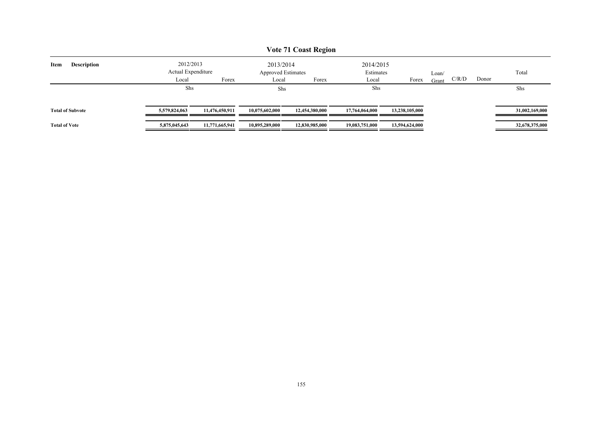| <b>Vote 71 Coast Region</b> |                                 |                |                                 |                |                        |                |       |                |                |  |  |  |
|-----------------------------|---------------------------------|----------------|---------------------------------|----------------|------------------------|----------------|-------|----------------|----------------|--|--|--|
| <b>Description</b><br>Item  | 2012/2013<br>Actual Expenditure |                | 2013/2014<br>Approved Estimates |                | 2014/2015<br>Estimates |                | Loan/ |                | Total          |  |  |  |
|                             | Local                           | Forex          | Local                           | Forex          | Local                  | Forex          | Grant | C/R/D<br>Donor |                |  |  |  |
|                             | Shs                             |                | Shs                             |                | Shs                    |                |       |                | Shs            |  |  |  |
| <b>Total of Subvote</b>     | 5,579,824,063                   | 11,476,450,911 | 10.075.602.000                  | 12,454,380,000 | 17,764,064,000         | 13,238,105,000 |       |                | 31,002,169,000 |  |  |  |
| <b>Total of Vote</b>        | 5,875,045,643                   | 11,771,665,941 | 10,895,289,000                  | 12,830,985,000 | 19,083,751,000         | 13,594,624,000 |       |                | 32,678,375,000 |  |  |  |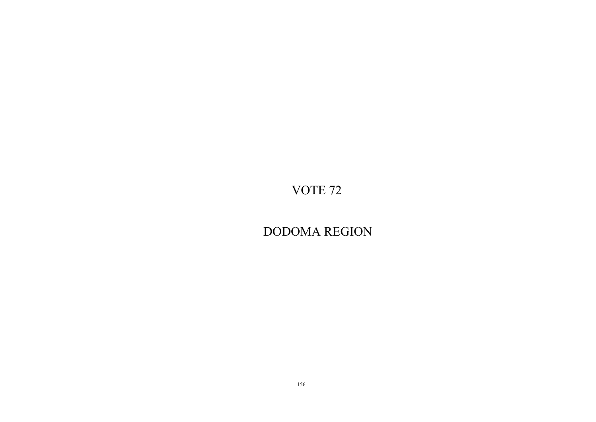DODOMA REGION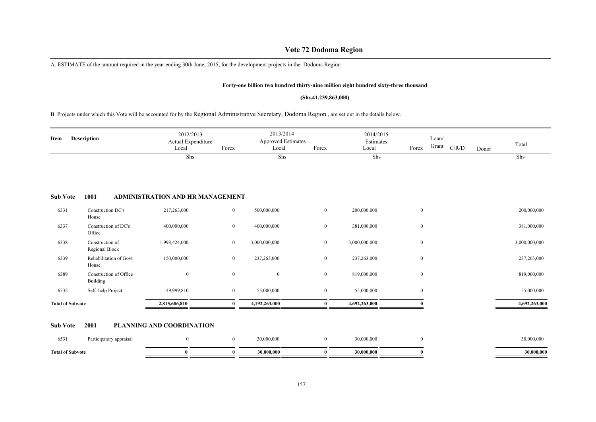# **Vote 72 Dodoma Region**

A. ESTIMATE of the amount required in the year ending 30th June, 2015, for the development projects in the Dodoma Region

#### **Forty-one billion two hundred thirty-nine million eight hundred sixty-three thousand**

#### **(Shs.41,239,863,000)**

# B. Projects under which this Vote will be accounted for by the Regional Administrative Secretary, Dodoma Region , are set out in the details below.

| Item                    | <b>Description</b>                 | 2012/2013<br>Actual Expenditure<br>Local | Forex          | 2013/2014<br><b>Approved Estimates</b><br>Local | Forex          | 2014/2015<br>Estimates<br>Local | Forex            | Loan/<br>Grant<br>C/R/D | Donor | Total         |
|-------------------------|------------------------------------|------------------------------------------|----------------|-------------------------------------------------|----------------|---------------------------------|------------------|-------------------------|-------|---------------|
|                         |                                    | Shs                                      |                | Shs                                             |                | Shs                             |                  |                         |       | Shs           |
| <b>Sub Vote</b>         | 1001                               | ADMINISTRATION AND HR MANAGEMENT         |                |                                                 |                |                                 |                  |                         |       |               |
| 6331                    | Construction DC's<br>House         | 217,263,000                              | $\overline{0}$ | 500,000,000                                     | $\overline{0}$ | 200,000,000                     | $\boldsymbol{0}$ |                         |       | 200,000,000   |
| 6337                    | Construction of DC's<br>Office     | 400,000,000                              | $\bf{0}$       | 400,000,000                                     | $\overline{0}$ | 381,000,000                     | $\boldsymbol{0}$ |                         |       | 381,000,000   |
| 6338                    | Construction of<br>Regional Block  | 1,998,424,000                            | $\bf{0}$       | 3,000,000,000                                   | $\overline{0}$ | 3,000,000,000                   | $\boldsymbol{0}$ |                         |       | 3,000,000,000 |
| 6339                    | Rehabilitation of Govt<br>House    | 150,000,000                              | $\overline{0}$ | 237,263,000                                     | $\overline{0}$ | 237,263,000                     | $\boldsymbol{0}$ |                         |       | 237,263,000   |
| 6389                    | Construction of Office<br>Building | $\mathbf{0}$                             | $\overline{0}$ | $\mathbf{0}$                                    | $\mathbf{0}$   | 819,000,000                     | $\boldsymbol{0}$ |                         |       | 819,000,000   |
| 6532                    | Self help Project                  | 49,999,810                               | $\bf{0}$       | 55,000,000                                      | $\bf{0}$       | 55,000,000                      | $\mathbf{0}$     |                         |       | 55,000,000    |
| <b>Total of Subvote</b> |                                    | 2,815,686,810                            |                | 4,192,263,000                                   |                | 4,692,263,000                   |                  |                         |       | 4,692,263,000 |

#### **Sub Vote 2001 PLANNING AND COORDINATION**

| <b>Total of Subvote</b> |                         |  | <b>70.000.006</b> |  | 30.000.000 |  |            |
|-------------------------|-------------------------|--|-------------------|--|------------|--|------------|
| 6531                    | Participatory appraisal |  | 0.000.000         |  | 30,000,000 |  | 30,000,000 |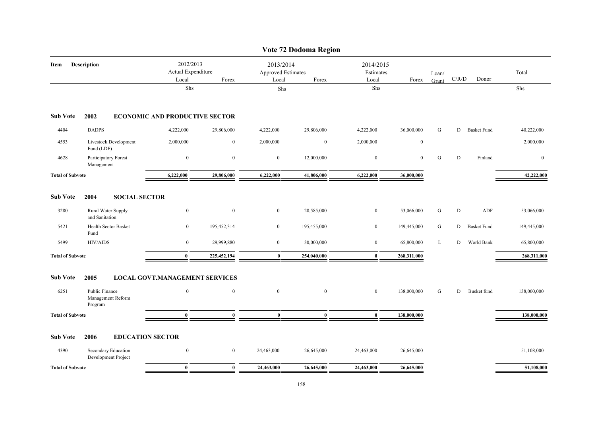|                         |                                                |                                          |              |                                          | Vote 72 Dodoma Region |                                 |              |                |       |                    |              |
|-------------------------|------------------------------------------------|------------------------------------------|--------------|------------------------------------------|-----------------------|---------------------------------|--------------|----------------|-------|--------------------|--------------|
| Item                    | <b>Description</b>                             | 2012/2013<br>Actual Expenditure<br>Local | Forex        | 2013/2014<br>Approved Estimates<br>Local | Forex                 | 2014/2015<br>Estimates<br>Local | Forex        | Loan/<br>Grant | C/R/D | Donor              | Total        |
|                         |                                                | Shs                                      |              | Shs                                      |                       | ${\rm Shs}$                     |              |                |       |                    | Shs          |
| <b>Sub Vote</b>         | 2002                                           | <b>ECONOMIC AND PRODUCTIVE SECTOR</b>    |              |                                          |                       |                                 |              |                |       |                    |              |
| 4404                    | <b>DADPS</b>                                   | 4,222,000                                | 29,806,000   | 4,222,000                                | 29,806,000            | 4,222,000                       | 36,000,000   | G              |       | D Basket Fund      | 40,222,000   |
| 4553                    | Livestock Development<br>Fund (LDF)            | 2,000,000                                | $\mathbf{0}$ | 2,000,000                                | $\overline{0}$        | 2,000,000                       | $\mathbf{0}$ |                |       |                    | 2,000,000    |
| 4628                    | Participatory Forest<br>Management             | $\boldsymbol{0}$                         | $\mathbf{0}$ | $\boldsymbol{0}$                         | 12,000,000            | $\mathbf{0}$                    | $\mathbf{0}$ | G              | D     | Finland            | $\mathbf{0}$ |
| <b>Total of Subvote</b> |                                                | 6,222,000                                | 29,806,000   | 6,222,000                                | 41,806,000            | 6,222,000                       | 36,000,000   |                |       |                    | 42,222,000   |
| <b>Sub Vote</b>         | 2004<br><b>SOCIAL SECTOR</b>                   |                                          |              |                                          |                       |                                 |              |                |       |                    |              |
| 3280                    | Rural Water Supply<br>and Sanitation           | $\bf{0}$                                 | $\mathbf{0}$ | $\mathbf{0}$                             | 28,585,000            | $\boldsymbol{0}$                | 53,066,000   | G              | D     | ADF                | 53,066,000   |
| 5421                    | <b>Health Sector Basket</b><br>Fund            | $\bf{0}$                                 | 195,452,314  | $\mathbf{0}$                             | 195,455,000           | $\bf{0}$                        | 149,445,000  | G              | D     | <b>Basket Fund</b> | 149,445,000  |
| 5499                    | HIV/AIDS                                       | $\boldsymbol{0}$                         | 29,999,880   | $\bf{0}$                                 | 30,000,000            | $\bf{0}$                        | 65,800,000   | L              | D     | World Bank         | 65,800,000   |
| <b>Total of Subvote</b> |                                                | $\bf{0}$                                 | 225,452,194  | $\bf{0}$                                 | 254,040,000           | $\bf{0}$                        | 268,311,000  |                |       |                    | 268,311,000  |
| <b>Sub Vote</b>         | 2005                                           | <b>LOCAL GOVT.MANAGEMENT SERVICES</b>    |              |                                          |                       |                                 |              |                |       |                    |              |
| 6251                    | Public Finance<br>Management Reform<br>Program | $\boldsymbol{0}$                         | $\mathbf{0}$ | $\mathbf{0}$                             | $\mathbf{0}$          | $\mathbf{0}$                    | 138,000,000  | G              | D     | Busket fund        | 138,000,000  |
| <b>Total of Subvote</b> |                                                | $\bf{0}$                                 | $\mathbf{0}$ | $\mathbf{0}$                             | $\mathbf{0}$          | $\bf{0}$                        | 138,000,000  |                |       |                    | 138,000,000  |
| <b>Sub Vote</b>         | <b>EDUCATION SECTOR</b><br>2006                |                                          |              |                                          |                       |                                 |              |                |       |                    |              |
| 4390                    | Secondary Education<br>Development Project     | $\boldsymbol{0}$                         | $\mathbf{0}$ | 24,463,000                               | 26,645,000            | 24,463,000                      | 26,645,000   |                |       |                    | 51,108,000   |
| <b>Total of Subvote</b> |                                                | $\bf{0}$                                 | $\mathbf{0}$ | 24,463,000                               | 26,645,000            | 24,463,000                      | 26,645,000   |                |       |                    | 51,108,000   |
|                         |                                                |                                          |              |                                          |                       |                                 |              |                |       |                    |              |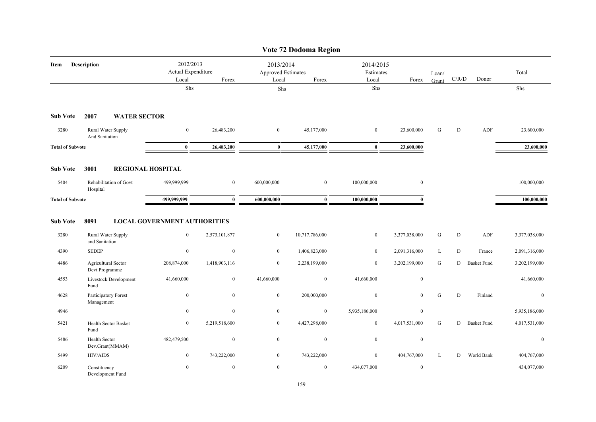|                         |                                              |                                          |                  |                                                 | Vote 72 Dodoma Region |                                 |                  |                |             |                    |               |
|-------------------------|----------------------------------------------|------------------------------------------|------------------|-------------------------------------------------|-----------------------|---------------------------------|------------------|----------------|-------------|--------------------|---------------|
| Item                    | Description                                  | 2012/2013<br>Actual Expenditure<br>Local | Forex            | 2013/2014<br><b>Approved Estimates</b><br>Local | Forex                 | 2014/2015<br>Estimates<br>Local | Forex            | Loan/<br>Grant | C/R/D       | Donor              | Total         |
|                         |                                              | Shs                                      |                  | Shs                                             |                       | Shs                             |                  |                |             |                    | Shs           |
| <b>Sub Vote</b>         | 2007<br><b>WATER SECTOR</b>                  |                                          |                  |                                                 |                       |                                 |                  |                |             |                    |               |
| 3280                    | Rural Water Supply<br>And Sanitation         | $\bf{0}$                                 | 26,483,200       | $\bf{0}$                                        | 45,177,000            | $\bf{0}$                        | 23,600,000       | G              | D           | ADF                | 23,600,000    |
| <b>Total of Subvote</b> |                                              | $\mathbf{0}$                             | 26,483,200       | $\bf{0}$                                        | 45,177,000            | $\bf{0}$                        | 23,600,000       |                |             |                    | 23,600,000    |
| <b>Sub Vote</b>         | 3001                                         | <b>REGIONAL HOSPITAL</b>                 |                  |                                                 |                       |                                 |                  |                |             |                    |               |
| 5404                    | Rehabilitation of Govt<br>Hospital           | 499,999,999                              | $\mathbf{0}$     | 600,000,000                                     | $\overline{0}$        | 100,000,000                     | $\mathbf{0}$     |                |             |                    | 100,000,000   |
| <b>Total of Subvote</b> |                                              | 499,999,999                              | $\mathbf{0}$     | 600.000.000                                     | $\mathbf{0}$          | 100,000,000                     | $\mathbf{0}$     |                |             |                    | 100,000,000   |
| <b>Sub Vote</b>         | 8091                                         | <b>LOCAL GOVERNMENT AUTHORITIES</b>      |                  |                                                 |                       |                                 |                  |                |             |                    |               |
| 3280                    | Rural Water Supply<br>and Sanitation         | $\mathbf{0}$                             | 2,573,101,877    | $\bf{0}$                                        | 10,717,786,000        | $\bf{0}$                        | 3,377,038,000    | G              | D           | ADF                | 3,377,038,000 |
| 4390                    | <b>SEDEP</b>                                 | $\boldsymbol{0}$                         | $\boldsymbol{0}$ | $\bf{0}$                                        | 1,406,823,000         | $\bf{0}$                        | 2,091,316,000    | L              | $\mathbf D$ | France             | 2,091,316,000 |
| 4486                    | <b>Agricultural Sector</b><br>Devt Programme | 208,874,000                              | 1,418,903,116    | $\mathbf{0}$                                    | 2,238,199,000         | $\overline{0}$                  | 3,202,199,000    | G              | D           | <b>Basket Fund</b> | 3,202,199,000 |
| 4553                    | Livestock Development<br>Fund                | 41,660,000                               | $\mathbf{0}$     | 41,660,000                                      | $\bf{0}$              | 41,660,000                      | $\mathbf{0}$     |                |             |                    | 41,660,000    |
| 4628                    | Participatory Forest<br>Management           | $\boldsymbol{0}$                         | $\boldsymbol{0}$ | $\bf{0}$                                        | 200,000,000           | $\bf{0}$                        | $\mathbf{0}$     | ${\bf G}$      | D           | Finland            | $\bf{0}$      |
| 4946                    |                                              | $\mathbf{0}$                             | $\mathbf{0}$     | $\boldsymbol{0}$                                | $\boldsymbol{0}$      | 5,935,186,000                   | $\mathbf{0}$     |                |             |                    | 5,935,186,000 |
| 5421                    | Health Sector Basket<br>Fund                 | $\bf{0}$                                 | 5,219,518,600    | $\mathbf{0}$                                    | 4,427,298,000         | $\mathbf{0}$                    | 4,017,531,000    | ${\bf G}$      | D           | <b>Basket Fund</b> | 4,017,531,000 |
| 5486                    | <b>Health Sector</b><br>Dev.Grant(MMAM)      | 482,479,500                              | $\boldsymbol{0}$ | $\bf{0}$                                        | $\bf{0}$              | $\boldsymbol{0}$                | $\boldsymbol{0}$ |                |             |                    | $\bf{0}$      |
| 5499                    | HIV/AIDS                                     | $\boldsymbol{0}$                         | 743,222,000      | $\mathbf{0}$                                    | 743,222,000           | $\bf{0}$                        | 404,767,000      | L              | D           | World Bank         | 404,767,000   |
| 6209                    | Constituency<br>Development Fund             | $\mathbf{0}$                             | $\boldsymbol{0}$ | $\mathbf{0}$                                    | $\overline{0}$        | 434,077,000                     | $\mathbf{0}$     |                |             |                    | 434,077,000   |

# 159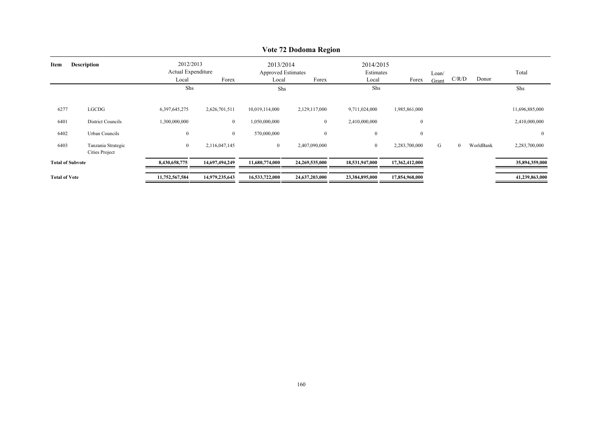|                         |                                      |                                          |                |                                                 | $\sqrt{0}$ $\mu$ $\mu$ Doubling Region |                                 |                  |                |                |           |                |
|-------------------------|--------------------------------------|------------------------------------------|----------------|-------------------------------------------------|----------------------------------------|---------------------------------|------------------|----------------|----------------|-----------|----------------|
| Description<br>Item     |                                      | 2012/2013<br>Actual Expenditure<br>Local | Forex          | 2013/2014<br><b>Approved Estimates</b><br>Local | Forex                                  | 2014/2015<br>Estimates<br>Local | Forex            | Loan/<br>Grant | C/R/D          | Donor     | Total          |
|                         |                                      | Shs                                      |                | Shs                                             |                                        | Shs                             |                  |                |                |           | Shs            |
| 6277                    | LGCDG                                | 6,397,645,275                            | 2,626,701,511  | 10,019,114,000                                  | 2,129,117,000                          | 9,711,024,000                   | 1,985,861,000    |                |                |           | 11,696,885,000 |
| 6401                    | District Councils                    | 1,300,000,000                            | $\mathbf{0}$   | 1,050,000,000                                   | $\mathbf{0}$                           | 2,410,000,000                   | $\boldsymbol{0}$ |                |                |           | 2,410,000,000  |
| 6402                    | Urban Councils                       | $\boldsymbol{0}$                         | $\overline{0}$ | 570,000,000                                     | $\theta$                               | $\bf{0}$                        | $\boldsymbol{0}$ |                |                |           | $\mathbf{0}$   |
| 6403                    | Tanzania Strategic<br>Cities Project | $\overline{0}$                           | 2,116,047,145  | $\overline{0}$                                  | 2,407,090,000                          | $\overline{0}$                  | 2,283,700,000    | G              | $\overline{0}$ | WorldBank | 2,283,700,000  |
| <b>Total of Subvote</b> |                                      | 8,430,658,775                            | 14,697,494,249 | 11,680,774,000                                  | 24,269,535,000                         | 18,531,947,000                  | 17,362,412,000   |                |                |           | 35,894,359,000 |
| <b>Total of Vote</b>    |                                      | 11,752,567,584                           | 14,979,235,643 | 16,533,722,000                                  | 24,637,203,000                         | 23,384,895,000                  | 17,854,968,000   |                |                |           | 41,239,863,000 |

# **Vote 72 Dodoma Region**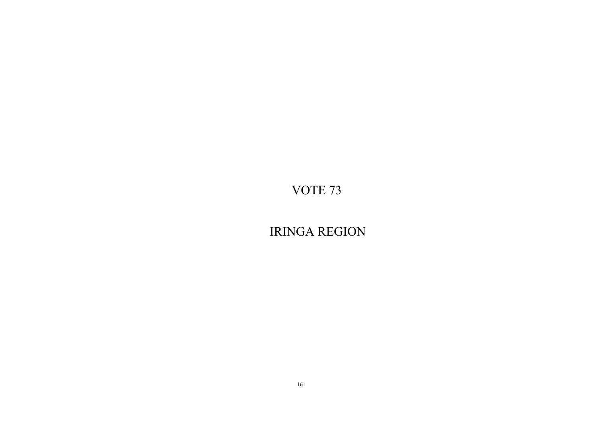IRINGA REGION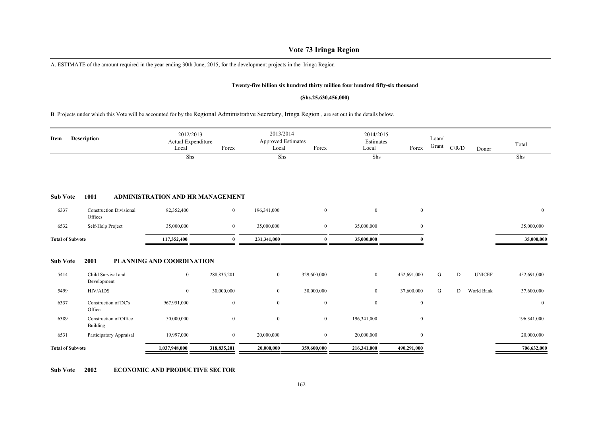# **Vote 73 Iringa Region**

A. ESTIMATE of the amount required in the year ending 30th June, 2015, for the development projects in the Iringa Region

#### **Twenty-five billion six hundred thirty million four hundred fifty-six thousand**

#### **(Shs.25,630,456,000)**

B. Projects under which this Vote will be accounted for by the Regional Administrative Secretary, Iringa Region , are set out in the details below.

| Description<br>Item     |                                           | 2012/2013<br>Actual Expenditure<br>Local | Forex          | 2013/2014<br><b>Approved Estimates</b><br>Local | Forex          | 2014/2015<br>Estimates<br>Local | Forex            | Loan/<br>Grant | C/R/D | Donor         | Total            |
|-------------------------|-------------------------------------------|------------------------------------------|----------------|-------------------------------------------------|----------------|---------------------------------|------------------|----------------|-------|---------------|------------------|
|                         |                                           | Shs                                      |                | Shs                                             |                | Shs                             |                  |                |       |               | Shs              |
| <b>Sub Vote</b>         | 1001                                      | <b>ADMINISTRATION AND HR MANAGEMENT</b>  |                |                                                 |                |                                 |                  |                |       |               |                  |
| 6337                    | <b>Construction Divisional</b><br>Offices | 82,352,400                               | $\overline{0}$ | 196,341,000                                     | $\overline{0}$ | $\overline{0}$                  | $\mathbf{0}$     |                |       |               | $\bf{0}$         |
| 6532                    | Self-Help Project                         | 35,000,000                               | $\overline{0}$ | 35,000,000                                      | $\overline{0}$ | 35,000,000                      | $\boldsymbol{0}$ |                |       |               | 35,000,000       |
| <b>Total of Subvote</b> |                                           | 117,352,400                              | 0              | 231,341,000                                     | $\bf{0}$       | 35,000,000                      |                  |                |       |               | 35,000,000       |
| <b>Sub Vote</b>         | 2001                                      | <b>PLANNING AND COORDINATION</b>         |                |                                                 |                |                                 |                  |                |       |               |                  |
| 5414                    | Child Survival and<br>Development         | $\bf{0}$                                 | 288,835,201    | $\overline{0}$                                  | 329,600,000    | $\mathbf{0}$                    | 452,691,000      | G              | D     | <b>UNICEF</b> | 452,691,000      |
| 5499                    | <b>HIV/AIDS</b>                           | $\mathbf{0}$                             | 30,000,000     | $\boldsymbol{0}$                                | 30,000,000     | $\overline{0}$                  | 37,600,000       | G              | D     | World Bank    | 37,600,000       |
| 6337                    | Construction of DC's<br>Office            | 967,951,000                              | $\mathbf{0}$   | $\boldsymbol{0}$                                | $\mathbf{0}$   | $\overline{0}$                  | $\boldsymbol{0}$ |                |       |               | $\boldsymbol{0}$ |
| 6389                    | Construction of Office<br>Building        | 50,000,000                               | $\bf{0}$       | $\boldsymbol{0}$                                | $\overline{0}$ | 196,341,000                     | $\boldsymbol{0}$ |                |       |               | 196,341,000      |
| 6531                    | Participatory Appraisal                   | 19,997,000                               | $\overline{0}$ | 20,000,000                                      | $\mathbf{0}$   | 20,000,000                      | $\boldsymbol{0}$ |                |       |               | 20,000,000       |
| <b>Total of Subvote</b> |                                           | 1,037,948,000                            | 318,835,201    | 20,000,000                                      | 359,600,000    | 216,341,000                     | 490,291,000      |                |       |               | 706,632,000      |

**Sub Vote 2002 ECONOMIC AND PRODUCTIVE SECTOR**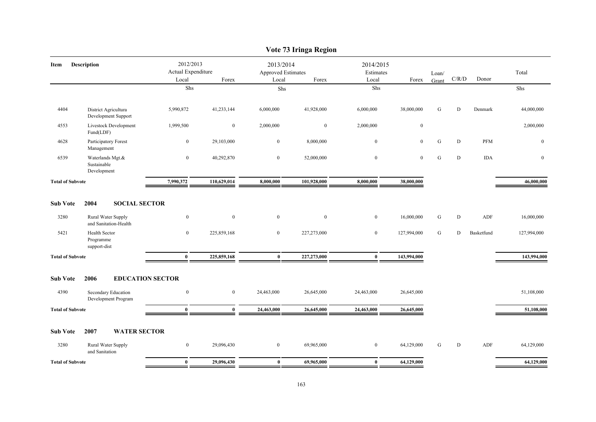|                         |                                                |                                          |                  |                                                 | Vote 73 Iringa Region |                                 |                  |                |           |            |                  |
|-------------------------|------------------------------------------------|------------------------------------------|------------------|-------------------------------------------------|-----------------------|---------------------------------|------------------|----------------|-----------|------------|------------------|
| Item                    | Description                                    | 2012/2013<br>Actual Expenditure<br>Local | Forex            | 2013/2014<br><b>Approved Estimates</b><br>Local | Forex                 | 2014/2015<br>Estimates<br>Local | Forex            | Loan/<br>Grant | C/R/D     | Donor      | Total            |
|                         |                                                | Shs                                      |                  | Shs                                             |                       | Shs                             |                  |                |           |            | Shs              |
| 4404                    | District Agricultura<br>Development Support    | 5,990,872                                | 41,233,144       | 6,000,000                                       | 41,928,000            | 6,000,000                       | 38,000,000       | G              | D         | Denmark    | 44,000,000       |
| 4553                    | Livestock Development<br>Fund(LDF)             | 1,999,500                                | $\boldsymbol{0}$ | 2,000,000                                       | $\bf{0}$              | 2,000,000                       | $\boldsymbol{0}$ |                |           |            | 2,000,000        |
| 4628                    | Participatory Forest<br>Management             | $\boldsymbol{0}$                         | 29,103,000       | $\mathbf{0}$                                    | 8,000,000             | $\mathbf{0}$                    | $\mathbf{0}$     | G              | D         | PFM        | $\mathbf{0}$     |
| 6539                    | Waterlands Mgt.&<br>Sustainable<br>Development | $\boldsymbol{0}$                         | 40,292,870       | $\mathbf{0}$                                    | 52,000,000            | $\boldsymbol{0}$                | $\mathbf{0}$     | G              | D         | <b>IDA</b> | $\boldsymbol{0}$ |
| <b>Total of Subvote</b> |                                                | 7,990,372                                | 110,629,014      | 8,000,000                                       | 101,928,000           | 8,000,000                       | 38,000,000       |                |           |            | 46,000,000       |
| <b>Sub Vote</b>         | 2004<br><b>SOCIAL SECTOR</b>                   |                                          |                  |                                                 |                       |                                 |                  |                |           |            |                  |
| 3280                    | Rural Water Supply<br>and Sanitation-Health    | $\boldsymbol{0}$                         | $\boldsymbol{0}$ | $\mathbf{0}$                                    | $\mathbf{0}$          | $\overline{0}$                  | 16,000,000       | G              | ${\rm D}$ | ADF        | 16,000,000       |
| 5421                    | Health Sector<br>Programme<br>support-dist     | $\overline{0}$                           | 225,859,168      | $\mathbf{0}$                                    | 227,273,000           | $\overline{0}$                  | 127,994,000      | G              | D         | Basketfund | 127,994,000      |
| <b>Total of Subvote</b> |                                                | $\bf{0}$                                 | 225,859,168      | $\bf{0}$                                        | 227,273,000           | $\bf{0}$                        | 143,994,000      |                |           |            | 143,994,000      |
| <b>Sub Vote</b>         | 2006<br><b>EDUCATION SECTOR</b>                |                                          |                  |                                                 |                       |                                 |                  |                |           |            |                  |
| 4390                    | Secondary Education<br>Development Program     | $\boldsymbol{0}$                         | $\overline{0}$   | 24,463,000                                      | 26,645,000            | 24,463,000                      | 26,645,000       |                |           |            | 51,108,000       |
| <b>Total of Subvote</b> |                                                | $\bf{0}$                                 | $\bf{0}$         | 24,463,000                                      | 26,645,000            | 24,463,000                      | 26,645,000       |                |           |            | 51,108,000       |
| <b>Sub Vote</b>         | 2007<br><b>WATER SECTOR</b>                    |                                          |                  |                                                 |                       |                                 |                  |                |           |            |                  |
| 3280                    | Rural Water Supply<br>and Sanitation           | $\boldsymbol{0}$                         | 29,096,430       | $\mathbf{0}$                                    | 69,965,000            | $\overline{0}$                  | 64,129,000       | G              | D         | ADF        | 64,129,000       |
| <b>Total of Subvote</b> |                                                | $\bf{0}$                                 | 29,096,430       | $\bf{0}$                                        | 69,965,000            | $\mathbf{0}$                    | 64,129,000       |                |           |            | 64,129,000       |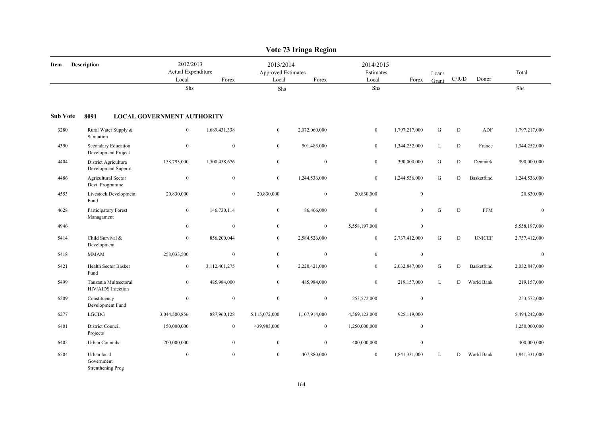|                 |                                                |                                          |                  |                                                 | Vote 73 Iringa Region |                                 |                  |                |           |               |               |
|-----------------|------------------------------------------------|------------------------------------------|------------------|-------------------------------------------------|-----------------------|---------------------------------|------------------|----------------|-----------|---------------|---------------|
| Item            | Description                                    | 2012/2013<br>Actual Expenditure<br>Local | Forex            | 2013/2014<br><b>Approved Estimates</b><br>Local | Forex                 | 2014/2015<br>Estimates<br>Local | Forex            | Loan/<br>Grant | C/R/D     | Donor         | Total         |
|                 |                                                | Shs                                      |                  | Shs                                             |                       | ${\rm Shs}$                     |                  |                |           |               | Shs           |
| <b>Sub Vote</b> | 8091                                           | <b>LOCAL GOVERNMENT AUTHORITY</b>        |                  |                                                 |                       |                                 |                  |                |           |               |               |
| 3280            | Rural Water Supply &<br>Sanitation             | $\overline{0}$                           | 1,689,431,338    | $\boldsymbol{0}$                                | 2,072,060,000         | $\boldsymbol{0}$                | 1,797,217,000    | ${\bf G}$      | ${\bf D}$ | ADF           | 1,797,217,000 |
| 4390            | Secondary Education<br>Development Project     | $\boldsymbol{0}$                         | $\mathbf{0}$     | $\mathbf{0}$                                    | 501,483,000           | $\boldsymbol{0}$                | 1,344,252,000    | L              | ${\rm D}$ | France        | 1,344,252,000 |
| 4404            | District Agricultura<br>Development Support    | 158,793,000                              | 1,500,458,676    | $\overline{0}$                                  | $\mathbf{0}$          | $\bf{0}$                        | 390,000,000      | G              | D         | Denmark       | 390,000,000   |
| 4486            | <b>Agricultural Sector</b><br>Devt. Programme  | $\boldsymbol{0}$                         | $\mathbf{0}$     | $\mathbf{0}$                                    | 1,244,536,000         | $\boldsymbol{0}$                | 1,244,536,000    | G              | D         | Basketfund    | 1,244,536,000 |
| 4553            | Livestock Development<br>Fund                  | 20,830,000                               | $\overline{0}$   | 20,830,000                                      | $\bf{0}$              | 20,830,000                      | $\boldsymbol{0}$ |                |           |               | 20,830,000    |
| 4628            | Participatory Forest<br>Managament             | $\boldsymbol{0}$                         | 146,730,114      | $\mathbf{0}$                                    | 86,466,000            | $\mathbf{0}$                    | $\overline{0}$   | G              | D         | <b>PFM</b>    | $\mathbf{0}$  |
| 4946            |                                                | $\mathbf{0}$                             | $\mathbf{0}$     | $\mathbf{0}$                                    | $\overline{0}$        | 5,558,197,000                   | $\mathbf{0}$     |                |           |               | 5,558,197,000 |
| 5414            | Child Survival &<br>Development                | $\boldsymbol{0}$                         | 856,200,044      | $\overline{0}$                                  | 2,584,526,000         | $\overline{0}$                  | 2,737,412,000    | G              | D         | <b>UNICEF</b> | 2,737,412,000 |
| 5418            | <b>MMAM</b>                                    | 258,033,500                              | $\mathbf{0}$     | $\mathbf{0}$                                    | $\mathbf{0}$          | $\mathbf{0}$                    | $\mathbf{0}$     |                |           |               | $\mathbf{0}$  |
| 5421            | Health Sector Basket<br>Fund                   | $\overline{0}$                           | 3,112,401,275    | $\overline{0}$                                  | 2,220,421,000         | $\overline{0}$                  | 2,032,847,000    | G              | D         | Basketfund    | 2,032,847,000 |
| 5499            | Tanzania Multsectoral<br>HIV/AIDS Infection    | $\mathbf{0}$                             | 485,984,000      | $\overline{0}$                                  | 485,984,000           | $\mathbf{0}$                    | 219,157,000      | L              | D         | World Bank    | 219,157,000   |
| 6209            | Constituency<br>Development Fund               | $\boldsymbol{0}$                         | $\boldsymbol{0}$ | $\boldsymbol{0}$                                | $\bf{0}$              | 253,572,000                     | $\boldsymbol{0}$ |                |           |               | 253,572,000   |
| 6277            | LGCDG                                          | 3,044,500,856                            | 887,960,128      | 5,115,072,000                                   | 1,107,914,000         | 4,569,123,000                   | 925,119,000      |                |           |               | 5,494,242,000 |
| 6401            | District Council<br>Projects                   | 150,000,000                              | $\mathbf{0}$     | 439,983,000                                     | $\mathbf{0}$          | 1,250,000,000                   | $\mathbf{0}$     |                |           |               | 1,250,000,000 |
| 6402            | Urban Councils                                 | 200,000,000                              | $\mathbf{0}$     | $\mathbf{0}$                                    | $\mathbf{0}$          | 400,000,000                     | $\boldsymbol{0}$ |                |           |               | 400,000,000   |
| 6504            | Urban local<br>Government<br>Strenthening Prog | $\boldsymbol{0}$                         | $\mathbf{0}$     | $\mathbf{0}$                                    | 407,880,000           | $\boldsymbol{0}$                | 1,841,331,000    | L              | D         | World Bank    | 1,841,331,000 |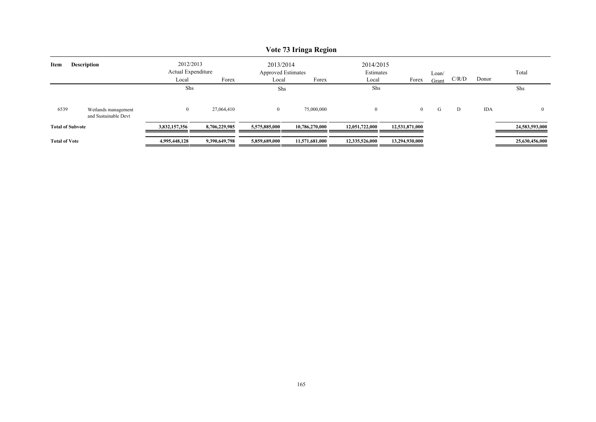|                         |                                             |                                 |               |                                 | Vote 73 Iringa Region |                        |                |       |       |            |                |
|-------------------------|---------------------------------------------|---------------------------------|---------------|---------------------------------|-----------------------|------------------------|----------------|-------|-------|------------|----------------|
| Item                    | <b>Description</b>                          | 2012/2013<br>Actual Expenditure |               | 2013/2014<br>Approved Estimates |                       | 2014/2015<br>Estimates |                | Loan/ |       |            | Total          |
|                         |                                             | Local                           | Forex         | Local                           | Forex                 | Local                  | Forex          | Grant | C/R/D | Donor      |                |
|                         |                                             | Shs                             |               | Shs                             |                       | Shs                    |                |       |       |            | Shs            |
| 6539                    | Wetlands management<br>and Sustainable Devt | $\bf{0}$                        | 27,064,410    | $\overline{0}$                  | 75,000,000            | $\overline{0}$         | $\overline{0}$ | G     | D     | <b>IDA</b> |                |
| <b>Total of Subvote</b> |                                             | 3,832,157,356                   | 8,706,229,985 | 5,575,885,000                   | 10,786,270,000        | 12,051,722,000         | 12,531,871,000 |       |       |            | 24,583,593,000 |
| <b>Total of Vote</b>    |                                             | 4,995,448,128                   | 9,390,649,798 | 5,859,689,000                   | 11,571,681,000        | 12,335,526,000         | 13,294,930,000 |       |       |            | 25,630,456,000 |

# **Vote 73 Iringa Region**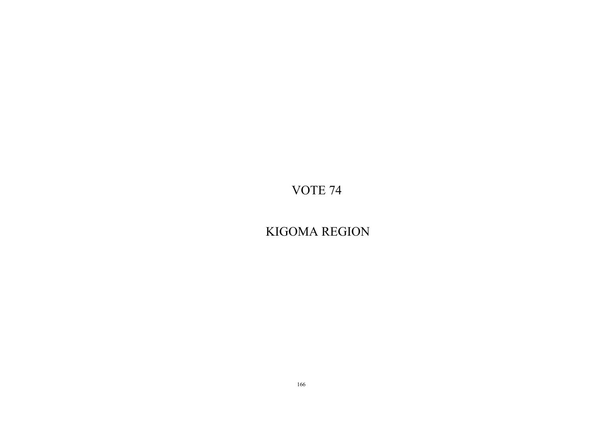KIGOMA REGION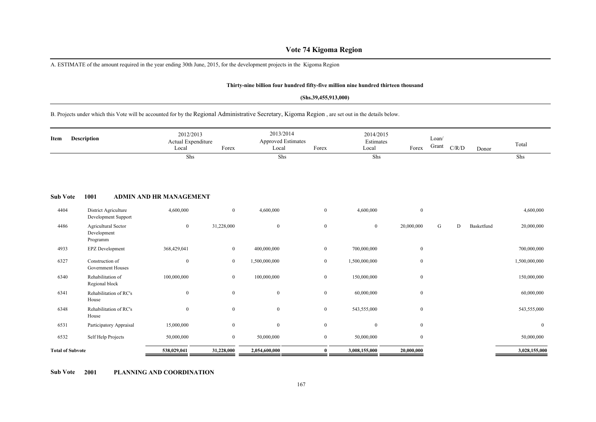# **Vote 74 Kigoma Region**

A. ESTIMATE of the amount required in the year ending 30th June, 2015, for the development projects in the Kigoma Region

#### **Thirty-nine billion four hundred fifty-five million nine hundred thirteen thousand**

#### **(Shs.39,455,913,000)**

# B. Projects under which this Vote will be accounted for by the Regional Administrative Secretary, Kigoma Region , are set out in the details below.

| Item                    | <b>Description</b>                             | 2012/2013<br>Actual Expenditure<br>Local | Forex        | 2013/2014<br><b>Approved Estimates</b><br>Local | Forex            | 2014/2015<br>Estimates<br>Local | Forex            | Loan/<br>Grant | C/R/D | Donor      | Total         |
|-------------------------|------------------------------------------------|------------------------------------------|--------------|-------------------------------------------------|------------------|---------------------------------|------------------|----------------|-------|------------|---------------|
|                         |                                                | Shs                                      |              | Shs                                             |                  | Shs                             |                  |                |       |            | Shs           |
| <b>Sub Vote</b>         | 1001                                           | <b>ADMIN AND HR MANAGEMENT</b>           |              |                                                 |                  |                                 |                  |                |       |            |               |
| 4404                    | District Agriculture<br>Development Support    | 4,600,000                                | $\mathbf{0}$ | 4,600,000                                       | $\overline{0}$   | 4,600,000                       | $\mathbf{0}$     |                |       |            | 4,600,000     |
| 4486                    | Agricultural Sector<br>Development<br>Programm | $\bf{0}$                                 | 31,228,000   | $\boldsymbol{0}$                                | $\overline{0}$   | $\mathbf{0}$                    | 20,000,000       | G              | D     | Basketfund | 20,000,000    |
| 4933                    | EPZ Development                                | 368,429,041                              | $\mathbf{0}$ | 400,000,000                                     | $\overline{0}$   | 700,000,000                     | $\boldsymbol{0}$ |                |       |            | 700,000,000   |
| 6327                    | Construction of<br>Government Houses           | $\bf{0}$                                 | $\mathbf{0}$ | 1,500,000,000                                   | $\overline{0}$   | 1,500,000,000                   | $\mathbf{0}$     |                |       |            | 1,500,000,000 |
| 6340                    | Rehabilitation of<br>Regional block            | 100,000,000                              | $\mathbf{0}$ | 100,000,000                                     | $\overline{0}$   | 150,000,000                     | $\boldsymbol{0}$ |                |       |            | 150,000,000   |
| 6341                    | Rehabilitation of RC's<br>House                | $\boldsymbol{0}$                         | $\mathbf{0}$ | $\boldsymbol{0}$                                | $\boldsymbol{0}$ | 60,000,000                      | $\boldsymbol{0}$ |                |       |            | 60,000,000    |
| 6348                    | Rehabilitation of RC's<br>House                | $\boldsymbol{0}$                         | $\mathbf{0}$ | $\mathbf{0}$                                    | $\overline{0}$   | 543,555,000                     | $\bf{0}$         |                |       |            | 543,555,000   |
| 6531                    | Participatory Appraisal                        | 15,000,000                               | $\mathbf{0}$ | $\overline{0}$                                  | $\overline{0}$   | $\mathbf{0}$                    | $\mathbf{0}$     |                |       |            | $\mathbf{0}$  |
| 6532                    | Self Help Projects                             | 50,000,000                               | $\mathbf{0}$ | 50,000,000                                      | $\overline{0}$   | 50,000,000                      | $\mathbf{0}$     |                |       |            | 50,000,000    |
| <b>Total of Subvote</b> |                                                | 538,029,041                              | 31,228,000   | 2,054,600,000                                   | $\bf{0}$         | 3,008,155,000                   | 20,000,000       |                |       |            | 3,028,155,000 |

**Sub Vote 2001 PLANNING AND COORDINATION**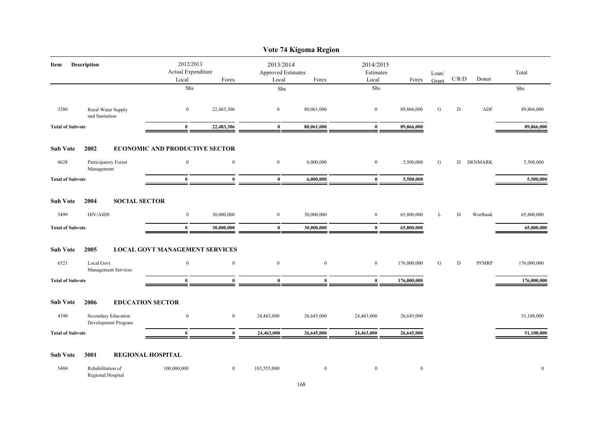|                         |                                            |                                          |                  |                                          | Vote 74 Kigoma Region |                                 |             |                |       |              |              |
|-------------------------|--------------------------------------------|------------------------------------------|------------------|------------------------------------------|-----------------------|---------------------------------|-------------|----------------|-------|--------------|--------------|
| Item                    | Description                                | 2012/2013<br>Actual Expenditure<br>Local | Forex            | 2013/2014<br>Approved Estimates<br>Local | Forex                 | 2014/2015<br>Estimates<br>Local | Forex       | Loan/<br>Grant | C/R/D | Donor        | Total        |
|                         |                                            | Shs                                      |                  | ${\rm Shs}$                              |                       | Shs                             |             |                |       |              | ${\rm Shs}$  |
| 3280                    | Rural Water Supply<br>and Sanitation       | $\bf{0}$                                 | 22,483,306       | $\overline{0}$                           | 80,061,000            | $\bf{0}$                        | 89,866,000  | G              | D     | ${\sf ADF}$  | 89,866,000   |
| <b>Total of Subvote</b> |                                            | $\bf{0}$                                 | 22,483,306       | $\bf{0}$                                 | 80,061,000            | $\bf{0}$                        | 89,866,000  |                |       |              | 89,866,000   |
| <b>Sub Vote</b>         | 2002                                       | <b>ECONOMIC AND PRODUCTIVE SECTOR</b>    |                  |                                          |                       |                                 |             |                |       |              |              |
| 4628                    | Participatory Forest<br>Management         | $\boldsymbol{0}$                         | $\boldsymbol{0}$ | $\mathbf{0}$                             | 6,000,000             | $\bf{0}$                        | 5,500,000   | G              |       | D DENMARK    | 5,500,000    |
| <b>Total of Subvote</b> |                                            | $\bf{0}$                                 | $\bf{0}$         | $\bf{0}$                                 | 6,000,000             | $\bf{0}$                        | 5,500,000   |                |       |              | 5,500,000    |
| <b>Sub Vote</b>         | <b>SOCIAL SECTOR</b><br>2004               |                                          |                  |                                          |                       |                                 |             |                |       |              |              |
| 5499                    | HIV/AIDS                                   | $\boldsymbol{0}$                         | 30,000,000       | $\boldsymbol{0}$                         | 30,000,000            | $\boldsymbol{0}$                | 65,800,000  | L              | D     | Worlbank     | 65,800,000   |
| <b>Total of Subvote</b> |                                            | $\bf{0}$                                 | 30,000,000       | $\bf{0}$                                 | 30,000,000            | $\bf{0}$                        | 65,800,000  |                |       |              | 65,800,000   |
| <b>Sub Vote</b>         | 2005                                       | <b>LOCAL GOVT MANAGEMENT SERVICES</b>    |                  |                                          |                       |                                 |             |                |       |              |              |
| 6521                    | <b>Local Govt</b><br>Management Services   | $\boldsymbol{0}$                         | $\boldsymbol{0}$ | $\boldsymbol{0}$                         | $\boldsymbol{0}$      | $\boldsymbol{0}$                | 176,000,000 | G              | D     | <b>PFMRP</b> | 176,000,000  |
| <b>Total of Subvote</b> |                                            | $\bf{0}$                                 | $\bf{0}$         | $\mathbf{0}$                             | $\mathbf{0}$          | $\bf{0}$                        | 176,000,000 |                |       |              | 176,000,000  |
| <b>Sub Vote</b>         | 2006                                       | <b>EDUCATION SECTOR</b>                  |                  |                                          |                       |                                 |             |                |       |              |              |
| 4390                    | Secondary Education<br>Development Program | $\bf{0}$                                 | $\overline{0}$   | 24,463,000                               | 26,645,000            | 24,463,000                      | 26,645,000  |                |       |              | 51,108,000   |
| <b>Total of Subvote</b> |                                            | $\bf{0}$                                 | $\bf{0}$         | 24,463,000                               | 26,645,000            | 24,463,000                      | 26,645,000  |                |       |              | 51,108,000   |
| <b>Sub Vote</b>         | 3001                                       | <b>REGIONAL HOSPITAL</b>                 |                  |                                          |                       |                                 |             |                |       |              |              |
| 5404                    | Rehabilitation of<br>Regional Hospital     | 100,000,000                              | $\overline{0}$   | 103,555,000                              | $\bf{0}$              | $\bf{0}$                        | $\bf{0}$    |                |       |              | $\mathbf{0}$ |

# 168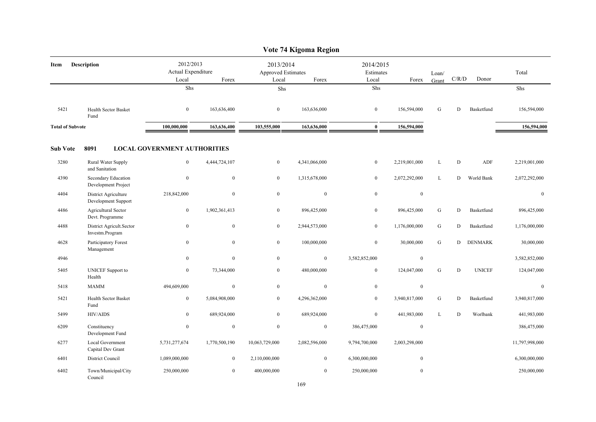|                         |                                             |                                          |                  |                                          | Vote 74 Kigoma Region |                                 |                |                |             |                |                |
|-------------------------|---------------------------------------------|------------------------------------------|------------------|------------------------------------------|-----------------------|---------------------------------|----------------|----------------|-------------|----------------|----------------|
| Item                    | Description                                 | 2012/2013<br>Actual Expenditure<br>Local | Forex            | 2013/2014<br>Approved Estimates<br>Local | Forex                 | 2014/2015<br>Estimates<br>Local | Forex          | Loan/<br>Grant | C/R/D       | Donor          | Total          |
|                         |                                             | Shs                                      |                  | Shs                                      |                       | Shs                             |                |                |             |                | Shs            |
| 5421                    | <b>Health Sector Basket</b><br>Fund         | $\boldsymbol{0}$                         | 163,636,400      | $\mathbf{0}$                             | 163,636,000           | $\mathbf{0}$                    | 156,594,000    | G              | D           | Basketfund     | 156,594,000    |
| <b>Total of Subvote</b> |                                             | 100,000,000                              | 163,636,400      | 103,555,000                              | 163,636,000           | $\bf{0}$                        | 156,594,000    |                |             |                | 156,594,000    |
| <b>Sub Vote</b>         | 8091                                        | <b>LOCAL GOVERNMENT AUTHORITIES</b>      |                  |                                          |                       |                                 |                |                |             |                |                |
| 3280                    | Rural Water Supply<br>and Sanitation        | $\overline{0}$                           | 4,444,724,107    | $\boldsymbol{0}$                         | 4,341,066,000         | $\boldsymbol{0}$                | 2,219,001,000  | L              | $\mathbf D$ | ADF            | 2,219,001,000  |
| 4390                    | Secondary Education<br>Development Project  | $\boldsymbol{0}$                         | $\mathbf{0}$     | $\mathbf{0}$                             | 1,315,678,000         | $\boldsymbol{0}$                | 2,072,292,000  | L              | D           | World Bank     | 2,072,292,000  |
| 4404                    | District Agriculture<br>Development Support | 218,842,000                              | $\mathbf{0}$     | $\mathbf{0}$                             | $\mathbf{0}$          | $\boldsymbol{0}$                | $\mathbf{0}$   |                |             |                | $\mathbf{0}$   |
| 4486                    | Agricultural Sector<br>Devt. Programme      | $\boldsymbol{0}$                         | 1,902,361,413    | $\boldsymbol{0}$                         | 896,425,000           | $\boldsymbol{0}$                | 896,425,000    | ${\bf G}$      | D           | Basketfund     | 896,425,000    |
| 4488                    | District Agricult.Sector<br>Investm.Program | $\boldsymbol{0}$                         | $\mathbf{0}$     | $\overline{0}$                           | 2,944,573,000         | $\overline{0}$                  | 1,176,000,000  | G              | D           | Basketfund     | 1,176,000,000  |
| 4628                    | Participatory Forest<br>Management          | $\boldsymbol{0}$                         | $\boldsymbol{0}$ | $\mathbf{0}$                             | 100,000,000           | $\boldsymbol{0}$                | 30,000,000     | G              | D           | <b>DENMARK</b> | 30,000,000     |
| 4946                    |                                             | $\mathbf{0}$                             | $\mathbf{0}$     | $\mathbf{0}$                             | $\mathbf{0}$          | 3,582,852,000                   | $\mathbf{0}$   |                |             |                | 3,582,852,000  |
| 5405                    | <b>UNICEF</b> Support to<br>Health          | $\bf{0}$                                 | 73,344,000       | $\boldsymbol{0}$                         | 480,000,000           | $\boldsymbol{0}$                | 124,047,000    | ${\bf G}$      | $\mathbf D$ | <b>UNICEF</b>  | 124,047,000    |
| 5418                    | <b>MAMM</b>                                 | 494,609,000                              | $\mathbf{0}$     | $\overline{0}$                           | $\mathbf{0}$          | $\overline{0}$                  | $\mathbf{0}$   |                |             |                | $\mathbf{0}$   |
| 5421                    | Health Sector Basket<br>Fund                | $\overline{0}$                           | 5,084,908,000    | $\overline{0}$                           | 4,296,362,000         | $\overline{0}$                  | 3,940,817,000  | G              | D           | Basketfund     | 3,940,817,000  |
| 5499                    | <b>HIV/AIDS</b>                             | $\boldsymbol{0}$                         | 689,924,000      | $\mathbf{0}$                             | 689,924,000           | $\boldsymbol{0}$                | 441,983,000    | $\mathbf{L}$   | $\mathbf D$ | Worlbank       | 441,983,000    |
| 6209                    | Constituency<br>Development Fund            | $\boldsymbol{0}$                         | $\mathbf{0}$     | $\mathbf{0}$                             | $\mathbf{0}$          | 386,475,000                     | $\mathbf{0}$   |                |             |                | 386,475,000    |
| 6277                    | Local Government<br>Capital Dev Grant       | 5,731,277,674                            | 1,770,500,190    | 10,063,729,000                           | 2,082,596,000         | 9,794,700,000                   | 2,003,298,000  |                |             |                | 11,797,998,000 |
| 6401                    | District Council                            | 1,089,000,000                            | $\overline{0}$   | 2,110,000,000                            | $\mathbf{0}$          | 6,300,000,000                   | $\mathbf{0}$   |                |             |                | 6,300,000,000  |
| 6402                    | Town/Municipal/City<br>Council              | 250,000,000                              | $\overline{0}$   | 400,000,000                              | $\overline{0}$        | 250,000,000                     | $\overline{0}$ |                |             |                | 250,000,000    |

#### **Vote 74 Kigoma Region**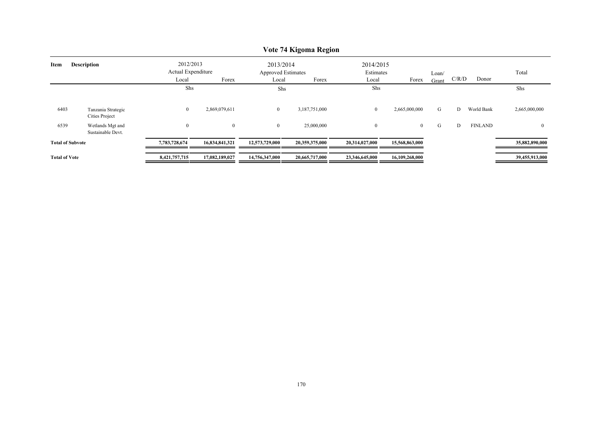|                            |                                       |                                 |                |                                        | $\sqrt{6}$ $\sqrt{7}$ $\frac{1}{2}$ $\frac{1}{2}$ $\frac{1}{2}$ $\frac{1}{2}$ $\frac{1}{2}$ $\frac{1}{2}$ $\frac{1}{2}$ $\frac{1}{2}$ $\frac{1}{2}$ $\frac{1}{2}$ $\frac{1}{2}$ $\frac{1}{2}$ $\frac{1}{2}$ $\frac{1}{2}$ $\frac{1}{2}$ $\frac{1}{2}$ $\frac{1}{2}$ $\frac{1}{2}$ $\frac{1}{2}$ $\frac{1}{2}$ $\frac{1$ |                        |                |       |       |                |                |
|----------------------------|---------------------------------------|---------------------------------|----------------|----------------------------------------|-------------------------------------------------------------------------------------------------------------------------------------------------------------------------------------------------------------------------------------------------------------------------------------------------------------------------|------------------------|----------------|-------|-------|----------------|----------------|
| <b>Description</b><br>Item |                                       | 2012/2013<br>Actual Expenditure |                | 2013/2014<br><b>Approved Estimates</b> |                                                                                                                                                                                                                                                                                                                         | 2014/2015<br>Estimates |                | Loan/ | C/R/D | Donor          | Total          |
|                            |                                       | Local<br>Shs                    | Forex          | Local<br>Shs                           | Forex                                                                                                                                                                                                                                                                                                                   | Local<br>Shs           | Forex          | Grant |       |                | Shs            |
| 6403                       | Tanzania Strategic<br>Cities Project  | $\bf{0}$                        | 2,869,079,611  | $\mathbf{0}$                           | 3,187,751,000                                                                                                                                                                                                                                                                                                           | $\bf{0}$               | 2,665,000,000  | G     | D     | World Bank     | 2,665,000,000  |
| 6539                       | Wetlands Mgt and<br>Sustainable Devt. | $\overline{0}$                  | $\overline{0}$ | $\mathbf{0}$                           | 25,000,000                                                                                                                                                                                                                                                                                                              | $\overline{0}$         | $\overline{0}$ | G     | D     | <b>FINLAND</b> | $\overline{0}$ |
| <b>Total of Subvote</b>    |                                       | 7,783,728,674                   | 16,834,841,321 | 12,573,729,000                         | 20,359,375,000                                                                                                                                                                                                                                                                                                          | 20,314,027,000         | 15,568,863,000 |       |       |                | 35,882,890,000 |
| <b>Total of Vote</b>       |                                       | 8,421,757,715                   | 17,082,189,027 | 14,756,347,000                         | 20,665,717,000                                                                                                                                                                                                                                                                                                          | 23,346,645,000         | 16,109,268,000 |       |       |                | 39,455,913,000 |

# **Vote 74 Kigoma Region**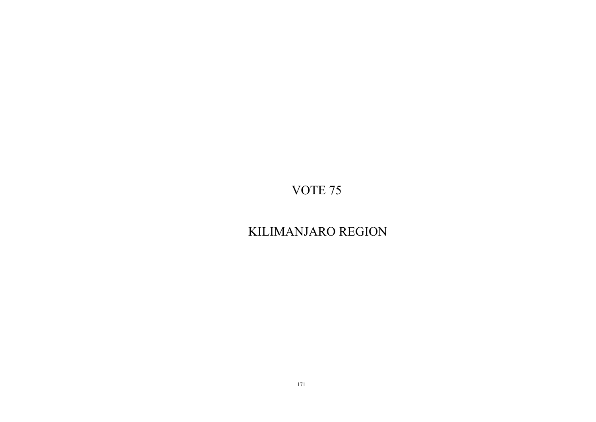# KILIMANJARO REGION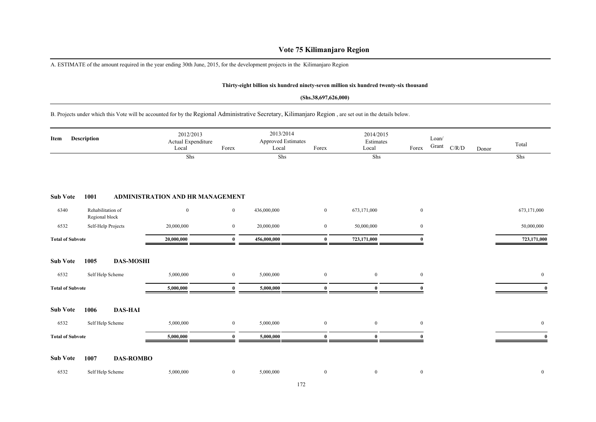# **Vote 75 Kilimanjaro Region**

A. ESTIMATE of the amount required in the year ending 30th June, 2015, for the development projects in the Kilimanjaro Region

#### **Thirty-eight billion six hundred ninety-seven million six hundred twenty-six thousand**

#### **(Shs.38,697,626,000)**

# B. Projects under which this Vote will be accounted for by the Regional Administrative Secretary, Kilimanjaro Region , are set out in the details below.

| Description<br>Item     |                | 2012/2013<br>Actual Expenditure<br>Local | Forex                            | 2013/2014<br>Approved Estimates<br>Local | Forex       | 2014/2015<br>Estimates<br>Local | Forex            | Loan/<br>Grant | C/R/D | Donor | Total |                |
|-------------------------|----------------|------------------------------------------|----------------------------------|------------------------------------------|-------------|---------------------------------|------------------|----------------|-------|-------|-------|----------------|
|                         |                |                                          | Shs                              |                                          | Shs         |                                 | Shs              |                |       |       |       | Shs            |
| <b>Sub Vote</b>         | 1001           |                                          | ADMINISTRATION AND HR MANAGEMENT |                                          |             |                                 |                  |                |       |       |       |                |
| 6340                    | Regional block | Rehabilitation of                        | $\mathbf{0}$                     | $\bf{0}$                                 | 436,000,000 | $\mathbf{0}$                    | 673,171,000      | $\mathbf{0}$   |       |       |       | 673,171,000    |
| 6532                    |                | Self-Help Projects                       | 20,000,000                       | $\bf{0}$                                 | 20,000,000  | $\mathbf{0}$                    | 50,000,000       | $\mathbf{0}$   |       |       |       | 50,000,000     |
| <b>Total of Subvote</b> |                |                                          | 20,000,000                       | $\bf{0}$                                 | 456,000,000 | $\bf{0}$                        | 723,171,000      |                |       |       |       | 723,171,000    |
| <b>Sub Vote</b>         | 1005           | <b>DAS-MOSHI</b>                         |                                  |                                          |             |                                 |                  |                |       |       |       |                |
| 6532                    |                | Self Help Scheme                         | 5,000,000                        | $\bf{0}$                                 | 5,000,000   | $\mathbf{0}$                    | $\overline{0}$   | $\mathbf{0}$   |       |       |       | $\overline{0}$ |
| <b>Total of Subvote</b> |                |                                          | 5,000,000                        | $\bf{0}$                                 | 5,000,000   | $\bf{0}$                        | $\mathbf{0}$     | $\theta$       |       |       |       | $\bf{0}$       |
| <b>Sub Vote</b>         | 1006           | <b>DAS-HAI</b>                           |                                  |                                          |             |                                 |                  |                |       |       |       |                |
| 6532                    |                | Self Help Scheme                         | 5,000,000                        | $\mathbf{0}$                             | 5,000,000   | $\overline{0}$                  | $\overline{0}$   | $\mathbf{0}$   |       |       |       | $\mathbf{0}$   |
| <b>Total of Subvote</b> |                |                                          | 5,000,000                        | $\mathbf{0}$                             | 5,000,000   | $\mathbf{0}$                    | $\mathbf{0}$     |                |       |       |       | $\mathbf{0}$   |
| <b>Sub Vote</b>         | 1007           | <b>DAS-ROMBO</b>                         |                                  |                                          |             |                                 |                  |                |       |       |       |                |
| 6532                    |                | Self Help Scheme                         | 5,000,000                        | $\boldsymbol{0}$                         | 5,000,000   | $\mathbf{0}$                    | $\boldsymbol{0}$ | $\mathbf{0}$   |       |       |       | $\bf{0}$       |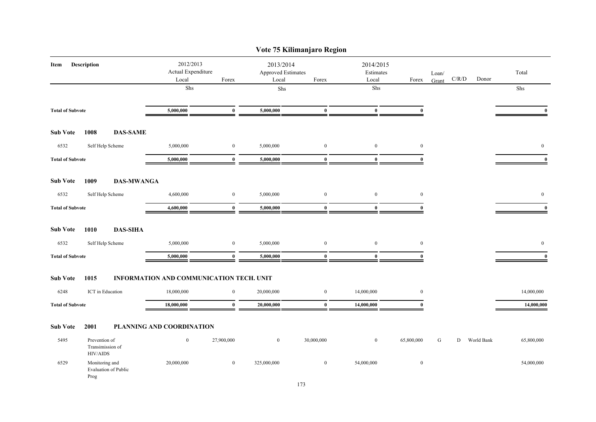|                         |                                                      |                                          |                                          |                                                   |             | Vote 75 Kilimanjaro Region      |                  |                |       |       |            |                |
|-------------------------|------------------------------------------------------|------------------------------------------|------------------------------------------|---------------------------------------------------|-------------|---------------------------------|------------------|----------------|-------|-------|------------|----------------|
| Description<br>Item     |                                                      | 2012/2013<br>Actual Expenditure<br>Local | Forex                                    | 2013/2014<br>Approved Estimates<br>Local<br>Forex |             | 2014/2015<br>Estimates<br>Local | Forex            | Loan/<br>Grant | C/R/D | Donor | Total      |                |
|                         |                                                      |                                          | ${\rm Shs}$                              |                                                   | Shs         |                                 | Shs              |                |       |       |            | Shs            |
|                         |                                                      |                                          |                                          |                                                   |             |                                 |                  |                |       |       |            |                |
| <b>Total of Subvote</b> |                                                      |                                          | 5,000,000                                | $\bf{0}$                                          | 5,000,000   | $\bf{0}$                        | $\bf{0}$         | $\bf{0}$       |       |       |            | $\mathbf{0}$   |
| <b>Sub Vote</b>         | 1008                                                 | <b>DAS-SAME</b>                          |                                          |                                                   |             |                                 |                  |                |       |       |            |                |
| 6532                    |                                                      | Self Help Scheme                         | 5,000,000                                | $\boldsymbol{0}$                                  | 5,000,000   | $\mathbf{0}$                    | $\boldsymbol{0}$ | $\bf{0}$       |       |       |            | $\overline{0}$ |
| <b>Total of Subvote</b> |                                                      |                                          | 5,000,000                                | $\bf{0}$                                          | 5,000,000   | $\bf{0}$                        | $\bf{0}$         | $\bf{0}$       |       |       |            | $\mathbf{0}$   |
| <b>Sub Vote</b>         | 1009                                                 | <b>DAS-MWANGA</b>                        |                                          |                                                   |             |                                 |                  |                |       |       |            |                |
| 6532                    |                                                      | Self Help Scheme                         | 4,600,000                                | $\mathbf{0}$                                      | 5,000,000   | $\boldsymbol{0}$                | $\boldsymbol{0}$ | $\mathbf{0}$   |       |       |            | $\overline{0}$ |
| <b>Total of Subvote</b> |                                                      | 4,600,000                                | $\bf{0}$                                 | 5,000,000                                         | $\bf{0}$    | $\bf{0}$                        | $\bf{0}$         |                |       |       | $\bf{0}$   |                |
| <b>Sub Vote</b>         | 1010                                                 | <b>DAS-SIHA</b>                          |                                          |                                                   |             |                                 |                  |                |       |       |            |                |
| 6532                    |                                                      | Self Help Scheme                         | 5,000,000                                | $\boldsymbol{0}$                                  | 5,000,000   | $\bf{0}$                        | $\boldsymbol{0}$ | $\bf{0}$       |       |       |            | $\bf{0}$       |
| <b>Total of Subvote</b> |                                                      |                                          | 5,000,000                                | $\bf{0}$                                          | 5,000,000   | $\bf{0}$                        | $\bf{0}$         | $\theta$       |       |       |            | $\bf{0}$       |
| <b>Sub Vote</b>         | 1015                                                 |                                          | INFORMATION AND COMMUNICATION TECH. UNIT |                                                   |             |                                 |                  |                |       |       |            |                |
| 6248                    |                                                      | ICT in Education                         | 18,000,000                               | $\overline{0}$                                    | 20,000,000  | $\overline{0}$                  | 14,000,000       | $\mathbf{0}$   |       |       |            | 14,000,000     |
| <b>Total of Subvote</b> |                                                      |                                          | 18,000,000                               | $\bf{0}$                                          | 20,000,000  | $\bf{0}$                        | 14,000,000       | $\mathbf{0}$   |       |       |            | 14,000,000     |
| <b>Sub Vote</b>         | 2001                                                 |                                          | PLANNING AND COORDINATION                |                                                   |             |                                 |                  |                |       |       |            |                |
| 5495                    | Prevention of<br>Transimission of<br><b>HIV/AIDS</b> |                                          | $\boldsymbol{0}$                         | 27,900,000                                        | $\bf{0}$    | 30,000,000                      | $\bf{0}$         | 65,800,000     | G     | D     | World Bank | 65,800,000     |
| 6529                    | Monitoring and<br>Prog                               | Evaluation of Public                     | 20,000,000                               | $\bf{0}$                                          | 325,000,000 | $\overline{0}$                  | 54,000,000       | $\bf{0}$       |       |       |            | 54,000,000     |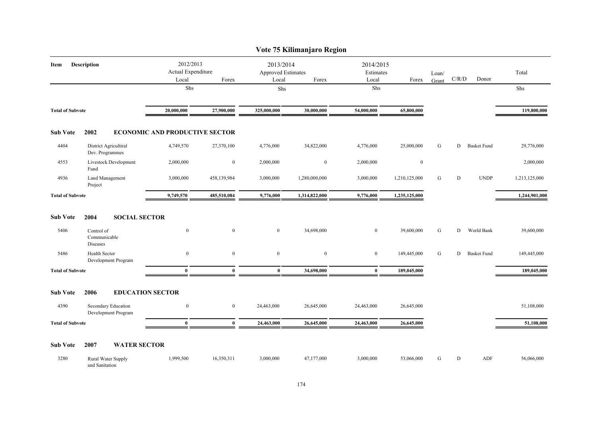| Vote 75 Kilimanjaro Region |                                            |                                                   |                |                                                   |               |                |                                 |   |                                        |                    |               |  |  |
|----------------------------|--------------------------------------------|---------------------------------------------------|----------------|---------------------------------------------------|---------------|----------------|---------------------------------|---|----------------------------------------|--------------------|---------------|--|--|
| <b>Description</b><br>Item |                                            | 2012/2013<br>Actual Expenditure<br>Forex<br>Local |                | 2013/2014<br>Approved Estimates<br>Local<br>Forex |               | Local          | 2014/2015<br>Estimates<br>Forex |   | $\mathbf{C} / \mathbf{R} / \mathbf{D}$ | Donor              | Total         |  |  |
|                            |                                            | Shs                                               |                | ${\rm Shs}$                                       |               | Shs            |                                 |   |                                        |                    | Shs           |  |  |
| <b>Total of Subvote</b>    |                                            | 20,000,000                                        | 27,900,000     | 325,000,000                                       | 30,000,000    | 54,000,000     | 65,800,000                      |   |                                        |                    | 119,800,000   |  |  |
| <b>Sub Vote</b>            | 2002                                       | <b>ECONOMIC AND PRODUCTIVE SECTOR</b>             |                |                                                   |               |                |                                 |   |                                        |                    |               |  |  |
| 4404                       | District Agricultiral<br>Dev. Programmes   | 4,749,570                                         | 27,370,100     | 4,776,000                                         | 34,822,000    | 4,776,000      | 25,000,000                      | G | D                                      | <b>Basket Fund</b> | 29,776,000    |  |  |
| 4553                       | Livestock Development<br>Fund              | 2,000,000                                         | $\mathbf{0}$   | 2,000,000                                         | $\bf{0}$      | 2,000,000      | $\mathbf{0}$                    |   |                                        |                    | 2,000,000     |  |  |
| 4936                       | Land Management<br>Project                 | 3,000,000                                         | 458,139,984    | 3,000,000                                         | 1,280,000,000 | 3,000,000      | 1,210,125,000                   | G | D                                      | <b>UNDP</b>        | 1,213,125,000 |  |  |
| <b>Total of Subvote</b>    |                                            | 9,749,570                                         | 485,510,084    | 9,776,000                                         | 1,314,822,000 | 9,776,000      | 1,235,125,000                   |   |                                        |                    | 1,244,901,000 |  |  |
| <b>Sub Vote</b>            | <b>SOCIAL SECTOR</b><br>2004               |                                                   |                |                                                   |               |                |                                 |   |                                        |                    |               |  |  |
| 5406                       | Control of<br>Communicable<br>Diseases     | $\mathbf{0}$                                      | $\mathbf{0}$   | $\overline{0}$                                    | 34,698,000    | $\overline{0}$ | 39,600,000                      | G | D                                      | World Bank         | 39,600,000    |  |  |
| 5486                       | Health Sector<br>Development Program       | $\overline{0}$                                    | $\mathbf{0}$   | $\mathbf{0}$                                      | $\mathbf{0}$  | $\bf{0}$       | 149,445,000                     | G | D                                      | <b>Basket Fund</b> | 149,445,000   |  |  |
| <b>Total of Subvote</b>    |                                            | $\bf{0}$                                          | $\bf{0}$       | $\bf{0}$                                          | 34,698,000    | $\bf{0}$       | 189,045,000                     |   |                                        |                    | 189,045,000   |  |  |
| <b>Sub Vote</b>            | 2006                                       | <b>EDUCATION SECTOR</b>                           |                |                                                   |               |                |                                 |   |                                        |                    |               |  |  |
| 4390                       | Secondary Education<br>Development Program | $\overline{0}$                                    | $\overline{0}$ | 24,463,000                                        | 26,645,000    | 24,463,000     | 26,645,000                      |   |                                        |                    | 51,108,000    |  |  |
| <b>Total of Subvote</b>    |                                            | $\mathbf{0}$                                      | $\mathbf{0}$   | 24,463,000                                        | 26,645,000    | 24,463,000     | 26,645,000                      |   |                                        |                    | 51,108,000    |  |  |
| <b>Sub Vote</b>            | 2007<br><b>WATER SECTOR</b>                |                                                   |                |                                                   |               |                |                                 |   |                                        |                    |               |  |  |
| 3280                       | Rural Water Supply<br>and Sanitation       | 1,999,500                                         | 16,350,311     | 3,000,000                                         | 47,177,000    | 3,000,000      | 53,066,000                      | G | D                                      | ADF                | 56,066,000    |  |  |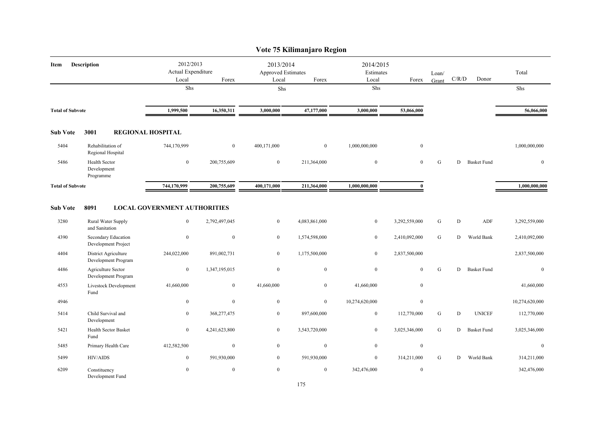|                         |                                             |                                          |                |                                                          | Vote 75 Kilimanjaro Region |                                          |               |                |       |                    |                |
|-------------------------|---------------------------------------------|------------------------------------------|----------------|----------------------------------------------------------|----------------------------|------------------------------------------|---------------|----------------|-------|--------------------|----------------|
| Description<br>Item     |                                             | 2012/2013<br>Actual Expenditure<br>Local | Forex          | 2013/2014<br><b>Approved Estimates</b><br>Forex<br>Local |                            | 2014/2015<br>Estimates<br>Local<br>Forex |               | Loan/<br>Grant | C/R/D | Donor              | Total          |
|                         |                                             | Shs                                      |                | Shs                                                      |                            | Shs                                      |               |                |       |                    | Shs            |
| <b>Total of Subvote</b> |                                             | 1,999,500                                | 16,350,311     | 3,000,000                                                | 47,177,000                 | 3,000,000                                | 53,066,000    |                |       |                    | 56,066,000     |
| <b>Sub Vote</b>         | 3001                                        | <b>REGIONAL HOSPITAL</b>                 |                |                                                          |                            |                                          |               |                |       |                    |                |
| 5404                    | Rehabilitation of<br>Regional Hospital      | 744,170,999                              | $\overline{0}$ | 400,171,000                                              | $\bf{0}$                   | 1,000,000,000                            | $\mathbf{0}$  |                |       |                    | 1,000,000,000  |
| 5486                    | Health Sector<br>Development<br>Programme   | $\mathbf{0}$                             | 200,755,609    | $\bf{0}$                                                 | 211,364,000                | $\bf{0}$                                 | $\mathbf{0}$  | G              | D     | <b>Basket Fund</b> | $\mathbf{0}$   |
| <b>Total of Subvote</b> |                                             | 744,170,999                              | 200,755,609    | 400,171,000                                              | 211,364,000                | 1,000,000,000                            | $\theta$      |                |       |                    | 1,000,000,000  |
| <b>Sub Vote</b>         | 8091                                        | <b>LOCAL GOVERNMENT AUTHORITIES</b>      |                |                                                          |                            |                                          |               |                |       |                    |                |
| 3280                    | Rural Water Supply<br>and Sanitation        | $\bf{0}$                                 | 2,792,497,045  | $\bf{0}$                                                 | 4,083,861,000              | $\boldsymbol{0}$                         | 3,292,559,000 | G              | D     | ADF                | 3,292,559,000  |
| 4390                    | Secondary Education<br>Development Project  | $\boldsymbol{0}$                         | $\mathbf{0}$   | $\mathbf{0}$                                             | 1,574,598,000              | $\overline{0}$                           | 2,410,092,000 | G              | D     | World Bank         | 2,410,092,000  |
| 4404                    | District Agriculture<br>Development Program | 244,022,000                              | 891,002,731    | $\mathbf{0}$                                             | 1,175,500,000              | $\mathbf{0}$                             | 2,837,500,000 |                |       |                    | 2,837,500,000  |
| 4486                    | Agriculture Sector<br>Development Program   | $\boldsymbol{0}$                         | 1,347,195,015  | $\boldsymbol{0}$                                         | $\overline{0}$             | $\boldsymbol{0}$                         | $\mathbf{0}$  | G              | D     | <b>Basket Fund</b> | $\mathbf{0}$   |
| 4553                    | Livestock Development<br>Fund               | 41,660,000                               | $\mathbf{0}$   | 41,660,000                                               | $\overline{0}$             | 41,660,000                               | $\mathbf{0}$  |                |       |                    | 41,660,000     |
| 4946                    |                                             | $\mathbf{0}$                             | $\mathbf{0}$   | $\mathbf{0}$                                             | $\overline{0}$             | 10,274,620,000                           | $\mathbf{0}$  |                |       |                    | 10,274,620,000 |
| 5414                    | Child Survival and<br>Development           | $\bf{0}$                                 | 368,277,475    | $\overline{0}$                                           | 897,600,000                | $\mathbf{0}$                             | 112,770,000   | G              | D     | <b>UNICEF</b>      | 112,770,000    |
| 5421                    | Health Sector Basket<br>Fund                | $\bf{0}$                                 | 4,241,623,800  | $\overline{0}$                                           | 3,543,720,000              | $\overline{0}$                           | 3,025,346,000 | G              | D     | <b>Basket Fund</b> | 3,025,346,000  |
| 5485                    | Primary Health Care                         | 412,582,500                              | $\bf{0}$       | $\bf{0}$                                                 | $\bf{0}$                   | $\bf{0}$                                 | $\mathbf{0}$  |                |       |                    | $\mathbf{0}$   |
| 5499                    | <b>HIV/AIDS</b>                             | $\mathbf{0}$                             | 591,930,000    | $\bf{0}$                                                 | 591,930,000                | $\bf{0}$                                 | 314,211,000   | G              | D     | World Bank         | 314,211,000    |
| 6209                    | Constituency<br>Development Fund            | $\boldsymbol{0}$                         | $\bf{0}$       | $\mathbf{0}$                                             | $\overline{0}$             | 342,476,000                              | $\mathbf{0}$  |                |       |                    | 342,476,000    |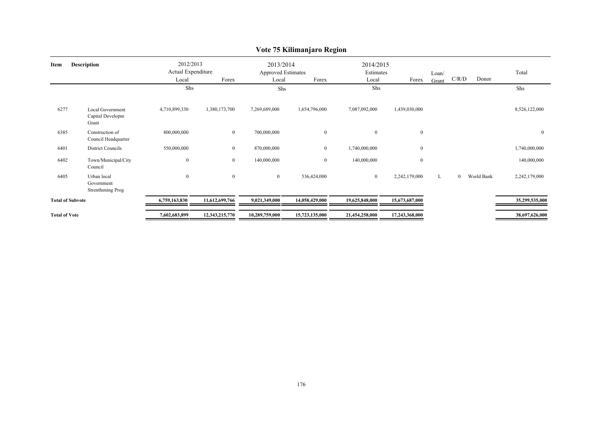|                            | $\sim$ . $\sim$ 11. $\sim$ 11. $\sim$ 11. $\sim$ 11. $\sim$ 11. $\sim$ 11. $\sim$ 11. $\sim$ 11. $\sim$ 11. $\sim$ 11. $\sim$ 11. $\sim$ 11. $\sim$ 11. $\sim$ 11. $\sim$ 11. $\sim$ 11. $\sim$ 11. $\sim$ 11. $\sim$ 11. $\sim$ 11. $\sim$ 11. $\sim$ 11. $\sim$ 11. $\sim$ 11 |                                          |                |                                                 |                |                                 |                |                |                              |                |  |  |  |
|----------------------------|---------------------------------------------------------------------------------------------------------------------------------------------------------------------------------------------------------------------------------------------------------------------------------|------------------------------------------|----------------|-------------------------------------------------|----------------|---------------------------------|----------------|----------------|------------------------------|----------------|--|--|--|
| <b>Description</b><br>Item |                                                                                                                                                                                                                                                                                 | 2012/2013<br>Actual Expenditure<br>Local | Forex          | 2013/2014<br><b>Approved Estimates</b><br>Local | Forex          | 2014/2015<br>Estimates<br>Local | Forex          | Loan/<br>Grant | C/R/D<br>Donor               | Total          |  |  |  |
|                            |                                                                                                                                                                                                                                                                                 | Shs                                      |                | Shs                                             |                | Shs                             |                |                |                              | Shs            |  |  |  |
| 6277                       | Local Government<br>Capital Developm<br>Grant                                                                                                                                                                                                                                   | 4,710,899,330                            | 1,380,173,700  | 7,269,689,000                                   | 1,654,796,000  | 7,087,092,000                   | 1,439,030,000  |                |                              | 8,526,122,000  |  |  |  |
| 6385                       | Construction of<br>Council Headquarter                                                                                                                                                                                                                                          | 800,000,000                              | $\overline{0}$ | 700,000,000                                     | $\overline{0}$ | $\overline{0}$                  | $\mathbf{0}$   |                |                              | $\mathbf{0}$   |  |  |  |
| 6401                       | District Councils                                                                                                                                                                                                                                                               | 550,000,000                              | $\overline{0}$ | 870,000,000                                     | $\overline{0}$ | 1,740,000,000                   | $\mathbf{0}$   |                |                              | 1,740,000,000  |  |  |  |
| 6402                       | Town/Municipal/City<br>Council                                                                                                                                                                                                                                                  | $\boldsymbol{0}$                         | $\overline{0}$ | 140,000,000                                     | $\overline{0}$ | 140,000,000                     | $\mathbf{0}$   |                |                              | 140,000,000    |  |  |  |
| 6405                       | Urban local<br>Government<br>Strenthening Prog                                                                                                                                                                                                                                  | $\boldsymbol{0}$                         | $\overline{0}$ | $\overline{0}$                                  | 536,424,000    | $\bf{0}$                        | 2,242,179,000  | L              | World Bank<br>$\overline{0}$ | 2,242,179,000  |  |  |  |
| <b>Total of Subvote</b>    |                                                                                                                                                                                                                                                                                 | 6,759,163,830                            | 11,612,699,766 | 9,021,349,000                                   | 14,058,429,000 | 19,625,848,000                  | 15,673,687,000 |                |                              | 35,299,535,000 |  |  |  |
| <b>Total of Vote</b>       |                                                                                                                                                                                                                                                                                 | 7,602,683,899                            | 12,343,215,770 | 10,289,759,000                                  | 15,723,135,000 | 21,454,258,000                  | 17,243,368,000 |                |                              | 38,697,626,000 |  |  |  |

# **Vote 75 Kilimanjaro Region**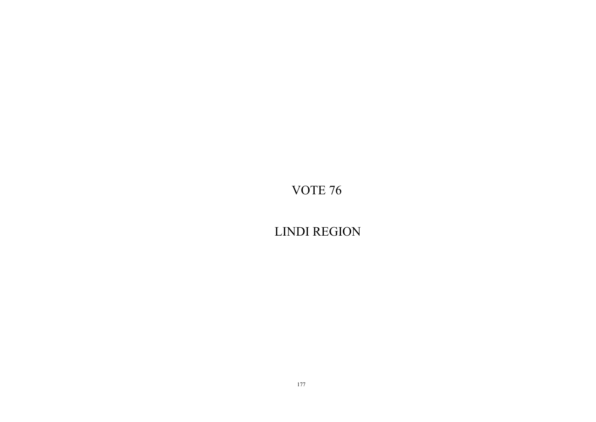LINDI REGION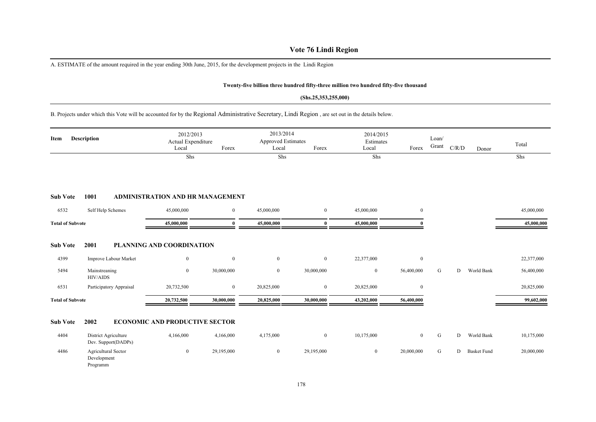# **Vote 76 Lindi Region**

A. ESTIMATE of the amount required in the year ending 30th June, 2015, for the development projects in the Lindi Region

#### **Twenty-five billion three hundred fifty-three million two hundred fifty-five thousand**

#### **(Shs.25,353,255,000)**

B. Projects under which this Vote will be accounted for by the Regional Administrative Secretary, Lindi Region , are set out in the details below.

| Item                    | <b>Description</b>                             | 2012/2013<br>Actual Expenditure<br>Local<br>Shs | Forex            | 2013/2014<br><b>Approved Estimates</b><br>Local<br>Shs | Forex        | 2014/2015<br>Estimates<br>Local<br>Shs | Forex          | Loan/<br>Grant | C/R/D | Donor              | Total<br>Shs |
|-------------------------|------------------------------------------------|-------------------------------------------------|------------------|--------------------------------------------------------|--------------|----------------------------------------|----------------|----------------|-------|--------------------|--------------|
| <b>Sub Vote</b>         | 1001                                           | <b>ADMINISTRATION AND HR MANAGEMENT</b>         |                  |                                                        |              |                                        |                |                |       |                    |              |
| 6532                    | Self Help Schemes                              | 45,000,000                                      | $\boldsymbol{0}$ | 45,000,000                                             | $\mathbf{0}$ | 45,000,000                             | $\overline{0}$ |                |       |                    | 45,000,000   |
| <b>Total of Subvote</b> |                                                | 45,000,000                                      | 0                | 45,000,000                                             | $\bf{0}$     | 45,000,000                             |                |                |       |                    | 45,000,000   |
| <b>Sub Vote</b>         | 2001                                           | PLANNING AND COORDINATION                       |                  |                                                        |              |                                        |                |                |       |                    |              |
| 4399                    | Improve Labour Market                          | $\mathbf{0}$                                    | $\bf{0}$         | $\bf{0}$                                               | $\mathbf{0}$ | 22,377,000                             | $\overline{0}$ |                |       |                    | 22,377,000   |
| 5494                    | Mainstreaning<br>HIV/AIDS                      | $\mathbf{0}$                                    | 30,000,000       | $\mathbf{0}$                                           | 30,000,000   | $\mathbf{0}$                           | 56,400,000     | G              | D     | World Bank         | 56,400,000   |
| 6531                    | Participatory Appraisal                        | 20,732,500                                      | $\boldsymbol{0}$ | 20,825,000                                             | $\mathbf{0}$ | 20,825,000                             | $\overline{0}$ |                |       |                    | 20,825,000   |
| <b>Total of Subvote</b> |                                                | 20,732,500                                      | 30,000,000       | 20,825,000                                             | 30,000,000   | 43,202,000                             | 56,400,000     |                |       |                    | 99,602,000   |
| <b>Sub Vote</b>         | 2002                                           | <b>ECONOMIC AND PRODUCTIVE SECTOR</b>           |                  |                                                        |              |                                        |                |                |       |                    |              |
| 4404                    | District Agriculture<br>Dev. Support(DADPs)    | 4,166,000                                       | 4,166,000        | 4,175,000                                              | $\bf{0}$     | 10,175,000                             | $\overline{0}$ | G              | D     | World Bank         | 10,175,000   |
| 4486                    | Agricultural Sector<br>Development<br>Programm | $\overline{0}$                                  | 29,195,000       | $\bf{0}$                                               | 29,195,000   | $\mathbf{0}$                           | 20,000,000     | ${\bf G}$      | D     | <b>Basket Fund</b> | 20,000,000   |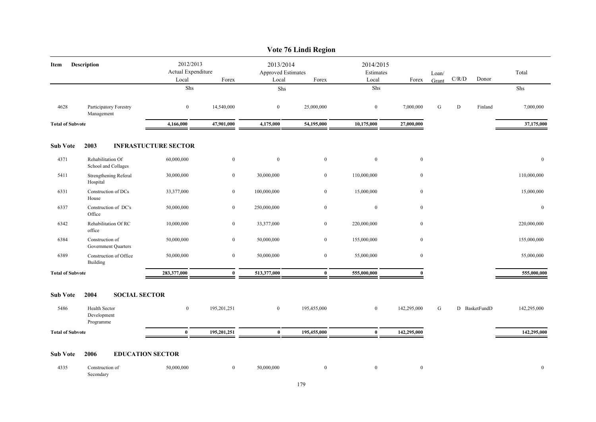|                            |                                           |                                 |                  |                                        | Vote 76 Lindi Region |                        |              |       |               |         |              |
|----------------------------|-------------------------------------------|---------------------------------|------------------|----------------------------------------|----------------------|------------------------|--------------|-------|---------------|---------|--------------|
| <b>Description</b><br>Item |                                           | 2012/2013<br>Actual Expenditure |                  | 2013/2014<br><b>Approved Estimates</b> |                      | 2014/2015<br>Estimates |              | Loan/ | C/R/D         | Donor   | Total        |
|                            |                                           | Local<br>${\rm Shs}$            | Forex            | Local<br>${\rm Shs}$                   | Forex                | Local<br>Shs           | Forex        | Grant |               |         | Shs          |
|                            |                                           |                                 |                  |                                        |                      |                        |              |       |               |         |              |
| 4628                       | Participatory Forestry<br>Management      | $\boldsymbol{0}$                | 14,540,000       | $\bf{0}$                               | 25,000,000           | $\boldsymbol{0}$       | 7,000,000    | G     | ${\rm D}$     | Finland | 7,000,000    |
| <b>Total of Subvote</b>    |                                           | 4,166,000                       | 47,901,000       | 4,175,000                              | 54,195,000           | 10,175,000             | 27,000,000   |       |               |         | 37,175,000   |
| <b>Sub Vote</b>            | 2003                                      | <b>INFRASTUCTURE SECTOR</b>     |                  |                                        |                      |                        |              |       |               |         |              |
| 4371                       | Rehabilitation Of<br>School and Collages  | 60,000,000                      | $\bf{0}$         | $\overline{0}$                         | $\mathbf{0}$         | $\mathbf{0}$           | $\mathbf{0}$ |       |               |         | $\mathbf{0}$ |
| 5411                       | Strengthening Referal<br>Hospital         | 30,000,000                      | $\bf{0}$         | 30,000,000                             | $\bf{0}$             | 110,000,000            | $\bf{0}$     |       |               |         | 110,000,000  |
| 6331                       | Construction of DCs<br>House              | 33,377,000                      | $\boldsymbol{0}$ | 100,000,000                            | $\mathbf{0}$         | 15,000,000             | $\mathbf{0}$ |       |               |         | 15,000,000   |
| 6337                       | Construction of DC's<br>Office            | 50,000,000                      | $\overline{0}$   | 250,000,000                            | $\bf{0}$             | $\boldsymbol{0}$       | $\mathbf{0}$ |       |               |         | $\mathbf{0}$ |
| 6342                       | Rehabilitation Of RC<br>office            | 10,000,000                      | $\bf{0}$         | 33,377,000                             | $\bf{0}$             | 220,000,000            | $\mathbf{0}$ |       |               |         | 220,000,000  |
| 6384                       | Construction of<br>Government Quarters    | 50,000,000                      | $\bf{0}$         | 50,000,000                             | $\bf{0}$             | 155,000,000            | $\mathbf{0}$ |       |               |         | 155,000,000  |
| 6389                       | Construction of Office<br>Building        | 50,000,000                      | $\mathbf{0}$     | 50,000,000                             | $\mathbf{0}$         | 55,000,000             | $\mathbf{0}$ |       |               |         | 55,000,000   |
| <b>Total of Subvote</b>    |                                           | 283,377,000                     | $\bf{0}$         | 513,377,000                            | $\mathbf{0}$         | 555,000,000            | $\mathbf{0}$ |       |               |         | 555,000,000  |
| <b>Sub Vote</b>            | 2004<br><b>SOCIAL SECTOR</b>              |                                 |                  |                                        |                      |                        |              |       |               |         |              |
| 5486                       | Health Sector<br>Development<br>Programme | $\overline{0}$                  | 195,201,251      | $\boldsymbol{0}$                       | 195,455,000          | $\bf{0}$               | 142,295,000  | G     | D BasketFundD |         | 142,295,000  |
| <b>Total of Subvote</b>    |                                           | $\bf{0}$                        | 195,201,251      | $\bf{0}$                               | 195,455,000          | $\bf{0}$               | 142,295,000  |       |               |         | 142,295,000  |
| <b>Sub Vote</b>            | <b>EDUCATION SECTOR</b><br>2006           |                                 |                  |                                        |                      |                        |              |       |               |         |              |
| 4335                       | Construction of<br>Secondary              | 50,000,000                      | $\bf{0}$         | 50,000,000                             | $\mathbf{0}$         | $\mathbf{0}$           | $\bf{0}$     |       |               |         | $\mathbf{0}$ |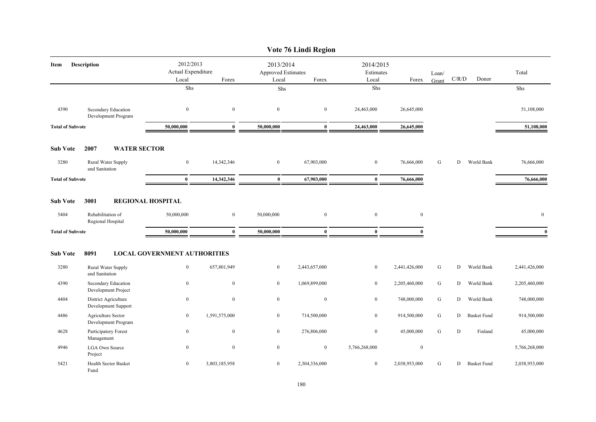|                         |                                             |                                                   |                  |                                                   | Vote 76 Lindi Region |                  |                                 |           |   |                    |               |
|-------------------------|---------------------------------------------|---------------------------------------------------|------------------|---------------------------------------------------|----------------------|------------------|---------------------------------|-----------|---|--------------------|---------------|
| Description<br>Item     |                                             | 2012/2013<br>Actual Expenditure<br>Local<br>Forex |                  | 2013/2014<br>Approved Estimates<br>Forex<br>Local |                      | Local            | 2014/2015<br>Estimates<br>Forex |           |   | C/R/D<br>Donor     | Total         |
|                         |                                             | Shs                                               |                  | Shs                                               |                      | Shs              |                                 |           |   |                    | Shs           |
| 4390                    | Secondary Education<br>Development Program  | $\mathbf{0}$                                      | $\mathbf{0}$     | $\bf{0}$                                          | $\overline{0}$       | 24,463,000       | 26,645,000                      |           |   |                    | 51,108,000    |
| <b>Total of Subvote</b> |                                             | 50,000,000                                        | $\bf{0}$         | 50,000,000                                        | $\bf{0}$             | 24,463,000       | 26,645,000                      |           |   |                    | 51,108,000    |
| <b>Sub Vote</b>         | 2007<br><b>WATER SECTOR</b>                 |                                                   |                  |                                                   |                      |                  |                                 |           |   |                    |               |
| 3280                    | Rural Water Supply<br>and Sanitation        | $\boldsymbol{0}$                                  | 14,342,346       | $\bf{0}$                                          | 67,903,000           | $\bf{0}$         | 76,666,000                      | ${\bf G}$ | D | World Bank         | 76,666,000    |
| <b>Total of Subvote</b> |                                             | $\mathbf{0}$                                      | 14,342,346       | $\bf{0}$                                          | 67,903,000           | $\bf{0}$         | 76,666,000                      |           |   |                    | 76,666,000    |
| <b>Sub Vote</b>         | 3001                                        | <b>REGIONAL HOSPITAL</b>                          |                  |                                                   |                      |                  |                                 |           |   |                    |               |
| 5404                    | Rehabilitation of<br>Regional Hospital      | 50,000,000                                        | $\overline{0}$   | 50,000,000                                        | $\overline{0}$       | $\bf{0}$         | $\mathbf{0}$                    |           |   |                    | $\mathbf{0}$  |
| <b>Total of Subvote</b> |                                             | 50,000,000                                        | $\bf{0}$         | 50,000,000                                        | $\bf{0}$             | $\bf{0}$         | 0                               |           |   |                    | $\bf{0}$      |
| <b>Sub Vote</b>         | 8091                                        | <b>LOCAL GOVERNMENT AUTHORITIES</b>               |                  |                                                   |                      |                  |                                 |           |   |                    |               |
| 3280                    | Rural Water Supply<br>and Sanitation        | $\bf{0}$                                          | 657,801,949      | $\mathbf{0}$                                      | 2,443,657,000        | $\bf{0}$         | 2,441,426,000                   | ${\bf G}$ | D | World Bank         | 2,441,426,000 |
| 4390                    | Secondary Education<br>Development Project  | $\bf{0}$                                          | $\mathbf{0}$     | $\overline{0}$                                    | 1,069,899,000        | $\bf{0}$         | 2,205,460,000                   | G         | D | World Bank         | 2,205,460,000 |
| 4404                    | District Agriculture<br>Development Support | $\boldsymbol{0}$                                  | $\mathbf{0}$     | $\overline{0}$                                    | $\boldsymbol{0}$     | $\bf{0}$         | 748,000,000                     | G         | D | World Bank         | 748,000,000   |
| 4486                    | Agriculture Sector<br>Development Program   | $\bf{0}$                                          | 1,591,575,000    | $\overline{0}$                                    | 714,500,000          | $\bf{0}$         | 914,500,000                     | ${\bf G}$ | D | <b>Basket Fund</b> | 914,500,000   |
| 4628                    | Participatory Forest<br>Management          | $\mathbf{0}$                                      | $\mathbf{0}$     | $\overline{0}$                                    | 276,806,000          | $\bf{0}$         | 45,000,000                      | G         | D | Finland            | 45,000,000    |
| 4946                    | <b>LGA Own Source</b><br>Project            | $\bf{0}$                                          | $\boldsymbol{0}$ | $\overline{0}$                                    | $\overline{0}$       | 5,766,268,000    | $\bf{0}$                        |           |   |                    | 5,766,268,000 |
| 5421                    | Health Sector Basket<br>Fund                | $\overline{0}$                                    | 3,803,185,958    | $\overline{0}$                                    | 2,304,336,000        | $\boldsymbol{0}$ | 2,038,953,000                   | ${\bf G}$ | D | <b>Basket Fund</b> | 2,038,953,000 |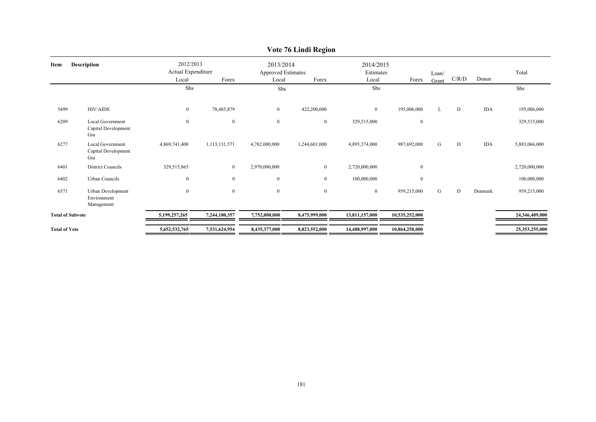|                         |                                                       |                                                   |                |                                                          | $\overline{v}$ or $\overline{v}$ and $\overline{v}$ and $\overline{v}$ |                                          |                  |                |       |            |                |
|-------------------------|-------------------------------------------------------|---------------------------------------------------|----------------|----------------------------------------------------------|------------------------------------------------------------------------|------------------------------------------|------------------|----------------|-------|------------|----------------|
| Item                    | <b>Description</b>                                    | 2012/2013<br>Actual Expenditure<br>Local<br>Forex |                | 2013/2014<br><b>Approved Estimates</b><br>Local<br>Forex |                                                                        | 2014/2015<br>Estimates<br>Forex<br>Local |                  | Loan/<br>Grant | C/R/D | Donor      | Total          |
|                         |                                                       | Shs                                               |                | Shs                                                      |                                                                        | Shs                                      |                  |                |       |            | Shs            |
| 5499                    | HIV/AIDS                                              | $\bf{0}$                                          | 78,485,879     | $\bf{0}$                                                 | 422,200,000                                                            | $\overline{0}$                           | 195,006,000      |                | D     | <b>IDA</b> | 195,006,000    |
| 6209                    | Local Government<br>Capital Development<br>Gra        | $\boldsymbol{0}$                                  | $\mathbf{0}$   | $\mathbf{0}$                                             | $\bf{0}$                                                               | 329,515,000                              | $\boldsymbol{0}$ |                |       |            | 329,515,000    |
| 6277                    | <b>Local Government</b><br>Capital Development<br>Gra | 4,869,741,400                                     | 1,113,131,571  | 4,782,000,000                                            | 1,244,601,000                                                          | 4,895,374,000                            | 987,692,000      | G              | D     | <b>IDA</b> | 5,883,066,000  |
| 6401                    | <b>District Councils</b>                              | 329,515,865                                       | $\bf{0}$       | 2,970,000,000                                            | $\bf{0}$                                                               | 2,720,000,000                            | $\mathbf{0}$     |                |       |            | 2,720,000,000  |
| 6402                    | Urban Councils                                        | $\bf{0}$                                          | $\overline{0}$ | $\mathbf{0}$                                             | $\overline{0}$                                                         | 100,000,000                              | $\mathbf{0}$     |                |       |            | 100,000,000    |
| 6571                    | Urban Development<br>Environment<br>Management        | $\overline{0}$                                    | $\mathbf{0}$   | $\mathbf{0}$                                             | $\boldsymbol{0}$                                                       | $\overline{0}$                           | 959,215,000      | G              | D     | Denmark    | 959,215,000    |
| <b>Total of Subvote</b> |                                                       | 5,199,257,265                                     | 7,244,180,357  | 7,752,000,000                                            | 8,475,999,000                                                          | 13,811,157,000                           | 10,535,252,000   |                |       |            | 24,346,409,000 |
| <b>Total of Vote</b>    |                                                       | 5,652,532,765                                     | 7,531,624,954  | 8,435,377,000                                            | 8,823,552,000                                                          | 14,488,997,000                           | 10,864,258,000   |                |       |            | 25,353,255,000 |

## **Vote 76 Lindi Region**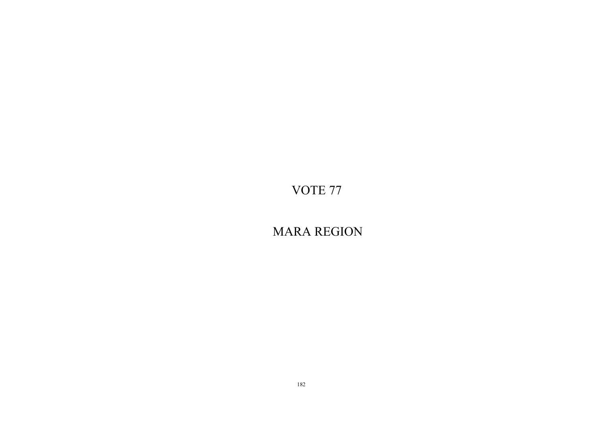MARA REGION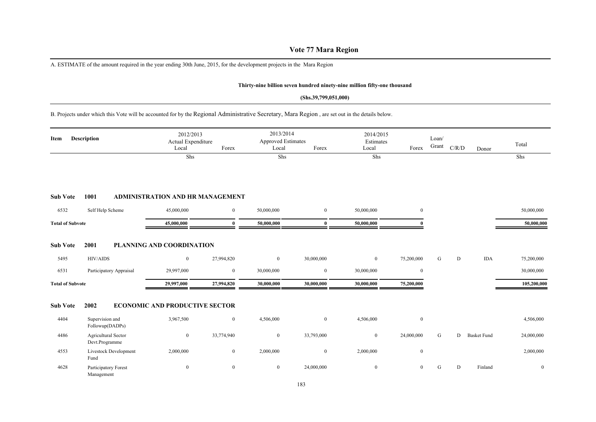## **Vote 77 Mara Region**

A. ESTIMATE of the amount required in the year ending 30th June, 2015, for the development projects in the Mara Region

### **Thirty-nine billion seven hundred ninety-nine million fifty-one thousand**

#### **(Shs.39,799,051,000)**

B. Projects under which this Vote will be accounted for by the Regional Administrative Secretary, Mara Region , are set out in the details below.

| Description<br>Item     |                                       | 2012/2013<br>Actual Expenditure<br>Local | Forex          | 2013/2014<br>Approved Estimates<br>Local | Forex            | 2014/2015<br>Estimates<br>Local | Forex          | Loan/<br>Grant | C/R/D | Donor              | Total          |
|-------------------------|---------------------------------------|------------------------------------------|----------------|------------------------------------------|------------------|---------------------------------|----------------|----------------|-------|--------------------|----------------|
|                         |                                       | Shs                                      |                | Shs                                      |                  | Shs                             |                |                |       |                    | Shs            |
| <b>Sub Vote</b>         | 1001                                  | ADMINISTRATION AND HR MANAGEMENT         |                |                                          |                  |                                 |                |                |       |                    |                |
| 6532                    | Self Help Scheme                      | 45,000,000                               | $\mathbf{0}$   | 50,000,000                               | $\mathbf{0}$     | 50,000,000                      | $\overline{0}$ |                |       |                    | 50,000,000     |
| <b>Total of Subvote</b> |                                       | 45,000,000                               | 0              | 50,000,000                               | $\mathbf{0}$     | 50,000,000                      |                |                |       |                    | 50,000,000     |
| <b>Sub Vote</b>         | 2001                                  | PLANNING AND COORDINATION                |                |                                          |                  |                                 |                |                |       |                    |                |
| 5495                    | <b>HIV/AIDS</b>                       | $\bf{0}$                                 | 27,994,820     | $\mathbf{0}$                             | 30,000,000       | $\mathbf{0}$                    | 75,200,000     | G              | D     | <b>IDA</b>         | 75,200,000     |
| 6531                    | Participatory Appraisal               | 29,997,000                               | $\bf{0}$       | 30,000,000                               | $\bf{0}$         | 30,000,000                      | $\overline{0}$ |                |       |                    | 30,000,000     |
| <b>Total of Subvote</b> |                                       | 29,997,000                               | 27,994,820     | 30,000,000                               | 30,000,000       | 30,000,000                      | 75,200,000     |                |       |                    | 105,200,000    |
| <b>Sub Vote</b>         | 2002                                  | <b>ECONOMIC AND PRODUCTIVE SECTOR</b>    |                |                                          |                  |                                 |                |                |       |                    |                |
| 4404                    | Supervision and<br>Followup(DADPs)    | 3,967,500                                | $\overline{0}$ | 4,506,000                                | $\mathbf{0}$     | 4,506,000                       | $\overline{0}$ |                |       |                    | 4,506,000      |
| 4486                    | Agricultural Sector<br>Devt.Programme | $\bf{0}$                                 | 33,774,940     | $\mathbf{0}$                             | 33,793,000       | $\mathbf{0}$                    | 24,000,000     | G              | D     | <b>Basket Fund</b> | 24,000,000     |
| 4553                    | Livestock Development<br>Fund         | 2,000,000                                | $\overline{0}$ | 2,000,000                                | $\boldsymbol{0}$ | 2,000,000                       | $\overline{0}$ |                |       |                    | 2,000,000      |
| 4628                    | Participatory Forest<br>Management    | $\bf{0}$                                 | $\overline{0}$ | $\mathbf{0}$                             | 24,000,000       | $\mathbf{0}$                    | $\overline{0}$ | G              | D     | Finland            | $\overline{0}$ |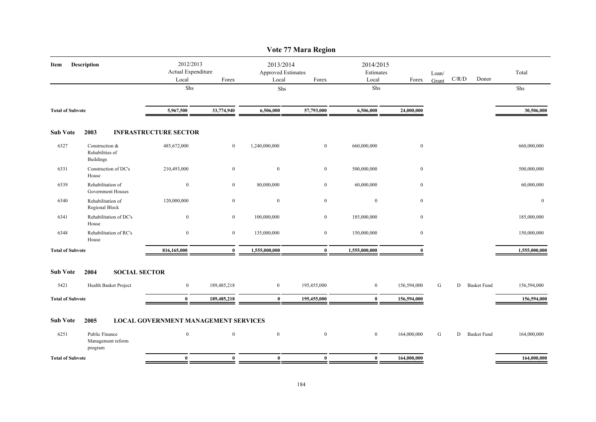| Description             | Local                                                                                                                                                                                                                                                          | Forex                                                | Local                           | Forex                                       | Estimates<br>Local                                            | Forex        | Loan/<br>Grant |   | Donor | Total                                                                         |
|-------------------------|----------------------------------------------------------------------------------------------------------------------------------------------------------------------------------------------------------------------------------------------------------------|------------------------------------------------------|---------------------------------|---------------------------------------------|---------------------------------------------------------------|--------------|----------------|---|-------|-------------------------------------------------------------------------------|
|                         | <b>Shs</b>                                                                                                                                                                                                                                                     |                                                      | Shs                             |                                             | Shs                                                           |              |                |   |       | Shs                                                                           |
| <b>Total of Subvote</b> | 5,967,500                                                                                                                                                                                                                                                      | 33,774,940                                           | 6,506,000                       | 57,793,000                                  | 6,506,000                                                     | 24,000,000   |                |   |       | 30,506,000                                                                    |
| 2003                    |                                                                                                                                                                                                                                                                |                                                      |                                 |                                             |                                                               |              |                |   |       |                                                                               |
| <b>Buildings</b>        | 485,672,000                                                                                                                                                                                                                                                    | $\overline{0}$                                       | 1,240,000,000                   | $\boldsymbol{0}$                            | 660,000,000                                                   | $\mathbf{0}$ |                |   |       | 660,000,000                                                                   |
| House                   | 210,493,000                                                                                                                                                                                                                                                    | $\mathbf{0}$                                         | $\mathbf{0}$                    | $\overline{0}$                              | 500,000,000                                                   | $\mathbf{0}$ |                |   |       | 500,000,000                                                                   |
|                         | $\bf{0}$                                                                                                                                                                                                                                                       | $\overline{0}$                                       | 80,000,000                      | $\overline{0}$                              | 60,000,000                                                    | $\mathbf{0}$ |                |   |       | 60,000,000                                                                    |
|                         | 120,000,000                                                                                                                                                                                                                                                    | $\bf{0}$                                             | $\bf{0}$                        | $\bf{0}$                                    | $\boldsymbol{0}$                                              | $\mathbf{0}$ |                |   |       | $\bf{0}$                                                                      |
| House                   | $\boldsymbol{0}$                                                                                                                                                                                                                                               | $\mathbf{0}$                                         | 100,000,000                     | $\overline{0}$                              | 185,000,000                                                   | $\mathbf{0}$ |                |   |       | 185,000,000                                                                   |
| House                   | $\overline{0}$                                                                                                                                                                                                                                                 | $\mathbf{0}$                                         | 135,000,000                     | $\overline{0}$                              | 150,000,000                                                   | $\mathbf{0}$ |                |   |       | 150,000,000                                                                   |
| <b>Total of Subvote</b> | 816,165,000                                                                                                                                                                                                                                                    | $\bf{0}$                                             | 1,555,000,000                   | $\bf{0}$                                    | 1,555,000,000                                                 | $\mathbf{0}$ |                |   |       | 1,555,000,000                                                                 |
| 2004                    |                                                                                                                                                                                                                                                                |                                                      |                                 |                                             |                                                               |              |                |   |       |                                                                               |
|                         | $\overline{0}$                                                                                                                                                                                                                                                 | 189,485,218                                          | $\overline{0}$                  | 195,455,000                                 | $\bf{0}$                                                      | 156,594,000  | G              | D |       | 156,594,000                                                                   |
| <b>Total of Subvote</b> | $\mathbf{0}$                                                                                                                                                                                                                                                   | 189,485,218                                          | $\mathbf{0}$                    | 195,455,000                                 | $\mathbf{0}$                                                  | 156,594,000  |                |   |       | 156,594,000                                                                   |
| 2005                    |                                                                                                                                                                                                                                                                |                                                      |                                 |                                             |                                                               |              |                |   |       |                                                                               |
| program                 | $\mathbf{0}$                                                                                                                                                                                                                                                   | $\mathbf{0}$                                         | $\mathbf{0}$                    | $\mathbf{0}$                                | $\overline{0}$                                                | 164,000,000  | ${\bf G}$      |   |       | 164,000,000                                                                   |
| <b>Total of Subvote</b> | $\mathbf{0}$                                                                                                                                                                                                                                                   | $\mathbf{0}$                                         | $\mathbf{0}$                    | $\mathbf{0}$                                | $\bf{0}$                                                      | 164,000,000  |                |   |       | 164,000,000                                                                   |
|                         | Construction &<br>Rehabilities of<br>Construction of DC's<br>Rehabilitation of<br>Government Houses<br>Rehabilitation of<br>Regional Block<br>Rehabilitation of DC's<br>Rehabilitation of RC's<br>Health Basket Project<br>Public Finance<br>Management reform | <b>INFRASTRUCTURE SECTOR</b><br><b>SOCIAL SECTOR</b> | 2012/2013<br>Actual Expenditure | <b>LOCAL GOVERNMENT MANAGEMENT SERVICES</b> | Vote 77 Mara Region<br>2013/2014<br><b>Approved Estimates</b> |              | 2014/2015      |   |       | $\mathbf{C} / \mathbf{R} / \mathbf{D}$<br><b>Basket Fund</b><br>D Basket Fund |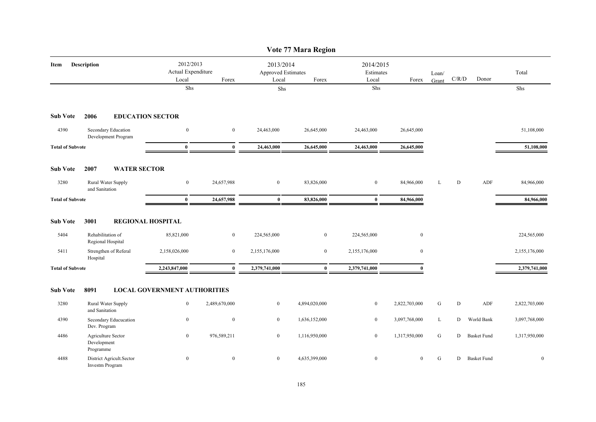|                         |                                                    |                                          |                  |                                                   | Vote 77 Mara Region |               |                                 |           |       |                    |               |
|-------------------------|----------------------------------------------------|------------------------------------------|------------------|---------------------------------------------------|---------------------|---------------|---------------------------------|-----------|-------|--------------------|---------------|
| Item                    | <b>Description</b>                                 | 2012/2013<br>Actual Expenditure<br>Local | Forex            | 2013/2014<br>Approved Estimates<br>Local<br>Forex |                     | Local         | 2014/2015<br>Estimates<br>Forex |           | C/R/D | Donor              | Total         |
|                         |                                                    | Shs                                      |                  | Shs                                               |                     | Shs           |                                 |           |       |                    | Shs           |
| <b>Sub Vote</b>         | 2006                                               | <b>EDUCATION SECTOR</b>                  |                  |                                                   |                     |               |                                 |           |       |                    |               |
| 4390                    | Secondary Education<br>Development Program         | $\mathbf{0}$                             | $\mathbf{0}$     | 24,463,000                                        | 26,645,000          | 24,463,000    | 26,645,000                      |           |       |                    | 51,108,000    |
| <b>Total of Subvote</b> |                                                    | $\bf{0}$                                 | $\mathbf{0}$     | 24,463,000                                        | 26,645,000          | 24,463,000    | 26,645,000                      |           |       |                    | 51,108,000    |
| <b>Sub Vote</b>         | 2007<br><b>WATER SECTOR</b>                        |                                          |                  |                                                   |                     |               |                                 |           |       |                    |               |
| 3280                    | Rural Water Supply<br>and Sanitation               | $\boldsymbol{0}$                         | 24,657,988       | $\bf{0}$                                          | 83,826,000          | $\mathbf{0}$  | 84,966,000                      | L         | D     | ADF                | 84,966,000    |
| <b>Total of Subvote</b> |                                                    | $\bf{0}$                                 | 24,657,988       | $\bf{0}$                                          | 83,826,000          | $\bf{0}$      | 84,966,000                      |           |       |                    | 84,966,000    |
| <b>Sub Vote</b>         | 3001                                               | <b>REGIONAL HOSPITAL</b>                 |                  |                                                   |                     |               |                                 |           |       |                    |               |
| 5404                    | Rehabilitation of<br>Regional Hospital             | 85,821,000                               | $\boldsymbol{0}$ | 224,565,000                                       | $\boldsymbol{0}$    | 224,565,000   | $\boldsymbol{0}$                |           |       |                    | 224,565,000   |
| 5411                    | Strengthen of Referal<br>Hospital                  | 2,158,026,000                            | $\mathbf{0}$     | 2,155,176,000                                     | $\overline{0}$      | 2,155,176,000 | $\mathbf{0}$                    |           |       |                    | 2,155,176,000 |
| <b>Total of Subvote</b> |                                                    | 2,243,847,000                            | $\bf{0}$         | 2,379,741,000                                     | $\bf{0}$            | 2,379,741,000 | $\mathbf{0}$                    |           |       |                    | 2,379,741,000 |
| <b>Sub Vote</b>         | 8091                                               | <b>LOCAL GOVERNMENT AUTHORITIES</b>      |                  |                                                   |                     |               |                                 |           |       |                    |               |
| 3280                    | Rural Water Supply<br>and Sanitation               | $\mathbf{0}$                             | 2,489,670,000    | $\bf{0}$                                          | 4,894,020,000       | $\mathbf{0}$  | 2,822,703,000                   | G         | D     | ADF                | 2,822,703,000 |
| 4390                    | Secondary Educucation<br>Dev. Program              | $\bf{0}$                                 | $\mathbf{0}$     | $\mathbf{0}$                                      | 1,636,152,000       | $\mathbf{0}$  | 3,097,768,000                   | L         | D     | World Bank         | 3,097,768,000 |
| 4486                    | Agriculture Sector<br>Development<br>Programme     | $\boldsymbol{0}$                         | 976,589,211      | $\bf{0}$                                          | 1,116,950,000       | $\mathbf{0}$  | 1,317,950,000                   | G         | D     | <b>Basket Fund</b> | 1,317,950,000 |
| 4488                    | District Agricult.Sector<br><b>Investm Program</b> | $\bf{0}$                                 | $\bf{0}$         | $\boldsymbol{0}$                                  | 4,635,399,000       | $\mathbf{0}$  | $\overline{0}$                  | ${\bf G}$ | D     | <b>Basket Fund</b> | $\mathbf{0}$  |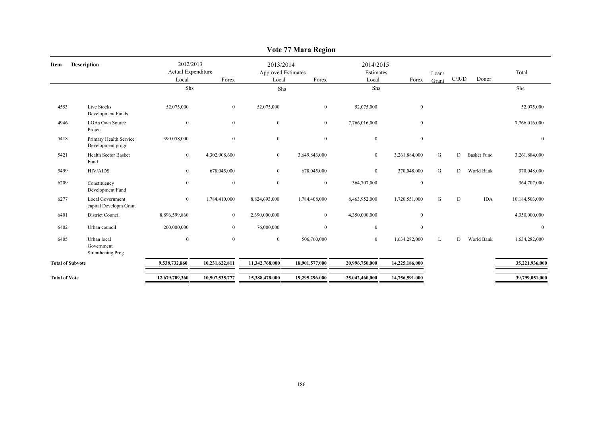|                         |                                                   |                                          |                  |                                                 | $\frac{1}{2}$  |                                 |                  |                |       |                    |                  |
|-------------------------|---------------------------------------------------|------------------------------------------|------------------|-------------------------------------------------|----------------|---------------------------------|------------------|----------------|-------|--------------------|------------------|
| Item                    | <b>Description</b>                                | 2012/2013<br>Actual Expenditure<br>Local | Forex            | 2013/2014<br><b>Approved Estimates</b><br>Local | Forex          | 2014/2015<br>Estimates<br>Local | Forex            | Loan/<br>Grant | C/R/D | Donor              | Total            |
|                         |                                                   | Shs                                      |                  | Shs                                             |                | Shs                             |                  |                |       |                    | Shs              |
| 4553                    | Live Stocks<br>Development Funds                  | 52,075,000                               | $\mathbf{0}$     | 52,075,000                                      | $\bf{0}$       | 52,075,000                      | $\boldsymbol{0}$ |                |       |                    | 52,075,000       |
| 4946                    | <b>LGAs Own Source</b><br>Project                 | $\boldsymbol{0}$                         | $\boldsymbol{0}$ | $\mathbf{0}$                                    | $\bf{0}$       | 7,766,016,000                   | $\boldsymbol{0}$ |                |       |                    | 7,766,016,000    |
| 5418                    | Primary Health Service<br>Development progr       | 390,058,000                              | $\bf{0}$         | $\boldsymbol{0}$                                | $\bf{0}$       | $\mathbf{0}$                    | $\boldsymbol{0}$ |                |       |                    | $\boldsymbol{0}$ |
| 5421                    | <b>Health Sector Basket</b><br>Fund               | $\overline{0}$                           | 4,302,908,600    | $\boldsymbol{0}$                                | 3,649,843,000  | $\overline{0}$                  | 3,261,884,000    | G              | D     | <b>Basket Fund</b> | 3,261,884,000    |
| 5499                    | <b>HIV/AIDS</b>                                   | $\overline{0}$                           | 678,045,000      | $\overline{0}$                                  | 678,045,000    | $\mathbf{0}$                    | 370,048,000      | G              | D     | World Bank         | 370,048,000      |
| 6209                    | Constituency<br>Development Fund                  | $\boldsymbol{0}$                         | $\boldsymbol{0}$ | $\mathbf{0}$                                    | $\bf{0}$       | 364,707,000                     | $\boldsymbol{0}$ |                |       |                    | 364,707,000      |
| 6277                    | <b>Local Government</b><br>capital Developm Grant | $\overline{0}$                           | 1,784,410,000    | 8,824,693,000                                   | 1,784,408,000  | 8,463,952,000                   | 1,720,551,000    | G              | D     | <b>IDA</b>         | 10,184,503,000   |
| 6401                    | <b>District Council</b>                           | 8,896,599,860                            | $\bf{0}$         | 2,390,000,000                                   | $\overline{0}$ | 4,350,000,000                   | $\mathbf{0}$     |                |       |                    | 4,350,000,000    |
| 6402                    | Urban council                                     | 200,000,000                              | $\overline{0}$   | 76,000,000                                      | $\mathbf{0}$   | $\overline{0}$                  | $\mathbf{0}$     |                |       |                    | $\mathbf{0}$     |
| 6405                    | Urban local<br>Government<br>Strenthening Prog    | $\mathbf{0}$                             | $\mathbf{0}$     | $\mathbf{0}$                                    | 506,760,000    | $\overline{0}$                  | 1,634,282,000    | L              | D     | World Bank         | 1,634,282,000    |
| <b>Total of Subvote</b> |                                                   | 9,538,732,860                            | 10,231,622,811   | 11,342,768,000                                  | 18,901,577,000 | 20,996,750,000                  | 14,225,186,000   |                |       |                    | 35,221,936,000   |
| <b>Total of Vote</b>    |                                                   | 12,679,709,360                           | 10,507,535,777   | 15,388,478,000                                  | 19,295,296,000 | 25,042,460,000                  | 14,756,591,000   |                |       |                    | 39,799,051,000   |

## **Vote 77 Mara Region**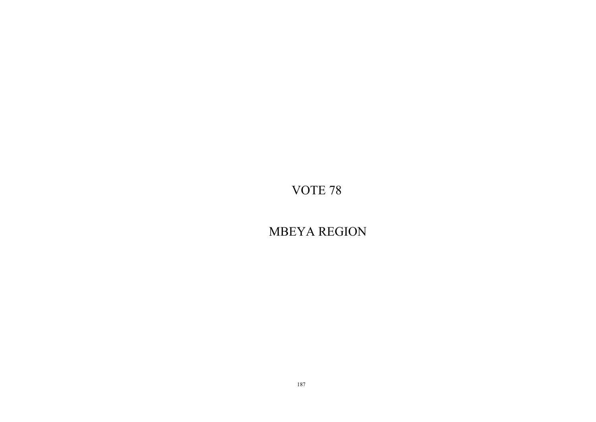MBEYA REGION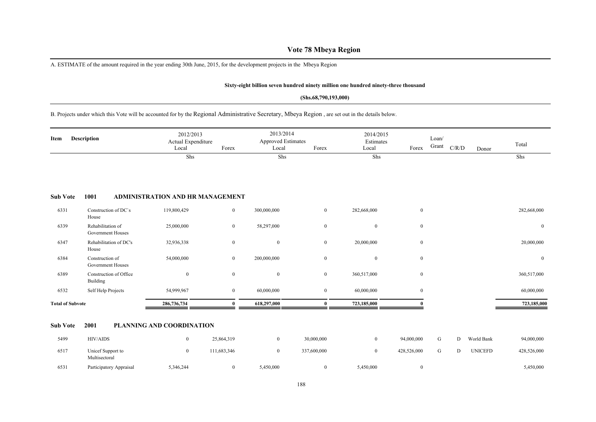## **Vote 78 Mbeya Region**

A. ESTIMATE of the amount required in the year ending 30th June, 2015, for the development projects in the Mbeya Region

#### **Sixty-eight billion seven hundred ninety million one hundred ninety-three thousand**

#### **(Shs.68,790,193,000)**

B. Projects under which this Vote will be accounted for by the Regional Administrative Secretary, Mbeya Region , are set out in the details below.

| Item                    | Description                                   | 2012/2013<br>Actual Expenditure<br>Local | Forex            | 2013/2014<br><b>Approved Estimates</b><br>Local | Forex            | 2014/2015<br>Estimates<br>Local | Forex            | Loan/<br>Grant | C/R/D | Donor          | Total          |
|-------------------------|-----------------------------------------------|------------------------------------------|------------------|-------------------------------------------------|------------------|---------------------------------|------------------|----------------|-------|----------------|----------------|
|                         |                                               | Shs                                      |                  | Shs                                             |                  | Shs                             |                  |                |       |                | Shs            |
| <b>Sub Vote</b>         | 1001                                          | <b>ADMINISTRATION AND HR MANAGEMENT</b>  |                  |                                                 |                  |                                 |                  |                |       |                |                |
| 6331                    | Construction of DC's<br>House                 | 119,800,429                              | $\bf{0}$         | 300,000,000                                     | $\mathbf{0}$     | 282,668,000                     | $\mathbf{0}$     |                |       |                | 282,668,000    |
| 6339                    | Rehabilitation of<br><b>Government Houses</b> | 25,000,000                               | $\mathbf{0}$     | 58,297,000                                      | $\mathbf{0}$     | $\mathbf{0}$                    | $\bf{0}$         |                |       |                | $\overline{0}$ |
| 6347                    | Rehabilitation of DC's<br>House               | 32,936,338                               | $\boldsymbol{0}$ | $\mathbf{0}$                                    | $\boldsymbol{0}$ | 20,000,000                      | $\mathbf{0}$     |                |       |                | 20,000,000     |
| 6384                    | Construction of<br><b>Government Houses</b>   | 54,000,000                               | $\mathbf{0}$     | 200,000,000                                     | $\bf{0}$         | $\mathbf{0}$                    | $\bf{0}$         |                |       |                | $\bf{0}$       |
| 6389                    | Construction of Office<br>Building            | $\boldsymbol{0}$                         | $\bf{0}$         | $\mathbf{0}$                                    | $\boldsymbol{0}$ | 360,517,000                     | $\overline{0}$   |                |       |                | 360,517,000    |
| 6532                    | Self Help Projects                            | 54,999,967                               | $\bf{0}$         | 60,000,000                                      | $\boldsymbol{0}$ | 60,000,000                      | $\boldsymbol{0}$ |                |       |                | 60,000,000     |
| <b>Total of Subvote</b> |                                               | 286,736,734                              | $\bf{0}$         | 618,297,000                                     | $\bf{0}$         | 723,185,000                     | $\mathbf{0}$     |                |       |                | 723,185,000    |
| <b>Sub Vote</b>         | 2001                                          | PLANNING AND COORDINATION                |                  |                                                 |                  |                                 |                  |                |       |                |                |
| 5499                    | <b>HIV/AIDS</b>                               | $\mathbf{0}$                             | 25,864,319       | $\mathbf{0}$                                    | 30,000,000       | $\mathbf{0}$                    | 94,000,000       | G              | D     | World Bank     | 94,000,000     |
| 6517                    | Unicef Support to<br>Multisectoral            | $\mathbf{0}$                             | 111,683,346      | $\mathbf{0}$                                    | 337,600,000      | $\mathbf{0}$                    | 428,526,000      | ${\bf G}$      | D     | <b>UNICEFD</b> | 428,526,000    |
| 6531                    | Participatory Appraisal                       | 5,346,244                                | $\bf{0}$         | 5,450,000                                       | $\bf{0}$         | 5,450,000                       | $\bf{0}$         |                |       |                | 5,450,000      |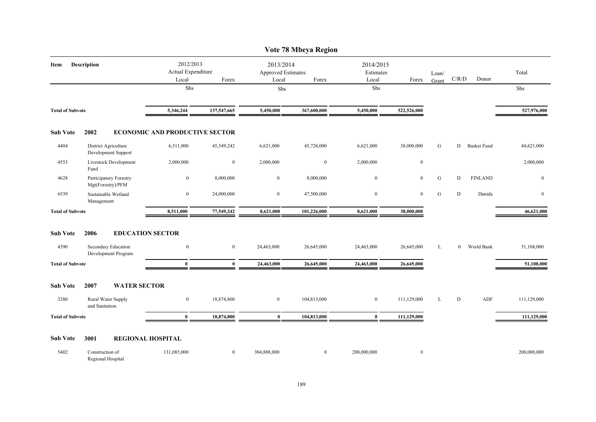|                         |                                             |                                         |                  |                                                 | Vote 78 Mbeya Region |                                 |                  |       |                |                    |              |
|-------------------------|---------------------------------------------|-----------------------------------------|------------------|-------------------------------------------------|----------------------|---------------------------------|------------------|-------|----------------|--------------------|--------------|
| Item                    | Description                                 | 2012/2013<br>Actual Expenditure         | Forex            | 2013/2014<br><b>Approved Estimates</b><br>Local | Forex                | 2014/2015<br>Estimates<br>Local |                  | Loan/ | C/R/D          | Donor              | Total        |
|                         |                                             | Local<br>Shs                            |                  | Shs                                             |                      | Shs                             | Forex            | Grant |                |                    | Shs          |
|                         |                                             |                                         |                  |                                                 |                      |                                 |                  |       |                |                    |              |
| <b>Total of Subvote</b> |                                             | 5,346,244                               | 137,547,665      | 5,450,000                                       | 367,600,000          | 5,450,000                       | 522,526,000      |       |                |                    | 527,976,000  |
| <b>Sub Vote</b>         | 2002                                        | <b>ECONOMIC AND PRODUCTIVE SECTOR</b>   |                  |                                                 |                      |                                 |                  |       |                |                    |              |
| 4404                    | District Agriculture<br>Development Support | 6,511,000                               | 45,549,242       | 6,621,000                                       | 45,726,000           | 6,621,000                       | 38,000,000       | G     | D              | <b>Basket Fund</b> | 44,621,000   |
| 4553                    | Livestock Development<br>Fund               | 2,000,000                               | $\boldsymbol{0}$ | 2,000,000                                       | $\mathbf{0}$         | 2,000,000                       | $\boldsymbol{0}$ |       |                |                    | 2,000,000    |
| 4628                    | Participatory Forestry<br>Mgt(Forestry)/PFM | $\overline{0}$                          | 8,000,000        | $\overline{0}$                                  | 8,000,000            | $\mathbf{0}$                    | $\overline{0}$   | G     | D              | <b>FINLAND</b>     | $\mathbf{0}$ |
| 6539                    | Sustainable Wetland<br>Management           | $\bf{0}$                                | 24,000,000       | $\bf{0}$                                        | 47,500,000           | $\boldsymbol{0}$                | $\overline{0}$   | G     | D              | Danida             | $\mathbf{0}$ |
| <b>Total of Subvote</b> |                                             | 8,511,000                               | 77,549,242       | 8,621,000                                       | 101,226,000          | 8,621,000                       | 38,000,000       |       |                |                    | 46,621,000   |
| <b>Sub Vote</b><br>4390 | 2006<br>Secondary Education                 | <b>EDUCATION SECTOR</b><br>$\mathbf{0}$ | $\mathbf{0}$     | 24,463,000                                      | 26,645,000           | 24,463,000                      | 26,645,000       | L     | $\overline{0}$ | World Bank         | 51,108,000   |
|                         | Development Program                         |                                         |                  |                                                 |                      |                                 |                  |       |                |                    |              |
| <b>Total of Subvote</b> |                                             | $\bf{0}$                                | $\bf{0}$         | 24,463,000                                      | 26,645,000           | 24,463,000                      | 26,645,000       |       |                |                    | 51,108,000   |
| <b>Sub Vote</b>         | 2007<br><b>WATER SECTOR</b>                 |                                         |                  |                                                 |                      |                                 |                  |       |                |                    |              |
| 3280                    | Rural Water Supply<br>and Sanitation        | $\overline{0}$                          | 18,874,800       | $\overline{0}$                                  | 104,813,000          | $\boldsymbol{0}$                | 111,129,000      | L     | D              | ADF                | 111,129,000  |
| <b>Total of Subvote</b> |                                             | $\bf{0}$                                | 18,874,800       | $\bf{0}$                                        | 104,813,000          | $\bf{0}$                        | 111,129,000      |       |                |                    | 111,129,000  |
| <b>Sub Vote</b>         | 3001                                        | <b>REGIONAL HOSPITAL</b>                |                  |                                                 |                      |                                 |                  |       |                |                    |              |
| 5402                    | Construction of<br>Regional Hospital        | 131,085,000                             | $\overline{0}$   | 304,888,000                                     | $\boldsymbol{0}$     | 200,000,000                     | $\mathbf{0}$     |       |                |                    | 200,000,000  |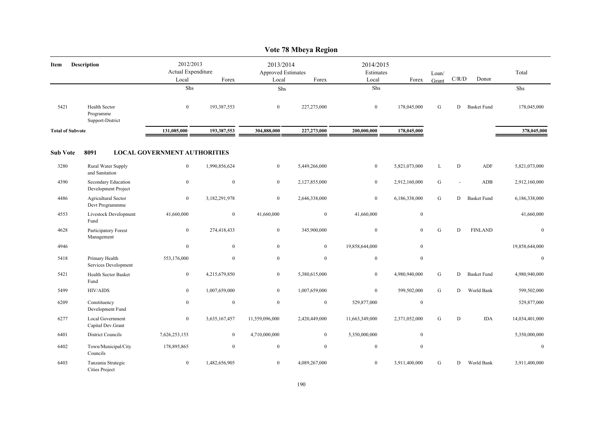|                         |                                                |                                          |                |                                          | Vote 78 Mbeya Region |                                 |                |                |           |                    |                |
|-------------------------|------------------------------------------------|------------------------------------------|----------------|------------------------------------------|----------------------|---------------------------------|----------------|----------------|-----------|--------------------|----------------|
| Item                    | <b>Description</b>                             | 2012/2013<br>Actual Expenditure<br>Local | Forex          | 2013/2014<br>Approved Estimates<br>Local | Forex                | 2014/2015<br>Estimates<br>Local | Forex          | Loan/<br>Grant | C/R/D     | Donor              | Total          |
|                         |                                                | Shs                                      |                | Shs                                      |                      | Shs                             |                |                |           |                    | Shs            |
| 5421                    | Health Sector<br>Programme<br>Support-District | $\overline{0}$                           | 193,387,553    | $\overline{0}$                           | 227,273,000          | $\mathbf{0}$                    | 178,045,000    | ${\bf G}$      | D         | <b>Basket Fund</b> | 178,045,000    |
| <b>Total of Subvote</b> |                                                | 131,085,000                              | 193,387,553    | 304,888,000                              | 227,273,000          | 200,000,000                     | 178,045,000    |                |           |                    | 378,045,000    |
| <b>Sub Vote</b>         | 8091                                           | <b>LOCAL GOVERNMENT AUTHORITIES</b>      |                |                                          |                      |                                 |                |                |           |                    |                |
| 3280                    | Rural Water Supply<br>and Sanitation           | $\boldsymbol{0}$                         | 1,990,856,624  | $\boldsymbol{0}$                         | 5,449,266,000        | $\boldsymbol{0}$                | 5,821,073,000  | L              | ${\bf D}$ | ADF                | 5,821,073,000  |
| 4390                    | Secondary Education<br>Development Project     | $\boldsymbol{0}$                         | $\mathbf{0}$   | $\overline{0}$                           | 2,127,855,000        | $\mathbf{0}$                    | 2,912,160,000  | G              |           | ADB                | 2,912,160,000  |
| 4486                    | Agricultural Sector<br>Devt Programmme         | $\mathbf{0}$                             | 3,182,291,978  | $\mathbf{0}$                             | 2,646,338,000        | $\boldsymbol{0}$                | 6,186,338,000  | ${\bf G}$      | D         | <b>Basket Fund</b> | 6,186,338,000  |
| 4553                    | Livestock Development<br>Fund                  | 41,660,000                               | $\mathbf{0}$   | 41,660,000                               | $\bf{0}$             | 41,660,000                      | $\bf{0}$       |                |           |                    | 41,660,000     |
| 4628                    | Participatory Forest<br>Management             | $\overline{0}$                           | 274,418,433    | $\mathbf{0}$                             | 345,900,000          | $\mathbf{0}$                    | $\overline{0}$ | G              | D         | <b>FINLAND</b>     | $\mathbf{0}$   |
| 4946                    |                                                | $\boldsymbol{0}$                         | $\overline{0}$ | $\mathbf{0}$                             | $\mathbf{0}$         | 19,858,644,000                  | $\overline{0}$ |                |           |                    | 19,858,644,000 |
| 5418                    | Primary Health<br>Services Development         | 553,176,000                              | $\mathbf{0}$   | $\mathbf{0}$                             | $\boldsymbol{0}$     | $\boldsymbol{0}$                | $\mathbf{0}$   |                |           |                    | $\mathbf{0}$   |
| 5421                    | Health Sector Basket<br>Fund                   | $\bf{0}$                                 | 4,215,679,850  | $\overline{0}$                           | 5,380,615,000        | $\overline{0}$                  | 4,980,940,000  | G              | D         | <b>Basket Fund</b> | 4,980,940,000  |
| 5499                    | HIV/AIDS                                       | $\boldsymbol{0}$                         | 1,007,659,000  | $\overline{0}$                           | 1,007,659,000        | $\boldsymbol{0}$                | 599,502,000    | ${\bf G}$      | D         | World Bank         | 599,502,000    |
| 6209                    | Constituency<br>Development Fund               | $\overline{0}$                           | $\bf{0}$       | $\mathbf{0}$                             | $\bf{0}$             | 529,877,000                     | $\bf{0}$       |                |           |                    | 529,877,000    |
| 6277                    | Local Government<br>Capital Dev.Grant          | $\bf{0}$                                 | 3,635,167,457  | 11,559,096,000                           | 2,420,449,000        | 11,663,349,000                  | 2,371,052,000  | G              | D         | <b>IDA</b>         | 14,034,401,000 |
| 6401                    | <b>District Councils</b>                       | 7,626,253,153                            | $\overline{0}$ | 4,710,000,000                            | $\mathbf{0}$         | 5,350,000,000                   | $\mathbf{0}$   |                |           |                    | 5,350,000,000  |
| 6402                    | Town/Municipal/City<br>Councils                | 178,895,865                              | $\overline{0}$ | $\boldsymbol{0}$                         | $\mathbf{0}$         | $\mathbf{0}$                    | $\mathbf{0}$   |                |           |                    | $\mathbf{0}$   |
| 6403                    | Tanzania Strategic<br>Cities Project           | $\overline{0}$                           | 1,482,656,905  | $\mathbf{0}$                             | 4,089,267,000        | $\mathbf{0}$                    | 3,911,400,000  | G              | D         | World Bank         | 3,911,400,000  |

# $V_{\text{eff}}$  70 Mb<sub>ey</sub> Region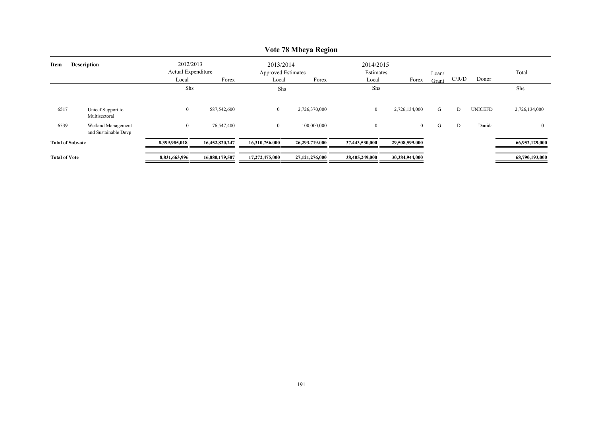|                         |                                            |                                 |                |                                        | TURE TO PLOCYA INCEIVIL |                        |                |       |       |                |                |
|-------------------------|--------------------------------------------|---------------------------------|----------------|----------------------------------------|-------------------------|------------------------|----------------|-------|-------|----------------|----------------|
| Item                    | <b>Description</b>                         | 2012/2013<br>Actual Expenditure |                | 2013/2014<br><b>Approved Estimates</b> |                         | 2014/2015<br>Estimates |                | Loan/ |       |                | Total          |
|                         |                                            | Local                           | Forex          | Local                                  | Forex                   | Local                  | Forex          | Grant | C/R/D | Donor          |                |
|                         |                                            | Shs                             |                | Shs                                    |                         | Shs                    |                |       |       |                | Shs            |
| 6517                    | Unicef Support to<br>Multisectoral         | $\overline{0}$                  | 587,542,600    | $\overline{0}$                         | 2,726,370,000           | $\bf{0}$               | 2,726,134,000  | G     | D     | <b>UNICEFD</b> | 2,726,134,000  |
| 6539                    | Wetland Management<br>and Sustainable Devp | $\overline{0}$                  | 76,547,400     | $\overline{0}$                         | 100,000,000             | $\mathbf{0}$           | $\overline{0}$ | G     | D     | Danida         | $\Omega$       |
| <b>Total of Subvote</b> |                                            | 8,399,985,018                   | 16,452,820,247 | 16,310,756,000                         | 26,293,719,000          | 37,443,530,000         | 29,508,599,000 |       |       |                | 66,952,129,000 |
| <b>Total of Vote</b>    |                                            | 8,831,663,996                   | 16,880,179,507 | 17,272,475,000                         | 27,121,276,000          | 38,405,249,000         | 30,384,944,000 |       |       |                | 68,790,193,000 |

## **Vote 78 Mbeya Region**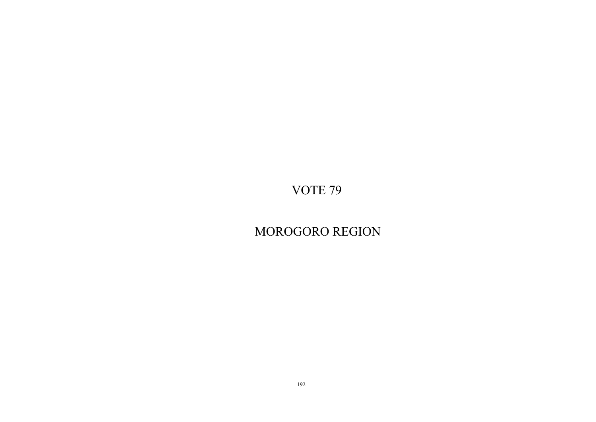MOROGORO REGION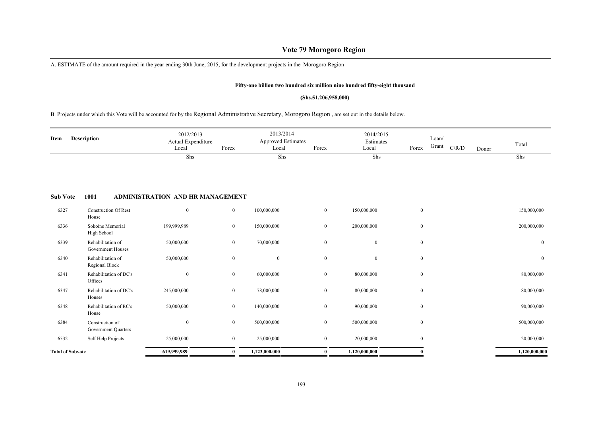## **Vote 79 Morogoro Region**

A. ESTIMATE of the amount required in the year ending 30th June, 2015, for the development projects in the Morogoro Region

House

Government Quarters

6384 Construction of

#### **Fifty-one billion two hundred six million nine hundred fifty-eight thousand**

#### **(Shs.51,206,958,000)**

B. Projects under which this Vote will be accounted for by the Regional Administrative Secretary, Morogoro Region , are set out in the details below.

| <b>Description</b><br>Item |                                        | 2012/2013<br>Actual Expenditure<br>Local | Forex            | 2013/2014<br><b>Approved Estimates</b><br>Local | Forex          | 2014/2015<br>Estimates<br>Local | Forex            | Loan/<br>Grant | C/R/D | Donor | Total            |
|----------------------------|----------------------------------------|------------------------------------------|------------------|-------------------------------------------------|----------------|---------------------------------|------------------|----------------|-------|-------|------------------|
|                            |                                        | Shs                                      |                  | Shs                                             |                | Shs                             |                  |                |       |       | Shs              |
|                            |                                        |                                          |                  |                                                 |                |                                 |                  |                |       |       |                  |
| <b>Sub Vote</b>            | 1001                                   | ADMINISTRATION AND HR MANAGEMENT         |                  |                                                 |                |                                 |                  |                |       |       |                  |
| 6327                       | <b>Construction Of Rest</b><br>House   | $\boldsymbol{0}$                         | $\mathbf{0}$     | 100,000,000                                     | $\overline{0}$ | 150,000,000                     | $\mathbf{0}$     |                |       |       | 150,000,000      |
| 6336                       | Sokoine Memorial<br>High School        | 199,999,989                              | $\mathbf{0}$     | 150,000,000                                     | $\overline{0}$ | 200,000,000                     | $\mathbf{0}$     |                |       |       | 200,000,000      |
| 6339                       | Rehabilitation of<br>Government Houses | 50,000,000                               | $\mathbf{0}$     | 70,000,000                                      | $\mathbf{0}$   | $\overline{0}$                  | $\mathbf{0}$     |                |       |       | $\mathbf{0}$     |
| 6340                       | Rehabilitation of<br>Regional Block    | 50,000,000                               | $\boldsymbol{0}$ | $\mathbf{0}$                                    | $\overline{0}$ | $\overline{0}$                  | $\mathbf{0}$     |                |       |       | $\boldsymbol{0}$ |
| 6341                       | Rehabilitation of DC's<br>Offices      | $\bf{0}$                                 | $\mathbf{0}$     | 60,000,000                                      | $\overline{0}$ | 80,000,000                      | $\mathbf{0}$     |                |       |       | 80,000,000       |
| 6347                       | Rehabilitation of DC's<br>Houses       | 245,000,000                              | $\mathbf{0}$     | 78,000,000                                      | $\mathbf{0}$   | 80,000,000                      | $\mathbf{0}$     |                |       |       | 80,000,000       |
| 6348                       | Rehabilitation of RC's                 | 50,000,000                               | $\boldsymbol{0}$ | 140,000,000                                     | $\overline{0}$ | 90,000,000                      | $\boldsymbol{0}$ |                |       |       | 90,000,000       |

6532 Self Help Projects 25,000,000 0 25,000,000 0 20,000,000 0 20,000,000  $\bf{Total~of~Subvote}$  619,999,989 0 1,123,000,000 0 1,120,000,000 1,120,000,000

0 0 500,000,000 0 500,000,000 0 500,000,000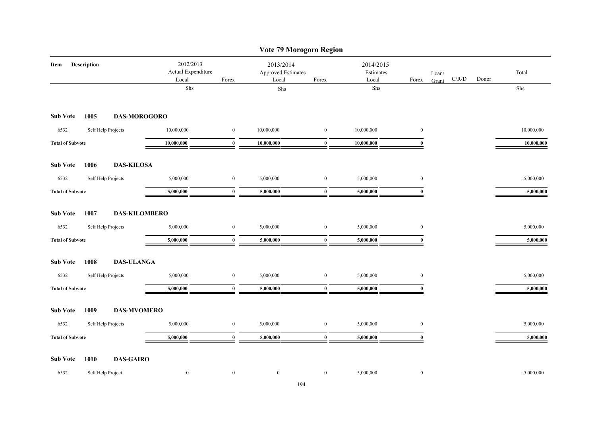|                         |                    |                                          |                  |                                          | Vote 79 Morogoro Region |                                 |                  |                |                      |            |
|-------------------------|--------------------|------------------------------------------|------------------|------------------------------------------|-------------------------|---------------------------------|------------------|----------------|----------------------|------------|
| Item                    | Description        | 2012/2013<br>Actual Expenditure<br>Local | Forex            | 2013/2014<br>Approved Estimates<br>Local | Forex                   | 2014/2015<br>Estimates<br>Local | Forex            | Loan/<br>Grant | $\rm C/R/D$<br>Donor | Total      |
|                         |                    | Shs                                      |                  | Shs                                      |                         | ${\rm Shs}$                     |                  |                |                      | Shs        |
| <b>Sub Vote</b>         | 1005               | <b>DAS-MOROGORO</b>                      |                  |                                          |                         |                                 |                  |                |                      |            |
| 6532                    | Self Help Projects | 10,000,000                               | $\boldsymbol{0}$ | 10,000,000                               | $\boldsymbol{0}$        | 10,000,000                      | $\boldsymbol{0}$ |                |                      | 10,000,000 |
| <b>Total of Subvote</b> |                    | 10,000,000                               | $\bf{0}$         | 10,000,000                               | $\bf{0}$                | 10,000,000                      | $\bf{0}$         |                |                      | 10,000,000 |
| <b>Sub Vote</b>         | 1006               | <b>DAS-KILOSA</b>                        |                  |                                          |                         |                                 |                  |                |                      |            |
| 6532                    | Self Help Projects | 5,000,000                                | $\bf{0}$         | 5,000,000                                | $\boldsymbol{0}$        | 5,000,000                       | $\bf{0}$         |                |                      | 5,000,000  |
| <b>Total of Subvote</b> |                    | 5,000,000                                | $\bf{0}$         | 5,000,000                                | $\bf{0}$                | 5,000,000                       | $\bf{0}$         |                |                      | 5,000,000  |
| <b>Sub Vote</b>         | 1007               | <b>DAS-KILOMBERO</b>                     |                  |                                          |                         |                                 |                  |                |                      |            |
| 6532                    | Self Help Projects | 5,000,000                                | $\boldsymbol{0}$ | 5,000,000                                | $\boldsymbol{0}$        | 5,000,000                       | $\boldsymbol{0}$ |                |                      | 5,000,000  |
| <b>Total of Subvote</b> |                    | 5,000,000                                | $\bf{0}$         | 5,000,000                                | $\bf{0}$                | 5,000,000                       | $\bf{0}$         |                |                      | 5,000,000  |
| <b>Sub Vote</b>         | 1008               | <b>DAS-ULANGA</b>                        |                  |                                          |                         |                                 |                  |                |                      |            |
| 6532                    | Self Help Projects | 5,000,000                                | $\boldsymbol{0}$ | 5,000,000                                | $\bf{0}$                | 5,000,000                       | $\bf{0}$         |                |                      | 5,000,000  |
| <b>Total of Subvote</b> |                    | 5,000,000                                | $\bf{0}$         | 5,000,000                                | $\bf{0}$                | 5,000,000                       | $\mathbf{0}$     |                |                      | 5,000,000  |
| <b>Sub Vote</b>         | 1009               | <b>DAS-MVOMERO</b>                       |                  |                                          |                         |                                 |                  |                |                      |            |
| 6532                    | Self Help Projects | 5,000,000                                | $\boldsymbol{0}$ | 5,000,000                                | $\boldsymbol{0}$        | 5,000,000                       | $\bf{0}$         |                |                      | 5,000,000  |
| <b>Total of Subvote</b> |                    | 5,000,000                                | $\bf{0}$         | 5,000,000                                | $\bf{0}$                | 5,000,000                       | $\theta$         |                |                      | 5,000,000  |
| <b>Sub Vote</b>         | 1010               | <b>DAS-GAIRO</b>                         |                  |                                          |                         |                                 |                  |                |                      |            |
| 6532                    | Self Help Project  | $\boldsymbol{0}$                         | $\bf{0}$         | $\bf{0}$                                 | $\bf{0}$                | 5,000,000                       | $\bf{0}$         |                |                      | 5,000,000  |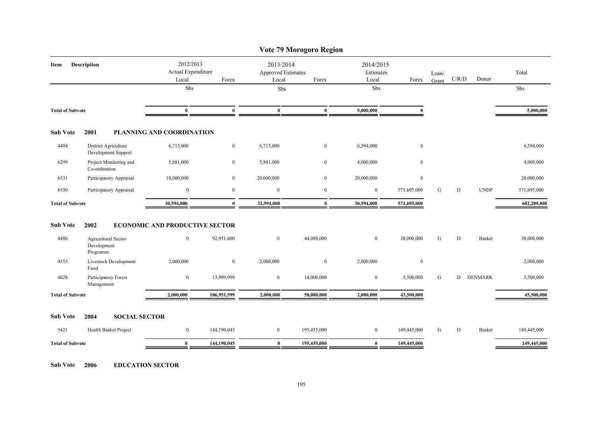|                         |                                                |                                                   |                  |                | Vote 79 Morogoro Region                                  |                  |                                 |                |       |               |             |
|-------------------------|------------------------------------------------|---------------------------------------------------|------------------|----------------|----------------------------------------------------------|------------------|---------------------------------|----------------|-------|---------------|-------------|
| Item                    | Description                                    | 2012/2013<br>Actual Expenditure<br>Local<br>Forex |                  |                | 2013/2014<br><b>Approved Estimates</b><br>Local<br>Forex |                  | 2014/2015<br>Estimates<br>Forex | Loan/<br>Grant | C/R/D | Donor         | Total       |
|                         |                                                | Shs                                               |                  | Shs            |                                                          | Local<br>Shs     |                                 |                |       |               | Shs         |
| <b>Total of Subvote</b> |                                                | $\bf{0}$                                          | $\mathbf{0}$     | $\bf{0}$       | $\bf{0}$                                                 | 5,000,000        | $\mathbf{0}$                    |                |       |               | 5,000,000   |
| <b>Sub Vote</b>         | 2001                                           | PLANNING AND COORDINATION                         |                  |                |                                                          |                  |                                 |                |       |               |             |
| 4404                    | District Agriculture<br>Development Support    | 6,713,000                                         | $\bf{0}$         | 6,713,000      | $\bf{0}$                                                 | 6,594,000        | $\boldsymbol{0}$                |                |       |               | 6,594,000   |
| 6299                    | Project Monitoring and<br>Co-ordination        | 5,881,000                                         | $\overline{0}$   | 5,881,000      | $\overline{0}$                                           | 4,000,000        | $\mathbf{0}$                    |                |       |               | 4,000,000   |
| 6531                    | Participatory Appraisal                        | 18,000,000                                        | $\overline{0}$   | 20,000,000     | $\overline{0}$                                           | 20,000,000       | $\bf{0}$                        |                |       |               | 20,000,000  |
| 6550                    | Participatory Appraisal                        | $\overline{0}$                                    | $\mathbf{0}$     | $\overline{0}$ | $\overline{0}$                                           | $\bf{0}$         | 571,695,000                     | G              | D     | <b>UNDP</b>   | 571,695,000 |
| <b>Total of Subvote</b> |                                                | 30,594,000                                        | $\bf{0}$         | 32,594,000     | $\bf{0}$                                                 | 30,594,000       | 571,695,000                     |                |       |               | 602,289,000 |
| <b>Sub Vote</b>         | 2002                                           | <b>ECONOMIC AND PRODUCTIVE SECTOR</b>             |                  |                |                                                          |                  |                                 |                |       |               |             |
| 4486                    | Agricultural Sector<br>Development<br>Programm | $\mathbf{0}$                                      | 92,951,600       | $\overline{0}$ | 44,088,000                                               | $\mathbf{0}$     | 38,000,000                      | G              | D     | <b>Basket</b> | 38,000,000  |
| 4553                    | Livestock Development<br>Fund                  | 2,000,000                                         | $\boldsymbol{0}$ | 2,000,000      | $\overline{0}$                                           | 2,000,000        | $\boldsymbol{0}$                |                |       |               | 2,000,000   |
| 4628                    | Participatory Forest<br>Management             | $\mathbf{0}$                                      | 13,999,999       | $\bf{0}$       | 14,000,000                                               | $\boldsymbol{0}$ | 5,500,000                       | G              |       | D DENMARK     | 5,500,000   |
| <b>Total of Subvote</b> |                                                | 2,000,000                                         | 106,951,599      | 2,000,000      | 58,088,000                                               | 2,000,000        | 43,500,000                      |                |       |               | 45,500,000  |
| <b>Sub Vote</b>         | <b>SOCIAL SECTOR</b><br>2004                   |                                                   |                  |                |                                                          |                  |                                 |                |       |               |             |
| 5421                    | Health Basket Project                          | $\overline{0}$                                    | 144,190,045      | $\overline{0}$ | 195,455,000                                              | $\bf{0}$         | 149,445,000                     | G              | D     | <b>Basket</b> | 149,445,000 |
| <b>Total of Subvote</b> |                                                | $\bf{0}$                                          | 144,190,045      | $\bf{0}$       | 195,455,000                                              | $\bf{0}$         | 149,445,000                     |                |       |               | 149,445,000 |
|                         |                                                |                                                   |                  |                |                                                          |                  |                                 |                |       |               |             |

**Sub Vote 2006 EDUCATION SECTOR**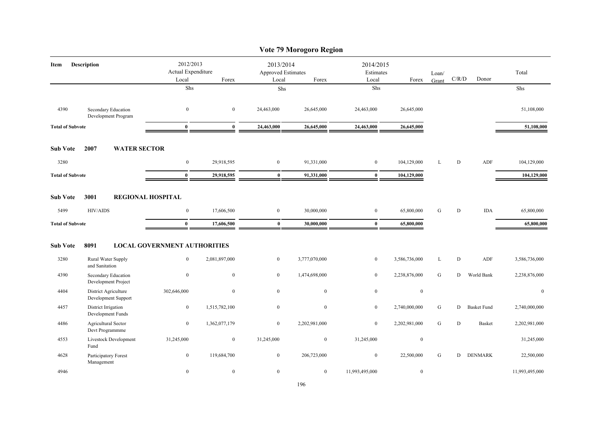|                                                    |                                               |                          |                                                     |                          |                                                 | Vote 79 Morogoro Region  |                                 |                          |                |                                        |                    |                          |
|----------------------------------------------------|-----------------------------------------------|--------------------------|-----------------------------------------------------|--------------------------|-------------------------------------------------|--------------------------|---------------------------------|--------------------------|----------------|----------------------------------------|--------------------|--------------------------|
| <b>Description</b><br>Item                         |                                               |                          | 2012/2013<br>Actual Expenditure<br>Local            | Forex                    | 2013/2014<br><b>Approved Estimates</b><br>Local | Forex                    | 2014/2015<br>Estimates<br>Local | Forex                    | Loan/<br>Grant | $\mathbf{C} / \mathbf{R} / \mathbf{D}$ | Donor              | Total                    |
|                                                    |                                               |                          | Shs                                                 |                          | Shs                                             |                          | Shs                             |                          |                |                                        |                    | Shs                      |
| 4390                                               | Secondary Education<br>Development Program    |                          | $\boldsymbol{0}$                                    | $\mathbf{0}$             | 24,463,000                                      | 26,645,000               | 24,463,000                      | 26,645,000               |                |                                        |                    | 51,108,000               |
| <b>Total of Subvote</b>                            |                                               |                          | $\bf{0}$                                            | $\bf{0}$                 | 24,463,000                                      | 26,645,000               | 24,463,000                      | 26,645,000               |                |                                        |                    | 51,108,000               |
| <b>Sub Vote</b>                                    | 2007                                          | <b>WATER SECTOR</b>      |                                                     |                          |                                                 |                          |                                 |                          |                |                                        |                    |                          |
| 3280                                               |                                               |                          | $\bf{0}$                                            | 29,918,595               | $\overline{0}$                                  | 91,331,000               | $\bf{0}$                        | 104,129,000              | L              | D                                      | ADF                | 104,129,000              |
| <b>Total of Subvote</b>                            |                                               |                          | $\bf{0}$                                            | 29,918,595               | $\bf{0}$                                        | 91,331,000               | $\bf{0}$                        | 104,129,000              |                |                                        |                    | 104,129,000              |
| <b>Sub Vote</b><br>5499<br><b>Total of Subvote</b> | 3001<br><b>HIV/AIDS</b>                       | <b>REGIONAL HOSPITAL</b> | $\boldsymbol{0}$<br>$\bf{0}$                        | 17,606,500<br>17,606,500 | $\overline{0}$<br>$\bf{0}$                      | 30,000,000<br>30,000,000 | $\bf{0}$<br>$\bf{0}$            | 65,800,000<br>65,800,000 | ${\bf G}$      | D                                      | <b>IDA</b>         | 65,800,000<br>65,800,000 |
| <b>Sub Vote</b>                                    |                                               |                          |                                                     |                          |                                                 |                          |                                 |                          |                |                                        |                    |                          |
| 3280                                               | 8091<br>Rural Water Supply<br>and Sanitation  |                          | <b>LOCAL GOVERNMENT AUTHORITIES</b><br>$\mathbf{0}$ | 2,081,897,000            | $\overline{0}$                                  | 3,777,070,000            | $\mathbf{0}$                    | 3,586,736,000            | L              | D                                      | ADF                | 3,586,736,000            |
| 4390                                               | Secondary Education<br>Development Project    |                          | $\boldsymbol{0}$                                    | $\mathbf{0}$             | $\overline{0}$                                  | 1,474,698,000            | $\mathbf{0}$                    | 2,238,876,000            | G              | D                                      | World Bank         | 2,238,876,000            |
| 4404                                               | District Agriculture<br>Development Support   |                          | 302,646,000                                         | $\mathbf{0}$             | $\overline{0}$                                  | $\overline{0}$           | $\mathbf{0}$                    | $\mathbf{0}$             |                |                                        |                    | $\mathbf{0}$             |
| 4457                                               | District Irrigation<br>Development Funds      |                          | $\boldsymbol{0}$                                    | 1,515,782,100            | $\overline{0}$                                  | $\bf{0}$                 | $\mathbf{0}$                    | 2,740,000,000            | ${\bf G}$      | D                                      | <b>Basket Fund</b> | 2,740,000,000            |
| 4486                                               | <b>Agricultural Sector</b><br>Devt Programmme |                          | $\overline{0}$                                      | 1,362,077,179            | $\overline{0}$                                  | 2,202,981,000            | $\mathbf{0}$                    | 2,202,981,000            | G              | D                                      | <b>Basket</b>      | 2,202,981,000            |
| 4553                                               | Livestock Development<br>Fund                 |                          | 31,245,000                                          | $\mathbf{0}$             | 31,245,000                                      | $\overline{0}$           | 31,245,000                      | $\mathbf{0}$             |                |                                        |                    | 31,245,000               |
| 4628                                               | Participatory Forest<br>Management            |                          | $\bf{0}$                                            | 119,684,700              | $\overline{0}$                                  | 206,723,000              | $\boldsymbol{0}$                | 22,500,000               | G              | D                                      | <b>DENMARK</b>     | 22,500,000               |
| 4946                                               |                                               |                          | $\mathbf{0}$                                        | $\mathbf{0}$             | $\overline{0}$                                  | $\overline{0}$           | 11,993,495,000                  | $\mathbf{0}$             |                |                                        |                    | 11,993,495,000           |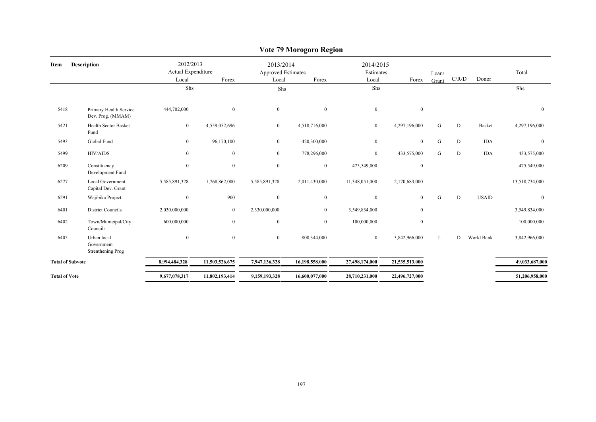|                         |                                                |                                          |                |                                                 | o                |                                 |                  |                |       |               |                |
|-------------------------|------------------------------------------------|------------------------------------------|----------------|-------------------------------------------------|------------------|---------------------------------|------------------|----------------|-------|---------------|----------------|
| Description<br>Item     |                                                | 2012/2013<br>Actual Expenditure<br>Local | Forex          | 2013/2014<br><b>Approved Estimates</b><br>Local | Forex            | 2014/2015<br>Estimates<br>Local | Forex            | Loan/<br>Grant | C/R/D | Donor         | Total          |
|                         |                                                | Shs                                      |                | Shs                                             |                  | Shs                             |                  |                |       |               | Shs            |
| 5418                    | Primary Health Service<br>Dev. Prog. (MMAM)    | 444,702,000                              | $\mathbf{0}$   | $\mathbf{0}$                                    | $\boldsymbol{0}$ | $\mathbf{0}$                    | $\mathbf{0}$     |                |       |               | $\mathbf{0}$   |
| 5421                    | <b>Health Sector Basket</b><br>Fund            | $\bf{0}$                                 | 4,559,052,696  | $\mathbf{0}$                                    | 4,518,716,000    | $\bf{0}$                        | 4,297,196,000    | G              | D     | <b>Basket</b> | 4,297,196,000  |
| 5493                    | Global Fund                                    | $\mathbf{0}$                             | 96,170,100     | $\mathbf{0}$                                    | 420,300,000      | $\mathbf{0}$                    | $\overline{0}$   | G              | D     | <b>IDA</b>    | $\mathbf{0}$   |
| 5499                    | <b>HIV/AIDS</b>                                | $\mathbf{0}$                             | $\mathbf{0}$   | $\mathbf{0}$                                    | 778,296,000      | $\overline{0}$                  | 433,575,000      | G              | D     | <b>IDA</b>    | 433,575,000    |
| 6209                    | Constituency<br>Development Fund               | $\overline{0}$                           | $\mathbf{0}$   | $\mathbf{0}$                                    | $\boldsymbol{0}$ | 475,549,000                     | $\boldsymbol{0}$ |                |       |               | 475,549,000    |
| 6277                    | <b>Local Government</b><br>Capital Dev. Grant  | 5,585,891,328                            | 1,768,862,000  | 5,585,891,328                                   | 2,011,430,000    | 11,348,051,000                  | 2,170,683,000    |                |       |               | 13,518,734,000 |
| 6291                    | Wajibika Project                               | $\mathbf{0}$                             | 900            | $\mathbf{0}$                                    | $\boldsymbol{0}$ | $\overline{0}$                  | $\overline{0}$   | G              | D     | <b>USAID</b>  | $\mathbf{0}$   |
| 6401                    | <b>District Councils</b>                       | 2,030,000,000                            | $\overline{0}$ | 2,330,000,000                                   | $\overline{0}$   | 3,549,834,000                   | $\bf{0}$         |                |       |               | 3,549,834,000  |
| 6402                    | Town/Municipal/City<br>Councils                | 600,000,000                              | $\mathbf{0}$   | $\mathbf{0}$                                    | $\mathbf{0}$     | 100,000,000                     | $\bf{0}$         |                |       |               | 100,000,000    |
| 6405                    | Urban local<br>Government<br>Strenthening Prog | $\mathbf{0}$                             | $\mathbf{0}$   | $\mathbf{0}$                                    | 808,344,000      | $\overline{0}$                  | 3,842,966,000    | L              | D     | World Bank    | 3,842,966,000  |
| <b>Total of Subvote</b> |                                                | 8,994,484,328                            | 11,503,526,675 | 7,947,136,328                                   | 16,198,558,000   | 27,498,174,000                  | 21,535,513,000   |                |       |               | 49,033,687,000 |
| <b>Total of Vote</b>    |                                                | 9,677,078,317                            | 11,802,193,414 | 9,159,193,328                                   | 16,600,077,000   | 28,710,231,000                  | 22,496,727,000   |                |       |               | 51,206,958,000 |
|                         |                                                |                                          |                |                                                 |                  |                                 |                  |                |       |               |                |

# **Vote 79 Morogoro Region**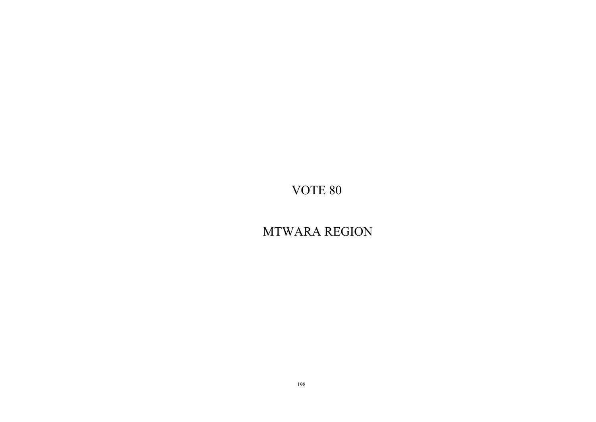# MTWARA REGION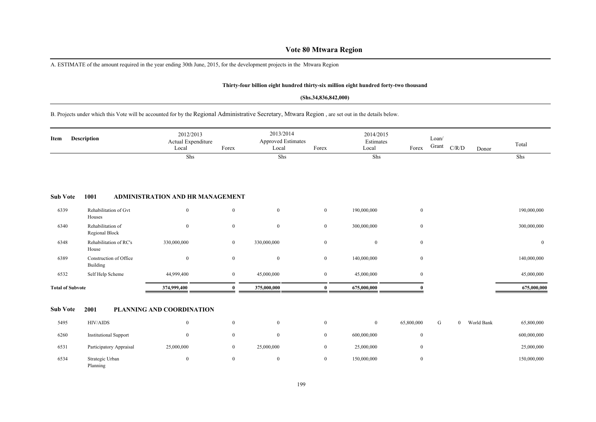## **Vote 80 Mtwara Region**

A. ESTIMATE of the amount required in the year ending 30th June, 2015, for the development projects in the Mtwara Region

#### **Thirty-four billion eight hundred thirty-six million eight hundred forty-two thousand**

#### **(Shs.34,836,842,000)**

B. Projects under which this Vote will be accounted for by the Regional Administrative Secretary, Mtwara Region , are set out in the details below.

| Item                    | <b>Description</b>                  | 2012/2013<br>Actual Expenditure<br>Local | Forex            | 2013/2014<br><b>Approved Estimates</b><br>Local | Forex            | 2014/2015<br>Estimates<br>Local | Forex            | Loan/<br>Grant | C/R/D          | Donor      | Total        |
|-------------------------|-------------------------------------|------------------------------------------|------------------|-------------------------------------------------|------------------|---------------------------------|------------------|----------------|----------------|------------|--------------|
|                         |                                     | Shs                                      |                  | Shs                                             |                  | Shs                             |                  |                |                |            | Shs          |
|                         |                                     |                                          |                  |                                                 |                  |                                 |                  |                |                |            |              |
| <b>Sub Vote</b>         | 1001                                | ADMINISTRATION AND HR MANAGEMENT         |                  |                                                 |                  |                                 |                  |                |                |            |              |
| 6339                    | Rehabilitation of Gvt<br>Houses     | $\mathbf{0}$                             | $\overline{0}$   | $\mathbf{0}$                                    | $\bf{0}$         | 190,000,000                     | $\overline{0}$   |                |                |            | 190,000,000  |
| 6340                    | Rehabilitation of<br>Regional Block | $\overline{0}$                           | $\overline{0}$   | $\boldsymbol{0}$                                | $\bf{0}$         | 300,000,000                     | $\boldsymbol{0}$ |                |                |            | 300,000,000  |
| 6348                    | Rehabilitation of RC's<br>House     | 330,000,000                              | $\boldsymbol{0}$ | 330,000,000                                     | $\mathbf{0}$     | $\boldsymbol{0}$                | $\overline{0}$   |                |                |            | $\mathbf{0}$ |
| 6389                    | Construction of Office<br>Building  | $\mathbf{0}$                             | $\bf{0}$         | $\boldsymbol{0}$                                | $\mathbf{0}$     | 140,000,000                     | $\overline{0}$   |                |                |            | 140,000,000  |
| 6532                    | Self Help Scheme                    | 44,999,400                               | $\bf{0}$         | 45,000,000                                      | $\mathbf{0}$     | 45,000,000                      | $\overline{0}$   |                |                |            | 45,000,000   |
| <b>Total of Subvote</b> |                                     | 374,999,400                              | $\theta$         | 375,000,000                                     | $\bf{0}$         | 675,000,000                     |                  |                |                |            | 675,000,000  |
| <b>Sub Vote</b>         | 2001                                | PLANNING AND COORDINATION                |                  |                                                 |                  |                                 |                  |                |                |            |              |
| 5495                    | HIV/AIDS                            | $\mathbf{0}$                             | $\mathbf{0}$     | $\bf{0}$                                        | $\mathbf{0}$     | $\mathbf{0}$                    | 65,800,000       | G              | $\overline{0}$ | World Bank | 65,800,000   |
|                         |                                     |                                          |                  |                                                 |                  |                                 |                  |                |                |            |              |
| 6260                    | <b>Institutional Support</b>        | $\mathbf{0}$                             | $\mathbf{0}$     | $\mathbf{0}$                                    | $\bf{0}$         | 600,000,000                     | $\overline{0}$   |                |                |            | 600,000,000  |
| 6531                    | Participatory Appraisal             | 25,000,000                               | $\bf{0}$         | 25,000,000                                      | $\bf{0}$         | 25,000,000                      | $\overline{0}$   |                |                |            | 25,000,000   |
| 6534                    | Strategic Urban<br>Planning         | $\mathbf{0}$                             | $\overline{0}$   | $\boldsymbol{0}$                                | $\boldsymbol{0}$ | 150,000,000                     | $\boldsymbol{0}$ |                |                |            | 150,000,000  |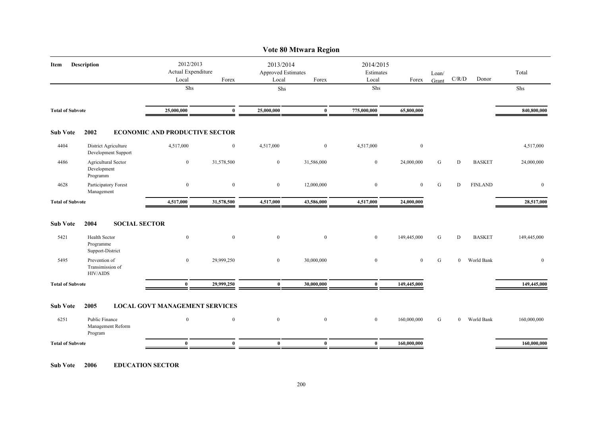|                         |                                                       |                                                   |                  |                                          | Vote 80 Mtwara Region |                                 |                |                |                |                |              |
|-------------------------|-------------------------------------------------------|---------------------------------------------------|------------------|------------------------------------------|-----------------------|---------------------------------|----------------|----------------|----------------|----------------|--------------|
| Description<br>Item     |                                                       | 2012/2013<br>Actual Expenditure<br>Local<br>Forex |                  | 2013/2014<br>Approved Estimates<br>Local | Forex                 | 2014/2015<br>Estimates<br>Local | Forex          | Loan/<br>Grant | C/R/D          | Donor          | Total        |
|                         |                                                       | Shs                                               |                  | Shs                                      |                       | Shs                             |                |                |                |                | Shs          |
| <b>Total of Subvote</b> |                                                       | 25,000,000                                        | $\bf{0}$         | 25,000,000                               | $\bf{0}$              | 775,000,000                     | 65,800,000     |                |                |                | 840,800,000  |
| <b>Sub Vote</b>         | 2002                                                  | <b>ECONOMIC AND PRODUCTIVE SECTOR</b>             |                  |                                          |                       |                                 |                |                |                |                |              |
| 4404                    | District Agriculture<br>Development Support           | 4,517,000                                         | $\bf{0}$         | 4,517,000                                | $\mathbf{0}$          | 4,517,000                       | $\bf{0}$       |                |                |                | 4,517,000    |
| 4486                    | Agricultural Sector<br>Development<br>Programm        | $\bf{0}$                                          | 31,578,500       | $\boldsymbol{0}$                         | 31,586,000            | $\bf{0}$                        | 24,000,000     | G              | D              | <b>BASKET</b>  | 24,000,000   |
| 4628                    | Participatory Forest<br>Management                    | $\mathbf{0}$                                      | $\boldsymbol{0}$ | $\bf{0}$                                 | 12,000,000            | $\mathbf{0}$                    | $\overline{0}$ | G              | ${\rm D}$      | <b>FINLAND</b> | $\bf{0}$     |
| <b>Total of Subvote</b> |                                                       | 4,517,000                                         | 31,578,500       | 4,517,000                                | 43,586,000            | 4,517,000                       | 24,000,000     |                |                |                | 28,517,000   |
| <b>Sub Vote</b>         | 2004<br><b>SOCIAL SECTOR</b>                          |                                                   |                  |                                          |                       |                                 |                |                |                |                |              |
| 5421                    | <b>Health Sector</b><br>Programme<br>Support-District | $\boldsymbol{0}$                                  | $\mathbf{0}$     | $\overline{0}$                           | $\mathbf{0}$          | $\mathbf{0}$                    | 149,445,000    | G              | D              | <b>BASKET</b>  | 149,445,000  |
| 5495                    | Prevention of<br>Transimission of<br><b>HIV/AIDS</b>  | $\overline{0}$                                    | 29,999,250       | $\overline{0}$                           | 30,000,000            | $\mathbf{0}$                    | $\overline{0}$ | G              | $\overline{0}$ | World Bank     | $\mathbf{0}$ |
| <b>Total of Subvote</b> |                                                       | $\bf{0}$                                          | 29,999,250       | $\bf{0}$                                 | 30,000,000            | $\bf{0}$                        | 149,445,000    |                |                |                | 149,445,000  |
| <b>Sub Vote</b>         | 2005                                                  | <b>LOCAL GOVT MANAGEMENT SERVICES</b>             |                  |                                          |                       |                                 |                |                |                |                |              |
| 6251                    | Public Finance<br>Management Reform<br>Program        | $\overline{0}$                                    | $\mathbf{0}$     | $\overline{0}$                           | $\mathbf{0}$          | $\mathbf{0}$                    | 160,000,000    | G              | $\mathbf{0}$   | World Bank     | 160,000,000  |
| <b>Total of Subvote</b> |                                                       | $\bf{0}$                                          | $\mathbf{0}$     | $\bf{0}$                                 | $\mathbf{0}$          | $\bf{0}$                        | 160,000,000    |                |                |                | 160,000,000  |
|                         |                                                       |                                                   |                  |                                          |                       |                                 |                |                |                |                |              |

**Sub Vote 2006 EDUCATION SECTOR**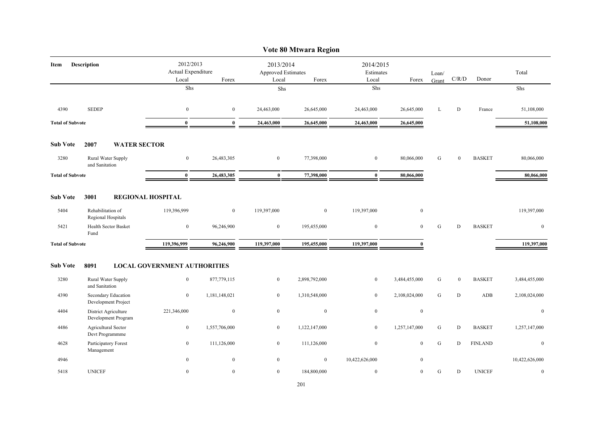|                         |                                             |                                          |               |                                                 | Vote 80 Mtwara Region |                                 |               |                |                  |                |                  |
|-------------------------|---------------------------------------------|------------------------------------------|---------------|-------------------------------------------------|-----------------------|---------------------------------|---------------|----------------|------------------|----------------|------------------|
| Item                    | <b>Description</b>                          | 2012/2013<br>Actual Expenditure<br>Local | Forex         | 2013/2014<br><b>Approved Estimates</b><br>Local | Forex                 | 2014/2015<br>Estimates<br>Local | Forex         | Loan/<br>Grant | C/R/D            | Donor          | Total            |
|                         |                                             | ${\rm Shs}$                              |               | Shs                                             |                       | ${\rm Shs}$                     |               |                |                  |                | Shs              |
| 4390                    | <b>SEDEP</b>                                | $\boldsymbol{0}$                         | $\bf{0}$      | 24,463,000                                      | 26,645,000            | 24,463,000                      | 26,645,000    | L              | D                | France         | 51,108,000       |
| <b>Total of Subvote</b> |                                             | $\mathbf{0}$                             | $\mathbf{0}$  | 24,463,000                                      | 26,645,000            | 24,463,000                      | 26,645,000    |                |                  |                | 51,108,000       |
| <b>Sub Vote</b>         | 2007<br><b>WATER SECTOR</b>                 |                                          |               |                                                 |                       |                                 |               |                |                  |                |                  |
| 3280                    | Rural Water Supply<br>and Sanitation        | $\bf{0}$                                 | 26,483,305    | $\bf{0}$                                        | 77,398,000            | $\mathbf{0}$                    | 80,066,000    | G              | $\boldsymbol{0}$ | <b>BASKET</b>  | 80,066,000       |
| <b>Total of Subvote</b> |                                             | $\bf{0}$                                 | 26,483,305    | $\bf{0}$                                        | 77,398,000            | $\bf{0}$                        | 80,066,000    |                |                  |                | 80,066,000       |
| <b>Sub Vote</b>         | 3001                                        | <b>REGIONAL HOSPITAL</b>                 |               |                                                 |                       |                                 |               |                |                  |                |                  |
| 5404                    | Rehabilitation of<br>Regional Hospitals     | 119,396,999                              | $\bf{0}$      | 119,397,000                                     | $\bf{0}$              | 119,397,000                     | $\bf{0}$      |                |                  |                | 119,397,000      |
| 5421                    | Health Sector Basket<br>Fund                | $\boldsymbol{0}$                         | 96,246,900    | $\boldsymbol{0}$                                | 195,455,000           | $\boldsymbol{0}$                | $\mathbf{0}$  | G              | D                | <b>BASKET</b>  | $\mathbf{0}$     |
| <b>Total of Subvote</b> |                                             | 119,396,999                              | 96,246,900    | 119,397,000                                     | 195,455,000           | 119,397,000                     | $\mathbf{0}$  |                |                  |                | 119,397,000      |
| <b>Sub Vote</b>         | 8091                                        | <b>LOCAL GOVERNMENT AUTHORITIES</b>      |               |                                                 |                       |                                 |               |                |                  |                |                  |
| 3280                    | Rural Water Supply<br>and Sanitation        | $\bf{0}$                                 | 877,779,115   | $\overline{0}$                                  | 2,898,792,000         | $\overline{0}$                  | 3,484,455,000 | G              | $\boldsymbol{0}$ | <b>BASKET</b>  | 3,484,455,000    |
| 4390                    | Secondary Education<br>Development Project  | $\mathbf{0}$                             | 1,181,148,021 | $\mathbf{0}$                                    | 1,310,548,000         | $\overline{0}$                  | 2,108,024,000 | G              | D                | ADB            | 2,108,024,000    |
| 4404                    | District Agriculture<br>Development Program | 221,346,000                              | $\bf{0}$      | $\mathbf{0}$                                    | $\boldsymbol{0}$      | $\boldsymbol{0}$                | $\bf{0}$      |                |                  |                | $\bf{0}$         |
| 4486                    | Agricultural Sector<br>Devt Programmme      | $\boldsymbol{0}$                         | 1,557,706,000 | $\boldsymbol{0}$                                | 1,122,147,000         | $\boldsymbol{0}$                | 1,257,147,000 | G              | $\mathbf D$      | <b>BASKET</b>  | 1,257,147,000    |
| 4628                    | Participatory Forest<br>Management          | $\bf{0}$                                 | 111,126,000   | $\overline{0}$                                  | 111,126,000           | $\bf{0}$                        | $\mathbf{0}$  | G              | D                | <b>FINLAND</b> | $\overline{0}$   |
| 4946                    |                                             | $\mathbf{0}$                             | $\bf{0}$      | $\bf{0}$                                        | $\bf{0}$              | 10,422,626,000                  | $\mathbf{0}$  |                |                  |                | 10,422,626,000   |
| 5418                    | <b>UNICEF</b>                               | $\mathbf{0}$                             | $\mathbf{0}$  | $\bf{0}$                                        | 184,800,000           | $\boldsymbol{0}$                | $\mathbf{0}$  | G              | $\mathbf D$      | <b>UNICEF</b>  | $\boldsymbol{0}$ |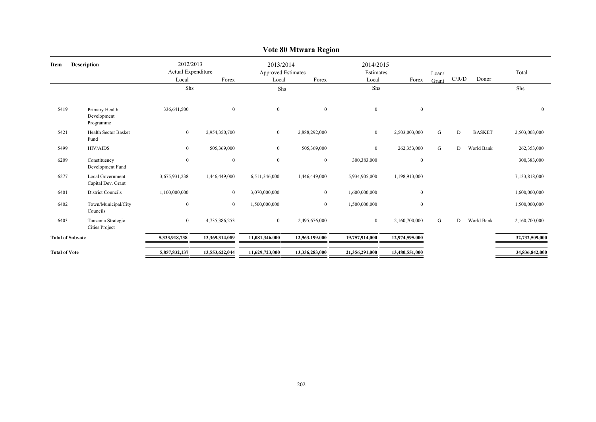| <b>Description</b><br>Item |                                               | 2012/2013<br>Actual Expenditure<br>Local<br>Forex |                | 2013/2014<br><b>Approved Estimates</b><br>Local | Forex          | 2014/2015<br>Estimates<br>Local | Forex          | Loan/<br>Grant | C/R/D | Donor         | Total          |
|----------------------------|-----------------------------------------------|---------------------------------------------------|----------------|-------------------------------------------------|----------------|---------------------------------|----------------|----------------|-------|---------------|----------------|
|                            |                                               | Shs                                               |                | Shs                                             |                | Shs                             |                |                |       |               | Shs            |
| 5419                       | Primary Health<br>Development<br>Programme    | 336,641,500                                       | $\overline{0}$ | $\mathbf{0}$                                    | $\mathbf{0}$   | $\overline{0}$                  | $\mathbf{0}$   |                |       |               | $\mathbf{0}$   |
| 5421                       | <b>Health Sector Basket</b><br>Fund           | $\mathbf{0}$                                      | 2,954,350,700  | $\mathbf{0}$                                    | 2,888,292,000  | $\overline{0}$                  | 2,503,003,000  | G              | D     | <b>BASKET</b> | 2,503,003,000  |
| 5499                       | <b>HIV/AIDS</b>                               | $\overline{0}$                                    | 505,369,000    | $\mathbf{0}$                                    | 505,369,000    | $\overline{0}$                  | 262,353,000    | G              | D     | World Bank    | 262,353,000    |
| 6209                       | Constituency<br>Development Fund              | $\boldsymbol{0}$                                  | $\mathbf{0}$   | $\boldsymbol{0}$                                | $\overline{0}$ | 300,383,000                     | $\mathbf{0}$   |                |       |               | 300,383,000    |
| 6277                       | <b>Local Government</b><br>Capital Dev. Grant | 3,675,931,238                                     | 1,446,449,000  | 6,511,346,000                                   | 1,446,449,000  | 5,934,905,000                   | 1,198,913,000  |                |       |               | 7,133,818,000  |
| 6401                       | District Councils                             | 1,100,000,000                                     | $\bf{0}$       | 3,070,000,000                                   | $\mathbf{0}$   | 1,600,000,000                   | $\mathbf{0}$   |                |       |               | 1,600,000,000  |
| 6402                       | Town/Municipal/City<br>Councils               | $\boldsymbol{0}$                                  | $\overline{0}$ | 1,500,000,000                                   | $\mathbf{0}$   | 1,500,000,000                   | $\mathbf{0}$   |                |       |               | 1,500,000,000  |
| 6403                       | Tanzania Strategic<br><b>Cities Project</b>   | $\overline{0}$                                    | 4,735,386,253  | $\boldsymbol{0}$                                | 2,495,676,000  | $\mathbf{0}$                    | 2,160,700,000  | G              | D     | World Bank    | 2,160,700,000  |
| <b>Total of Subvote</b>    |                                               | 5,333,918,738                                     | 13,369,314,089 | 11,081,346,000                                  | 12,963,199,000 | 19,757,914,000                  | 12,974,595,000 |                |       |               | 32,732,509,000 |
| <b>Total of Vote</b>       |                                               | 5,857,832,137                                     | 13,553,622,044 | 11,629,723,000                                  | 13,336,283,000 | 21,356,291,000                  | 13,480,551,000 |                |       |               | 34,836,842,000 |
|                            |                                               |                                                   |                |                                                 |                |                                 |                |                |       |               |                |

## **Vote 80 Mtwara Region**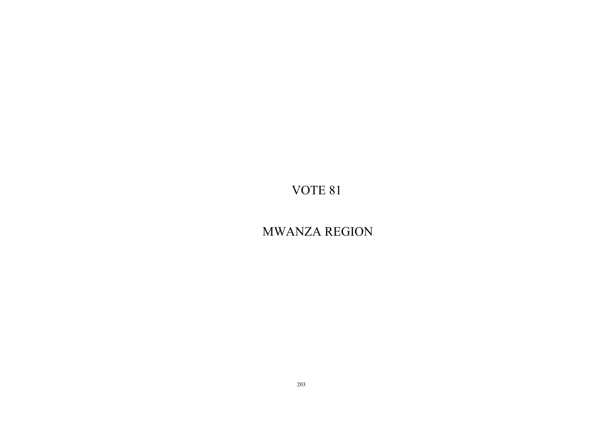MWANZA REGION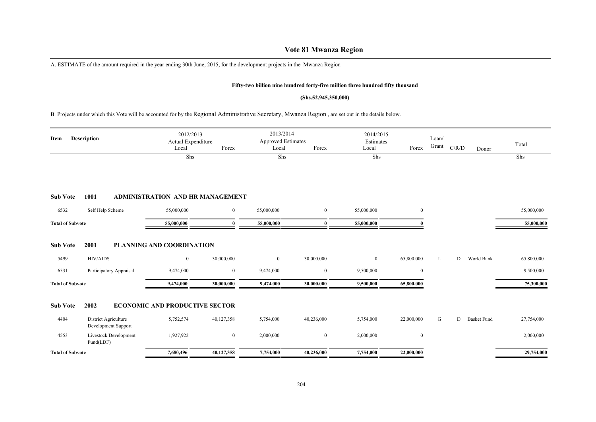## **Vote 81 Mwanza Region**

A. ESTIMATE of the amount required in the year ending 30th June, 2015, for the development projects in the Mwanza Region

### **Fifty-two billion nine hundred forty-five million three hundred fifty thousand**

#### **(Shs.52,945,350,000)**

## B. Projects under which this Vote will be accounted for by the Regional Administrative Secretary, Mwanza Region , are set out in the details below.

| Item                    | Description                                 | 2012/2013<br>Actual Expenditure<br>Local<br>Shs | Forex        | 2013/2014<br><b>Approved Estimates</b><br>Local<br>Shs | Forex            | 2014/2015<br>Estimates<br>Local<br>Shs | Forex          | Loan/<br>Grant | C/R/D | Donor              | Total<br>Shs |
|-------------------------|---------------------------------------------|-------------------------------------------------|--------------|--------------------------------------------------------|------------------|----------------------------------------|----------------|----------------|-------|--------------------|--------------|
| <b>Sub Vote</b>         | 1001                                        | <b>ADMINISTRATION AND HR MANAGEMENT</b>         |              |                                                        |                  |                                        |                |                |       |                    |              |
| 6532                    | Self Help Scheme                            | 55,000,000                                      | $\mathbf{0}$ | 55,000,000                                             | $\overline{0}$   | 55,000,000                             | $\overline{0}$ |                |       |                    | 55,000,000   |
| <b>Total of Subvote</b> |                                             | 55,000,000                                      | 0            | 55,000,000                                             | $\mathbf{0}$     | 55,000,000                             |                |                |       |                    | 55,000,000   |
| <b>Sub Vote</b>         | 2001                                        | PLANNING AND COORDINATION                       |              |                                                        |                  |                                        |                |                |       |                    |              |
| 5499                    | <b>HIV/AIDS</b>                             | $\boldsymbol{0}$                                | 30,000,000   | $\bf{0}$                                               | 30,000,000       | $\overline{0}$                         | 65,800,000     | L              | D     | World Bank         | 65,800,000   |
| 6531                    | Participatory Appraisal                     | 9,474,000                                       | $\bf{0}$     | 9,474,000                                              | $\boldsymbol{0}$ | 9,500,000                              | $\bf{0}$       |                |       |                    | 9,500,000    |
| <b>Total of Subvote</b> |                                             | 9,474,000                                       | 30,000,000   | 9,474,000                                              | 30,000,000       | 9,500,000                              | 65,800,000     |                |       |                    | 75,300,000   |
| <b>Sub Vote</b>         | 2002                                        | <b>ECONOMIC AND PRODUCTIVE SECTOR</b>           |              |                                                        |                  |                                        |                |                |       |                    |              |
| 4404                    | District Agriculture<br>Development Support | 5,752,574                                       | 40,127,358   | 5,754,000                                              | 40,236,000       | 5,754,000                              | 22,000,000     | G              | D     | <b>Basket Fund</b> | 27,754,000   |
| 4553                    | <b>Livestock Development</b><br>Fund(LDF)   | 1,927,922                                       | $\bf{0}$     | 2,000,000                                              | $\bf{0}$         | 2,000,000                              | $\overline{0}$ |                |       |                    | 2,000,000    |
| <b>Total of Subvote</b> |                                             | 7,680,496                                       | 40,127,358   | 7,754,000                                              | 40,236,000       | 7,754,000                              | 22,000,000     |                |       |                    | 29,754,000   |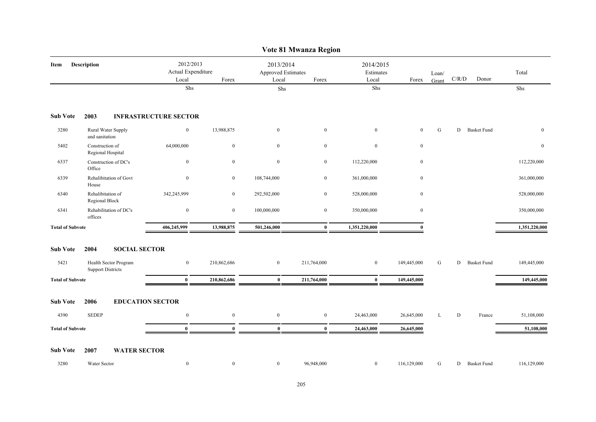|                         |                                                   |                                          |                  |                                          | Vote 81 Mwanza Region |                                 |              |                |           |                    |               |
|-------------------------|---------------------------------------------------|------------------------------------------|------------------|------------------------------------------|-----------------------|---------------------------------|--------------|----------------|-----------|--------------------|---------------|
| Item                    | <b>Description</b>                                | 2012/2013<br>Actual Expenditure<br>Local | Forex            | 2013/2014<br>Approved Estimates<br>Local | Forex                 | 2014/2015<br>Estimates<br>Local | Forex        | Loan/<br>Grant | C/R/D     | Donor              | Total         |
|                         |                                                   | ${\rm Shs}$                              |                  | ${\rm Shs}$                              |                       | Shs                             |              |                |           |                    | Shs           |
| <b>Sub Vote</b>         | 2003                                              | <b>INFRASTRUCTURE SECTOR</b>             |                  |                                          |                       |                                 |              |                |           |                    |               |
| 3280                    | Rural Water Supply<br>and sanitation              | $\boldsymbol{0}$                         | 13,988,875       | $\overline{0}$                           | $\boldsymbol{0}$      | $\mathbf{0}$                    | $\mathbf{0}$ | G              | D         | <b>Basket Fund</b> | $\mathbf{0}$  |
| 5402                    | Construction of<br>Regional Hospital              | 64,000,000                               | $\mathbf{0}$     | $\overline{0}$                           | $\boldsymbol{0}$      | $\boldsymbol{0}$                | $\mathbf{0}$ |                |           |                    | $\mathbf{0}$  |
| 6337                    | Construction of DC's<br>Office                    | $\bf{0}$                                 | $\boldsymbol{0}$ | $\mathbf{0}$                             | $\overline{0}$        | 112,220,000                     | $\bf{0}$     |                |           |                    | 112,220,000   |
| 6339                    | Rehalibitation of Govt<br>House                   | $\boldsymbol{0}$                         | $\boldsymbol{0}$ | 108,744,000                              | $\bf{0}$              | 361,000,000                     | $\mathbf{0}$ |                |           |                    | 361,000,000   |
| 6340                    | Rehalibitation of<br>Regional Block               | 342,245,999                              | $\bf{0}$         | 292,502,000                              | $\boldsymbol{0}$      | 528,000,000                     | $\mathbf{0}$ |                |           |                    | 528,000,000   |
| 6341                    | Rehabilitation of DC's<br>offices                 | $\bf{0}$                                 | $\overline{0}$   | 100,000,000                              | $\overline{0}$        | 350,000,000                     | $\mathbf{0}$ |                |           |                    | 350,000,000   |
| <b>Total of Subvote</b> |                                                   | 406,245,999                              | 13,988,875       | 501,246,000                              | $\bf{0}$              | 1,351,220,000                   | $\mathbf{0}$ |                |           |                    | 1,351,220,000 |
| <b>Sub Vote</b>         | <b>SOCIAL SECTOR</b><br>2004                      |                                          |                  |                                          |                       |                                 |              |                |           |                    |               |
| 5421                    | Health Sector Program<br><b>Support Districts</b> | $\mathbf{0}$                             | 210,862,686      | $\overline{0}$                           | 211,764,000           | $\overline{0}$                  | 149,445,000  | G              |           | D Basket Fund      | 149,445,000   |
| <b>Total of Subvote</b> |                                                   | $\bf{0}$                                 | 210,862,686      | $\bf{0}$                                 | 211,764,000           | $\bf{0}$                        | 149,445,000  |                |           |                    | 149,445,000   |
| <b>Sub Vote</b>         | <b>EDUCATION SECTOR</b><br>2006                   |                                          |                  |                                          |                       |                                 |              |                |           |                    |               |
| 4390                    | <b>SEDEP</b>                                      | $\bf{0}$                                 | $\bf{0}$         | $\bf{0}$                                 | $\bf{0}$              | 24,463,000                      | 26,645,000   | L              | ${\bf D}$ | France             | 51,108,000    |
| <b>Total of Subvote</b> |                                                   | $\bf{0}$                                 | $\bf{0}$         | $\bf{0}$                                 | $\bf{0}$              | 24,463,000                      | 26,645,000   |                |           |                    | 51,108,000    |
| <b>Sub Vote</b>         | <b>WATER SECTOR</b><br>2007                       |                                          |                  |                                          |                       |                                 |              |                |           |                    |               |
| 3280                    | Water Sector                                      | $\boldsymbol{0}$                         | $\mathbf{0}$     | $\mathbf{0}$                             | 96,948,000            | $\bf{0}$                        | 116,129,000  | G              |           | D Basket Fund      | 116,129,000   |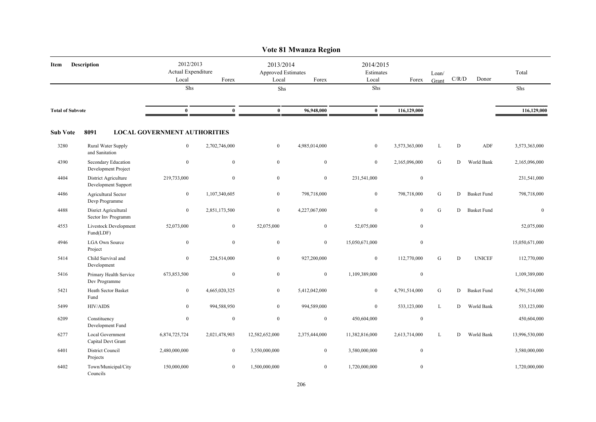|                         |                                             |                                          |                  |                                          | Vote 81 Mwanza Region |                                 |                  |                |           |                    |                |
|-------------------------|---------------------------------------------|------------------------------------------|------------------|------------------------------------------|-----------------------|---------------------------------|------------------|----------------|-----------|--------------------|----------------|
| Item                    | <b>Description</b>                          | 2012/2013<br>Actual Expenditure<br>Local | Forex            | 2013/2014<br>Approved Estimates<br>Local | Forex                 | 2014/2015<br>Estimates<br>Local | Forex            | Loan/<br>Grant | C/R/D     | Donor              | Total          |
|                         |                                             | Shs                                      |                  | Shs                                      |                       | Shs                             |                  |                |           |                    | Shs            |
| <b>Total of Subvote</b> |                                             | $\bf{0}$                                 | $\bf{0}$         | $\bf{0}$                                 | 96,948,000            | $\bf{0}$                        | 116,129,000      |                |           |                    | 116,129,000    |
| <b>Sub Vote</b>         | 8091                                        | <b>LOCAL GOVERNMENT AUTHORITIES</b>      |                  |                                          |                       |                                 |                  |                |           |                    |                |
| 3280                    | Rural Water Supply<br>and Sanitation        | $\boldsymbol{0}$                         | 2,702,746,000    | $\overline{0}$                           | 4,985,014,000         | $\boldsymbol{0}$                | 3,573,363,000    | L              | ${\bf D}$ | ADF                | 3,573,363,000  |
| 4390                    | Secondary Education<br>Development Project  | $\mathbf{0}$                             | $\mathbf{0}$     | $\mathbf{0}$                             | $\boldsymbol{0}$      | $\mathbf{0}$                    | 2,165,096,000    | ${\bf G}$      | D         | World Bank         | 2,165,096,000  |
| 4404                    | District Agriculture<br>Development Support | 219,733,000                              | $\mathbf{0}$     | $\mathbf{0}$                             | $\mathbf{0}$          | 231,541,000                     | $\boldsymbol{0}$ |                |           |                    | 231,541,000    |
| 4486                    | Agricultural Sector<br>Devp Programme       | $\mathbf{0}$                             | 1,107,340,605    | $\overline{0}$                           | 798,718,000           | $\mathbf{0}$                    | 798,718,000      | ${\bf G}$      | D         | <b>Basket Fund</b> | 798,718,000    |
| 4488                    | Disrict Agricultural<br>Sector Inv Programm | $\mathbf{0}$                             | 2,851,173,500    | $\mathbf{0}$                             | 4,227,067,000         | $\boldsymbol{0}$                | $\mathbf{0}$     | G              | D         | <b>Basket Fund</b> | $\mathbf{0}$   |
| 4553                    | Livestock Development<br>Fund(LDF)          | 52,073,000                               | $\overline{0}$   | 52,075,000                               | $\overline{0}$        | 52,075,000                      | $\mathbf{0}$     |                |           |                    | 52,075,000     |
| 4946                    | <b>LGA Own Source</b><br>Project            | $\mathbf{0}$                             | $\overline{0}$   | $\mathbf{0}$                             | $\overline{0}$        | 15,050,671,000                  | $\mathbf{0}$     |                |           |                    | 15,050,671,000 |
| 5414                    | Child Survival and<br>Development           | $\mathbf{0}$                             | 224,514,000      | $\overline{0}$                           | 927,200,000           | $\boldsymbol{0}$                | 112,770,000      | G              | D         | <b>UNICEF</b>      | 112,770,000    |
| 5416                    | Primary Health Service<br>Dev Programme     | 673,853,500                              | $\boldsymbol{0}$ | $\bf{0}$                                 | $\bf{0}$              | 1,109,389,000                   | $\boldsymbol{0}$ |                |           |                    | 1,109,389,000  |
| 5421                    | Heath Sector Basket<br>Fund                 | $\boldsymbol{0}$                         | 4,665,020,325    | $\overline{0}$                           | 5,412,042,000         | $\boldsymbol{0}$                | 4,791,514,000    | ${\bf G}$      | D         | <b>Basket Fund</b> | 4,791,514,000  |
| 5499                    | <b>HIV/AIDS</b>                             | $\mathbf{0}$                             | 994,588,950      | $\overline{0}$                           | 994,589,000           | $\mathbf{0}$                    | 533,123,000      | L              | D         | World Bank         | 533,123,000    |
| 6209                    | Constituency<br>Development Fund            | $\boldsymbol{0}$                         | $\mathbf{0}$     | $\mathbf{0}$                             | $\overline{0}$        | 450,604,000                     | $\boldsymbol{0}$ |                |           |                    | 450,604,000    |
| 6277                    | Local Government<br>Capital Devt Grant      | 6,874,725,724                            | 2,021,478,903    | 12,582,652,000                           | 2,375,444,000         | 11,382,816,000                  | 2,613,714,000    | L              | D         | World Bank         | 13,996,530,000 |
| 6401                    | District Council<br>Projects                | 2,480,000,000                            | $\overline{0}$   | 3,550,000,000                            | $\overline{0}$        | 3,580,000,000                   | $\boldsymbol{0}$ |                |           |                    | 3,580,000,000  |
| 6402                    | Town/Municipal/City<br>Councils             | 150,000,000                              | $\overline{0}$   | 1,500,000,000                            | $\overline{0}$        | 1,720,000,000                   | $\mathbf{0}$     |                |           |                    | 1,720,000,000  |

# 206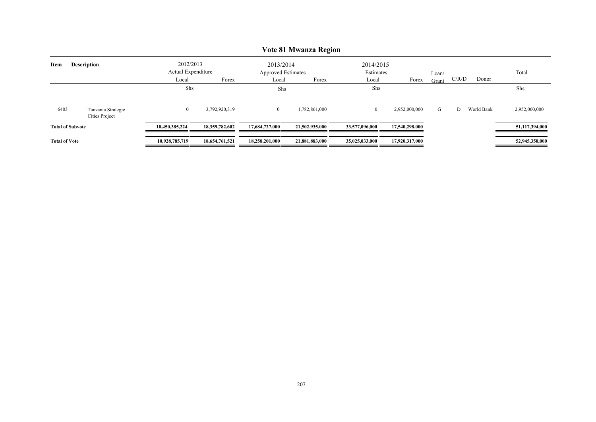|                            |                                      |                                                   |                |                                                 | VOIE OI IMWAIIZA REQIOII |                                 |                |                |       |            |                |
|----------------------------|--------------------------------------|---------------------------------------------------|----------------|-------------------------------------------------|--------------------------|---------------------------------|----------------|----------------|-------|------------|----------------|
| <b>Description</b><br>Item |                                      | 2012/2013<br>Actual Expenditure<br>Local<br>Forex |                | 2013/2014<br><b>Approved Estimates</b><br>Local | Forex                    | 2014/2015<br>Estimates<br>Local | Forex          | Loan/<br>Grant | C/R/D | Donor      | Total          |
|                            |                                      | Shs                                               |                | Shs                                             |                          | Shs                             |                |                |       |            | Shs            |
| 6403                       | Tanzania Strategic<br>Cities Project | $\mathbf{0}$                                      | 3,792,920,319  | $\overline{0}$                                  | 1,782,861,000            | $\overline{0}$                  | 2,952,000,000  | G              | D     | World Bank | 2,952,000,000  |
| <b>Total of Subvote</b>    |                                      | 10,450,385,224                                    | 18,359,782,602 | 17.684.727.000                                  | 21,502,935,000           | 33,577,096,000                  | 17,540,298,000 |                |       |            | 51,117,394,000 |
| <b>Total of Vote</b>       |                                      | 10,928,785,719                                    | 18,654,761,521 | 18,258,201,000                                  | 21,881,883,000           | 35,025,033,000                  | 17,920,317,000 |                |       |            | 52,945,350,000 |

# **Vote 81 Mwanza Region**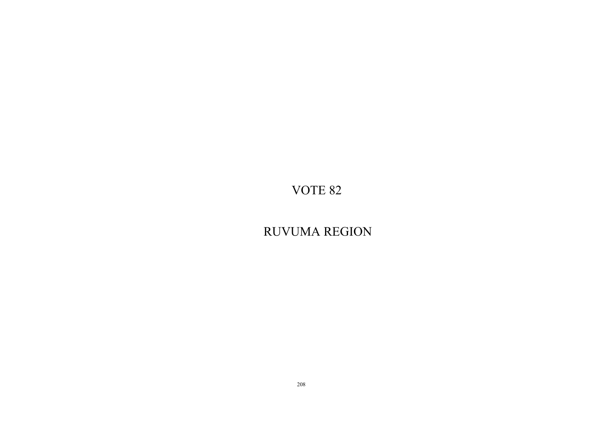RUVUMA REGION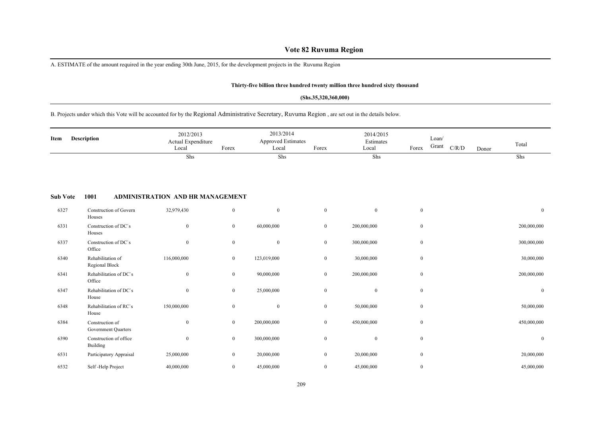## **Vote 82 Ruvuma Region**

A. ESTIMATE of the amount required in the year ending 30th June, 2015, for the development projects in the Ruvuma Region

#### **Thirty-five billion three hundred twenty million three hundred sixty thousand**

#### **(Shs.35,320,360,000)**

## B. Projects under which this Vote will be accounted for by the Regional Administrative Secretary, Ruvuma Region , are set out in the details below.

| Description<br>Item |                                        | 2012/2013<br>Actual Expenditure<br>Local | Forex            | 2013/2014<br><b>Approved Estimates</b><br>Local | Forex            | 2014/2015<br>Estimates<br>Local | Forex        | Loan/<br>Grant | C/R/D | Donor | Total          |
|---------------------|----------------------------------------|------------------------------------------|------------------|-------------------------------------------------|------------------|---------------------------------|--------------|----------------|-------|-------|----------------|
|                     |                                        | Shs                                      |                  | Shs                                             |                  | Shs                             |              |                |       |       | Shs            |
| <b>Sub Vote</b>     | 1001                                   | ADMINISTRATION AND HR MANAGEMENT         |                  |                                                 |                  |                                 |              |                |       |       |                |
| 6327                | Construction of Govern<br>Houses       | 32,979,430                               | $\overline{0}$   | $\mathbf{0}$                                    | $\overline{0}$   | $\overline{0}$                  | $\mathbf{0}$ |                |       |       | $\overline{0}$ |
| 6331                | Construction of DC's<br>Houses         | $\mathbf{0}$                             | $\bf{0}$         | 60,000,000                                      | $\mathbf{0}$     | 200,000,000                     | $\mathbf{0}$ |                |       |       | 200,000,000    |
| 6337                | Construction of DC's<br>Office         | $\mathbf{0}$                             | $\boldsymbol{0}$ | $\boldsymbol{0}$                                | $\overline{0}$   | 300,000,000                     | $\mathbf{0}$ |                |       |       | 300,000,000    |
| 6340                | Rehabilitation of<br>Regional Block    | 116,000,000                              | $\bf{0}$         | 123,019,000                                     | $\mathbf{0}$     | 30,000,000                      | $\mathbf{0}$ |                |       |       | 30,000,000     |
| 6341                | Rehabilitation of DC's<br>Office       | $\mathbf{0}$                             | $\mathbf{0}$     | 90,000,000                                      | $\overline{0}$   | 200,000,000                     | $\mathbf{0}$ |                |       |       | 200,000,000    |
| 6347                | Rehabilitation of DC's<br>House        | $\mathbf{0}$                             | $\bf{0}$         | 25,000,000                                      | $\mathbf{0}$     | $\overline{0}$                  | $\mathbf{0}$ |                |       |       | $\mathbf{0}$   |
| 6348                | Rehabilitation of RC's<br>House        | 150,000,000                              | $\bf{0}$         | $\mathbf{0}$                                    | $\overline{0}$   | 50,000,000                      | $\mathbf{0}$ |                |       |       | 50,000,000     |
| 6384                | Construction of<br>Government Quarters | $\mathbf{0}$                             | $\bf{0}$         | 200,000,000                                     | $\mathbf{0}$     | 450,000,000                     | $\mathbf{0}$ |                |       |       | 450,000,000    |
| 6390                | Construction of office<br>Building     | $\mathbf{0}$                             | $\mathbf{0}$     | 300,000,000                                     | $\bf{0}$         | $\overline{0}$                  | $\mathbf{0}$ |                |       |       | $\mathbf{0}$   |
| 6531                | Participatory Appraisal                | 25,000,000                               | $\boldsymbol{0}$ | 20,000,000                                      | $\boldsymbol{0}$ | 20,000,000                      | $\mathbf{0}$ |                |       |       | 20,000,000     |
| 6532                | Self-Help Project                      | 40,000,000                               | $\overline{0}$   | 45,000,000                                      | $\overline{0}$   | 45,000,000                      | $\mathbf{0}$ |                |       |       | 45,000,000     |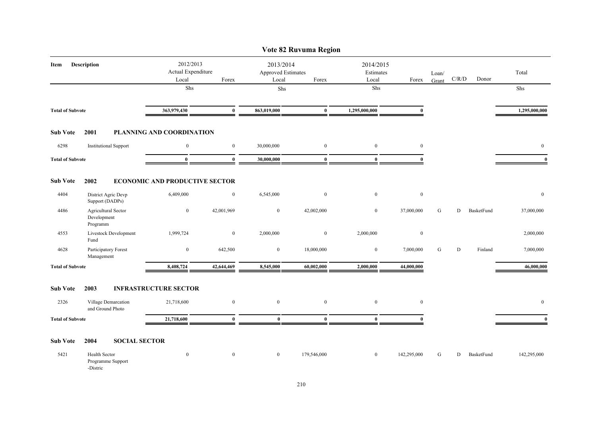|                         |                                                |                                          |                  |                                          | Vote 82 Ruvuma Region |                                 |              |                |             |            |                |
|-------------------------|------------------------------------------------|------------------------------------------|------------------|------------------------------------------|-----------------------|---------------------------------|--------------|----------------|-------------|------------|----------------|
| Item                    | Description                                    | 2012/2013<br>Actual Expenditure<br>Local | Forex            | 2013/2014<br>Approved Estimates<br>Local | Forex                 | 2014/2015<br>Estimates<br>Local | Forex        | Loan/<br>Grant | C/R/D       | Donor      | Total          |
|                         |                                                | Shs                                      |                  | Shs                                      |                       | ${\rm Shs}$                     |              |                |             |            | Shs            |
| <b>Total of Subvote</b> |                                                | 363,979,430                              | $\mathbf{0}$     | 863,019,000                              | $\bf{0}$              | 1,295,000,000                   | $\mathbf{0}$ |                |             |            | 1,295,000,000  |
| <b>Sub Vote</b>         | 2001                                           | PLANNING AND COORDINATION                |                  |                                          |                       |                                 |              |                |             |            |                |
| 6298                    | <b>Institutional Support</b>                   | $\mathbf{0}$                             | $\mathbf{0}$     | 30,000,000                               | $\mathbf{0}$          | $\mathbf{0}$                    | $\mathbf{0}$ |                |             |            | $\mathbf{0}$   |
| <b>Total of Subvote</b> |                                                | $\bf{0}$                                 | $\bf{0}$         | 30,000,000                               | $\bf{0}$              | $\bf{0}$                        | $\theta$     |                |             |            | $\mathbf{0}$   |
| <b>Sub Vote</b>         | 2002                                           | <b>ECONOMIC AND PRODUCTIVE SECTOR</b>    |                  |                                          |                       |                                 |              |                |             |            |                |
| 4404                    | District Agric Devp<br>Support (DADPs)         | 6,409,000                                | $\boldsymbol{0}$ | 6,545,000                                | $\bf{0}$              | $\mathbf{0}$                    | $\bf{0}$     |                |             |            | $\overline{0}$ |
| 4486                    | Agricultural Sector<br>Development<br>Programm | $\bf{0}$                                 | 42,001,969       | $\boldsymbol{0}$                         | 42,002,000            | $\bf{0}$                        | 37,000,000   | G              | D           | BasketFund | 37,000,000     |
| 4553                    | Livestock Development<br>Fund                  | 1,999,724                                | $\mathbf{0}$     | 2,000,000                                | $\mathbf{0}$          | 2,000,000                       | $\bf{0}$     |                |             |            | 2,000,000      |
| 4628                    | Participatory Forest<br>Management             | $\boldsymbol{0}$                         | 642,500          | $\overline{0}$                           | 18,000,000            | $\boldsymbol{0}$                | 7,000,000    | G              | $\mathbf D$ | Finland    | 7,000,000      |
| <b>Total of Subvote</b> |                                                | 8,408,724                                | 42,644,469       | 8,545,000                                | 60,002,000            | 2,000,000                       | 44,000,000   |                |             |            | 46,000,000     |
| <b>Sub Vote</b>         | 2003                                           | <b>INFRASTRUCTURE SECTOR</b>             |                  |                                          |                       |                                 |              |                |             |            |                |
| 2326                    | Village Demarcation<br>and Ground Photo        | 21,718,600                               | $\mathbf{0}$     | $\overline{0}$                           | $\mathbf{0}$          | $\mathbf{0}$                    | $\bf{0}$     |                |             |            | $\mathbf{0}$   |
| <b>Total of Subvote</b> |                                                | 21,718,600                               | $\mathbf{0}$     | $\bf{0}$                                 | $\mathbf{0}$          | $\bf{0}$                        | $\Omega$     |                |             |            | $\mathbf{0}$   |
| <b>Sub Vote</b>         | <b>SOCIAL SECTOR</b><br>2004                   |                                          |                  |                                          |                       |                                 |              |                |             |            |                |
| 5421                    | Health Sector<br>Programme Support<br>-Distric | $\boldsymbol{0}$                         | $\boldsymbol{0}$ | $\bf{0}$                                 | 179,546,000           | $\bf{0}$                        | 142,295,000  | G              | D           | BasketFund | 142,295,000    |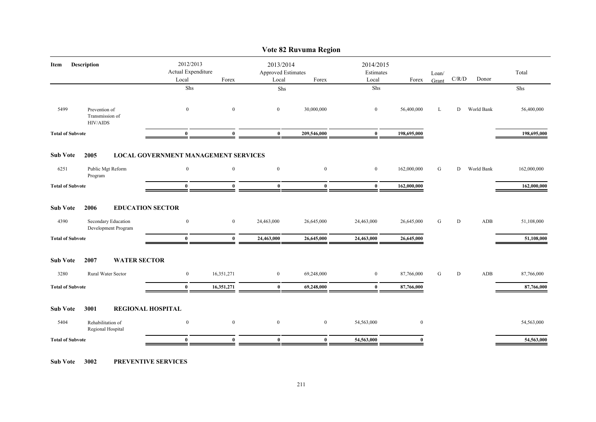| Vote 82 Ruvuma Region   |                                                     |                                                         |                |                |                                          |                |                |                |       |            |             |  |
|-------------------------|-----------------------------------------------------|---------------------------------------------------------|----------------|----------------|------------------------------------------|----------------|----------------|----------------|-------|------------|-------------|--|
| Description<br>Item     |                                                     | 2012/2013<br>Actual Expenditure<br>Local                | Forex          | Local          | 2013/2014<br>Approved Estimates<br>Forex |                | Forex          | Loan/<br>Grant | C/R/D | Donor      | Total       |  |
|                         |                                                     | Shs                                                     |                | ${\rm Shs}$    |                                          | Shs            |                |                |       |            | Shs         |  |
| 5499                    | Prevention of<br>Transmission of<br><b>HIV/AIDS</b> | $\mathbf{0}$                                            | $\mathbf{0}$   | $\overline{0}$ | 30,000,000                               | $\overline{0}$ | 56,400,000     | L              | D     | World Bank | 56,400,000  |  |
| <b>Total of Subvote</b> |                                                     | $\bf{0}$                                                | $\mathbf{0}$   | $\bf{0}$       | 209,546,000                              | $\bf{0}$       | 198,695,000    |                |       |            | 198,695,000 |  |
| <b>Sub Vote</b><br>6251 | 2005<br>Public Mgt Reform                           | <b>LOCAL GOVERNMENT MANAGEMENT SERVICES</b><br>$\bf{0}$ | $\overline{0}$ | $\bf{0}$       | $\mathbf{0}$                             | $\overline{0}$ | 162,000,000    | G              | D     | World Bank | 162,000,000 |  |
|                         | Program                                             |                                                         |                |                |                                          |                |                |                |       |            |             |  |
| <b>Total of Subvote</b> |                                                     | $\bf{0}$                                                | $\bf{0}$       | $\bf{0}$       | $\bf{0}$                                 | $\bf{0}$       | 162,000,000    |                |       |            | 162,000,000 |  |
| <b>Sub Vote</b>         | 2006                                                | <b>EDUCATION SECTOR</b>                                 |                |                |                                          |                |                |                |       |            |             |  |
| 4390                    | Secondary Education<br>Development Program          | $\boldsymbol{0}$                                        | $\overline{0}$ | 24,463,000     | 26,645,000                               | 24,463,000     | 26,645,000     | G              | D     | ADB        | 51,108,000  |  |
| <b>Total of Subvote</b> |                                                     | $\bf{0}$                                                | $\mathbf{0}$   | 24,463,000     | 26,645,000                               | 24,463,000     | 26,645,000     |                |       |            | 51,108,000  |  |
| <b>Sub Vote</b>         | 2007<br><b>WATER SECTOR</b>                         |                                                         |                |                |                                          |                |                |                |       |            |             |  |
| 3280                    | Rural Water Sector                                  | $\bf{0}$                                                | 16,351,271     | $\overline{0}$ | 69,248,000                               | $\overline{0}$ | 87,766,000     | G              | D     | ADB        | 87,766,000  |  |
| <b>Total of Subvote</b> |                                                     | $\bf{0}$                                                | 16,351,271     | $\bf{0}$       | 69,248,000                               | $\bf{0}$       | 87,766,000     |                |       |            | 87,766,000  |  |
| <b>Sub Vote</b>         | 3001                                                | <b>REGIONAL HOSPITAL</b>                                |                |                |                                          |                |                |                |       |            |             |  |
| 5404                    | Rehabilitation of<br>Regional Hospital              | $\overline{0}$                                          | $\mathbf{0}$   | $\bf{0}$       | $\mathbf{0}$                             | 54,563,000     | $\overline{0}$ |                |       |            | 54,563,000  |  |
| <b>Total of Subvote</b> |                                                     | $\mathbf{0}$                                            | $\mathbf{0}$   | $\mathbf{0}$   | $\bf{0}$                                 | 54,563,000     | 0              |                |       |            | 54,563,000  |  |
|                         |                                                     |                                                         |                |                |                                          |                |                |                |       |            |             |  |

**Sub Vote 3002 PREVENTIVE SERVICES**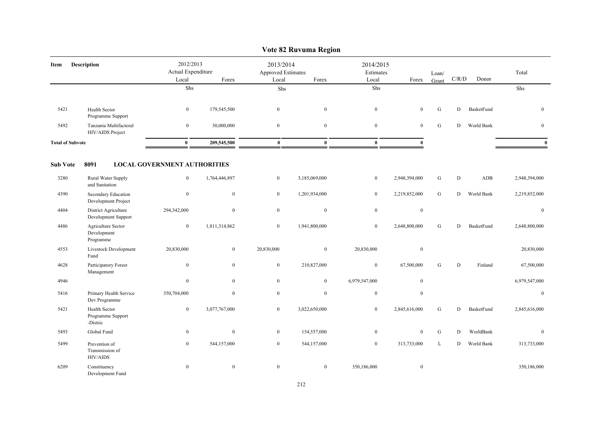|                         | vote 82 Ruvuma Region                          |                                          |                  |                                          |                  |                                 |                  |                |           |            |                |  |  |
|-------------------------|------------------------------------------------|------------------------------------------|------------------|------------------------------------------|------------------|---------------------------------|------------------|----------------|-----------|------------|----------------|--|--|
| Description<br>Item     |                                                | 2012/2013<br>Actual Expenditure<br>Local | Forex            | 2013/2014<br>Approved Estimates<br>Local | Forex            | 2014/2015<br>Estimates<br>Local |                  | Loan/<br>Grant | C/R/D     | Donor      | Total          |  |  |
|                         |                                                | ${\rm Shs}$                              |                  | Shs                                      |                  | Shs                             |                  |                |           |            | Shs            |  |  |
| 5421                    | Health Sector<br>Programme Support             | $\boldsymbol{0}$                         | 179,545,500      | $\mathbf{0}$                             | $\mathbf{0}$     | $\boldsymbol{0}$                | $\mathbf{0}$     | ${\bf G}$      | ${\rm D}$ | BasketFund | $\overline{0}$ |  |  |
| 5492                    | Tanzania Multifactoral<br>HIV/AIDS Project     | $\mathbf{0}$                             | 30,000,000       | $\mathbf{0}$                             | $\mathbf{0}$     | $\mathbf{0}$                    | $\mathbf{0}$     | G              | D         | World Bank | $\overline{0}$ |  |  |
| <b>Total of Subvote</b> |                                                | $\bf{0}$                                 | 209,545,500      | $\mathbf{0}$                             | $\bf{0}$         | $\bf{0}$                        | $\mathbf{0}$     |                |           |            | $\mathbf{0}$   |  |  |
| <b>Sub Vote</b>         | 8091                                           | <b>LOCAL GOVERNMENT AUTHORITIES</b>      |                  |                                          |                  |                                 |                  |                |           |            |                |  |  |
| 3280                    | Rural Water Supply<br>and Sanitation           | $\mathbf{0}$                             | 1,764,446,897    | $\mathbf{0}$                             | 3,185,069,000    | $\boldsymbol{0}$                | 2,948,394,000    | ${\bf G}$      | ${\rm D}$ | ADB        | 2,948,394,000  |  |  |
| 4390                    | Secondary Education<br>Development Project     | $\boldsymbol{0}$                         | $\mathbf{0}$     | $\mathbf{0}$                             | 1,201,934,000    | $\boldsymbol{0}$                | 2,219,852,000    | G              | D         | World Bank | 2,219,852,000  |  |  |
| 4404                    | District Agriculture<br>Development Support    | 294,342,000                              | $\mathbf{0}$     | $\bf{0}$                                 | $\mathbf{0}$     | $\boldsymbol{0}$                | $\bf{0}$         |                |           |            | $\mathbf{0}$   |  |  |
| 4486                    | Agriculture Sector<br>Development<br>Programme | $\boldsymbol{0}$                         | 1,811,314,862    | $\mathbf{0}$                             | 1,941,800,000    | $\boldsymbol{0}$                | 2,648,800,000    | ${\bf G}$      | D         | BasketFund | 2,648,800,000  |  |  |
| 4553                    | Livestock Development<br>Fund                  | 20,830,000                               | $\mathbf{0}$     | 20,830,000                               | $\boldsymbol{0}$ | 20,830,000                      | $\boldsymbol{0}$ |                |           |            | 20,830,000     |  |  |
| 4628                    | Participatory Forest<br>Management             | $\boldsymbol{0}$                         | $\boldsymbol{0}$ | $\boldsymbol{0}$                         | 210,827,000      | $\boldsymbol{0}$                | 67,500,000       | ${\bf G}$      | ${\rm D}$ | Finland    | 67,500,000     |  |  |
| 4946                    |                                                | $\mathbf{0}$                             | $\overline{0}$   | $\mathbf{0}$                             | $\mathbf{0}$     | 6,979,547,000                   | $\bf{0}$         |                |           |            | 6,979,547,000  |  |  |
| 5416                    | Primary Health Service<br>Dev Programme        | 350,704,000                              | $\mathbf{0}$     | $\mathbf{0}$                             | $\mathbf{0}$     | $\mathbf{0}$                    | $\bf{0}$         |                |           |            | $\mathbf{0}$   |  |  |
| 5421                    | Health Sector<br>Programme Support<br>-Distric | $\mathbf{0}$                             | 3,077,767,000    | $\overline{0}$                           | 3,022,650,000    | $\boldsymbol{0}$                | 2,845,616,000    | ${\bf G}$      | ${\rm D}$ | BasketFund | 2,845,616,000  |  |  |
| 5493                    | Global Fund                                    | $\bf{0}$                                 | $\bf{0}$         | $\overline{0}$                           | 154,557,000      | $\bf{0}$                        | $\mathbf{0}$     | ${\bf G}$      | D         | WorldBank  | $\overline{0}$ |  |  |
| 5499                    | Prevention of<br>Transmission of<br>HIV/AIDS   | $\mathbf{0}$                             | 544,157,000      | $\mathbf{0}$                             | 544,157,000      | $\boldsymbol{0}$                | 313,733,000      | L              | D         | World Bank | 313,733,000    |  |  |
| 6209                    | Constituency<br>Development Fund               | $\mathbf{0}$                             | $\mathbf{0}$     | $\mathbf{0}$                             | $\mathbf{0}$     | 350,186,000                     | $\boldsymbol{0}$ |                |           |            | 350,186,000    |  |  |

## **Vote 82 Ruvuma Region**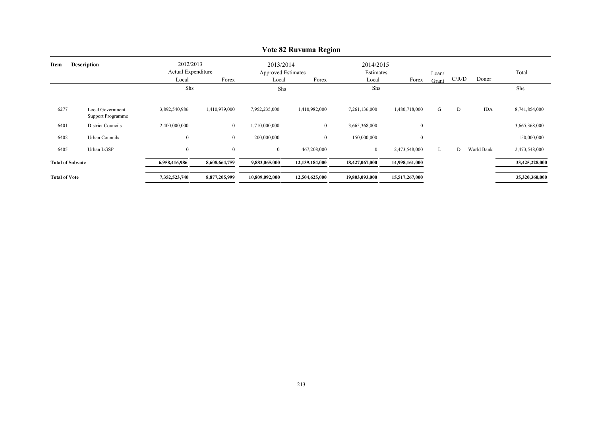|                            | VOIC 02 KUVUMA KC2I0II                       |                                 |                |                                        |                |                        |                |       |       |            |                |  |  |
|----------------------------|----------------------------------------------|---------------------------------|----------------|----------------------------------------|----------------|------------------------|----------------|-------|-------|------------|----------------|--|--|
| <b>Description</b><br>Item |                                              | 2012/2013<br>Actual Expenditure |                | 2013/2014<br><b>Approved Estimates</b> |                | 2014/2015<br>Estimates |                | Loan/ |       |            | Total          |  |  |
|                            |                                              | Local                           | Forex          | Local                                  | Forex          | Local                  | Forex          | Grant | C/R/D | Donor      |                |  |  |
|                            |                                              | Shs                             |                | Shs                                    |                | Shs                    |                |       |       |            | Shs            |  |  |
| 6277                       | Local Government<br><b>Support Programme</b> | 3,892,540,986                   | 1,410,979,000  | 7,952,235,000                          | 1,410,982,000  | 7,261,136,000          | 1,480,718,000  | G     | D     | <b>IDA</b> | 8,741,854,000  |  |  |
| 6401                       | District Councils                            | 2,400,000,000                   | $\overline{0}$ | 1,710,000,000                          | $\overline{0}$ | 3,665,368,000          | $\mathbf{0}$   |       |       |            | 3,665,368,000  |  |  |
| 6402                       | Urban Councils                               | $\boldsymbol{0}$                | $\bf{0}$       | 200,000,000                            | $\overline{0}$ | 150,000,000            | $\mathbf{0}$   |       |       |            | 150,000,000    |  |  |
| 6405                       | Urban LGSP                                   | $\boldsymbol{0}$                | $\overline{0}$ | $\overline{0}$                         | 467,208,000    | $\mathbf{0}$           | 2,473,548,000  | L     | D     | World Bank | 2,473,548,000  |  |  |
| <b>Total of Subvote</b>    |                                              | 6,958,416,986                   | 8,608,664,759  | 9,883,065,000                          | 12,139,184,000 | 18,427,067,000         | 14,998,161,000 |       |       |            | 33,425,228,000 |  |  |
| <b>Total of Vote</b>       |                                              | 7,352,523,740                   | 8,877,205,999  | 10,809,092,000                         | 12,504,625,000 | 19,803,093,000         | 15,517,267,000 |       |       |            | 35,320,360,000 |  |  |

## **Vote 82 Ruvuma Region**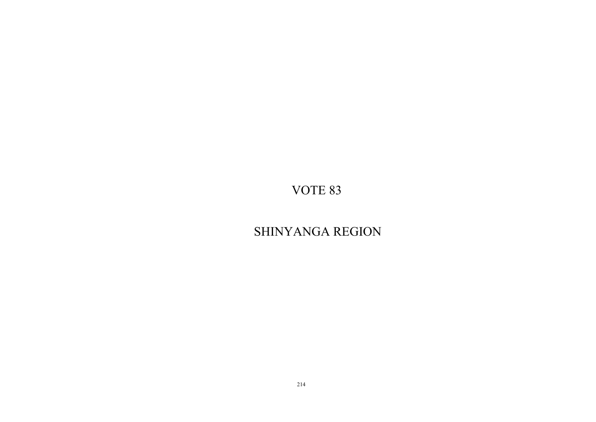# SHINYANGA REGION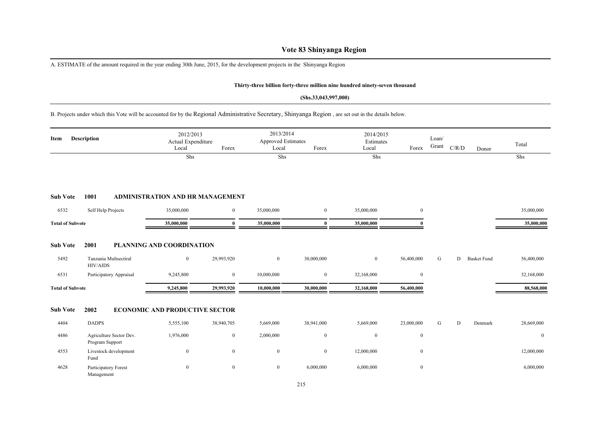## **Vote 83 Shinyanga Region**

A. ESTIMATE of the amount required in the year ending 30th June, 2015, for the development projects in the Shinyanga Region

### **Thirty-three billion forty-three million nine hundred ninety-seven thousand**

#### **(Shs.33,043,997,000)**

B. Projects under which this Vote will be accounted for by the Regional Administrative Secretary, Shinyanga Region , are set out in the details below.

| Description<br>Item     |                                            | 2012/2013<br>Actual Expenditure<br>Local | Forex          | 2013/2014<br>Approved Estimates<br>Local | Forex            | 2014/2015<br>Estimates<br>Local | Forex            | Loan/<br>Grant | C/R/D     | Donor              | Total      |
|-------------------------|--------------------------------------------|------------------------------------------|----------------|------------------------------------------|------------------|---------------------------------|------------------|----------------|-----------|--------------------|------------|
|                         |                                            | Shs                                      |                | Shs                                      |                  | Shs                             |                  |                |           |                    | Shs        |
| <b>Sub Vote</b>         | 1001                                       | <b>ADMINISTRATION AND HR MANAGEMENT</b>  |                |                                          |                  |                                 |                  |                |           |                    |            |
| 6532                    | Self Help Projects                         | 35,000,000                               | $\overline{0}$ | 35,000,000                               | $\boldsymbol{0}$ | 35,000,000                      | $\bf{0}$         |                |           |                    | 35,000,000 |
| <b>Total of Subvote</b> |                                            | 35,000,000                               | $\mathbf{0}$   | 35,000,000                               | $\bf{0}$         | 35,000,000                      | 0                |                |           |                    | 35,000,000 |
| <b>Sub Vote</b>         | 2001                                       | <b>PLANNING AND COORDINATION</b>         |                |                                          |                  |                                 |                  |                |           |                    |            |
| 5492                    | Tanzania Multsectiral<br><b>HIV/AIDS</b>   | $\mathbf{0}$                             | 29,993,920     | $\mathbf{0}$                             | 30,000,000       | $\overline{0}$                  | 56,400,000       | G              | D         | <b>Basket Fund</b> | 56,400,000 |
| 6531                    | Participatory Appraisal                    | 9,245,800                                | $\overline{0}$ | 10,000,000                               | $\bf{0}$         | 32,168,000                      | $\mathbf{0}$     |                |           |                    | 32,168,000 |
| <b>Total of Subvote</b> |                                            | 9,245,800                                | 29,993,920     | 10,000,000                               | 30,000,000       | 32,168,000                      | 56,400,000       |                |           |                    | 88,568,000 |
| <b>Sub Vote</b>         | 2002                                       | <b>ECONOMIC AND PRODUCTIVE SECTOR</b>    |                |                                          |                  |                                 |                  |                |           |                    |            |
| 4404                    | <b>DADPS</b>                               | 5,555,100                                | 38,940,705     | 5,669,000                                | 38,941,000       | 5,669,000                       | 23,000,000       | G              | ${\rm D}$ | Denmark            | 28,669,000 |
| 4486                    | Agriculture Sector Dev.<br>Program Support | 1,976,000                                | $\overline{0}$ | 2,000,000                                | $\boldsymbol{0}$ | $\mathbf{0}$                    | $\boldsymbol{0}$ |                |           |                    | $\bf{0}$   |
| 4553                    | Livestock development<br>Fund              | $\bf{0}$                                 | $\mathbf{0}$   | $\boldsymbol{0}$                         | $\boldsymbol{0}$ | 12,000,000                      | $\boldsymbol{0}$ |                |           |                    | 12,000,000 |
| 4628                    | Participatory Forest<br>Management         | $\boldsymbol{0}$                         | $\overline{0}$ | $\boldsymbol{0}$                         | 6,000,000        | 6,000,000                       | $\boldsymbol{0}$ |                |           |                    | 6,000,000  |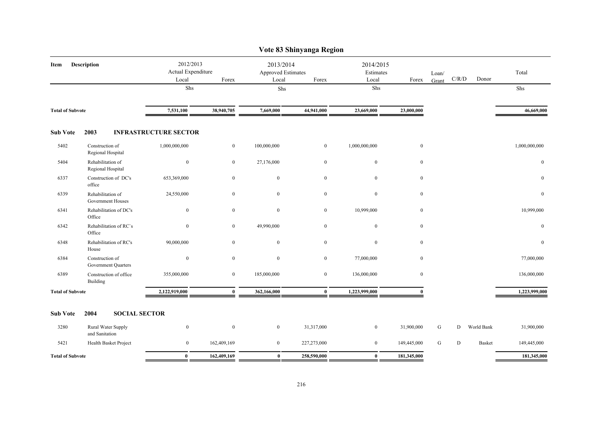|                         | Vote 83 Shinyanga Region               |                                 |                              |                                 |                  |                  |                        |              |           |             |               |               |  |  |
|-------------------------|----------------------------------------|---------------------------------|------------------------------|---------------------------------|------------------|------------------|------------------------|--------------|-----------|-------------|---------------|---------------|--|--|
| Description<br>Item     |                                        | 2012/2013<br>Actual Expenditure |                              | 2013/2014<br>Approved Estimates |                  |                  | 2014/2015<br>Estimates |              | Loan/     | $\rm C/R/D$ | Donor         | Total         |  |  |
|                         |                                        |                                 | Local<br>Shs                 | Forex                           | Local<br>Shs     | Forex            | Local<br>Shs           | Forex        | Grant     |             |               | Shs           |  |  |
|                         |                                        |                                 |                              |                                 |                  |                  |                        |              |           |             |               |               |  |  |
| <b>Total of Subvote</b> |                                        | 7,531,100                       | 38,940,705                   | 7,669,000                       | 44,941,000       | 23,669,000       | 23,000,000             |              |           |             | 46,669,000    |               |  |  |
| <b>Sub Vote</b>         | 2003                                   |                                 | <b>INFRASTRUCTURE SECTOR</b> |                                 |                  |                  |                        |              |           |             |               |               |  |  |
| 5402                    | Construction of<br>Regional Hospital   |                                 | 1,000,000,000                | $\overline{0}$                  | 100,000,000      | $\overline{0}$   | 1,000,000,000          | $\mathbf{0}$ |           |             |               | 1,000,000,000 |  |  |
| 5404                    | Rehabilitation of<br>Regional Hospital |                                 | $\mathbf{0}$                 | $\mathbf{0}$                    | 27,176,000       | $\mathbf{0}$     | $\boldsymbol{0}$       | $\mathbf{0}$ |           |             |               | $\mathbf{0}$  |  |  |
| 6337                    | Construction of DC's<br>office         |                                 | 653,369,000                  | $\mathbf{0}$                    | $\overline{0}$   | $\boldsymbol{0}$ | $\boldsymbol{0}$       | $\bf{0}$     |           |             |               | $\mathbf{0}$  |  |  |
| 6339                    | Rehabilitation of<br>Government Houses |                                 | 24,550,000                   | $\mathbf{0}$                    | $\overline{0}$   | $\mathbf{0}$     | $\boldsymbol{0}$       | $\mathbf{0}$ |           |             |               | $\mathbf{0}$  |  |  |
| 6341                    | Rehabilitation of DC's<br>Office       |                                 | $\bf{0}$                     | $\mathbf{0}$                    | $\boldsymbol{0}$ | $\overline{0}$   | 10,999,000             | $\mathbf{0}$ |           |             |               | 10,999,000    |  |  |
| 6342                    | Rehabilitation of RC's<br>Office       |                                 | $\overline{0}$               | $\mathbf{0}$                    | 49,990,000       | $\boldsymbol{0}$ | $\boldsymbol{0}$       | $\mathbf{0}$ |           |             |               | $\mathbf{0}$  |  |  |
| 6348                    | Rehabilitation of RC's<br>House        |                                 | 90,000,000                   | $\mathbf{0}$                    | $\bf{0}$         | $\overline{0}$   | $\boldsymbol{0}$       | $\mathbf{0}$ |           |             |               | $\bf{0}$      |  |  |
| 6384                    | Construction of<br>Government Quarters |                                 | $\mathbf{0}$                 | $\mathbf{0}$                    | $\mathbf{0}$     | $\overline{0}$   | 77,000,000             | $\mathbf{0}$ |           |             |               | 77,000,000    |  |  |
| 6389                    | Construction of office<br>Building     |                                 | 355,000,000                  | $\mathbf{0}$                    | 185,000,000      | $\overline{0}$   | 136,000,000            | $\mathbf{0}$ |           |             |               | 136,000,000   |  |  |
| <b>Total of Subvote</b> |                                        | 2,122,919,000                   | $\bf{0}$                     | 362,166,000                     | $\bf{0}$         | 1,223,999,000    | $\theta$               |              |           |             | 1,223,999,000 |               |  |  |
| <b>Sub Vote</b>         | 2004                                   | <b>SOCIAL SECTOR</b>            |                              |                                 |                  |                  |                        |              |           |             |               |               |  |  |
| 3280                    | Rural Water Supply<br>and Sanitation   |                                 | $\overline{0}$               | $\mathbf{0}$                    | $\overline{0}$   | 31,317,000       | $\boldsymbol{0}$       | 31,900,000   | G         | D           | World Bank    | 31,900,000    |  |  |
| 5421                    | Health Basket Project                  |                                 | $\mathbf{0}$                 | 162,409,169                     | $\overline{0}$   | 227,273,000      | $\bf{0}$               | 149,445,000  | ${\bf G}$ | D           | <b>Basket</b> | 149,445,000   |  |  |
| <b>Total of Subvote</b> |                                        |                                 | $\bf{0}$                     | 162,409,169                     | $\bf{0}$         | 258,590,000      | $\bf{0}$               | 181,345,000  |           |             |               | 181,345,000   |  |  |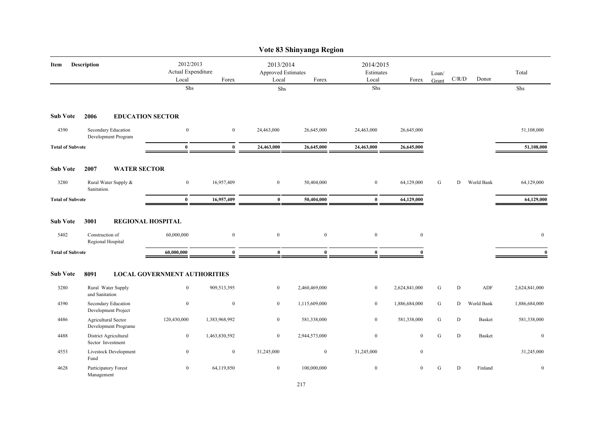|                         |                                             |                                          |                  |                                                   | Vote 83 Shinyanga Region |                                 |                  |                |           |               |               |
|-------------------------|---------------------------------------------|------------------------------------------|------------------|---------------------------------------------------|--------------------------|---------------------------------|------------------|----------------|-----------|---------------|---------------|
| Item                    | <b>Description</b>                          | 2012/2013<br>Actual Expenditure<br>Local | Forex            | 2013/2014<br>Approved Estimates<br>Local<br>Forex |                          | 2014/2015<br>Estimates<br>Local | Forex            | Loan/<br>Grant | C/R/D     | Donor         | Total         |
|                         |                                             | Shs                                      |                  | Shs                                               |                          | Shs                             |                  |                |           |               | Shs           |
| <b>Sub Vote</b>         | 2006                                        | <b>EDUCATION SECTOR</b>                  |                  |                                                   |                          |                                 |                  |                |           |               |               |
| 4390                    | Secondary Education<br>Development Program  | $\mathbf{0}$                             | $\mathbf{0}$     | 24,463,000                                        | 26,645,000               | 24,463,000                      | 26,645,000       |                |           |               | 51,108,000    |
| <b>Total of Subvote</b> |                                             | $\bf{0}$                                 | $\bf{0}$         | 24,463,000                                        | 26,645,000               | 24,463,000                      | 26,645,000       |                |           |               | 51,108,000    |
| <b>Sub Vote</b>         | <b>WATER SECTOR</b><br>2007                 |                                          |                  |                                                   |                          |                                 |                  |                |           |               |               |
| 3280                    | Rural Water Supply &<br>Sanitation.         | $\boldsymbol{0}$                         | 16,957,409       | $\boldsymbol{0}$                                  | 50,404,000               | $\boldsymbol{0}$                | 64,129,000       | G              | D         | World Bank    | 64,129,000    |
| <b>Total of Subvote</b> |                                             | $\bf{0}$                                 | 16,957,409       | $\bf{0}$                                          | 50,404,000               | $\bf{0}$                        | 64,129,000       |                |           |               | 64,129,000    |
| <b>Sub Vote</b>         | 3001                                        | <b>REGIONAL HOSPITAL</b>                 |                  |                                                   |                          |                                 |                  |                |           |               |               |
| 5402                    | Construction of<br>Regional Hospital        | 60,000,000                               | $\mathbf{0}$     | $\boldsymbol{0}$                                  | $\boldsymbol{0}$         | $\boldsymbol{0}$                | $\boldsymbol{0}$ |                |           |               | $\mathbf{0}$  |
| <b>Total of Subvote</b> |                                             | 60,000,000                               | $\mathbf{0}$     | $\mathbf{0}$                                      | $\mathbf{0}$             | $\mathbf{0}$                    | $\Omega$         |                |           |               | $\mathbf{0}$  |
| <b>Sub Vote</b>         | 8091                                        | <b>LOCAL GOVERNMENT AUTHORITIES</b>      |                  |                                                   |                          |                                 |                  |                |           |               |               |
| 3280                    | Rural Water Supply<br>and Sanitation        | $\boldsymbol{0}$                         | 909,513,395      | $\boldsymbol{0}$                                  | 2,460,469,000            | $\boldsymbol{0}$                | 2,624,841,000    | ${\bf G}$      | ${\rm D}$ | ADF           | 2,624,841,000 |
| 4390                    | Secondary Education<br>Development Project  | $\boldsymbol{0}$                         | $\boldsymbol{0}$ | $\boldsymbol{0}$                                  | 1,115,609,000            | $\bf{0}$                        | 1,886,684,000    | ${\bf G}$      | D         | World Bank    | 1,886,684,000 |
| 4486                    | Agricultural Sector<br>Development Programe | 120,430,000                              | 1,383,968,992    | $\mathbf{0}$                                      | 581,338,000              | $\bf{0}$                        | 581,338,000      | ${\bf G}$      | D         | <b>Basket</b> | 581,338,000   |
| 4488                    | District Agricultural<br>Sector Investment  | $\boldsymbol{0}$                         | 1,463,830,592    | $\mathbf{0}$                                      | 2,944,573,000            | $\boldsymbol{0}$                | $\mathbf{0}$     | ${\bf G}$      | ${\bf D}$ | <b>Basket</b> | $\mathbf{0}$  |
| 4553                    | Livestock Development<br>Fund               | $\boldsymbol{0}$                         | $\boldsymbol{0}$ | 31,245,000                                        | $\boldsymbol{0}$         | 31,245,000                      | $\boldsymbol{0}$ |                |           |               | 31,245,000    |
| 4628                    | Participatory Forest<br>Management          | $\overline{0}$                           | 64,119,850       | $\overline{0}$                                    | 100,000,000              | $\boldsymbol{0}$                | $\mathbf{0}$     | G              | D         | Finland       | $\mathbf{0}$  |

# 217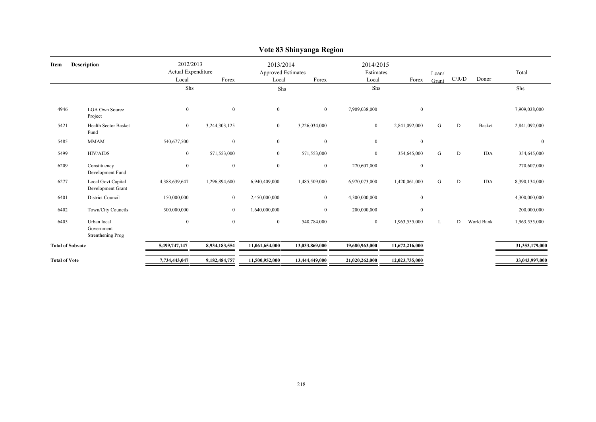|                            |                                                |                                                   |                  |                  | $\sim$ ore so samily angle received             |                |                                 |                |       |               |                |
|----------------------------|------------------------------------------------|---------------------------------------------------|------------------|------------------|-------------------------------------------------|----------------|---------------------------------|----------------|-------|---------------|----------------|
| <b>Description</b><br>Item |                                                | 2012/2013<br>Actual Expenditure<br>Local<br>Forex |                  | Local            | 2013/2014<br><b>Approved Estimates</b><br>Forex |                | 2014/2015<br>Estimates<br>Forex | Loan/<br>Grant | C/R/D | Donor         | Total          |
|                            |                                                | Shs                                               |                  | Shs              |                                                 | Shs            |                                 |                |       |               | Shs            |
| 4946                       | <b>LGA Own Source</b><br>Project               | $\boldsymbol{0}$                                  | $\mathbf{0}$     | $\mathbf{0}$     | $\overline{0}$                                  | 7,909,038,000  | $\mathbf{0}$                    |                |       |               | 7,909,038,000  |
| 5421                       | <b>Health Sector Basket</b><br>Fund            | $\bf{0}$                                          | 3,244,303,125    | $\overline{0}$   | 3,226,034,000                                   | $\overline{0}$ | 2,841,092,000                   | G              | D     | <b>Basket</b> | 2,841,092,000  |
| 5485                       | <b>MMAM</b>                                    | 540,677,500                                       | $\mathbf{0}$     | $\mathbf{0}$     | $\boldsymbol{0}$                                | $\overline{0}$ | $\boldsymbol{0}$                |                |       |               | $\theta$       |
| 5499                       | <b>HIV/AIDS</b>                                | $\bf{0}$                                          | 571,553,000      | $\overline{0}$   | 571,553,000                                     | $\overline{0}$ | 354,645,000                     | G              | D     | <b>IDA</b>    | 354,645,000    |
| 6209                       | Constituency<br>Development Fund               | $\boldsymbol{0}$                                  | $\boldsymbol{0}$ | $\boldsymbol{0}$ | $\boldsymbol{0}$                                | 270,607,000    | $\boldsymbol{0}$                |                |       |               | 270,607,000    |
| 6277                       | Local Govt Capital<br>Development Grant        | 4,388,639,647                                     | 1,296,894,600    | 6,940,409,000    | 1,485,509,000                                   | 6,970,073,000  | 1,420,061,000                   | ${\bf G}$      | D     | <b>IDA</b>    | 8,390,134,000  |
| 6401                       | District Council                               | 150,000,000                                       | $\bf{0}$         | 2,450,000,000    | $\bf{0}$                                        | 4,300,000,000  | $\mathbf{0}$                    |                |       |               | 4,300,000,000  |
| 6402                       | Town/City Councils                             | 300,000,000                                       | $\overline{0}$   | 1,640,000,000    | $\overline{0}$                                  | 200,000,000    | $\mathbf{0}$                    |                |       |               | 200,000,000    |
| 6405                       | Urban local<br>Government<br>Strenthening Prog | $\bf{0}$                                          | $\mathbf{0}$     | $\mathbf{0}$     | 548,784,000                                     | $\bf{0}$       | 1,963,555,000                   | L              | D     | World Bank    | 1,963,555,000  |
| <b>Total of Subvote</b>    |                                                | 5,499,747,147                                     | 8,934,183,554    | 11,061,654,000   | 13,033,869,000                                  | 19,680,963,000 | 11,672,216,000                  |                |       |               | 31,353,179,000 |
| <b>Total of Vote</b>       |                                                | 7,734,443,047                                     | 9,182,484,757    | 11,500,952,000   | 13,444,449,000                                  | 21,020,262,000 | 12,023,735,000                  |                |       |               | 33,043,997,000 |

### **Vote 83 Shinyanga Region**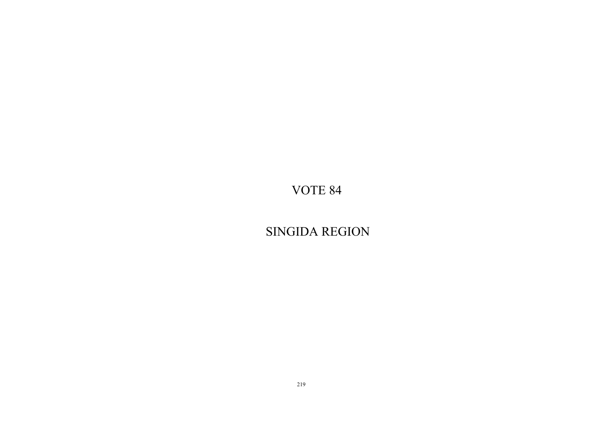SINGIDA REGION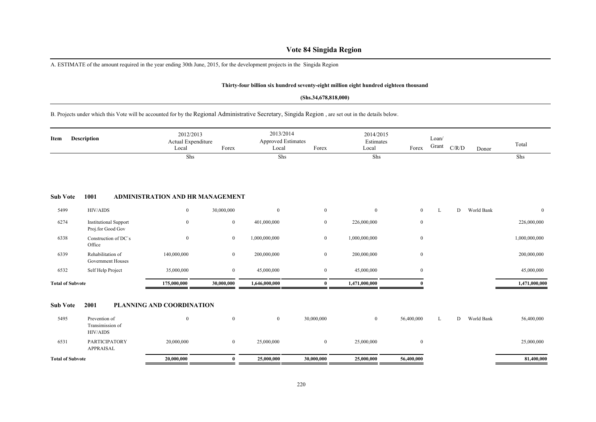# **Vote 84 Singida Region**

A. ESTIMATE of the amount required in the year ending 30th June, 2015, for the development projects in the Singida Region

### **Thirty-four billion six hundred seventy-eight million eight hundred eighteen thousand**

### **(Shs.34,678,818,000)**

# B. Projects under which this Vote will be accounted for by the Regional Administrative Secretary, Singida Region , are set out in the details below.

| Item                    | <b>Description</b>                                | 2012/2013<br>Actual Expenditure<br>Local | Forex          | 2013/2014<br><b>Approved Estimates</b><br>Local | Forex            | 2014/2015<br>Estimates<br>Local | Forex            | Loan/<br>Grant | C/R/D | Donor      | Total          |
|-------------------------|---------------------------------------------------|------------------------------------------|----------------|-------------------------------------------------|------------------|---------------------------------|------------------|----------------|-------|------------|----------------|
|                         |                                                   | Shs                                      |                | Shs                                             |                  | Shs                             |                  |                |       |            | Shs            |
| <b>Sub Vote</b>         | 1001                                              | <b>ADMINISTRATION AND HR MANAGEMENT</b>  |                |                                                 |                  |                                 |                  |                |       |            |                |
| 5499                    | HIV/AIDS                                          | $\boldsymbol{0}$                         | 30,000,000     | $\boldsymbol{0}$                                | $\boldsymbol{0}$ | $\mathbf{0}$                    | $\overline{0}$   | L              | D     | World Bank | $\overline{0}$ |
| 6274                    | <b>Institutional Support</b><br>Proj.for Good Gov | $\theta$                                 | $\bf{0}$       | 401,000,000                                     | $\bf{0}$         | 226,000,000                     | $\bf{0}$         |                |       |            | 226,000,000    |
| 6338                    | Construction of DC's<br>Office                    | $\theta$                                 | $\bf{0}$       | 1,000,000,000                                   | $\bf{0}$         | 1,000,000,000                   | $\boldsymbol{0}$ |                |       |            | 1,000,000,000  |
| 6339                    | Rehabilitation of<br><b>Government Houses</b>     | 140,000,000                              | $\bf{0}$       | 200,000,000                                     | $\bf{0}$         | 200,000,000                     | $\overline{0}$   |                |       |            | 200,000,000    |
| 6532                    | Self Help Project                                 | 35,000,000                               | $\overline{0}$ | 45,000,000                                      | $\bf{0}$         | 45,000,000                      | $\overline{0}$   |                |       |            | 45,000,000     |
| <b>Total of Subvote</b> |                                                   | 175,000,000                              | 30,000,000     | 1,646,000,000                                   | $\mathbf{0}$     | 1,471,000,000                   |                  |                |       |            | 1,471,000,000  |
| <b>Sub Vote</b>         | 2001                                              | PLANNING AND COORDINATION                |                |                                                 |                  |                                 |                  |                |       |            |                |
| 5495                    | Prevention of<br>Transimission of<br>HIV/AIDS     | $\mathbf{0}$                             | $\mathbf{0}$   | $\mathbf{0}$                                    | 30,000,000       | $\overline{0}$                  | 56,400,000       | L              | D     | World Bank | 56,400,000     |
| 6531                    | PARTICIPATORY<br>APPRAISAL                        | 20,000,000                               | $\bf{0}$       | 25,000,000                                      | $\mathbf{0}$     | 25,000,000                      | $\overline{0}$   |                |       |            | 25,000,000     |
| <b>Total of Subvote</b> |                                                   | 20,000,000                               | $\bf{0}$       | 25,000,000                                      | 30,000,000       | 25,000,000                      | 56,400,000       |                |       |            | 81,400,000     |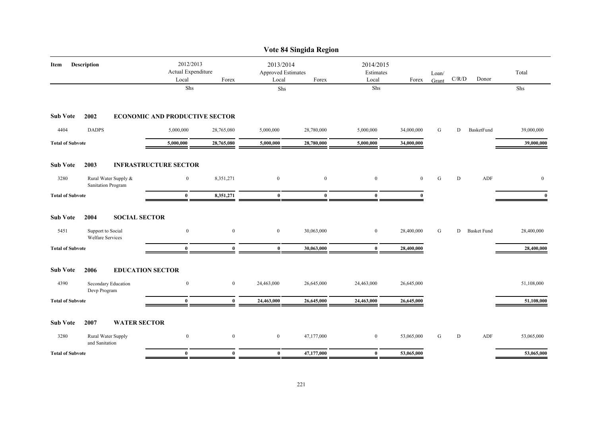|                                                      |                                                   |                  |                  | Vote 84 Singida Region                            |                  |              |                |           |                    |                  |
|------------------------------------------------------|---------------------------------------------------|------------------|------------------|---------------------------------------------------|------------------|--------------|----------------|-----------|--------------------|------------------|
| <b>Description</b><br>Item                           | 2012/2013<br>Actual Expenditure<br>Local<br>Forex |                  |                  | 2013/2014<br>Approved Estimates<br>Forex<br>Local |                  | Forex        | Loan/<br>Grant | C/R/D     | Donor              | Total            |
|                                                      | Shs                                               |                  | Shs              |                                                   | Local<br>Shs     |              |                |           |                    | Shs              |
| <b>Sub Vote</b><br>2002                              | <b>ECONOMIC AND PRODUCTIVE SECTOR</b>             |                  |                  |                                                   |                  |              |                |           |                    |                  |
| 4404<br><b>DADPS</b>                                 | 5,000,000                                         | 28,765,080       | 5,000,000        | 28,780,000                                        | 5,000,000        | 34,000,000   | G              | D         | BasketFund         | 39,000,000       |
| <b>Total of Subvote</b>                              | 5,000,000                                         | 28,765,080       | 5,000,000        | 28,780,000                                        | 5,000,000        | 34,000,000   |                |           |                    | 39,000,000       |
| <b>Sub Vote</b><br>2003                              | <b>INFRASTRUCTURE SECTOR</b>                      |                  |                  |                                                   |                  |              |                |           |                    |                  |
| 3280<br>Rural Water Supply &<br>Sanitation Program   | $\boldsymbol{0}$                                  | 8,351,271        | $\boldsymbol{0}$ | $\boldsymbol{0}$                                  | $\boldsymbol{0}$ | $\mathbf{0}$ | G              | ${\rm D}$ | ADF                | $\boldsymbol{0}$ |
| <b>Total of Subvote</b>                              | $\bf{0}$                                          | 8,351,271        | $\bf{0}$         | $\bf{0}$                                          | $\bf{0}$         | $\theta$     |                |           |                    | $\mathbf{0}$     |
| <b>Sub Vote</b><br>2004<br><b>SOCIAL SECTOR</b>      |                                                   |                  |                  |                                                   |                  |              |                |           |                    |                  |
| 5451<br>Support to Social<br><b>Welfare Services</b> | $\mathbf{0}$                                      | $\boldsymbol{0}$ | $\mathbf{0}$     | 30,063,000                                        | $\mathbf{0}$     | 28,400,000   | G              | D         | <b>Basket Fund</b> | 28,400,000       |
| <b>Total of Subvote</b>                              | $\bf{0}$                                          | $\bf{0}$         | $\bf{0}$         | 30,063,000                                        | $\bf{0}$         | 28,400,000   |                |           |                    | 28,400,000       |
| <b>Sub Vote</b><br>2006                              | <b>EDUCATION SECTOR</b>                           |                  |                  |                                                   |                  |              |                |           |                    |                  |
| 4390<br>Secondary Education<br>Devp Program          | $\mathbf{0}$                                      | $\boldsymbol{0}$ | 24,463,000       | 26,645,000                                        | 24,463,000       | 26,645,000   |                |           |                    | 51,108,000       |
| <b>Total of Subvote</b>                              | $\bf{0}$                                          | $\bf{0}$         | 24,463,000       | 26,645,000                                        | 24,463,000       | 26,645,000   |                |           |                    | 51,108,000       |
| <b>Sub Vote</b><br>2007<br><b>WATER SECTOR</b>       |                                                   |                  |                  |                                                   |                  |              |                |           |                    |                  |
| 3280<br>Rural Water Supply<br>and Sanitation         | $\mathbf{0}$                                      | $\bf{0}$         | $\boldsymbol{0}$ | 47,177,000                                        | $\boldsymbol{0}$ | 53,065,000   | G              | D         | ADF                | 53,065,000       |
| <b>Total of Subvote</b>                              | $\bf{0}$                                          | $\bf{0}$         | $\bf{0}$         | 47,177,000                                        | $\bf{0}$         | 53,065,000   |                |           |                    | 53,065,000       |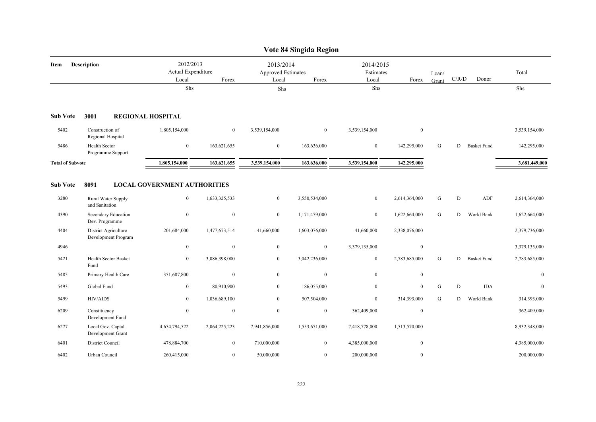|                         |                                              |                                                     |                |                                          | Vote 84 Singida Region |                                 |               |                |       |                    |               |
|-------------------------|----------------------------------------------|-----------------------------------------------------|----------------|------------------------------------------|------------------------|---------------------------------|---------------|----------------|-------|--------------------|---------------|
| Item                    | <b>Description</b>                           | 2012/2013<br>Actual Expenditure<br>Local            | Forex          | 2013/2014<br>Approved Estimates<br>Local | Forex                  | 2014/2015<br>Estimates<br>Local | Forex         | Loan/<br>Grant | C/R/D | Donor              | Total         |
|                         |                                              | Shs                                                 |                | Shs                                      |                        | Shs                             |               |                |       |                    | Shs           |
| <b>Sub Vote</b>         | 3001                                         | <b>REGIONAL HOSPITAL</b>                            |                |                                          |                        |                                 |               |                |       |                    |               |
| 5402                    | Construction of<br>Regional Hospital         | 1,805,154,000                                       | $\overline{0}$ | 3,539,154,000                            | $\overline{0}$         | 3,539,154,000                   | $\mathbf{0}$  |                |       |                    | 3,539,154,000 |
| 5486                    | Health Sector<br>Programme Support           | $\boldsymbol{0}$                                    | 163,621,655    | $\mathbf{0}$                             | 163,636,000            | $\bf{0}$                        | 142,295,000   | G              | D     | <b>Basket Fund</b> | 142,295,000   |
| <b>Total of Subvote</b> |                                              | 1,805,154,000                                       | 163,621,655    | 3,539,154,000                            | 163,636,000            | 3,539,154,000                   | 142,295,000   |                |       |                    | 3,681,449,000 |
| <b>Sub Vote</b><br>3280 | 8091<br>Rural Water Supply<br>and Sanitation | <b>LOCAL GOVERNMENT AUTHORITIES</b><br>$\mathbf{0}$ | 1,633,325,533  | $\overline{0}$                           | 3,550,534,000          | $\bf{0}$                        | 2,614,364,000 | ${\bf G}$      | D     | ADF                | 2,614,364,000 |
| 4390                    | Secondary Education<br>Dev. Programme        | $\bf{0}$                                            | $\mathbf{0}$   | $\overline{0}$                           | 1,171,479,000          | $\bf{0}$                        | 1,622,664,000 | G              | D     | World Bank         | 1,622,664,000 |
| 4404                    | District Agriculture<br>Development Program  | 201,684,000                                         | 1,477,673,514  | 41,660,000                               | 1,603,076,000          | 41,660,000                      | 2,338,076,000 |                |       |                    | 2,379,736,000 |
| 4946                    |                                              | $\mathbf{0}$                                        | $\mathbf{0}$   | $\overline{0}$                           | $\boldsymbol{0}$       | 3,379,135,000                   | $\mathbf{0}$  |                |       |                    | 3,379,135,000 |
| 5421                    | <b>Health Sector Basket</b><br>Fund          | $\mathbf{0}$                                        | 3,086,398,000  | $\overline{0}$                           | 3,042,236,000          | $\mathbf{0}$                    | 2,783,685,000 | G              | D     | <b>Basket Fund</b> | 2,783,685,000 |
| 5485                    | Primary Health Care                          | 351,687,800                                         | $\bf{0}$       | $\boldsymbol{0}$                         | $\boldsymbol{0}$       | $\boldsymbol{0}$                | $\bf{0}$      |                |       |                    | $\mathbf{0}$  |
| 5493                    | Global Fund                                  | $\overline{0}$                                      | 80,910,900     | $\overline{0}$                           | 186,055,000            | $\boldsymbol{0}$                | $\mathbf{0}$  | G              | D     | <b>IDA</b>         | $\mathbf{0}$  |
| 5499                    | <b>HIV/AIDS</b>                              | $\overline{0}$                                      | 1,036,689,100  | $\overline{0}$                           | 507,504,000            | $\mathbf{0}$                    | 314,393,000   | G              | D     | World Bank         | 314,393,000   |
| 6209                    | Constituency<br>Development Fund             | $\mathbf{0}$                                        | $\mathbf{0}$   | $\overline{0}$                           | $\overline{0}$         | 362,409,000                     | $\mathbf{0}$  |                |       |                    | 362,409,000   |
| 6277                    | Local Gov. Captal<br>Development Grant       | 4,654,794,522                                       | 2,064,225,223  | 7,941,856,000                            | 1,553,671,000          | 7,418,778,000                   | 1,513,570,000 |                |       |                    | 8,932,348,000 |
| 6401                    | District Council                             | 478,884,700                                         | $\mathbf{0}$   | 710,000,000                              | $\overline{0}$         | 4,385,000,000                   | $\mathbf{0}$  |                |       |                    | 4,385,000,000 |
| 6402                    | Urban Council                                | 260,415,000                                         | $\mathbf{0}$   | 50,000,000                               | $\overline{0}$         | 200,000,000                     | $\mathbf{0}$  |                |       |                    | 200,000,000   |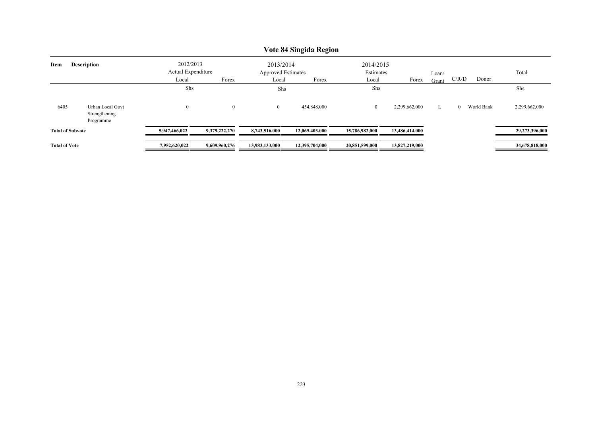|                      | v ote 84 singida Region                        |                                 |               |                                 |                |                        |                |       |                        |                |  |  |  |  |
|----------------------|------------------------------------------------|---------------------------------|---------------|---------------------------------|----------------|------------------------|----------------|-------|------------------------|----------------|--|--|--|--|
| Item                 | <b>Description</b>                             | 2012/2013<br>Actual Expenditure |               | 2013/2014<br>Approved Estimates |                | 2014/2015<br>Estimates |                | Loan/ |                        | Total          |  |  |  |  |
|                      |                                                | Local                           | Forex         | Local                           | Forex          | Local                  | Forex          | Grant | C/R/D<br>Donor         |                |  |  |  |  |
|                      |                                                | Shs                             |               | Shs                             |                | Shs                    |                |       |                        | Shs            |  |  |  |  |
| 6405                 | Urban Local Govt<br>Strengthening<br>Programme | $\boldsymbol{0}$                | $\mathbf{0}$  | $\overline{0}$                  | 454,848,000    | $\overline{0}$         | 2,299,662,000  | L     | World Bank<br>$\Omega$ | 2,299,662,000  |  |  |  |  |
|                      | <b>Total of Subvote</b>                        | 5,947,466,022                   | 9,379,222,270 | 8,743,516,000                   | 12.069.403.000 | 15,786,982,000         | 13,486,414,000 |       |                        | 29,273,396,000 |  |  |  |  |
| <b>Total of Vote</b> |                                                | 7,952,620,022                   | 9,609,960,276 | 13,983,133,000                  | 12,395,704,000 | 20,851,599,000         | 13,827,219,000 |       |                        | 34,678,818,000 |  |  |  |  |

# **Vote 84 Singida Region**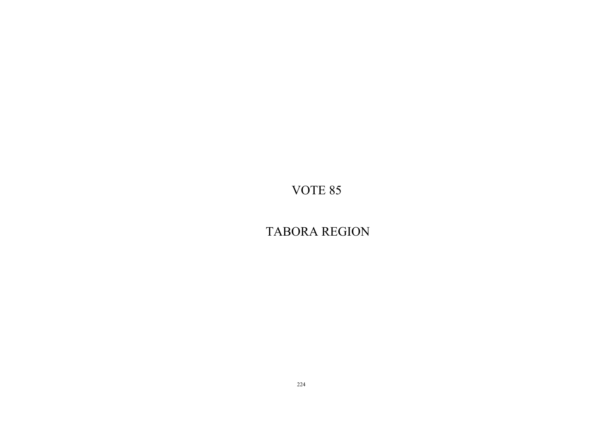TABORA REGION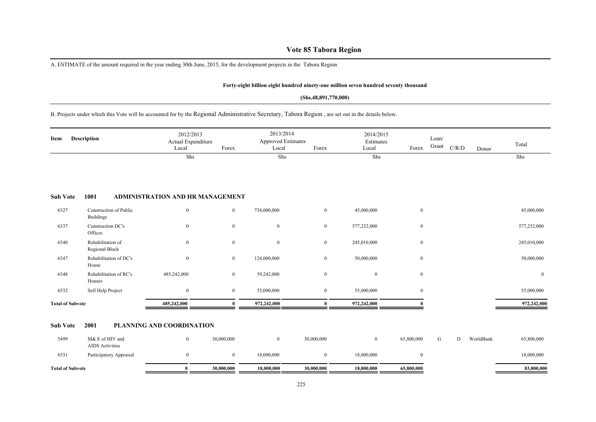# **Vote 85 Tabora Region**

A. ESTIMATE of the amount required in the year ending 30th June, 2015, for the development projects in the Tabora Region

### **Forty-eight billion eight hundred ninety-one million seven hundred seventy thousand**

### **(Shs.48,891,770,000)**

### B. Projects under which this Vote will be accounted for by the Regional Administrative Secretary, Tabora Region , are set out in the details below.

| Item                    | <b>Description</b>                         | 2012/2013<br>Actual Expenditure<br>Local | Forex          | 2013/2014<br><b>Approved Estimates</b><br>Local | Forex            | 2014/2015<br>Estimates<br>Local | Forex        | Loan/<br>Grant | C/R/D | Donor | Total        |
|-------------------------|--------------------------------------------|------------------------------------------|----------------|-------------------------------------------------|------------------|---------------------------------|--------------|----------------|-------|-------|--------------|
|                         |                                            | Shs                                      |                | Shs                                             |                  | Shs                             |              |                |       |       | Shs          |
| <b>Sub Vote</b>         | 1001                                       | ADMINISTRATION AND HR MANAGEMENT         |                |                                                 |                  |                                 |              |                |       |       |              |
| 6327                    | Construction of Public<br><b>Buildings</b> | $\boldsymbol{0}$                         | $\overline{0}$ | 734,000,000                                     | $\overline{0}$   | 45,000,000                      | $\mathbf{0}$ |                |       |       | 45,000,000   |
| 6337                    | Construction DC's<br>Offices               | $\boldsymbol{0}$                         | $\overline{0}$ | $\boldsymbol{0}$                                | $\bf{0}$         | 577,232,000                     | $\mathbf{0}$ |                |       |       | 577,232,000  |
| 6340                    | Rehabilitation of<br>Regional Block        | $\boldsymbol{0}$                         | $\overline{0}$ | $\boldsymbol{0}$                                | $\bf{0}$         | 245,010,000                     | $\mathbf{0}$ |                |       |       | 245,010,000  |
| 6347                    | Rehabilitation of DC's<br>House            | $\boldsymbol{0}$                         | $\bf{0}$       | 124,000,000                                     | $\bf{0}$         | 50,000,000                      | $\mathbf{0}$ |                |       |       | 50,000,000   |
| 6348                    | Rehabilitation of RC's<br>Houses           | 485,242,000                              | $\bf{0}$       | 59,242,000                                      | $\boldsymbol{0}$ | $\overline{0}$                  | $\mathbf{0}$ |                |       |       | $\mathbf{0}$ |
| 6532                    | Self Help Project                          | $\mathbf{0}$                             | $\overline{0}$ | 55,000,000                                      | $\bf{0}$         | 55,000,000                      | $\mathbf{0}$ |                |       |       | 55,000,000   |
| <b>Total of Subvote</b> |                                            | 485,242,000                              | $\bf{0}$       | 972,242,000                                     | $\bf{0}$         | 972,242,000                     |              |                |       |       | 972,242,000  |
|                         |                                            |                                          |                |                                                 |                  |                                 |              |                |       |       |              |

### **Sub Vote 2001 PLANNING AND COORDINATION**

| 5499                    | M& E of HIV and<br><b>AIDS</b> Activities | 30,000,000 |            | 30,000,000 |            | 65,800,000 |  | WorldBank | 65,800,000 |
|-------------------------|-------------------------------------------|------------|------------|------------|------------|------------|--|-----------|------------|
| 6531                    | Participatory Appraisal                   |            | 18,000,000 |            | 18,000,000 |            |  |           | 18,000,000 |
| <b>Total of Subvote</b> |                                           | 30,000,000 | 18,000,000 | 30,000,000 | 18,000,000 | 65,800,000 |  |           | 83,800,000 |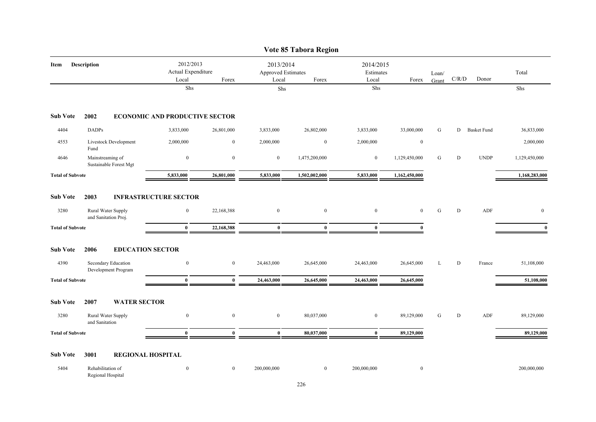|                                                    |                                            |                                          |              |                                          | Vote 85 Tabora Region |                                 |               |                |             |                    |               |
|----------------------------------------------------|--------------------------------------------|------------------------------------------|--------------|------------------------------------------|-----------------------|---------------------------------|---------------|----------------|-------------|--------------------|---------------|
| Item                                               | <b>Description</b>                         | 2012/2013<br>Actual Expenditure<br>Local | Forex        | 2013/2014<br>Approved Estimates<br>Local | Forex                 | 2014/2015<br>Estimates<br>Local | Forex         | Loan/<br>Grant | $\rm C/R/D$ | Donor              | Total         |
|                                                    |                                            | Shs                                      |              | Shs                                      |                       | Shs                             |               |                |             |                    | ${\rm Shs}$   |
| <b>Sub Vote</b>                                    | 2002                                       | <b>ECONOMIC AND PRODUCTIVE SECTOR</b>    |              |                                          |                       |                                 |               |                |             |                    |               |
| 4404                                               | <b>DADPs</b>                               | 3,833,000                                | 26,801,000   | 3,833,000                                | 26,802,000            | 3,833,000                       | 33,000,000    | G              | D           | <b>Basket Fund</b> | 36,833,000    |
| 4553                                               | Livestock Development<br>Fund              | 2,000,000                                | $\mathbf{0}$ | 2,000,000                                | $\boldsymbol{0}$      | 2,000,000                       | $\mathbf{0}$  |                |             |                    | 2,000,000     |
| 4646                                               | Mainstreaming of<br>Sustainable Forest Mgt | $\boldsymbol{0}$                         | $\mathbf{0}$ | $\boldsymbol{0}$                         | 1,475,200,000         | $\boldsymbol{0}$                | 1,129,450,000 | G              | $\mathbf D$ | <b>UNDP</b>        | 1,129,450,000 |
| <b>Total of Subvote</b>                            |                                            | 5,833,000                                | 26,801,000   | 5,833,000                                | 1,502,002,000         | 5,833,000                       | 1,162,450,000 |                |             |                    | 1,168,283,000 |
| <b>Sub Vote</b>                                    | 2003                                       | <b>INFRASTRUCTURE SECTOR</b>             |              |                                          |                       |                                 |               |                |             |                    |               |
| 3280<br>Rural Water Supply<br>and Sanitation Proj. |                                            | $\boldsymbol{0}$                         | 22,168,388   | $\mathbf{0}$                             | $\boldsymbol{0}$      | $\boldsymbol{0}$                | $\mathbf{0}$  | ${\bf G}$      | $\mathbf D$ | ADF                | $\mathbf{0}$  |
| <b>Total of Subvote</b>                            |                                            | $\bf{0}$                                 | 22,168,388   | $\bf{0}$                                 | $\bf{0}$              | $\bf{0}$                        | $\mathbf{0}$  |                |             |                    | $\mathbf{0}$  |
| <b>Sub Vote</b>                                    | 2006                                       | <b>EDUCATION SECTOR</b>                  |              |                                          |                       |                                 |               |                |             |                    |               |
| 4390                                               | Secondary Education<br>Development Program | $\bf{0}$                                 | $\bf{0}$     | 24,463,000                               | 26,645,000            | 24,463,000                      | 26,645,000    | L              | D           | France             | 51,108,000    |
| <b>Total of Subvote</b>                            |                                            | $\mathbf{0}$                             | $\mathbf{0}$ | 24,463,000                               | 26,645,000            | 24,463,000                      | 26,645,000    |                |             |                    | 51,108,000    |
| <b>Sub Vote</b>                                    | 2007<br><b>WATER SECTOR</b>                |                                          |              |                                          |                       |                                 |               |                |             |                    |               |
| 3280                                               | Rural Water Supply<br>and Sanitation       | $\boldsymbol{0}$                         | $\mathbf{0}$ | $\mathbf{0}$                             | 80,037,000            | $\boldsymbol{0}$                | 89,129,000    | G              | D           | ADF                | 89,129,000    |
| <b>Total of Subvote</b>                            |                                            | $\bf{0}$                                 | $\mathbf{0}$ | $\bf{0}$                                 | 80,037,000            | $\bf{0}$                        | 89,129,000    |                |             |                    | 89,129,000    |
| <b>Sub Vote</b>                                    | 3001                                       | <b>REGIONAL HOSPITAL</b>                 |              |                                          |                       |                                 |               |                |             |                    |               |
| 5404                                               | Rehabilitation of<br>Regional Hospital     | $\mathbf{0}$                             | $\mathbf{0}$ | 200,000,000                              | $\overline{0}$        | 200,000,000                     | $\mathbf{0}$  |                |             |                    | 200,000,000   |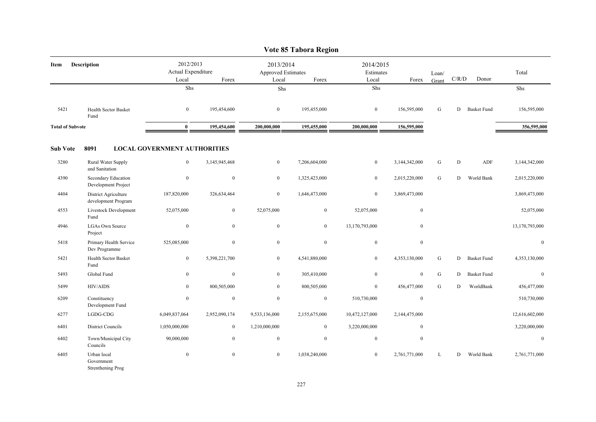|                         |                                                |                                          |                  |                                                 | Vote 85 Tabora Region |                                 |                  |                |                                        |                    |                |
|-------------------------|------------------------------------------------|------------------------------------------|------------------|-------------------------------------------------|-----------------------|---------------------------------|------------------|----------------|----------------------------------------|--------------------|----------------|
| Item                    | <b>Description</b>                             | 2012/2013<br>Actual Expenditure<br>Local | Forex            | 2013/2014<br><b>Approved Estimates</b><br>Local | Forex                 | 2014/2015<br>Estimates<br>Local | Forex            | Loan/<br>Grant | $\mathbf{C} / \mathbf{R} / \mathbf{D}$ | Donor              | Total          |
|                         |                                                | ${\rm Shs}$                              |                  | Shs                                             |                       | Shs                             |                  |                |                                        |                    | ${\rm Shs}$    |
| 5421                    | <b>Health Sector Basket</b><br>Fund            | $\overline{0}$                           | 195,454,600      | $\overline{0}$                                  | 195,455,000           | $\overline{0}$                  | 156,595,000      | G              | D                                      | <b>Basket Fund</b> | 156,595,000    |
| <b>Total of Subvote</b> |                                                | $\bf{0}$                                 | 195,454,600      | 200,000,000                                     | 195,455,000           | 200,000,000                     | 156,595,000      |                |                                        |                    | 356,595,000    |
| <b>Sub Vote</b>         | 8091                                           | <b>LOCAL GOVERNMENT AUTHORITIES</b>      |                  |                                                 |                       |                                 |                  |                |                                        |                    |                |
| 3280                    | Rural Water Supply<br>and Sanitation           | $\overline{0}$                           | 3,145,945,468    | $\overline{0}$                                  | 7,206,604,000         | $\bf{0}$                        | 3,144,342,000    | G              | ${\bf D}$                              | ADF                | 3,144,342,000  |
| 4390                    | Secondary Education<br>Development Project     | $\mathbf{0}$                             | $\mathbf{0}$     | $\overline{0}$                                  | 1,325,423,000         | $\boldsymbol{0}$                | 2,015,220,000    | ${\bf G}$      | D                                      | World Bank         | 2,015,220,000  |
| 4404                    | District Agriculture<br>development Program    | 187,820,000                              | 326,634,464      | $\overline{0}$                                  | 1,646,473,000         | $\bf{0}$                        | 3,869,473,000    |                |                                        |                    | 3,869,473,000  |
| 4553                    | Livestock Development<br>Fund                  | 52,075,000                               | $\mathbf{0}$     | 52,075,000                                      | $\overline{0}$        | 52,075,000                      | $\mathbf{0}$     |                |                                        |                    | 52,075,000     |
| 4946                    | <b>LGAs Own Source</b><br>Project              | $\mathbf{0}$                             | $\mathbf{0}$     | $\overline{0}$                                  | $\overline{0}$        | 13,170,793,000                  | $\mathbf{0}$     |                |                                        |                    | 13,170,793,000 |
| 5418                    | Primary Health Service<br>Dev Programme        | 525,085,000                              | $\mathbf{0}$     | $\overline{0}$                                  | $\boldsymbol{0}$      | $\boldsymbol{0}$                | $\boldsymbol{0}$ |                |                                        |                    | $\mathbf{0}$   |
| 5421                    | Health Sector Basket<br>Fund                   | $\boldsymbol{0}$                         | 5,398,221,700    | $\overline{0}$                                  | 4,541,880,000         | $\boldsymbol{0}$                | 4,353,130,000    | G              | D                                      | <b>Basket Fund</b> | 4,353,130,000  |
| 5493                    | Global Fund                                    | $\overline{0}$                           | $\mathbf{0}$     | $\overline{0}$                                  | 305,410,000           | $\boldsymbol{0}$                | $\mathbf{0}$     | ${\bf G}$      | D                                      | <b>Basket Fund</b> | $\mathbf{0}$   |
| 5499                    | <b>HIV/AIDS</b>                                | $\mathbf{0}$                             | 800,505,000      | $\overline{0}$                                  | 800,505,000           | $\boldsymbol{0}$                | 456,477,000      | G              | D                                      | WorldBank          | 456,477,000    |
| 6209                    | Constituency<br>Development Fund               | $\bf{0}$                                 | $\boldsymbol{0}$ | $\boldsymbol{0}$                                | $\boldsymbol{0}$      | 510,730,000                     | $\boldsymbol{0}$ |                |                                        |                    | 510,730,000    |
| 6277                    | LGDG-CDG                                       | 6,049,837,064                            | 2,952,090,174    | 9,533,136,000                                   | 2,155,675,000         | 10,472,127,000                  | 2,144,475,000    |                |                                        |                    | 12,616,602,000 |
| 6401                    | <b>District Councils</b>                       | 1,050,000,000                            | $\bf{0}$         | 1,210,000,000                                   | $\bf{0}$              | 3,220,000,000                   | $\mathbf{0}$     |                |                                        |                    | 3,220,000,000  |
| 6402                    | Town/Municipal City<br>Councils                | 90,000,000                               | $\mathbf{0}$     | $\overline{0}$                                  | $\mathbf{0}$          | $\mathbf{0}$                    | $\mathbf{0}$     |                |                                        |                    | $\mathbf{0}$   |
| 6405                    | Urban local<br>Government<br>Strenthening Prog | $\boldsymbol{0}$                         | $\mathbf{0}$     | $\overline{0}$                                  | 1,038,240,000         | $\boldsymbol{0}$                | 2,761,771,000    | L              | D                                      | World Bank         | 2,761,771,000  |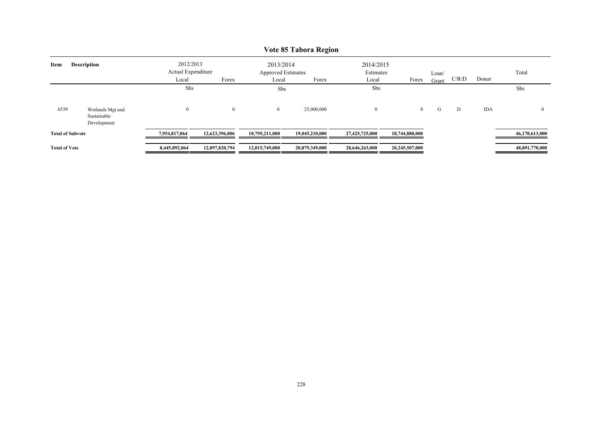|                            | V OLE OJ - L'ADOI A INE <u>V</u> IOII          |                                          |                |                                                 |                |                                 |                |                |       |            |                |  |  |  |
|----------------------------|------------------------------------------------|------------------------------------------|----------------|-------------------------------------------------|----------------|---------------------------------|----------------|----------------|-------|------------|----------------|--|--|--|
| <b>Description</b><br>Item |                                                | 2012/2013<br>Actual Expenditure<br>Local | Forex          | 2013/2014<br><b>Approved Estimates</b><br>Local | Forex          | 2014/2015<br>Estimates<br>Local | Forex          | Loan/<br>Grant | C/R/D | Donor      | Total          |  |  |  |
|                            |                                                | Shs                                      |                | Shs                                             |                | Shs                             |                |                |       |            | Shs            |  |  |  |
| 6539                       | Wetlands Mgt and<br>Sustainable<br>Development | $\theta$                                 | $\overline{0}$ | $\overline{0}$                                  | 25,000,000     | $\overline{0}$                  | $\overline{0}$ | G              | D     | <b>IDA</b> |                |  |  |  |
| <b>Total of Subvote</b>    |                                                | 7.954.817.064                            | 12,623,396,806 | 10,795,211,000                                  | 19.045.210.000 | 27,425,725,000                  | 18,744,888,000 |                |       |            | 46,170,613,000 |  |  |  |
| <b>Total of Vote</b>       |                                                | 8,445,892,064                            | 12,897,820,794 | 12,015,749,000                                  | 20,879,349,000 | 28,646,263,000                  | 20,245,507,000 |                |       |            | 48,891,770,000 |  |  |  |

# **Vote 85 Tabora Region**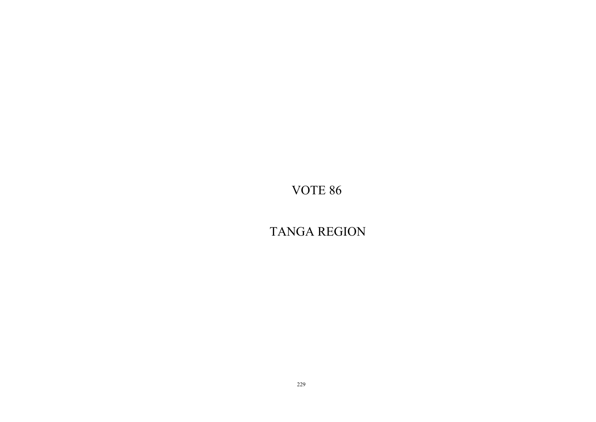TANGA REGION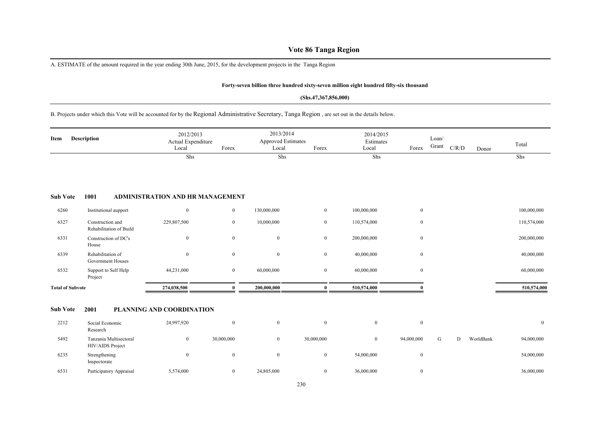# **Vote 86 Tanga Region**

A. ESTIMATE of the amount required in the year ending 30th June, 2015, for the development projects in the Tanga Region

### **Forty-seven billion three hundred sixty-seven million eight hundred fifty-six thousand**

### **(Shs.47,367,856,000)**

B. Projects under which this Vote will be accounted for by the Regional Administrative Secretary, Tanga Region , are set out in the details below.

| Item                    | <b>Description</b>                          | 2012/2013<br>Actual Expenditure<br>Local | Forex            | 2013/2014<br><b>Approved Estimates</b><br>Local | Forex            | 2014/2015<br>Estimates<br>Local | Forex            | Loan/<br>Grant | C/R/D | Donor     | Total          |
|-------------------------|---------------------------------------------|------------------------------------------|------------------|-------------------------------------------------|------------------|---------------------------------|------------------|----------------|-------|-----------|----------------|
|                         |                                             | Shs                                      |                  | Shs                                             |                  | Shs                             |                  |                |       |           | Shs            |
| <b>Sub Vote</b>         | 1001                                        | ADMINISTRATION AND HR MANAGEMENT         |                  |                                                 |                  |                                 |                  |                |       |           |                |
| 6260                    | Institutional aupport                       | $\mathbf{0}$                             | $\mathbf{0}$     | 130,000,000                                     | $\mathbf{0}$     | 100,000,000                     | $\mathbf{0}$     |                |       |           | 100,000,000    |
| 6327                    | Construction and<br>Rehabilitation of Build | 229,807,500                              | $\mathbf{0}$     | 10,000,000                                      | $\overline{0}$   | 110,574,000                     | $\boldsymbol{0}$ |                |       |           | 110,574,000    |
| 6331                    | Construction of DC's<br>House               | $\overline{0}$                           | $\overline{0}$   | $\mathbf{0}$                                    | $\mathbf{0}$     | 200,000,000                     | $\mathbf{0}$     |                |       |           | 200,000,000    |
| 6339                    | Rehabilitation of<br>Government Houses      | $\mathbf{0}$                             | $\boldsymbol{0}$ | $\bf{0}$                                        | $\mathbf{0}$     | 40,000,000                      | $\mathbf{0}$     |                |       |           | 40,000,000     |
| 6532                    | Support to Self Help<br>Project             | 44,231,000                               | $\overline{0}$   | 60,000,000                                      | $\mathbf{0}$     | 60,000,000                      | $\mathbf{0}$     |                |       |           | 60,000,000     |
| <b>Total of Subvote</b> |                                             | 274,038,500                              | $\mathbf{0}$     | 200,000,000                                     | $\bf{0}$         | 510,574,000                     |                  |                |       |           | 510,574,000    |
| <b>Sub Vote</b>         | 2001                                        | PLANNING AND COORDINATION                |                  |                                                 |                  |                                 |                  |                |       |           |                |
| 2212                    | Social Economic<br>Research                 | 24,997,920                               | $\bf{0}$         | $\mathbf{0}$                                    | $\bf{0}$         | $\mathbf{0}$                    | $\mathbf{0}$     |                |       |           | $\overline{0}$ |
| 5492                    | Tanzania Multisectoral<br>HIV/AIDS Project  | $\mathbf{0}$                             | 30,000,000       | $\mathbf{0}$                                    | 30,000,000       | $\mathbf{0}$                    | 94,000,000       | G              | D     | WorldBank | 94,000,000     |
| 6235                    | Strengthening<br>Inspectorate               | $\mathbf{0}$                             | $\bf{0}$         | $\bf{0}$                                        | $\mathbf{0}$     | 54,000,000                      | $\mathbf{0}$     |                |       |           | 54,000,000     |
| 6531                    | Participatory Appraisal                     | 5,574,000                                | $\overline{0}$   | 24,805,000                                      | $\boldsymbol{0}$ | 36,000,000                      | $\mathbf{0}$     |                |       |           | 36,000,000     |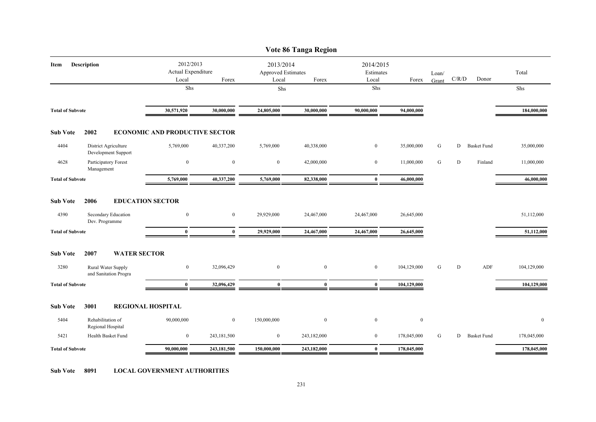|                         |                                             |                                          |                  |                                                 | Vote 86 Tanga Region |                                 |                  |                |       |                    |             |
|-------------------------|---------------------------------------------|------------------------------------------|------------------|-------------------------------------------------|----------------------|---------------------------------|------------------|----------------|-------|--------------------|-------------|
| Item                    | Description                                 | 2012/2013<br>Actual Expenditure<br>Local | Forex            | 2013/2014<br><b>Approved Estimates</b><br>Local | Forex                | 2014/2015<br>Estimates<br>Local | Forex            | Loan/<br>Grant | C/R/D | Donor              | Total       |
|                         |                                             | Shs                                      |                  | Shs                                             |                      | Shs                             |                  |                |       |                    | Shs         |
|                         |                                             |                                          |                  |                                                 |                      |                                 |                  |                |       |                    |             |
| <b>Total of Subvote</b> |                                             | 30,571,920                               | 30,000,000       | 24,805,000                                      | 30,000,000           | 90,000,000                      | 94,000,000       |                |       |                    | 184,000,000 |
| <b>Sub Vote</b>         | 2002                                        | <b>ECONOMIC AND PRODUCTIVE SECTOR</b>    |                  |                                                 |                      |                                 |                  |                |       |                    |             |
| 4404                    | District Agriculture<br>Development Support | 5,769,000                                | 40,337,200       | 5,769,000                                       | 40,338,000           | $\overline{0}$                  | 35,000,000       | G              | D     | <b>Basket Fund</b> | 35,000,000  |
| 4628                    | Participatory Forest<br>Management          | $\bf{0}$                                 | $\mathbf{0}$     | $\overline{0}$                                  | 42,000,000           | $\mathbf{0}$                    | 11,000,000       | G              | D     | Finland            | 11,000,000  |
| <b>Total of Subvote</b> |                                             | 5,769,000                                | 40,337,200       | 5,769,000                                       | 82,338,000           | $\bf{0}$                        | 46,000,000       |                |       |                    | 46,000,000  |
| <b>Sub Vote</b><br>4390 | 2006<br>Secondary Education                 | <b>EDUCATION SECTOR</b><br>$\mathbf{0}$  | $\overline{0}$   | 29,929,000                                      | 24,467,000           | 24,467,000                      | 26,645,000       |                |       |                    | 51,112,000  |
| <b>Total of Subvote</b> | Dev. Programme                              | $\bf{0}$                                 | $\mathbf{0}$     | 29,929,000                                      | 24,467,000           | 24,467,000                      | 26,645,000       |                |       |                    | 51,112,000  |
|                         |                                             |                                          |                  |                                                 |                      |                                 |                  |                |       |                    |             |
| <b>Sub Vote</b>         | 2007<br><b>WATER SECTOR</b>                 |                                          |                  |                                                 |                      |                                 |                  |                |       |                    |             |
| 3280                    | Rural Water Supply<br>and Sanitation Progra | $\overline{0}$                           | 32,096,429       | $\overline{0}$                                  | $\mathbf{0}$         | $\mathbf{0}$                    | 104,129,000      | G              | D     | ADF                | 104,129,000 |
| <b>Total of Subvote</b> |                                             | $\bf{0}$                                 | 32,096,429       | $\mathbf{0}$                                    | $\bf{0}$             | $\bf{0}$                        | 104,129,000      |                |       |                    | 104,129,000 |
| <b>Sub Vote</b>         | 3001                                        | <b>REGIONAL HOSPITAL</b>                 |                  |                                                 |                      |                                 |                  |                |       |                    |             |
| 5404                    | Rehabilitation of<br>Regional Hospital      | 90,000,000                               | $\boldsymbol{0}$ | 150,000,000                                     | $\bf{0}$             | $\boldsymbol{0}$                | $\boldsymbol{0}$ |                |       |                    | $\bf{0}$    |
| 5421                    | Health Basket Fund                          | $\mathbf{0}$                             | 243,181,500      | $\overline{0}$                                  | 243,182,000          | $\overline{0}$                  | 178,045,000      | G              | D     | <b>Basket Fund</b> | 178,045,000 |
| <b>Total of Subvote</b> |                                             | 90,000,000                               | 243,181,500      | 150,000,000                                     | 243,182,000          | $\bf{0}$                        | 178,045,000      |                |       |                    | 178,045,000 |

**Sub Vote 8091 LOCAL GOVERNMENT AUTHORITIES**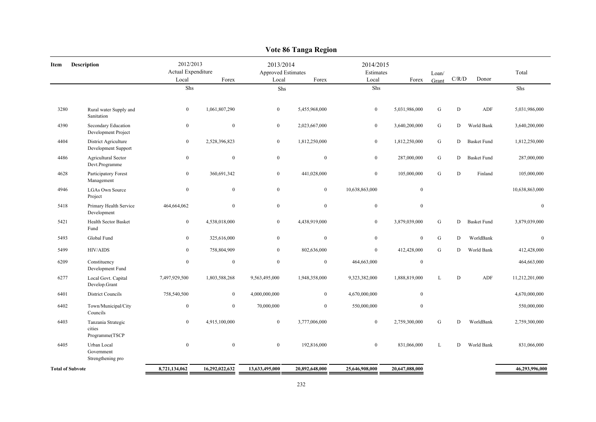|                         | v оце об танgа ке <u>д</u> іон                 |                                          |                  |                                                 |                  |                                 |                  |                |             |                    |                |  |  |
|-------------------------|------------------------------------------------|------------------------------------------|------------------|-------------------------------------------------|------------------|---------------------------------|------------------|----------------|-------------|--------------------|----------------|--|--|
| Item                    | Description                                    | 2012/2013<br>Actual Expenditure<br>Local | Forex            | 2013/2014<br><b>Approved Estimates</b><br>Local | Forex            | 2014/2015<br>Estimates<br>Local | Forex            | Loan/<br>Grant | C/R/D       | Donor              | Total          |  |  |
|                         |                                                | Shs                                      |                  | Shs                                             |                  | Shs                             |                  |                |             |                    | Shs            |  |  |
|                         |                                                |                                          |                  |                                                 |                  |                                 |                  |                |             |                    |                |  |  |
| 3280                    | Rural water Supply and<br>Sanitation           | $\mathbf{0}$                             | 1,061,807,290    | $\bf{0}$                                        | 5,455,968,000    | $\overline{0}$                  | 5,031,986,000    | ${\bf G}$      | $\mathbf D$ | ADF                | 5,031,986,000  |  |  |
| 4390                    | Secondary Education<br>Development Project     | $\mathbf{0}$                             | $\boldsymbol{0}$ | $\boldsymbol{0}$                                | 2,023,667,000    | $\overline{0}$                  | 3,640,200,000    | ${\bf G}$      | D           | World Bank         | 3,640,200,000  |  |  |
| 4404                    | District Agriculture<br>Development Support    | $\boldsymbol{0}$                         | 2,528,396,823    | $\boldsymbol{0}$                                | 1,812,250,000    | $\overline{0}$                  | 1,812,250,000    | ${\bf G}$      | D           | <b>Basket Fund</b> | 1,812,250,000  |  |  |
| 4486                    | Agricultural Sector<br>Devt.Programme          | $\mathbf{0}$                             | $\boldsymbol{0}$ | $\boldsymbol{0}$                                | $\mathbf{0}$     | $\boldsymbol{0}$                | 287,000,000      | ${\bf G}$      | D           | <b>Basket Fund</b> | 287,000,000    |  |  |
| 4628                    | Participatory Forest<br>Management             | $\mathbf{0}$                             | 360,691,342      | $\bf{0}$                                        | 441,028,000      | $\boldsymbol{0}$                | 105,000,000      | ${\bf G}$      | D           | Finland            | 105,000,000    |  |  |
| 4946                    | <b>LGAs Own Source</b><br>Project              | $\bf{0}$                                 | $\boldsymbol{0}$ | $\boldsymbol{0}$                                | $\boldsymbol{0}$ | 10,638,863,000                  | $\boldsymbol{0}$ |                |             |                    | 10,638,863,000 |  |  |
| 5418                    | Primary Health Service<br>Development          | 464,664,062                              | $\bf{0}$         | $\boldsymbol{0}$                                | $\mathbf{0}$     | $\boldsymbol{0}$                | $\boldsymbol{0}$ |                |             |                    | $\mathbf{0}$   |  |  |
| 5421                    | Health Sector Basket<br>Fund                   | $\mathbf{0}$                             | 4,538,018,000    | $\boldsymbol{0}$                                | 4,438,919,000    | $\overline{0}$                  | 3,879,039,000    | ${\bf G}$      | D           | <b>Basket Fund</b> | 3,879,039,000  |  |  |
| 5493                    | Global Fund                                    | $\boldsymbol{0}$                         | 325,616,000      | $\bf{0}$                                        | $\boldsymbol{0}$ | $\overline{0}$                  | $\mathbf{0}$     | ${\bf G}$      | D           | WorldBank          | $\mathbf{0}$   |  |  |
| 5499                    | <b>HIV/AIDS</b>                                | $\mathbf{0}$                             | 758,804,909      | $\mathbf{0}$                                    | 802,636,000      | $\overline{0}$                  | 412,428,000      | G              | D           | World Bank         | 412,428,000    |  |  |
| 6209                    | Constituency<br>Development Fund               | $\mathbf{0}$                             | $\bf{0}$         | $\mathbf{0}$                                    | $\mathbf{0}$     | 464,663,000                     | $\mathbf{0}$     |                |             |                    | 464,663,000    |  |  |
| 6277                    | Local Govt. Capital<br>Develop.Grant           | 7,497,929,500                            | 1,803,588,268    | 9,563,495,000                                   | 1,948,358,000    | 9,323,382,000                   | 1,888,819,000    | $\mathbf L$    | D           | ADF                | 11,212,201,000 |  |  |
| 6401                    | <b>District Councils</b>                       | 758,540,500                              | $\bf{0}$         | 4,000,000,000                                   | $\overline{0}$   | 4,670,000,000                   | $\mathbf{0}$     |                |             |                    | 4,670,000,000  |  |  |
| 6402                    | Town/Municipal/City<br>Councils                | $\boldsymbol{0}$                         | $\mathbf{0}$     | 70,000,000                                      | $\boldsymbol{0}$ | 550,000,000                     | $\theta$         |                |             |                    | 550,000,000    |  |  |
| 6403                    | Tanzania Strategic<br>cities<br>Programme(TSCP | $\mathbf{0}$                             | 4,915,100,000    | $\boldsymbol{0}$                                | 3,777,006,000    | $\boldsymbol{0}$                | 2,759,300,000    | ${\bf G}$      | D           | WorldBank          | 2,759,300,000  |  |  |
| 6405                    | Urban Local<br>Government<br>Strengthening pro | $\boldsymbol{0}$                         | $\boldsymbol{0}$ | $\boldsymbol{0}$                                | 192,816,000      | $\boldsymbol{0}$                | 831,066,000      | $\mathbf L$    | D           | World Bank         | 831,066,000    |  |  |
| <b>Total of Subvote</b> |                                                | 8,721,134,062                            | 16,292,022,632   | 13,633,495,000                                  | 20,892,648,000   | 25,646,908,000                  | 20,647,088,000   |                |             |                    | 46,293,996,000 |  |  |
|                         |                                                |                                          |                  |                                                 |                  |                                 |                  |                |             |                    |                |  |  |

# **Vote 86 Tanga Region**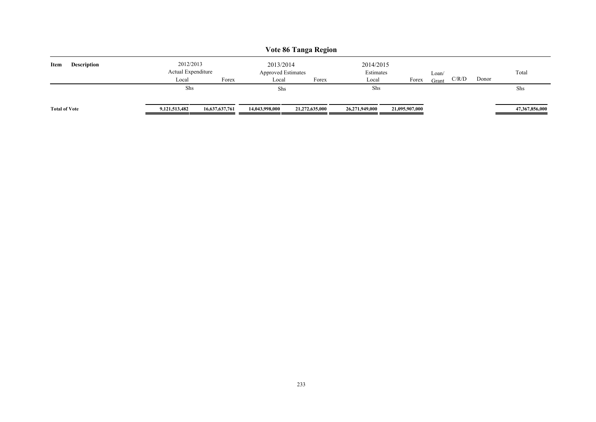| Vote 86 Tanga Region       |                                 |                |                                        |                |                        |                |       |       |       |                |  |  |
|----------------------------|---------------------------------|----------------|----------------------------------------|----------------|------------------------|----------------|-------|-------|-------|----------------|--|--|
| Item<br><b>Description</b> | 2012/2013<br>Actual Expenditure |                | 2013/2014<br><b>Approved Estimates</b> |                | 2014/2015<br>Estimates |                | Loan/ |       |       | Total          |  |  |
|                            | Local                           | Forex          | Local                                  | Forex          | Local                  | Forex          | Grant | C/R/D | Donor |                |  |  |
|                            | Shs                             |                | Shs                                    |                | Shs                    |                |       |       |       | Shs            |  |  |
| <b>Total of Vote</b>       | 9, 121, 513, 482                | 16,637,637,761 | 14,043,998,000                         | 21,272,635,000 | 26,271,949,000         | 21,095,907,000 |       |       |       | 47,367,856,000 |  |  |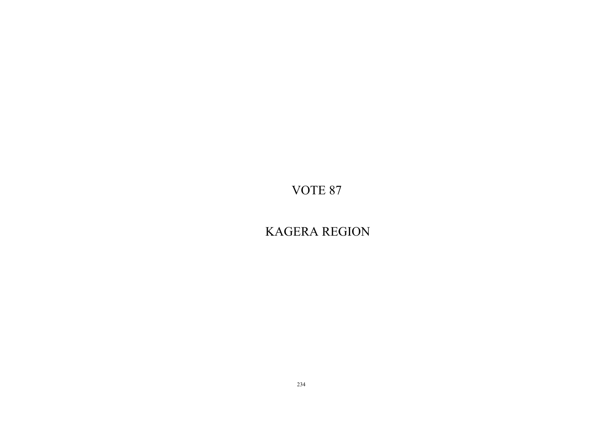KAGERA REGION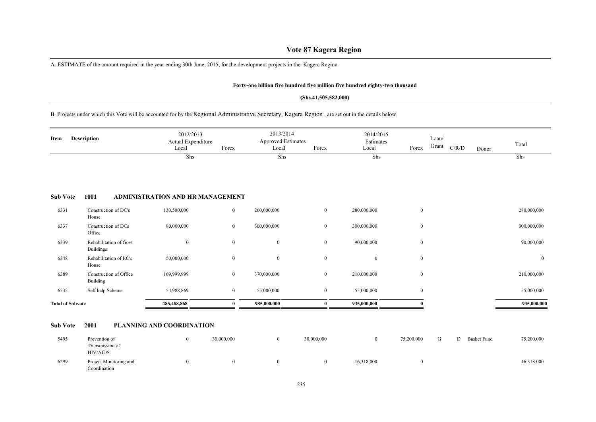# **Vote 87 Kagera Region**

A. ESTIMATE of the amount required in the year ending 30th June, 2015, for the development projects in the Kagera Region

### **Forty-one billion five hundred five million five hundred eighty-two thousand**

### **(Shs.41,505,582,000)**

# B. Projects under which this Vote will be accounted for by the Regional Administrative Secretary, Kagera Region , are set out in the details below.

| <b>Description</b><br>Item |                                            | 2012/2013<br>Actual Expenditure<br>Forex<br>Local |                | 2013/2014<br><b>Approved Estimates</b><br>Forex<br>Local |                | 2014/2015<br>Estimates<br>Local<br>Forex |              | Loan/<br>Grant | C/R/D | Donor | Total          |
|----------------------------|--------------------------------------------|---------------------------------------------------|----------------|----------------------------------------------------------|----------------|------------------------------------------|--------------|----------------|-------|-------|----------------|
|                            |                                            | Shs                                               |                | Shs                                                      |                | Shs                                      |              |                |       |       | Shs            |
| <b>Sub Vote</b>            | 1001                                       | ADMINISTRATION AND HR MANAGEMENT                  |                |                                                          |                |                                          |              |                |       |       |                |
| 6331                       | Construction of DC's<br>House              | 130,500,000                                       | $\mathbf{0}$   | 260,000,000                                              | $\overline{0}$ | 280,000,000                              | $\mathbf{0}$ |                |       |       | 280,000,000    |
| 6337                       | Construction of DCs<br>Office              | 80,000,000                                        | $\mathbf{0}$   | 300,000,000                                              | $\overline{0}$ | 300,000,000                              | $\mathbf{0}$ |                |       |       | 300,000,000    |
| 6339                       | Rehabilitation of Govt<br><b>Buildings</b> | $\mathbf{0}$                                      | $\bf{0}$       | $\mathbf{0}$                                             | $\overline{0}$ | 90,000,000                               | $\mathbf{0}$ |                |       |       | 90,000,000     |
| 6348                       | Rehabilitation of RC's<br>House            | 50,000,000                                        | $\overline{0}$ | $\mathbf{0}$                                             | $\mathbf{0}$   | $\overline{0}$                           | $\mathbf{0}$ |                |       |       | $\overline{0}$ |
| 6389                       | Construction of Office<br>Building         | 169,999,999                                       | $\mathbf{0}$   | 370,000,000                                              | $\overline{0}$ | 210,000,000                              | $\mathbf{0}$ |                |       |       | 210,000,000    |
| 6532                       | Self help Scheme                           | 54,988,869                                        | $\bf{0}$       | 55,000,000                                               | $\overline{0}$ | 55,000,000                               | $\mathbf{0}$ |                |       |       | 55,000,000     |
| <b>Total of Subvote</b>    |                                            | 485,488,868                                       | $\mathbf{0}$   | 985,000,000                                              | 0              | 935,000,000                              |              |                |       |       | 935,000,000    |

### **Sub Vote 2001 PLANNING AND COORDINATION**

| 5495 | Prevention of                          | 0 | 30,000,000 | 0          | 30,000,000 |            | 75,200,000 | U | Basket Fund | 75,200,000 |
|------|----------------------------------------|---|------------|------------|------------|------------|------------|---|-------------|------------|
|      | Transmission of<br>HIV/AIDS            |   |            |            |            |            |            |   |             |            |
| 6299 | Project Monitoring and<br>Coordination |   |            | $^{\circ}$ |            | 16,318,000 |            |   |             | 16,318,000 |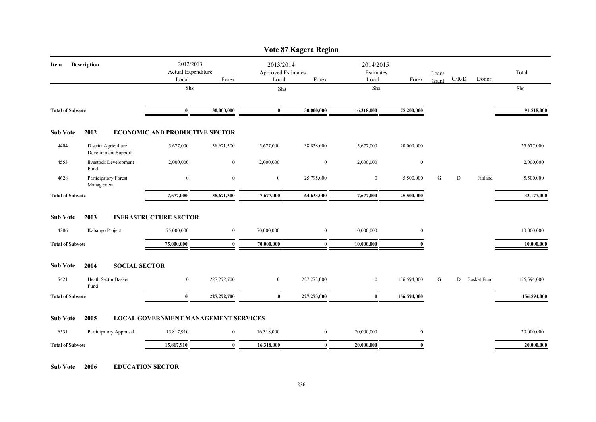|                         |                                             |                                             |                  |                                                 | Vote 87 Kagera Region |                                 |              |                |               |         |             |
|-------------------------|---------------------------------------------|---------------------------------------------|------------------|-------------------------------------------------|-----------------------|---------------------------------|--------------|----------------|---------------|---------|-------------|
| Item                    | <b>Description</b>                          | 2012/2013<br>Actual Expenditure<br>Local    | Forex            | 2013/2014<br><b>Approved Estimates</b><br>Local | Forex                 | 2014/2015<br>Estimates<br>Local | Forex        | Loan/<br>Grant | C/R/D         | Donor   | Total       |
|                         |                                             | Shs                                         |                  | Shs                                             |                       | Shs                             |              |                |               |         | Shs         |
|                         |                                             |                                             |                  |                                                 |                       |                                 |              |                |               |         |             |
| <b>Total of Subvote</b> |                                             | $\bf{0}$                                    | 30,000,000       | $\bf{0}$                                        | 30,000,000            | 16,318,000                      | 75,200,000   |                |               |         | 91,518,000  |
| <b>Sub Vote</b>         | 2002                                        | <b>ECONOMIC AND PRODUCTIVE SECTOR</b>       |                  |                                                 |                       |                                 |              |                |               |         |             |
| 4404                    | District Agriculture<br>Development Support | 5,677,000                                   | 38,671,300       | 5,677,000                                       | 38,838,000            | 5,677,000                       | 20,000,000   |                |               |         | 25,677,000  |
| 4553                    | livestock Development<br>Fund               | 2,000,000                                   | $\bf{0}$         | 2,000,000                                       | $\boldsymbol{0}$      | 2,000,000                       | $\bf{0}$     |                |               |         | 2,000,000   |
| 4628                    | Participatory Forest<br>Management          | $\overline{0}$                              | $\mathbf{0}$     | $\overline{0}$                                  | 25,795,000            | $\bf{0}$                        | 5,500,000    | G              | D             | Finland | 5,500,000   |
| <b>Total of Subvote</b> |                                             | 7,677,000                                   | 38,671,300       | 7,677,000                                       | 64,633,000            | 7,677,000                       | 25,500,000   |                |               |         | 33,177,000  |
| <b>Sub Vote</b><br>4286 | 2003<br>Kabango Project                     | <b>INFRASTRUCTURE SECTOR</b><br>75,000,000  | $\mathbf{0}$     | 70,000,000                                      | $\mathbf{0}$          | 10,000,000                      | $\mathbf{0}$ |                |               |         | 10,000,000  |
| <b>Total of Subvote</b> |                                             | 75,000,000                                  | $\bf{0}$         | 70,000,000                                      | $\bf{0}$              | 10,000,000                      | $\mathbf{0}$ |                |               |         | 10,000,000  |
|                         |                                             |                                             |                  |                                                 |                       |                                 |              |                |               |         |             |
| <b>Sub Vote</b>         | 2004<br><b>SOCIAL SECTOR</b>                |                                             |                  |                                                 |                       |                                 |              |                |               |         |             |
| 5421                    | Heath Sector Basket<br>Fund                 | $\overline{0}$                              | 227,272,700      | $\mathbf{0}$                                    | 227,273,000           | $\bf{0}$                        | 156,594,000  | G              | D Basket Fund |         | 156,594,000 |
| <b>Total of Subvote</b> |                                             | $\bf{0}$                                    | 227,272,700      | $\bf{0}$                                        | 227,273,000           | $\bf{0}$                        | 156,594,000  |                |               |         | 156,594,000 |
| <b>Sub Vote</b>         | 2005                                        | <b>LOCAL GOVERNMENT MANAGEMENT SERVICES</b> |                  |                                                 |                       |                                 |              |                |               |         |             |
| 6531                    | Participatory Appraisal                     | 15,817,910                                  | $\boldsymbol{0}$ | 16,318,000                                      | $\boldsymbol{0}$      | 20,000,000                      | $\mathbf{0}$ |                |               |         | 20,000,000  |
| <b>Total of Subvote</b> |                                             | 15,817,910                                  | $\mathbf{0}$     | 16,318,000                                      | $\mathbf{0}$          | 20,000,000                      | $\mathbf{0}$ |                |               |         | 20,000,000  |

**Sub Vote 2006 EDUCATION SECTOR**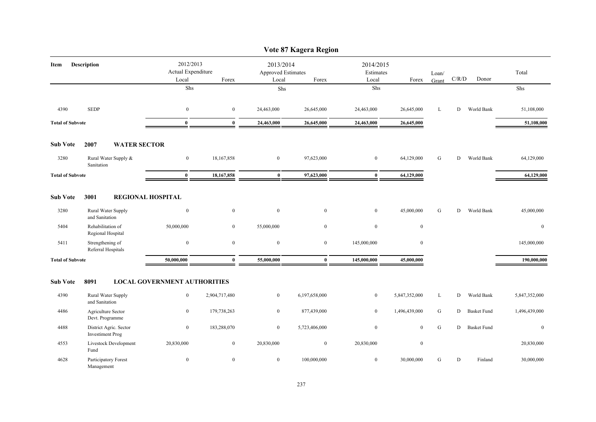|                         |                                                   |                                          |                  |                                          | Vote 87 Kagera Region |                                 |                  |                |             |                    |                  |
|-------------------------|---------------------------------------------------|------------------------------------------|------------------|------------------------------------------|-----------------------|---------------------------------|------------------|----------------|-------------|--------------------|------------------|
| Item                    | Description                                       | 2012/2013<br>Actual Expenditure<br>Local | Forex            | 2013/2014<br>Approved Estimates<br>Local | Forex                 | 2014/2015<br>Estimates<br>Local | Forex            | Loan/<br>Grant | $\rm C/R/D$ | Donor              | Total            |
|                         |                                                   | Shs                                      |                  | Shs                                      |                       | Shs                             |                  |                |             |                    | Shs              |
| 4390                    | <b>SEDP</b>                                       | $\bf{0}$                                 | $\overline{0}$   | 24,463,000                               | 26,645,000            | 24,463,000                      | 26,645,000       | L              | D           | World Bank         | 51,108,000       |
| <b>Total of Subvote</b> |                                                   | $\bf{0}$                                 | $\bf{0}$         | 24,463,000                               | 26,645,000            | 24,463,000                      | 26,645,000       |                |             |                    | 51,108,000       |
| <b>Sub Vote</b>         | 2007<br><b>WATER SECTOR</b>                       |                                          |                  |                                          |                       |                                 |                  |                |             |                    |                  |
| 3280                    | Rural Water Supply &<br>Sanitation                | $\mathbf{0}$                             | 18,167,858       | $\boldsymbol{0}$                         | 97,623,000            | $\bf{0}$                        | 64,129,000       | G              | D           | World Bank         | 64,129,000       |
| <b>Total of Subvote</b> |                                                   | $\bf{0}$                                 | 18,167,858       | $\bf{0}$                                 | 97,623,000            | $\bf{0}$                        | 64,129,000       |                |             |                    | 64,129,000       |
| <b>Sub Vote</b>         | 3001                                              | <b>REGIONAL HOSPITAL</b>                 |                  |                                          |                       |                                 |                  |                |             |                    |                  |
| 3280                    | Rural Water Supply<br>and Sanitation              | $\bf{0}$                                 | $\bf{0}$         | $\boldsymbol{0}$                         | $\bf{0}$              | $\bf{0}$                        | 45,000,000       | G              | D           | World Bank         | 45,000,000       |
| 5404                    | Rehabilitation of<br>Regional Hospital            | 50,000,000                               | $\boldsymbol{0}$ | 55,000,000                               | $\boldsymbol{0}$      | $\boldsymbol{0}$                | $\boldsymbol{0}$ |                |             |                    | $\boldsymbol{0}$ |
| 5411                    | Strengthening of<br>Referral Hospitals            | $\boldsymbol{0}$                         | $\boldsymbol{0}$ | $\boldsymbol{0}$                         | $\mathbf{0}$          | 145,000,000                     | $\boldsymbol{0}$ |                |             |                    | 145,000,000      |
| <b>Total of Subvote</b> |                                                   | 50,000,000                               | $\bf{0}$         | 55,000,000                               | $\bf{0}$              | 145,000,000                     | 45,000,000       |                |             |                    | 190,000,000      |
| <b>Sub Vote</b>         | 8091                                              | <b>LOCAL GOVERNMENT AUTHORITIES</b>      |                  |                                          |                       |                                 |                  |                |             |                    |                  |
| 4390                    | Rural Water Supply<br>and Sanitation              | $\boldsymbol{0}$                         | 2,904,717,480    | $\boldsymbol{0}$                         | 6,197,658,000         | $\bf{0}$                        | 5,847,352,000    | L              | D           | World Bank         | 5,847,352,000    |
| 4486                    | Agriculture Sector<br>Devt. Programme             | $\overline{0}$                           | 179,738,263      | $\overline{0}$                           | 877,439,000           | $\mathbf{0}$                    | 1,496,439,000    | ${\bf G}$      | D           | <b>Basket Fund</b> | 1,496,439,000    |
| 4488                    | District Agric. Sector<br><b>Investiment Prog</b> | $\overline{0}$                           | 183,288,070      | $\overline{0}$                           | 5,723,406,000         | $\mathbf{0}$                    | $\mathbf{0}$     | ${\bf G}$      | D           | <b>Basket Fund</b> | $\overline{0}$   |
| 4553                    | Livestock Development<br>Fund                     | 20,830,000                               | $\mathbf{0}$     | 20,830,000                               | $\mathbf{0}$          | 20,830,000                      | $\mathbf{0}$     |                |             |                    | 20,830,000       |
| 4628                    | Participatory Forest<br>Management                | $\mathbf{0}$                             | $\mathbf{0}$     | $\overline{0}$                           | 100,000,000           | $\mathbf{0}$                    | 30,000,000       | G              | D           | Finland            | 30,000,000       |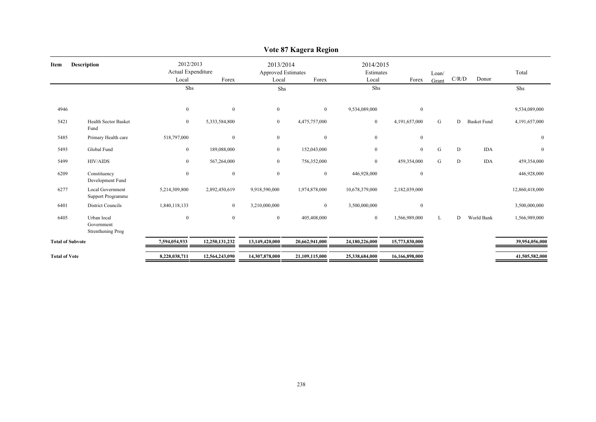| <b>Description</b><br>Item |                                                     | 2012/2013<br>Actual Expenditure<br>Local<br>Forex |                  | 2013/2014<br><b>Approved Estimates</b><br>Local | Forex          | 2014/2015<br>Estimates<br>Local | Forex            | Loan/<br>Grant | C/R/D | Donor              | Total          |
|----------------------------|-----------------------------------------------------|---------------------------------------------------|------------------|-------------------------------------------------|----------------|---------------------------------|------------------|----------------|-------|--------------------|----------------|
|                            |                                                     | Shs                                               |                  | Shs                                             |                | Shs                             |                  |                |       |                    | Shs            |
| 4946                       |                                                     | $\boldsymbol{0}$                                  | $\mathbf{0}$     | $\mathbf{0}$                                    | $\bf{0}$       | 9,534,089,000                   | $\boldsymbol{0}$ |                |       |                    | 9,534,089,000  |
| 5421                       | <b>Health Sector Basket</b><br>Fund                 | $\bf{0}$                                          | 5,333,584,800    | $\overline{0}$                                  | 4,475,757,000  | $\overline{0}$                  | 4,191,657,000    | G              | D     | <b>Basket Fund</b> | 4,191,657,000  |
| 5485                       | Primary Health care                                 | 518,797,000                                       | $\mathbf{0}$     | $\mathbf{0}$                                    | $\mathbf{0}$   | $\overline{0}$                  | $\bf{0}$         |                |       |                    | $\mathbf{0}$   |
| 5493                       | Global Fund                                         | $\boldsymbol{0}$                                  | 189,088,000      | $\overline{0}$                                  | 152,043,000    | $\overline{0}$                  | $\mathbf{0}$     | G              | D     | <b>IDA</b>         | $\mathbf{0}$   |
| 5499                       | HIV/AIDS                                            | $\mathbf{0}$                                      | 567,264,000      | $\overline{0}$                                  | 756,352,000    | $\overline{0}$                  | 459,354,000      | G              | D     | <b>IDA</b>         | 459,354,000    |
| 6209                       | Constituency<br>Development Fund                    | $\overline{0}$                                    | $\boldsymbol{0}$ | $\mathbf{0}$                                    | $\mathbf{0}$   | 446,928,000                     | $\mathbf{0}$     |                |       |                    | 446,928,000    |
| 6277                       | <b>Local Government</b><br><b>Support Programme</b> | 5,214,309,800                                     | 2,892,450,619    | 9,918,590,000                                   | 1,974,878,000  | 10,678,379,000                  | 2,182,039,000    |                |       |                    | 12,860,418,000 |
| 6401                       | <b>District Councils</b>                            | 1,840,118,133                                     | $\overline{0}$   | 3,210,000,000                                   | $\bf{0}$       | 3,500,000,000                   | $\mathbf{0}$     |                |       |                    | 3,500,000,000  |
| 6405                       | Urban local<br>Government<br>Strenthening Prog      | $\bf{0}$                                          | $\mathbf{0}$     | $\overline{0}$                                  | 405,408,000    | $\mathbf{0}$                    | 1,566,989,000    | L              | D     | World Bank         | 1,566,989,000  |
| <b>Total of Subvote</b>    |                                                     | 7,594,054,933                                     | 12,250,131,232   | 13,149,420,000                                  | 20,662,941,000 | 24,180,226,000                  | 15,773,830,000   |                |       |                    | 39,954,056,000 |
| <b>Total of Vote</b>       |                                                     | 8,228,038,711                                     | 12,564,243,090   | 14,307,878,000                                  | 21,109,115,000 | 25,338,684,000                  | 16,166,898,000   |                |       |                    | 41,505,582,000 |
|                            |                                                     |                                                   |                  |                                                 |                |                                 |                  |                |       |                    |                |

# **Vote 87 Kagera Region**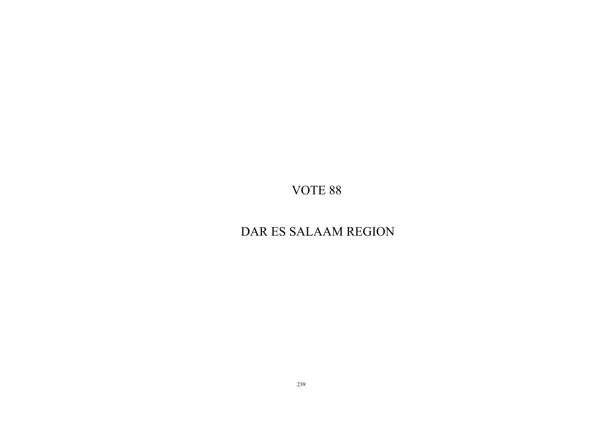# DAR ES SALAAM REGION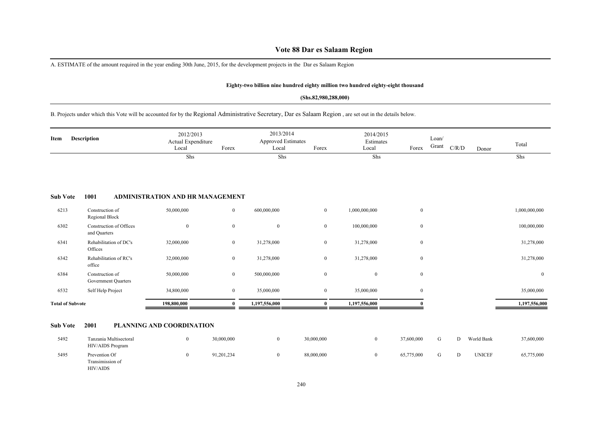# **Vote 88 Dar es Salaam Region**

A. ESTIMATE of the amount required in the year ending 30th June, 2015, for the development projects in the Dar es Salaam Region

### **Eighty-two billion nine hundred eighty million two hundred eighty-eight thousand**

### **(Shs.82,980,288,000)**

B. Projects under which this Vote will be accounted for by the Regional Administrative Secretary, Dar es Salaam Region , are set out in the details below.

| Item                    | <b>Description</b>                      | 2012/2013<br>Actual Expenditure<br>Local | Forex        | 2013/2014<br><b>Approved Estimates</b><br>Local | Forex            | 2014/2015<br>Estimates<br>Local | Forex        | Loan/<br>Grant | C/R/D | Donor | Total         |
|-------------------------|-----------------------------------------|------------------------------------------|--------------|-------------------------------------------------|------------------|---------------------------------|--------------|----------------|-------|-------|---------------|
|                         |                                         | Shs                                      |              | Shs                                             |                  | Shs                             |              |                |       |       | Shs           |
| <b>Sub Vote</b>         | 1001                                    | ADMINISTRATION AND HR MANAGEMENT         |              |                                                 |                  |                                 |              |                |       |       |               |
| 6213                    | Construction of<br>Regional Block       | 50,000,000                               | $\bf{0}$     | 600,000,000                                     | $\mathbf{0}$     | 1,000,000,000                   | $\mathbf{0}$ |                |       |       | 1,000,000,000 |
| 6302                    | Construction of Offices<br>and Quarters | $\mathbf{0}$                             | $\mathbf{0}$ | $\overline{0}$                                  | $\mathbf{0}$     | 100,000,000                     | $\bf{0}$     |                |       |       | 100,000,000   |
| 6341                    | Rehabilitation of DC's<br>Offices       | 32,000,000                               | $\mathbf{0}$ | 31,278,000                                      | $\mathbf{0}$     | 31,278,000                      | $\bf{0}$     |                |       |       | 31,278,000    |
| 6342                    | Rehabilitation of RC's<br>office        | 32,000,000                               | $\mathbf{0}$ | 31,278,000                                      | $\mathbf{0}$     | 31,278,000                      | $\mathbf{0}$ |                |       |       | 31,278,000    |
| 6384                    | Construction of<br>Government Quarters  | 50,000,000                               | $\mathbf{0}$ | 500,000,000                                     | $\mathbf{0}$     | $\overline{0}$                  | $\mathbf{0}$ |                |       |       | $\mathbf{0}$  |
| 6532                    | Self Help Project                       | 34,800,000                               | $\mathbf{0}$ | 35,000,000                                      | $\boldsymbol{0}$ | 35,000,000                      | $\bf{0}$     |                |       |       | 35,000,000    |
| <b>Total of Subvote</b> |                                         | 198,800,000                              | $\theta$     | 1,197,556,000                                   | 0                | 1,197,556,000                   |              |                |       |       | 1,197,556,000 |
|                         |                                         |                                          |              |                                                 |                  |                                 |              |                |       |       |               |

### **Sub Vote 2001 PLANNING AND COORDINATION**

| 5492 | Tanzania Multisectoral<br><b>HIV/AIDS</b> Program    | 30,000,000 | 30,000,000 | 37,600,000 |  | World Bank    | 37,600,000 |
|------|------------------------------------------------------|------------|------------|------------|--|---------------|------------|
| 5495 | Prevention Of<br>Transimission of<br><b>HIV/AIDS</b> | 91,201,234 | 88,000,000 | 65,775,000 |  | <b>UNICEF</b> | 65,775,000 |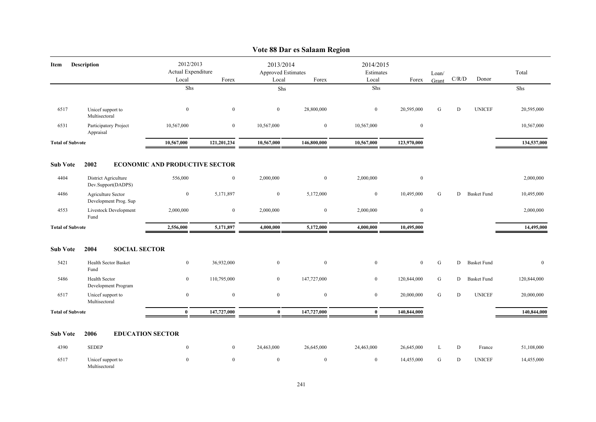|                         |                                             |                                          |                                                            |                | у оц оо наг су загааш гусдин    |                  |                  |           |           |                    |              |
|-------------------------|---------------------------------------------|------------------------------------------|------------------------------------------------------------|----------------|---------------------------------|------------------|------------------|-----------|-----------|--------------------|--------------|
| Item                    | <b>Description</b>                          | 2012/2013<br>Actual Expenditure<br>Local | 2013/2014<br>Approved Estimates<br>Forex<br>Forex<br>Local |                | 2014/2015<br>Estimates<br>Local | Forex            | Loan/<br>Grant   | C/R/D     | Donor     | Total              |              |
|                         |                                             | Shs                                      |                                                            | Shs            |                                 | Shs              |                  |           |           |                    | Shs          |
| 6517                    | Unicef support to<br>Multisectoral          | $\boldsymbol{0}$                         | $\mathbf{0}$                                               | $\mathbf{0}$   | 28,800,000                      | $\boldsymbol{0}$ | 20,595,000       | G         | D         | <b>UNICEF</b>      | 20,595,000   |
| 6531                    | Participatory Project<br>Appraisal          | 10,567,000                               | $\mathbf{0}$                                               | 10,567,000     | $\mathbf{0}$                    | 10,567,000       | $\mathbf{0}$     |           |           |                    | 10,567,000   |
| <b>Total of Subvote</b> |                                             | 10,567,000                               | 121,201,234                                                | 10,567,000     | 146,800,000                     | 10,567,000       | 123,970,000      |           |           |                    | 134,537,000  |
| <b>Sub Vote</b>         | 2002                                        | <b>ECONOMIC AND PRODUCTIVE SECTOR</b>    |                                                            |                |                                 |                  |                  |           |           |                    |              |
| 4404                    | District Agriculture<br>Dev.Support(DADPS)  | 556,000                                  | $\mathbf{0}$                                               | 2,000,000      | $\bf{0}$                        | 2,000,000        | $\boldsymbol{0}$ |           |           |                    | 2,000,000    |
| 4486                    | Agriculture Sector<br>Development Prog. Sup | $\boldsymbol{0}$                         | 5,171,897                                                  | $\overline{0}$ | 5,172,000                       | $\boldsymbol{0}$ | 10,495,000       | G         | D         | <b>Basket Fund</b> | 10,495,000   |
| 4553                    | Livestock Development<br>Fund               | 2,000,000                                | $\boldsymbol{0}$                                           | 2,000,000      | $\boldsymbol{0}$                | 2,000,000        | $\boldsymbol{0}$ |           |           |                    | 2,000,000    |
| <b>Total of Subvote</b> |                                             | 2,556,000                                | 5,171,897                                                  | 4,000,000      | 5,172,000                       | 4,000,000        | 10,495,000       |           |           |                    | 14,495,000   |
| <b>Sub Vote</b>         | <b>SOCIAL SECTOR</b><br>2004                |                                          |                                                            |                |                                 |                  |                  |           |           |                    |              |
| 5421                    | <b>Health Sector Basket</b><br>Fund         | $\boldsymbol{0}$                         | 36,932,000                                                 | $\mathbf{0}$   | $\boldsymbol{0}$                | $\boldsymbol{0}$ | $\mathbf{0}$     | ${\bf G}$ | D         | <b>Basket Fund</b> | $\mathbf{0}$ |
| 5486                    | Health Sector<br>Development Program        | $\mathbf{0}$                             | 110,795,000                                                | $\overline{0}$ | 147,727,000                     | $\overline{0}$   | 120,844,000      | ${\bf G}$ | D         | <b>Basket Fund</b> | 120,844,000  |
| 6517                    | Unicef support to<br>Multisectoral          | $\bf{0}$                                 | $\mathbf{0}$                                               | $\overline{0}$ | $\bf{0}$                        | $\bf{0}$         | 20,000,000       | G         | D         | <b>UNICEF</b>      | 20,000,000   |
| <b>Total of Subvote</b> |                                             | $\bf{0}$                                 | 147,727,000                                                | $\bf{0}$       | 147,727,000                     | $\bf{0}$         | 140,844,000      |           |           |                    | 140,844,000  |
| <b>Sub Vote</b>         | 2006<br><b>EDUCATION SECTOR</b>             |                                          |                                                            |                |                                 |                  |                  |           |           |                    |              |
| 4390                    | <b>SEDEP</b>                                | $\mathbf{0}$                             | $\mathbf{0}$                                               | 24,463,000     | 26,645,000                      | 24,463,000       | 26,645,000       | L         | ${\bf D}$ | France             | 51,108,000   |
| 6517                    | Unicef support to<br>Multisectoral          | $\Omega$                                 | $\mathbf{0}$                                               | $\mathbf{0}$   | $\mathbf{0}$                    | $\mathbf{0}$     | 14,455,000       | G         | D         | <b>UNICEF</b>      | 14,455,000   |

### **Vote 88 Dar es Salaam Region**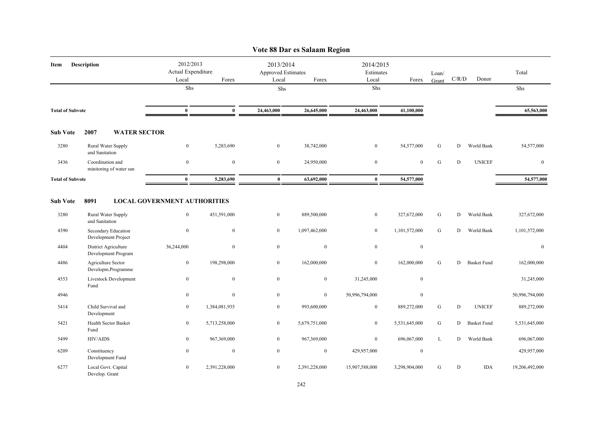|                         |                                             |                                          |                  |                                          | Vote 88 Dar es Salaam Region |                                 |                  |                |       |                    |                |
|-------------------------|---------------------------------------------|------------------------------------------|------------------|------------------------------------------|------------------------------|---------------------------------|------------------|----------------|-------|--------------------|----------------|
| Item                    | <b>Description</b>                          | 2012/2013<br>Actual Expenditure<br>Local | Forex            | 2013/2014<br>Approved Estimates<br>Local | Forex                        | 2014/2015<br>Estimates<br>Local | Forex            | Loan/<br>Grant | C/R/D | Donor              | Total          |
|                         |                                             | Shs                                      |                  | Shs                                      |                              | Shs                             |                  |                |       |                    | Shs            |
| <b>Total of Subvote</b> |                                             | $\bf{0}$                                 | $\bf{0}$         | 24,463,000                               | 26,645,000                   | 24,463,000                      | 41,100,000       |                |       |                    | 65,563,000     |
| <b>Sub Vote</b>         | 2007<br><b>WATER SECTOR</b>                 |                                          |                  |                                          |                              |                                 |                  |                |       |                    |                |
| 3280                    | Rural Water Supply<br>and Sanitation        | $\boldsymbol{0}$                         | 5,283,690        | $\overline{0}$                           | 38,742,000                   | $\bf{0}$                        | 54,577,000       | G              | D     | World Bank         | 54,577,000     |
| 3436                    | Coordination and<br>minitoring of water san | $\mathbf{0}$                             | $\boldsymbol{0}$ | $\mathbf{0}$                             | 24,950,000                   | $\boldsymbol{0}$                | $\mathbf{0}$     | ${\bf G}$      | D     | <b>UNICEF</b>      | $\mathbf{0}$   |
| <b>Total of Subvote</b> |                                             | $\bf{0}$                                 | 5,283,690        | $\bf{0}$                                 | 63,692,000                   | $\bf{0}$                        | 54,577,000       |                |       |                    | 54,577,000     |
| <b>Sub Vote</b>         | 8091                                        | <b>LOCAL GOVERNMENT AUTHORITIES</b>      |                  |                                          |                              |                                 |                  |                |       |                    |                |
| 3280                    | Rural Water Supply<br>and Sanitation        | $\mathbf{0}$                             | 451,591,000      | $\mathbf{0}$                             | 889,500,000                  | $\boldsymbol{0}$                | 327,672,000      | ${\bf G}$      | D     | World Bank         | 327,672,000    |
| 4390                    | Secondary Education<br>Development Project  | $\mathbf{0}$                             | $\mathbf{0}$     | $\mathbf{0}$                             | 1,097,462,000                | $\boldsymbol{0}$                | 1,101,572,000    | ${\bf G}$      | D     | World Bank         | 1,101,572,000  |
| 4404                    | District Agriculture<br>Development Program | 36,244,000                               | $\mathbf{0}$     | $\overline{0}$                           | $\overline{0}$               | $\mathbf{0}$                    | $\boldsymbol{0}$ |                |       |                    | $\bf{0}$       |
| 4486                    | Agriculture Sector<br>Developm.Programme    | $\bf{0}$                                 | 198,298,000      | $\mathbf{0}$                             | 162,000,000                  | $\boldsymbol{0}$                | 162,000,000      | G              | D     | <b>Basket Fund</b> | 162,000,000    |
| 4553                    | Livestock Development<br>Fund               | $\bf{0}$                                 | $\mathbf{0}$     | $\overline{0}$                           | $\mathbf{0}$                 | 31,245,000                      | $\mathbf{0}$     |                |       |                    | 31,245,000     |
| 4946                    |                                             | $\boldsymbol{0}$                         | $\mathbf{0}$     | $\bf{0}$                                 | $\bf{0}$                     | 50,996,794,000                  | $\bf{0}$         |                |       |                    | 50,996,794,000 |
| 5414                    | Child Survival and<br>Development           | $\bf{0}$                                 | 1,384,081,935    | $\bf{0}$                                 | 993,600,000                  | $\bf{0}$                        | 889,272,000      | G              | D     | <b>UNICEF</b>      | 889,272,000    |
| 5421                    | <b>Health Sector Basket</b><br>Fund         | $\boldsymbol{0}$                         | 5,713,258,000    | $\boldsymbol{0}$                         | 5,679,751,000                | $\boldsymbol{0}$                | 5,531,645,000    | ${\bf G}$      | D     | <b>Basket Fund</b> | 5,531,645,000  |
| 5499                    | <b>HIV/AIDS</b>                             | $\bf{0}$                                 | 967,369,000      | $\boldsymbol{0}$                         | 967,369,000                  | $\boldsymbol{0}$                | 696,067,000      | L              | D     | World Bank         | 696,067,000    |
| 6209                    | Constituency<br>Development Fund            | $\boldsymbol{0}$                         | $\bf{0}$         | $\bf{0}$                                 | $\bf{0}$                     | 429,957,000                     | $\boldsymbol{0}$ |                |       |                    | 429,957,000    |
| 6277                    | Local Govt. Capital<br>Develop. Grant       | $\bf{0}$                                 | 2,391,228,000    | $\overline{0}$                           | 2,391,228,000                | 15,907,588,000                  | 3,298,904,000    | G              | D     | <b>IDA</b>         | 19,206,492,000 |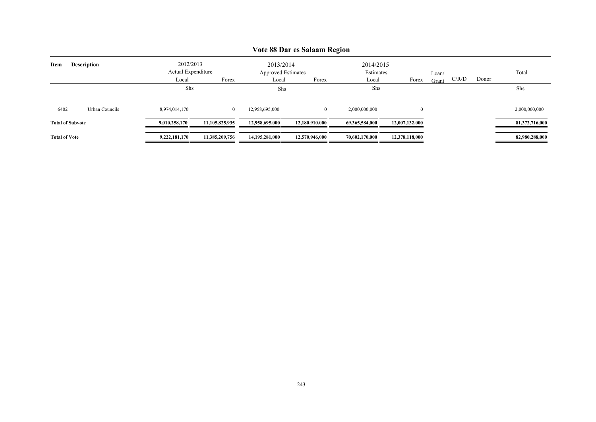|                      |                         |               |                                                                                                       |                | v ote oo Dar es banaam region |                |                |       |       |       |                |
|----------------------|-------------------------|---------------|-------------------------------------------------------------------------------------------------------|----------------|-------------------------------|----------------|----------------|-------|-------|-------|----------------|
| Item                 | <b>Description</b>      |               | 2012/2013<br>2014/2015<br>2013/2014<br>Actual Expenditure<br>Estimates<br>Approved Estimates<br>Loan/ |                |                               |                |                |       | Total |       |                |
|                      |                         | Local         | Forex                                                                                                 | Local          | Forex                         | Local          | Forex          | Grant | C/R/D | Donor |                |
|                      |                         | Shs           |                                                                                                       | Shs            |                               | Shs            |                |       |       |       | Shs            |
| 6402                 | Urban Councils          | 8,974,014,170 | $\bf{0}$                                                                                              | 12,958,695,000 | $\overline{0}$                | 2,000,000,000  | $\overline{0}$ |       |       |       | 2,000,000,000  |
|                      |                         |               |                                                                                                       |                |                               |                |                |       |       |       |                |
|                      | <b>Total of Subvote</b> | 9,010,258,170 | 11,105,825,935                                                                                        | 12.958.695.000 | 12,180,910,000                | 69.365.584.000 | 12,007,132,000 |       |       |       | 81,372,716,000 |
| <b>Total of Vote</b> |                         | 9,222,181,170 | 11,385,209,756                                                                                        | 14,195,281,000 | 12,570,946,000                | 70,602,170,000 | 12,378,118,000 |       |       |       | 82,980,288,000 |

### **Vote 88 Dar es Salaam Region**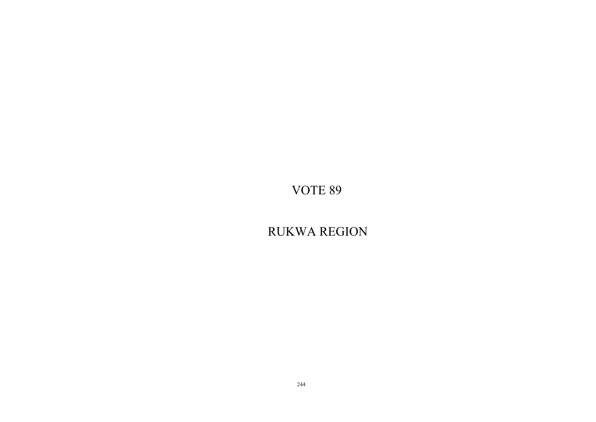RUKWA REGION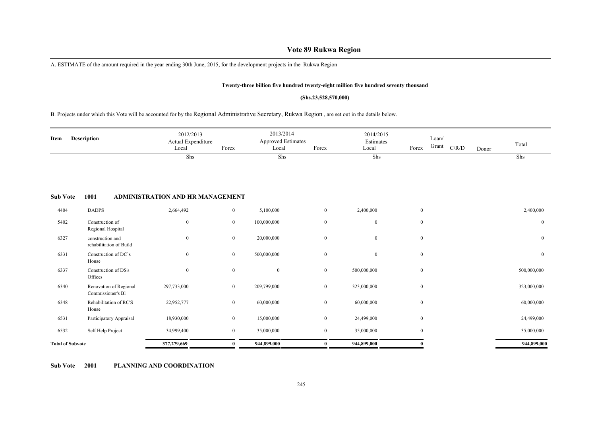# **Vote 89 Rukwa Region**

A. ESTIMATE of the amount required in the year ending 30th June, 2015, for the development projects in the Rukwa Region

### **Twenty-three billion five hundred twenty-eight million five hundred seventy thousand**

### **(Shs.23,528,570,000)**

# B. Projects under which this Vote will be accounted for by the Regional Administrative Secretary, Rukwa Region , are set out in the details below.

| Item                    | Description                                 | 2012/2013<br>Actual Expenditure<br>Local | Forex            | 2013/2014<br><b>Approved Estimates</b><br>Local | Forex          | 2014/2015<br>Estimates<br>Local | Forex            | Loan/<br>Grant | C/R/D | Donor | Total            |
|-------------------------|---------------------------------------------|------------------------------------------|------------------|-------------------------------------------------|----------------|---------------------------------|------------------|----------------|-------|-------|------------------|
|                         |                                             | Shs                                      |                  | Shs                                             |                | Shs                             |                  |                |       |       | Shs              |
| <b>Sub Vote</b>         | 1001                                        | ADMINISTRATION AND HR MANAGEMENT         |                  |                                                 |                |                                 |                  |                |       |       |                  |
| 4404                    | <b>DADPS</b>                                | 2,664,492                                | $\overline{0}$   | 5,100,000                                       | $\overline{0}$ | 2,400,000                       | $\mathbf{0}$     |                |       |       | 2,400,000        |
| 5402                    | Construction of<br>Regional Hospital        | $\mathbf{0}$                             | $\overline{0}$   | 100,000,000                                     | $\mathbf{0}$   | $\mathbf{0}$                    | $\mathbf{0}$     |                |       |       | $\mathbf{0}$     |
| 6327                    | construction and<br>rehabilitation of Build | $\mathbf{0}$                             | $\bf{0}$         | 20,000,000                                      | $\mathbf{0}$   | $\overline{0}$                  | $\mathbf{0}$     |                |       |       | $\mathbf{0}$     |
| 6331                    | Construction of DC's<br>House               | $\mathbf{0}$                             | $\mathbf{0}$     | 500,000,000                                     | $\mathbf{0}$   | $\overline{0}$                  | $\mathbf{0}$     |                |       |       | $\boldsymbol{0}$ |
| 6337                    | Construction of DS's<br>Offices             | $\mathbf{0}$                             | $\boldsymbol{0}$ | $\boldsymbol{0}$                                | $\bf{0}$       | 500,000,000                     | $\bf{0}$         |                |       |       | 500,000,000      |
| 6340                    | Renovation of Regional<br>Commissioner's Bl | 297,733,000                              | $\overline{0}$   | 209,799,000                                     | $\overline{0}$ | 323,000,000                     | $\mathbf{0}$     |                |       |       | 323,000,000      |
| 6348                    | Rehabilitation of RC'S<br>House             | 22,952,777                               | $\mathbf{0}$     | 60,000,000                                      | $\overline{0}$ | 60,000,000                      | $\mathbf{0}$     |                |       |       | 60,000,000       |
| 6531                    | Participatory Appraisal                     | 18,930,000                               | $\bf{0}$         | 15,000,000                                      | $\overline{0}$ | 24,499,000                      | $\mathbf{0}$     |                |       |       | 24,499,000       |
| 6532                    | Self Help Project                           | 34,999,400                               | $\mathbf{0}$     | 35,000,000                                      | $\overline{0}$ | 35,000,000                      | $\boldsymbol{0}$ |                |       |       | 35,000,000       |
| <b>Total of Subvote</b> |                                             | 377,279,669                              | $\mathbf{0}$     | 944,899,000                                     | $\mathbf{0}$   | 944,899,000                     | $\Omega$         |                |       |       | 944,899,000      |

**Sub Vote 2001 PLANNING AND COORDINATION**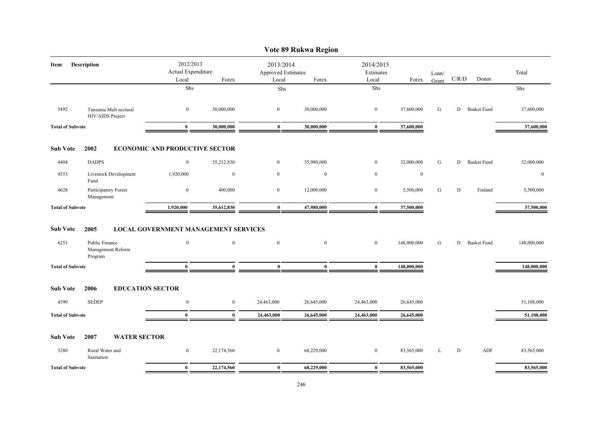|                            |                                                |                                                   |                  |                  | Vote 89 Rukwa Region                     |                  |             |                |           |                    |              |
|----------------------------|------------------------------------------------|---------------------------------------------------|------------------|------------------|------------------------------------------|------------------|-------------|----------------|-----------|--------------------|--------------|
| <b>Description</b><br>Item |                                                | 2012/2013<br>Actual Expenditure<br>Forex<br>Local |                  | Local            | 2013/2014<br>Approved Estimates<br>Forex |                  | Forex       | Loan/<br>Grant | C/R/D     | Donor              | Total        |
|                            |                                                | Shs                                               |                  | Shs              |                                          | Shs              |             |                |           |                    | Shs          |
| 5492                       | Tanzania Mult sectural<br>HIV/AIDS Project     | $\mathbf{0}$                                      | 30,000,000       | $\mathbf{0}$     | 30,000,000                               | $\mathbf{0}$     | 37,600,000  | G              | D         | <b>Basket Fund</b> | 37,600,000   |
| <b>Total of Subvote</b>    |                                                | $\bf{0}$                                          | 30,000,000       | $\pmb{0}$        | 30,000,000                               | $\bf{0}$         | 37,600,000  |                |           |                    | 37,600,000   |
| <b>Sub Vote</b>            | 2002                                           | <b>ECONOMIC AND PRODUCTIVE SECTOR</b>             |                  |                  |                                          |                  |             |                |           |                    |              |
| 4404                       | <b>DADPS</b>                                   | $\bf{0}$                                          | 35,212,830       | $\bf{0}$         | 35,980,000                               | $\mathbf{0}$     | 32,000,000  | G              | D         | <b>Basket Fund</b> | 32,000,000   |
| 4553                       | Livestock Development<br>Fund                  | 1,920,000                                         | $\mathbf{0}$     | $\mathbf{0}$     | $\mathbf{0}$                             | $\mathbf{0}$     | $\bf{0}$    |                |           |                    | $\mathbf{0}$ |
| 4628                       | Participatory Forest<br>Management             | $\bf{0}$                                          | 400,000          | $\bf{0}$         | 12,000,000                               | $\boldsymbol{0}$ | 5,500,000   | ${\bf G}$      | ${\rm D}$ | Finland            | 5,500,000    |
| <b>Total of Subvote</b>    |                                                | 1,920,000                                         | 35,612,830       | $\bf{0}$         | 47,980,000                               | $\bf{0}$         | 37,500,000  |                |           |                    | 37,500,000   |
| <b>Sub Vote</b>            | 2005                                           | <b>LOCAL GOVERNMENT MANAGEMENT SERVICES</b>       |                  |                  |                                          |                  |             |                |           |                    |              |
| 6251                       | Public Finance<br>Management Reform<br>Program | $\mathbf{0}$                                      | $\boldsymbol{0}$ | $\mathbf{0}$     | $\mathbf{0}$                             | $\mathbf{0}$     | 148,000,000 | G              | D         | <b>Basket Fund</b> | 148,000,000  |
| <b>Total of Subvote</b>    |                                                | $\mathbf{0}$                                      | $\mathbf{0}$     | $\bf{0}$         | $\bf{0}$                                 | $\bf{0}$         | 148,000,000 |                |           |                    | 148,000,000  |
| <b>Sub Vote</b>            | 2006<br><b>EDUCATION SECTOR</b>                |                                                   |                  |                  |                                          |                  |             |                |           |                    |              |
| 4390                       | <b>SEDEP</b>                                   | $\boldsymbol{0}$                                  | $\mathbf{0}$     | 24,463,000       | 26,645,000                               | 24,463,000       | 26,645,000  |                |           |                    | 51,108,000   |
| <b>Total of Subvote</b>    |                                                | $\bf{0}$                                          | $\bf{0}$         | 24,463,000       | 26,645,000                               | 24,463,000       | 26,645,000  |                |           |                    | 51,108,000   |
| <b>Sub Vote</b>            | <b>WATER SECTOR</b><br>2007                    |                                                   |                  |                  |                                          |                  |             |                |           |                    |              |
| 3280                       | Rural Water and<br>Sanitation                  | $\boldsymbol{0}$                                  | 22,174,560       | $\boldsymbol{0}$ | 68,229,000                               | $\boldsymbol{0}$ | 83,565,000  | L              | ${\rm D}$ | ADF                | 83,565,000   |
| <b>Total of Subvote</b>    |                                                | $\bf{0}$                                          | 22,174,560       | $\bf{0}$         | 68,229,000                               | $\bf{0}$         | 83,565,000  |                |           |                    | 83,565,000   |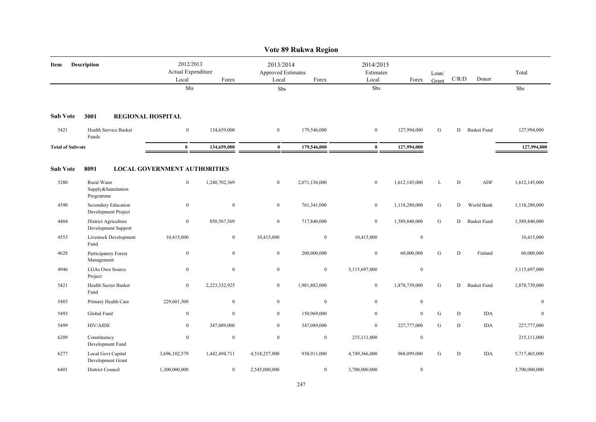|                         |                                                |                                                   |               |                  | Vote 89 Rukwa Region                     |                  |                                 |                |           |                    |               |
|-------------------------|------------------------------------------------|---------------------------------------------------|---------------|------------------|------------------------------------------|------------------|---------------------------------|----------------|-----------|--------------------|---------------|
| Description<br>Item     |                                                | 2012/2013<br>Actual Expenditure<br>Forex<br>Local |               | Local            | 2013/2014<br>Approved Estimates<br>Forex |                  | 2014/2015<br>Estimates<br>Forex | Loan/<br>Grant | C/R/D     | Donor              | Total         |
|                         |                                                | Shs                                               |               | Shs              |                                          | Shs              |                                 |                |           |                    | Shs           |
| <b>Sub Vote</b>         | 3001<br><b>REGIONAL HOSPITAL</b>               |                                                   |               |                  |                                          |                  |                                 |                |           |                    |               |
| 5421                    | Health Service Basket<br>Funds                 | $\mathbf{0}$                                      | 134,659,000   | $\overline{0}$   | 179,546,000                              | $\mathbf{0}$     | 127,994,000                     | G              | D         | <b>Basket Fund</b> | 127,994,000   |
| <b>Total of Subvote</b> |                                                | $\mathbf{0}$                                      | 134,659,000   | $\mathbf{0}$     | 179,546,000                              | $\bf{0}$         | 127,994,000                     |                |           |                    | 127,994,000   |
| <b>Sub Vote</b>         | 8091                                           | <b>LOCAL GOVERNMENT AUTHORITIES</b>               |               |                  |                                          |                  |                                 |                |           |                    |               |
| 3280                    | Rural Water<br>Supply&Sannitation<br>Programme | $\boldsymbol{0}$                                  | 1,240,702,369 | $\overline{0}$   | 2,071,136,000                            | $\boldsymbol{0}$ | 1,612,145,000                   | L              | ${\rm D}$ | ADF                | 1,612,145,000 |
| 4390                    | Secondary Education<br>Development Project     | $\bf{0}$                                          | $\mathbf{0}$  | $\overline{0}$   | 761,341,000                              | $\bf{0}$         | 1,118,280,000                   | G              | D         | World Bank         | 1,118,280,000 |
| 4404                    | District Agriculture<br>Development Support    | $\boldsymbol{0}$                                  | 850,567,569   | $\mathbf{0}$     | 717,840,000                              | $\boldsymbol{0}$ | 1,589,840,000                   | ${\bf G}$      | D         | <b>Basket Fund</b> | 1,589,840,000 |
| 4553                    | Livestock Development<br>Fund                  | 10,415,000                                        | $\mathbf{0}$  | 10,415,000       | $\boldsymbol{0}$                         | 10,415,000       | $\boldsymbol{0}$                |                |           |                    | 10,415,000    |
| 4628                    | Participatory Forest<br>Management             | $\boldsymbol{0}$                                  | $\mathbf{0}$  | $\overline{0}$   | 200,000,000                              | $\boldsymbol{0}$ | 60,000,000                      | G              | ${\rm D}$ | Finland            | 60,000,000    |
| 4946                    | <b>LGAs Own Source</b><br>Project              | $\boldsymbol{0}$                                  | $\mathbf{0}$  | $\boldsymbol{0}$ | $\boldsymbol{0}$                         | 3,115,697,000    | $\boldsymbol{0}$                |                |           |                    | 3,115,697,000 |
| 5421                    | <b>Health Sector Basket</b><br>Fund            | $\mathbf{0}$                                      | 2,223,332,925 | $\overline{0}$   | 1,981,882,000                            | $\mathbf{0}$     | 1,878,739,000                   | G              | D         | <b>Basket Fund</b> | 1,878,739,000 |
| 5485                    | Primary Health Care                            | 229,601,500                                       | $\mathbf{0}$  | $\overline{0}$   | $\overline{0}$                           | $\mathbf{0}$     | $\mathbf{0}$                    |                |           |                    | $\mathbf{0}$  |
| 5493                    | Global Fund                                    | $\boldsymbol{0}$                                  | $\mathbf{0}$  | $\overline{0}$   | 150,969,000                              | $\theta$         | $\mathbf{0}$                    | ${\bf G}$      | ${\rm D}$ | <b>IDA</b>         | $\mathbf{0}$  |
| 5499                    | <b>HIV/AIDS</b>                                | $\overline{0}$                                    | 347,089,000   | $\overline{0}$   | 347,089,000                              | $\mathbf{0}$     | 227,777,000                     | G              | D         | <b>IDA</b>         | 227,777,000   |
| 6209                    | Constituency<br>Development Fund               | $\mathbf{0}$                                      | $\mathbf{0}$  | $\overline{0}$   | $\boldsymbol{0}$                         | 215,111,000      | $\boldsymbol{0}$                |                |           |                    | 215,111,000   |
| 6277                    | <b>Local Govt Capital</b><br>Development Grant | 3,696,102,579                                     | 1,442,494,711 | 4,518,257,000    | 938,911,000                              | 4,749,366,000    | 968,099,000                     | G              | ${\rm D}$ | <b>IDA</b>         | 5,717,465,000 |
| 6401                    | District Council                               | 1,300,000,000                                     | $\mathbf{0}$  | 2,545,000,000    | $\overline{0}$                           | 3,700,000,000    | $\boldsymbol{0}$                |                |           |                    | 3,700,000,000 |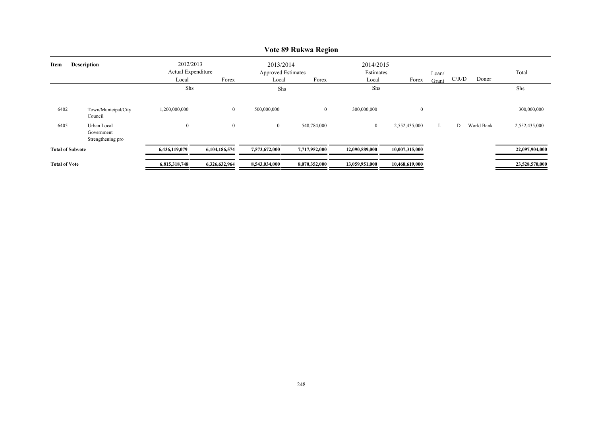|                            | V ULT 07 IXUKWA IXT <u>E</u> IUII              |                                 |                |                                        |                |                |                        |       |       |            |                |  |  |
|----------------------------|------------------------------------------------|---------------------------------|----------------|----------------------------------------|----------------|----------------|------------------------|-------|-------|------------|----------------|--|--|
| <b>Description</b><br>Item |                                                | 2012/2013<br>Actual Expenditure |                | 2013/2014<br><b>Approved Estimates</b> |                |                | 2014/2015<br>Estimates |       |       | Total      |                |  |  |
|                            |                                                | Local                           | Forex          | Local                                  | Forex          | Local          | Forex                  | Grant | C/R/D | Donor      |                |  |  |
|                            |                                                | Shs                             |                | Shs                                    |                | Shs            |                        |       |       |            | Shs            |  |  |
| 6402                       | Town/Municipal/City<br>Council                 | 1,200,000,000                   | $\overline{0}$ | 500,000,000                            | $\overline{0}$ | 300,000,000    | $\theta$               |       |       |            | 300,000,000    |  |  |
| 6405                       | Urban Local<br>Government<br>Strengthening pro | $\boldsymbol{0}$                | $\mathbf{0}$   | $\mathbf{0}$                           | 548,784,000    | $\overline{0}$ | 2,552,435,000          | L     | D     | World Bank | 2,552,435,000  |  |  |
| <b>Total of Subvote</b>    |                                                | 6,436,119,079                   | 6,104,186,574  | 7,573,672,000                          | 7,717,952,000  | 12,090,589,000 | 10,007,315,000         |       |       |            | 22,097,904,000 |  |  |
| <b>Total of Vote</b>       |                                                | 6,815,318,748                   | 6,326,632,964  | 8,543,034,000                          | 8,070,352,000  | 13,059,951,000 | 10,468,619,000         |       |       |            | 23,528,570,000 |  |  |

# **Vote 89 Rukwa Region**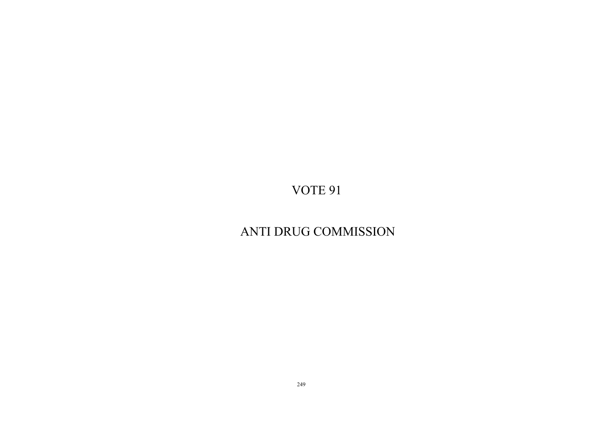# ANTI DRUG COMMISSION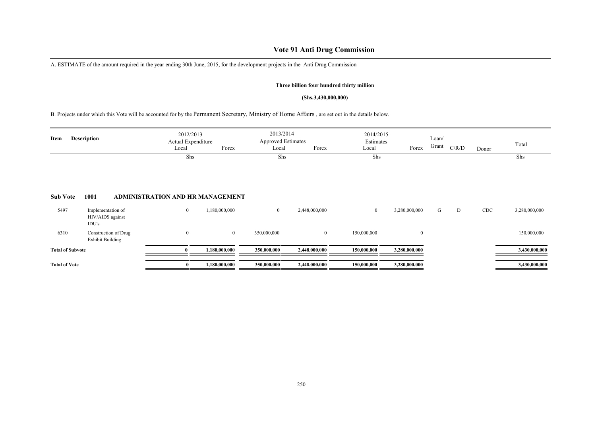# **Vote 91 Anti Drug Commission**

A. ESTIMATE of the amount required in the year ending 30th June, 2015, for the development projects in the Anti Drug Commission

### **Three billion four hundred thirty million**

### **(Shs.3,430,000,000)**

B. Projects under which this Vote will be accounted for by the Permanent Secretary, Ministry of Home Affairs , are set out in the details below.

| Item                    | <b>Description</b>                              | 2012/2013<br>Actual Expenditure<br>Local | Forex         | 2013/2014<br><b>Approved Estimates</b><br>Local | Forex          | 2014/2015<br>Estimates<br>Local | Forex         | Loan/<br>Grant | C/R/D | Donor | Total         |
|-------------------------|-------------------------------------------------|------------------------------------------|---------------|-------------------------------------------------|----------------|---------------------------------|---------------|----------------|-------|-------|---------------|
| <b>Sub Vote</b>         | 1001                                            | Shs<br>ADMINISTRATION AND HR MANAGEMENT  |               | Shs                                             |                | Shs                             |               |                |       |       | Shs           |
| 5497                    | Implementation of<br>HIV/AIDS against<br>IDU's  | $\boldsymbol{0}$                         | 1,180,000,000 | $\bf{0}$                                        | 2,448,000,000  | $\mathbf{0}$                    | 3,280,000,000 | G              | D     | CDC   | 3,280,000,000 |
| 6310                    | Construction of Drug<br><b>Exhibit Building</b> | $\theta$                                 | $\mathbf{0}$  | 350,000,000                                     | $\overline{0}$ | 150,000,000                     | $\mathbf{0}$  |                |       |       | 150,000,000   |
| <b>Total of Subvote</b> |                                                 |                                          | 1,180,000,000 | 350,000,000                                     | 2,448,000,000  | 150,000,000                     | 3,280,000,000 |                |       |       | 3,430,000,000 |
| <b>Total of Vote</b>    |                                                 | $\bf{0}$                                 | 1,180,000,000 | 350,000,000                                     | 2,448,000,000  | 150,000,000                     | 3,280,000,000 |                |       |       | 3,430,000,000 |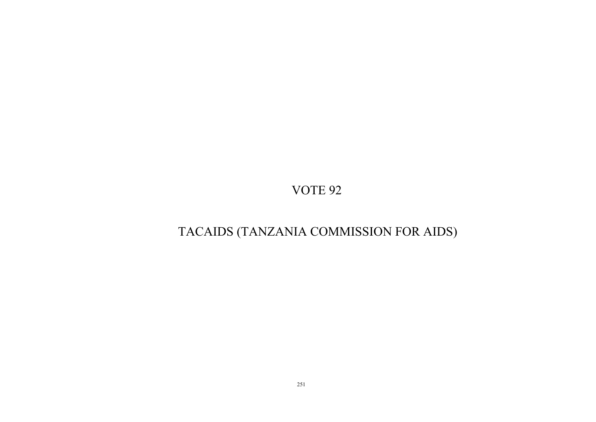# TACAIDS (TANZANIA COMMISSION FOR AIDS)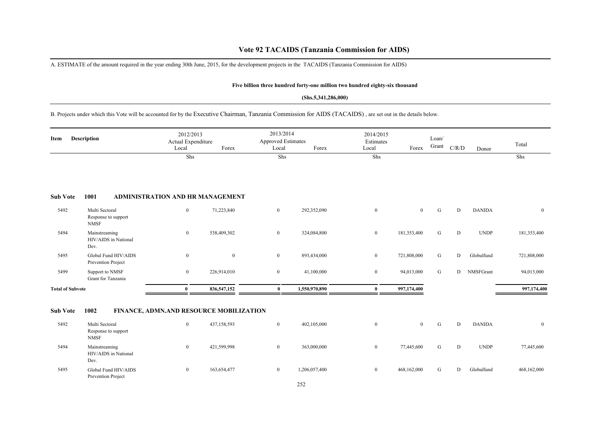# **Vote 92 TACAIDS (Tanzania Commission for AIDS)**

A. ESTIMATE of the amount required in the year ending 30th June, 2015, for the development projects in the TACAIDS (Tanzania Commission for AIDS)

### **Five billion three hundred forty-one million two hundred eighty-six thousand**

### **(Shs.5,341,286,000)**

B. Projects under which this Vote will be accounted for by the Executive Chairman, Tanzania Commission for AIDS (TACAIDS) , are set out in the details below.

| <b>Description</b><br>Item |                                                      | 2012/2013<br>Actual Expenditure<br>Local | Forex        | 2013/2014<br><b>Approved Estimates</b><br>Local | Forex         | 2014/2015<br>Estimates<br>Local | Forex          | Loan/<br>Grant | C/R/D     | Donor         | Total        |
|----------------------------|------------------------------------------------------|------------------------------------------|--------------|-------------------------------------------------|---------------|---------------------------------|----------------|----------------|-----------|---------------|--------------|
|                            |                                                      | Shs                                      |              | Shs                                             |               | Shs                             |                |                |           |               | Shs          |
| <b>Sub Vote</b>            | 1001                                                 | <b>ADMINISTRATION AND HR MANAGEMENT</b>  |              |                                                 |               |                                 |                |                |           |               |              |
| 5492                       | Multi Sectoral<br>Response to support<br><b>NMSF</b> | $\bf{0}$                                 | 71,223,840   | $\overline{0}$                                  | 292,352,090   | $\overline{0}$                  | $\overline{0}$ | G              | ${\rm D}$ | <b>DANIDA</b> | $\mathbf{0}$ |
| 5494                       | Mainstreaming<br>HIV/AIDS in National<br>Dev.        | $\mathbf{0}$                             | 538,409,302  | $\bf{0}$                                        | 324,084,800   | $\overline{0}$                  | 181,353,400    | G              | ${\rm D}$ | <b>UNDP</b>   | 181,353,400  |
| 5495                       | Global Fund HIV/AIDS<br>Prevention Project           | $\boldsymbol{0}$                         | $\mathbf{0}$ | $\bf{0}$                                        | 893,434,000   | $\overline{0}$                  | 721,808,000    | G              | D         | Globalfund    | 721,808,000  |
| 5499                       | Support to NMSF<br>Grant for Tanzania                | $\mathbf{0}$                             | 226,914,010  | $\mathbf{0}$                                    | 41,100,000    | $\overline{0}$                  | 94,013,000     | G              | D         | NMSFGrant     | 94,013,000   |
| <b>Total of Subvote</b>    |                                                      | $\bf{0}$                                 | 836,547,152  | $\bf{0}$                                        | 1,550,970,890 | $\bf{0}$                        | 997,174,400    |                |           |               | 997,174,400  |
| <b>Sub Vote</b>            | 1002                                                 | FINANCE, ADMN.AND RESOURCE MOBILIZATION  |              |                                                 |               |                                 |                |                |           |               |              |
| 5492                       | Multi Sectoral<br>Response to support<br><b>NMSF</b> | $\mathbf{0}$                             | 437,158,593  | $\overline{0}$                                  | 402,105,000   | $\overline{0}$                  | $\overline{0}$ | G              | D         | <b>DANIDA</b> | $\bf{0}$     |
| 5494                       | Mainstreaming<br>HIV/AIDS in National<br>Dev.        | $\mathbf{0}$                             | 421,599,998  | $\bf{0}$                                        | 363,000,000   | $\boldsymbol{0}$                | 77,445,600     | G              | D         | <b>UNDP</b>   | 77,445,600   |
| 5495                       | Global Fund HIV/AIDS<br>Prevention Project           | $\mathbf{0}$                             | 163,654,477  | $\overline{0}$                                  | 1,206,057,400 | $\overline{0}$                  | 468,162,000    | G              | D         | Globalfund    | 468,162,000  |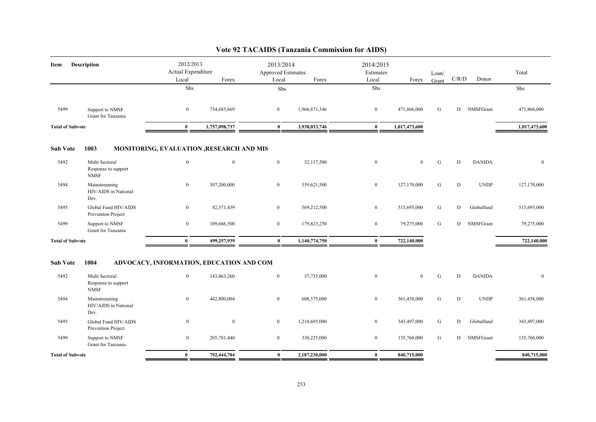| Description<br>Item     |                                                      | 2012/2013<br>Actual Expenditure<br>Local<br>Forex |                                          | 2013/2014<br>Approved Estimates<br>Local<br>Forex |               | 2014/2015<br>Estimates |                | Loan/     | C/R/D       | Donor         | Total         |
|-------------------------|------------------------------------------------------|---------------------------------------------------|------------------------------------------|---------------------------------------------------|---------------|------------------------|----------------|-----------|-------------|---------------|---------------|
|                         |                                                      | Shs                                               |                                          | Shs                                               |               | Local<br>Shs           | Forex          | Grant     |             |               | Shs           |
|                         |                                                      |                                                   |                                          |                                                   |               |                        |                |           |             |               |               |
| 5499                    | Support to NMSF<br>Grant for Tanzania                | $\overline{0}$                                    | 734,685,669                              | $\overline{0}$                                    | 1,966,871,346 | $\overline{0}$         | 471,866,000    | G         | D           | NMSFGrant     | 471,866,000   |
| <b>Total of Subvote</b> |                                                      | $\bf{0}$                                          | 1,757,098,737                            | $\bf{0}$                                          | 3,938,033,746 | $\bf{0}$               | 1,017,473,600  |           |             |               | 1,017,473,600 |
| <b>Sub Vote</b>         | 1003                                                 |                                                   | MONITORING, EVALUATION ,RESEARCH AND MIS |                                                   |               |                        |                |           |             |               |               |
| 5492                    | Multi Sectoral<br>Response to support<br><b>NMSF</b> | $\boldsymbol{0}$                                  | $\mathbf{0}$                             | $\mathbf{0}$                                      | 32,117,500    | $\bf{0}$               | $\mathbf{0}$   | ${\bf G}$ | $\mathbf D$ | <b>DANIDA</b> | $\mathbf{0}$  |
| 5494                    | Mainstreaming<br>HIV/AIDS in National<br>Dev.        | $\mathbf{0}$                                      | 307,200,000                              | $\overline{0}$                                    | 359,621,500   | $\mathbf{0}$           | 127,170,000    | G         | D           | <b>UNDP</b>   | 127,170,000   |
| 5495                    | Global Fund HIV/AIDS<br>Prevention Project           | $\boldsymbol{0}$                                  | 82,371,439                               | $\overline{0}$                                    | 569,212,500   | $\overline{0}$         | 515,695,000    | G         | D           | Globalfund    | 515,695,000   |
| 5499                    | Support to NMSF<br>Grant for Tanzania                | $\mathbf{0}$                                      | 109,686,500                              | $\overline{0}$                                    | 179,823,250   | $\overline{0}$         | 79,275,000     | G         |             | D NMSFGrant   | 79,275,000    |
| <b>Total of Subvote</b> |                                                      | $\mathbf{0}$                                      | 499,257,939                              | $\bf{0}$                                          | 1,140,774,750 | $\bf{0}$               | 722,140,000    |           |             |               | 722,140,000   |
| <b>Sub Vote</b>         | 1004                                                 |                                                   | ADVOCACY, INFORMATION, EDUCATION AND COM |                                                   |               |                        |                |           |             |               |               |
| 5492                    | Multi Sectoral<br>Response to support<br><b>NMSF</b> | $\overline{0}$                                    | 143,863,260                              | $\overline{0}$                                    | 37,735,000    | $\overline{0}$         | $\overline{0}$ | G         | D           | <b>DANIDA</b> | $\mathbf{0}$  |
| 5494                    | Mainstreaming<br>HIV/AIDS in National<br>Dev.        | $\bf{0}$                                          | 442,800,004                              | $\overline{0}$                                    | 608,575,000   | $\bf{0}$               | 361,458,000    | G         | D           | <b>UNDP</b>   | 361,458,000   |
| 5495                    | Global Fund HIV/AIDS<br>Prevention Project           | $\mathbf{0}$                                      | $\mathbf{0}$                             | $\overline{0}$                                    | 1,210,695,000 | $\bf{0}$               | 343,497,000    | G         | D           | Globalfund    | 343,497,000   |
| 5499                    | Support to NMSF<br>Grant for Tanzania                | $\bf{0}$                                          | 205,781,440                              | $\overline{0}$                                    | 330,225,000   | $\overline{0}$         | 135,760,000    | G         |             | D NMSFGrant   | 135,760,000   |
| <b>Total of Subvote</b> |                                                      | $\bf{0}$                                          | 792,444,704                              | $\bf{0}$                                          | 2,187,230,000 | $\bf{0}$               | 840,715,000    |           |             |               | 840,715,000   |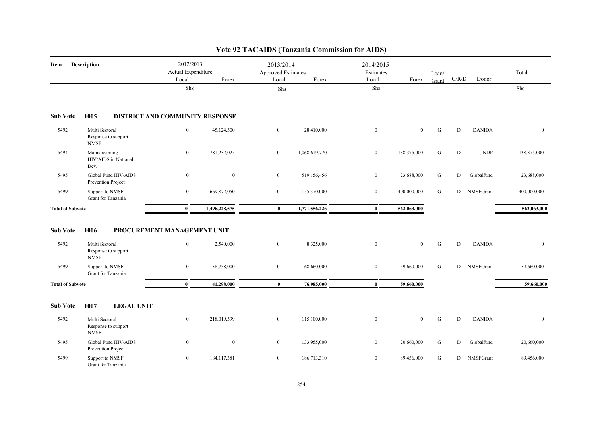| Item                    | Description                                          | 2012/2013<br>Actual Expenditure<br>Local    | Forex         | 2013/2014<br>Approved Estimates<br>Local | Forex         | 2014/2015<br>Estimates<br>Local | Forex          | Loan/<br>Grant | $\rm C/R/D$ | Donor         | Total        |
|-------------------------|------------------------------------------------------|---------------------------------------------|---------------|------------------------------------------|---------------|---------------------------------|----------------|----------------|-------------|---------------|--------------|
|                         |                                                      | Shs                                         |               | Shs                                      |               | Shs                             |                |                |             |               | Shs          |
| <b>Sub Vote</b>         | 1005                                                 | DISTRICT AND COMMUNITY RESPONSE             |               |                                          |               |                                 |                |                |             |               |              |
| 5492                    | Multi Sectoral<br>Response to support<br><b>NMSF</b> | $\boldsymbol{0}$                            | 45,124,500    | $\bf{0}$                                 | 28,410,000    | $\bf{0}$                        | $\bf{0}$       | ${\bf G}$      | D           | <b>DANIDA</b> | $\mathbf{0}$ |
| 5494                    | Mainstreaming<br>HIV/AIDS in National<br>Dev.        | $\bf{0}$                                    | 781,232,025   | $\mathbf{0}$                             | 1,068,619,770 | $\bf{0}$                        | 138,375,000    | ${\bf G}$      | D           | <b>UNDP</b>   | 138,375,000  |
| 5495                    | Global Fund HIV/AIDS<br>Prevention Project           | $\boldsymbol{0}$                            | $\mathbf{0}$  | $\overline{0}$                           | 519,156,456   | $\boldsymbol{0}$                | 23,688,000     | G              | D           | Globalfund    | 23,688,000   |
| 5499                    | Support to NMSF<br>Grant for Tanzania                | $\boldsymbol{0}$                            | 669,872,050   | $\bf{0}$                                 | 155,370,000   | $\bf{0}$                        | 400,000,000    | G              | D           | NMSFGrant     | 400,000,000  |
| <b>Total of Subvote</b> |                                                      | $\bf{0}$                                    | 1,496,228,575 | $\bf{0}$                                 | 1,771,556,226 | $\bf{0}$                        | 562,063,000    |                |             |               | 562,063,000  |
| <b>Sub Vote</b><br>5492 | 1006<br>Multi Sectoral<br>Response to support        | PROCUREMENT MANAGEMENT UNIT<br>$\mathbf{0}$ | 2,540,000     | $\mathbf{0}$                             | 8,325,000     | $\bf{0}$                        | $\overline{0}$ | G              | D           | <b>DANIDA</b> | $\bf{0}$     |
| 5499                    | <b>NMSF</b><br>Support to NMSF<br>Grant for Tanzania | $\boldsymbol{0}$                            | 38,758,000    | $\boldsymbol{0}$                         | 68,660,000    | $\boldsymbol{0}$                | 59,660,000     | ${\bf G}$      | D           | NMSFGrant     | 59,660,000   |
| <b>Total of Subvote</b> |                                                      | $\bf{0}$                                    | 41,298,000    | $\bf{0}$                                 | 76,985,000    | $\bf{0}$                        | 59,660,000     |                |             |               | 59,660,000   |
| Sub Vote                | 1007<br><b>LEGAL UNIT</b>                            |                                             |               |                                          |               |                                 |                |                |             |               |              |
| 5492                    | Multi Sectoral<br>Response to support<br><b>NMSF</b> | $\bf{0}$                                    | 218,019,599   | $\bf{0}$                                 | 115,100,000   | $\boldsymbol{0}$                | $\bf{0}$       | ${\bf G}$      | D           | <b>DANIDA</b> | $\mathbf{0}$ |
| 5495                    | Global Fund HIV/AIDS<br>Prevention Project           | $\bf{0}$                                    | $\bf{0}$      | $\overline{0}$                           | 133,955,000   | $\bf{0}$                        | 20,660,000     | G              | D           | Globalfund    | 20,660,000   |
| 5499                    | Support to NMSF<br>Grant for Tanzania                | $\bf{0}$                                    | 184, 117, 381 | $\mathbf{0}$                             | 186,713,310   | $\bf{0}$                        | 89,456,000     | ${\bf G}$      | D           | NMSFGrant     | 89,456,000   |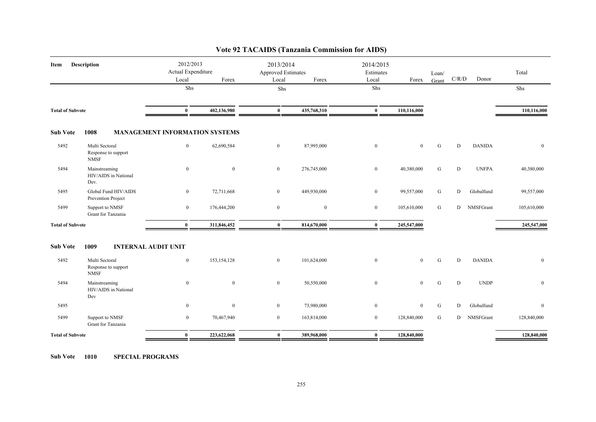| Item                    | Description                                          | 2012/2013<br>Actual Expenditure<br>Local | Forex         | 2013/2014<br><b>Approved Estimates</b><br>Local | Forex          | 2014/2015<br>Estimates<br>Local | Forex        | Loan/<br>Grant | C/R/D     | Donor         | Total        |
|-------------------------|------------------------------------------------------|------------------------------------------|---------------|-------------------------------------------------|----------------|---------------------------------|--------------|----------------|-----------|---------------|--------------|
|                         |                                                      | Shs                                      |               | Shs                                             |                | Shs                             |              |                |           |               | Shs          |
| <b>Total of Subvote</b> |                                                      | $\bf{0}$                                 | 402,136,980   | $\bf{0}$                                        | 435,768,310    | $\bf{0}$                        | 110,116,000  |                |           |               | 110,116,000  |
| <b>Sub Vote</b>         | 1008                                                 | <b>MANAGEMENT INFORMATION SYSTEMS</b>    |               |                                                 |                |                                 |              |                |           |               |              |
| 5492                    | Multi Sectoral<br>Response to support<br><b>NMSF</b> | $\mathbf{0}$                             | 62,690,584    | $\overline{0}$                                  | 87,995,000     | $\boldsymbol{0}$                | $\mathbf{0}$ | G              | D         | <b>DANIDA</b> | $\mathbf{0}$ |
| 5494                    | Mainstreaming<br>HIV/AIDS in National<br>Dev.        | $\overline{0}$                           | $\mathbf{0}$  | $\overline{0}$                                  | 276,745,000    | $\boldsymbol{0}$                | 40,380,000   | G              | D         | <b>UNFPA</b>  | 40,380,000   |
| 5495                    | Global Fund HIV/AIDS<br>Prevention Project           | $\overline{0}$                           | 72,711,668    | $\overline{0}$                                  | 449,930,000    | $\boldsymbol{0}$                | 99,557,000   | ${\bf G}$      | ${\rm D}$ | Globalfund    | 99,557,000   |
| 5499                    | Support to NMSF<br>Grant for Tanzania                | $\overline{0}$                           | 176,444,200   | $\overline{0}$                                  | $\overline{0}$ | $\overline{0}$                  | 105,610,000  | G              | D         | NMSFGrant     | 105,610,000  |
| <b>Total of Subvote</b> |                                                      | $\bf{0}$                                 | 311,846,452   | $\bf{0}$                                        | 814,670,000    | $\bf{0}$                        | 245,547,000  |                |           |               | 245,547,000  |
| <b>Sub Vote</b>         | 1009<br><b>INTERNAL AUDIT UNIT</b>                   |                                          |               |                                                 |                |                                 |              |                |           |               |              |
| 5492                    | Multi Sectoral<br>Response to support<br><b>NMSF</b> | $\overline{0}$                           | 153, 154, 128 | $\overline{0}$                                  | 101,624,000    | $\boldsymbol{0}$                | $\mathbf{0}$ | ${\bf G}$      | D         | <b>DANIDA</b> | $\mathbf{0}$ |
| 5494                    | Mainstreaming<br>HIV/AIDS in National<br>Dev         | $\overline{0}$                           | $\mathbf{0}$  | $\boldsymbol{0}$                                | 50,550,000     | $\boldsymbol{0}$                | $\mathbf{0}$ | ${\bf G}$      | D         | <b>UNDP</b>   | $\mathbf{0}$ |
| 5495                    |                                                      | $\overline{0}$                           | $\mathbf{0}$  | $\overline{0}$                                  | 73,980,000     | $\boldsymbol{0}$                | $\mathbf{0}$ | G              | D         | Globalfund    | $\mathbf{0}$ |
| 5499                    | Support to NMSF<br>Grant for Tanzania                | $\overline{0}$                           | 70,467,940    | $\overline{0}$                                  | 163,814,000    | $\overline{0}$                  | 128,840,000  | G              | D         | NMSFGrant     | 128,840,000  |
| <b>Total of Subvote</b> |                                                      | $\bf{0}$                                 | 223,622,068   | $\bf{0}$                                        | 389,968,000    | $\bf{0}$                        | 128,840,000  |                |           |               | 128,840,000  |

**Sub Vote 1010 SPECIAL PROGRAMS**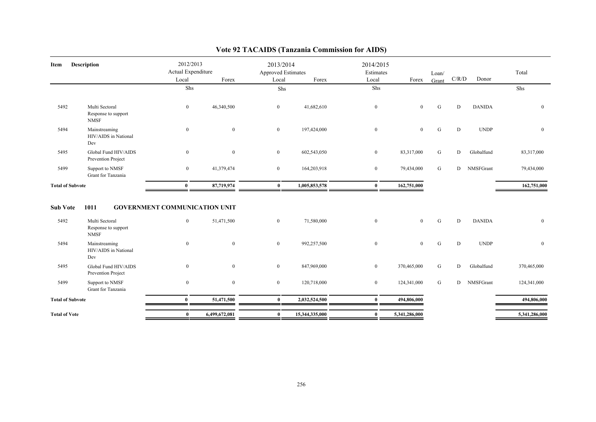| Item                    | <b>Description</b>                                           | 2012/2013<br>Actual Expenditure                      |              | 2013/2014<br>Approved Estimates |               | 2014/2015<br>Estimates |                | Loan/       |             |               | Total            |
|-------------------------|--------------------------------------------------------------|------------------------------------------------------|--------------|---------------------------------|---------------|------------------------|----------------|-------------|-------------|---------------|------------------|
|                         |                                                              | Local                                                | Forex        | Local                           | Forex         | Local                  | Forex          | Grant       | C/R/D       | Donor         |                  |
|                         |                                                              | Shs                                                  |              | ${\rm Shs}$                     |               | Shs                    |                |             |             |               | Shs              |
| 5492                    | Multi Sectoral<br>Response to support<br><b>NMSF</b>         | $\overline{0}$                                       | 46,340,500   | $\overline{0}$                  | 41,682,610    | $\mathbf{0}$           | $\overline{0}$ | G           | D           | <b>DANIDA</b> | $\mathbf{0}$     |
| 5494                    | Mainstreaming<br>HIV/AIDS in National<br>Dev                 | $\overline{0}$                                       | $\mathbf{0}$ | $\overline{0}$                  | 197,424,000   | $\mathbf{0}$           | $\overline{0}$ | G           | D           | <b>UNDP</b>   | $\mathbf{0}$     |
| 5495                    | Global Fund HIV/AIDS<br>Prevention Project                   | $\overline{0}$                                       | $\mathbf{0}$ | $\overline{0}$                  | 602,543,050   | $\overline{0}$         | 83,317,000     | G           | D           | Globalfund    | 83,317,000       |
| 5499                    | Support to NMSF<br>Grant for Tanzania                        | $\bf{0}$                                             | 41,379,474   | $\overline{0}$                  | 164,203,918   | $\bf{0}$               | 79,434,000     | G           | D           | NMSFGrant     | 79,434,000       |
| <b>Total of Subvote</b> |                                                              | $\bf{0}$                                             | 87,719,974   | $\bf{0}$                        | 1,005,853,578 | $\mathbf{0}$           | 162,751,000    |             |             |               | 162,751,000      |
| <b>Sub Vote</b><br>5492 | 1011<br>Multi Sectoral<br>Response to support<br><b>NMSF</b> | <b>GOVERNMENT COMMUNICATION UNIT</b><br>$\mathbf{0}$ | 51,471,500   | $\mathbf{0}$                    | 71,580,000    | $\overline{0}$         | $\overline{0}$ | $\mathbf G$ | D           | <b>DANIDA</b> | $\mathbf{0}$     |
| 5494                    | Mainstreaming<br>HIV/AIDS in National<br>Dev                 | $\overline{0}$                                       | $\mathbf{0}$ | $\mathbf{0}$                    | 992,257,500   | $\mathbf{0}$           | $\overline{0}$ | G           | $\mathbf D$ | <b>UNDP</b>   | $\boldsymbol{0}$ |
| 5495                    | Global Fund HIV/AIDS<br>Prevention Project                   | $\overline{0}$                                       | $\mathbf{0}$ | $\overline{0}$                  | 847,969,000   | $\overline{0}$         | 370,465,000    | G           | D           | Globalfund    | 370,465,000      |
| 5499                    | Support to NMSF<br>Grant for Tanzania                        | $\overline{0}$                                       | $\mathbf{0}$ | $\overline{0}$                  | 120,718,000   | $\bf{0}$               | 124,341,000    | G           | D           | NMSFGrant     | 124,341,000      |
| <b>Total of Subvote</b> |                                                              | $\bf{0}$                                             | 51,471,500   | $\bf{0}$                        | 2,032,524,500 | $\bf{0}$               | 494,806,000    |             |             |               | 494,806,000      |
|                         |                                                              |                                                      |              |                                 |               |                        |                |             |             |               |                  |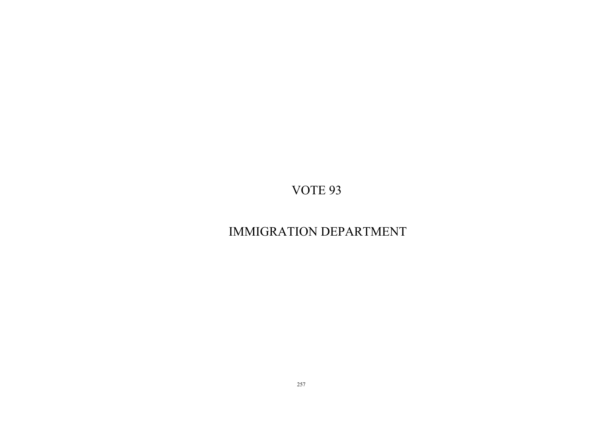# IMMIGRATION DEPARTMENT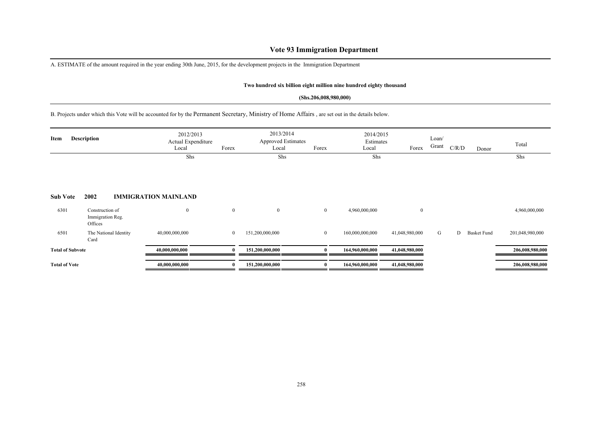## **Vote 93 Immigration Department**

A. ESTIMATE of the amount required in the year ending 30th June, 2015, for the development projects in the Immigration Department

#### **Two hundred six billion eight million nine hundred eighty thousand**

#### **(Shs.206,008,980,000)**

B. Projects under which this Vote will be accounted for by the Permanent Secretary, Ministry of Home Affairs , are set out in the details below.

| Item                    | <b>Description</b>                             |                       | 2012/2013<br>Actual Expenditure<br>Local | Forex        | 2013/2014<br><b>Approved Estimates</b><br>Local | Forex          | 2014/2015<br>Estimates<br>Local | Forex          | Loan/<br>Grant | C/R/D | Donor              | Total           |
|-------------------------|------------------------------------------------|-----------------------|------------------------------------------|--------------|-------------------------------------------------|----------------|---------------------------------|----------------|----------------|-------|--------------------|-----------------|
|                         |                                                |                       | Shs                                      |              | Shs                                             |                | Shs                             |                |                |       |                    | Shs             |
| <b>Sub Vote</b>         | 2002                                           |                       | <b>IMMIGRATION MAINLAND</b>              |              |                                                 |                |                                 |                |                |       |                    |                 |
| 6301                    | Construction of<br>Immigration Reg.<br>Offices |                       | $\mathbf{0}$                             | $\mathbf{0}$ | $\overline{0}$                                  | $\overline{0}$ | 4,960,000,000                   | $\mathbf{0}$   |                |       |                    | 4,960,000,000   |
| 6501                    | Card                                           | The National Identity | 40,000,000,000                           | $\mathbf{0}$ | 151,200,000,000                                 | $\overline{0}$ | 160,000,000,000                 | 41,048,980,000 | G              | D     | <b>Basket Fund</b> | 201,048,980,000 |
| <b>Total of Subvote</b> |                                                |                       | 40,000,000,000                           | 0            | 151,200,000,000                                 | $\mathbf{a}$   | 164,960,000,000                 | 41,048,980,000 |                |       |                    | 206,008,980,000 |
| <b>Total of Vote</b>    |                                                |                       | 40,000,000,000                           | $\bf{0}$     | 151,200,000,000                                 | $\mathbf{0}$   | 164,960,000,000                 | 41,048,980,000 |                |       |                    | 206,008,980,000 |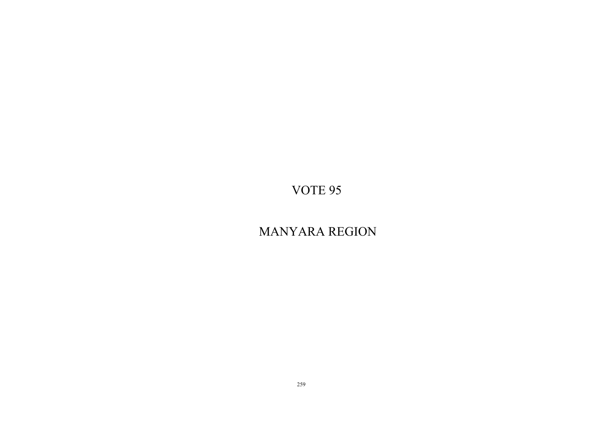# MANYARA REGION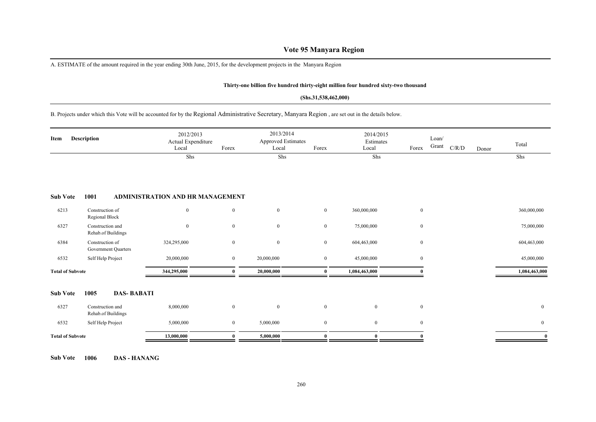### **Vote 95 Manyara Region**

A. ESTIMATE of the amount required in the year ending 30th June, 2015, for the development projects in the Manyara Region

#### **Thirty-one billion five hundred thirty-eight million four hundred sixty-two thousand**

#### **(Shs.31,538,462,000)**

B. Projects under which this Vote will be accounted for by the Regional Administrative Secretary, Manyara Region , are set out in the details below.

| <b>Description</b><br>Item |                                        | 2012/2013<br>Actual Expenditure<br>Local | Forex        | 2013/2014<br><b>Approved Estimates</b><br>Local | Forex        | 2014/2015<br>Estimates<br>Local | Forex        | Loan/<br>$\operatorname{Grant}$ | $\rm C/R/D$ | Donor | Total          |
|----------------------------|----------------------------------------|------------------------------------------|--------------|-------------------------------------------------|--------------|---------------------------------|--------------|---------------------------------|-------------|-------|----------------|
|                            |                                        | Shs                                      |              | Shs                                             |              | Shs                             |              |                                 |             |       | Shs            |
| <b>Sub Vote</b>            | 1001                                   | ADMINISTRATION AND HR MANAGEMENT         |              |                                                 |              |                                 |              |                                 |             |       |                |
| 6213                       | Construction of<br>Regional Block      | $\mathbf{0}$                             | $\mathbf{0}$ | $\mathbf{0}$                                    | $\mathbf{0}$ | 360,000,000                     | $\mathbf{0}$ |                                 |             |       | 360,000,000    |
| 6327                       | Construction and<br>Rehab.of Buildings | $\overline{0}$                           | $\mathbf{0}$ | $\bf{0}$                                        | $\bf{0}$     | 75,000,000                      | $\bf{0}$     |                                 |             |       | 75,000,000     |
| 6384                       | Construction of<br>Government Quarters | 324,295,000                              | $\mathbf{0}$ | $\bf{0}$                                        | $\bf{0}$     | 604,463,000                     | $\bf{0}$     |                                 |             |       | 604,463,000    |
| 6532                       | Self Help Project                      | 20,000,000                               | $\mathbf{0}$ | 20,000,000                                      | $\bf{0}$     | 45,000,000                      | $\bf{0}$     |                                 |             |       | 45,000,000     |
| <b>Total of Subvote</b>    |                                        | 344,295,000                              | $\bf{0}$     | 20,000,000                                      | $\bf{0}$     | 1,084,463,000                   |              |                                 |             |       | 1,084,463,000  |
| <b>Sub Vote</b>            | <b>DAS-BABATI</b><br>1005              |                                          |              |                                                 |              |                                 |              |                                 |             |       |                |
| 6327                       | Construction and<br>Rehab.of Buildings | 8,000,000                                | $\mathbf{0}$ | $\overline{0}$                                  | $\bf{0}$     | $\overline{0}$                  | $\mathbf{0}$ |                                 |             |       | $\mathbf{0}$   |
| 6532                       | Self Help Project                      | 5,000,000                                | $\bf{0}$     | 5,000,000                                       | $\bf{0}$     | $\overline{0}$                  | $\bf{0}$     |                                 |             |       | $\overline{0}$ |
| <b>Total of Subvote</b>    |                                        | 13,000,000                               | $\theta$     | 5,000,000                                       | 0            |                                 |              |                                 |             |       | $\bf{0}$       |

**Sub Vote 1006 DAS - HANANG**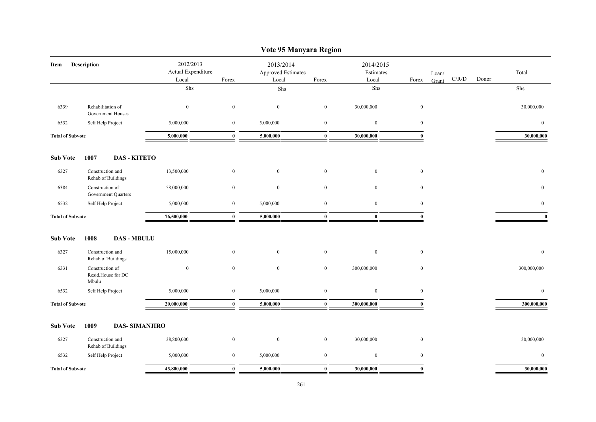|                         | Vote 95 Manyara Region                         |                                 |                  |                                                   |                  |                        |                  |                |       |                |  |  |  |  |
|-------------------------|------------------------------------------------|---------------------------------|------------------|---------------------------------------------------|------------------|------------------------|------------------|----------------|-------|----------------|--|--|--|--|
| Item                    | Description                                    | 2012/2013<br>Actual Expenditure |                  | 2013/2014<br>Approved Estimates<br>Local<br>Forex |                  | 2014/2015<br>Estimates |                  | Loan/<br>C/R/D | Donor | Total          |  |  |  |  |
|                         |                                                | Local<br>Shs                    | Forex            | Shs                                               |                  | Local<br>Shs           | Forex            | Grant          |       | Shs            |  |  |  |  |
|                         |                                                |                                 |                  |                                                   |                  |                        |                  |                |       |                |  |  |  |  |
| 6339                    | Rehabilitation of<br>Government Houses         | $\boldsymbol{0}$                | $\boldsymbol{0}$ | $\boldsymbol{0}$                                  | $\boldsymbol{0}$ | 30,000,000             | $\boldsymbol{0}$ |                |       | 30,000,000     |  |  |  |  |
| 6532                    | Self Help Project                              | 5,000,000                       | $\boldsymbol{0}$ | 5,000,000                                         | $\mathbf{0}$     | $\mathbf{0}$           | $\boldsymbol{0}$ |                |       | $\overline{0}$ |  |  |  |  |
| <b>Total of Subvote</b> |                                                | 5,000,000                       | $\bf{0}$         | 5,000,000                                         | $\bf{0}$         | 30,000,000             | $\mathbf{0}$     |                |       | 30,000,000     |  |  |  |  |
| <b>Sub Vote</b>         | 1007<br><b>DAS - KITETO</b>                    |                                 |                  |                                                   |                  |                        |                  |                |       |                |  |  |  |  |
| 6327                    | Construction and<br>Rehab.of Buildings         | 13,500,000                      | $\boldsymbol{0}$ | $\boldsymbol{0}$                                  | $\mathbf{0}$     | $\mathbf{0}$           | $\boldsymbol{0}$ |                |       | $\overline{0}$ |  |  |  |  |
| 6384                    | Construction of<br>Government Quarters         | 58,000,000                      | $\bf{0}$         | $\mathbf{0}$                                      | $\boldsymbol{0}$ | $\overline{0}$         | $\overline{0}$   |                |       | $\overline{0}$ |  |  |  |  |
| 6532                    | Self Help Project                              | 5,000,000                       | $\boldsymbol{0}$ | 5,000,000                                         | $\mathbf{0}$     | $\mathbf{0}$           | $\boldsymbol{0}$ |                |       | $\bf{0}$       |  |  |  |  |
| <b>Total of Subvote</b> |                                                | 76,500,000                      | $\bf{0}$         | 5,000,000                                         | $\bf{0}$         | $\bf{0}$               | $\bf{0}$         |                |       | $\bf{0}$       |  |  |  |  |
| <b>Sub Vote</b>         | <b>DAS - MBULU</b><br>1008                     |                                 |                  |                                                   |                  |                        |                  |                |       |                |  |  |  |  |
| 6327                    | Construction and<br>Rehab.of Buildings         | 15,000,000                      | $\overline{0}$   | $\mathbf{0}$                                      | $\mathbf{0}$     | $\mathbf{0}$           | $\boldsymbol{0}$ |                |       | $\mathbf{0}$   |  |  |  |  |
| 6331                    | Construction of<br>Resid.House for DC<br>Mbulu | $\mathbf{0}$                    | $\mathbf{0}$     | $\mathbf{0}$                                      | $\mathbf{0}$     | 300,000,000            | $\mathbf{0}$     |                |       | 300,000,000    |  |  |  |  |
| 6532                    | Self Help Project                              | 5,000,000                       | $\bf{0}$         | 5,000,000                                         | $\mathbf{0}$     | $\mathbf{0}$           | $\bf{0}$         |                |       | $\overline{0}$ |  |  |  |  |
| <b>Total of Subvote</b> |                                                | 20,000,000                      | $\bf{0}$         | 5,000,000                                         | $\bf{0}$         | 300,000,000            | $\bf{0}$         |                |       | 300,000,000    |  |  |  |  |
| <b>Sub Vote</b>         | 1009<br><b>DAS-SIMANJIRO</b>                   |                                 |                  |                                                   |                  |                        |                  |                |       |                |  |  |  |  |
| 6327                    | Construction and<br>Rehab.of Buildings         | 38,800,000                      | $\bf{0}$         | $\bf{0}$                                          | $\mathbf{0}$     | 30,000,000             | $\bf{0}$         |                |       | 30,000,000     |  |  |  |  |
| 6532                    | Self Help Project                              | 5,000,000                       | $\overline{0}$   | 5,000,000                                         | $\mathbf{0}$     | $\mathbf{0}$           | $\boldsymbol{0}$ |                |       | $\overline{0}$ |  |  |  |  |
| <b>Total of Subvote</b> |                                                | 43,800,000                      | $\mathbf{0}$     | 5,000,000                                         | $\mathbf{0}$     | 30,000,000             | $\mathbf{0}$     |                |       | 30,000,000     |  |  |  |  |

### 261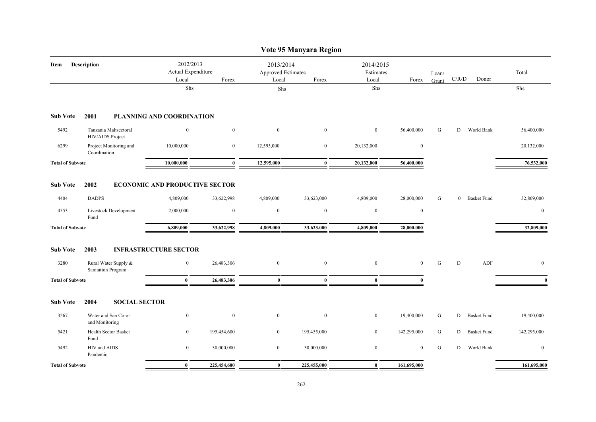|                            |                                            |                                                   |                  |                  | Vote 95 Manyara Region                          |                  |                                 |                |                                        |                    |              |
|----------------------------|--------------------------------------------|---------------------------------------------------|------------------|------------------|-------------------------------------------------|------------------|---------------------------------|----------------|----------------------------------------|--------------------|--------------|
| <b>Description</b><br>Item |                                            | 2012/2013<br>Actual Expenditure<br>Local<br>Forex |                  | Local            | 2013/2014<br><b>Approved Estimates</b><br>Forex |                  | 2014/2015<br>Estimates<br>Forex | Loan/<br>Grant | $\mathbf{C} / \mathbf{R} / \mathbf{D}$ | Donor              | Total        |
|                            |                                            | Shs                                               |                  | ${\rm Shs}$      |                                                 | Shs              |                                 |                |                                        |                    | Shs          |
| <b>Sub Vote</b>            | 2001                                       | PLANNING AND COORDINATION                         |                  |                  |                                                 |                  |                                 |                |                                        |                    |              |
| 5492                       | Tanzania Maltsectoral<br>HIV/AIDS Project  | $\boldsymbol{0}$                                  | $\boldsymbol{0}$ | $\boldsymbol{0}$ | $\mathbf{0}$                                    | $\boldsymbol{0}$ | 56,400,000                      | G              | D                                      | World Bank         | 56,400,000   |
| 6299                       | Project Monitoring and<br>Coordination     | 10,000,000                                        | $\mathbf{0}$     | 12,595,000       | $\bf{0}$                                        | 20,132,000       | $\boldsymbol{0}$                |                |                                        |                    | 20,132,000   |
| <b>Total of Subvote</b>    |                                            | 10,000,000                                        | $\bf{0}$         | 12,595,000       | $\bf{0}$                                        | 20,132,000       | 56,400,000                      |                |                                        |                    | 76,532,000   |
| <b>Sub Vote</b>            | 2002                                       | <b>ECONOMIC AND PRODUCTIVE SECTOR</b>             |                  |                  |                                                 |                  |                                 |                |                                        |                    |              |
| 4404                       | <b>DADPS</b>                               | 4,809,000                                         | 33,622,998       | 4,809,000        | 33,623,000                                      | 4,809,000        | 28,000,000                      | G              | $\overline{0}$                         | <b>Basket Fund</b> | 32,809,000   |
| 4553                       | Livestock Development<br>Fund              | 2,000,000                                         | $\boldsymbol{0}$ | $\boldsymbol{0}$ | $\bf{0}$                                        | $\boldsymbol{0}$ | $\boldsymbol{0}$                |                |                                        |                    | $\mathbf{0}$ |
| <b>Total of Subvote</b>    |                                            | 6,809,000                                         | 33,622,998       | 4,809,000        | 33,623,000                                      | 4,809,000        | 28,000,000                      |                |                                        |                    | 32,809,000   |
| <b>Sub Vote</b>            | 2003                                       | <b>INFRASTRUCTURE SECTOR</b>                      |                  |                  |                                                 |                  |                                 |                |                                        |                    |              |
| 3280                       | Rural Water Supply &<br>Sanitation Program | $\bf{0}$                                          | 26,483,306       | $\bf{0}$         | $\boldsymbol{0}$                                | $\boldsymbol{0}$ | $\overline{0}$                  | G              | D                                      | ADF                | $\mathbf{0}$ |
| <b>Total of Subvote</b>    |                                            | $\bf{0}$                                          | 26,483,306       | $\bf{0}$         | $\mathbf{0}$                                    | $\mathbf{0}$     |                                 |                |                                        |                    | $\mathbf{0}$ |
| <b>Sub Vote</b>            | 2004<br><b>SOCIAL SECTOR</b>               |                                                   |                  |                  |                                                 |                  |                                 |                |                                        |                    |              |
| 3267                       | Water and San Co-or<br>and Monitoring      | $\bf{0}$                                          | $\boldsymbol{0}$ | $\bf{0}$         | $\bf{0}$                                        | $\bf{0}$         | 19,400,000                      | G              | D                                      | <b>Basket Fund</b> | 19,400,000   |
| 5421                       | Health Sector Basket<br>Fund               | $\overline{0}$                                    | 195,454,600      | $\overline{0}$   | 195,455,000                                     | $\bf{0}$         | 142,295,000                     | G              | D                                      | <b>Basket Fund</b> | 142,295,000  |
| 5492                       | HIV and AIDS<br>Pandemic                   | $\boldsymbol{0}$                                  | 30,000,000       | $\bf{0}$         | 30,000,000                                      | $\boldsymbol{0}$ | $\boldsymbol{0}$                | G              | D                                      | World Bank         | $\mathbf{0}$ |
| <b>Total of Subvote</b>    |                                            | $\bf{0}$                                          | 225,454,600      | $\bf{0}$         | 225,455,000                                     | $\bf{0}$         | 161,695,000                     |                |                                        |                    | 161,695,000  |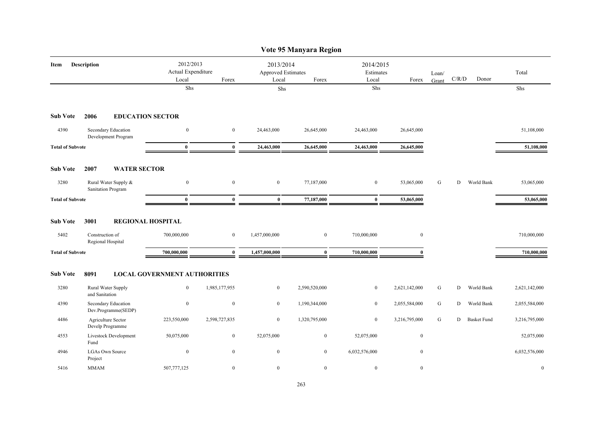|                         |                                            |                                          |                  |                                                   | Vote 95 Manyara Region |                                 |                  |                |       |                    |               |
|-------------------------|--------------------------------------------|------------------------------------------|------------------|---------------------------------------------------|------------------------|---------------------------------|------------------|----------------|-------|--------------------|---------------|
| Description<br>Item     |                                            | 2012/2013<br>Actual Expenditure<br>Local | Forex            | 2013/2014<br>Approved Estimates<br>Local<br>Forex |                        | 2014/2015<br>Estimates<br>Local | Forex            | Loan/<br>Grant | C/R/D | Donor              | Total         |
|                         |                                            | Shs                                      |                  | Shs                                               |                        | Shs                             |                  |                |       |                    | Shs           |
| <b>Sub Vote</b>         | 2006<br><b>EDUCATION SECTOR</b>            |                                          |                  |                                                   |                        |                                 |                  |                |       |                    |               |
| 4390                    | Secondary Education<br>Development Program | $\overline{0}$                           | $\mathbf{0}$     | 24,463,000                                        | 26,645,000             | 24,463,000                      | 26,645,000       |                |       |                    | 51,108,000    |
| <b>Total of Subvote</b> |                                            | $\bf{0}$                                 | $\bf{0}$         | 24,463,000                                        | 26,645,000             | 24,463,000                      | 26,645,000       |                |       |                    | 51,108,000    |
| <b>Sub Vote</b>         | 2007<br><b>WATER SECTOR</b>                |                                          |                  |                                                   |                        |                                 |                  |                |       |                    |               |
| 3280                    | Rural Water Supply &<br>Sanitation Program | $\boldsymbol{0}$                         | $\mathbf{0}$     | $\overline{0}$                                    | 77,187,000             | $\mathbf{0}$                    | 53,065,000       | G              | D     | World Bank         | 53,065,000    |
| <b>Total of Subvote</b> |                                            | $\bf{0}$                                 | $\mathbf{0}$     | $\bf{0}$                                          | 77,187,000             | $\bf{0}$                        | 53,065,000       |                |       |                    | 53,065,000    |
| <b>Sub Vote</b>         | 3001                                       | <b>REGIONAL HOSPITAL</b>                 |                  |                                                   |                        |                                 |                  |                |       |                    |               |
| 5402                    | Construction of<br>Regional Hospital       | 700,000,000                              | $\mathbf{0}$     | 1,457,000,000                                     | $\boldsymbol{0}$       | 710,000,000                     | $\boldsymbol{0}$ |                |       |                    | 710,000,000   |
| <b>Total of Subvote</b> |                                            | 700,000,000                              | $\mathbf{0}$     | 1,457,000,000                                     | $\mathbf{0}$           | 710,000,000                     | $\mathbf{0}$     |                |       |                    | 710,000,000   |
| <b>Sub Vote</b>         | 8091                                       | <b>LOCAL GOVERNMENT AUTHORITIES</b>      |                  |                                                   |                        |                                 |                  |                |       |                    |               |
| 3280                    | Rural Water Supply<br>and Sanitation       | $\boldsymbol{0}$                         | 1,985,177,955    | $\overline{0}$                                    | 2,590,520,000          | $\bf{0}$                        | 2,621,142,000    | G              | D     | World Bank         | 2,621,142,000 |
| 4390                    | Secondary Education<br>Dev.Programme(SEDP) | $\boldsymbol{0}$                         | $\boldsymbol{0}$ | $\overline{0}$                                    | 1,190,344,000          | $\mathbf{0}$                    | 2,055,584,000    | ${\bf G}$      | D     | World Bank         | 2,055,584,000 |
| 4486                    | Agriculture Sector<br>Develp Programme     | 223,550,000                              | 2,598,727,835    | $\overline{0}$                                    | 1,320,795,000          | $\mathbf{0}$                    | 3,216,795,000    | G              | D     | <b>Basket Fund</b> | 3,216,795,000 |
| 4553                    | Livestock Development<br>Fund              | 50,075,000                               | $\boldsymbol{0}$ | 52,075,000                                        | $\bf{0}$               | 52,075,000                      | $\boldsymbol{0}$ |                |       |                    | 52,075,000    |
| 4946                    | <b>LGAs Own Source</b><br>Project          | $\boldsymbol{0}$                         | $\boldsymbol{0}$ | $\boldsymbol{0}$                                  | $\bf{0}$               | 6,032,576,000                   | $\boldsymbol{0}$ |                |       |                    | 6,032,576,000 |
| 5416                    | <b>MMAM</b>                                | 507,777,125                              | $\mathbf{0}$     | $\overline{0}$                                    | $\mathbf{0}$           | $\boldsymbol{0}$                | $\mathbf{0}$     |                |       |                    | $\mathbf{0}$  |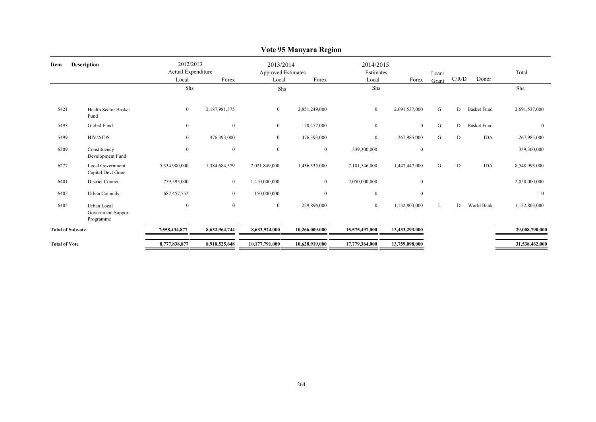| Item                    | <b>Description</b>                             | 2012/2013<br>Actual Expenditure<br>Local |                  | 2013/2014<br>Approved Estimates<br>Local | Forex          | 2014/2015<br>Estimates<br>Local | Forex            | Loan/<br>Grant | C/R/D | Donor              | Total          |
|-------------------------|------------------------------------------------|------------------------------------------|------------------|------------------------------------------|----------------|---------------------------------|------------------|----------------|-------|--------------------|----------------|
|                         |                                                | Shs                                      |                  | Shs                                      |                | Shs                             |                  |                |       |                    | Shs            |
| 5421                    | <b>Health Sector Basket</b><br>Fund            | $\boldsymbol{0}$                         | 2,187,981,375    | $\mathbf{0}$                             | 2,851,249,000  | $\overline{0}$                  | 2,691,537,000    | G              | D     | <b>Basket Fund</b> | 2,691,537,000  |
| 5493                    | Global Fund                                    | $\boldsymbol{0}$                         | $\mathbf{0}$     | $\mathbf{0}$                             | 170,477,000    | $\mathbf{0}$                    | $\mathbf{0}$     | ${\bf G}$      | D     | <b>Basket Fund</b> | $\mathbf{0}$   |
| 5499                    | <b>HIV/AIDS</b>                                | $\boldsymbol{0}$                         | 476,393,000      | $\boldsymbol{0}$                         | 476,393,000    | $\overline{0}$                  | 267,985,000      | G              | D     | <b>IDA</b>         | 267,985,000    |
| 6209                    | Constituency<br>Development Fund               | $\boldsymbol{0}$                         | $\mathbf{0}$     | $\boldsymbol{0}$                         | $\mathbf{0}$   | 339,300,000                     | $\mathbf{0}$     |                |       |                    | 339,300,000    |
| 6277                    | <b>Local Government</b><br>Capital Devt Grant  | 5,334,980,000                            | 1,384,684,579    | 7,021,849,000                            | 1,436,335,000  | 7,101,546,000                   | 1,447,447,000    | G              | D     | <b>IDA</b>         | 8,548,993,000  |
| 6401                    | District Council                               | 759,595,000                              | $\boldsymbol{0}$ | 1,410,000,000                            | $\mathbf{0}$   | 2,050,000,000                   | $\mathbf{0}$     |                |       |                    | 2,050,000,000  |
| 6402                    | <b>Urban Councils</b>                          | 682, 457, 752                            | $\bf{0}$         | 150,000,000                              | $\mathbf{0}$   | $\bf{0}$                        | $\boldsymbol{0}$ |                |       |                    | $\bf{0}$       |
| 6405                    | Urban Local<br>Government Support<br>Programme | $\boldsymbol{0}$                         | $\boldsymbol{0}$ | $\mathbf{0}$                             | 229,896,000    | $\overline{0}$                  | 1,132,803,000    | L              | D     | World Bank         | 1,132,803,000  |
| <b>Total of Subvote</b> |                                                | 7,558,434,877                            | 8,632,964,744    | 8,633,924,000                            | 10,266,009,000 | 15,575,497,000                  | 13,433,293,000   |                |       |                    | 29,008,790,000 |
| <b>Total of Vote</b>    |                                                | 8,777,838,877                            | 8,918,525,648    | 10,177,791,000                           | 10,628,919,000 | 17,779,364,000                  | 13,759,098,000   |                |       |                    | 31,538,462,000 |

### **Vote 95 Manyara Region**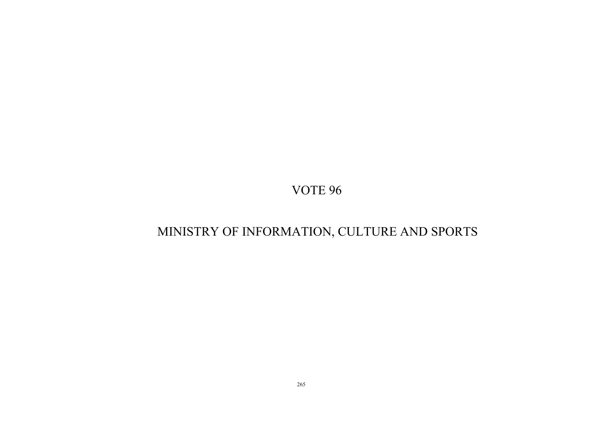# MINISTRY OF INFORMATION, CULTURE AND SPORTS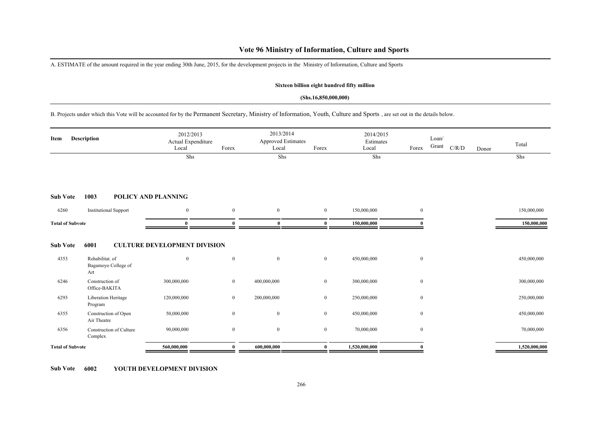### **Vote 96 Ministry of Information, Culture and Sports**

A. ESTIMATE of the amount required in the year ending 30th June, 2015, for the development projects in the Ministry of Information, Culture and Sports

#### **Sixteen billion eight hundred fifty million**

#### **(Shs.16,850,000,000)**

B. Projects under which this Vote will be accounted for by the Permanent Secretary, Ministry of Information, Youth, Culture and Sports , are set out in the details below.

| <b>Description</b><br>Item |                                               | 2012/2013<br>Actual Expenditure<br>Local | Forex            | 2013/2014<br><b>Approved Estimates</b><br>Local | Forex            | 2014/2015<br>Estimates<br>Local | Forex            | Loan/<br>Grant<br>$\rm C/R/D$ | Donor | Total         |
|----------------------------|-----------------------------------------------|------------------------------------------|------------------|-------------------------------------------------|------------------|---------------------------------|------------------|-------------------------------|-------|---------------|
|                            |                                               | Shs                                      |                  | Shs                                             |                  | Shs                             |                  |                               |       | Shs           |
| <b>Sub Vote</b>            | 1003                                          | <b>POLICY AND PLANNING</b>               |                  |                                                 |                  |                                 |                  |                               |       |               |
| 6260                       | <b>Institutional Support</b>                  | $\mathbf{0}$                             | $\boldsymbol{0}$ | $\mathbf{0}$                                    | $\overline{0}$   | 150,000,000                     | $\mathbf{0}$     |                               |       | 150,000,000   |
| <b>Total of Subvote</b>    |                                               | $\bf{0}$                                 | $\Omega$         | $\bf{0}$                                        | $\mathbf{0}$     | 150,000,000                     |                  |                               |       | 150,000,000   |
| <b>Sub Vote</b>            | 6001                                          | <b>CULTURE DEVELOPMENT DIVISION</b>      |                  |                                                 |                  |                                 |                  |                               |       |               |
| 4353                       | Rehabilitat. of<br>Bagamoyo College of<br>Art | $\mathbf{0}$                             | $\mathbf{0}$     | $\mathbf{0}$                                    | $\overline{0}$   | 450,000,000                     | $\boldsymbol{0}$ |                               |       | 450,000,000   |
| 6246                       | Construction of<br>Office-BAKITA              | 300,000,000                              | $\mathbf{0}$     | 400,000,000                                     | $\bf{0}$         | 300,000,000                     | $\mathbf{0}$     |                               |       | 300,000,000   |
| 6293                       | Liberation Heritage<br>Program                | 120,000,000                              | $\mathbf{0}$     | 200,000,000                                     | $\boldsymbol{0}$ | 250,000,000                     | $\boldsymbol{0}$ |                               |       | 250,000,000   |
| 6355                       | Construction of Open<br>Air Theatre           | 50,000,000                               | $\mathbf{0}$     | $\mathbf{0}$                                    | $\overline{0}$   | 450,000,000                     | $\boldsymbol{0}$ |                               |       | 450,000,000   |
| 6356                       | <b>Construction of Culture</b><br>Complex     | 90,000,000                               | $\bf{0}$         | $\mathbf{0}$                                    | $\bf{0}$         | 70,000,000                      | $\bf{0}$         |                               |       | 70,000,000    |
| <b>Total of Subvote</b>    |                                               | 560,000,000                              | $\theta$         | 600,000,000                                     | $\mathbf{0}$     | 1,520,000,000                   |                  |                               |       | 1,520,000,000 |

**Sub Vote 6002 YOUTH DEVELOPMENT DIVISION**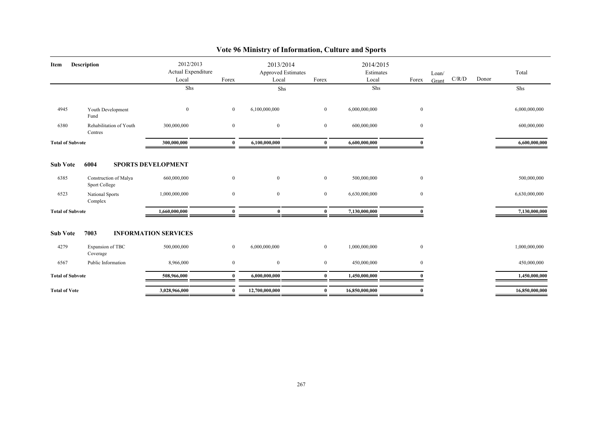| Description<br>Item             |                                                                              | 2012/2013<br>Actual Expenditure<br>Local<br>Forex         |                            | 2013/2014<br><b>Approved Estimates</b><br>Forex<br>Local |                                  | 2014/2015<br>Estimates<br>Local | Forex                        | Loan/ | C/R/D | Donor | Total                        |
|---------------------------------|------------------------------------------------------------------------------|-----------------------------------------------------------|----------------------------|----------------------------------------------------------|----------------------------------|---------------------------------|------------------------------|-------|-------|-------|------------------------------|
|                                 |                                                                              | Shs                                                       |                            | Shs                                                      |                                  | Shs                             |                              | Grant |       |       | Shs                          |
|                                 |                                                                              |                                                           |                            |                                                          |                                  |                                 |                              |       |       |       |                              |
| 4945                            | Youth Development<br>Fund                                                    | $\mathbf{0}$                                              | $\bf{0}$                   | 6,100,000,000                                            | $\mathbf{0}$                     | 6,000,000,000                   | $\mathbf{0}$                 |       |       |       | 6,000,000,000                |
| 6380                            | Rehabilitation of Youth<br>Centres                                           | 300,000,000                                               | $\bf{0}$                   | $\bf{0}$                                                 | $\overline{0}$                   | 600,000,000                     | $\mathbf{0}$                 |       |       |       | 600,000,000                  |
| <b>Total of Subvote</b>         |                                                                              | 300,000,000                                               | $\mathbf{0}$               | 6,100,000,000                                            | $\bf{0}$                         | 6,600,000,000                   |                              |       |       |       | 6,600,000,000                |
| <b>Sub Vote</b><br>6385<br>6523 | 6004<br>Construction of Malya<br>Sport College<br>National Sports<br>Complex | <b>SPORTS DEVELOPMENT</b><br>660,000,000<br>1,000,000,000 | $\overline{0}$<br>$\bf{0}$ | $\bf{0}$<br>$\bf{0}$                                     | $\overline{0}$<br>$\overline{0}$ | 500,000,000<br>6,630,000,000    | $\mathbf{0}$<br>$\mathbf{0}$ |       |       |       | 500,000,000<br>6,630,000,000 |
| <b>Total of Subvote</b>         |                                                                              | 1,660,000,000                                             | $\mathbf{0}$               | $\bf{0}$                                                 | $\mathbf{0}$                     | 7,130,000,000                   |                              |       |       |       | 7,130,000,000                |
| <b>Sub Vote</b><br>4279         | 7003<br>Expansion of TBC<br>Coverage                                         | <b>INFORMATION SERVICES</b><br>500,000,000                | $\overline{0}$             | 6,000,000,000                                            | $\mathbf{0}$                     | 1,000,000,000                   | $\mathbf{0}$                 |       |       |       | 1,000,000,000                |
| 6567                            | Public Information                                                           | 8,966,000                                                 | $\boldsymbol{0}$           | $\mathbf{0}$                                             | $\overline{0}$                   | 450,000,000                     | $\theta$                     |       |       |       | 450,000,000                  |
| <b>Total of Subvote</b>         |                                                                              | 508,966,000                                               | 0                          | 6,000,000,000                                            | 0                                | 1,450,000,000                   |                              |       |       |       | 1,450,000,000                |
| <b>Total of Vote</b>            |                                                                              | 3,028,966,000                                             | $\bf{0}$                   | 12,700,000,000                                           | $\bf{0}$                         | 16,850,000,000                  | $\theta$                     |       |       |       | 16,850,000,000               |

## **Vote 96 Ministry of Information, Culture and Sports**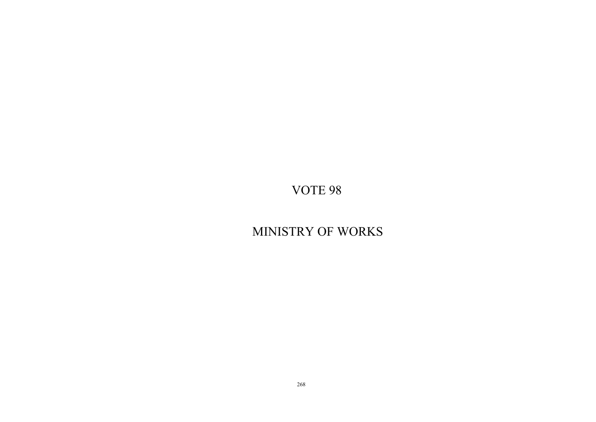# MINISTRY OF WORKS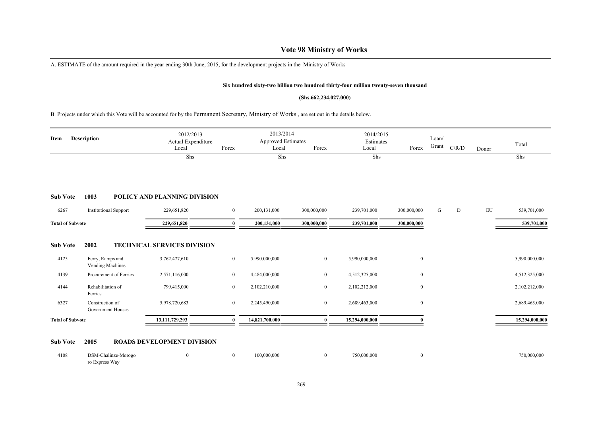A. ESTIMATE of the amount required in the year ending 30th June, 2015, for the development projects in the Ministry of Works

#### **Six hundred sixty-two billion two hundred thirty-four million twenty-seven thousand**

#### **(Shs.662,234,027,000)**

B. Projects under which this Vote will be accounted for by the Permanent Secretary, Ministry of Works , are set out in the details below.

| Item                    | <b>Description</b>                   | 2012/2013<br>Actual Expenditure<br>Local | 2013/2014<br><b>Approved Estimates</b><br>Forex<br>Forex<br>Local |                |                | 2014/2015<br>Estimates<br>Local | Forex            | Loan/<br>Grant | C/R/D | Donor | Total          |
|-------------------------|--------------------------------------|------------------------------------------|-------------------------------------------------------------------|----------------|----------------|---------------------------------|------------------|----------------|-------|-------|----------------|
|                         |                                      | Shs                                      |                                                                   | Shs            |                | Shs                             |                  |                |       |       | Shs            |
| <b>Sub Vote</b>         | 1003                                 | POLICY AND PLANNING DIVISION             |                                                                   |                |                |                                 |                  |                |       |       |                |
| 6267                    | <b>Institutional Support</b>         | 229,651,820                              | $\mathbf{0}$                                                      | 200,131,000    | 300,000,000    | 239,701,000                     | 300,000,000      | G              | D     | EU    | 539,701,000    |
| <b>Total of Subvote</b> |                                      | 229,651,820                              | $\mathbf{0}$                                                      | 200,131,000    | 300,000,000    | 239,701,000                     | 300,000,000      |                |       |       | 539,701,000    |
| <b>Sub Vote</b>         | 2002                                 | <b>TECHNICAL SERVICES DIVISION</b>       |                                                                   |                |                |                                 |                  |                |       |       |                |
| 4125                    | Ferry, Ramps and<br>Vending Machines | 3,762,477,610                            | $\bf{0}$                                                          | 5,990,000,000  | $\mathbf{0}$   | 5,990,000,000                   | $\bf{0}$         |                |       |       | 5,990,000,000  |
| 4139                    | Procurement of Ferries               | 2,571,116,000                            | $\boldsymbol{0}$                                                  | 4,484,000,000  | $\mathbf{0}$   | 4,512,325,000                   | $\mathbf{0}$     |                |       |       | 4,512,325,000  |
| 4144                    | Rehabilitation of<br>Ferries         | 799,415,000                              | $\bf{0}$                                                          | 2,102,210,000  | $\mathbf{0}$   | 2,102,212,000                   | $\boldsymbol{0}$ |                |       |       | 2,102,212,000  |
| 6327                    | Construction of<br>Government Houses | 5,978,720,683                            | $\overline{0}$                                                    | 2,245,490,000  | $\overline{0}$ | 2,689,463,000                   | $\mathbf{0}$     |                |       |       | 2,689,463,000  |
| <b>Total of Subvote</b> |                                      | 13,111,729,293                           | 0                                                                 | 14,821,700,000 | $\mathbf{0}$   | 15,294,000,000                  |                  |                |       |       | 15,294,000,000 |
| <b>Sub Vote</b>         | 2005                                 | <b>ROADS DEVELOPMENT DIVISION</b>        |                                                                   |                |                |                                 |                  |                |       |       |                |

| 4108 | DSM-Chalinze-Morogo |  | 100,000,000 | 750,000,000 | 750,000,000 |
|------|---------------------|--|-------------|-------------|-------------|
|      | ro Express Way      |  |             |             |             |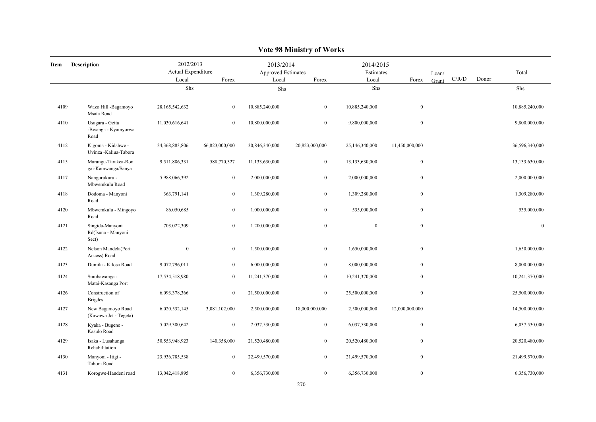|      |                                                |                                                   |                  |                | $0 - 110 - 220$                                          |                |                                 |                |       |       |                  |
|------|------------------------------------------------|---------------------------------------------------|------------------|----------------|----------------------------------------------------------|----------------|---------------------------------|----------------|-------|-------|------------------|
| Item | <b>Description</b>                             | 2012/2013<br>Actual Expenditure<br>Local<br>Forex |                  |                | 2013/2014<br>Approved Estimates<br>Forex<br>Local<br>Shs |                | 2014/2015<br>Estimates<br>Forex | Loan/<br>Grant | C/R/D | Donor | Total            |
|      |                                                |                                                   | Shs              |                |                                                          |                |                                 |                |       |       | Shs              |
| 4109 | Wazo Hill -Bagamoyo<br>Msata Road              | 28, 165, 542, 632                                 | $\overline{0}$   | 10,885,240,000 | $\overline{0}$                                           | 10,885,240,000 | $\mathbf{0}$                    |                |       |       | 10,885,240,000   |
| 4110 | Usagara - Geita<br>-Bwanga - Kyamyorwa<br>Road | 11,030,616,641                                    | $\mathbf{0}$     | 10,800,000,000 | $\mathbf{0}$                                             | 9,800,000,000  | $\mathbf{0}$                    |                |       |       | 9,800,000,000    |
| 4112 | Kigoma - Kidahwe -<br>Uvinza -Kaliua-Tabora    | 34,368,883,806                                    | 66,823,000,000   | 30,846,340,000 | 20,823,000,000                                           | 25,146,340,000 | 11,450,000,000                  |                |       |       | 36,596,340,000   |
| 4115 | Marangu-Tarakea-Ron<br>gai-Kamwanga/Sanya      | 9,511,886,331                                     | 588,770,327      | 11,133,630,000 | $\boldsymbol{0}$                                         | 13,133,630,000 | $\boldsymbol{0}$                |                |       |       | 13,133,630,000   |
| 4117 | Nangurukuru -<br>Mbwemkulu Road                | 5,988,066,392                                     | $\overline{0}$   | 2,000,000,000  | $\mathbf{0}$                                             | 2,000,000,000  | $\mathbf{0}$                    |                |       |       | 2,000,000,000    |
| 4118 | Dodoma - Manyoni<br>Road                       | 363,791,141                                       | $\overline{0}$   | 1,309,280,000  | $\mathbf{0}$                                             | 1,309,280,000  | $\mathbf{0}$                    |                |       |       | 1,309,280,000    |
| 4120 | Mbwemkulu - Mingoyo<br>Road                    | 86,050,685                                        | $\boldsymbol{0}$ | 1,000,000,000  | $\boldsymbol{0}$                                         | 535,000,000    | $\boldsymbol{0}$                |                |       |       | 535,000,000      |
| 4121 | Singida-Manyoni<br>Rd(Isuna - Manyoni<br>Sect) | 703,022,309                                       | $\mathbf{0}$     | 1,200,000,000  | $\mathbf{0}$                                             | $\mathbf{0}$   | $\mathbf{0}$                    |                |       |       | $\boldsymbol{0}$ |
| 4122 | Nelson Mandela(Port<br>Access) Road            | $\boldsymbol{0}$                                  | $\boldsymbol{0}$ | 1,500,000,000  | $\boldsymbol{0}$                                         | 1,650,000,000  | $\boldsymbol{0}$                |                |       |       | 1,650,000,000    |
| 4123 | Dumila - Kilosa Road                           | 9,072,796,011                                     | $\overline{0}$   | 6,000,000,000  | $\overline{0}$                                           | 8,000,000,000  | $\mathbf{0}$                    |                |       |       | 8,000,000,000    |
| 4124 | Sumbawanga -<br>Matai-Kasanga Port             | 17,534,518,980                                    | $\overline{0}$   | 11,241,370,000 | $\mathbf{0}$                                             | 10,241,370,000 | $\mathbf{0}$                    |                |       |       | 10,241,370,000   |
| 4126 | Construction of<br><b>Brigdes</b>              | 6,093,378,366                                     | $\overline{0}$   | 21,500,000,000 | $\overline{0}$                                           | 25,500,000,000 | $\mathbf{0}$                    |                |       |       | 25,500,000,000   |
| 4127 | New Bagamoyo Road<br>(Kawawa Jct - Tegeta)     | 6,020,532,145                                     | 3,081,102,000    | 2,500,000,000  | 18,000,000,000                                           | 2,500,000,000  | 12,000,000,000                  |                |       |       | 14,500,000,000   |
| 4128 | Kyaka - Bugene -<br>Kasulo Road                | 5,029,380,642                                     | $\overline{0}$   | 7,037,530,000  | $\overline{0}$                                           | 6,037,530,000  | $\mathbf{0}$                    |                |       |       | 6,037,530,000    |
| 4129 | Isaka - Lusahunga<br>Rehabilitation            | 50,553,948,923                                    | 140,358,000      | 21,520,480,000 | $\boldsymbol{0}$                                         | 20,520,480,000 | $\boldsymbol{0}$                |                |       |       | 20,520,480,000   |
| 4130 | Manyoni - Itigi -<br>Tabora Road               | 23,936,785,538                                    | $\overline{0}$   | 22,499,570,000 | $\overline{0}$                                           | 21,499,570,000 | $\mathbf{0}$                    |                |       |       | 21,499,570,000   |
| 4131 | Korogwe-Handeni road                           | 13,042,418,895                                    | $\overline{0}$   | 6,356,730,000  | $\mathbf{0}$                                             | 6,356,730,000  | $\mathbf{0}$                    |                |       |       | 6,356,730,000    |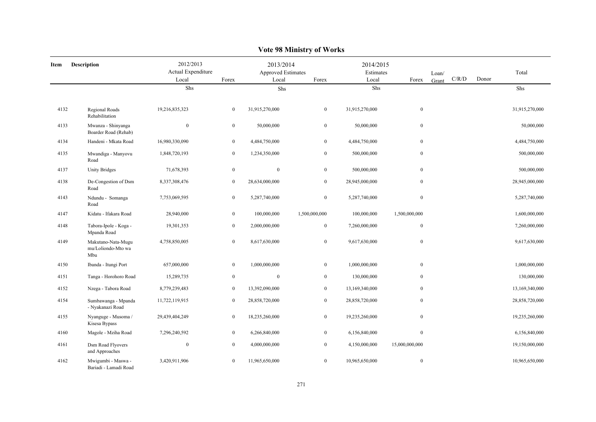|      | VULC 20 IVILIIISLI Y UL VVUL KS                 |                                          |                  |                                          |                  |                                 |                  |                |       |       |                |  |  |
|------|-------------------------------------------------|------------------------------------------|------------------|------------------------------------------|------------------|---------------------------------|------------------|----------------|-------|-------|----------------|--|--|
| Item | <b>Description</b>                              | 2012/2013<br>Actual Expenditure<br>Local | Forex            | 2013/2014<br>Approved Estimates<br>Local | Forex            | 2014/2015<br>Estimates<br>Local | Forex            | Loan/<br>Grant | C/R/D | Donor | Total          |  |  |
|      |                                                 | Shs                                      |                  | Shs                                      |                  | Shs                             |                  |                |       |       | Shs            |  |  |
| 4132 | Regional Roads<br>Rehabilitation                | 19,216,835,323                           | $\mathbf{0}$     | 31,915,270,000                           | $\mathbf{0}$     | 31,915,270,000                  | $\boldsymbol{0}$ |                |       |       | 31,915,270,000 |  |  |
| 4133 | Mwanza - Shinyanga<br>Boarder Road (Rehab)      | $\mathbf{0}$                             | $\overline{0}$   | 50,000,000                               | $\mathbf{0}$     | 50,000,000                      | $\boldsymbol{0}$ |                |       |       | 50,000,000     |  |  |
| 4134 | Handeni - Mkata Road                            | 16,980,330,090                           | $\boldsymbol{0}$ | 4,484,750,000                            | $\boldsymbol{0}$ | 4,484,750,000                   | $\boldsymbol{0}$ |                |       |       | 4,484,750,000  |  |  |
| 4135 | Mwandiga - Manyovu<br>Road                      | 1,848,720,193                            | $\boldsymbol{0}$ | 1,234,350,000                            | $\bf{0}$         | 500,000,000                     | $\boldsymbol{0}$ |                |       |       | 500,000,000    |  |  |
| 4137 | <b>Unity Bridges</b>                            | 71,678,393                               | $\boldsymbol{0}$ | $\mathbf{0}$                             | $\mathbf{0}$     | 500,000,000                     | $\boldsymbol{0}$ |                |       |       | 500,000,000    |  |  |
| 4138 | De-Congestion of Dsm<br>Road                    | 8,337,308,476                            | $\mathbf{0}$     | 28,634,000,000                           | $\overline{0}$   | 28,945,000,000                  | $\mathbf{0}$     |                |       |       | 28,945,000,000 |  |  |
| 4143 | Ndundu - Somanga<br>Road                        | 7,753,069,595                            | $\overline{0}$   | 5,287,740,000                            | $\overline{0}$   | 5,287,740,000                   | $\boldsymbol{0}$ |                |       |       | 5,287,740,000  |  |  |
| 4147 | Kidatu - Ifakara Road                           | 28,940,000                               | $\boldsymbol{0}$ | 100,000,000                              | 1,500,000,000    | 100,000,000                     | 1,500,000,000    |                |       |       | 1,600,000,000  |  |  |
| 4148 | Tabora-Ipole - Koga -<br>Mpanda Road            | 19,301,353                               | $\mathbf{0}$     | 2,000,000,000                            | $\mathbf{0}$     | 7,260,000,000                   | $\boldsymbol{0}$ |                |       |       | 7,260,000,000  |  |  |
| 4149 | Makutano-Nata-Mugu<br>mu/Loliondo-Mto wa<br>Mbu | 4,758,850,005                            | $\mathbf{0}$     | 8,617,630,000                            | $\mathbf{0}$     | 9,617,630,000                   | $\boldsymbol{0}$ |                |       |       | 9,617,630,000  |  |  |
| 4150 | Ibanda - Itungi Port                            | 657,000,000                              | $\mathbf{0}$     | 1,000,000,000                            | $\mathbf{0}$     | 1,000,000,000                   | $\boldsymbol{0}$ |                |       |       | 1,000,000,000  |  |  |
| 4151 | Tanga - Horohoro Road                           | 15,289,735                               | $\overline{0}$   | $\mathbf{0}$                             | $\mathbf{0}$     | 130,000,000                     | $\mathbf{0}$     |                |       |       | 130,000,000    |  |  |
| 4152 | Nzega - Tabora Road                             | 8,779,239,483                            | $\mathbf{0}$     | 13,392,090,000                           | $\overline{0}$   | 13,169,340,000                  | $\boldsymbol{0}$ |                |       |       | 13,169,340,000 |  |  |
| 4154 | Sumbawanga - Mpanda<br>- Nyakanazi Road         | 11,722,119,915                           | $\overline{0}$   | 28,858,720,000                           | $\mathbf{0}$     | 28,858,720,000                  | $\mathbf{0}$     |                |       |       | 28,858,720,000 |  |  |
| 4155 | Nyanguge - Musoma /<br>Kisesa Bypass            | 29,439,404,249                           | $\mathbf{0}$     | 18,235,260,000                           | $\mathbf{0}$     | 19,235,260,000                  | $\boldsymbol{0}$ |                |       |       | 19,235,260,000 |  |  |
| 4160 | Magole - Mziha Road                             | 7,296,240,592                            | $\overline{0}$   | 6,266,840,000                            | $\boldsymbol{0}$ | 6,156,840,000                   | $\boldsymbol{0}$ |                |       |       | 6,156,840,000  |  |  |
| 4161 | Dsm Road Flyovers<br>and Approaches             | $\mathbf{0}$                             | $\overline{0}$   | 4,000,000,000                            | $\mathbf{0}$     | 4,150,000,000                   | 15,000,000,000   |                |       |       | 19,150,000,000 |  |  |
| 4162 | Mwigumbi - Maswa -<br>Bariadi - Lamadi Road     | 3,420,911,906                            | $\mathbf{0}$     | 11,965,650,000                           | $\overline{0}$   | 10,965,650,000                  | $\mathbf{0}$     |                |       |       | 10,965,650,000 |  |  |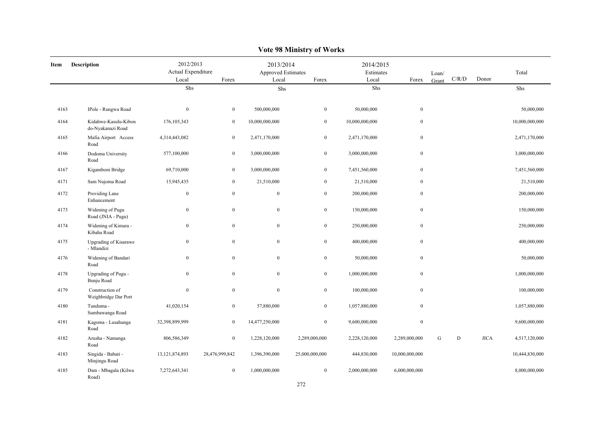|      | Y ULC 20 IVILIIISH Y UL YY UL KS           |                                                   |                  |                                          |                  |                                 |                  |                |       |             |                |  |  |
|------|--------------------------------------------|---------------------------------------------------|------------------|------------------------------------------|------------------|---------------------------------|------------------|----------------|-------|-------------|----------------|--|--|
| Item | Description                                | 2012/2013<br>Actual Expenditure<br>Local<br>Forex |                  | 2013/2014<br>Approved Estimates<br>Local | Forex            | 2014/2015<br>Estimates<br>Local | Forex            | Loan/<br>Grant | C/R/D | Donor       | Total          |  |  |
|      |                                            | Shs                                               |                  | Shs                                      |                  | Shs                             |                  |                |       |             | Shs            |  |  |
|      |                                            |                                                   |                  |                                          |                  |                                 |                  |                |       |             |                |  |  |
| 4163 | IPole - Rungwa Road                        | $\mathbf{0}$                                      | $\boldsymbol{0}$ | 500,000,000                              | $\boldsymbol{0}$ | 50,000,000                      | $\mathbf{0}$     |                |       |             | 50,000,000     |  |  |
| 4164 | Kidahwe-Kasulu-Kibon<br>do-Nyakanazi Road  | 176, 105, 343                                     | $\boldsymbol{0}$ | 10,000,000,000                           | $\boldsymbol{0}$ | 10,000,000,000                  | $\boldsymbol{0}$ |                |       |             | 10,000,000,000 |  |  |
| 4165 | Mafia Airport Access<br>Road               | 4,314,443,082                                     | $\boldsymbol{0}$ | 2,471,170,000                            | $\boldsymbol{0}$ | 2,471,170,000                   | $\mathbf{0}$     |                |       |             | 2,471,170,000  |  |  |
| 4166 | Dodoma University<br>Road                  | 577,100,000                                       | $\mathbf{0}$     | 3,000,000,000                            | $\boldsymbol{0}$ | 3,000,000,000                   | $\boldsymbol{0}$ |                |       |             | 3,000,000,000  |  |  |
| 4167 | Kigamboni Bridge                           | 69,710,000                                        | $\boldsymbol{0}$ | 3,000,000,000                            | $\boldsymbol{0}$ | 7,451,560,000                   | $\mathbf{0}$     |                |       |             | 7,451,560,000  |  |  |
| 4171 | Sam Nujoma Road                            | 15,945,435                                        | $\mathbf{0}$     | 21,510,000                               | $\bf{0}$         | 21,510,000                      | $\mathbf{0}$     |                |       |             | 21,510,000     |  |  |
| 4172 | Providing Lane<br>Enhancement              | $\boldsymbol{0}$                                  | $\boldsymbol{0}$ | $\boldsymbol{0}$                         | $\boldsymbol{0}$ | 200,000,000                     | $\boldsymbol{0}$ |                |       |             | 200,000,000    |  |  |
| 4173 | Widening of Pugu<br>Road (JNIA - Pugu)     | $\boldsymbol{0}$                                  | $\boldsymbol{0}$ | $\boldsymbol{0}$                         | $\boldsymbol{0}$ | 150,000,000                     | $\boldsymbol{0}$ |                |       |             | 150,000,000    |  |  |
| 4174 | Widening of Kimara -<br>Kibaha Road        | $\bf{0}$                                          | $\bf{0}$         | $\mathbf{0}$                             | $\bf{0}$         | 250,000,000                     | $\bf{0}$         |                |       |             | 250,000,000    |  |  |
| 4175 | <b>Upgrading of Kisarawe</b><br>- Mlandizi | $\bf{0}$                                          | $\boldsymbol{0}$ | $\boldsymbol{0}$                         | $\boldsymbol{0}$ | 400,000,000                     | $\mathbf{0}$     |                |       |             | 400,000,000    |  |  |
| 4176 | Widening of Bandari<br>Road                | $\bf{0}$                                          | $\bf{0}$         | $\mathbf{0}$                             | $\bf{0}$         | 50,000,000                      | $\bf{0}$         |                |       |             | 50,000,000     |  |  |
| 4178 | Upgrading of Pugu -<br>Bunju Road          | $\bf{0}$                                          | $\boldsymbol{0}$ | $\boldsymbol{0}$                         | $\boldsymbol{0}$ | 1,000,000,000                   | $\boldsymbol{0}$ |                |       |             | 1,000,000,000  |  |  |
| 4179 | Construction of<br>Weighbridge Dar Port    | $\bf{0}$                                          | $\boldsymbol{0}$ | $\mathbf{0}$                             | $\boldsymbol{0}$ | 100,000,000                     | $\mathbf{0}$     |                |       |             | 100,000,000    |  |  |
| 4180 | Tunduma -<br>Sumbawanga Road               | 41,020,154                                        | $\bf{0}$         | 57,880,000                               | $\bf{0}$         | 1,057,880,000                   | $\bf{0}$         |                |       |             | 1,057,880,000  |  |  |
| 4181 | Kagoma - Lusahunga<br>Road                 | 32,398,899,999                                    | $\bf{0}$         | 14,477,250,000                           | $\mathbf{0}$     | 9,600,000,000                   | $\boldsymbol{0}$ |                |       |             | 9,600,000,000  |  |  |
| 4182 | Arusha - Namanga<br>Road                   | 806,586,349                                       | $\boldsymbol{0}$ | 1,228,120,000                            | 2,289,000,000    | 2,228,120,000                   | 2,289,000,000    | G              | D     | <b>JICA</b> | 4,517,120,000  |  |  |
| 4183 | Singida - Babati -<br>Minjingu Road        | 13, 121, 874, 893                                 | 28,476,999,842   | 1,396,390,000                            | 25,000,000,000   | 444,830,000                     | 10,000,000,000   |                |       |             | 10,444,830,000 |  |  |
| 4185 | Dsm - Mbagala (Kilwa<br>Road)              | 7,272,643,341                                     | $\bf{0}$         | 1,000,000,000                            | $\boldsymbol{0}$ | 2,000,000,000                   | 6,000,000,000    |                |       |             | 8,000,000,000  |  |  |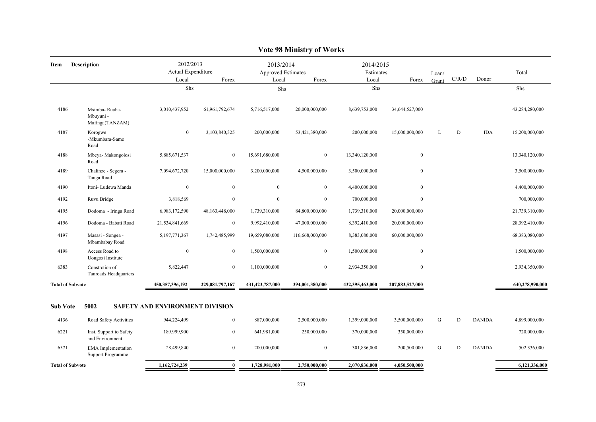| 2012/2013<br>2013/2014<br>2014/2015<br><b>Description</b><br>Item<br>Actual Expenditure<br>Approved Estimates<br>Estimates<br>Loan/<br>C/R/D<br>Donor<br>Local<br>Forex<br>Local<br>Forex<br>Local<br>Forex<br>Grant<br>Shs<br>Shs<br>Shs<br>4186<br>3,010,437,952<br>61,961,792,674<br>5,716,517,000<br>20,000,000,000<br>8,639,753,000<br>34,644,527,000<br>Msimba-Ruaha-<br>Mbuyuni -<br>Mafinga(TANZAM)<br>4187<br>$\mathbf{0}$<br>D<br><b>IDA</b><br>3,103,840,325<br>200,000,000<br>53,421,380,000<br>200,000,000<br>15,000,000,000<br>L<br>Korogwe<br>-Mkumbara-Same<br>Road<br>4188<br>$\bf{0}$<br>Mbeya- Makongolosi<br>5,885,671,537<br>$\boldsymbol{0}$<br>15,691,680,000<br>$\boldsymbol{0}$<br>13,340,120,000<br>Road<br>$\boldsymbol{0}$<br>4189<br>Chalinze - Segera -<br>15,000,000,000<br>4,500,000,000<br>7,094,672,720<br>3,200,000,000<br>3,500,000,000<br>Tanga Road<br>$\boldsymbol{0}$<br>$\mathbf{0}$<br>$\mathbf{0}$<br>$\boldsymbol{0}$<br>4190<br>Itoni- Ludewa Manda<br>$\overline{0}$<br>4,400,000,000<br>4192<br>Ruvu Bridge<br>3,818,569<br>$\mathbf{0}$<br>$\overline{0}$<br>$\mathbf{0}$<br>$\bf{0}$<br>700,000,000<br>4195<br>Dodoma - Iringa Road<br>6,983,172,590<br>48,163,448,000<br>1,739,310,000<br>84,800,000,000<br>20,000,000,000<br>1,739,310,000<br>4196<br>Dodoma - Babati Road<br>21,534,841,669<br>$\mathbf{0}$<br>9,992,410,000<br>47,000,000,000<br>8,392,410,000<br>20,000,000,000<br>4197<br>5,197,771,367<br>1,742,485,999<br>19,659,080,000<br>116,668,000,000<br>8,383,080,000<br>60,000,000,000<br>Masasi - Songea -<br>Mbambabay Road<br>$\boldsymbol{0}$<br>4198<br>Access Road to<br>$\mathbf{0}$<br>1,500,000,000<br>$\overline{0}$<br>1,500,000,000<br>$\boldsymbol{0}$<br>Uongozi Institute<br>6383<br>$\mathbf{0}$<br>$\mathbf{0}$<br>Constretion of<br>5,822,447<br>1,100,000,000<br>$\overline{0}$<br>2,934,350,000<br>Tanroads Headquarters<br>450,357,396,192<br>229,081,797,167<br>431,423,787,000<br>394,001,380,000<br>432,395,463,000<br>207,883,527,000<br><b>Total of Subvote</b> |                 |  | $\sqrt{2}$ |  |  |  |  |
|------------------------------------------------------------------------------------------------------------------------------------------------------------------------------------------------------------------------------------------------------------------------------------------------------------------------------------------------------------------------------------------------------------------------------------------------------------------------------------------------------------------------------------------------------------------------------------------------------------------------------------------------------------------------------------------------------------------------------------------------------------------------------------------------------------------------------------------------------------------------------------------------------------------------------------------------------------------------------------------------------------------------------------------------------------------------------------------------------------------------------------------------------------------------------------------------------------------------------------------------------------------------------------------------------------------------------------------------------------------------------------------------------------------------------------------------------------------------------------------------------------------------------------------------------------------------------------------------------------------------------------------------------------------------------------------------------------------------------------------------------------------------------------------------------------------------------------------------------------------------------------------------------------------------------------------------------------------------------------------------------------------------------------------------------------|-----------------|--|------------|--|--|--|--|
|                                                                                                                                                                                                                                                                                                                                                                                                                                                                                                                                                                                                                                                                                                                                                                                                                                                                                                                                                                                                                                                                                                                                                                                                                                                                                                                                                                                                                                                                                                                                                                                                                                                                                                                                                                                                                                                                                                                                                                                                                                                            | Total           |  |            |  |  |  |  |
|                                                                                                                                                                                                                                                                                                                                                                                                                                                                                                                                                                                                                                                                                                                                                                                                                                                                                                                                                                                                                                                                                                                                                                                                                                                                                                                                                                                                                                                                                                                                                                                                                                                                                                                                                                                                                                                                                                                                                                                                                                                            | Shs             |  |            |  |  |  |  |
|                                                                                                                                                                                                                                                                                                                                                                                                                                                                                                                                                                                                                                                                                                                                                                                                                                                                                                                                                                                                                                                                                                                                                                                                                                                                                                                                                                                                                                                                                                                                                                                                                                                                                                                                                                                                                                                                                                                                                                                                                                                            | 43,284,280,000  |  |            |  |  |  |  |
|                                                                                                                                                                                                                                                                                                                                                                                                                                                                                                                                                                                                                                                                                                                                                                                                                                                                                                                                                                                                                                                                                                                                                                                                                                                                                                                                                                                                                                                                                                                                                                                                                                                                                                                                                                                                                                                                                                                                                                                                                                                            | 15,200,000,000  |  |            |  |  |  |  |
|                                                                                                                                                                                                                                                                                                                                                                                                                                                                                                                                                                                                                                                                                                                                                                                                                                                                                                                                                                                                                                                                                                                                                                                                                                                                                                                                                                                                                                                                                                                                                                                                                                                                                                                                                                                                                                                                                                                                                                                                                                                            | 13,340,120,000  |  |            |  |  |  |  |
|                                                                                                                                                                                                                                                                                                                                                                                                                                                                                                                                                                                                                                                                                                                                                                                                                                                                                                                                                                                                                                                                                                                                                                                                                                                                                                                                                                                                                                                                                                                                                                                                                                                                                                                                                                                                                                                                                                                                                                                                                                                            | 3,500,000,000   |  |            |  |  |  |  |
|                                                                                                                                                                                                                                                                                                                                                                                                                                                                                                                                                                                                                                                                                                                                                                                                                                                                                                                                                                                                                                                                                                                                                                                                                                                                                                                                                                                                                                                                                                                                                                                                                                                                                                                                                                                                                                                                                                                                                                                                                                                            | 4,400,000,000   |  |            |  |  |  |  |
|                                                                                                                                                                                                                                                                                                                                                                                                                                                                                                                                                                                                                                                                                                                                                                                                                                                                                                                                                                                                                                                                                                                                                                                                                                                                                                                                                                                                                                                                                                                                                                                                                                                                                                                                                                                                                                                                                                                                                                                                                                                            | 700,000,000     |  |            |  |  |  |  |
|                                                                                                                                                                                                                                                                                                                                                                                                                                                                                                                                                                                                                                                                                                                                                                                                                                                                                                                                                                                                                                                                                                                                                                                                                                                                                                                                                                                                                                                                                                                                                                                                                                                                                                                                                                                                                                                                                                                                                                                                                                                            | 21,739,310,000  |  |            |  |  |  |  |
|                                                                                                                                                                                                                                                                                                                                                                                                                                                                                                                                                                                                                                                                                                                                                                                                                                                                                                                                                                                                                                                                                                                                                                                                                                                                                                                                                                                                                                                                                                                                                                                                                                                                                                                                                                                                                                                                                                                                                                                                                                                            | 28,392,410,000  |  |            |  |  |  |  |
|                                                                                                                                                                                                                                                                                                                                                                                                                                                                                                                                                                                                                                                                                                                                                                                                                                                                                                                                                                                                                                                                                                                                                                                                                                                                                                                                                                                                                                                                                                                                                                                                                                                                                                                                                                                                                                                                                                                                                                                                                                                            | 68,383,080,000  |  |            |  |  |  |  |
|                                                                                                                                                                                                                                                                                                                                                                                                                                                                                                                                                                                                                                                                                                                                                                                                                                                                                                                                                                                                                                                                                                                                                                                                                                                                                                                                                                                                                                                                                                                                                                                                                                                                                                                                                                                                                                                                                                                                                                                                                                                            | 1,500,000,000   |  |            |  |  |  |  |
|                                                                                                                                                                                                                                                                                                                                                                                                                                                                                                                                                                                                                                                                                                                                                                                                                                                                                                                                                                                                                                                                                                                                                                                                                                                                                                                                                                                                                                                                                                                                                                                                                                                                                                                                                                                                                                                                                                                                                                                                                                                            | 2,934,350,000   |  |            |  |  |  |  |
|                                                                                                                                                                                                                                                                                                                                                                                                                                                                                                                                                                                                                                                                                                                                                                                                                                                                                                                                                                                                                                                                                                                                                                                                                                                                                                                                                                                                                                                                                                                                                                                                                                                                                                                                                                                                                                                                                                                                                                                                                                                            | 640,278,990,000 |  |            |  |  |  |  |
| <b>Sub Vote</b><br>5002<br>SAFETY AND ENVIRONMENT DIVISION                                                                                                                                                                                                                                                                                                                                                                                                                                                                                                                                                                                                                                                                                                                                                                                                                                                                                                                                                                                                                                                                                                                                                                                                                                                                                                                                                                                                                                                                                                                                                                                                                                                                                                                                                                                                                                                                                                                                                                                                 |                 |  |            |  |  |  |  |
| G<br>D<br>4136<br>Road Safety Activities<br>944,224,499<br>$\mathbf{0}$<br>887,000,000<br>2,500,000,000<br>1,399,000,000<br>3,500,000,000<br><b>DANIDA</b>                                                                                                                                                                                                                                                                                                                                                                                                                                                                                                                                                                                                                                                                                                                                                                                                                                                                                                                                                                                                                                                                                                                                                                                                                                                                                                                                                                                                                                                                                                                                                                                                                                                                                                                                                                                                                                                                                                 | 4,899,000,000   |  |            |  |  |  |  |
| 6221<br>189,999,900<br>$\mathbf{0}$<br>641,981,000<br>250,000,000<br>370,000,000<br>350,000,000<br>Inst. Support to Safety<br>and Environment                                                                                                                                                                                                                                                                                                                                                                                                                                                                                                                                                                                                                                                                                                                                                                                                                                                                                                                                                                                                                                                                                                                                                                                                                                                                                                                                                                                                                                                                                                                                                                                                                                                                                                                                                                                                                                                                                                              | 720,000,000     |  |            |  |  |  |  |
| 6571<br><b>EMA</b> Implementation<br>28,499,840<br>$\mathbf{0}$<br>200,000,000<br>$\mathbf{0}$<br>301,836,000<br>200,500,000<br>G<br>D<br><b>DANIDA</b><br><b>Support Programme</b>                                                                                                                                                                                                                                                                                                                                                                                                                                                                                                                                                                                                                                                                                                                                                                                                                                                                                                                                                                                                                                                                                                                                                                                                                                                                                                                                                                                                                                                                                                                                                                                                                                                                                                                                                                                                                                                                        | 502,336,000     |  |            |  |  |  |  |
| 1,162,724,239<br>$\mathbf{0}$<br>1,728,981,000<br>2,750,000,000<br>2,070,836,000<br>4,050,500,000<br><b>Total of Subvote</b>                                                                                                                                                                                                                                                                                                                                                                                                                                                                                                                                                                                                                                                                                                                                                                                                                                                                                                                                                                                                                                                                                                                                                                                                                                                                                                                                                                                                                                                                                                                                                                                                                                                                                                                                                                                                                                                                                                                               | 6,121,336,000   |  |            |  |  |  |  |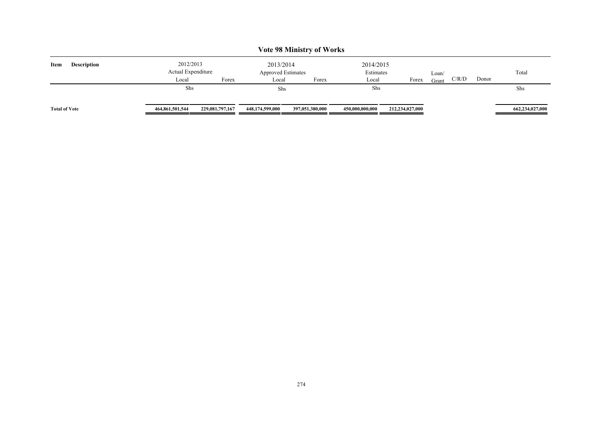| <b>Vote 98 Ministry of Works</b> |                                 |                 |                                        |                 |                        |                 |       |       |       |                 |
|----------------------------------|---------------------------------|-----------------|----------------------------------------|-----------------|------------------------|-----------------|-------|-------|-------|-----------------|
| Item<br><b>Description</b>       | 2012/2013<br>Actual Expenditure |                 | 2013/2014<br><b>Approved Estimates</b> |                 | 2014/2015<br>Estimates |                 | Loan/ |       |       | Total           |
|                                  | Local                           | Forex           | Local                                  | Forex           | Local                  | Forex           | Grant | C/R/D | Donor |                 |
|                                  | Shs                             |                 | Shs                                    |                 | Shs                    |                 |       |       |       | Shs             |
| <b>Total of Vote</b>             | 464,861,501,544                 | 229,081,797,167 | 448,174,599,000                        | 397,051,380,000 | 450,000,000,000        | 212,234,027,000 |       |       |       | 662,234,027,000 |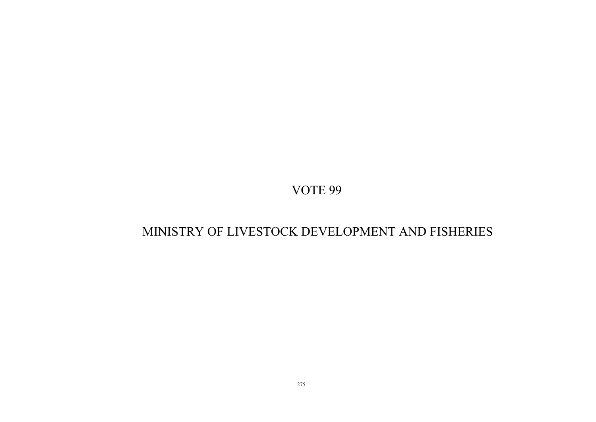# MINISTRY OF LIVESTOCK DEVELOPMENT AND FISHERIES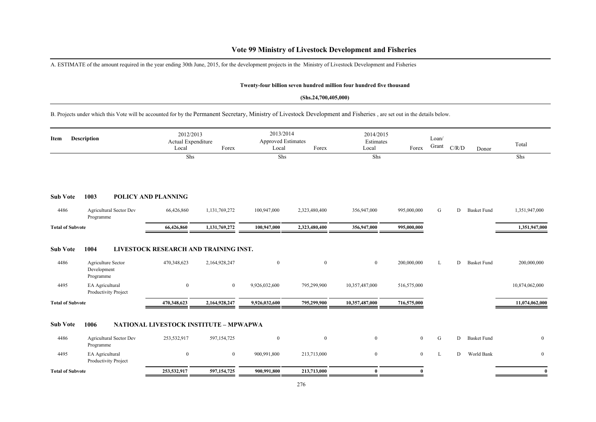### **Vote 99 Ministry of Livestock Development and Fisheries**

A. ESTIMATE of the amount required in the year ending 30th June, 2015, for the development projects in the Ministry of Livestock Development and Fisheries

#### **Twenty-four billion seven hundred million four hundred five thousand**

#### **(Shs.24,700,405,000)**

B. Projects under which this Vote will be accounted for by the Permanent Secretary, Ministry of Livestock Development and Fisheries , are set out in the details below.

| <b>Description</b><br>Item |                                                        | 2012/2013<br>Actual Expenditure<br>Local<br>Forex<br>Shs |                | Local<br>Shs     | 2013/2014<br>Approved Estimates<br>Forex |                | 2014/2015<br>Estimates<br>Forex | Loan/<br>Grant | C/R/D | Donor              | Total<br>Shs     |
|----------------------------|--------------------------------------------------------|----------------------------------------------------------|----------------|------------------|------------------------------------------|----------------|---------------------------------|----------------|-------|--------------------|------------------|
| <b>Sub Vote</b>            | 1003                                                   | <b>POLICY AND PLANNING</b>                               |                |                  |                                          |                |                                 |                |       |                    |                  |
| 4486                       | Agricultural Sector Dev<br>Programme                   | 66,426,860                                               | 1,131,769,272  | 100,947,000      | 2,323,480,400                            | 356,947,000    | 995,000,000                     | G              | D     | <b>Basket Fund</b> | 1,351,947,000    |
| <b>Total of Subvote</b>    |                                                        | 66,426,860                                               | 1,131,769,272  | 100,947,000      | 2,323,480,400                            | 356,947,000    | 995,000,000                     |                |       |                    | 1,351,947,000    |
| <b>Sub Vote</b><br>4486    | 1004<br>Agriculture Sector<br>Development<br>Programme | LIVESTOCK RESEARCH AND TRAINING INST.<br>470,348,623     | 2,164,928,247  | $\mathbf{0}$     | $\mathbf{0}$                             | $\overline{0}$ | 200,000,000                     | L              | D.    | <b>Basket Fund</b> | 200,000,000      |
| 4495                       | EA Agricultural<br>Productivity Project                | $\mathbf{0}$                                             | $\overline{0}$ | 9,926,032,600    | 795,299,900                              | 10,357,487,000 | 516,575,000                     |                |       |                    | 10,874,062,000   |
| <b>Total of Subvote</b>    |                                                        | 470,348,623                                              | 2,164,928,247  | 9,926,032,600    | 795,299,900                              | 10,357,487,000 | 716,575,000                     |                |       |                    | 11,074,062,000   |
| <b>Sub Vote</b>            | 1006                                                   | NATIONAL LIVESTOCK INSTITUTE - MPWAPWA                   |                |                  |                                          |                |                                 |                |       |                    |                  |
| 4486                       | Agricultural Sector Dev<br>Programme                   | 253,532,917                                              | 597,154,725    | $\boldsymbol{0}$ | $\mathbf{0}$                             | $\overline{0}$ | $\overline{0}$                  | G              | D     | <b>Basket Fund</b> | $\boldsymbol{0}$ |
| 4495                       | EA Agricultural<br>Productivity Project                | $\mathbf{0}$                                             | $\bf{0}$       | 900,991,800      | 213,713,000                              | $\mathbf{0}$   | $\overline{0}$                  | L              | D     | World Bank         | $\mathbf{0}$     |
| <b>Total of Subvote</b>    |                                                        | 253,532,917                                              | 597, 154, 725  | 900,991,800      | 213,713,000                              | $\mathbf{0}$   | $\theta$                        |                |       |                    | $\mathbf{0}$     |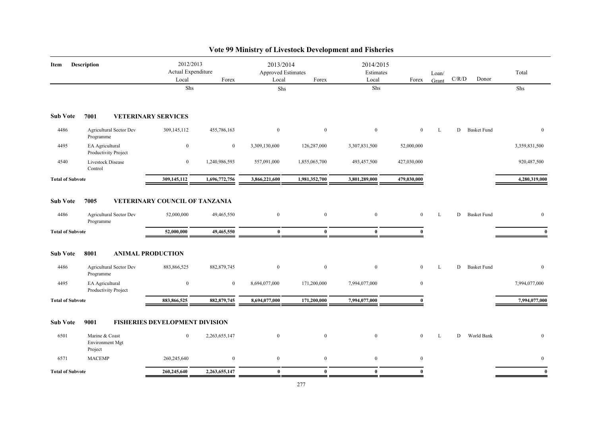| Description<br>Item     |                                              | 2012/2013<br>Actual Expenditure              |                  |                  | 2013/2014<br><b>Approved Estimates</b> |                  | 2014/2015<br>Estimates |       |       |                    | Total         |
|-------------------------|----------------------------------------------|----------------------------------------------|------------------|------------------|----------------------------------------|------------------|------------------------|-------|-------|--------------------|---------------|
|                         |                                              | Local                                        | Forex            | Local            | Forex                                  | Local            | Forex                  | Grant | C/R/D | Donor              |               |
|                         |                                              | Shs                                          |                  | Shs              |                                        | Shs              |                        |       |       |                    | Shs           |
| <b>Sub Vote</b>         | 7001                                         | <b>VETERINARY SERVICES</b>                   |                  |                  |                                        |                  |                        |       |       |                    |               |
| 4486                    | Agricultural Sector Dev<br>Programme         | 309,145,112                                  | 455,786,163      | $\mathbf{0}$     | $\boldsymbol{0}$                       | $\mathbf{0}$     | $\overline{0}$         | L     |       | D Basket Fund      | $\mathbf{0}$  |
| 4495                    | EA Agricultural<br>Productivity Project      | $\boldsymbol{0}$                             | $\overline{0}$   | 3,309,130,600    | 126,287,000                            | 3,307,831,500    | 52,000,000             |       |       |                    | 3,359,831,500 |
| 4540                    | Livestock Disease<br>Control                 | $\mathbf{0}$                                 | 1,240,986,593    | 557,091,000      | 1,855,065,700                          | 493,457,500      | 427,030,000            |       |       |                    | 920,487,500   |
| <b>Total of Subvote</b> |                                              | 309,145,112                                  | 1,696,772,756    | 3,866,221,600    | 1,981,352,700                          | 3,801,289,000    | 479,030,000            |       |       |                    | 4,280,319,000 |
| <b>Sub Vote</b><br>4486 | 7005<br><b>Agricultural Sector Dev</b>       | VETERINARY COUNCIL OF TANZANIA<br>52,000,000 | 49,465,550       | $\boldsymbol{0}$ | $\mathbf{0}$                           | $\mathbf{0}$     | $\overline{0}$         | L     | D     | <b>Basket Fund</b> | $\mathbf{0}$  |
|                         | Programme                                    |                                              |                  |                  |                                        |                  |                        |       |       |                    |               |
| <b>Total of Subvote</b> |                                              | 52,000,000                                   | 49,465,550       | $\mathbf{0}$     | $\mathbf{0}$                           | $\mathbf{0}$     |                        |       |       |                    |               |
| <b>Sub Vote</b>         | 8001                                         | <b>ANIMAL PRODUCTION</b>                     |                  |                  |                                        |                  |                        |       |       |                    |               |
| 4486                    | Agricultural Sector Dev<br>Programme         | 883,866,525                                  | 882, 879, 745    | $\mathbf{0}$     | $\mathbf{0}$                           | $\mathbf{0}$     | $\overline{0}$         | L     | D     | <b>Basket Fund</b> | $\mathbf{0}$  |
| 4495                    | EA Agricultural<br>Productivity Project      | $\bf{0}$                                     | $\overline{0}$   | 8,694,077,000    | 171,200,000                            | 7,994,077,000    | $\mathbf{0}$           |       |       |                    | 7,994,077,000 |
| <b>Total of Subvote</b> |                                              | 883,866,525                                  | 882, 879, 745    | 8,694,077,000    | 171,200,000                            | 7,994,077,000    | $\theta$               |       |       |                    | 7,994,077,000 |
| <b>Sub Vote</b>         | 9001                                         | <b>FISHERIES DEVELOPMENT DIVISION</b>        |                  |                  |                                        |                  |                        |       |       |                    |               |
| 6501                    | Marine & Coast<br>Environment Mgt<br>Project | $\mathbf{0}$                                 | 2,263,655,147    | $\boldsymbol{0}$ | $\mathbf{0}$                           | $\boldsymbol{0}$ | $\overline{0}$         | L     | D     | World Bank         | $\mathbf{0}$  |
| 6571                    | <b>MACEMP</b>                                | 260,245,640                                  | $\boldsymbol{0}$ | $\bf{0}$         | $\bf{0}$                               | $\mathbf{0}$     | $\mathbf{0}$           |       |       |                    | $\mathbf{0}$  |
| <b>Total of Subvote</b> |                                              | 260,245,640                                  | 2,263,655,147    | $\bf{0}$         | $\mathbf{0}$                           | $\bf{0}$         | $\theta$               |       |       |                    | $\mathbf{0}$  |

## **Vote 99 Ministry of Livestock Development and Fisheries**